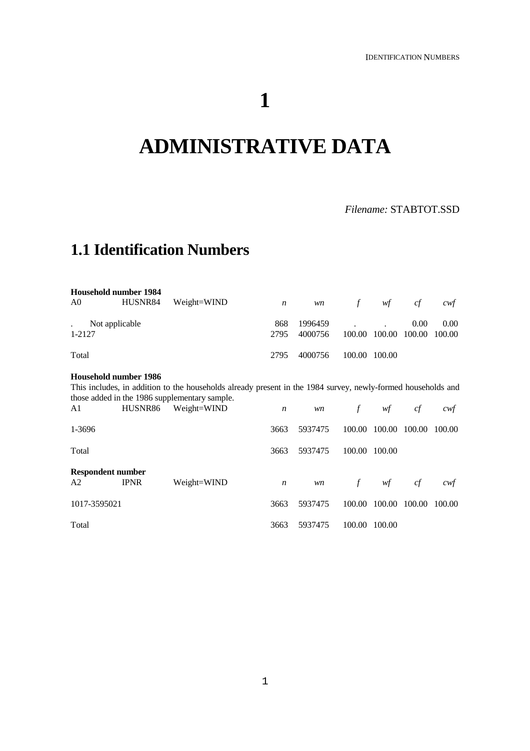# **1**

# **ADMINISTRATIVE DATA**

## **1.1 Identification Numbers**

| Household number 1984<br>A0 | HUSNR84 | Weight=WIND | $\boldsymbol{n}$ | <i>wn</i>          | f                                   | wf                          | c f  | cwt  |
|-----------------------------|---------|-------------|------------------|--------------------|-------------------------------------|-----------------------------|------|------|
| Not applicable<br>1-2127    |         |             | 868<br>2795      | 1996459<br>4000756 | and the contract of the contract of | 100.00 100.00 100.00 100.00 | 0.00 | 0.00 |
| Total                       |         |             | 2795             | 4000756            |                                     | 100.00 100.00               |      |      |

#### **Household number 1986**

This includes, in addition to the households already present in the 1984 survey, newly-formed households and those added in the 1986 supplementary sample.

| A1                             | HUSNR86     | Weight=WIND | $\boldsymbol{n}$ | wn      | f      | wf            | cf     | cwt    |
|--------------------------------|-------------|-------------|------------------|---------|--------|---------------|--------|--------|
| 1-3696                         |             |             | 3663             | 5937475 |        | 100.00 100.00 | 100.00 | 100.00 |
| Total                          |             |             | 3663             | 5937475 |        | 100.00 100.00 |        |        |
| <b>Respondent number</b><br>A2 | <b>IPNR</b> | Weight=WIND |                  |         |        |               | cf     | cwf    |
|                                |             |             | $\boldsymbol{n}$ | wn      | f      | wf            |        |        |
| 1017-3595021                   |             |             | 3663             | 5937475 |        | 100.00 100.00 | 100.00 | 100.00 |
| Total                          |             |             | 3663             | 5937475 | 100.00 | 100.00        |        |        |

*Filename:* STABTOT.SSD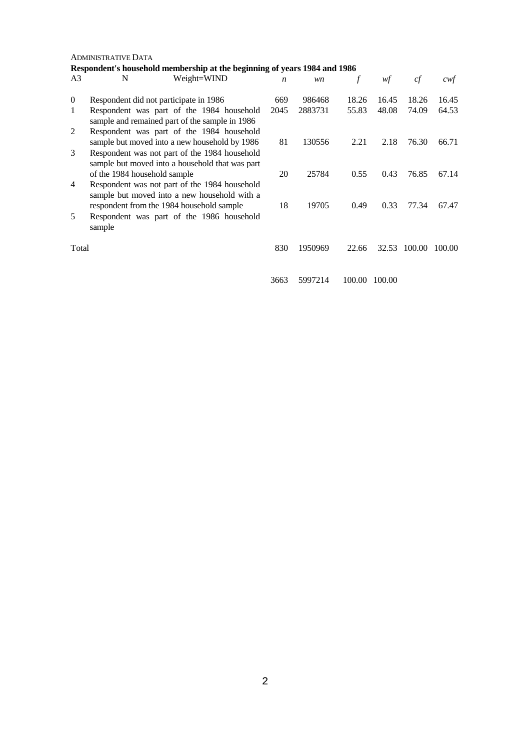#### ADMINISTRATIVE DATA  $\frac{1004}{1004}$  horining of years  $1004$  and  $1004$

|                |                              | Respondent's household membership at the beginning of years 1984 and 1986                        |                  |         |        |        |              |        |
|----------------|------------------------------|--------------------------------------------------------------------------------------------------|------------------|---------|--------|--------|--------------|--------|
| A3             | N                            | Weight=WIND                                                                                      | $\boldsymbol{n}$ | wn      | f      | wf     | cf           | cwt    |
| $\overline{0}$ |                              | Respondent did not participate in 1986                                                           | 669              | 986468  | 18.26  | 16.45  | 18.26        | 16.45  |
| 1              |                              | Respondent was part of the 1984 household<br>sample and remained part of the sample in 1986      | 2045             | 2883731 | 55.83  | 48.08  | 74.09        | 64.53  |
| 2              |                              | Respondent was part of the 1984 household<br>sample but moved into a new household by 1986       | 81               | 130556  | 2.21   | 2.18   | 76.30        | 66.71  |
| 3              |                              | Respondent was not part of the 1984 household<br>sample but moved into a household that was part |                  |         |        |        |              |        |
| 4              | of the 1984 household sample | Respondent was not part of the 1984 household                                                    | 20               | 25784   | 0.55   | 0.43   | 76.85        | 67.14  |
|                |                              | sample but moved into a new household with a<br>respondent from the 1984 household sample        | 18               | 19705   | 0.49   | 0.33   | 77.34        | 67.47  |
| 5              | sample                       | Respondent was part of the 1986 household                                                        |                  |         |        |        |              |        |
| Total          |                              |                                                                                                  | 830              | 1950969 | 22.66  |        | 32.53 100.00 | 100.00 |
|                |                              |                                                                                                  | 3663             | 5997214 | 100.00 | 100.00 |              |        |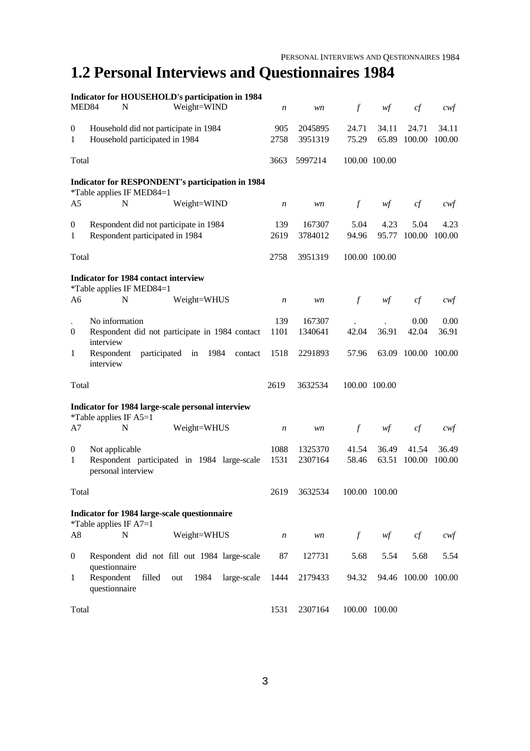# **1.2 Personal Interviews and Questionnaires 1984**

|                       | Indicator for HOUSEHOLD's participation in 1984                               |                  |                    |                  |                |                     |                 |
|-----------------------|-------------------------------------------------------------------------------|------------------|--------------------|------------------|----------------|---------------------|-----------------|
| MED84                 | N<br>Weight=WIND                                                              | $\boldsymbol{n}$ | wn                 | $\boldsymbol{f}$ | wf             | cf                  | cwf             |
| $\boldsymbol{0}$<br>1 | Household did not participate in 1984<br>Household participated in 1984       | 905<br>2758      | 2045895<br>3951319 | 24.71<br>75.29   | 34.11<br>65.89 | 24.71<br>100.00     | 34.11<br>100.00 |
|                       |                                                                               |                  |                    |                  |                |                     |                 |
| Total                 |                                                                               | 3663             | 5997214            |                  | 100.00 100.00  |                     |                 |
|                       | Indicator for RESPONDENT's participation in 1984<br>*Table applies IF MED84=1 |                  |                    |                  |                |                     |                 |
| A <sub>5</sub>        | Weight=WIND<br>N                                                              | $\boldsymbol{n}$ | wn                 | $\int$           | wf             | cf                  | cwt             |
| $\boldsymbol{0}$<br>1 | Respondent did not participate in 1984<br>Respondent participated in 1984     | 139<br>2619      | 167307<br>3784012  | 5.04<br>94.96    | 4.23<br>95.77  | 5.04<br>100.00      | 4.23<br>100.00  |
| Total                 |                                                                               | 2758             | 3951319            |                  | 100.00 100.00  |                     |                 |
|                       | <b>Indicator for 1984 contact interview</b><br>*Table applies IF MED84=1      |                  |                    |                  |                |                     |                 |
| A <sub>6</sub>        | N<br>Weight=WHUS                                                              | $\boldsymbol{n}$ | wn                 | $\mathcal{f}$    | wf             | cf                  | cwf             |
|                       | No information                                                                | 139              | 167307             |                  |                | 0.00                | 0.00            |
| $\theta$              | Respondent did not participate in 1984 contact                                | 1101             | 1340641            | 42.04            | 36.91          | 42.04               | 36.91           |
| 1                     | interview<br>Respondent<br>participated in<br>1984<br>contact<br>interview    | 1518             | 2291893            | 57.96            |                | 63.09 100.00 100.00 |                 |
| Total                 |                                                                               | 2619             | 3632534            |                  | 100.00 100.00  |                     |                 |
|                       | Indicator for 1984 large-scale personal interview                             |                  |                    |                  |                |                     |                 |
| A7                    | *Table applies IF $A5=1$<br>N<br>Weight=WHUS                                  | n                | wn                 | $\mathcal{f}$    | wf             | cf                  | cwt             |
| $\boldsymbol{0}$      | Not applicable                                                                | 1088             | 1325370            | 41.54            | 36.49          | 41.54               | 36.49           |
| 1                     | Respondent participated in 1984 large-scale<br>personal interview             | 1531             | 2307164            | 58.46            | 63.51          | 100.00              | 100.00          |
| Total                 |                                                                               | 2619             | 3632534            |                  | 100.00 100.00  |                     |                 |
|                       | Indicator for 1984 large-scale questionnaire<br>*Table applies IF $A7=1$      |                  |                    |                  |                |                     |                 |
| A8                    | Weight=WHUS<br>N                                                              | n                | wn                 | $f_{\parallel}$  | wf             | cf                  | $\alpha$        |
| $\overline{0}$        | Respondent did not fill out 1984 large-scale<br>questionnaire                 | 87               | 127731             | 5.68             | 5.54           | 5.68                | 5.54            |
| 1                     | Respondent<br>filled<br>1984<br>large-scale<br>out<br>questionnaire           | 1444             | 2179433            | 94.32            |                | 94.46 100.00 100.00 |                 |
| Total                 |                                                                               | 1531             | 2307164            |                  | 100.00 100.00  |                     |                 |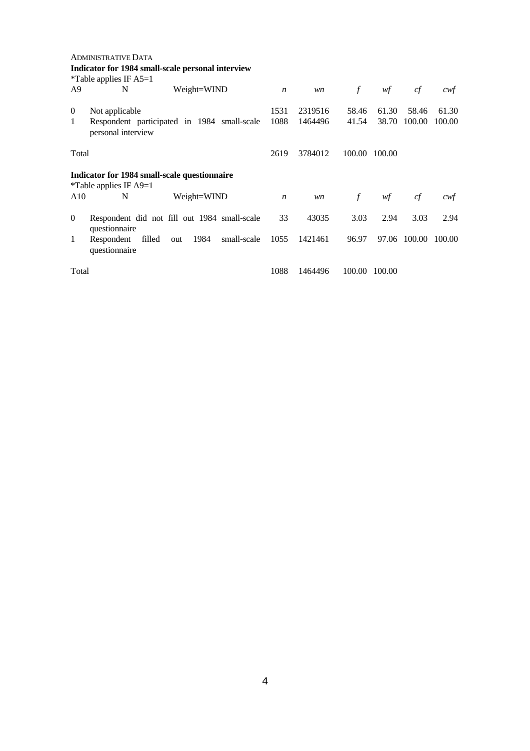|                     | <b>ADMINISTRATIVE DATA</b><br>Indicator for 1984 small-scale personal interview<br>*Table applies IF $A5=1$ |                  |                    |                |                |                 |                 |  |  |  |
|---------------------|-------------------------------------------------------------------------------------------------------------|------------------|--------------------|----------------|----------------|-----------------|-----------------|--|--|--|
| A <sub>9</sub>      | Weight=WIND<br>N                                                                                            | $\boldsymbol{n}$ | wn                 | $\int$         | wf             | cf              | cwt             |  |  |  |
| $\overline{0}$<br>1 | Not applicable<br>Respondent participated in 1984 small-scale<br>personal interview                         | 1531<br>1088     | 2319516<br>1464496 | 58.46<br>41.54 | 61.30<br>38.70 | 58.46<br>100.00 | 61.30<br>100.00 |  |  |  |
| Total               |                                                                                                             | 2619             | 3784012            | 100.00         | 100.00         |                 |                 |  |  |  |
|                     | Indicator for 1984 small-scale questionnaire<br>*Table applies IF $A9=1$                                    |                  |                    |                |                |                 |                 |  |  |  |
| A10                 | N<br>Weight=WIND                                                                                            | $\boldsymbol{n}$ | wn                 | $\mathcal{f}$  | wf             | cf              | cwt             |  |  |  |
| $\overline{0}$      | Respondent did not fill out 1984 small-scale<br>questionnaire                                               | 33               | 43035              | 3.03           | 2.94           | 3.03            | 2.94            |  |  |  |
| 1                   | filled<br>1984<br>small-scale<br>Respondent<br>out<br>questionnaire                                         | 1055             | 1421461            | 96.97          | 97.06          | 100.00          | 100.00          |  |  |  |
| Total               |                                                                                                             | 1088             | 1464496            |                | 100.00 100.00  |                 |                 |  |  |  |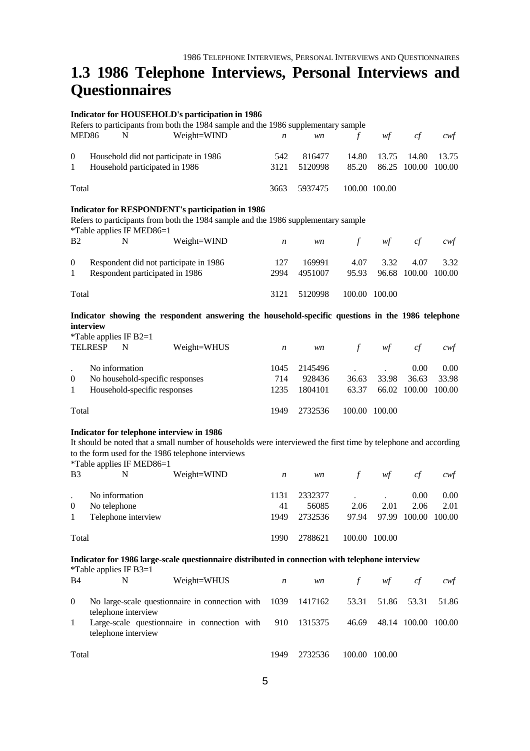## **1.3 1986 Telephone Interviews, Personal Interviews and Questionnaires**

#### **Indicator for HOUSEHOLD's participation in 1986**

Refers to participants from both the 1984 sample and the 1986 supplementary sample MED86 N Weight=WIND *n wn f wf cf cwf* 0 Household did not participate in 1986 1 Household participated in 1986 Total 542 816477 14.80 13.75 14.80 13.75 3121 5120998 85.20 86.25 100.00 100.00 3663 5937475 100.00 100.00 **Indicator for RESPONDENT's participation in 1986** Refers to participants from both the 1984 sample and the 1986 supplementary sample \*Table applies IF MED86=1 B2 N Weight=WIND *n wn f wf cf cwf* 0 Respondent did not participate in 1986 1 Respondent participated in 1986 Total 127 169991 4.07 3.32 4.07 3.32 2994 4951007 95.93 96.68 100.00 100.00 3121 5120998 100.00 100.00

**Indicator showing the respondent answering the household-specific questions in the 1986 telephone interview**

| <i>*</i> Table applies IF B2=1 |  |  |
|--------------------------------|--|--|
|--------------------------------|--|--|

|                | $1.401$ $\mu$ $\mu$ $\mu$ $\mu$ $\mu$ $\mu$ $\mu$<br><b>TELRESP</b> | N              | Weight=WHUS                     | n    | wn      | $\pm$ | wf            | сt           | cwt               |
|----------------|---------------------------------------------------------------------|----------------|---------------------------------|------|---------|-------|---------------|--------------|-------------------|
|                |                                                                     | No information |                                 | 1045 | 2145496 |       |               | 0.00         | 0.00 <sub>1</sub> |
| $\overline{0}$ |                                                                     |                | No household-specific responses | 714  | 928436  | 36.63 | 33.98         | 36.63        | 33.98             |
| $\overline{1}$ | Household-specific responses                                        |                |                                 | 1235 | 1804101 | 63.37 |               | 66.02 100.00 | 100.00            |
| Total          |                                                                     |                |                                 | 1949 | 2732536 |       | 100.00 100.00 |              |                   |

#### **Indicator for telephone interview in 1986**

It should be noted that a small number of households were interviewed the first time by telephone and according to the form used for the 1986 telephone interviews

\*Table applies IF MED86=1

| B <sub>3</sub> | N                   | Weight=WIND | n    | wn      | $\tau$ | wf            | сt     | cwt               |
|----------------|---------------------|-------------|------|---------|--------|---------------|--------|-------------------|
|                | No information      |             | 1131 | 2332377 |        |               | 0.00   | 0.00 <sub>1</sub> |
| $\overline{0}$ | No telephone        |             | 41   | 56085   | 2.06   | 2.01          | 2.06   | 2.01              |
| 1              | Telephone interview |             | 1949 | 2732536 | 97.94  | 97.99         | 100.00 | 100.00            |
| Total          |                     |             | 1990 | 2788621 |        | 100.00 100.00 |        |                   |

#### **Indicator for 1986 large-scale questionnaire distributed in connection with telephone interview**

| *Table applies IF B3=1 |  |
|------------------------|--|
|------------------------|--|

| <b>B4</b> | N                   | Weight=WHUS                                                                    | n    | wn      | $\mathcal{F}$ | wf                        | cf | cwt   |
|-----------|---------------------|--------------------------------------------------------------------------------|------|---------|---------------|---------------------------|----|-------|
| $\Omega$  | telephone interview | No large-scale questionnaire in connection with 1039 1417162 53.31 51.86 53.31 |      |         |               |                           |    | 51.86 |
|           | telephone interview | Large-scale questionnaire in connection with 910 1315375                       |      |         |               | 46.69 48.14 100.00 100.00 |    |       |
| Total     |                     |                                                                                | 1949 | 2732536 |               | 100.00 100.00             |    |       |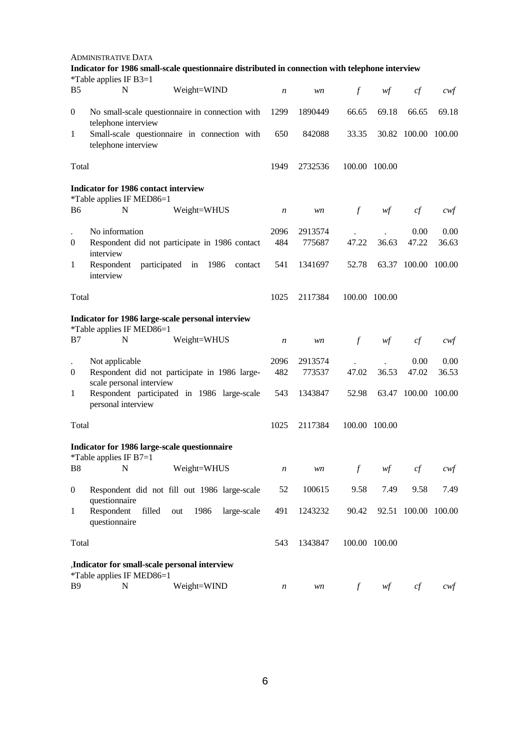|                                                                                | <b>ADMINISTRATIVE DATA</b>                                                 |                                                                                                 |                  |         |               |                                        |                     |        |
|--------------------------------------------------------------------------------|----------------------------------------------------------------------------|-------------------------------------------------------------------------------------------------|------------------|---------|---------------|----------------------------------------|---------------------|--------|
|                                                                                | *Table applies IF B3=1                                                     | Indicator for 1986 small-scale questionnaire distributed in connection with telephone interview |                  |         |               |                                        |                     |        |
| B <sub>5</sub>                                                                 | N                                                                          | Weight=WIND                                                                                     | $\boldsymbol{n}$ | wn      | $\int$        | wf                                     | cf                  | cwf    |
| $\boldsymbol{0}$                                                               | telephone interview                                                        | No small-scale questionnaire in connection with                                                 | 1299             | 1890449 | 66.65         | 69.18                                  | 66.65               | 69.18  |
| 1                                                                              | Small-scale questionnaire in connection with<br>telephone interview        |                                                                                                 |                  | 842088  | 33.35         |                                        | 30.82 100.00 100.00 |        |
| Total                                                                          |                                                                            |                                                                                                 | 1949             | 2732536 |               | 100.00 100.00                          |                     |        |
|                                                                                | Indicator for 1986 contact interview<br>*Table applies IF MED86=1          |                                                                                                 |                  |         |               |                                        |                     |        |
| B6                                                                             | N                                                                          | Weight=WHUS                                                                                     | $\boldsymbol{n}$ | wn      | $\int$        | $\mathcal{W}\hspace{-0.5mm}\textit{f}$ | $c f$               | $c$ wf |
|                                                                                | No information                                                             |                                                                                                 | 2096             | 2913574 |               |                                        | 0.00                | 0.00   |
| $\boldsymbol{0}$                                                               | interview                                                                  | Respondent did not participate in 1986 contact                                                  | 484              | 775687  | 47.22         | 36.63                                  | 47.22               | 36.63  |
| $\mathbf{1}$                                                                   | Respondent<br>interview                                                    | participated in<br>1986<br>contact                                                              | 541              | 1341697 | 52.78         | 63.37                                  | 100.00              | 100.00 |
| Total                                                                          |                                                                            |                                                                                                 | 1025             | 2117384 |               | 100.00 100.00                          |                     |        |
| Indicator for 1986 large-scale personal interview<br>*Table applies IF MED86=1 |                                                                            |                                                                                                 |                  |         |               |                                        |                     |        |
| B7                                                                             | N                                                                          | Weight=WHUS                                                                                     | $\boldsymbol{n}$ | wn      | $\mathcal{f}$ | wf                                     | cf                  | cwf    |
|                                                                                | Not applicable                                                             |                                                                                                 | 2096             | 2913574 |               |                                        | 0.00                | 0.00   |
| $\boldsymbol{0}$                                                               | scale personal interview                                                   | Respondent did not participate in 1986 large-                                                   | 482              | 773537  | 47.02         | 36.53                                  | 47.02               | 36.53  |
| $\mathbf{1}$                                                                   | personal interview                                                         | Respondent participated in 1986 large-scale                                                     | 543              | 1343847 | 52.98         | 63.47                                  | 100.00              | 100.00 |
| Total                                                                          |                                                                            |                                                                                                 | 1025             | 2117384 |               | 100.00 100.00                          |                     |        |
|                                                                                | Indicator for 1986 large-scale questionnaire<br>*Table applies IF B7=1     |                                                                                                 |                  |         |               |                                        |                     |        |
| B <sub>8</sub>                                                                 | N                                                                          | Weight=WHUS                                                                                     | $\boldsymbol{n}$ | wn      | $\int$        | wf                                     | cf                  | $c$ wf |
| $\overline{0}$                                                                 | questionnaire                                                              | Respondent did not fill out 1986 large-scale                                                    | 52               | 100615  | 9.58          | 7.49                                   | 9.58                | 7.49   |
| $\mathbf{1}$                                                                   | Respondent<br>filled<br>questionnaire                                      | 1986<br>large-scale<br>out                                                                      | 491              | 1243232 | 90.42         |                                        | 92.51 100.00 100.00 |        |
| Total                                                                          |                                                                            |                                                                                                 | 543              | 1343847 |               | 100.00 100.00                          |                     |        |
|                                                                                | ,Indicator for small-scale personal interview<br>*Table applies IF MED86=1 |                                                                                                 |                  |         |               |                                        |                     |        |
| <b>B</b> 9                                                                     | N                                                                          | Weight=WIND                                                                                     | $\boldsymbol{n}$ | wn      | $\int$        | wf                                     | cf                  | cwf    |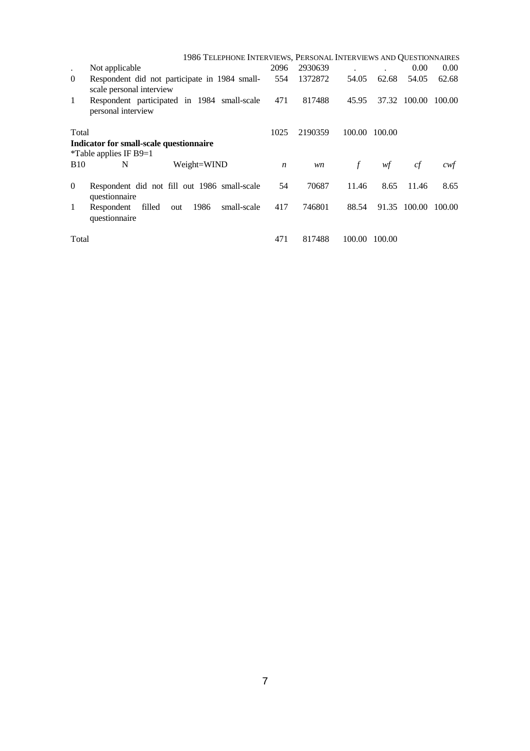|                | 1986 TELEPHONE INTERVIEWS, PERSONAL INTERVIEWS AND QUESTIONNAIRES         |                  |         |        |        |        |                   |
|----------------|---------------------------------------------------------------------------|------------------|---------|--------|--------|--------|-------------------|
| $\bullet$      | Not applicable                                                            | 2096             | 2930639 |        |        | 0.00   | 0.00 <sub>1</sub> |
| $\overline{0}$ | Respondent did not participate in 1984 small-<br>scale personal interview | 554              | 1372872 | 54.05  | 62.68  | 54.05  | 62.68             |
| 1              | Respondent participated in 1984 small-scale<br>personal interview         | 471              | 817488  | 45.95  | 37.32  | 100.00 | 100.00            |
| Total          |                                                                           | 1025             | 2190359 | 100.00 | 100.00 |        |                   |
|                | Indicator for small-scale questionnaire                                   |                  |         |        |        |        |                   |
|                | *Table applies IF B9=1                                                    |                  |         |        |        |        |                   |
| <b>B</b> 10    | Weight=WIND<br>N                                                          | $\boldsymbol{n}$ | wn      | $\int$ | wf     | cf     | cwt               |
| $\theta$       | Respondent did not fill out 1986 small-scale<br>questionnaire             | 54               | 70687   | 11.46  | 8.65   | 11.46  | 8.65              |
| 1              | 1986<br>filled<br>small-scale<br>Respondent<br>out<br>questionnaire       | 417              | 746801  | 88.54  | 91.35  | 100.00 | 100.00            |
| Total          |                                                                           | 471              | 817488  | 100.00 | 100.00 |        |                   |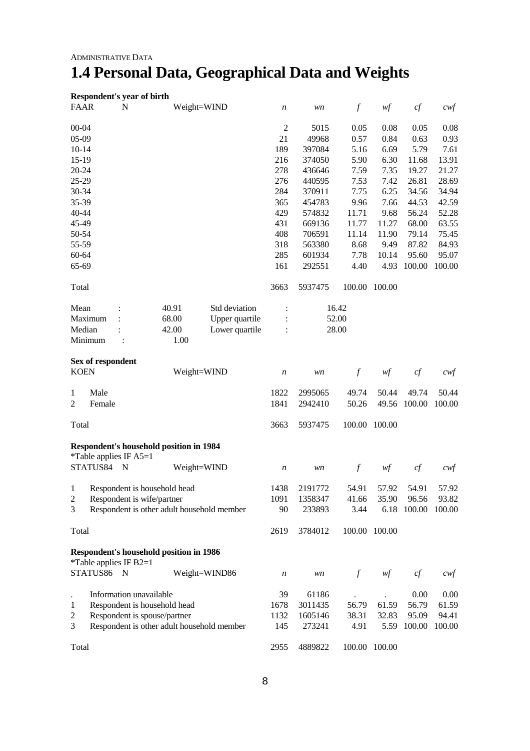# **1.4 Personal Data, Geographical Data and Weights**

|                      |                        |             | Respondent's year of birth                     |                |                  |         |                  |               |        |                   |
|----------------------|------------------------|-------------|------------------------------------------------|----------------|------------------|---------|------------------|---------------|--------|-------------------|
| <b>FAAR</b>          |                        | $\mathbf N$ |                                                | Weight=WIND    | $\boldsymbol{n}$ | wn      | $\mathcal{f}$    | wf            | cf     | $c \mathcal{w}$ f |
| $00 - 04$            |                        |             |                                                |                | $\boldsymbol{2}$ | 5015    | 0.05             | 0.08          | 0.05   | 0.08              |
| 05-09                |                        |             |                                                |                | 21               | 49968   | 0.57             | 0.84          | 0.63   | 0.93              |
| $10-14$              |                        |             |                                                |                | 189              | 397084  | 5.16             | 6.69          | 5.79   | 7.61              |
| 15-19                |                        |             |                                                |                | 216              | 374050  | 5.90             | 6.30          | 11.68  | 13.91             |
| 20-24                |                        |             |                                                |                | 278              | 436646  | 7.59             | 7.35          | 19.27  | 21.27             |
| 25-29                |                        |             |                                                |                | 276              | 440595  | 7.53             | 7.42          | 26.81  | 28.69             |
| 30-34                |                        |             |                                                |                | 284              | 370911  | 7.75             | 6.25          | 34.56  | 34.94             |
| 35-39                |                        |             |                                                |                | 365              | 454783  | 9.96             | 7.66          | 44.53  | 42.59             |
| 40-44                |                        |             |                                                |                | 429              | 574832  | 11.71            | 9.68          | 56.24  | 52.28             |
| 45-49                |                        |             |                                                |                | 431              | 669136  | 11.77            | 11.27         | 68.00  | 63.55             |
| 50-54                |                        |             |                                                |                | 408              | 706591  | 11.14            | 11.90         | 79.14  | 75.45             |
| 55-59                |                        |             |                                                |                | 318              | 563380  | 8.68             | 9.49          | 87.82  | 84.93             |
| 60-64                |                        |             |                                                |                | 285              | 601934  | 7.78             | 10.14         | 95.60  | 95.07             |
| 65-69                |                        |             |                                                |                | 161              | 292551  | 4.40             | 4.93          | 100.00 | 100.00            |
| Total                |                        |             |                                                |                | 3663             | 5937475 | 100.00           | 100.00        |        |                   |
| Mean                 |                        |             | 40.91                                          | Std deviation  | $\ddot{\cdot}$   |         | 16.42            |               |        |                   |
|                      | Maximum                |             | 68.00                                          | Upper quartile |                  |         | 52.00            |               |        |                   |
| Median               |                        |             | 42.00                                          | Lower quartile |                  |         | 28.00            |               |        |                   |
|                      | Minimum                |             | 1.00                                           |                |                  |         |                  |               |        |                   |
|                      | Sex of respondent      |             |                                                |                |                  |         |                  |               |        |                   |
| <b>KOEN</b>          |                        |             |                                                | Weight=WIND    | $\boldsymbol{n}$ | wn      | $\boldsymbol{f}$ | wf            | cf     | $c \mathcal{w} f$ |
| 1                    | Male                   |             |                                                |                | 1822             | 2995065 | 49.74            | 50.44         | 49.74  | 50.44             |
| $\overline{c}$       | Female                 |             |                                                |                | 1841             | 2942410 | 50.26            | 49.56         | 100.00 | 100.00            |
| Total                |                        |             |                                                |                | 3663             | 5937475 | 100.00           | 100.00        |        |                   |
|                      |                        |             | <b>Respondent's household position in 1984</b> |                |                  |         |                  |               |        |                   |
|                      | *Table applies IF A5=1 |             |                                                |                |                  |         |                  |               |        |                   |
|                      | STATUS84               | N           |                                                | Weight=WIND    | $\boldsymbol{n}$ | wn      | $\mathcal{f}$    | wf            | cf     | $c \mathcal{w}$ f |
| 1                    |                        |             | Respondent is household head                   |                | 1438             | 2191772 | 54.91            | 57.92         | 54.91  | 57.92             |
| $\mathfrak 2$        |                        |             | Respondent is wife/partner                     |                | 1091             | 1358347 | 41.66            | 35.90         | 96.56  | 93.82             |
| 3                    |                        |             | Respondent is other adult household member     |                | 90               | 233893  | 3.44             | 6.18          | 100.00 | 100.00            |
| Total                |                        |             |                                                |                | 2619             | 3784012 |                  | 100.00 100.00 |        |                   |
|                      |                        |             | <b>Respondent's household position in 1986</b> |                |                  |         |                  |               |        |                   |
|                      | *Table applies IF B2=1 |             |                                                |                |                  |         |                  |               |        |                   |
|                      | STATUS86 N             |             |                                                | Weight=WIND86  | $\boldsymbol{n}$ | wn      | $\mathcal{f}$    | wf            | cf     | $c$ wf            |
| $\ddot{\phantom{a}}$ |                        |             | Information unavailable                        |                | 39               | 61186   |                  |               | 0.00   | 0.00              |
| 1                    |                        |             | Respondent is household head                   |                | 1678             | 3011435 | 56.79            | 61.59         | 56.79  | 61.59             |
| $\overline{c}$       |                        |             | Respondent is spouse/partner                   |                | 1132             | 1605146 | 38.31            | 32.83         | 95.09  | 94.41             |
| 3                    |                        |             | Respondent is other adult household member     |                | 145              | 273241  | 4.91             | 5.59          | 100.00 | 100.00            |
| Total                |                        |             |                                                |                | 2955             | 4889822 |                  | 100.00 100.00 |        |                   |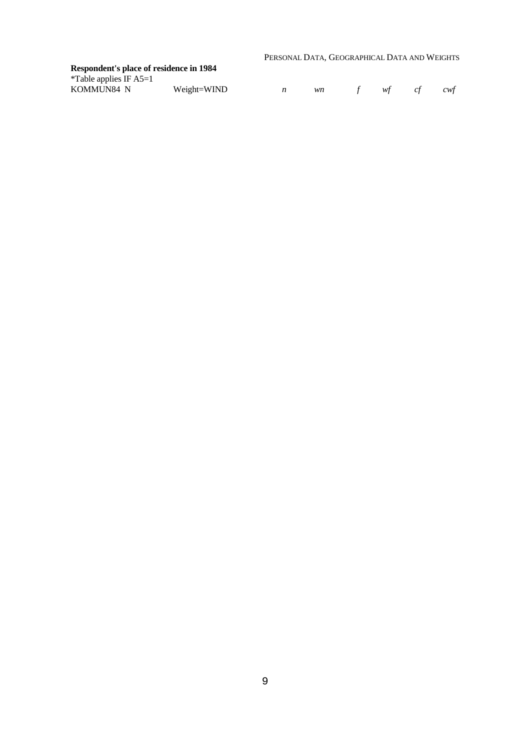PERSONAL DATA, GEOGRAPHICAL DATA AND WEIGHTS

#### **Respondent's place of residence in 1984** \*Table applies IF A5=1

| KOMMUN84 N | Weight=WIND |  |  | cwt |
|------------|-------------|--|--|-----|
|            |             |  |  |     |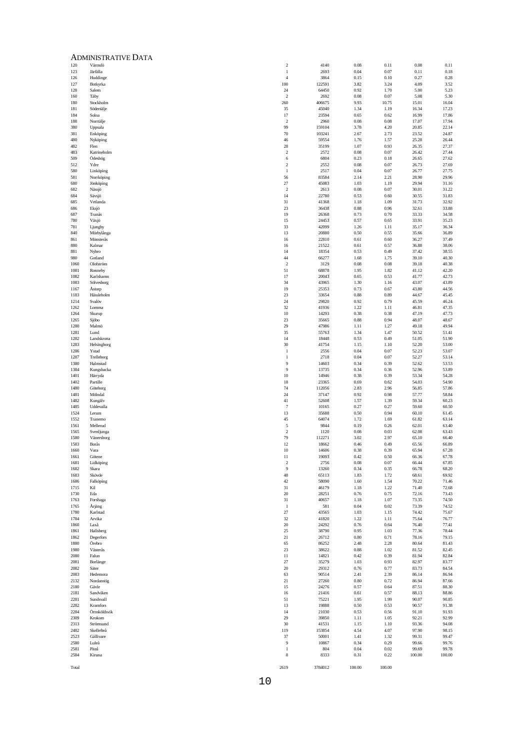|              | <b>ADMINISTRATIVE DATA</b> |                                |                 |                  |                  |                |                |
|--------------|----------------------------|--------------------------------|-----------------|------------------|------------------|----------------|----------------|
| 120          | Värmdö                     | $\sqrt{2}$                     | 4140            | 0.08             | 0.11             | 0.08           | 0.11           |
| 123<br>126   | Järfälla<br>Huddinge       | $\mathbf{1}$<br>$\overline{4}$ | 2693<br>3864    | 0.04<br>0.15     | 0.07<br>0.10     | 0.11<br>0.27   | 0.18<br>0.28   |
| 127          | Botkyrka                   | 100                            | 122591          | 3.82             | 3.24             | 4.09           | 3.52           |
| 128<br>160   | Salem<br>Täby              | 24<br>$\overline{2}$           | 64450<br>2692   | 0.92<br>0.08     | 1.70<br>0.07     | 5.00<br>5.08   | 5.23<br>5.30   |
| 180          | Stockholm                  | 260                            | 406675          | 9.93             | 10.75            | 15.01          | 16.04          |
| 181          | Södertälje                 | 35                             | 45040           | 1.34             | 1.19             | 16.34          | 17.23          |
| 184<br>188   | Solna<br>Norrtälje         | 17<br>$\sqrt{2}$               | 23594<br>2960   | 0.65<br>0.08     | 0.62<br>0.08     | 16.99<br>17.07 | 17.86<br>17.94 |
| 380          | Uppsala                    | 99                             | 159104          | 3.78             | 4.20             | 20.85          | 22.14          |
| 381          | Enköping                   | 70                             | 103241          | 2.67             | 2.73             | 23.52          | 24.87          |
| 480<br>482   | Nyköping<br>Flen           | 46<br>$28\,$                   | 59554<br>35199  | 1.76<br>1.07     | 1.57<br>0.93     | 25.28<br>26.35 | 26.44<br>27.37 |
| 483          | Katrineholm                | $\,2\,$                        | 2572            | 0.08             | 0.07             | 26.42          | 27.44          |
| 509          | Ödeshög                    | 6                              | 6804            | 0.23             | 0.18             | 26.65          | 27.62<br>27.69 |
| 512<br>580   | Ydre<br>Linköping          | $\overline{c}$<br>$\mathbf{1}$ | 2552<br>2517    | 0.08<br>0.04     | 0.07<br>0.07     | 26.73<br>26.77 | 27.75          |
| 581          | Norrköping                 | 56                             | 83584           | 2.14             | 2.21             | 28.90          | 29.96          |
| 680<br>682   | Jönköping<br>Nässjö        | $27\,$<br>$\overline{2}$       | 45083<br>2613   | 1.03<br>0.08     | 1.19<br>0.07     | 29.94<br>30.01 | 31.16<br>31.22 |
| 684          | Sävsjö                     | 14                             | 22780           | 0.53             | 0.60             | 30.55          | 31.83          |
| 685          | Vetlanda                   | 31                             | 41368           | 1.18             | 1.09             | 31.73          | 32.92          |
| 686<br>687   | Eksjö<br>Tranås            | 23<br>19                       | 36438<br>26368  | 0.88<br>0.73     | 0.96<br>0.70     | 32.61<br>33.33 | 33.88<br>34.58 |
| 780          | Växjö                      | 15                             | 24453           | 0.57             | 0.65             | 33.91          | 35.23          |
| 781          | Ljungby<br>Mörbylånga      | 33                             | 42099           | 1.26             | 1.11<br>0.55     | 35.17          | 36.34          |
| 840<br>861   | Mönsterås                  | 13<br>16                       | 20880<br>22810  | 0.50<br>0.61     | 0.60             | 35.66<br>36.27 | 36.89<br>37.49 |
| 880          | Kalmar                     | 16                             | 21522           | 0.61             | 0.57             | 36.88          | 38.06          |
| 881<br>980   | Nybro<br>Gotland           | 14<br>$44\,$                   | 18354<br>66277  | 0.53<br>1.68     | 0.49<br>1.75     | 37.42<br>39.10 | 38.55<br>40.30 |
| 1060         | Olofström                  | $\overline{2}$                 | 3129            | 0.08             | 0.08             | 39.18          | 40.38          |
| 1081         | Ronneby                    | 51                             | 68878           | 1.95             | 1.82             | 41.12          | 42.20          |
| 1082<br>1083 | Karlshamn<br>Sölvesborg    | 17<br>34                       | 20043<br>43965  | 0.65<br>1.30     | 0.53<br>1.16     | 41.77<br>43.07 | 42.73<br>43.89 |
| 1167         | Astorp                     | 19                             | 25353           | 0.73             | 0.67             | 43.80          | 44.56          |
| 1183         | Hässleholm                 | 23                             | 33654           | 0.88             | 0.89             | 44.67          | 45.45          |
| 1214<br>1262 | Svalöv<br>Lomma            | $24\,$<br>32                   | 29820<br>41936  | 0.92<br>1.22     | 0.79<br>1.11     | 45.59<br>46.81 | 46.24<br>47.35 |
| 1264         | Skurup                     | $10\,$                         | 14293           | 0.38             | 0.38             | 47.19          | 47.73          |
| 1265<br>1280 | Sjöbo<br>Malmö             | 23<br>29                       | 35665<br>47986  | 0.88<br>1.11     | 0.94<br>1.27     | 48.07<br>49.18 | 48.67<br>49.94 |
| 1281         | Lund                       | 35                             | 55763           | 1.34             | 1.47             | 50.52          | 51.41          |
| 1282         | Landskrona                 | 14                             | 18448           | 0.53             | 0.49             | 51.05          | 51.90          |
| 1283<br>1286 | Helsingborg<br>Ystad       | 30<br>$\mathbf{1}$             | 41754<br>2556   | 1.15<br>0.04     | 1.10<br>0.07     | 52.20<br>52.23 | 53.00<br>53.07 |
| 1287         | Trelleborg                 | $\mathbf{1}$                   | 2718            | 0.04             | 0.07             | 52.27          | 53.14          |
| 1380         | Halmstad                   | 9                              | 14603           | 0.34             | 0.39             | 52.62          | 53.53          |
| 1384<br>1401 | Kungsbacka<br>Härryda      | 9<br>$10\,$                    | 13735<br>14946  | 0.34<br>0.38     | 0.36<br>0.39     | 52.96<br>53.34 | 53.89<br>54.28 |
| 1402         | Partille                   | 18                             | 23365           | 0.69             | 0.62             | 54.03          | 54.90          |
| 1480<br>1481 | Göteborg<br>Mölndal        | 74<br>24                       | 112056<br>37147 | 2.83<br>0.92     | 2.96<br>0.98     | 56.85<br>57.77 | 57.86<br>58.84 |
| 1482         | Kungälv                    | 41                             | 52608           | 1.57             | 1.39             | 59.34          | 60.23          |
| 1485         | Uddevalla                  | $\overline{7}$                 | 10165           | 0.27             | 0.27             | 59.60          | 60.50          |
| 1524<br>1552 | Lerum<br>Tranemo           | 13<br>45                       | 35688<br>64074  | 0.50<br>1.72     | 0.94<br>1.69     | 60.10<br>61.82 | 61.45<br>63.14 |
| 1561         | Mellerud                   | $\sqrt{5}$                     | 9844            | 0.19             | 0.26             | 62.01          | 63.40          |
| 1565<br>1580 | Svenljunga<br>Vänersborg   | $\overline{2}$<br>79           | 1120<br>112271  | 0.08<br>3.02     | 0.03<br>2.97     | 62.08<br>65.10 | 63.43<br>66.40 |
| 1583         | Borås                      | 12                             | 18662           | 0.46             | 0.49             | 65.56          | 66.89          |
| 1660         | Va                         | $10\,$                         | 14606           | 0.38             | 0.39             | 65.94          | 67.28          |
| 1661<br>1681 | Götene<br>Lidköping        | $11\,$<br>$\sqrt{2}$           | 19093<br>2756   | 0.42<br>0.08     | 0.50<br>0.07     | 66.36<br>66.44 | 67.78<br>67.85 |
| 1682         | Skara                      | $\boldsymbol{9}$               | 13260           | 0.34             | 0.35             | 66.78          | 68.20          |
| 1683         | Skövde                     | $48\,$                         | 65113           | 1.83             | 1.72             | 68.61          | 69.92          |
| 1686<br>1715 | Falköping<br>Kil           | $42\,$<br>31                   | 58090<br>46179  | 1.60<br>$1.18\,$ | 1.54<br>1.22     | 70.22<br>71.40 | 71.46<br>72.68 |
| 1730         | Eda                        | 20                             | 28251           | 0.76             | 0.75             | 72.16          | 73.43          |
| 1763<br>1765 | Forshaga<br>Årjäng         | 31<br>1                        | 40657<br>581    | 1.18<br>0.04     | 1.07<br>0.02     | 73.35<br>73.39 | 74.50<br>74.52 |
| 1780         | Karlstad                   | 27                             | 43565           | 1.03             | 1.15             | 74.42          | 75.67          |
| 1784         | Arvika                     | 32                             | 41820           | 1.22             | 1.11             | 75.64          | 76.77          |
| 1860<br>1861 | Laxå<br>Hallsberg          | 20<br>25                       | 24292<br>38790  | 0.76<br>0.95     | 0.64<br>1.03     | 76.40<br>77.36 | 77.41<br>78.44 |
| 1862         | Degerfors                  | 21                             | 26712           | 0.80             | 0.71             | 78.16          | 79.15          |
| 1880         | Örebro                     | 65                             | 86252           | 2.48             | 2.28             | 80.64          | 81.43          |
| 1980<br>2080 | Västerås<br>Falun          | 23<br>$11\,$                   | 38622<br>14821  | 0.88<br>0.42     | 1.02<br>0.39     | 81.52<br>81.94 | 82.45<br>82.84 |
| 2081         | Borlänge                   | 27                             | 35279           | 1.03             | 0.93             | 82.97          | 83.77          |
| 2082<br>2083 | Säter<br>Hedemora          | $20\,$<br>63                   | 29312<br>90514  | 0.76<br>2.41     | $0.77\,$<br>2.39 | 83.73<br>86.14 | 84.54<br>86.94 |
| 2132         | Nordanstig                 | 21                             | 27260           | 0.80             | 0.72             | 86.94          | 87.66          |
| 2180         | Gävle                      | 15                             | 24276           | 0.57             | 0.64             | 87.51          | 88.30          |
| 2181<br>2281 | Sandviken<br>Sundsvall     | $16$<br>51                     | 21416<br>75221  | 0.61<br>1.95     | 0.57<br>1.99     | 88.13<br>90.07 | 88.86<br>90.85 |
| 2282         | Kramfors                   | 13                             | 19888           | 0.50             | 0.53             | 90.57          | 91.38          |
| 2284         | Örnsköldsvik               | 14                             | 21030           | 0.53             | 0.56             | 91.10          | 91.93          |
| 2309<br>2313 | Krokom<br>Strömsund        | 29<br>30                       | 39850<br>41531  | 1.11<br>1.15     | 1.05<br>1.10     | 92.21<br>93.36 | 92.99<br>94.08 |
| 2482         | Skellefteå                 | 119                            | 153854          | 4.54             | 4.07             | 97.90          | 98.15          |
| 2523<br>2580 | Gällivare<br>Luleå         | 37<br>$\boldsymbol{9}$         | 50001<br>10867  | 1.41<br>0.34     | 1.32<br>0.29     | 99.31<br>99.66 | 99.47<br>99.76 |
| 2581         | Piteå                      | $\,1\,$                        | 804             | 0.04             | 0.02             | 99.69          | 99.78          |
| 2584         | Kiruna                     | $\,$ 8 $\,$                    | 8333            | 0.31             | 0.22             | 100.00         | 100.00         |

| I |
|---|
|---|

10

2619 3784012 100.00 100.00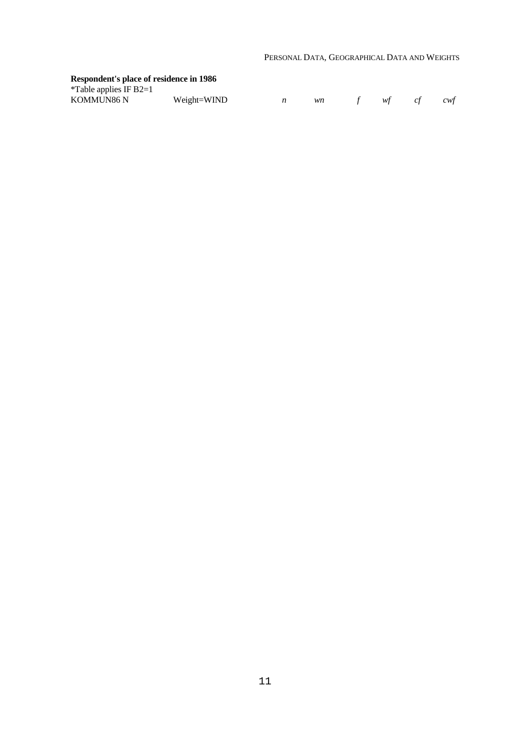### **Respondent's place of residence in 1986**

| *Table applies IF B2=1 |  |
|------------------------|--|
|------------------------|--|

| KOMMUN86 N<br>Weight=WIND |  |  |  |  |  | cwt |
|---------------------------|--|--|--|--|--|-----|
|---------------------------|--|--|--|--|--|-----|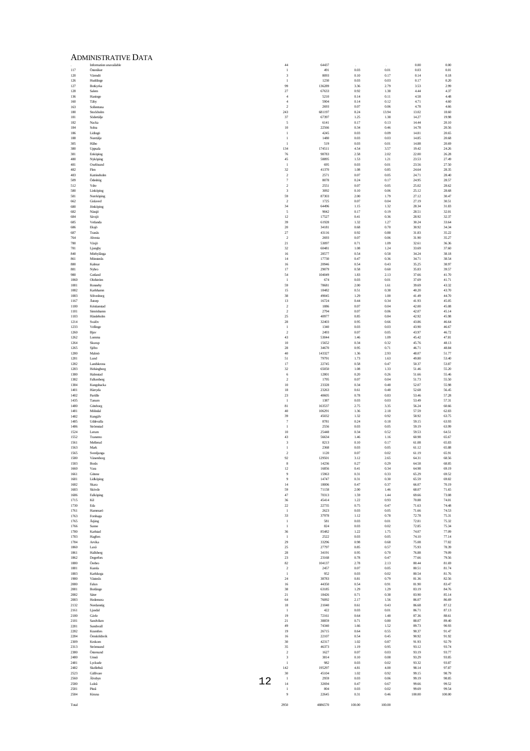|              | <b>ADMINISTRATIVE DATA</b>           |                                         |                 |                  |                  |                 |                 |
|--------------|--------------------------------------|-----------------------------------------|-----------------|------------------|------------------|-----------------|-----------------|
| 117          | Information unavailable<br>Österåker | 44<br>$\overline{1}$                    | 64437<br>491    | 0.03             | 0.01             | 0.00<br>0.03    | 0.00<br>0.01    |
| 120          | Värmdö                               | $\overline{\mathbf{3}}$                 | 8093            | 0.10             | 0.17             | 0.14            | 0.18            |
| 126<br>127   | Huddinge<br>Botkyrka                 | $\overline{1}$<br>99                    | 1230<br>136289  | 0.03<br>3.36     | 0.03<br>2.79     | 0.17<br>3.53    | 0.20<br>2.99    |
| 128          | Salem                                | $27\,$                                  | 67633           | 0.92             | 1.38             | 4.44            | 4.37            |
| 136          | Haninge                              | $\sqrt{4}$                              | 5210            | 0.14             | 0.11             | 4.58            | 4.48            |
| 160<br>163   | Taby<br>Sollentuna                   | $\sqrt{4}$<br>$\overline{2}$            | 5904<br>2693    | 0.14<br>0.07     | 0.12<br>0.06     | 4.71<br>4.78    | 4.60<br>4.66    |
| 180          | Stockholm                            | 243                                     | 681197          | 8.24             | 13.94            | 13.02           | 18.60           |
| 181<br>182   | Södertälje<br>Nacka                  | 37<br>5                                 | 67397<br>6141   | 1.25<br>0.17     | 1.38<br>0.13     | 14.27<br>14.44  | 19.98<br>20.10  |
| 184          | Solna                                | $10\,$                                  | 22566           | 0.34             | 0.46             | 14.78           | 20.56           |
| 186<br>188   | Lidingö<br>Nontälje                  | -1<br>-1                                | 4245<br>1480    | 0.03<br>0.03     | 0.09<br>0.03     | 14.81<br>14.85  | 20.65<br>20.68  |
| 305          | Hâbo                                 | $\mathbf{1}$                            | 519             | 0.03             | 0.01             | 14.88           | 20.69           |
| 380<br>381   | Uppsala<br>Enköping                  | 134<br>76                               | 174511<br>98783 | 4.54<br>2.58     | 3.57<br>2.02     | 19.42<br>22.00  | 24.26<br>26.28  |
| 480          | Nyköping                             | 45                                      | 58895           | 1.53             | 1.21             | 23.53           | 27.49           |
| 481<br>482   | Oxelösund<br>Flen                    | $\mathbf{I}$<br>32                      | 695<br>41370    | 0.03<br>1.08     | 0.01<br>0.85     | 23.56<br>24.64  | 27.50<br>28.35  |
| 483          | Katrineholm                          | $\overline{2}$                          | 2571            | 0.07             | 0.05             | 24.71           | 28.40           |
| 509<br>512   | Ödeshög<br>Ydre                      | $\overline{7}$<br>$\overline{2}$        | 8078<br>2551    | 0.24<br>0.07     | 0.17<br>0.05     | 24.95<br>25.02  | 28.57<br>28.62  |
| 580          | Linköping                            | $\overline{\mathbf{3}}$                 | 3092            | 0.10             | 0.06             | 25.12           | 28.68           |
| 581<br>662   | Norrköping<br>Gislaved               | 59<br>$\overline{2}$                    | 87303<br>1725   | 2.00<br>0.07     | 1.79<br>0.04     | 27.12<br>27.19  | 30.47<br>30.51  |
| 680          | Jönköping                            | 34                                      | 64496           | 1.15             | 1.32             | 28.34           | 31.83           |
| 682<br>684   | Nässjö                               | 5<br>12                                 | 9042<br>17527   | 0.17<br>0.41     | 0.19<br>0.36     | 28.51<br>28.92  | 32.01<br>32.37  |
| 685          | Sävsjö<br>Vetlanda                   | 39                                      | 61928           | 1.32             | 1.27             | 30.24           | 33.64           |
| 686          | Eksjö                                | $20\,$                                  | 34181           | 0.68             | 0.70             | 30.92           | 34.34           |
| 687<br>764   | Tranâs<br>Alvesta                    | $27\,$<br>$\overline{2}$                | 43116<br>2693   | 0.92<br>0.07     | $0.88\,$<br>0.06 | 31.83<br>31.90  | 35.22<br>35.27  |
| 780          | Växjö                                | 21                                      | 53097           | 0.71             | 1.09             | 32.61           | 36.36           |
| 781<br>840   | Ljungby<br>Mörbylånga                | 32<br>16                                | 60481<br>28577  | 1.08<br>0.54     | 1.24<br>0.58     | 33.69<br>34.24  | 37.60<br>38.18  |
| 861          | Mönsterås                            | 14                                      | 17730           | 0.47             | 0.36             | 34.71           | 38.54           |
| 880<br>881   | Kalmar<br>Nybro                      | 16<br>17                                | 20946<br>29079  | 0.54<br>0.58     | 0.43<br>0.60     | 35.25<br>35.83  | 38.97<br>39.57  |
| 980          | Gotland                              | 54                                      | 104049          | 1.83             | 2.13             | 37.66           | 41.70           |
| 1060<br>1081 | Olofström<br>Ronneby                 | $\overline{1}$<br>59                    | 674<br>78681    | 0.03<br>2.00     | 0.01<br>1.61     | 37.69<br>39.69  | 41.71<br>43.32  |
| 1082         | Karlshamn                            | 15                                      | 18482           | 0.51             | 0.38             | 40.20           | 43.70           |
| 1083<br>1167 | Sölvesborg<br>Åstorp                 | 38<br>$13\,$                            | 49045<br>16724  | 1.29<br>0.44     | 1.00<br>0.34     | 41.49<br>41.93  | 44.70<br>45.05  |
| 1180         | Kristianstad                         | $\overline{2}$                          | 1886            | 0.07             | 0.04             | 42.00           | 45.08           |
| 1181         | Simrishamn                           | $\overline{2}$                          | 2794            | 0.07             | 0.06             | 42.07           | 45.14           |
| 1183<br>1214 | Hässleholm<br>Svalöv                 | 25<br>28                                | 40977<br>32403  | 0.85<br>0.95     | 0.84<br>0.66     | 42.92<br>43.86  | 45.98<br>46.64  |
| 1233         | Vellinge                             | $\mathbf{1}$                            | 1340            | 0.03             | 0.03             | 43.90           | 46.67           |
| 1260<br>1262 | Bjuv<br>Lomma                        | $\overline{2}$<br>43                    | 2493<br>53044   | 0.07<br>1.46     | 0.05<br>1.09     | 43.97<br>45.42  | 46.72<br>47.81  |
| 1264         | Skurup                               | $10\,$                                  | 15652           | 0.34             | 0.32             | 45.76           | 48.13           |
| 1265<br>1280 | Sjöbo<br>Malmö                       | 28<br>$40\,$                            | 34670<br>143327 | 0.95<br>1.36     | 0.71<br>2.93     | 46.71<br>48.07  | 48.84<br>51.77  |
| 1281         | Lund                                 | $51\,$                                  | 79791           | 1.73             | 1.63             | 49.80           | 53.40           |
| 1282<br>1283 | Landskrona<br>Helsingborg            | 17<br>32                                | 22745<br>65050  | 0.58<br>$1.08\,$ | 0.47<br>1.33     | 50.37<br>51.46  | 53.87<br>55.20  |
| 1380         | Halmstad                             | $\sqrt{6}$                              | 12801           | 0.20             | 0.26             | 51.66           | 55.46           |
| 1382<br>1384 | Falkenberg<br>Kungsbacka             | $\overline{2}$<br>$10\,$                | 1795<br>23328   | 0.07<br>0.34     | 0.04<br>0.48     | 51.73<br>52.07  | 55.50<br>55.98  |
| 1401         | Härryda                              | $18\,$                                  | 23263           | 0.61             | 0.48             | 52.68           | 56.45           |
| 1402<br>1435 | Partille<br>Tanum                    | 23<br>-1                                | 40605<br>1387   | 0.78<br>0.03     | 0.83<br>0.03     | 53.46<br>53.49  | 57.28<br>57.31  |
| 1480         | Göteborg                             | 81                                      | 163537          | 2.75             | 3.35             | 56.24           | 60.66           |
| 1481<br>1482 | Mölndal                              | 40<br>39                                | 106291<br>45032 | 1.36<br>1.32     | 2.18<br>0.92     | 57.59<br>58.92  | 62.83<br>63.75  |
| 1485         | Kungälv<br>Uddevalla                 | $\overline{7}$                          | 8781            | 0.24             | 0.18             | 59.15           | 63.93           |
| 1486         | Strömstad                            | $\overline{1}$<br>$10\,$                | 2556            | 0.03             | 0.05             | 59.19           | 63.99           |
| 1524<br>1552 | Lerum<br>Tranemo                     | 43                                      | 25448<br>56634  | 0.34<br>1.46     | 0.52<br>$1.16\,$ | 59.53<br>60.98  | 64.51<br>65.67  |
| 1561         | Mellerud                             | $\overline{\mathbf{3}}$                 | 8213            | 0.10             | 0.17             | 61.08           | 65.83           |
| 1563<br>1565 | Mark<br>Svenljunga                   | $\mathbf{I}$<br>$\overline{2}$          | 2368<br>1120    | 0.03<br>0.07     | 0.05<br>0.02     | 61.12<br>61.19  | 65.88<br>65.91  |
| 1580         | Vänersborg                           | $\,92$                                  | 129501          | 3.12             | 2.65             | 64.31           | 68.56           |
| 1583<br>1660 | Borås<br>Vara                        | $\,$ 8 $\,$<br>$12$                     | 14236<br>16856  | 0.27<br>0.41     | 0.29<br>0.34     | 64.58<br>64.98  | 68.85<br>69.19  |
| 1661         | Götene                               | $\overline{9}$                          | 15963           | 0.31             | 0.33             | 65.29           | 69.52           |
| 1681<br>1682 | Lidköping<br>Skara                   | $\overline{9}$<br>$14\,$                | 14747<br>18006  | 0.31<br>0.47     | 0.30<br>0.37     | 65.59<br>66.07  | 69.82<br>70.19  |
| 1683         | Skövde                               | 59                                      | 71158           | $2.00\,$         | 1.46             | 68.07           | 71.65           |
| 1686<br>1715 | Falköping<br>Kil                     | $47\,$<br>36                            | 70313<br>45414  | 1.59<br>1.22     | 1.44<br>0.93     | 69.66<br>70.88  | 73.08<br>74.01  |
| 1730         | Eda                                  | $22\,$                                  | 22735           | 0.75             | 0.47             | 71.63           | 74.48           |
| 1761<br>1763 | Hammarö<br>Forshaga                  | $\mathbf{I}$<br>33                      | 2623<br>37978   | 0.03<br>1.12     | 0.05<br>0.78     | 71.66<br>72.78  | 74.53<br>75.31  |
| 1765         | Årjäng                               | $\mathbf{1}$                            | 581             | 0.03             | 0.01             | 72.81           | 75.32           |
| 1766<br>1780 | Sunne<br>Karlstad                    | $\mathbf{1}$<br>36                      | 824<br>85482    | 0.03<br>1.22     | 0.02<br>1.75     | 72.85<br>74.07  | 75.34<br>77.09  |
| 1783         | Hagfors                              | $\mathbf{1}$                            | 2522            | 0.03             | 0.05             | 74.10           | 77.14           |
| 1784<br>1860 | Arvika<br>Laxâ                       | 29<br>25                                | 33296<br>27797  | 0.98<br>0.85     | 0.68<br>0.57     | 75.08<br>75.93  | 77.82<br>78.39  |
| 1861         | Hallsberg                            | 28                                      | 34191           | 0.95             | 0.70             | 76.88           | 79.09           |
| 1862<br>1880 | Degerfors<br>Örebro                  | $23\,$<br>$82\,$                        | 23168<br>104137 | 0.78<br>2.78     | 0.47<br>2.13     | 77.66<br>80.44  | 79.56<br>81.69  |
| 1881         | Kumla                                | $\sqrt{2}$                              | 2457            | 0.07             | 0.05             | 80.51           | 81.74           |
| 1883<br>1980 | Karlskoga<br>Västerås                | $\mathbf{I}$<br>$24\,$                  | 952<br>38783    | 0.03<br>0.81     | 0.02<br>0.79     | 80.54<br>81.36  | 81.76<br>82.56  |
| 2080         | Falun                                | $16\,$                                  | 44350           | 0.54             | 0.91             | 81.90           | 83.47           |
| 2081<br>2082 | Borlänge<br>Säter                    | 38<br>$21\,$                            | 63185<br>18426  | 1.29<br>0.71     | 1.29<br>0.38     | 83.19<br>83.90  | 84.76<br>85.14  |
| 2083         | Hedemora                             | 64                                      | 76092           | 2.17             | 1.56             | 86.07           | 86.69           |
| 2132<br>2161 | Nordanstig<br>Ljusdal                | $18\,$<br>$\mathbf{I}$                  | 21040<br>422    | 0.61<br>0.03     | 0.43<br>$0.01\,$ | 86.68<br>86.71  | 87.12<br>87.13  |
| 2180         | Gävle                                | 19                                      | 72161           | 0.64             | 1.48             | 87.36           | 88.61           |
| 2181         | Sandviken                            | $21\,$                                  | 38859           | 0.71             | $0.80\,$         | 88.07           | 89.40           |
| 2281<br>2282 | Sundsvall<br>Kramfors                | 49<br>19                                | 74340<br>26715  | 1.66<br>0.64     | 1.52<br>0.55     | 89.73<br>90.37  | 90.93<br>91.47  |
| 2284         | Örnsköldsvik                         | $16\,$                                  | 22107           | 0.54             | 0.45             | 90.92           | 91.92           |
| 2309<br>2313 | Krokom<br>Strömsund                  | $30\,$<br>35                            | 42317<br>46373  | 1.02<br>1.19     | 0.87<br>0.95     | 91.93<br>93.12  | 92.79<br>93.74  |
| 2380         | Östersund                            | $\overline{\mathbf{c}}$                 | 1627            | 0.07             | 0.03             | 93.19           | 93.77           |
| 2480<br>2481 | Umeå<br>Lycksele                     | $\overline{\mathbf{3}}$<br>$\mathbf{1}$ | 3814<br>982     | 0.10<br>0.03     | 0.08<br>$\,0.02$ | 93.29<br>93.32  | 93.85<br>93.87  |
| 2482         | Skellefteå                           | 142                                     | 195297          | 4.81             | 4.00             | 98.14           | 97.87           |
| 2523<br>2560 | Gällivare<br>Älvsbyn                 | 30<br>$\mathbf{1}$                      | 45104<br>2959   | 1.02<br>0.03     | 0.92<br>0.06     | 99.15<br>99.19  | 98.79<br>98.85  |
| 2580         | Luleå                                | 12<br>$14$                              | 32694           | 0.47             | 0.67             | 99.66           | 99.52           |
| 2581<br>2584 | Piteå<br>Kiruna                      | $\mathbf{I}$<br>$\overline{9}$          | 804<br>22645    | 0.03<br>0.31     | 0.02<br>0.46     | 99.69<br>100.00 | 99.54<br>100.00 |

2950 4886570 100.00 100.00

Total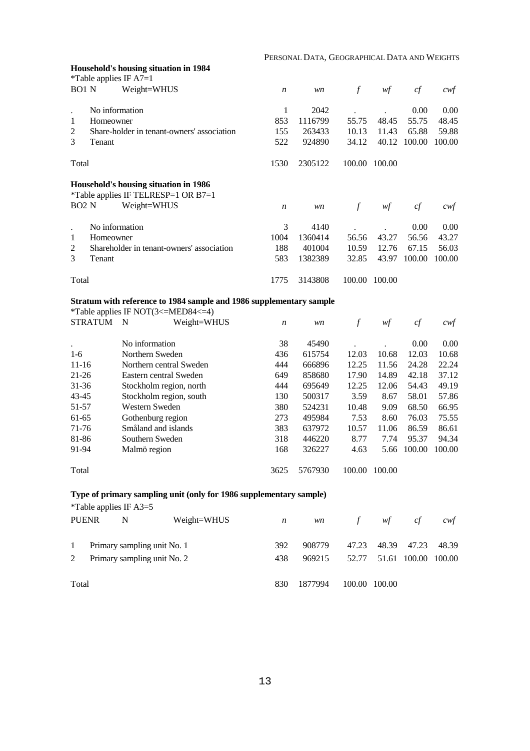#### PERSONAL DATA, GEOGRAPHICAL DATA AND WEIGHTS

|                      |                | Household's housing situation in 1984                               |                  | PERSONAL DATA, GEOGRAPHICAL DATA AND WEIGHTS |                  |               |        |                |
|----------------------|----------------|---------------------------------------------------------------------|------------------|----------------------------------------------|------------------|---------------|--------|----------------|
|                      |                | *Table applies IF $A7=1$                                            |                  |                                              |                  |               |        |                |
| BO1 N                |                | Weight=WHUS                                                         | $\boldsymbol{n}$ | wn                                           | $\mathcal{f}$    | wf            | cf     | $\mathit{cwf}$ |
|                      | No information |                                                                     | 1                | 2042                                         |                  |               | 0.00   | 0.00           |
| $\mathbf{1}$         | Homeowner      |                                                                     | 853              | 1116799                                      | 55.75            | 48.45         | 55.75  | 48.45          |
| $\overline{c}$       |                | Share-holder in tenant-owners' association                          | 155              | 263433                                       | 10.13            | 11.43         | 65.88  | 59.88          |
| 3                    | Tenant         |                                                                     | 522              | 924890                                       | 34.12            | 40.12         | 100.00 | 100.00         |
| Total                |                |                                                                     | 1530             | 2305122                                      |                  | 100.00 100.00 |        |                |
|                      |                | Household's housing situation in 1986                               |                  |                                              |                  |               |        |                |
|                      |                | *Table applies IF TELRESP=1 OR B7=1                                 |                  |                                              |                  |               |        |                |
| BO <sub>2</sub> N    |                | Weight=WHUS                                                         | $\boldsymbol{n}$ | wn                                           | $\boldsymbol{f}$ | wf            | cf     | cwf            |
| $\ddot{\phantom{a}}$ | No information |                                                                     | 3                | 4140                                         |                  |               | 0.00   | 0.00           |
| $\mathbf{1}$         | Homeowner      |                                                                     | 1004             | 1360414                                      | 56.56            | 43.27         | 56.56  | 43.27          |
| 2                    |                | Shareholder in tenant-owners' association                           | 188              | 401004                                       | 10.59            | 12.76         | 67.15  | 56.03          |
| 3                    | Tenant         |                                                                     | 583              | 1382389                                      | 32.85            | 43.97         | 100.00 | 100.00         |
| Total                |                |                                                                     | 1775             | 3143808                                      |                  | 100.00 100.00 |        |                |
|                      |                | Stratum with reference to 1984 sample and 1986 supplementary sample |                  |                                              |                  |               |        |                |
|                      |                | *Table applies IF NOT(3<=MED84<=4)                                  |                  |                                              |                  |               |        |                |
|                      | <b>STRATUM</b> | N<br>Weight=WHUS                                                    | $\boldsymbol{n}$ | wn                                           | $\mathcal{f}$    | wf            | cf     | $c$ wf         |
|                      |                | No information                                                      | 38               | 45490                                        |                  |               | 0.00   | 0.00           |
| $1-6$                |                | Northern Sweden                                                     | 436              | 615754                                       | 12.03            | 10.68         | 12.03  | 10.68          |
| $11 - 16$            |                | Northern central Sweden                                             | 444              | 666896                                       | 12.25            | 11.56         | 24.28  | 22.24          |
| $21 - 26$            |                | Eastern central Sweden                                              | 649              | 858680                                       | 17.90            | 14.89         | 42.18  | 37.12          |
| 31-36                |                | Stockholm region, north                                             | 444              | 695649                                       | 12.25            | 12.06         | 54.43  | 49.19          |
| 43-45                |                | Stockholm region, south                                             | 130              | 500317                                       | 3.59             | 8.67          | 58.01  | 57.86          |
| 51-57                |                | Western Sweden                                                      | 380              | 524231                                       | 10.48            | 9.09          | 68.50  | 66.95          |
| 61-65                |                | Gothenburg region                                                   | 273              | 495984                                       | 7.53             | 8.60          | 76.03  | 75.55          |
| 71-76                |                | Småland and islands                                                 | 383              | 637972                                       | 10.57            | 11.06         | 86.59  | 86.61          |
| 81-86                |                | Southern Sweden                                                     | 318              | 446220                                       | 8.77             | 7.74          | 95.37  | 94.34          |
| 91-94                |                | Malmö region                                                        | 168              | 326227                                       | 4.63             | 5.66          | 100.00 | 100.00         |
| Total                |                |                                                                     | 3625             | 5767930                                      |                  | 100.00 100.00 |        |                |
|                      |                | Type of primary sampling unit (only for 1986 supplementary sample)  |                  |                                              |                  |               |        |                |
|                      |                | *Table applies IF A3=5                                              |                  |                                              |                  |               |        |                |

| <b>PUENR</b>      | N                                                          | Weight=WHUS | n          | wn               | f              | wf            | сt                    | cwt             |
|-------------------|------------------------------------------------------------|-------------|------------|------------------|----------------|---------------|-----------------------|-----------------|
| $\mathbf{1}$<br>2 | Primary sampling unit No. 1<br>Primary sampling unit No. 2 |             | 392<br>438 | 908779<br>969215 | 47.23<br>52.77 | 48.39         | 47.23<br>51.61 100.00 | 48.39<br>100.00 |
| Total             |                                                            |             | 830        | 1877994          |                | 100.00 100.00 |                       |                 |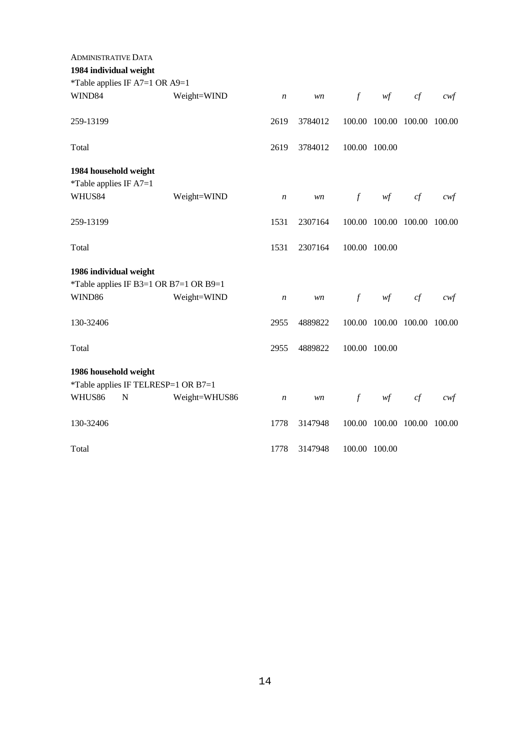| <b>ADMINISTRATIVE DATA</b>                                   |               |                  |         |               |                                        |    |                  |
|--------------------------------------------------------------|---------------|------------------|---------|---------------|----------------------------------------|----|------------------|
| 1984 individual weight                                       |               |                  |         |               |                                        |    |                  |
| *Table applies IF A7=1 OR A9=1                               |               |                  |         |               |                                        |    |                  |
| WIND84                                                       | Weight=WIND   | $\boldsymbol{n}$ | wn      | $\int$        | wf                                     | cf | $c \mathsf{w} f$ |
| 259-13199                                                    |               | 2619             | 3784012 |               | 100.00 100.00 100.00                   |    | 100.00           |
| Total                                                        |               | 2619             | 3784012 | 100.00 100.00 |                                        |    |                  |
| 1984 household weight                                        |               |                  |         |               |                                        |    |                  |
| *Table applies IF $A7=1$<br>WHUS84                           | Weight=WIND   | $\boldsymbol{n}$ | wn      | $\mathcal{f}$ | $\mathcal{W}\hspace{-0.5mm}\textit{f}$ | cf | cwf              |
| 259-13199                                                    |               | 1531             | 2307164 |               | 100.00 100.00 100.00                   |    | 100.00           |
| Total                                                        |               | 1531             | 2307164 |               | 100.00 100.00                          |    |                  |
| 1986 individual weight                                       |               |                  |         |               |                                        |    |                  |
| *Table applies IF B3=1 OR B7=1 OR B9=1                       |               |                  |         |               |                                        |    |                  |
| WIND86                                                       | Weight=WIND   | $\boldsymbol{n}$ | wn      | $\mathcal{f}$ | $\mathcal{W}\hspace{-0.5mm}\mathit{f}$ | cf | cwf              |
| 130-32406                                                    |               | 2955             | 4889822 |               | 100.00 100.00 100.00 100.00            |    |                  |
| Total                                                        |               | 2955             | 4889822 | 100.00 100.00 |                                        |    |                  |
| 1986 household weight                                        |               |                  |         |               |                                        |    |                  |
| *Table applies IF TELRESP=1 OR B7=1<br>WHUS86<br>$\mathbf N$ | Weight=WHUS86 | $\boldsymbol{n}$ | wn      | $\int$        | wf                                     | cf | cwf              |
| 130-32406                                                    |               | 1778             | 3147948 |               | 100.00 100.00 100.00                   |    | 100.00           |
| Total                                                        |               | 1778             | 3147948 |               | 100.00 100.00                          |    |                  |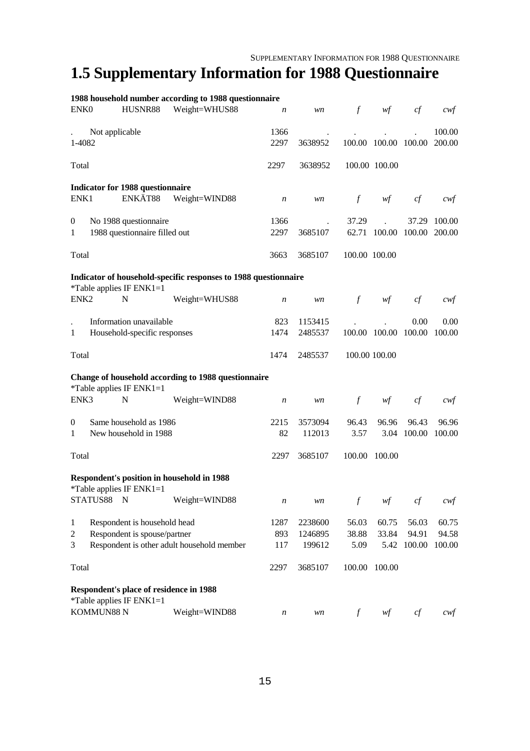# **1.5 Supplementary Information for 1988 Questionnaire**

|                  |                                                   | 1988 household number according to 1988 questionnaire           |                  |         |               |                      |        |        |
|------------------|---------------------------------------------------|-----------------------------------------------------------------|------------------|---------|---------------|----------------------|--------|--------|
| ENK <sub>0</sub> | HUSNR88                                           | Weight=WHUS88                                                   | $\boldsymbol{n}$ | wn      | $\int$        | wf                   | cf     | cwf    |
|                  | Not applicable                                    |                                                                 | 1366             |         |               |                      |        | 100.00 |
| 1-4082           |                                                   |                                                                 | 2297             | 3638952 |               | 100.00 100.00 100.00 |        | 200.00 |
|                  |                                                   |                                                                 |                  |         |               |                      |        |        |
| Total            |                                                   |                                                                 | 2297             | 3638952 |               | 100.00 100.00        |        |        |
|                  | <b>Indicator for 1988 questionnaire</b>           |                                                                 |                  |         |               |                      |        |        |
| ENK1             | ENKÄT88                                           | Weight=WIND88                                                   | $\boldsymbol{n}$ | wn      | $\int$        | wf                   | cf     | cwt    |
| $\boldsymbol{0}$ | No 1988 questionnaire                             |                                                                 | 1366             |         | 37.29         |                      | 37.29  | 100.00 |
| $\mathbf{1}$     | 1988 questionnaire filled out                     |                                                                 | 2297             | 3685107 |               | 62.71 100.00         | 100.00 | 200.00 |
| Total            |                                                   |                                                                 | 3663             | 3685107 | 100.00 100.00 |                      |        |        |
|                  |                                                   | Indicator of household-specific responses to 1988 questionnaire |                  |         |               |                      |        |        |
| ENK <sub>2</sub> | *Table applies IF $ENK1=1$<br>N                   | Weight=WHUS88                                                   | $\boldsymbol{n}$ | wn      | $\mathcal{f}$ | wf                   | cf     | $c$ wf |
|                  |                                                   |                                                                 |                  |         |               |                      |        |        |
|                  | Information unavailable                           |                                                                 | 823              | 1153415 |               |                      | 0.00   | 0.00   |
| $\mathbf{1}$     | Household-specific responses                      |                                                                 | 1474             | 2485537 |               | 100.00 100.00        | 100.00 | 100.00 |
| Total            |                                                   |                                                                 | 1474             | 2485537 |               | 100.00 100.00        |        |        |
|                  | *Table applies IF ENK1=1                          | Change of household according to 1988 questionnaire             |                  |         |               |                      |        |        |
| ENK3             | N                                                 | Weight=WIND88                                                   | $\boldsymbol{n}$ | wn      | $\int$        | wf                   | cf     | cwt    |
| $\boldsymbol{0}$ | Same household as 1986                            |                                                                 | 2215             | 3573094 | 96.43         | 96.96                | 96.43  | 96.96  |
| 1                | New household in 1988                             |                                                                 | 82               | 112013  | 3.57          | 3.04                 | 100.00 | 100.00 |
| Total            |                                                   |                                                                 | 2297             | 3685107 |               | 100.00 100.00        |        |        |
|                  | <b>Respondent's position in household in 1988</b> |                                                                 |                  |         |               |                      |        |        |
|                  | *Table applies IF $ENK1=1$                        |                                                                 |                  |         |               |                      |        |        |
|                  | STATUS88<br>$\mathbf N$                           | Weight=WIND88                                                   | $\boldsymbol{n}$ | wn      | $\mathcal{f}$ | wf                   | cf     | $c$ wf |
| $\mathbf{1}$     | Respondent is household head                      |                                                                 | 1287             | 2238600 | 56.03         | 60.75                | 56.03  | 60.75  |
| $\overline{c}$   | Respondent is spouse/partner                      |                                                                 | 893              | 1246895 | 38.88         | 33.84                | 94.91  | 94.58  |
| 3                | Respondent is other adult household member        |                                                                 | 117              | 199612  | 5.09          | 5.42                 | 100.00 | 100.00 |
| Total            |                                                   |                                                                 | 2297             | 3685107 | 100.00        | 100.00               |        |        |
|                  | Respondent's place of residence in 1988           |                                                                 |                  |         |               |                      |        |        |
|                  | *Table applies IF $ENK1=1$                        |                                                                 |                  |         |               |                      |        |        |
|                  | KOMMUN88 N                                        | Weight=WIND88                                                   | $\boldsymbol{n}$ | wn      | $\int$        | wf                   | cf     | $c$ wf |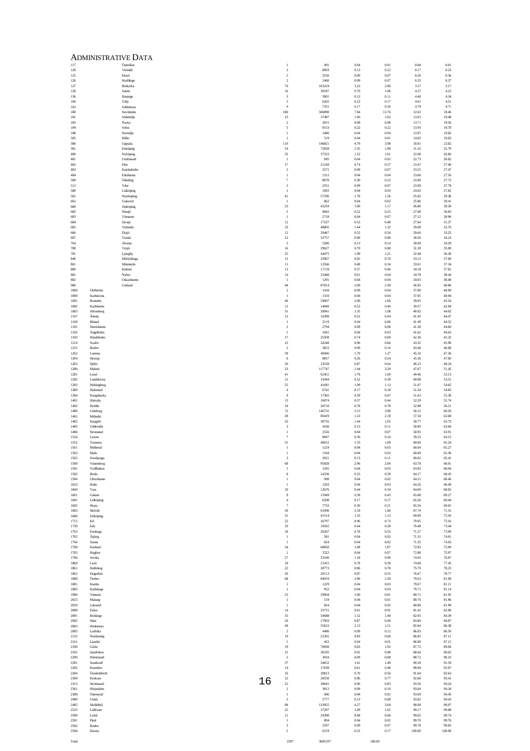|     |              |                          | <b>ADMINISTRATIVE DATA</b> |    |                                       |                 |                    |                  |                |                |
|-----|--------------|--------------------------|----------------------------|----|---------------------------------------|-----------------|--------------------|------------------|----------------|----------------|
| 117 | 120          |                          | Österåker<br>Värmdö        |    | 1<br>$\sqrt{3}$                       | 491<br>8093     | 0.04<br>0.13       | 0.01<br>0.22     | 0.04<br>0.17   | 0.01<br>0.23   |
|     | 125          |                          | Ekerö                      |    | $\sqrt{2}$                            | 2556            | 0.09               | 0.07             | 0.26           | 0.30           |
|     | 126<br>127   |                          | Huddinge<br>Botkyrka       |    | $\overline{2}$<br>$74\,$              | 2460<br>103224  | 0.09<br>3.22       | 0.07<br>2.80     | 0.35<br>3.57   | 0.37<br>3.17   |
|     | 128          |                          | Salem                      |    | $16\,$                                | 39187           | 0.70               | 1.06             | 4.27           | 4.23           |
|     | 136<br>160   |                          | Haninge<br>Taby            |    | $\overline{\mathbf{3}}$<br>$\sqrt{2}$ | 3901<br>6265    | 0.13<br>0.22       | 0.11<br>0.17     | 4.40<br>4.61   | 4.34<br>4.51   |
|     | 163          |                          | Sollentuna                 |    | $\,4\,$                               | 7351            | 0.17               | 0.20             | 4.79           | 4.71           |
|     | 180<br>181   |                          | Stockholm<br>Södertälje    |    | 180<br>$23\,$                         | 506890<br>37487 | 7.84<br>1.00       | 13.76<br>1.02    | 12.63<br>13.63 | 18.46<br>19.48 |
|     | 182          |                          | Nacka                      |    | $\overline{2}$                        | 2815            | 0.09               | 0.08             | 13.71          | 19.56          |
|     | 184<br>188   |                          | Solna<br>Nortälje          |    | 5<br>$\mathbf{1}$                     | 8153<br>1480    | 0.22<br>0.04       | 0.22<br>0.04     | 13.93<br>13.97 | 19.78<br>19.82 |
|     | 305<br>380   |                          | Hâbo                       |    | $\mathbf{1}$<br>110                   | 519<br>146821   | 0.04<br>4.79       | 0.01<br>3.98     | 14.02<br>18.81 | 19.83<br>23.82 |
|     | 381          |                          | Uppsala<br>Enköping        |    | 54                                    | 72828           | 2.35               | 1.98             | 21.16          | 25.79          |
| 481 | 480          |                          | Nyköping<br>Oxelösund      |    | 35<br>$\mathbf{I}$                    | 37233<br>695    | 1.52<br>0.04       | 1.01<br>0.02     | 22.68<br>22.73 | 26.80<br>26.82 |
|     | 482          |                          | Flen                       |    | $17\,$                                | 21169           | 0.74               | 0.57             | 23.47          | 27.40          |
|     | 483<br>484   |                          | Katrineholm<br>Eskilstuna  |    | $\sqrt{2}$<br>$\,$ $\,$               | 2571<br>1312    | 0.09<br>0.04       | 0.07<br>0.04     | 23.55<br>23.60 | 27.47<br>27.50 |
|     | 509          |                          | Ödeshög                    |    | $\scriptstyle\rm 7$                   | 8078            | 0.30               | 0.22             | 23.90          | 27.72          |
|     | 512<br>580   |                          | Ydre<br>Linköping          |    | $\sqrt{2}$<br>$\mathbf{1}$            | 2551<br>1093    | 0.09<br>0.04       | 0.07<br>0.03     | 23.99<br>24.03 | 27.79<br>27.82 |
| 581 |              |                          | Norrköping                 |    | $41\,$                                | 57596           | 1.78               | 1.56             | 25.82          | 29.38          |
|     | 662<br>680   |                          | Gislaved<br>Jönköping      |    | $\mathbf{1}$<br>$23\,$                | 862<br>43234    | 0.04<br>1.00       | 0.02<br>1.17     | 25.86<br>26.86 | 29.41<br>30.58 |
|     | 682          |                          | Nässjö                     |    | $\sqrt{5}$                            | 9042            | 0.22               | 0.25             | 27.08          | 30.83          |
|     | 683<br>684   |                          | Vämamo<br>Sävsjö           |    | $\mathbf{1}$<br>$12\,$                | 2718<br>17527   | 0.04<br>0.52       | 0.07<br>0.48     | 27.12<br>27.64 | 30.90<br>31.37 |
|     | 685          |                          | Vetlanda                   |    | $33\,$                                | 48805           | 1.44               | 1.32             | 29.08          | 32.70          |
|     | 686<br>687   |                          | Eksjö<br>Tranâs            |    | $12\,$<br>$22\,$                      | 20467<br>32757  | 0.52<br>0.96       | 0.56<br>0.89     | 29.60<br>30.56 | 33.25<br>34.14 |
|     | 764          |                          | Alvesta                    |    | $\overline{\mathbf{3}}$               | 5286            | 0.13               | 0.14             | 30.69          | 34.29          |
|     | 780<br>781   |                          | Växjö<br>Ljungby           |    | $16\,$<br>$25\,$                      | 29627<br>44475  | 0.70<br>1.09       | $0.80\,$<br>1.21 | 31.39<br>32.48 | 35.09<br>36.30 |
| 840 |              |                          | Mörbylånga                 |    | 15                                    | 25967           | 0.65               | 0.70             | 33.13          | 37.00          |
| 861 | 880          |                          | Mönsterås<br>Kalmar        |    | $\!11$<br>$13\,$                      | 12566<br>17118  | 0.48<br>0.57       | 0.34<br>0.46     | 33.61<br>34.18 | 37.34<br>37.81 |
| 881 |              |                          | Nybro                      |    | $14\,$                                | 23448           | 0.61               | 0.64             | 34.78          | 38.44          |
|     | 882<br>980   |                          | Oskarshamn<br>Gotland      |    | $\mathbf{I}$<br>$48\,$                | 1291<br>87814   | 0.04<br>2.09       | 0.04<br>2.38     | 34.83<br>36.92 | 38.48<br>40.86 |
|     | 1060         | Olofström                |                            |    | $\sqrt{2}$                            | 1418            | 0.09               | 0.04             | 37.00          | 40.90          |
|     | 1080<br>1081 | Karlskrona<br>Ronneby    |                            |    | $\,$ $\,$<br>$46\,$                   | 1310<br>59007   | 0.04<br>2.00       | 0.04<br>1.60     | 37.05<br>39.05 | 40.94<br>42.54 |
|     | 1082         | Karlshamn                |                            |    | $12\,$                                | 14840           | 0.52               | 0.40             | 39.57          | 42.94          |
|     | 1083<br>1167 | Sölvesborg<br>Åstorp     |                            |    | $31\,$<br>$12\,$                      | 39941<br>16308  | 1.35<br>0.52       | 1.08<br>0.44     | 40.92<br>41.45 | 44.02<br>44.47 |
|     | 1168<br>1181 | Båstad<br>Simrishamn     |                            |    | $\mathbf{1}$<br>$\overline{2}$        | 2119<br>2794    | 0.04<br>0.09       | 0.06<br>0.08     | 41.49<br>41.58 | 44.52<br>44.60 |
|     | 1182         | Ängelholm                |                            |    | $\,$ 1                                | 1041            | 0.04               | 0.03             | 41.62          | 44.63          |
|     | 1183<br>1214 | Hässleholm<br>Svalöv     |                            |    | $17\,$<br>$22\,$                      | 25509<br>24248  | 0.74<br>0.96       | 0.69<br>0.66     | 42.36<br>43.32 | 45.32<br>45.98 |
|     | 1231         | Burlöv                   |                            |    | $\overline{2}$                        | 3812            | 0.09               | 0.10             | 43.40          | 46.08          |
|     | 1262<br>1264 | Lomma<br>Skurup          |                            |    | 39<br>6                               | 46966<br>8857   | 1.70<br>0.26       | 1.27<br>0.24     | 45.10<br>45.36 | 47.36<br>47.60 |
|     | 1265         | Sjöbo                    |                            |    | $20\,$                                | 23528           | 0.87               | 0.64             | 46.23          | 48.24          |
|     | 1280<br>1281 | Malmö<br>Lund            |                            |    | $33\,$<br>$41\,$                      | 117747<br>62451 | 1.44<br>$1.78\,$   | 3.20<br>1.69     | 47.67<br>49.46 | 51.43<br>53.13 |
|     | 1282         | Landskrona               |                            |    | $12\,$                                | 14344           | 0.52               | 0.39             | 49.98          | 53.51          |
|     | 1283<br>1380 | Helsingborg<br>Halmstad  |                            |    | 25<br>$\overline{4}$                  | 41681<br>6741   | 1.09<br>0.17       | 1.13<br>0.18     | 51.07<br>51.24 | 54.65<br>54.83 |
|     | 1384         | Kungsbacka               |                            |    | $\overline{9}$                        | 17365           | 0.39               | 0.47             | 51.63          | 55.30          |
|     | 1401<br>1402 | Härryda<br>Partille      |                            |    | $13\,$<br>$18\,$                      | 16074<br>28710  | 0.57<br>0.78       | 0.44<br>0.78     | 52.20<br>52.98 | 55.74<br>56.51 |
|     | 1480         | Göteborg                 |                            |    | $72\,$                                | 146731          | 3.13               | 3.98             | 56.12          | 60.50          |
|     | 1481<br>1482 | Mölndal<br>Kungälv       |                            |    | $\sqrt{28}$<br>33                     | 80429<br>38735  | 1.22<br>1.44       | 2.18<br>1.05     | 57.34<br>58.77 | 62.68<br>63.73 |
|     | 1485         | Uddevalla                |                            |    | $\sqrt{3}$                            | 4160            | 0.13               | 0.11             | 58.90          | 63.84          |
|     | 1486<br>1524 | Strömstad<br>Lerum       |                            |    | $\,$ $\,$<br>$\scriptstyle\rm 7$      | 2556<br>8847    | 0.04<br>0.30       | 0.07<br>0.24     | 58.95<br>59.25 | 63.91<br>64.15 |
|     | 1552         | Tranemo                  |                            |    | $31\,$<br>$\mathbf{I}$                | 40012           | 1.35               | 1.09             | 60.60          | 65.24          |
|     | 1561<br>1563 | Mellerud<br>Mark         |                            |    | $\,$ $\,$                             | 1224<br>1184    | 0.04<br>$\rm 0.04$ | 0.03<br>0.03     | 60.64<br>60.69 | 65.27<br>65.30 |
|     | 1565<br>1580 | Svenljunga<br>Vänersborg |                            |    | $\sqrt{3}$<br>$68\,$                  | 3921<br>95828   | $0.13\,$<br>2.96   | 0.11<br>2.60     | 60.82          | 65.41<br>68.01 |
|     | 1581         | Trollhättan              |                            |    | $\mathbf{1}$                          | 1265            | 0.04               | 0.03             | 63.78<br>63.82 | 68.04          |
|     | 1583<br>1584 | Borâs<br>Ulricehamn      |                            |    | $\bf 8$<br>$\mathbf{I}$               | 14236<br>908    | 0.35<br>0.04       | 0.39<br>0.02     | 64.17<br>64.21 | 68.43<br>68.46 |
|     | 1623         | Habo                     |                            |    | $\mathbf{1}$                          | 1263            | 0.04               | 0.03             | 64.26          | 68.49          |
|     | 1660<br>1661 | Vara<br>Götene           |                            |    | $10\,$<br>$\,9$                       | 12676<br>15949  | 0.44<br>0.39       | 0.34<br>0.43     | 64.69<br>65.08 | 68.83<br>69.27 |
|     | 1681         | Lidköping                |                            |    | $\,4\,$                               | 6298            | 0.17               | 0.17             | 65.26          | 69.44          |
|     | 1682<br>1683 | Skara<br>Skövde          |                            |    | $\scriptstyle\rm 7$<br>50             | 7733<br>61096   | 0.30<br>2.18       | 0.21<br>1.66     | 65.56<br>67.74 | 69.65<br>71.31 |
|     | 1686         | Falköping                |                            |    | $31\,$                                | 41514           | 1.35               | 1.13             | 69.09          | 72.43          |
|     | 1715<br>1730 | Kil<br>Eda               |                            |    | $22\,$<br>$10\,$                      | 26797<br>10502  | 0.96<br>0.44       | 0.73<br>0.28     | 70.05<br>70.48 | 73.16<br>73.44 |
|     | 1763<br>1765 | Forshaga                 |                            |    | $18\,$<br>$\mathbf{1}$                | 20207<br>581    | 0.78<br>0.04       | 0.55<br>0.02     | 71.27<br>71.31 | 73.99<br>74.01 |
|     | 1766         | Årjäng<br>Sunne          |                            |    | $\mathbf{1}$                          | 824             | 0.04               | 0.02             | 71.35          | 74.03          |
|     | 1780<br>1783 | Karlstad<br>Hagfors      |                            |    | 34<br>$\!1$                           | 68850<br>2522   | $1.48\,$<br>0.04   | 1.87<br>0.07     | 72.83<br>72.88 | 75.90<br>75.97 |
|     | 1784         | Arvika                   |                            |    | $27\,$                                | 33166           | 1.18               | 0.90             | 74.05          | 76.87          |
|     | 1860<br>1861 | Laxå<br>Hallsberg        |                            |    | $18\,$<br>$22\,$                      | 21415<br>28773  | 0.78<br>0.96       | 0.58<br>0.78     | 74.84<br>75.79 | 77.45<br>78.23 |
|     | 1862         | Degerfors                |                            |    | $20\,$                                | 20113           | 0.87               | 0.55             | 76.67          | 78.77          |
|     | 1880<br>1881 | Örebro<br>Kumla          |                            |    | $68\,$<br>$\,$ $\,$                   | 84919<br>1229   | 2.96<br>0.04       | 2.30<br>0.03     | 79.63<br>79.67 | 81.08<br>81.11 |
|     | 1883         | Karlskoga                |                            |    | $\mathbf{1}$                          | 952             | 0.04               | 0.03             | 79.71          | 81.14          |
|     | 1980<br>2023 | Västerås<br>Malung       |                            |    | $23\,$<br>$\mathbf{1}$                | 29904<br>519    | 1.00<br>0.04       | 0.81<br>0.01     | 80.71<br>80.76 | 81.95<br>81.96 |
|     | 2029         | Leksand                  |                            |    | $\mathbf{1}$                          | 824             | 0.04               | 0.02             | 80.80          | 81.99          |
|     | 2080<br>2081 | Falun<br>Borlänge        |                            |    | $14\,$<br>35                          | 33715<br>54688  | 0.61<br>1.52       | 0.91<br>1.48     | 81.41<br>82.93 | 82.90<br>84.39 |
|     | 2082         | Säter                    |                            |    | $20\,$                                | 17903           | 0.87               | 0.49             | 83.80          | 84.87          |
|     | 2083<br>2085 | Hedemora<br>Ludvika      |                            |    | 49<br>$\sqrt{2}$                      | 55623<br>4486   | 2.13<br>0.09       | 1.51<br>0.12     | 85.94<br>86.03 | 86.38<br>86.50 |
|     | 2132         | Nordanstig               |                            |    | 19                                    | 22265           | 0.83               | 0.60             | 86.85          | 87.11          |
|     | 2161<br>2180 | Ljusdal<br>Gävle         |                            |    | $\mathbf{I}$<br>19                    | 422<br>70830    | 0.04<br>0.83       | 0.01<br>1.92     | 86.90<br>87.72 | 87.12<br>89.04 |
|     | 2181         | Sandviken                |                            |    | $21\,$                                | 36195           | 0.91               | 0.98             | 88.64          | 90.02          |
|     | 2280<br>2281 | Hämösand<br>Sundsvall    |                            |    | $\overline{2}$<br>$37\,$              | 3034<br>54652   | 0.09<br>1.61       | 0.08<br>1.48     | 88.72<br>90.34 | 90.10<br>91.59 |
|     | 2282<br>2284 | Kramfors<br>Örnsköldsvik |                            |    | 14                                    | 17638<br>20813  | 0.61<br>0.70       | 0.48             | 90.94<br>91.64 | 92.07<br>92.63 |
|     | 2309         | Krokom                   |                            |    | $16\,$<br>$22\,$                      | 28550           | 0.96               | 0.56<br>0.77     | 92.60          | 93.41          |
|     | 2313<br>2361 | Strömsund<br>Härjedalen  |                            | 16 | $22\,$<br>$\sqrt{2}$                  | 30641<br>3812   | 0.96<br>0.09       | 0.83<br>0.10     | 93.56<br>93.64 | 94.24<br>94.34 |
|     | 2380         | Östersund                |                            |    | $\,$ $\,$                             | 606             | 0.04               | 0.02             | 93.69          | 94.36          |
|     | 2480<br>2482 | Umeå<br>Skellefteå       |                            |    | $\overline{\mathbf{3}}$<br>98         | 2777<br>133955  | 0.13<br>4.27       | $0.08\,$<br>3.64 | 93.82<br>98.08 | 94.43<br>98.07 |
|     | 2523         | Gällivare                |                            |    | 25                                    | 37297           | 1.09               | 1.01             | 99.17          | 99.08          |
|     | 2580<br>2581 | Luleå<br>Piteå           |                            |    | $\!11$<br>$\mathbf{1}$                | 24390<br>804    | 0.48<br>0.04       | 0.66<br>0.02     | 99.65<br>99.70 | 99.74<br>99.76 |
|     | 2582         | Boden                    |                            |    | $\overline{2}$                        | 2507            | 0.09               | 0.07             | 99.78          | 99.83          |
|     | 2584         | Kiruna                   |                            |    | $\overline{\phantom{a}}$              | 6219            | 0.22               | 0.17             | 100.00         | 100.00         |

2297 3685107 100.00

Total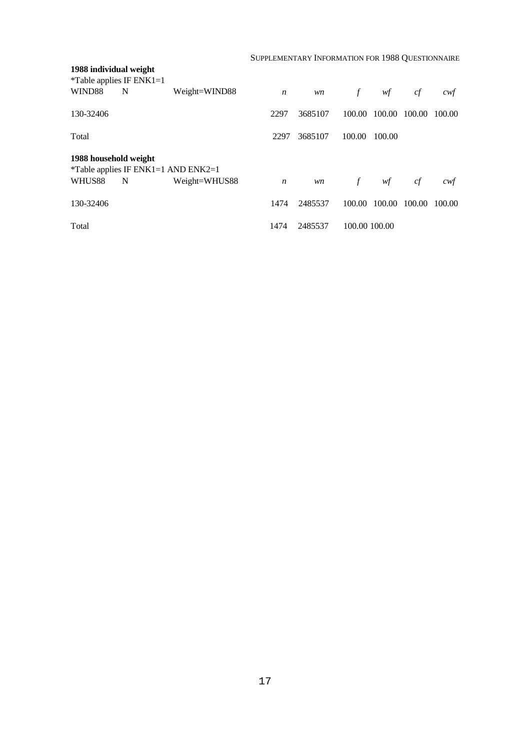SUPPLEMENTARY INFORMATION FOR 1988 QUESTIONNAIRE

| 1988 individual weight               |                                             |               |                  |         |               |        |        |        |
|--------------------------------------|---------------------------------------------|---------------|------------------|---------|---------------|--------|--------|--------|
| *Table applies IF $ENK1=1$<br>WIND88 | N                                           | Weight=WIND88 | $\boldsymbol{n}$ | wn      | $\mathcal{f}$ | wf     | cf     | cwf    |
|                                      |                                             |               |                  |         |               |        |        |        |
| 130-32406                            |                                             |               | 2297             | 3685107 | 100.00        | 100.00 | 100.00 | 100.00 |
| Total                                |                                             |               | 2297             | 3685107 | 100.00        | 100.00 |        |        |
| 1988 household weight                | <i>*</i> Table applies IF ENK1=1 AND ENK2=1 |               |                  |         |               |        |        |        |
| WHUS88                               | N                                           | Weight=WHUS88 | $\boldsymbol{n}$ | wn      | f             | wf     | cf     | cwt    |
| 130-32406                            |                                             |               | 1474             | 2485537 | 100.00        | 100.00 | 100.00 | 100.00 |
| Total                                |                                             |               | 1474             | 2485537 | 100.00 100.00 |        |        |        |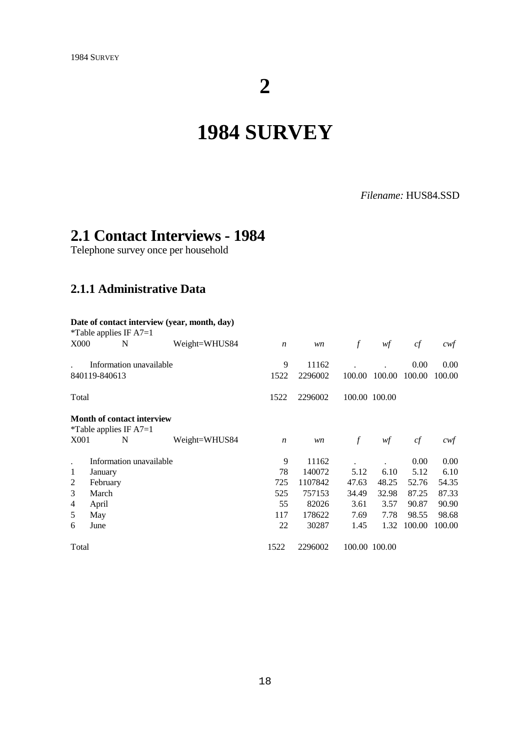# **2**

# **1984 SURVEY**

### *Filename:* HUS84.SSD

## **2.1 Contact Interviews - 1984**

Telephone survey once per household

### **2.1.1 Administrative Data**

|                                                               |               | *Table applies IF $A7=1$ | Date of contact interview (year, month, day) |                  |         |               |               |        |        |
|---------------------------------------------------------------|---------------|--------------------------|----------------------------------------------|------------------|---------|---------------|---------------|--------|--------|
| <b>X000</b>                                                   |               | N                        | Weight=WHUS84                                | $\boldsymbol{n}$ | wn      | $\mathcal{f}$ | wf            | cf     | cwt    |
|                                                               |               | Information unavailable  |                                              | 9                | 11162   |               |               | 0.00   | 0.00   |
|                                                               | 840119-840613 |                          |                                              | 1522             | 2296002 | 100.00        | 100.00        | 100.00 | 100.00 |
| Total                                                         |               |                          |                                              | 1522             | 2296002 |               | 100.00 100.00 |        |        |
| <b>Month of contact interview</b><br>*Table applies IF $A7=1$ |               |                          |                                              |                  |         |               |               |        |        |
| X001                                                          |               | N                        | Weight=WHUS84                                | $\boldsymbol{n}$ | wn      | $\mathcal{f}$ | wf            | cf     | cwt    |
|                                                               |               | Information unavailable  |                                              | 9                | 11162   |               |               | 0.00   | 0.00   |
| 1                                                             | January       |                          |                                              | 78               | 140072  | 5.12          | 6.10          | 5.12   | 6.10   |
| 2                                                             | February      |                          |                                              | 725              | 1107842 | 47.63         | 48.25         | 52.76  | 54.35  |
| 3                                                             | March         |                          |                                              | 525              | 757153  | 34.49         | 32.98         | 87.25  | 87.33  |
| 4                                                             | April         |                          |                                              | 55               | 82026   | 3.61          | 3.57          | 90.87  | 90.90  |
| 5                                                             | May           |                          |                                              | 117              | 178622  | 7.69          | 7.78          | 98.55  | 98.68  |
| 6                                                             | June          |                          |                                              | 22               | 30287   | 1.45          | 1.32          | 100.00 | 100.00 |
| Total                                                         |               |                          |                                              | 1522             | 2296002 |               | 100.00 100.00 |        |        |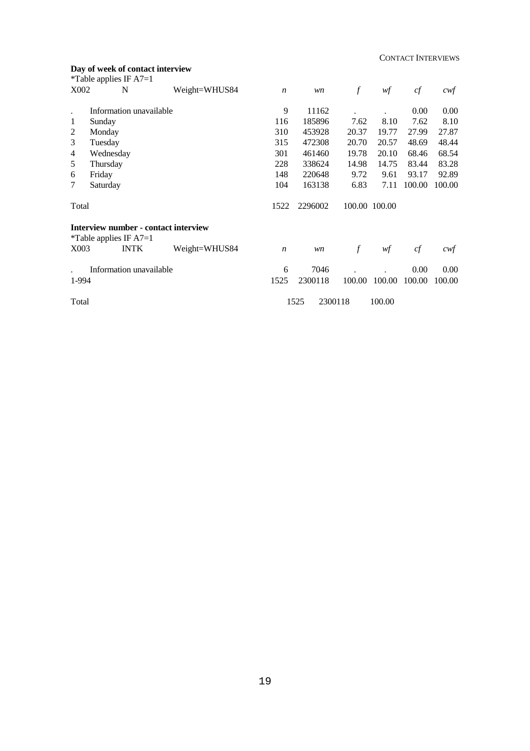#### CONTACT INTERVIEWS

### **Day of week of contact interview**

|                | *Table applies IF $A7=1$                                                 |               |                  |                 |        |               |        |        |
|----------------|--------------------------------------------------------------------------|---------------|------------------|-----------------|--------|---------------|--------|--------|
| X002           | N                                                                        | Weight=WHUS84 | $\boldsymbol{n}$ | wn              | $\int$ | wf            | cf     | cwt    |
| $\bullet$      | Information unavailable                                                  |               | 9                | 11162           |        |               | 0.00   | 0.00   |
| 1              | Sunday                                                                   |               | 116              | 185896          | 7.62   | 8.10          | 7.62   | 8.10   |
| $\overline{2}$ | Monday                                                                   |               | 310              | 453928          | 20.37  | 19.77         | 27.99  | 27.87  |
| 3              | Tuesday                                                                  |               | 315              | 472308          | 20.70  | 20.57         | 48.69  | 48.44  |
| 4              | Wednesday                                                                |               | 301              | 461460          | 19.78  | 20.10         | 68.46  | 68.54  |
| 5              | Thursday                                                                 |               | 228              | 338624          | 14.98  | 14.75         | 83.44  | 83.28  |
| 6              | Friday                                                                   |               | 148              | 220648          | 9.72   | 9.61          | 93.17  | 92.89  |
| 7              | Saturday                                                                 |               | 104              | 163138          | 6.83   | 7.11          | 100.00 | 100.00 |
| Total          |                                                                          |               | 1522             | 2296002         |        | 100.00 100.00 |        |        |
|                | Interview number - contact interview<br><i>*</i> Table applies IF $A7=1$ |               |                  |                 |        |               |        |        |
| X003           | <b>INTK</b>                                                              | Weight=WHUS84 | $\boldsymbol{n}$ | wn              | $\int$ | wf            | cf     | cwt    |
|                | Information unavailable                                                  |               | 6                | 7046            |        |               | 0.00   | 0.00   |
| 1-994          |                                                                          |               | 1525             | 2300118         | 100.00 | 100.00        | 100.00 | 100.00 |
| Total          |                                                                          |               |                  | 1525<br>2300118 |        | 100.00        |        |        |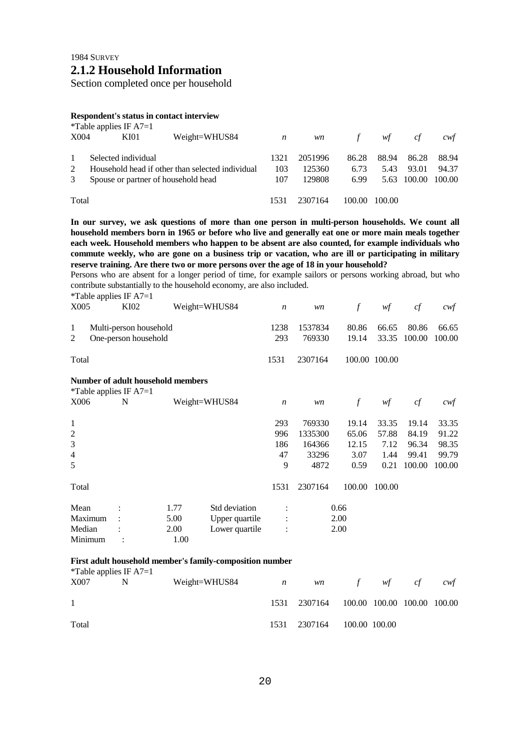Section completed once per household

#### **Respondent's status in contact interview**

|       | <i>*</i> Table applies IF $A7=1$    |                                                  |                  |           |        |        |             |        |
|-------|-------------------------------------|--------------------------------------------------|------------------|-----------|--------|--------|-------------|--------|
| X004  | KI01                                | Weight=WHUS84                                    | $\boldsymbol{n}$ | <i>wn</i> | f      | wf     | cf          | cwt    |
|       | Selected individual                 |                                                  | 1321             | 2051996   | 86.28  | 88.94  | 86.28       | 88.94  |
| 2     |                                     | Household head if other than selected individual | 103              | 125360    | 6.73   | 5.43   | 93.01       | 94.37  |
| 3     | Spouse or partner of household head |                                                  |                  | 129808    | 6.99   |        | 5.63 100.00 | 100.00 |
| Total |                                     |                                                  | 1531             | 2307164   | 100.00 | 100.00 |             |        |

**In our survey, we ask questions of more than one person in multi-person households. We count all household members born in 1965 or before who live and generally eat one or more main meals together each week. Household members who happen to be absent are also counted, for example individuals who commute weekly, who are gone on a business trip or vacation, who are ill or participating in military reserve training. Are there two or more persons over the age of 18 in your household?**

Persons who are absent for a longer period of time, for example sailors or persons working abroad, but who contribute substantially to the household economy, are also included.

| X005           | *Table applies IF $A7=1$<br>KI02 |                                   | Weight=WHUS84  | $\boldsymbol{n}$ | wn      | $\mathcal{f}$ | wf            | cf     | cwf    |
|----------------|----------------------------------|-----------------------------------|----------------|------------------|---------|---------------|---------------|--------|--------|
|                |                                  |                                   |                |                  |         |               |               |        |        |
| 1              | Multi-person household           |                                   |                | 1238             | 1537834 | 80.86         | 66.65         | 80.86  | 66.65  |
| 2              | One-person household             |                                   |                | 293              | 769330  | 19.14         | 33.35         | 100.00 | 100.00 |
|                |                                  |                                   |                |                  |         |               |               |        |        |
| Total          |                                  |                                   |                | 1531             | 2307164 |               | 100.00 100.00 |        |        |
|                |                                  | Number of adult household members |                |                  |         |               |               |        |        |
|                | *Table applies IF $A7=1$         |                                   |                |                  |         |               |               |        |        |
| X006           | N                                |                                   | Weight=WHUS84  | $\boldsymbol{n}$ | wn      | $\int f$      | wf            | cf     | cwt    |
|                |                                  |                                   |                |                  |         |               |               |        |        |
| 1              |                                  |                                   |                | 293              | 769330  | 19.14         | 33.35         | 19.14  | 33.35  |
| $\overline{2}$ |                                  |                                   |                | 996              | 1335300 | 65.06         | 57.88         | 84.19  | 91.22  |
| 3              |                                  |                                   |                | 186              | 164366  | 12.15         | 7.12          | 96.34  | 98.35  |
| $\overline{4}$ |                                  |                                   |                | 47               | 33296   | 3.07          | 1.44          | 99.41  | 99.79  |
| 5              |                                  |                                   |                | 9                | 4872    | 0.59          | 0.21          | 100.00 | 100.00 |
| Total          |                                  |                                   |                | 1531             | 2307164 | 100.00        | 100.00        |        |        |
| Mean           |                                  | 1.77                              | Std deviation  | $\ddot{\cdot}$   |         | 0.66          |               |        |        |
| Maximum        |                                  | 5.00                              | Upper quartile |                  |         | 2.00          |               |        |        |
| Median         |                                  | 2.00                              | Lower quartile | :                |         | 2.00          |               |        |        |
| Minimum        |                                  | 1.00                              |                |                  |         |               |               |        |        |
|                |                                  |                                   |                |                  |         |               |               |        |        |

#### **First adult household member's family-composition number**

| <i>*</i> Table applies IF $A7=1$ |   |               |                |           |                             |               |    |     |
|----------------------------------|---|---------------|----------------|-----------|-----------------------------|---------------|----|-----|
| X007                             | N | Weight=WHUS84 | $\overline{n}$ | <i>wn</i> | f                           | wf            | ct | cwf |
| $\mathbf{1}$                     |   |               | 1531           | 2307164   | 100.00 100.00 100.00 100.00 |               |    |     |
| Total                            |   |               | 1531           | 2307164   |                             | 100.00 100.00 |    |     |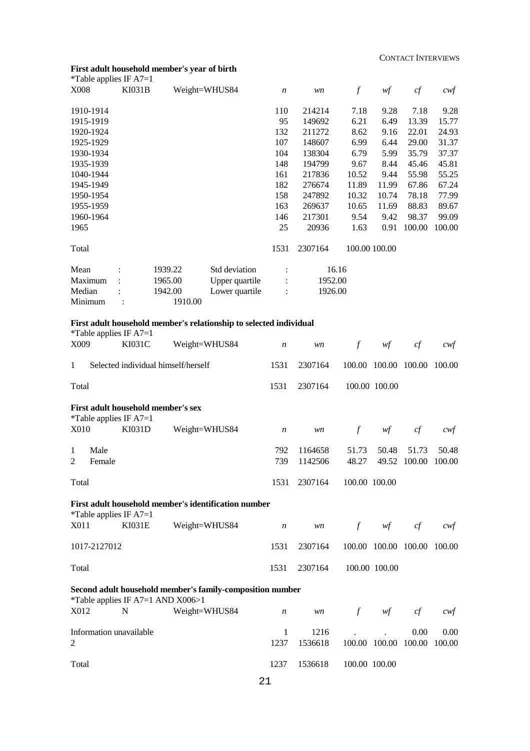#### **First adult household member's year of birth**

| *Table applies IF $A7=1$ |               |         |                                                                   |                  |         |               |       |        |        |
|--------------------------|---------------|---------|-------------------------------------------------------------------|------------------|---------|---------------|-------|--------|--------|
| <b>X008</b>              | <b>KI031B</b> |         | Weight=WHUS84                                                     | $\boldsymbol{n}$ | wn      | $\mathcal{f}$ | wf    | cf     | $c$ wf |
| 1910-1914                |               |         |                                                                   | 110              | 214214  | 7.18          | 9.28  | 7.18   | 9.28   |
| 1915-1919                |               |         |                                                                   | 95               | 149692  | 6.21          | 6.49  | 13.39  | 15.77  |
| 1920-1924                |               |         |                                                                   | 132              | 211272  | 8.62          | 9.16  | 22.01  | 24.93  |
| 1925-1929                |               |         |                                                                   | 107              | 148607  | 6.99          | 6.44  | 29.00  | 31.37  |
| 1930-1934                |               |         |                                                                   | 104              | 138304  | 6.79          | 5.99  | 35.79  | 37.37  |
| 1935-1939                |               |         |                                                                   | 148              | 194799  | 9.67          | 8.44  | 45.46  | 45.81  |
| 1040-1944                |               |         |                                                                   | 161              | 217836  | 10.52         | 9.44  | 55.98  | 55.25  |
| 1945-1949                |               |         |                                                                   | 182              | 276674  | 11.89         | 11.99 | 67.86  | 67.24  |
| 1950-1954                |               |         |                                                                   | 158              | 247892  | 10.32         | 10.74 | 78.18  | 77.99  |
| 1955-1959                |               |         |                                                                   | 163              | 269637  | 10.65         | 11.69 | 88.83  | 89.67  |
| 1960-1964                |               |         |                                                                   | 146              | 217301  | 9.54          | 9.42  | 98.37  | 99.09  |
| 1965                     |               |         |                                                                   | 25               | 20936   | 1.63          | 0.91  | 100.00 | 100.00 |
| Total                    |               |         |                                                                   | 1531             | 2307164 | 100.00 100.00 |       |        |        |
| Mean                     |               | 1939.22 | Std deviation                                                     |                  | 16.16   |               |       |        |        |
| Maximum                  |               | 1965.00 | Upper quartile                                                    |                  | 1952.00 |               |       |        |        |
| Median                   |               | 1942.00 | Lower quartile                                                    |                  | 1926.00 |               |       |        |        |
| Minimum                  |               | 1910.00 |                                                                   |                  |         |               |       |        |        |
|                          |               |         | First adult hausahald mambark relationship to selected individual |                  |         |               |       |        |        |

#### **First adult household member's relationship to selected individual**

\*Table applies IF A7=1

| X009                                                                             |                | <b>KI031C</b>                                                  | Weight=WHUS84                                             | $\boldsymbol{n}$ | wn                 | $\mathcal{f}$  | w f                  | cf                    | $c$ wf          |
|----------------------------------------------------------------------------------|----------------|----------------------------------------------------------------|-----------------------------------------------------------|------------------|--------------------|----------------|----------------------|-----------------------|-----------------|
| 1                                                                                |                | Selected individual himself/herself                            |                                                           | 1531             | 2307164            |                | 100.00 100.00 100.00 |                       | 100.00          |
| Total                                                                            |                |                                                                |                                                           | 1531             | 2307164            |                | 100.00 100.00        |                       |                 |
|                                                                                  |                | First adult household member's sex<br>*Table applies IF $A7=1$ |                                                           |                  |                    |                |                      |                       |                 |
| X010                                                                             |                | KI031D                                                         | Weight=WHUS84                                             | $\boldsymbol{n}$ | wn                 | $\mathcal{f}$  | wf                   | cf                    | cwf             |
| $\mathbf{1}$<br>2                                                                | Male<br>Female |                                                                |                                                           | 792<br>739       | 1164658<br>1142506 | 51.73<br>48.27 | 50.48                | 51.73<br>49.52 100.00 | 50.48<br>100.00 |
| Total                                                                            |                |                                                                |                                                           | 1531             | 2307164            | 100.00 100.00  |                      |                       |                 |
| First adult household member's identification number<br>*Table applies IF $A7=1$ |                |                                                                |                                                           |                  |                    |                |                      |                       |                 |
| X011                                                                             |                | <b>KI031E</b>                                                  | Weight=WHUS84                                             | $\boldsymbol{n}$ | wn                 | $\int$         | wf                   | cf                    | cwt             |
|                                                                                  | 1017-2127012   |                                                                |                                                           | 1531             | 2307164            |                | 100.00 100.00 100.00 |                       | 100.00          |
| Total                                                                            |                |                                                                |                                                           | 1531             | 2307164            |                | 100.00 100.00        |                       |                 |
|                                                                                  |                | *Table applies IF A7=1 AND X006>1                              | Second adult household member's family-composition number |                  |                    |                |                      |                       |                 |
| X012                                                                             |                | N                                                              | Weight=WHUS84                                             | $\boldsymbol{n}$ | wn                 | $\int$         | wf                   | cf                    | cwt             |
| $\overline{2}$                                                                   |                | Information unavailable                                        |                                                           | 1<br>1237        | 1216<br>1536618    | 100.00 100.00  |                      | 0.00<br>100.00        | 0.00<br>100.00  |
| Total                                                                            |                |                                                                |                                                           | 1237             | 1536618            | 100.00 100.00  |                      |                       |                 |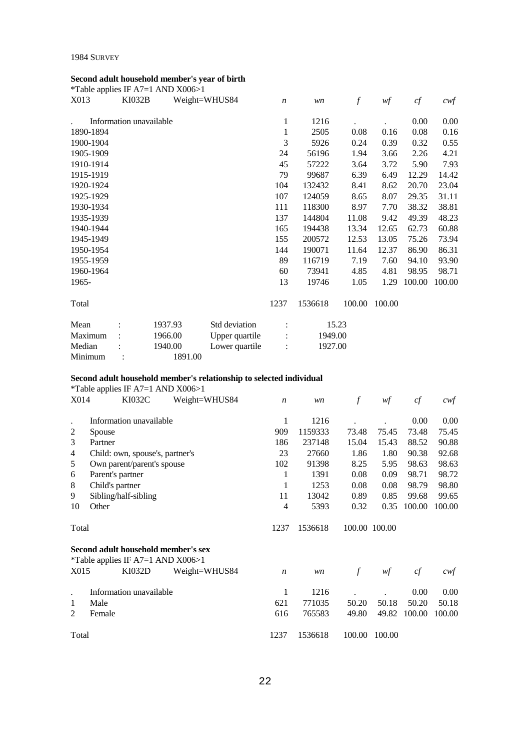#### 1984 SURVEY

### **Second adult household member's year of birth**

|           |                         | *Table applies IF A7=1 AND X006>1 |                |                  |         |               |        |        |        |
|-----------|-------------------------|-----------------------------------|----------------|------------------|---------|---------------|--------|--------|--------|
| X013      | <b>KI032B</b>           |                                   | Weight=WHUS84  | $\boldsymbol{n}$ | wn      | $\mathcal{f}$ | wf     | cf     | cwf    |
|           | Information unavailable |                                   |                | 1                | 1216    |               |        | 0.00   | 0.00   |
| 1890-1894 |                         |                                   |                | 1                | 2505    | 0.08          | 0.16   | 0.08   | 0.16   |
| 1900-1904 |                         |                                   |                | 3                | 5926    | 0.24          | 0.39   | 0.32   | 0.55   |
| 1905-1909 |                         |                                   |                | 24               | 56196   | 1.94          | 3.66   | 2.26   | 4.21   |
| 1910-1914 |                         |                                   |                | 45               | 57222   | 3.64          | 3.72   | 5.90   | 7.93   |
| 1915-1919 |                         |                                   |                | 79               | 99687   | 6.39          | 6.49   | 12.29  | 14.42  |
| 1920-1924 |                         |                                   |                | 104              | 132432  | 8.41          | 8.62   | 20.70  | 23.04  |
| 1925-1929 |                         |                                   |                | 107              | 124059  | 8.65          | 8.07   | 29.35  | 31.11  |
| 1930-1934 |                         |                                   |                | 111              | 118300  | 8.97          | 7.70   | 38.32  | 38.81  |
| 1935-1939 |                         |                                   |                | 137              | 144804  | 11.08         | 9.42   | 49.39  | 48.23  |
| 1940-1944 |                         |                                   |                | 165              | 194438  | 13.34         | 12.65  | 62.73  | 60.88  |
| 1945-1949 |                         |                                   |                | 155              | 200572  | 12.53         | 13.05  | 75.26  | 73.94  |
| 1950-1954 |                         |                                   |                | 144              | 190071  | 11.64         | 12.37  | 86.90  | 86.31  |
| 1955-1959 |                         |                                   |                | 89               | 116719  | 7.19          | 7.60   | 94.10  | 93.90  |
| 1960-1964 |                         |                                   |                | 60               | 73941   | 4.85          | 4.81   | 98.95  | 98.71  |
| 1965-     |                         |                                   |                | 13               | 19746   | 1.05          | 1.29   | 100.00 | 100.00 |
| Total     |                         |                                   |                | 1237             | 1536618 | 100.00        | 100.00 |        |        |
| Mean      |                         | 1937.93                           | Std deviation  |                  |         | 15.23         |        |        |        |
| Maximum   |                         | 1966.00                           | Upper quartile |                  | 1949.00 |               |        |        |        |
| Median    |                         | 1940.00                           | Lower quartile |                  | 1927.00 |               |        |        |        |
| Minimum   |                         | 1891.00                           |                |                  |         |               |        |        |        |

### **Second adult household member's relationship to selected individual**

|       | <i>*</i> Table applies IF A7=1 AND $X006>1$ |                                     |                  |         |               |               |        |        |
|-------|---------------------------------------------|-------------------------------------|------------------|---------|---------------|---------------|--------|--------|
| X014  | KI032C                                      | Weight=WHUS84                       | $\boldsymbol{n}$ | wn      | $\mathcal{f}$ | wf            | cf     | cwf    |
|       | Information unavailable                     |                                     | 1                | 1216    |               |               | 0.00   | 0.00   |
| 2     | Spouse                                      |                                     | 909              | 1159333 | 73.48         | 75.45         | 73.48  | 75.45  |
| 3     | Partner                                     |                                     | 186              | 237148  | 15.04         | 15.43         | 88.52  | 90.88  |
| 4     | Child: own, spouse's, partner's             |                                     | 23               | 27660   | 1.86          | 1.80          | 90.38  | 92.68  |
| 5     | Own parent/parent's spouse                  |                                     | 102              | 91398   | 8.25          | 5.95          | 98.63  | 98.63  |
| 6     | Parent's partner                            |                                     | 1                | 1391    | 0.08          | 0.09          | 98.71  | 98.72  |
| 8     | Child's partner                             |                                     | 1                | 1253    | 0.08          | 0.08          | 98.79  | 98.80  |
| 9     | Sibling/half-sibling                        |                                     | 11               | 13042   | 0.89          | 0.85          | 99.68  | 99.65  |
| 10    | Other                                       |                                     | 4                | 5393    | 0.32          | 0.35          | 100.00 | 100.00 |
| Total |                                             |                                     | 1237             | 1536618 |               | 100.00 100.00 |        |        |
|       | <i>*</i> Table applies IF A7=1 AND $X006>1$ | Second adult household member's sex |                  |         |               |               |        |        |
| X015  | KI032D                                      | Weight=WHUS84                       | $\boldsymbol{n}$ | wn      | $\mathcal{f}$ | wf            | cf     | cwt    |
|       | Information unavailable                     |                                     | 1                | 1216    |               |               | 0.00   | 0.00   |
| 1     | Male                                        |                                     | 621              | 771035  | 50.20         | 50.18         | 50.20  | 50.18  |
| 2     | Female                                      |                                     | 616              | 765583  | 49.80         | 49.82         | 100.00 | 100.00 |
| Total |                                             |                                     | 1237             | 1536618 | 100.00        | 100.00        |        |        |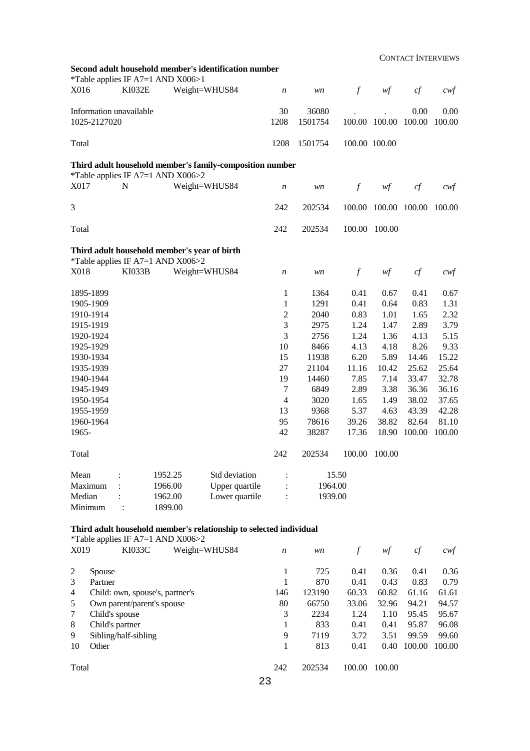CONTACT INTERVIEWS

|              |                         | *Table applies IF A7=1 AND X006>1 | Second adult household member's identification number              |                  |                  |               |        |                |                   |
|--------------|-------------------------|-----------------------------------|--------------------------------------------------------------------|------------------|------------------|---------------|--------|----------------|-------------------|
| X016         | KI032E                  |                                   | Weight=WHUS84                                                      | $\boldsymbol{n}$ | wn               | $\int$        | wf     | cf             | $c \mathcal{w} f$ |
| 1025-2127020 | Information unavailable |                                   |                                                                    | 30<br>1208       | 36080<br>1501754 | 100.00        | 100.00 | 0.00<br>100.00 | 0.00<br>100.00    |
|              |                         |                                   |                                                                    |                  |                  |               |        |                |                   |
| Total        |                         |                                   |                                                                    | 1208             | 1501754          | 100.00 100.00 |        |                |                   |
|              |                         | *Table applies IF A7=1 AND X006>2 | Third adult household member's family-composition number           |                  |                  |               |        |                |                   |
| X017         | N                       |                                   | Weight=WHUS84                                                      | $\boldsymbol{n}$ | wn               | $\int$        | wf     | cf             | $c$ wf            |
| 3            |                         |                                   |                                                                    | 242              | 202534           | 100.00        | 100.00 | 100.00         | 100.00            |
| Total        |                         |                                   |                                                                    | 242              | 202534           | 100.00        | 100.00 |                |                   |
|              |                         | *Table applies IF A7=1 AND X006>2 | Third adult household member's year of birth                       |                  |                  |               |        |                |                   |
| X018         | <b>KI033B</b>           |                                   | Weight=WHUS84                                                      | $\boldsymbol{n}$ | wn               | $\int$        | wf     | cf             | $c \mathcal{w} f$ |
| 1895-1899    |                         |                                   |                                                                    | 1                | 1364             | 0.41          | 0.67   | 0.41           | 0.67              |
| 1905-1909    |                         |                                   |                                                                    | 1                | 1291             | 0.41          | 0.64   | 0.83           | 1.31              |
| 1910-1914    |                         |                                   |                                                                    | $\overline{c}$   | 2040             | 0.83          | 1.01   | 1.65           | 2.32              |
| 1915-1919    |                         |                                   |                                                                    | 3                | 2975             | 1.24          | 1.47   | 2.89           | 3.79              |
| 1920-1924    |                         |                                   |                                                                    | 3                | 2756             | 1.24          | 1.36   | 4.13           | 5.15              |
| 1925-1929    |                         |                                   |                                                                    | 10               | 8466             | 4.13          | 4.18   | 8.26           | 9.33              |
| 1930-1934    |                         |                                   |                                                                    | 15               | 11938            | 6.20          | 5.89   | 14.46          | 15.22             |
| 1935-1939    |                         |                                   |                                                                    | 27               | 21104            | 11.16         | 10.42  | 25.62          | 25.64             |
| 1940-1944    |                         |                                   |                                                                    | 19               | 14460            | 7.85          | 7.14   | 33.47          | 32.78             |
| 1945-1949    |                         |                                   |                                                                    | $\tau$           | 6849             | 2.89          | 3.38   | 36.36          | 36.16             |
| 1950-1954    |                         |                                   |                                                                    | $\overline{4}$   | 3020             | 1.65          | 1.49   | 38.02          | 37.65             |
| 1955-1959    |                         |                                   |                                                                    | 13               | 9368             | 5.37          | 4.63   | 43.39          | 42.28             |
| 1960-1964    |                         |                                   |                                                                    | 95               | 78616            | 39.26         | 38.82  | 82.64          | 81.10             |
| 1965-        |                         |                                   |                                                                    | 42               | 38287            | 17.36         | 18.90  | 100.00         | 100.00            |
| Total        |                         |                                   |                                                                    | 242              | 202534           | 100.00        | 100.00 |                |                   |
| Mean         |                         | 1952.25                           | Std deviation                                                      |                  |                  | 15.50         |        |                |                   |
| Maximum      |                         | 1966.00                           | Upper quartile                                                     |                  | 1964.00          |               |        |                |                   |
| Median       |                         | 1962.00                           | Lower quartile                                                     | $\cdot$          | 1939.00          |               |        |                |                   |
| Minimum      | $\ddot{\cdot}$          | 1899.00                           |                                                                    |                  |                  |               |        |                |                   |
|              |                         |                                   | Third adult household member's relationship to selected individual |                  |                  |               |        |                |                   |
|              |                         | *Table applies IF A7=1 AND X006>2 |                                                                    |                  |                  |               |        |                |                   |
| X019         | KI033C                  |                                   | Weight=WHUS84                                                      | $\boldsymbol{n}$ | wn               | $\int$        | wf     | cf             | $c$ wf            |
| Spouse<br>2  |                         |                                   |                                                                    | 1                | 725              | 0.41          | 0.36   | 0.41           | 0.36              |

|       | Spouse                          |     | 725    | V.41   | <b>0.36</b> | U.41   | 0.36   |
|-------|---------------------------------|-----|--------|--------|-------------|--------|--------|
| 3     | Partner                         |     | 870    | 0.41   | 0.43        | 0.83   | 0.79   |
| 4     | Child: own, spouse's, partner's | 146 | 123190 | 60.33  | 60.82       | 61.16  | 61.61  |
| 5     | Own parent/parent's spouse      | 80  | 66750  | 33.06  | 32.96       | 94.21  | 94.57  |
|       | Child's spouse                  | 3   | 2234   | 1.24   | 1.10        | 95.45  | 95.67  |
| 8     | Child's partner                 |     | 833    | 0.41   | 0.41        | 95.87  | 96.08  |
| 9     | Sibling/half-sibling            | 9   | 7119   | 3.72   | 3.51        | 99.59  | 99.60  |
| 10    | Other                           |     | 813    | 0.41   | 0.40        | 100.00 | 100.00 |
| Total |                                 | 242 | 202534 | 100.00 | 100.00      |        |        |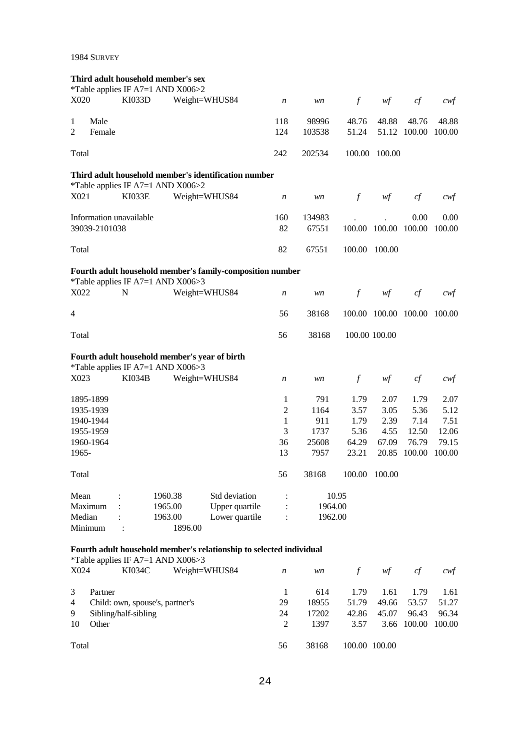1984 SURVEY

|                     |                |                         | Third adult household member's sex<br><i>*Table applies IF A7=1 AND X006&gt;2</i> |                                                                     |                  |                 |                |                      |                       |                   |
|---------------------|----------------|-------------------------|-----------------------------------------------------------------------------------|---------------------------------------------------------------------|------------------|-----------------|----------------|----------------------|-----------------------|-------------------|
| X020                |                | KI033D                  | Weight=WHUS84                                                                     |                                                                     | $\boldsymbol{n}$ | wn              | $\int$         | wf                   | cf                    | $c$ wf            |
| 1<br>$\overline{2}$ | Male<br>Female |                         |                                                                                   |                                                                     | 118<br>124       | 98996<br>103538 | 48.76<br>51.24 | 48.88                | 48.76<br>51.12 100.00 | 48.88<br>100.00   |
| Total               |                |                         |                                                                                   |                                                                     | 242              | 202534          | 100.00         | 100.00               |                       |                   |
|                     |                |                         | *Table applies IF A7=1 AND X006>2                                                 | Third adult household member's identification number                |                  |                 |                |                      |                       |                   |
| X021                |                | <b>KI033E</b>           | Weight=WHUS84                                                                     |                                                                     | $\boldsymbol{n}$ | wn              | $\int$         | wf                   | cf                    | cwt               |
|                     | 39039-2101038  | Information unavailable |                                                                                   |                                                                     | 160<br>82        | 134983<br>67551 | 100.00         | 100.00               | 0.00<br>100.00        | 0.00<br>100.00    |
| Total               |                |                         |                                                                                   |                                                                     | 82               | 67551           | 100.00         | 100.00               |                       |                   |
|                     |                |                         |                                                                                   | Fourth adult household member's family-composition number           |                  |                 |                |                      |                       |                   |
| X022                |                | N                       | *Table applies IF A7=1 AND X006>3<br>Weight=WHUS84                                |                                                                     | n                | wn              | f              | wf                   | cf                    | cwt               |
| $\overline{4}$      |                |                         |                                                                                   |                                                                     | 56               | 38168           |                | 100.00 100.00 100.00 |                       | 100.00            |
| Total               |                |                         |                                                                                   |                                                                     | 56               | 38168           | 100.00 100.00  |                      |                       |                   |
|                     |                |                         | Fourth adult household member's year of birth                                     |                                                                     |                  |                 |                |                      |                       |                   |
| X023                |                | <b>KI034B</b>           | *Table applies IF A7=1 AND X006>3<br>Weight=WHUS84                                |                                                                     | n                | wn              | $\int$         | wf                   | cf                    | cwt               |
|                     | 1895-1899      |                         |                                                                                   |                                                                     | 1                | 791             | 1.79           | 2.07                 | 1.79                  | 2.07              |
|                     | 1935-1939      |                         |                                                                                   |                                                                     | $\overline{2}$   | 1164            | 3.57           | 3.05                 | 5.36                  | 5.12              |
|                     | 1940-1944      |                         |                                                                                   |                                                                     | $\mathbf{1}$     | 911             | 1.79           | 2.39                 | 7.14                  | 7.51              |
|                     | 1955-1959      |                         |                                                                                   |                                                                     | 3                | 1737            | 5.36           | 4.55                 | 12.50                 | 12.06             |
|                     | 1960-1964      |                         |                                                                                   |                                                                     | 36               | 25608           | 64.29          | 67.09                | 76.79                 | 79.15             |
| 1965-               |                |                         |                                                                                   |                                                                     | 13               | 7957            | 23.21          | 20.85                | 100.00                | 100.00            |
| Total               |                |                         |                                                                                   |                                                                     | 56               | 38168           | 100.00 100.00  |                      |                       |                   |
| Mean                |                |                         | 1960.38                                                                           | Std deviation                                                       | $\vdots$         |                 | 10.95          |                      |                       |                   |
|                     | Maximum        |                         | 1965.00                                                                           | Upper quartile                                                      |                  | 1964.00         |                |                      |                       |                   |
| Median              | Minimum        | $\ddot{\cdot}$          | 1963.00<br>1896.00                                                                | Lower quartile                                                      |                  | 1962.00         |                |                      |                       |                   |
|                     |                |                         |                                                                                   | Fourth adult household member's relationship to selected individual |                  |                 |                |                      |                       |                   |
| X024                |                | <b>KI034C</b>           | *Table applies IF A7=1 AND X006>3<br>Weight=WHUS84                                |                                                                     | n                | wn              | $\int$         | wf                   | cf                    | $c \mathcal{w} f$ |
| 3                   | Partner        |                         |                                                                                   |                                                                     | $\mathbf{1}$     | 614             | 1.79           | 1.61                 | 1.79                  | 1.61              |
| $\overline{4}$      |                |                         | Child: own, spouse's, partner's                                                   |                                                                     | 29               | 18955           | 51.79          | 49.66                | 53.57                 | 51.27             |
| 9                   |                | Sibling/half-sibling    |                                                                                   |                                                                     | 24               | 17202           | 42.86          | 45.07                | 96.43                 | 96.34             |
| 10                  | Other          |                         |                                                                                   |                                                                     | $\overline{2}$   | 1397            | 3.57           | 3.66                 | 100.00                | 100.00            |
| Total               |                |                         |                                                                                   |                                                                     | 56               | 38168           | 100.00 100.00  |                      |                       |                   |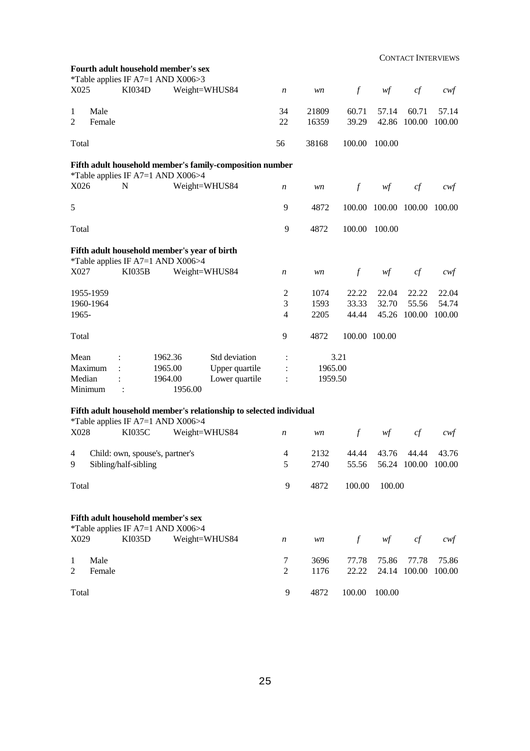CONTACT INTERVIEWS

|                |                        |                                    |         | Fourth adult household member's sex<br>*Table applies IF A7=1 AND X006>3 |                                                                    |                     |         |               |                      |                     |                |
|----------------|------------------------|------------------------------------|---------|--------------------------------------------------------------------------|--------------------------------------------------------------------|---------------------|---------|---------------|----------------------|---------------------|----------------|
| X025           |                        | <b>KI034D</b>                      |         | Weight=WHUS84                                                            |                                                                    | $\boldsymbol{n}$    | wn      | $\int$        | wf                   | cf                  | cwf            |
| $\mathbf{1}$   | Male                   |                                    |         |                                                                          |                                                                    | 34                  | 21809   | 60.71         | 57.14                | 60.71               | 57.14          |
| $\overline{2}$ | Female                 |                                    |         |                                                                          |                                                                    | 22                  | 16359   | 39.29         | 42.86                | 100.00              | 100.00         |
| Total          |                        |                                    |         |                                                                          |                                                                    | 56                  | 38168   | 100.00        | 100.00               |                     |                |
|                |                        |                                    |         | *Table applies IF A7=1 AND X006>4                                        | Fifth adult household member's family-composition number           |                     |         |               |                      |                     |                |
| X026           |                        | N                                  |         | Weight=WHUS84                                                            |                                                                    | $\boldsymbol{n}$    | wn      | $\int$        | wf                   | cf                  | cwt            |
| 5              |                        |                                    |         |                                                                          |                                                                    | 9                   | 4872    |               | 100.00 100.00 100.00 |                     | 100.00         |
| Total          |                        |                                    |         |                                                                          |                                                                    | 9                   | 4872    | 100.00        | 100.00               |                     |                |
|                |                        |                                    |         | Fifth adult household member's year of birth                             |                                                                    |                     |         |               |                      |                     |                |
| X027           |                        | <b>KI035B</b>                      |         | *Table applies IF A7=1 AND X006>4<br>Weight=WHUS84                       |                                                                    | $\boldsymbol{n}$    | wn      | $\int$        | wf                   | cf                  | cwt            |
|                |                        |                                    |         |                                                                          |                                                                    |                     | 1074    | 22.22         |                      |                     |                |
|                | 1955-1959<br>1960-1964 |                                    |         |                                                                          |                                                                    | $\overline{c}$<br>3 | 1593    | 33.33         | 22.04<br>32.70       | 22.22<br>55.56      | 22.04<br>54.74 |
|                |                        |                                    |         |                                                                          |                                                                    |                     |         | 44.44         |                      |                     |                |
| 1965-          |                        |                                    |         |                                                                          |                                                                    | 4                   | 2205    |               | 45.26                | 100.00              | 100.00         |
| Total          |                        |                                    |         |                                                                          |                                                                    | 9                   | 4872    | 100.00 100.00 |                      |                     |                |
| Mean           |                        |                                    | 1962.36 |                                                                          | Std deviation                                                      |                     |         | 3.21          |                      |                     |                |
|                | Maximum                |                                    | 1965.00 |                                                                          | Upper quartile                                                     |                     | 1965.00 |               |                      |                     |                |
| Median         |                        |                                    | 1964.00 |                                                                          | Lower quartile                                                     | $\ddot{\cdot}$      | 1959.50 |               |                      |                     |                |
|                | Minimum                |                                    |         | 1956.00                                                                  |                                                                    |                     |         |               |                      |                     |                |
|                |                        |                                    |         | *Table applies IF A7=1 AND X006>4                                        | Fifth adult household member's relationship to selected individual |                     |         |               |                      |                     |                |
| X028           |                        | <b>KI035C</b>                      |         | Weight=WHUS84                                                            |                                                                    | $\boldsymbol{n}$    | wn      | $\mathcal{f}$ | wf                   | cf                  | cwt            |
| 4              |                        | Child: own, spouse's, partner's    |         |                                                                          |                                                                    | $\overline{4}$      | 2132    | 44.44         | 43.76                | 44.44               | 43.76          |
| 9              |                        | Sibling/half-sibling               |         |                                                                          |                                                                    | 5                   | 2740    | 55.56         |                      | 56.24 100.00 100.00 |                |
| Total          |                        |                                    |         |                                                                          |                                                                    | 9                   | 4872    | 100.00        | 100.00               |                     |                |
|                |                        | Fifth adult household member's sex |         |                                                                          |                                                                    |                     |         |               |                      |                     |                |
| X029           |                        | <b>KI035D</b>                      |         | *Table applies IF A7=1 AND X006>4<br>Weight=WHUS84                       |                                                                    |                     | wn      | $\int$        | wf                   | cf                  |                |
|                |                        |                                    |         |                                                                          |                                                                    | $\boldsymbol{n}$    |         |               |                      |                     | $c$ wf         |
| $\mathbf{1}$   | Male                   |                                    |         |                                                                          |                                                                    | 7                   | 3696    | 77.78         | 75.86                | 77.78               | 75.86          |
| $\overline{2}$ | Female                 |                                    |         |                                                                          |                                                                    | $\mathbf{2}$        | 1176    | 22.22         |                      | 24.14 100.00        | 100.00         |
| Total          |                        |                                    |         |                                                                          |                                                                    | 9                   | 4872    | 100.00        | 100.00               |                     |                |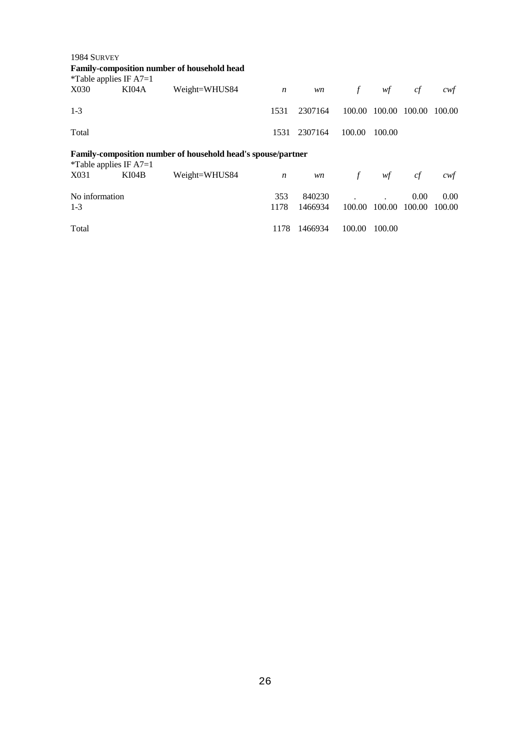| 1984 SURVEY                      |                          |                                                                     |                  |         |        |        |        |        |
|----------------------------------|--------------------------|---------------------------------------------------------------------|------------------|---------|--------|--------|--------|--------|
|                                  |                          | <b>Family-composition number of household head</b>                  |                  |         |        |        |        |        |
| <i>*</i> Table applies IF $A7=1$ |                          |                                                                     |                  |         |        |        |        |        |
| X030                             | KI04A                    | Weight=WHUS84                                                       | $\boldsymbol{n}$ | wn      | $\int$ | wf     | cf     | cwf    |
| $1 - 3$                          |                          |                                                                     | 1531             | 2307164 | 100.00 | 100.00 | 100.00 | 100.00 |
| Total                            |                          |                                                                     | 1531             | 2307164 | 100.00 | 100.00 |        |        |
|                                  | *Table applies IF $A7=1$ | <b>Family-composition number of household head's spouse/partner</b> |                  |         |        |        |        |        |
| X031                             | KI04B                    | Weight=WHUS84                                                       | $\boldsymbol{n}$ | wn      | $\int$ | wf     | cf     | cwf    |
| No information                   |                          |                                                                     | 353              | 840230  |        |        | 0.00   | 0.00   |
| $1-3$                            |                          |                                                                     | 1178             | 1466934 | 100.00 | 100.00 | 100.00 | 100.00 |
| Total                            |                          |                                                                     | 1178             | 1466934 | 100.00 | 100.00 |        |        |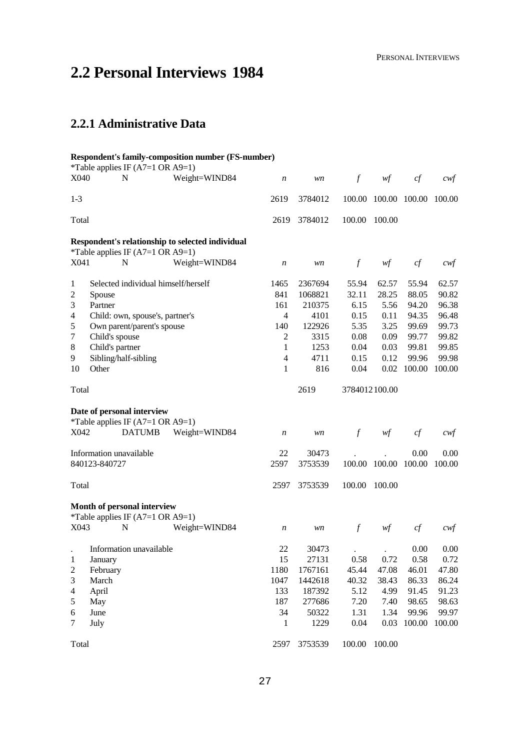## **2.2 Personal Interviews 1984**

### **2.2.1 Administrative Data**

7 July

Total

#### **Respondent's family-composition number (FS-number)** \*Table applies IF  $(A7=1 \text{ OR } A9=1)$ X040 N Weight=WIND84 *n wn f wf cf cwf* 1-3 Total 2619 3784012 100.00 100.00 100.00 100.00 2619 3784012 100.00 100.00 **Respondent's relationship to selected individual** \*Table applies IF (A7=1 OR A9=1) X041 N Weight=WIND84 *n wn f wf cf cwf* 1 Selected individual himself/herself 2 Spouse 3 Partner 4 Child: own, spouse's, partner's 5 Own parent/parent's spouse 7 Child's spouse 8 Child's partner 9 Sibling/half-sibling 10 Other Total 1465 2367694 55.94 62.57 55.94 62.57 841 1068821 32.11 28.25 88.05 90.82 161 210375 6.15 5.56 94.20 96.38 4 4101 0.15 0.11 94.35 96.48 140 122926 5.35 3.25 99.69 99.73 2 3315 0.08 0.09 99.77 99.82 1 1253 0.04 0.03 99.81 99.85 4 4711 0.15 0.12 99.96 99.98 1 816 0.04 0.02 100.00 100.00 2619 3784012 100.00 **Date of personal interview** \*Table applies IF  $(A7=1 \text{ OR } A9=1)$ X042 DATUMB Weight=WIND84 *n wn f wf cf cwf* Information unavailable 840123-840727 Total 22 30473 . . 0.00 0.00 2597 3753539 100.00 100.00 100.00 100.00 2597 3753539 100.00 100.00 **Month of personal interview** \*Table applies IF (A7=1 OR A9=1) X043 N Weight=WIND84 *n wn f wf cf cwf* . Information unavailable 1 January 2 February 3 March 4 April 5 May 6 June 22 30473 . . 0.00 0.00 15 27131 0.58 0.72 0.58 0.72 1180 1767161 45.44 47.08 46.01 47.80 1047 1442618 40.32 38.43 86.33 86.24 133 187392 5.12 4.99 91.45 91.23 187 277686 7.20 7.40 98.65 98.63 34 50322 1.31 1.34 99.96 99.97

1 1229 0.04 0.03 100.00 100.00

2597 3753539 100.00 100.00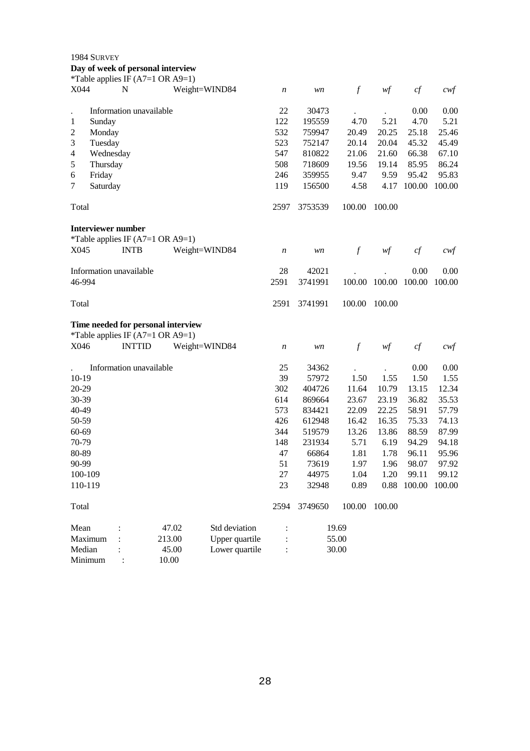|                                                           | 1984 SURVEY                                                                |                                   | Day of week of personal interview<br>*Table applies IF (A7=1 OR A9=1)                                          |                                                     |                                                                             |                                                          |                                                          |                                                                     |                                                                     |
|-----------------------------------------------------------|----------------------------------------------------------------------------|-----------------------------------|----------------------------------------------------------------------------------------------------------------|-----------------------------------------------------|-----------------------------------------------------------------------------|----------------------------------------------------------|----------------------------------------------------------|---------------------------------------------------------------------|---------------------------------------------------------------------|
| X044                                                      |                                                                            | N                                 | Weight=WIND84                                                                                                  | $\boldsymbol{n}$                                    | wn                                                                          | $\boldsymbol{f}$                                         | wf                                                       | cf                                                                  | cwf                                                                 |
| 1<br>$\overline{c}$<br>3<br>$\overline{4}$<br>5<br>6<br>7 | Sunday<br>Monday<br>Tuesday<br>Wednesday<br>Thursday<br>Friday<br>Saturday | Information unavailable           |                                                                                                                | 22<br>122<br>532<br>523<br>547<br>508<br>246<br>119 | 30473<br>195559<br>759947<br>752147<br>810822<br>718609<br>359955<br>156500 | 4.70<br>20.49<br>20.14<br>21.06<br>19.56<br>9.47<br>4.58 | 5.21<br>20.25<br>20.04<br>21.60<br>19.14<br>9.59<br>4.17 | 0.00<br>4.70<br>25.18<br>45.32<br>66.38<br>85.95<br>95.42<br>100.00 | 0.00<br>5.21<br>25.46<br>45.49<br>67.10<br>86.24<br>95.83<br>100.00 |
| Total                                                     |                                                                            |                                   |                                                                                                                | 2597                                                | 3753539                                                                     | 100.00                                                   | 100.00                                                   |                                                                     |                                                                     |
| X045                                                      |                                                                            | Interviewer number<br><b>INTB</b> | *Table applies IF $(A7=1 \text{ OR } A9=1)$<br>Weight=WIND84                                                   | $\boldsymbol{n}$                                    | wn                                                                          | $\mathcal{f}$                                            | wf                                                       | cf                                                                  | cwf                                                                 |
|                                                           | 46-994                                                                     | Information unavailable           |                                                                                                                | 28<br>2591                                          | 42021<br>3741991                                                            | 100.00                                                   | 100.00                                                   | 0.00<br>100.00                                                      | 0.00<br>100.00                                                      |
| Total                                                     |                                                                            |                                   |                                                                                                                | 2591                                                | 3741991                                                                     | 100.00                                                   | 100.00                                                   |                                                                     |                                                                     |
|                                                           |                                                                            |                                   | Time needed for personal interview<br>*Table applies IF $(A7=1 \text{ OR } A9=1)$<br>VOIE INTTID Weight_WIND94 |                                                     | 1.1153                                                                      | $\mathcal{L}$                                            | $\dots f$                                                | $\Delta f$                                                          | $\sim$                                                              |

|         | 1.401                   |        |                |                  |         |        |        |        |        |
|---------|-------------------------|--------|----------------|------------------|---------|--------|--------|--------|--------|
| X046    | <b>INTTID</b>           |        | Weight=WIND84  | $\boldsymbol{n}$ | wn      | f      | wf     | cf     | cwt    |
|         | Information unavailable |        |                | 25               | 34362   |        |        | 0.00   | 0.00   |
| $10-19$ |                         |        |                | 39               | 57972   | 1.50   | 1.55   | 1.50   | 1.55   |
| 20-29   |                         |        |                | 302              | 404726  | 11.64  | 10.79  | 13.15  | 12.34  |
| 30-39   |                         |        |                | 614              | 869664  | 23.67  | 23.19  | 36.82  | 35.53  |
| 40-49   |                         |        |                | 573              | 834421  | 22.09  | 22.25  | 58.91  | 57.79  |
| 50-59   |                         |        |                | 426              | 612948  | 16.42  | 16.35  | 75.33  | 74.13  |
| 60-69   |                         |        |                | 344              | 519579  | 13.26  | 13.86  | 88.59  | 87.99  |
| 70-79   |                         |        |                | 148              | 231934  | 5.71   | 6.19   | 94.29  | 94.18  |
| 80-89   |                         |        |                | 47               | 66864   | 1.81   | 1.78   | 96.11  | 95.96  |
| 90-99   |                         |        |                | 51               | 73619   | 1.97   | 1.96   | 98.07  | 97.92  |
| 100-109 |                         |        |                | 27               | 44975   | 1.04   | 1.20   | 99.11  | 99.12  |
| 110-119 |                         |        |                | 23               | 32948   | 0.89   | 0.88   | 100.00 | 100.00 |
| Total   |                         |        |                | 2594             | 3749650 | 100.00 | 100.00 |        |        |
| Mean    |                         | 47.02  | Std deviation  |                  |         | 19.69  |        |        |        |
| Maximum |                         | 213.00 | Upper quartile | $\ddot{\cdot}$   |         | 55.00  |        |        |        |
| Median  |                         | 45.00  | Lower quartile | $\ddot{\cdot}$   |         | 30.00  |        |        |        |
| Minimum |                         | 10.00  |                |                  |         |        |        |        |        |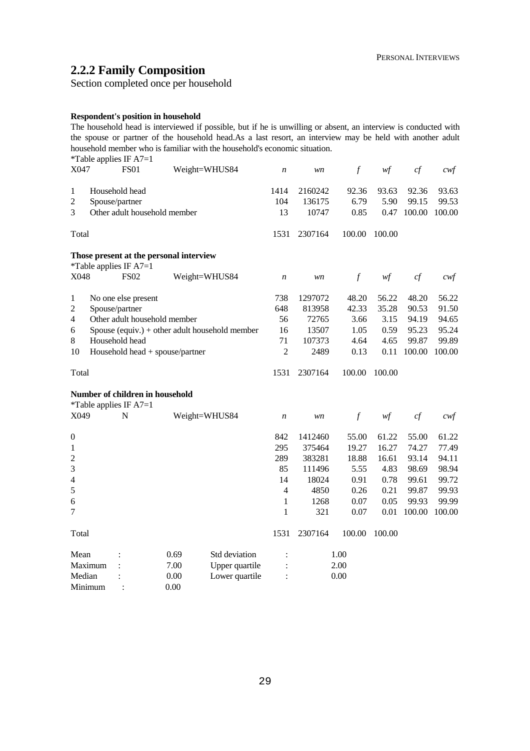### **2.2.2 Family Composition**

Section completed once per household

#### **Respondent's position in household**

The household head is interviewed if possible, but if he is unwilling or absent, an interview is conducted with the spouse or partner of the household head.As a last resort, an interview may be held with another adult household member who is familiar with the household's economic situation.

| X047                     |         | *Table applies IF A7=1<br><b>FS01</b>                            |      | Weight=WHUS84                                  | $\boldsymbol{n}$  | wn                         | $\mathcal{f}$         | w f                   | cf                       | $c \mathsf{w} f$         |
|--------------------------|---------|------------------------------------------------------------------|------|------------------------------------------------|-------------------|----------------------------|-----------------------|-----------------------|--------------------------|--------------------------|
| 1<br>$\overline{2}$<br>3 |         | Household head<br>Spouse/partner<br>Other adult household member |      |                                                | 1414<br>104<br>13 | 2160242<br>136175<br>10747 | 92.36<br>6.79<br>0.85 | 93.63<br>5.90<br>0.47 | 92.36<br>99.15<br>100.00 | 93.63<br>99.53<br>100.00 |
| Total                    |         |                                                                  |      |                                                | 1531              | 2307164                    | 100.00                | 100.00                |                          |                          |
|                          |         | Those present at the personal interview                          |      |                                                |                   |                            |                       |                       |                          |                          |
| X048                     |         | *Table applies IF $A7=1$<br><b>FS02</b>                          |      | Weight=WHUS84                                  | $\boldsymbol{n}$  | wn                         | $\mathcal{f}$         | wf                    | cf                       | $c$ wf                   |
| 1                        |         | No one else present                                              |      |                                                | 738               | 1297072                    | 48.20                 | 56.22                 | 48.20                    | 56.22                    |
| $\overline{2}$           |         | Spouse/partner                                                   |      |                                                | 648               | 813958                     | 42.33                 | 35.28                 | 90.53                    | 91.50                    |
| 4                        |         | Other adult household member                                     |      |                                                | 56                | 72765                      | 3.66                  | 3.15                  | 94.19                    | 94.65                    |
| 6                        |         |                                                                  |      | Spouse (equiv.) + other adult household member | 16                | 13507                      | 1.05                  | 0.59                  | 95.23                    | 95.24                    |
| $\,8\,$                  |         | Household head                                                   |      |                                                | 71                | 107373                     | 4.64                  | 4.65                  | 99.87                    | 99.89                    |
| 10                       |         | Household head + spouse/partner                                  |      |                                                | $\overline{c}$    | 2489                       | 0.13                  | 0.11                  | 100.00                   | 100.00                   |
| Total                    |         |                                                                  |      |                                                | 1531              | 2307164                    | 100.00                | 100.00                |                          |                          |
|                          |         | Number of children in household<br>*Table applies IF $A7=1$      |      |                                                |                   |                            |                       |                       |                          |                          |
| X049                     |         | N                                                                |      | Weight=WHUS84                                  | $\boldsymbol{n}$  | wn                         | $\mathcal{f}$         | w f                   | cf                       | cwt                      |
| $\boldsymbol{0}$         |         |                                                                  |      |                                                | 842               | 1412460                    | 55.00                 | 61.22                 | 55.00                    | 61.22                    |
| 1                        |         |                                                                  |      |                                                | 295               | 375464                     | 19.27                 | 16.27                 | 74.27                    | 77.49                    |
| $\overline{c}$           |         |                                                                  |      |                                                | 289               | 383281                     | 18.88                 | 16.61                 | 93.14                    | 94.11                    |
| 3                        |         |                                                                  |      |                                                | 85                | 111496                     | 5.55                  | 4.83                  | 98.69                    | 98.94                    |
| $\overline{4}$           |         |                                                                  |      |                                                | 14                | 18024                      | 0.91                  | 0.78                  | 99.61                    | 99.72                    |
| 5                        |         |                                                                  |      |                                                | 4                 | 4850                       | 0.26                  | 0.21                  | 99.87                    | 99.93                    |
| 6                        |         |                                                                  |      |                                                | $\mathbf{1}$      | 1268                       | 0.07                  | 0.05                  | 99.93                    | 99.99                    |
| 7                        |         |                                                                  |      |                                                | 1                 | 321                        | 0.07                  | 0.01                  | 100.00                   | 100.00                   |
| Total                    |         |                                                                  |      |                                                | 1531              | 2307164                    | 100.00                | 100.00                |                          |                          |
| Mean                     |         |                                                                  | 0.69 | Std deviation                                  | $\ddot{\cdot}$    |                            | 1.00                  |                       |                          |                          |
|                          | Maximum |                                                                  | 7.00 | Upper quartile                                 | $\ddot{\cdot}$    |                            | 2.00                  |                       |                          |                          |
| Median                   |         |                                                                  | 0.00 | Lower quartile                                 |                   |                            | 0.00                  |                       |                          |                          |
| Minimum                  |         |                                                                  | 0.00 |                                                |                   |                            |                       |                       |                          |                          |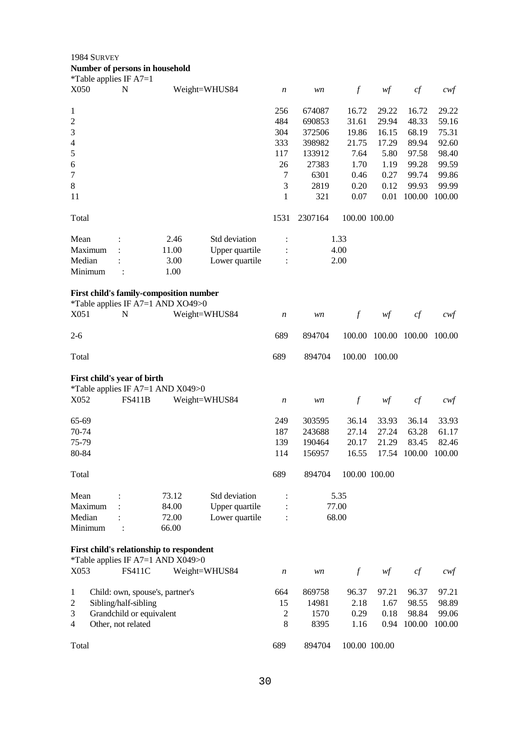1984 SURVEY

| Number of persons in household |  |
|--------------------------------|--|
| *Table applies IF $A7=1$       |  |

| X050           | $1$ avic applies $\mathbf{H}^{\dagger}$ $\mathbf{H}$ / $\mathbf{H}$ = 1<br>N |                                                                              | Weight=WHUS84  | n                | wn      | $\boldsymbol{f}$ | wf            | cf     | cwf    |
|----------------|------------------------------------------------------------------------------|------------------------------------------------------------------------------|----------------|------------------|---------|------------------|---------------|--------|--------|
| 1              |                                                                              |                                                                              |                | 256              | 674087  | 16.72            | 29.22         | 16.72  | 29.22  |
| $\sqrt{2}$     |                                                                              |                                                                              |                | 484              | 690853  | 31.61            | 29.94         | 48.33  | 59.16  |
| 3              |                                                                              |                                                                              |                | 304              | 372506  | 19.86            | 16.15         | 68.19  | 75.31  |
| $\overline{4}$ |                                                                              |                                                                              |                | 333              | 398982  | 21.75            | 17.29         | 89.94  | 92.60  |
| 5              |                                                                              |                                                                              |                | 117              | 133912  | 7.64             | 5.80          | 97.58  | 98.40  |
| 6              |                                                                              |                                                                              |                | 26               | 27383   | 1.70             | 1.19          | 99.28  | 99.59  |
| $\tau$         |                                                                              |                                                                              |                | 7                | 6301    | 0.46             | 0.27          | 99.74  | 99.86  |
| $\,8\,$        |                                                                              |                                                                              |                | 3                | 2819    | 0.20             | 0.12          | 99.93  | 99.99  |
| 11             |                                                                              |                                                                              |                | 1                | 321     | 0.07             | 0.01          | 100.00 | 100.00 |
| Total          |                                                                              |                                                                              |                | 1531             | 2307164 | 100.00 100.00    |               |        |        |
| Mean           |                                                                              | 2.46                                                                         | Std deviation  |                  |         | 1.33             |               |        |        |
| Maximum        |                                                                              | 11.00                                                                        | Upper quartile |                  |         | 4.00             |               |        |        |
| Median         |                                                                              | 3.00                                                                         | Lower quartile |                  |         | 2.00             |               |        |        |
| Minimum        | $\ddot{\cdot}$                                                               | 1.00                                                                         |                |                  |         |                  |               |        |        |
|                |                                                                              | First child's family-composition number<br>*Table applies IF A7=1 AND XO49>0 |                |                  |         |                  |               |        |        |
| X051           | $\mathbf N$                                                                  |                                                                              | Weight=WHUS84  | n                | wn      | $\boldsymbol{f}$ | wf            | cf     | $c$ wf |
| $2 - 6$        |                                                                              |                                                                              |                | 689              | 894704  | 100.00           | 100.00 100.00 |        | 100.00 |
| Total          |                                                                              |                                                                              |                | 689              | 894704  | 100.00           | 100.00        |        |        |
|                | First child's year of birth                                                  |                                                                              |                |                  |         |                  |               |        |        |
|                |                                                                              | *Table applies IF A7=1 AND X049>0                                            |                |                  |         |                  |               |        |        |
| X052           | <b>FS411B</b>                                                                |                                                                              | Weight=WHUS84  | n                | wn      | $\boldsymbol{f}$ | wf            | cf     | cwf    |
| 65-69          |                                                                              |                                                                              |                | 249              | 303595  | 36.14            | 33.93         | 36.14  | 33.93  |
| 70-74          |                                                                              |                                                                              |                | 187              | 243688  | 27.14            | 27.24         | 63.28  | 61.17  |
| 75-79          |                                                                              |                                                                              |                | 139              | 190464  | 20.17            | 21.29         | 83.45  | 82.46  |
| 80-84          |                                                                              |                                                                              |                | 114              | 156957  | 16.55            | 17.54         | 100.00 | 100.00 |
| Total          |                                                                              |                                                                              |                | 689              | 894704  |                  | 100.00 100.00 |        |        |
| Mean           |                                                                              | 73.12                                                                        | Std deviation  |                  |         | 5.35             |               |        |        |
| Maximum        |                                                                              | 84.00                                                                        | Upper quartile |                  |         | 77.00            |               |        |        |
| Median         |                                                                              | 72.00                                                                        | Lower quartile | ÷                |         | 68.00            |               |        |        |
| Minimum        |                                                                              | 66.00                                                                        |                |                  |         |                  |               |        |        |
|                |                                                                              | First child's relationship to respondent                                     |                |                  |         |                  |               |        |        |
| X053           | <b>FS411C</b>                                                                | *Table applies IF A7=1 AND X049>0                                            | Weight=WHUS84  | $\boldsymbol{n}$ | wn      | $\int$           | wf            | cf     | $c$ wf |
|                |                                                                              |                                                                              |                |                  |         |                  |               |        |        |
| $\mathbf{1}$   | Child: own, spouse's, partner's                                              |                                                                              |                | 664              | 869758  | 96.37            | 97.21         | 96.37  | 97.21  |
| $\mathfrak 2$  | Sibling/half-sibling                                                         |                                                                              |                | 15               | 14981   | 2.18             | 1.67          | 98.55  | 98.89  |
| $\mathfrak{Z}$ | Grandchild or equivalent                                                     |                                                                              |                | 2                | 1570    | 0.29             | 0.18          | 98.84  | 99.06  |
| $\overline{4}$ | Other, not related                                                           |                                                                              |                | 8                | 8395    | 1.16             | 0.94          | 100.00 | 100.00 |
| Total          |                                                                              |                                                                              |                | 689              | 894704  |                  | 100.00 100.00 |        |        |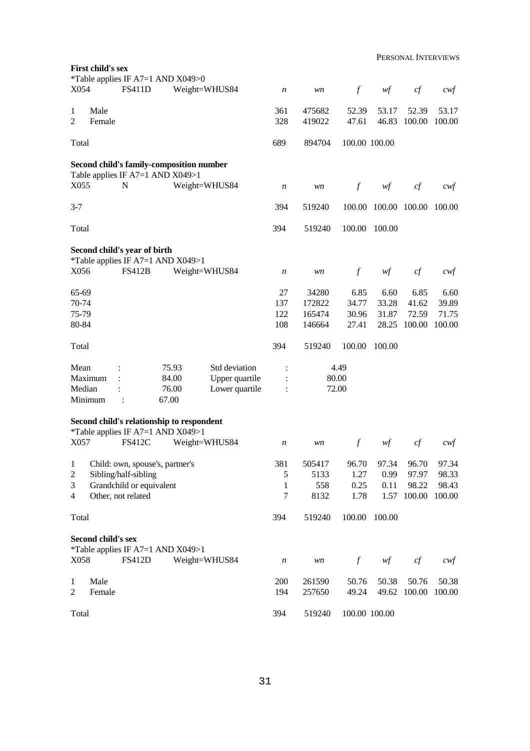|                                                       | <b>First child's sex</b> |                                                                                                           | *Table applies IF A7=1 AND X049>0                                            |                                                   |                                       |                                     |                                 |                                 |                                   |                                   |
|-------------------------------------------------------|--------------------------|-----------------------------------------------------------------------------------------------------------|------------------------------------------------------------------------------|---------------------------------------------------|---------------------------------------|-------------------------------------|---------------------------------|---------------------------------|-----------------------------------|-----------------------------------|
| X054                                                  |                          | <b>FS411D</b>                                                                                             |                                                                              | Weight=WHUS84                                     | n                                     | wn                                  | $\boldsymbol{f}$                | wf                              | cf                                | $\alpha$                          |
| 1<br>2                                                | Male<br>Female           |                                                                                                           |                                                                              |                                                   | 361<br>328                            | 475682<br>419022                    | 52.39<br>47.61                  | 53.17<br>46.83                  | 52.39<br>100.00                   | 53.17<br>100.00                   |
| Total                                                 |                          |                                                                                                           |                                                                              |                                                   | 689                                   | 894704                              | 100.00 100.00                   |                                 |                                   |                                   |
|                                                       |                          |                                                                                                           | Second child's family-composition number<br>Table applies IF A7=1 AND X049>1 |                                                   |                                       |                                     |                                 |                                 |                                   |                                   |
| X055                                                  |                          | $\mathbf N$                                                                                               |                                                                              | Weight=WHUS84                                     | n                                     | wn                                  | $\mathcal{f}$                   | wf                              | cf                                | cwt                               |
| $3 - 7$                                               |                          |                                                                                                           |                                                                              |                                                   | 394                                   | 519240                              | 100.00                          | 100.00 100.00                   |                                   | 100.00                            |
| Total                                                 |                          |                                                                                                           |                                                                              |                                                   | 394                                   | 519240                              | 100.00                          | 100.00                          |                                   |                                   |
|                                                       |                          | Second child's year of birth                                                                              |                                                                              |                                                   |                                       |                                     |                                 |                                 |                                   |                                   |
| X056                                                  |                          | <b>FS412B</b>                                                                                             | *Table applies IF A7=1 AND X049>1                                            | Weight=WHUS84                                     | $\boldsymbol{n}$                      | wn                                  | $\boldsymbol{f}$                | wf                              | $c\!f$                            | $c$ wf                            |
| 65-69<br>70-74<br>75-79<br>80-84                      |                          |                                                                                                           |                                                                              |                                                   | 27<br>137<br>122<br>108               | 34280<br>172822<br>165474<br>146664 | 6.85<br>34.77<br>30.96<br>27.41 | 6.60<br>33.28<br>31.87<br>28.25 | 6.85<br>41.62<br>72.59<br>100.00  | 6.60<br>39.89<br>71.75<br>100.00  |
| Total                                                 |                          |                                                                                                           |                                                                              |                                                   | 394                                   | 519240                              | 100.00                          | 100.00                          |                                   |                                   |
| Mean<br>Median                                        | Maximum<br>Minimum       | $\ddot{\cdot}$                                                                                            | 75.93<br>84.00<br>76.00<br>67.00                                             | Std deviation<br>Upper quartile<br>Lower quartile | :<br>$\ddot{\cdot}$<br>$\ddot{\cdot}$ | 80.00<br>72.00                      | 4.49                            |                                 |                                   |                                   |
|                                                       |                          |                                                                                                           | Second child's relationship to respondent                                    |                                                   |                                       |                                     |                                 |                                 |                                   |                                   |
| X057                                                  |                          | <b>FS412C</b>                                                                                             | *Table applies IF A7=1 AND X049>1                                            | Weight=WHUS84                                     | n                                     | wn                                  | $\int f$                        | wf                              | cf                                | cwt                               |
| $\mathbf{1}$<br>$\overline{c}$<br>3<br>$\overline{4}$ |                          | Child: own, spouse's, partner's<br>Sibling/half-sibling<br>Grandchild or equivalent<br>Other, not related |                                                                              |                                                   | 381<br>5<br>1<br>$\tau$               | 505417<br>5133<br>558<br>8132       | 96.70<br>1.27<br>0.25<br>1.78   | 97.34<br>0.99<br>0.11<br>1.57   | 96.70<br>97.97<br>98.22<br>100.00 | 97.34<br>98.33<br>98.43<br>100.00 |
| Total                                                 |                          |                                                                                                           |                                                                              |                                                   | 394                                   | 519240                              | 100.00                          | 100.00                          |                                   |                                   |
|                                                       | Second child's sex       |                                                                                                           | *Table applies IF A7=1 AND X049>1                                            |                                                   |                                       |                                     |                                 |                                 |                                   |                                   |
| X058                                                  |                          | <b>FS412D</b>                                                                                             |                                                                              | Weight=WHUS84                                     | $\boldsymbol{n}$                      | wn                                  | $\boldsymbol{f}$                | wf                              | cf                                | $c \mathcal{w}$ f                 |
| $\mathbf{1}$<br>2                                     | Male<br>Female           |                                                                                                           |                                                                              |                                                   | 200<br>194                            | 261590<br>257650                    | 50.76<br>49.24                  | 50.38<br>49.62                  | 50.76<br>100.00                   | 50.38<br>100.00                   |
| Total                                                 |                          |                                                                                                           |                                                                              |                                                   | 394                                   | 519240                              | 100.00 100.00                   |                                 |                                   |                                   |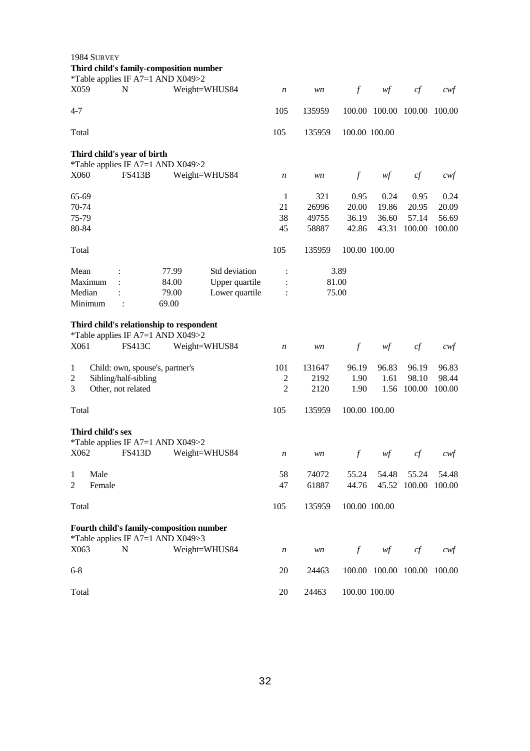| 1984 SURVEY<br>Third child's family-composition number<br>*Table applies IF A7=1 AND X049>2 |                      |                                 |                |                                  |                |                  |                             |                 |                 |
|---------------------------------------------------------------------------------------------|----------------------|---------------------------------|----------------|----------------------------------|----------------|------------------|-----------------------------|-----------------|-----------------|
| X059                                                                                        | N                    | Weight=WHUS84                   |                | $\boldsymbol{n}$                 | wn             | $\boldsymbol{f}$ | wf                          | cf              | $c$ wf          |
| $4 - 7$                                                                                     |                      |                                 |                | 105                              | 135959         |                  | 100.00 100.00 100.00        |                 | 100.00          |
| Total                                                                                       |                      |                                 |                | 105                              | 135959         | 100.00 100.00    |                             |                 |                 |
| Third child's year of birth<br>*Table applies IF A7=1 AND X049>2                            |                      |                                 |                |                                  |                |                  |                             |                 |                 |
| X060                                                                                        | <b>FS413B</b>        | Weight=WHUS84                   |                | n                                | wn             | $\boldsymbol{f}$ | wf                          | cf              | $c$ wf          |
| 65-69<br>70-74                                                                              |                      |                                 |                | 1<br>21                          | 321<br>26996   | 0.95<br>20.00    | 0.24<br>19.86               | 0.95<br>20.95   | 0.24<br>20.09   |
| 75-79<br>80-84                                                                              |                      |                                 |                | 38<br>45                         | 49755<br>58887 | 36.19<br>42.86   | 36.60<br>43.31              | 57.14<br>100.00 | 56.69<br>100.00 |
| Total                                                                                       |                      |                                 |                | 105                              | 135959         | 100.00 100.00    |                             |                 |                 |
| Mean                                                                                        |                      | 77.99                           | Std deviation  |                                  |                | 3.89             |                             |                 |                 |
| Maximum                                                                                     |                      | 84.00                           | Upper quartile |                                  | 81.00          |                  |                             |                 |                 |
| Median<br>Minimum                                                                           |                      | 79.00<br>69.00                  | Lower quartile |                                  | 75.00          |                  |                             |                 |                 |
| Third child's relationship to respondent<br>*Table applies IF A7=1 AND X049>2               |                      |                                 |                |                                  |                |                  |                             |                 |                 |
| X <sub>061</sub>                                                                            | <b>FS413C</b>        | Weight=WHUS84                   |                | $\boldsymbol{n}$                 | wn             | $\boldsymbol{f}$ | wf                          | cf              | cwt             |
| 1                                                                                           |                      | Child: own, spouse's, partner's |                | 101                              | 131647         | 96.19            | 96.83                       | 96.19           | 96.83           |
| $\overline{c}$<br>Other, not related<br>3                                                   | Sibling/half-sibling |                                 |                | $\mathfrak{2}$<br>$\overline{2}$ | 2192<br>2120   | 1.90<br>1.90     | 1.61<br>1.56                | 98.10<br>100.00 | 98.44<br>100.00 |
| Total                                                                                       |                      |                                 |                | 105                              | 135959         | 100.00 100.00    |                             |                 |                 |
| Third child's sex                                                                           |                      |                                 |                |                                  |                |                  |                             |                 |                 |
| *Table applies IF A7=1 AND X049>2<br>X062                                                   | <b>FS413D</b>        | Weight=WHUS84                   |                | n                                | wn             | $\boldsymbol{f}$ | w f                         | cf              | cwt             |
| Male<br>1                                                                                   |                      |                                 |                | 58                               | 74072          | 55.24            | 54.48                       | 55.24           | 54.48           |
| Female<br>2                                                                                 |                      |                                 |                | 47                               | 61887          | 44.76            |                             | 45.52 100.00    | 100.00          |
| Total                                                                                       |                      |                                 |                | 105                              | 135959         | 100.00 100.00    |                             |                 |                 |
| Fourth child's family-composition number<br>*Table applies IF A7=1 AND X049>3               |                      |                                 |                |                                  |                |                  |                             |                 |                 |
| X063                                                                                        | N                    | Weight=WHUS84                   |                | $\boldsymbol{n}$                 | wn             | $f_{\parallel}$  | wf                          | cf              | cwf             |
| $6 - 8$                                                                                     |                      |                                 |                | 20                               | 24463          |                  | 100.00 100.00 100.00 100.00 |                 |                 |
| Total                                                                                       |                      |                                 |                | 20                               | 24463          | 100.00 100.00    |                             |                 |                 |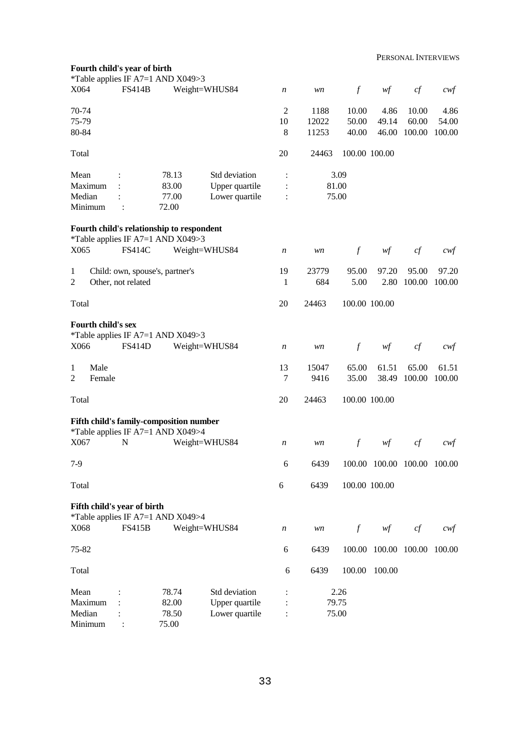| Fourth child's year of birth<br>*Table applies IF A7=1 AND X049>3              |                    |                                  |                                                   |                                                    |                        |                         |                             |                          |                         |
|--------------------------------------------------------------------------------|--------------------|----------------------------------|---------------------------------------------------|----------------------------------------------------|------------------------|-------------------------|-----------------------------|--------------------------|-------------------------|
| X064                                                                           | <b>FS414B</b>      |                                  | Weight=WHUS84                                     | n                                                  | wn                     | $\boldsymbol{f}$        | wf                          | $c f$                    | $\alpha$                |
| 70-74<br>75-79<br>80-84                                                        |                    |                                  |                                                   | $\overline{c}$<br>10<br>$\,8\,$                    | 1188<br>12022<br>11253 | 10.00<br>50.00<br>40.00 | 4.86<br>49.14<br>46.00      | 10.00<br>60.00<br>100.00 | 4.86<br>54.00<br>100.00 |
| Total                                                                          |                    |                                  |                                                   | 20                                                 | 24463                  | 100.00 100.00           |                             |                          |                         |
| Mean<br>Maximum<br>Median<br>Minimum                                           | $\ddot{\cdot}$     | 78.13<br>83.00<br>77.00<br>72.00 | Std deviation<br>Upper quartile<br>Lower quartile | $\ddot{\cdot}$<br>$\ddot{\cdot}$<br>$\ddot{\cdot}$ | 81.00<br>75.00         | 3.09                    |                             |                          |                         |
| Fourth child's relationship to respondent<br>*Table applies IF A7=1 AND X049>3 |                    |                                  |                                                   |                                                    |                        |                         |                             |                          |                         |
| X065                                                                           | <b>FS414C</b>      |                                  | Weight=WHUS84                                     | n                                                  | wn                     | $\boldsymbol{f}$        | wf                          | cf                       | cwt                     |
| 1<br>2                                                                         | Other, not related | Child: own, spouse's, partner's  |                                                   | 19<br>1                                            | 23779<br>684           | 95.00<br>5.00           | 97.20<br>2.80               | 95.00<br>100.00          | 97.20<br>100.00         |
| Total                                                                          |                    |                                  |                                                   | 20                                                 | 24463                  | 100.00 100.00           |                             |                          |                         |
| <b>Fourth child's sex</b><br>*Table applies IF A7=1 AND X049>3<br>X066         | <b>FS414D</b>      |                                  | Weight=WHUS84                                     | n                                                  | wn                     | $\boldsymbol{f}$        | wf                          | cf                       | cwt                     |
| Male<br>1<br>$\overline{2}$<br>Female                                          |                    |                                  |                                                   | 13<br>7                                            | 15047<br>9416          | 65.00<br>35.00          | 61.51<br>38.49              | 65.00<br>100.00          | 61.51<br>100.00         |
| Total                                                                          |                    |                                  |                                                   | 20                                                 | 24463                  | 100.00 100.00           |                             |                          |                         |
| Fifth child's family-composition number<br>*Table applies IF A7=1 AND X049>4   |                    |                                  |                                                   |                                                    |                        |                         |                             |                          |                         |
| X067                                                                           | N                  |                                  | Weight=WHUS84                                     | n                                                  | wn                     | $\mathcal{f}$           | $\mathit{wf}$               | cf                       | cwf                     |
| $7-9$                                                                          |                    |                                  |                                                   | 6                                                  | 6439                   |                         | 100.00 100.00 100.00 100.00 |                          |                         |
| Total                                                                          |                    |                                  |                                                   | 6                                                  | 6439                   | 100.00 100.00           |                             |                          |                         |
| Fifth child's year of birth<br>*Table applies IF A7=1 AND X049>4               |                    |                                  |                                                   |                                                    |                        |                         |                             |                          |                         |
| X068                                                                           | <b>FS415B</b>      |                                  | Weight=WHUS84                                     | n                                                  | wn                     | $\int$                  | wf                          | cf                       | cwf                     |
| 75-82                                                                          |                    |                                  |                                                   | 6                                                  | 6439                   |                         | 100.00 100.00 100.00        |                          | 100.00                  |
| Total                                                                          |                    |                                  |                                                   | 6                                                  | 6439                   | 100.00                  | 100.00                      |                          |                         |
| Mean<br>Maximum<br>Median<br>Minimum                                           | $\ddot{\cdot}$     | 78.74<br>82.00<br>78.50<br>75.00 | Std deviation<br>Upper quartile<br>Lower quartile |                                                    | 79.75<br>75.00         | 2.26                    |                             |                          |                         |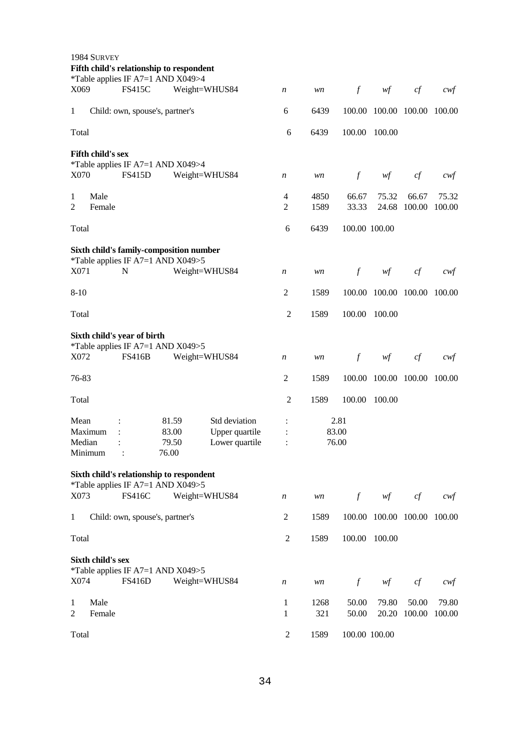| Fifth child's relationship to respondent                                     |                  |             |                  |                      |                 |                 |
|------------------------------------------------------------------------------|------------------|-------------|------------------|----------------------|-----------------|-----------------|
| *Table applies IF A7=1 AND X049>4<br>X069<br><b>FS415C</b><br>Weight=WHUS84  | $\boldsymbol{n}$ | wn          | $\int$           | wf                   | cf              | $c$ wf          |
| 1<br>Child: own, spouse's, partner's                                         | 6                | 6439        | 100.00           | 100.00 100.00        |                 | 100.00          |
| Total                                                                        | 6                | 6439        | 100.00           | 100.00               |                 |                 |
| Fifth child's sex                                                            |                  |             |                  |                      |                 |                 |
| *Table applies IF A7=1 AND X049>4<br>X070<br><b>FS415D</b><br>Weight=WHUS84  | $\boldsymbol{n}$ | wn          | $\boldsymbol{f}$ | wf                   | cf              | cwf             |
| Male<br>1                                                                    | $\overline{4}$   | 4850        | 66.67            | 75.32                | 66.67           | 75.32           |
| $\overline{2}$<br>Female                                                     | $\overline{2}$   | 1589        | 33.33            | 24.68                | 100.00          | 100.00          |
| Total                                                                        | 6                | 6439        | 100.00 100.00    |                      |                 |                 |
| Sixth child's family-composition number<br>*Table applies IF A7=1 AND X049>5 |                  |             |                  |                      |                 |                 |
| X071<br>$\mathbf N$<br>Weight=WHUS84                                         | n                | wn          | $\mathcal{f}$    | wf                   | cf              | cwf             |
| $8-10$                                                                       | $\overline{2}$   | 1589        | 100.00           | 100.00 100.00        |                 | 100.00          |
| Total                                                                        | $\mathfrak{2}$   | 1589        | 100.00           | 100.00               |                 |                 |
| Sixth child's year of birth                                                  |                  |             |                  |                      |                 |                 |
| *Table applies IF A7=1 AND X049>5<br>X072<br><b>FS416B</b><br>Weight=WHUS84  | n                | wn          | $\mathcal{f}$    | wf                   | cf              | cwf             |
|                                                                              |                  |             |                  |                      |                 |                 |
| 76-83                                                                        | $\mathfrak{2}$   | 1589        | 100.00           |                      | 100.00 100.00   | 100.00          |
| Total                                                                        | $\mathfrak{2}$   | 1589        | 100.00           | 100.00               |                 |                 |
| Mean<br>81.59<br>Std deviation                                               |                  |             | 2.81             |                      |                 |                 |
| 83.00<br>Maximum<br>Upper quartile                                           |                  |             | 83.00            |                      |                 |                 |
| Lower quartile<br>Median<br>79.50<br>76.00<br>Minimum                        |                  |             | 76.00            |                      |                 |                 |
| Sixth child's relationship to respondent                                     |                  |             |                  |                      |                 |                 |
| *Table applies IF A7=1 AND X049>5<br><b>FS416C</b><br>X073<br>Weight=WHUS84  | $\boldsymbol{n}$ | wn          |                  | wf                   | cf              | $c$ wf          |
| Child: own, spouse's, partner's<br>1                                         | 2                | 1589        | $\boldsymbol{f}$ | 100.00 100.00 100.00 |                 | 100.00          |
| Total                                                                        | $\overline{2}$   | 1589        | 100.00           | 100.00               |                 |                 |
|                                                                              |                  |             |                  |                      |                 |                 |
| Sixth child's sex<br>*Table applies IF A7=1 AND X049>5                       |                  |             |                  |                      |                 |                 |
| X074<br><b>FS416D</b><br>Weight=WHUS84                                       | $\boldsymbol{n}$ | wn          | $\boldsymbol{f}$ | wf                   | cf              | $c$ wf          |
| Male<br>1<br>2<br>Female                                                     | 1<br>1           | 1268<br>321 | 50.00<br>50.00   | 79.80<br>20.20       | 50.00<br>100.00 | 79.80<br>100.00 |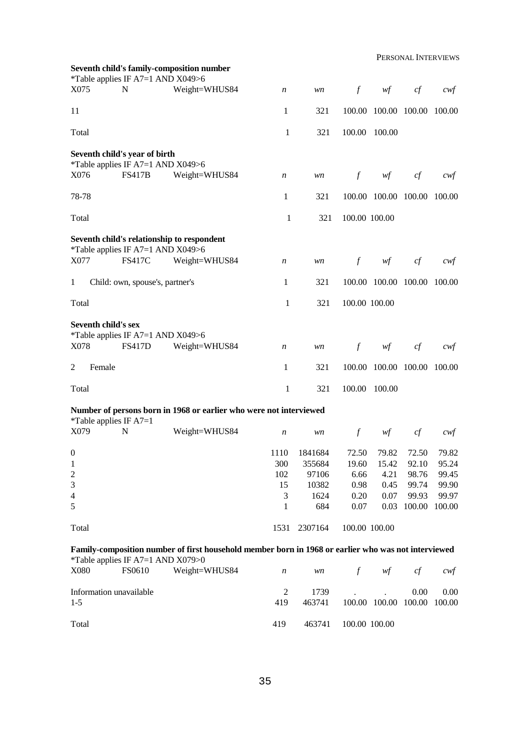|                     | *Table applies IF A7=1 AND X049>6                               | Seventh child's family-composition number                                                           |                  |                |               |                                        |                |                |
|---------------------|-----------------------------------------------------------------|-----------------------------------------------------------------------------------------------------|------------------|----------------|---------------|----------------------------------------|----------------|----------------|
| X075                | N                                                               | Weight=WHUS84                                                                                       | n                | wn             | $\int$        | $\mathcal{W}\hspace{-0.5mm}\mathit{f}$ | cf             | cwf            |
| 11                  |                                                                 |                                                                                                     | 1                | 321            |               | 100.00 100.00 100.00                   |                | 100.00         |
| Total               |                                                                 |                                                                                                     | 1                | 321            | 100.00        | 100.00                                 |                |                |
|                     | Seventh child's year of birth                                   |                                                                                                     |                  |                |               |                                        |                |                |
| X076                | *Table applies IF A7=1 AND X049>6<br><b>FS417B</b>              | Weight=WHUS84                                                                                       | n                | wn             | $\int$        | $\mathcal{W}\hspace{-0.5mm}\mathit{f}$ | cf             | cwt            |
| 78-78               |                                                                 |                                                                                                     | 1                | 321            |               | 100.00 100.00 100.00                   |                | 100.00         |
| Total               |                                                                 |                                                                                                     | 1                | 321            | 100.00 100.00 |                                        |                |                |
|                     |                                                                 | Seventh child's relationship to respondent                                                          |                  |                |               |                                        |                |                |
| X077                | *Table applies IF A7=1 AND X049>6<br><b>FS417C</b>              | Weight=WHUS84                                                                                       | n                | wn             | $\int$        | wf                                     | cf             | cwt            |
| $\mathbf{1}$        | Child: own, spouse's, partner's                                 |                                                                                                     | 1                | 321            |               | 100.00 100.00 100.00                   |                | 100.00         |
| Total               |                                                                 |                                                                                                     | 1                | 321            | 100.00 100.00 |                                        |                |                |
|                     | <b>Seventh child's sex</b><br>*Table applies IF A7=1 AND X049>6 |                                                                                                     |                  |                |               |                                        |                |                |
| X078                | <b>FS417D</b>                                                   | Weight=WHUS84                                                                                       | n                | wn             | $\int$        | wf                                     | cf             | cwt            |
| 2<br>Female         |                                                                 |                                                                                                     | 1                | 321            |               | 100.00 100.00 100.00                   |                | 100.00         |
| Total               |                                                                 |                                                                                                     | 1                | 321            | 100.00        | 100.00                                 |                |                |
|                     | *Table applies IF $A7=1$                                        | Number of persons born in 1968 or earlier who were not interviewed                                  |                  |                |               |                                        |                |                |
| X079                | N                                                               | Weight=WHUS84                                                                                       | $\boldsymbol{n}$ | wn             | $\mathcal{f}$ | wf                                     | cf             | cwt            |
| $\boldsymbol{0}$    |                                                                 |                                                                                                     | 1110             | 1841684        | 72.50         | 79.82                                  | 72.50          | 79.82          |
| $\mathbf{1}$        |                                                                 |                                                                                                     | 300              | 355684         | 19.60         | 15.42                                  | 92.10          | 95.24          |
| $\overline{c}$<br>3 |                                                                 |                                                                                                     | 102<br>15        | 97106<br>10382 | 6.66<br>0.98  | 4.21<br>0.45                           | 98.76<br>99.74 | 99.45<br>99.90 |
| $\overline{4}$      |                                                                 |                                                                                                     | 3                | 1624           | 0.20          | 0.07                                   | 99.93          | 99.97          |
| 5                   |                                                                 |                                                                                                     | 1                | 684            | 0.07          | 0.03                                   | 100.00         | 100.00         |
| Total               |                                                                 |                                                                                                     | 1531             | 2307164        | 100.00 100.00 |                                        |                |                |
|                     |                                                                 | Family-composition number of first household member born in 1968 or earlier who was not interviewed |                  |                |               |                                        |                |                |
| X080                | *Table applies IF A7=1 AND X079>0<br>FS0610                     | Weight=WHUS84                                                                                       | $\boldsymbol{n}$ | wn             | $\int$        | wf                                     | cf             | $c$ wf         |
|                     | Information unavailable                                         |                                                                                                     | 2                | 1739           |               |                                        | 0.00           | 0.00           |
| $1 - 5$             |                                                                 |                                                                                                     | 419              | 463741         |               | 100.00 100.00 100.00                   |                | 100.00         |
| Total               |                                                                 |                                                                                                     | 419              | 463741         | 100.00 100.00 |                                        |                |                |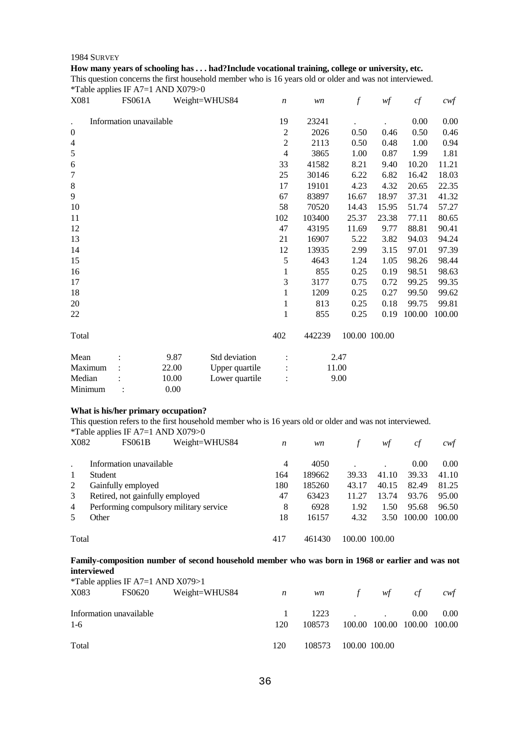#### 1984 SURVEY

#### **How many years of schooling has . . . had?Include vocational training, college or university, etc.**

This question concerns the first household member who is 16 years old or older and was not interviewed. \*Table applies IF A7=1 AND X079>0

| $\sim$<br>X081                       | <b>FS061A</b> | Weight=WHUS84 |                | $\boldsymbol{n}$ | wn     | $\boldsymbol{f}$ | wf    | cf     | $c$ wf |
|--------------------------------------|---------------|---------------|----------------|------------------|--------|------------------|-------|--------|--------|
| Information unavailable<br>$\bullet$ |               |               |                | 19               | 23241  |                  |       | 0.00   | 0.00   |
| $\boldsymbol{0}$                     |               |               |                | $\sqrt{2}$       | 2026   | 0.50             | 0.46  | 0.50   | 0.46   |
| $\overline{4}$                       |               |               |                | $\mathfrak 2$    | 2113   | 0.50             | 0.48  | 1.00   | 0.94   |
| $\sqrt{5}$                           |               |               |                | $\overline{4}$   | 3865   | 1.00             | 0.87  | 1.99   | 1.81   |
| 6                                    |               |               |                | 33               | 41582  | 8.21             | 9.40  | 10.20  | 11.21  |
| $\tau$                               |               |               |                | 25               | 30146  | 6.22             | 6.82  | 16.42  | 18.03  |
| $\,8\,$                              |               |               |                | 17               | 19101  | 4.23             | 4.32  | 20.65  | 22.35  |
| 9                                    |               |               |                | 67               | 83897  | 16.67            | 18.97 | 37.31  | 41.32  |
| 10                                   |               |               |                | 58               | 70520  | 14.43            | 15.95 | 51.74  | 57.27  |
| 11                                   |               |               |                | 102              | 103400 | 25.37            | 23.38 | 77.11  | 80.65  |
| 12                                   |               |               |                | 47               | 43195  | 11.69            | 9.77  | 88.81  | 90.41  |
| 13                                   |               |               |                | 21               | 16907  | 5.22             | 3.82  | 94.03  | 94.24  |
| 14                                   |               |               |                | 12               | 13935  | 2.99             | 3.15  | 97.01  | 97.39  |
| 15                                   |               |               |                | 5                | 4643   | 1.24             | 1.05  | 98.26  | 98.44  |
| 16                                   |               |               |                | 1                | 855    | 0.25             | 0.19  | 98.51  | 98.63  |
| 17                                   |               |               |                | 3                | 3177   | 0.75             | 0.72  | 99.25  | 99.35  |
| 18                                   |               |               |                | $\mathbf{1}$     | 1209   | 0.25             | 0.27  | 99.50  | 99.62  |
| 20                                   |               |               |                | 1                | 813    | 0.25             | 0.18  | 99.75  | 99.81  |
| 22                                   |               |               |                | 1                | 855    | 0.25             | 0.19  | 100.00 | 100.00 |
| Total                                |               |               |                | 402              | 442239 | 100.00 100.00    |       |        |        |
| Mean                                 |               | 9.87          | Std deviation  |                  |        | 2.47             |       |        |        |
| Maximum                              |               | 22.00         | Upper quartile |                  | 11.00  |                  |       |        |        |
| Median                               |               | 10.00         | Lower quartile |                  |        | 9.00             |       |        |        |
| Minimum                              |               | 0.00          |                |                  |        |                  |       |        |        |

#### **What is his/her primary occupation?**

This question refers to the first household member who is 16 years old or older and was not interviewed. \*Table applies IF A7=1 AND X079>0

|       | $14010$ upplies if $111$ , $11111$     |     |        |       |               |        |        |
|-------|----------------------------------------|-----|--------|-------|---------------|--------|--------|
| X082  | Weight=WHUS84<br><b>FS061B</b>         | n   | wn     |       | wt            | cf     | cwt    |
|       | Information unavailable                | 4   | 4050   |       |               | 0.00   | 0.00   |
| -1    | Student                                | 164 | 189662 | 39.33 | 41.10         | 39.33  | 41.10  |
| 2     | Gainfully employed                     | 180 | 185260 | 43.17 | 40.15         | 82.49  | 81.25  |
| 3     | Retired, not gainfully employed        | 47  | 63423  | 11.27 | 13.74         | 93.76  | 95.00  |
| 4     | Performing compulsory military service | 8   | 6928   | 1.92  | 1.50          | 95.68  | 96.50  |
|       | Other                                  | 18  | 16157  | 4.32  | 3.50          | 100.00 | 100.00 |
|       |                                        | 417 | 461430 |       |               |        |        |
| Total |                                        |     |        |       | 100.00 100.00 |        |        |

#### **Family-composition number of second household member who was born in 1968 or earlier and was not interviewed**

|                         |  |                                                                     |                  |  |                                                     | cwt                                      |
|-------------------------|--|---------------------------------------------------------------------|------------------|--|-----------------------------------------------------|------------------------------------------|
|                         |  |                                                                     |                  |  |                                                     |                                          |
| Information unavailable |  |                                                                     |                  |  | 0.00                                                | 0.00                                     |
|                         |  | 120                                                                 | 108573           |  |                                                     |                                          |
|                         |  |                                                                     |                  |  |                                                     |                                          |
|                         |  | 120                                                                 |                  |  |                                                     |                                          |
|                         |  | <i>*</i> Table applies IF A7=1 AND $X079>1$<br>FS0620 Weight=WHUS84 | $\boldsymbol{n}$ |  | $w\mathbf{n}$ f<br>$1223$ .<br>108573 100.00 100.00 | wf<br>c f<br>100.00 100.00 100.00 100.00 |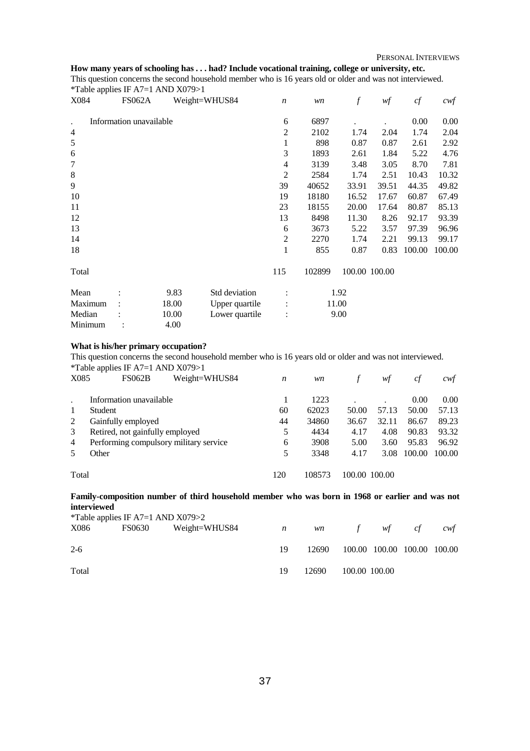### **How many years of schooling has . . . had? Include vocational training, college or university, etc.**

This question concerns the second household member who is 16 years old or older and was not interviewed. \*Table applies IF A7=1 AND X079>1

| -т г<br>X084 | <b>FS062A</b>           |       | Weight=WHUS84  | $\boldsymbol{n}$ | wn     | f             | wf    | cf     | $c \mathcal{w} f$ |
|--------------|-------------------------|-------|----------------|------------------|--------|---------------|-------|--------|-------------------|
|              | Information unavailable |       |                | 6                | 6897   |               |       | 0.00   | 0.00              |
| 4            |                         |       |                | 2                | 2102   | 1.74          | 2.04  | 1.74   | 2.04              |
| $\sqrt{5}$   |                         |       |                | 1                | 898    | 0.87          | 0.87  | 2.61   | 2.92              |
| 6            |                         |       |                | 3                | 1893   | 2.61          | 1.84  | 5.22   | 4.76              |
| $\tau$       |                         |       |                | 4                | 3139   | 3.48          | 3.05  | 8.70   | 7.81              |
| $\,8$        |                         |       |                | $\overline{2}$   | 2584   | 1.74          | 2.51  | 10.43  | 10.32             |
| 9            |                         |       |                | 39               | 40652  | 33.91         | 39.51 | 44.35  | 49.82             |
| 10           |                         |       |                | 19               | 18180  | 16.52         | 17.67 | 60.87  | 67.49             |
| 11           |                         |       |                | 23               | 18155  | 20.00         | 17.64 | 80.87  | 85.13             |
| 12           |                         |       |                | 13               | 8498   | 11.30         | 8.26  | 92.17  | 93.39             |
| 13           |                         |       |                | 6                | 3673   | 5.22          | 3.57  | 97.39  | 96.96             |
| 14           |                         |       |                | $\mathbf{2}$     | 2270   | 1.74          | 2.21  | 99.13  | 99.17             |
| 18           |                         |       |                | 1                | 855    | 0.87          | 0.83  | 100.00 | 100.00            |
| Total        |                         |       |                | 115              | 102899 | 100.00 100.00 |       |        |                   |
| Mean         |                         | 9.83  | Std deviation  |                  |        | 1.92          |       |        |                   |
| Maximum      |                         | 18.00 | Upper quartile |                  |        | 11.00         |       |        |                   |
| Median       |                         | 10.00 | Lower quartile | $\ddot{\cdot}$   |        | 9.00          |       |        |                   |
| Minimum      |                         | 4.00  |                |                  |        |               |       |        |                   |

## **What is his/her primary occupation?**

This question concerns the second household member who is 16 years old or older and was not interviewed. \*Table applies IF A7=1 AND X079>1

| X085           | Weight=WHUS84<br><b>FS062B</b>         | n   | wn     |               | wt    | ct     | cwt    |
|----------------|----------------------------------------|-----|--------|---------------|-------|--------|--------|
|                | Information unavailable                |     | 1223   |               |       | 0.00   | 0.00   |
|                | Student                                | 60  | 62023  | 50.00         | 57.13 | 50.00  | 57.13  |
| 2              | Gainfully employed                     | 44  | 34860  | 36.67         | 32.11 | 86.67  | 89.23  |
| 3              | Retired, not gainfully employed        | 5   | 4434   | 4.17          | 4.08  | 90.83  | 93.32  |
| $\overline{4}$ | Performing compulsory military service | 6   | 3908   | 5.00          | 3.60  | 95.83  | 96.92  |
| 5              | Other                                  | 5   | 3348   | 4.17          | 3.08  | 100.00 | 100.00 |
| Total          |                                        | 120 | 108573 | 100.00 100.00 |       |        |        |

**Family-composition number of third household member who was born in 1968 or earlier and was not interviewed**

| *Table applies IF A7=1 AND $X079>2$ |        |               |                |       |                             |    |     |
|-------------------------------------|--------|---------------|----------------|-------|-----------------------------|----|-----|
| X086                                | FS0630 | Weight=WHUS84 | $\overline{n}$ |       | wn f wf                     | ct | cwt |
|                                     |        |               |                |       |                             |    |     |
| $2-6$                               |        |               | 19             | 12690 | 100.00 100.00 100.00 100.00 |    |     |
|                                     |        |               |                |       |                             |    |     |
| Total                               |        |               | 19             | 12690 | 100.00 100.00               |    |     |
|                                     |        |               |                |       |                             |    |     |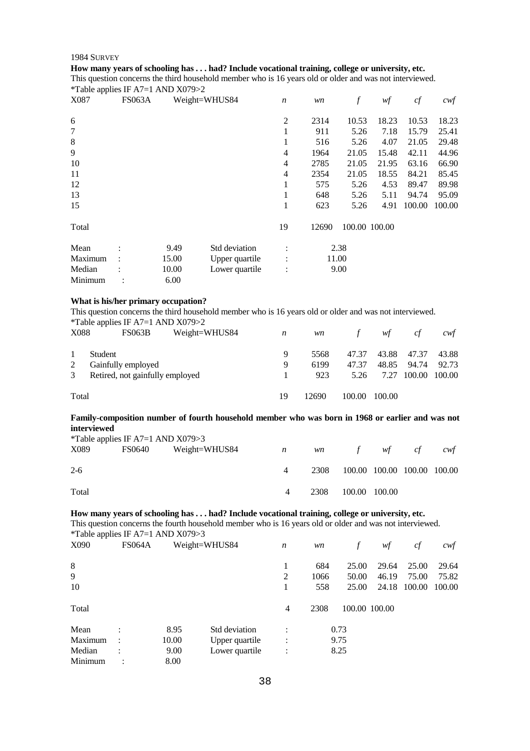#### **How many years of schooling has . . . had? Include vocational training, college or university, etc.**

This question concerns the third household member who is 16 years old or older and was not interviewed. \*Table applies IF A7=1 AND X079>2

| **<br>X087 | <b>FS063A</b> |       | Weight=WHUS84  | $\boldsymbol{n}$ | wn    | f             | wf    | cf     | $c \mathsf{w} f$ |
|------------|---------------|-------|----------------|------------------|-------|---------------|-------|--------|------------------|
| 6          |               |       |                | $\overline{2}$   | 2314  | 10.53         | 18.23 | 10.53  | 18.23            |
| 7          |               |       |                | 1                | 911   | 5.26          | 7.18  | 15.79  | 25.41            |
| 8          |               |       |                | 1                | 516   | 5.26          | 4.07  | 21.05  | 29.48            |
| 9          |               |       |                | 4                | 1964  | 21.05         | 15.48 | 42.11  | 44.96            |
| 10         |               |       |                | 4                | 2785  | 21.05         | 21.95 | 63.16  | 66.90            |
| 11         |               |       |                | 4                | 2354  | 21.05         | 18.55 | 84.21  | 85.45            |
| 12         |               |       |                | 1                | 575   | 5.26          | 4.53  | 89.47  | 89.98            |
| 13         |               |       |                | 1                | 648   | 5.26          | 5.11  | 94.74  | 95.09            |
| 15         |               |       |                | 1                | 623   | 5.26          | 4.91  | 100.00 | 100.00           |
| Total      |               |       |                | 19               | 12690 | 100.00 100.00 |       |        |                  |
| Mean       |               | 9.49  | Std deviation  |                  |       | 2.38          |       |        |                  |
| Maximum    |               | 15.00 | Upper quartile |                  | 11.00 |               |       |        |                  |
| Median     |               | 10.00 | Lower quartile | $\ddot{\cdot}$   |       | 9.00          |       |        |                  |
| Minimum    |               | 6.00  |                |                  |       |               |       |        |                  |

#### **What is his/her primary occupation?**

This question concerns the third household member who is 16 years old or older and was not interviewed. \*Table applies IF A7=1 AND X079>2

| X088  | .<br>FS063B                     | Weight=WHUS84 | n   | wn    | $\mathbf{f}$ | wt     | сt     | cwt   |
|-------|---------------------------------|---------------|-----|-------|--------------|--------|--------|-------|
|       | Student                         |               | 9   | 5568  | 47.37        | 43.88  | 47.37  | 43.88 |
| 2     | Gainfully employed              |               | 9   | 6199  | 47.37        | 48.85  | 94.74  | 92.73 |
| 3     | Retired, not gainfully employed |               | 923 | 5.26  | 7.27         | 100.00 | 100.00 |       |
| Total |                                 |               | 19  | 12690 | 100.00       | 100.00 |        |       |

#### **Family-composition number of fourth household member who was born in 1968 or earlier and was not interviewed**

|       | *Table applies IF A7=1 AND $X079>3$ |                                        |   |      |                             |    |     |
|-------|-------------------------------------|----------------------------------------|---|------|-----------------------------|----|-----|
| X089  |                                     | FS0640 Weight=WHUS84<br>$\overline{n}$ |   |      | wn f wf                     | ct | cwt |
|       |                                     |                                        |   |      |                             |    |     |
| $2-6$ |                                     |                                        | 4 | 2308 | 100.00 100.00 100.00 100.00 |    |     |
|       |                                     |                                        |   |      |                             |    |     |
| Total |                                     |                                        | 4 | 2308 | 100.00 100.00               |    |     |
|       |                                     |                                        |   |      |                             |    |     |

### **How many years of schooling has . . . had? Include vocational training, college or university, etc.**

This question concerns the fourth household member who is 16 years old or older and was not interviewed. \*Table applies IF A7=1 AND X079>3

| . .<br>X090 | <b>FS064A</b>        |       | Weight=WHUS84  | $\boldsymbol{n}$     | wn   | t             | wf    | cf     | cwf    |
|-------------|----------------------|-------|----------------|----------------------|------|---------------|-------|--------|--------|
| 8           |                      |       |                |                      | 684  | 25.00         | 29.64 | 25.00  | 29.64  |
| 9           |                      |       |                | 2                    | 1066 | 50.00         | 46.19 | 75.00  | 75.82  |
| 10          |                      |       |                | 1                    | 558  | 25.00         | 24.18 | 100.00 | 100.00 |
| Total       |                      |       |                | 4                    | 2308 | 100.00 100.00 |       |        |        |
| Mean        | $\bullet$            | 8.95  | Std deviation  | $\ddot{\cdot}$       |      | 0.73          |       |        |        |
| Maximum     | $\ddot{\phantom{a}}$ | 10.00 | Upper quartile | $\ddot{\cdot}$       |      | 9.75          |       |        |        |
| Median      | $\bullet$            | 9.00  | Lower quartile | $\ddot{\phantom{a}}$ |      | 8.25          |       |        |        |
| Minimum     | ٠                    | 8.00  |                |                      |      |               |       |        |        |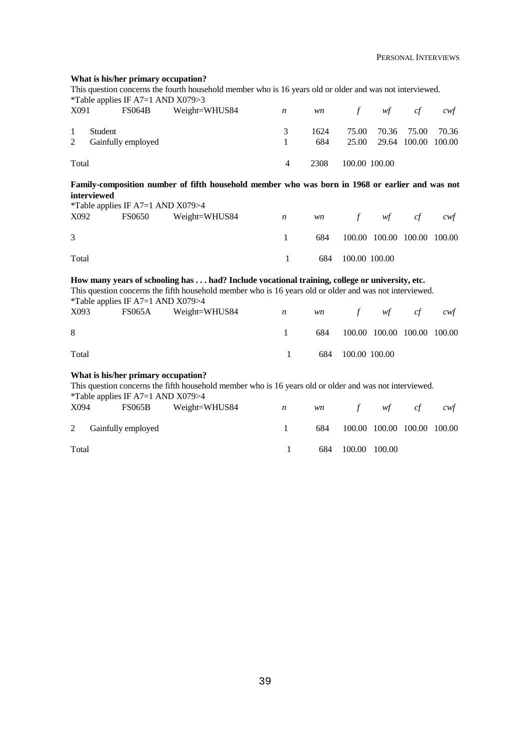#### **What is his/her primary occupation?**

This question concerns the fourth household member who is 16 years old or older and was not interviewed. *\**Table applies IF A7=1 AND X079>3<br>
Y001 ES064B Woight-V  $W$ eight=WHUS84 n wn f wf cf cwf

| $\Delta$ U <sub>7</sub> 1 | <b>T-POOCLE</b>                 |   |             | $VII$ $VII$ $VII$ $VII$ |  | $\epsilon_{W}$                                       |
|---------------------------|---------------------------------|---|-------------|-------------------------|--|------------------------------------------------------|
| $\mathbf{1}$              | Student<br>2 Gainfully employed |   | 1624<br>684 |                         |  | 75.00 70.36 75.00 70.36<br>25.00 29.64 100.00 100.00 |
| Total                     |                                 | 4 | 2308        | 100.00 100.00           |  |                                                      |

**Family-composition number of fifth household member who was born in 1968 or earlier and was not interviewed**

|       | $*$ Table applies IF A7=1 AND X079>4 |                      |              |     |                   |                             |    |     |
|-------|--------------------------------------|----------------------|--------------|-----|-------------------|-----------------------------|----|-----|
| X092  |                                      | FS0650 Weight=WHUS84 | $\mathbf{n}$ |     | wn f wf           |                             | ct | cwt |
|       |                                      |                      |              |     |                   |                             |    |     |
| 3     |                                      |                      |              | 684 |                   | 100.00 100.00 100.00 100.00 |    |     |
|       |                                      |                      |              |     |                   |                             |    |     |
| Total |                                      |                      | $\mathbf{1}$ |     | 684 100.00 100.00 |                             |    |     |

#### **How many years of schooling has . . . had? Include vocational training, college or university, etc.**

This question concerns the fifth household member who is 16 years old or older and was not interviewed. \*Table applies IF  $A7=1$  AND  $X079>4$ 

| X093  | FS065A Weight=WHUS84<br>$\mathbb{R}^n$ and $\mathbb{R}^n$ and $\mathbb{R}^n$ and $\mathbb{R}^n$ and $\mathbb{R}^n$ and $\mathbb{R}^n$ and $\mathbb{R}^n$ and $\mathbb{R}^n$ and $\mathbb{R}^n$ and $\mathbb{R}^n$ and $\mathbb{R}^n$ and $\mathbb{R}^n$ and $\mathbb{R}^n$ and $\mathbb{R}^n$ and $\mathbb{R}^n$ |  |                   | wn f wf cf                      | cwf |
|-------|------------------------------------------------------------------------------------------------------------------------------------------------------------------------------------------------------------------------------------------------------------------------------------------------------------------|--|-------------------|---------------------------------|-----|
| 8     |                                                                                                                                                                                                                                                                                                                  |  |                   | 684 100.00 100.00 100.00 100.00 |     |
| Total |                                                                                                                                                                                                                                                                                                                  |  | 684 100.00 100.00 |                                 |     |

#### **What is his/her primary occupation?**

This question concerns the fifth household member who is 16 years old or older and was not interviewed. \*Table applies IF A7=1 AND X079>4 X094 FS065B Weight=WHUS84 *n wn f wf cf cwf* 2 Gainfully employed Total 1 684 100.00 100.00 100.00 100.00 1 684 100.00 100.00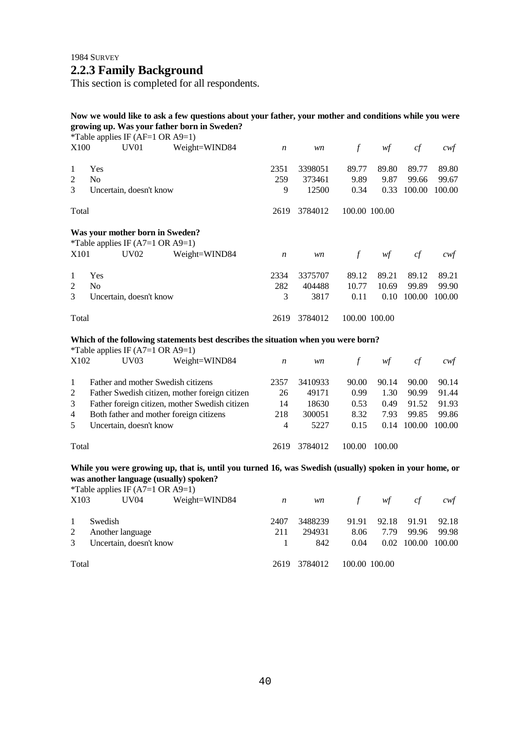## **2.2.3 Family Background**

This section is completed for all respondents.

## **Now we would like to ask a few questions about your father, your mother and conditions while you were growing up. Was your father born in Sweden?**

|                |                | *Table applies IF (AF=1 OR $A9=1$ )         |                                                                                    |                  |         |               |                |        |        |
|----------------|----------------|---------------------------------------------|------------------------------------------------------------------------------------|------------------|---------|---------------|----------------|--------|--------|
| X100           |                | UV <sub>01</sub>                            | Weight=WIND84                                                                      | $\boldsymbol{n}$ | wn      | $\mathcal{f}$ | wf             | cf     | cwf    |
| 1              | Yes            |                                             |                                                                                    | 2351             | 3398051 | 89.77         | 89.80          | 89.77  | 89.80  |
| $\overline{2}$ | N <sub>0</sub> |                                             |                                                                                    | 259              | 373461  | 9.89          | 9.87           | 99.66  | 99.67  |
| 3              |                | Uncertain, doesn't know                     |                                                                                    | 9                | 12500   | 0.34          | 0.33           | 100.00 | 100.00 |
| Total          |                |                                             |                                                                                    | 2619             | 3784012 |               | 100.00 100.00  |        |        |
|                |                |                                             | Was your mother born in Sweden?                                                    |                  |         |               |                |        |        |
|                |                | *Table applies IF $(A7=1 \text{ OR } A9=1)$ |                                                                                    |                  |         |               |                |        |        |
| X101           |                | <b>UV02</b>                                 | Weight=WIND84                                                                      | $\boldsymbol{n}$ | wn      | $\int$        | $\mathcal{W}f$ | cf     | cwf    |
| 1              | Yes            |                                             |                                                                                    | 2334             | 3375707 | 89.12         | 89.21          | 89.12  | 89.21  |
| $\overline{2}$ | N <sub>0</sub> |                                             |                                                                                    | 282              | 404488  | 10.77         | 10.69          | 99.89  | 99.90  |
| 3              |                | Uncertain, doesn't know                     |                                                                                    | 3                | 3817    | 0.11          | 0.10           | 100.00 | 100.00 |
| Total          |                |                                             |                                                                                    | 2619             | 3784012 |               | 100.00 100.00  |        |        |
|                |                |                                             | Which of the following statements best describes the situation when you were born? |                  |         |               |                |        |        |
|                |                | *Table applies IF $(A7=1 \text{ OR } A9=1)$ |                                                                                    |                  |         |               |                |        |        |
| X102           |                | UV <sub>03</sub>                            | Weight=WIND84                                                                      | $\boldsymbol{n}$ | wn      | $\mathcal{f}$ | wf             | cf     | cwf    |
| 1              |                |                                             | Father and mother Swedish citizens                                                 | 2357             | 3410933 | 90.00         | 90.14          | 90.00  | 90.14  |
| $\overline{2}$ |                |                                             | Father Swedish citizen, mother foreign citizen                                     | 26               | 49171   | 0.99          | 1.30           | 90.99  | 91.44  |
| 3              |                |                                             | Father foreign citizen, mother Swedish citizen                                     | 14               | 18630   | 0.53          | 0.49           | 91.52  | 91.93  |
| 4              |                |                                             | Both father and mother foreign citizens                                            | 218              | 300051  | 8.32          | 7.93           | 99.85  | 99.86  |
| 5              |                | Uncertain, doesn't know                     |                                                                                    | 4                | 5227    | 0.15          | 0.14           | 100.00 | 100.00 |
| Total          |                |                                             |                                                                                    | 2619             | 3784012 | 100.00        | 100.00         |        |        |

**While you were growing up, that is, until you turned 16, was Swedish (usually) spoken in your home, or was another language (usually) spoken?**

|       | *Table applies IF $(A7=1 \text{ OR } A9=1)$ |               |      |         |               |       |             |        |
|-------|---------------------------------------------|---------------|------|---------|---------------|-------|-------------|--------|
| X103  | UV04                                        | Weight=WIND84 | n    | wn      | $\mathcal{L}$ | wf    | cf          | cwt    |
|       | Swedish                                     |               | 2407 | 3488239 | 91.91         | 92.18 | 91.91       | 92.18  |
| 2     | Another language                            |               | 211  | 294931  | 8.06          | 7.79  | 99.96       | 99.98  |
| 3     | Uncertain, doesn't know                     |               |      | 842     | 0.04          |       | 0.02 100.00 | 100.00 |
| Total |                                             |               | 2619 | 3784012 | 100.00 100.00 |       |             |        |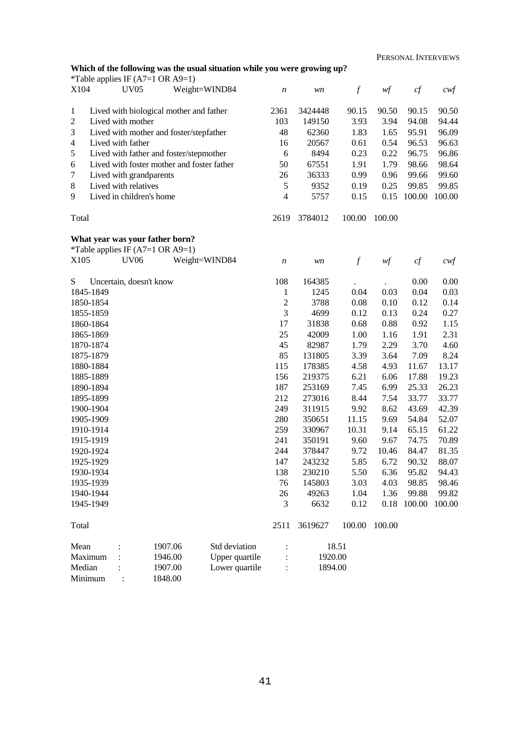PERSONAL INTERVIEWS

### **Which of the following was the usual situation while you were growing up?**

|                |                          | *Table applies IF $(A7=1 \text{ OR } A9=1)$ |                |                  |         |                  |        |        |                   |
|----------------|--------------------------|---------------------------------------------|----------------|------------------|---------|------------------|--------|--------|-------------------|
| X104           | <b>UV05</b>              |                                             | Weight=WIND84  | $\boldsymbol{n}$ | wn      | $\boldsymbol{f}$ | wf     | cf     | $c \mathcal{w} f$ |
| 1              |                          | Lived with biological mother and father     |                | 2361             | 3424448 | 90.15            | 90.50  | 90.15  | 90.50             |
| $\sqrt{2}$     | Lived with mother        |                                             |                | 103              | 149150  | 3.93             | 3.94   | 94.08  | 94.44             |
| $\mathfrak{Z}$ |                          | Lived with mother and foster/stepfather     |                | 48               | 62360   | 1.83             | 1.65   | 95.91  | 96.09             |
| $\overline{4}$ | Lived with father        |                                             |                | 16               | 20567   | 0.61             | 0.54   | 96.53  | 96.63             |
| $\mathfrak s$  |                          | Lived with father and foster/stepmother     |                | 6                | 8494    | 0.23             | 0.22   | 96.75  | 96.86             |
| 6              |                          | Lived with foster mother and foster father  |                | 50               | 67551   | 1.91             | 1.79   | 98.66  | 98.64             |
| $\tau$         | Lived with grandparents  |                                             |                | 26               | 36333   | 0.99             | 0.96   | 99.66  | 99.60             |
| $\,8\,$        | Lived with relatives     |                                             |                | $\mathfrak s$    | 9352    | 0.19             | 0.25   | 99.85  | 99.85             |
| 9              | Lived in children's home |                                             |                | 4                | 5757    | 0.15             | 0.15   | 100.00 | 100.00            |
| Total          |                          |                                             |                | 2619             | 3784012 | 100.00           | 100.00 |        |                   |
|                |                          | What year was your father born?             |                |                  |         |                  |        |        |                   |
| X105           | <b>UV06</b>              | *Table applies IF $(A7=1 \text{ OR } A9=1)$ | Weight=WIND84  | $\boldsymbol{n}$ | wn      | $\boldsymbol{f}$ | wf     | cf     | $c$ wf            |
| S              | Uncertain, doesn't know  |                                             |                | 108              | 164385  |                  |        | 0.00   | 0.00              |
| 1845-1849      |                          |                                             |                | $\mathbf{1}$     | 1245    | 0.04             | 0.03   | 0.04   | 0.03              |
| 1850-1854      |                          |                                             |                | $\sqrt{2}$       | 3788    | 0.08             | 0.10   | 0.12   | 0.14              |
|                |                          |                                             |                | 3                | 4699    | 0.12             | 0.13   | 0.24   | 0.27              |
|                | 1855-1859<br>1860-1864   |                                             |                |                  | 31838   | 0.68             | 0.88   | 0.92   | 1.15              |
| 1865-1869      |                          |                                             |                | 17<br>25         | 42009   | 1.00             | 1.16   | 1.91   | 2.31              |
| 1870-1874      |                          |                                             |                | 45               | 82987   | 1.79             | 2.29   | 3.70   | 4.60              |
| 1875-1879      |                          |                                             |                | 85               | 131805  | 3.39             | 3.64   | 7.09   | 8.24              |
| 1880-1884      |                          |                                             |                | 115              | 178385  | 4.58             | 4.93   | 11.67  | 13.17             |
| 1885-1889      |                          |                                             |                | 156              | 219375  | 6.21             | 6.06   | 17.88  | 19.23             |
| 1890-1894      |                          |                                             |                | 187              | 253169  | 7.45             | 6.99   | 25.33  | 26.23             |
| 1895-1899      |                          |                                             |                | 212              | 273016  | 8.44             | 7.54   | 33.77  | 33.77             |
| 1900-1904      |                          |                                             |                | 249              | 311915  | 9.92             | 8.62   | 43.69  | 42.39             |
| 1905-1909      |                          |                                             |                | 280              | 350651  | 11.15            | 9.69   | 54.84  | 52.07             |
| 1910-1914      |                          |                                             |                | 259              | 330967  | 10.31            | 9.14   | 65.15  | 61.22             |
| 1915-1919      |                          |                                             |                | 241              | 350191  | 9.60             | 9.67   | 74.75  | 70.89             |
| 1920-1924      |                          |                                             |                | 244              | 378447  | 9.72             | 10.46  | 84.47  | 81.35             |
| 1925-1929      |                          |                                             |                | 147              | 243232  | 5.85             | 6.72   | 90.32  | 88.07             |
| 1930-1934      |                          |                                             |                | 138              | 230210  | 5.50             | 6.36   | 95.82  | 94.43             |
| 1935-1939      |                          |                                             |                | 76               | 145803  | 3.03             | 4.03   | 98.85  | 98.46             |
| 1940-1944      |                          |                                             |                | 26               | 49263   | 1.04             | 1.36   | 99.88  | 99.82             |
| 1945-1949      |                          |                                             |                | 3                | 6632    | 0.12             | 0.18   | 100.00 | 100.00            |
| Total          |                          |                                             |                | 2511             | 3619627 | 100.00           | 100.00 |        |                   |
| Mean           |                          | 1907.06                                     | Std deviation  |                  |         | 18.51            |        |        |                   |
| Maximum        |                          | 1946.00                                     | Upper quartile |                  | 1920.00 |                  |        |        |                   |
| Median         |                          | 1907.00                                     | Lower quartile |                  | 1894.00 |                  |        |        |                   |
| Minimum        |                          | 1848.00                                     |                |                  |         |                  |        |        |                   |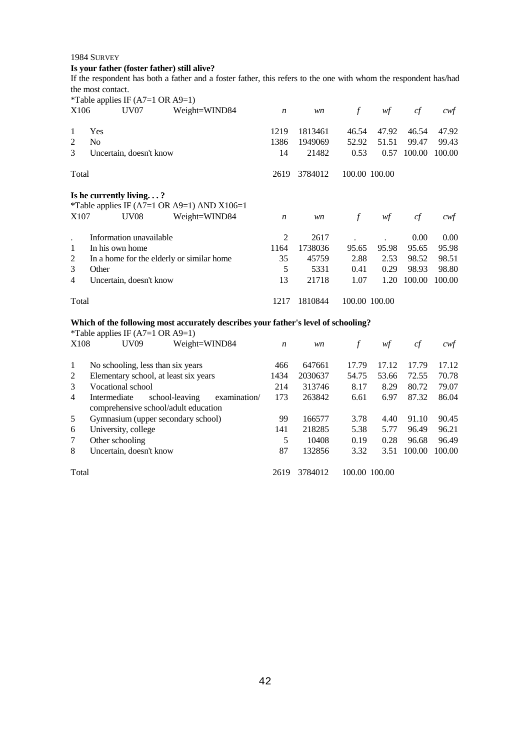## **Is your father (foster father) still alive?**

If the respondent has both a father and a foster father, this refers to the one with whom the respondent has/had the most contact.

|       | *Table applies IF $(A7=1 \text{ OR } A9=1)$ |                                             |                  |         |                  |       |        |        |
|-------|---------------------------------------------|---------------------------------------------|------------------|---------|------------------|-------|--------|--------|
| X106  | UV <sub>07</sub>                            | Weight=WIND84                               | $\boldsymbol{n}$ | wn      | $\boldsymbol{f}$ | wf    | cf     | cwt    |
|       |                                             |                                             |                  |         |                  |       |        |        |
| -1    | Yes                                         |                                             | 1219             | 1813461 | 46.54            | 47.92 | 46.54  | 47.92  |
| 2     | N <sub>0</sub>                              |                                             | 1386             | 1949069 | 52.92            | 51.51 | 99.47  | 99.43  |
| 3     | Uncertain, doesn't know                     |                                             | 14               | 21482   | 0.53             | 0.57  | 100.00 | 100.00 |
| Total |                                             |                                             | 2619             | 3784012 | 100.00 100.00    |       |        |        |
|       | Is he currently living?                     | *Table applies IF (A7=1 OR A9=1) AND X106=1 |                  |         |                  |       |        |        |
| X107  | <b>UV08</b>                                 | Weight=WIND84                               | $\boldsymbol{n}$ | wn      | $\int$           | wf    | cf     | cwt    |
|       | Information unavailable                     |                                             | 2                | 2617    |                  |       | 0.00   | 0.00   |
| 1     | In his own home                             |                                             | 1164             | 1738036 | 95.65            | 95.98 | 95.65  | 95.98  |
| 2     | In a home for the elderly or similar home   |                                             | 35               | 45759   | 2.88             | 2.53  | 98.52  | 98.51  |
| 3     | Other                                       |                                             | 5                | 5331    | 0.41             | 0.29  | 98.93  | 98.80  |
| 4     | Uncertain, doesn't know                     |                                             | 13               | 21718   | 1.07             | 1.20  | 100.00 | 100.00 |
| Total |                                             |                                             | 1217             | 1810844 | 100.00 100.00    |       |        |        |

#### **Which of the following most accurately describes your father's level of schooling?**

|       | *Table applies IF $(A7=1 \text{ OR } A9=1)$   |                  |         |               |       |        |        |
|-------|-----------------------------------------------|------------------|---------|---------------|-------|--------|--------|
| X108  | UV09<br>Weight=WIND84                         | $\boldsymbol{n}$ | wn      |               | wţ    | cf     | cwt    |
|       |                                               |                  |         |               |       |        |        |
| -1    | No schooling, less than six years             | 466              | 647661  | 17.79         | 17.12 | 17.79  | 17.12  |
| 2     | Elementary school, at least six years         | 1434             | 2030637 | 54.75         | 53.66 | 72.55  | 70.78  |
| 3     | Vocational school                             | 214              | 313746  | 8.17          | 8.29  | 80.72  | 79.07  |
| 4     | Intermediate<br>school-leaving<br>examination | 173              | 263842  | 6.61          | 6.97  | 87.32  | 86.04  |
|       | comprehensive school/adult education          |                  |         |               |       |        |        |
| 5     | Gymnasium (upper secondary school)            | 99               | 166577  | 3.78          | 4.40  | 91.10  | 90.45  |
| 6     | University, college                           | 141              | 218285  | 5.38          | 5.77  | 96.49  | 96.21  |
| 7     | Other schooling                               | 5                | 10408   | 0.19          | 0.28  | 96.68  | 96.49  |
| 8     | Uncertain, doesn't know                       | 87               | 132856  | 3.32          | 3.51  | 100.00 | 100.00 |
|       |                                               |                  |         |               |       |        |        |
| Total |                                               | 2619             | 3784012 | 100.00 100.00 |       |        |        |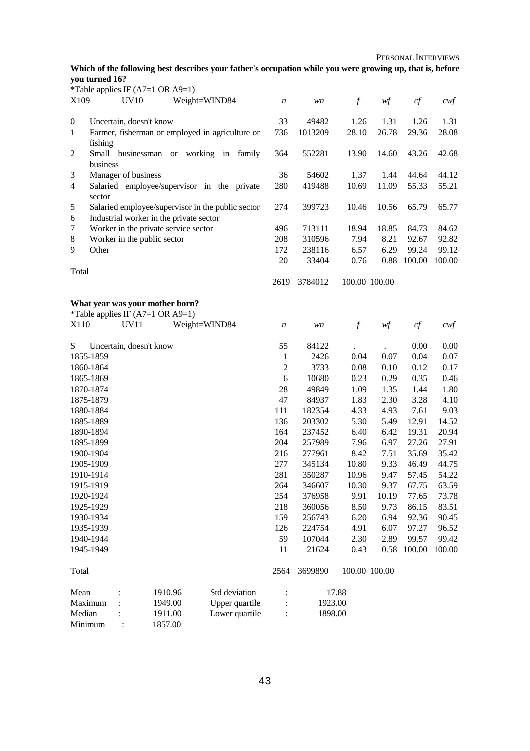PERSONAL INTERVIEWS

## **Which of the following best describes your father's occupation while you were growing up, that is, before you turned 16?**

|                  | *Table applies IF $(A7=1 \text{ OR } A9=1)$ |                                                   |                  |         |                  |               |                |                   |
|------------------|---------------------------------------------|---------------------------------------------------|------------------|---------|------------------|---------------|----------------|-------------------|
| X109             | <b>UV10</b>                                 | Weight=WIND84                                     | $\boldsymbol{n}$ | wn      | $\boldsymbol{f}$ | wf            | cf             | $c \mathcal{w} f$ |
|                  |                                             |                                                   |                  |         |                  |               |                |                   |
| $\boldsymbol{0}$ | Uncertain, doesn't know                     |                                                   | 33               | 49482   | 1.26             | 1.31          | 1.26           | 1.31              |
| $\mathbf{1}$     |                                             | Farmer, fisherman or employed in agriculture or   | 736              | 1013209 | 28.10            | 26.78         | 29.36          | 28.08             |
|                  | fishing                                     |                                                   |                  |         |                  |               |                |                   |
| $\overline{c}$   |                                             | Small businessman or working in family            | 364              | 552281  | 13.90            | 14.60         | 43.26          | 42.68             |
|                  | business                                    |                                                   |                  |         |                  |               |                |                   |
| 3                | Manager of business                         |                                                   | 36               | 54602   | 1.37             | 1.44          | 44.64          | 44.12             |
| $\overline{4}$   |                                             | Salaried employee/supervisor in the private       | 280              | 419488  | 10.69            | 11.09         | 55.33          | 55.21             |
|                  | sector                                      |                                                   |                  |         |                  |               |                |                   |
| 5                |                                             | Salaried employee/supervisor in the public sector | 274              | 399723  | 10.46            | 10.56         | 65.79          | 65.77             |
| 6                | Industrial worker in the private sector     |                                                   |                  |         |                  |               |                |                   |
| 7                | Worker in the private service sector        |                                                   | 496              | 713111  | 18.94            | 18.85         | 84.73          | 84.62             |
| 8                | Worker in the public sector                 |                                                   | 208              | 310596  | 7.94             | 8.21          | 92.67          | 92.82             |
| 9                | Other                                       |                                                   | 172              | 238116  | 6.57             | 6.29          | 99.24          | 99.12             |
|                  |                                             |                                                   | 20               | 33404   | 0.76             | 0.88          | 100.00         | 100.00            |
| Total            |                                             |                                                   |                  |         |                  |               |                |                   |
|                  |                                             |                                                   | 2619             | 3784012 |                  | 100.00 100.00 |                |                   |
|                  | What year was your mother born?             |                                                   |                  |         |                  |               |                |                   |
|                  | *Table applies IF $(A7=1 \text{ OR } A9=1)$ |                                                   |                  |         |                  |               |                |                   |
| X110             | <b>UV11</b>                                 | Weight=WIND84                                     | $\boldsymbol{n}$ | wn      | $\boldsymbol{f}$ | wf            | cf             | $c$ wf            |
|                  |                                             |                                                   |                  |         |                  |               |                |                   |
| S                | Uncertain, doesn't know                     |                                                   | 55               | 84122   |                  |               | 0.00           | 0.00              |
| 1855-1859        |                                             |                                                   | $\mathbf{1}$     | 2426    | 0.04             | 0.07          | 0.04           | 0.07              |
|                  | 1860-1864                                   |                                                   | $\overline{2}$   | 3733    | 0.08             | 0.10          | 0.12           | 0.17              |
| 1865-1869        |                                             |                                                   | 6                | 10680   | 0.23             | 0.29          | 0.35           | 0.46              |
|                  | 1870-1874                                   |                                                   | 28               | 49849   | 1.09             | 1.35          | 1.44           | 1.80              |
| 1875-1879        |                                             |                                                   | 47               | 84937   | 1.83             | 2.30          | 3.28           | 4.10              |
|                  | 1880-1884                                   |                                                   | 111              | 182354  | 4.33             | 4.93          | 7.61           | 9.03              |
| 1885-1889        |                                             |                                                   | 136              | 203302  | 5.30             | 5.49          | 12.91          | 14.52             |
|                  | 1890-1894                                   |                                                   | 164              | 237452  | 6.40             | 6.42          | 19.31          | 20.94             |
| 1895-1899        |                                             |                                                   | 204              | 257989  | 7.96             | 6.97          | 27.26          | 27.91             |
|                  |                                             |                                                   |                  |         |                  |               |                |                   |
|                  | 1900-1904                                   |                                                   | 216              | 277961  | 8.42             | 7.51          | 35.69<br>46.49 | 35.42             |
| 1905-1909        | 1910-1914                                   |                                                   | 277              | 345134  | 10.80            | 9.33          |                | 44.75             |
|                  |                                             |                                                   | 281              | 350287  | 10.96            | 9.47          | 57.45          | 54.22             |
|                  | 1915-1919                                   |                                                   | 264              | 346607  | 10.30            | 9.37          | 67.75          | 63.59             |
|                  | 1920-1924                                   |                                                   | 254              | 376958  | 9.91             | 10.19         | 77.65          | 73.78             |
|                  | 1925-1929                                   |                                                   | 218              | 360056  | 8.50             | 9.73          | 86.15          | 83.51             |
|                  | 1930-1934                                   |                                                   | 159              | 256743  | 6.20             | 6.94          | 92.36          | 90.45             |
|                  | 1935-1939                                   |                                                   | 126              | 224754  | 4.91             | 6.07          | 97.27          | 96.52             |
|                  | 1940-1944                                   |                                                   | 59               | 107044  | 2.30             | 2.89          | 99.57          | 99.42             |
|                  | 1945-1949                                   |                                                   | 11               | 21624   | 0.43             | 0.58          | 100.00         | 100.00            |
| Total            |                                             |                                                   | 2564             | 3699890 |                  | 100.00 100.00 |                |                   |
| Mean             |                                             | 1910.96<br>Std deviation                          | $\vdots$         |         | 17.88            |               |                |                   |
| Maximum          |                                             | Upper quartile<br>1949.00                         |                  | 1923.00 |                  |               |                |                   |
| Median           |                                             | Lower quartile<br>1911.00                         | :                | 1898.00 |                  |               |                |                   |
| Minimum          | 1857.00                                     |                                                   |                  |         |                  |               |                |                   |
|                  |                                             |                                                   |                  |         |                  |               |                |                   |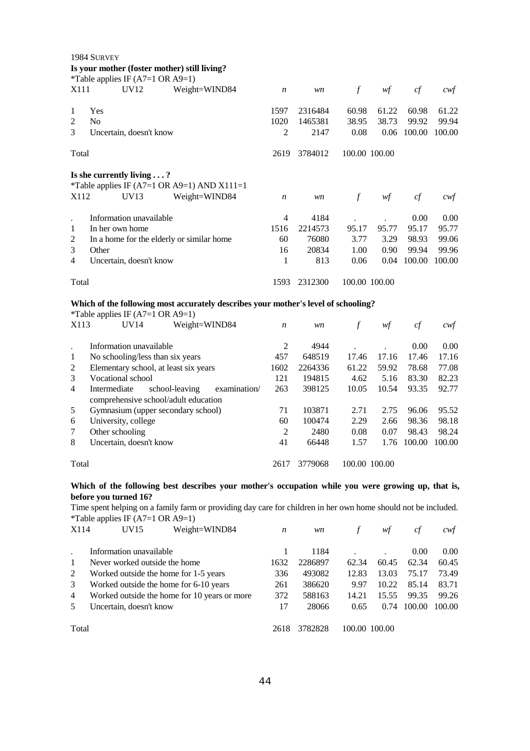|                | 1984 SURVEY                                                                                                                                        |                  |                |                  |       |                      |                  |  |  |
|----------------|----------------------------------------------------------------------------------------------------------------------------------------------------|------------------|----------------|------------------|-------|----------------------|------------------|--|--|
|                | Is your mother (foster mother) still living?                                                                                                       |                  |                |                  |       |                      |                  |  |  |
|                | *Table applies IF (A7=1 OR A9=1)                                                                                                                   |                  |                |                  |       |                      |                  |  |  |
| X111           | UV12<br>Weight=WIND84                                                                                                                              | n                | wn             | $\boldsymbol{f}$ | wf    | cf                   | cwf              |  |  |
| 1              | Yes                                                                                                                                                | 1597             | 2316484        | 60.98            | 61.22 | 60.98                | 61.22            |  |  |
| $\overline{2}$ | N <sub>o</sub>                                                                                                                                     | 1020             | 1465381        | 38.95            | 38.73 | 99.92                | 99.94            |  |  |
| 3              | Uncertain, doesn't know                                                                                                                            | $\overline{2}$   | 2147           | 0.08             |       | 0.06 100.00          | 100.00           |  |  |
| Total          |                                                                                                                                                    | 2619             | 3784012        | 100.00 100.00    |       |                      |                  |  |  |
|                | Is she currently living $\ldots$ ?                                                                                                                 |                  |                |                  |       |                      |                  |  |  |
|                | *Table applies IF (A7=1 OR A9=1) AND X111=1                                                                                                        |                  |                |                  |       |                      |                  |  |  |
| X112           | UV13<br>Weight=WIND84                                                                                                                              | $\boldsymbol{n}$ | wn             | $\mathcal{f}$    | wf    | cf                   | $c \mathsf{w} f$ |  |  |
| $\cdot$        | Information unavailable                                                                                                                            | $\overline{4}$   | 4184           |                  |       | 0.00                 | 0.00             |  |  |
| 1              | In her own home                                                                                                                                    | 1516             | 2214573        | 95.17            | 95.77 | 95.17                | 95.77            |  |  |
| $\overline{c}$ | In a home for the elderly or similar home                                                                                                          | 60               | 76080          | 3.77             | 3.29  | 98.93                | 99.06            |  |  |
| 3              | Other                                                                                                                                              | 16               | 20834          | 1.00             | 0.90  | 99.94                | 99.96            |  |  |
| $\overline{4}$ | Uncertain, doesn't know                                                                                                                            | 1                | 813            | 0.06             | 0.04  | 100.00               | 100.00           |  |  |
|                | 100.00 100.00<br>Total<br>1593<br>2312300                                                                                                          |                  |                |                  |       |                      |                  |  |  |
|                | Which of the following most accurately describes your mother's level of schooling?                                                                 |                  |                |                  |       |                      |                  |  |  |
|                | *Table applies IF $(A7=1 \text{ OR } A9=1)$                                                                                                        |                  |                |                  |       |                      |                  |  |  |
| X113           | UV14<br>Weight=WIND84                                                                                                                              | $\boldsymbol{n}$ | wn             | $\mathcal{f}$    | wf    | cf                   | cwt              |  |  |
| $\cdot$        | Information unavailable                                                                                                                            | $\mathfrak{2}$   | 4944           |                  |       | 0.00                 | 0.00             |  |  |
| 1              | No schooling/less than six years                                                                                                                   | 457              | 648519         | 17.46            | 17.16 | 17.46                | 17.16            |  |  |
| $\overline{c}$ | Elementary school, at least six years                                                                                                              | 1602             | 2264336        | 61.22            | 59.92 | 78.68                | 77.08            |  |  |
| 3              | Vocational school                                                                                                                                  | 121              | 194815         | 4.62             | 5.16  | 83.30                | 82.23            |  |  |
| $\overline{4}$ | school-leaving<br>Intermediate<br>examination/                                                                                                     | 263              | 398125         | 10.05            | 10.54 | 93.35                | 92.77            |  |  |
| 5              | comprehensive school/adult education                                                                                                               | 71               | 103871         | 2.71             | 2.75  | 96.06                | 95.52            |  |  |
|                | Gymnasium (upper secondary school)                                                                                                                 | 60               |                | 2.29             |       |                      |                  |  |  |
| 6<br>7         | University, college                                                                                                                                | $\overline{2}$   | 100474<br>2480 | 0.08             | 2.66  | 98.36                | 98.18            |  |  |
| 8              | Other schooling<br>Uncertain, doesn't know                                                                                                         | 41               | 66448          | 1.57             | 0.07  | 98.43<br>1.76 100.00 | 98.24<br>100.00  |  |  |
|                |                                                                                                                                                    |                  |                |                  |       |                      |                  |  |  |
| Total          |                                                                                                                                                    | 2617             | 3779068        | 100.00 100.00    |       |                      |                  |  |  |
|                | Which of the following best describes your mother's occupation while you were growing up, that is,                                                 |                  |                |                  |       |                      |                  |  |  |
|                | before you turned 16?                                                                                                                              |                  |                |                  |       |                      |                  |  |  |
|                | Time spent helping on a family farm or providing day care for children in her own home should not be included.<br>*Table applies IF (A7=1 OR A9=1) |                  |                |                  |       |                      |                  |  |  |
| X114           | UV15<br>Weight=WIND84                                                                                                                              | n                | wn             | $\int$           | wf    | cf                   | cwt              |  |  |
|                |                                                                                                                                                    |                  |                |                  |       |                      |                  |  |  |
|                | Information unavailable                                                                                                                            | 1                | 1184           |                  |       | 0.00                 | 0.00             |  |  |
| 1              | Never worked outside the home                                                                                                                      | 1632             | 2286897        | 62.34            | 60.45 | 62.34                | 60.45            |  |  |

| The <i>Literal Worked Outside the Home</i>     | $\mathbf{1} \mathbf{1} \mathbf{1} \mathbf{1} \mathbf{1} \mathbf{1} \mathbf{1}$ | ____________ |  | $02.37$ $00.73$ $02.37$     | $\mathbf{u} \mathbf{v}$ |
|------------------------------------------------|--------------------------------------------------------------------------------|--------------|--|-----------------------------|-------------------------|
| 2 Worked outside the home for 1-5 years        | 336                                                                            | 493082       |  | 12.83 13.03 75.17 73.49     |                         |
| 3 Worked outside the home for 6-10 years       | 261                                                                            | 386620       |  | 9.97 10.22 85.14 83.71      |                         |
| 4 Worked outside the home for 10 years or more | 372                                                                            | 588163       |  | 14.21 15.55 99.35 99.26     |                         |
| 5 Uncertain, doesn't know                      |                                                                                | 28066        |  | $0.65$ $0.74$ 100.00 100.00 |                         |
|                                                |                                                                                |              |  |                             |                         |

Total

2618 3782828 100.00 100.00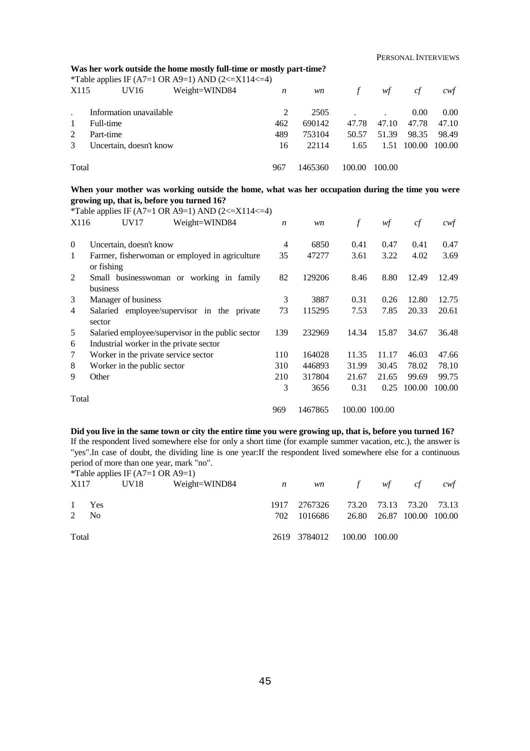#### **Was her work outside the home mostly full-time or mostly part-time?**

\*Table applies IF (A7=1 OR A9=1) AND (2 <=  $X114$  <= 4)

| X115  | UV16                    | Weight=WIND84 | n   | wn      | $\mathcal{L}$ | wf     | сt     | cwt    |
|-------|-------------------------|---------------|-----|---------|---------------|--------|--------|--------|
|       | Information unavailable |               | 2   | 2505    |               |        | 0.00   | 0.00   |
| 1     | Full-time               |               | 462 | 690142  | 47.78         | 47.10  | 47.78  | 47.10  |
| 2     | Part-time               |               | 489 | 753104  | 50.57         | 51.39  | 98.35  | 98.49  |
| 3     | Uncertain, doesn't know |               | 16  | 22114   | 1.65          | 1.51   | 100.00 | 100.00 |
| Total |                         |               | 967 | 1465360 | 100.00        | 100.00 |        |        |

#### **When your mother was working outside the home, what was her occupation during the time you were growing up, that is, before you turned 16?**

|                | *Table applies IF (A7=1 OR A9=1) AND (2<=X114<=4)                                            |                  |         |               |       |        |        |
|----------------|----------------------------------------------------------------------------------------------|------------------|---------|---------------|-------|--------|--------|
| X116           | UV17<br>Weight=WIND84                                                                        | $\boldsymbol{n}$ | wn      | $\int$        | wf    | cf     | cwt    |
| $\overline{0}$ | Uncertain, doesn't know                                                                      | $\overline{4}$   | 6850    | 0.41          | 0.47  | 0.41   | 0.47   |
| 1              | Farmer, fisherwoman or employed in agriculture<br>or fishing                                 | 35               | 47277   | 3.61          | 3.22  | 4.02   | 3.69   |
| 2              | Small businesswoman or working in family<br>business                                         | 82               | 129206  | 8.46          | 8.80  | 12.49  | 12.49  |
| 3              | Manager of business                                                                          | 3                | 3887    | 0.31          | 0.26  | 12.80  | 12.75  |
| 4              | Salaried employee/supervisor in the private<br>sector                                        | 73               | 115295  | 7.53          | 7.85  | 20.33  | 20.61  |
| 5<br>6         | Salaried employee/supervisor in the public sector<br>Industrial worker in the private sector | 139              | 232969  | 14.34         | 15.87 | 34.67  | 36.48  |
| 7              | Worker in the private service sector                                                         | 110              | 164028  | 11.35         | 11.17 | 46.03  | 47.66  |
| 8              | Worker in the public sector                                                                  | 310              | 446893  | 31.99         | 30.45 | 78.02  | 78.10  |
| 9              | Other                                                                                        | 210              | 317804  | 21.67         | 21.65 | 99.69  | 99.75  |
| Total          |                                                                                              | 3                | 3656    | 0.31          | 0.25  | 100.00 | 100.00 |
|                |                                                                                              | 969              | 1467865 | 100.00 100.00 |       |        |        |

#### **Did you live in the same town or city the entire time you were growing up, that is, before you turned 16?**

If the respondent lived somewhere else for only a short time (for example summer vacation, etc.), the answer is "yes".In case of doubt, the dividing line is one year:If the respondent lived somewhere else for a continuous period of more than one year, mark "no".

| 1 Yes<br>2 N <sub>0</sub><br>Total | *Table applies IF $(A7=1 \text{ OR } A9=1)$ |  | 2619 3784012 100.00 100.00 | X117 UV18 Weight=WIND84 <i>n</i> wn f wf cf cwf<br>1917 2767326 73.20 73.13 73.20 73.13<br>702 1016686 26.80 26.87 100.00 100.00 |
|------------------------------------|---------------------------------------------|--|----------------------------|----------------------------------------------------------------------------------------------------------------------------------|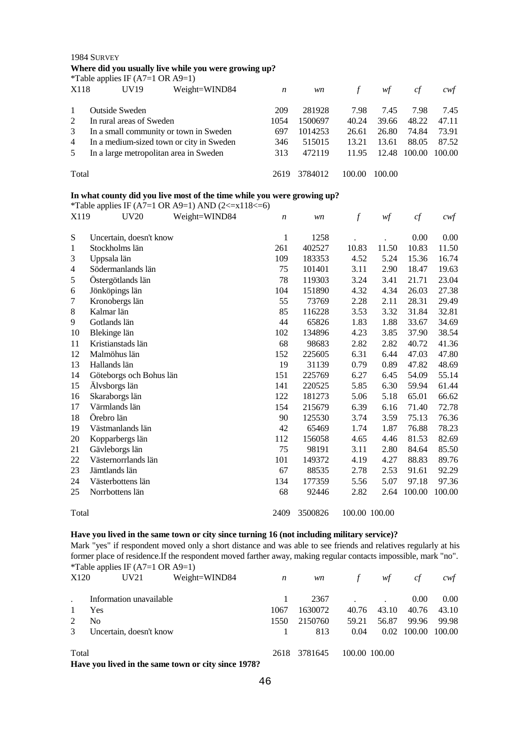1984 SURVEY **Where did you usually live while you were growing up?**

|                | *Table applies IF $(A7=1 \text{ OR } A9=1)$ |      |         |        |        |        |        |
|----------------|---------------------------------------------|------|---------|--------|--------|--------|--------|
| X118           | Weight=WIND84<br>UV <sub>19</sub>           | n    | wn      |        | wf     | сf     | cwt    |
| $\mathbf{1}$   | <b>Outside Sweden</b>                       | 209  | 281928  | 7.98   | 7.45   | 7.98   | 7.45   |
| 2              | In rural areas of Sweden                    | 1054 | 1500697 | 40.24  | 39.66  | 48.22  | 47.11  |
| 3              | In a small community or town in Sweden      | 697  | 1014253 | 26.61  | 26.80  | 74.84  | 73.91  |
| $\overline{4}$ | In a medium-sized town or city in Sweden    | 346  | 515015  | 13.21  | 13.61  | 88.05  | 87.52  |
| 5              | In a large metropolitan area in Sweden      |      | 472119  | 11.95  | 12.48  | 100.00 | 100.00 |
| Total          |                                             | 2619 | 3784012 | 100.00 | 100.00 |        |        |

### **In what county did you live most of the time while you were growing up?**

| X119  | Weight=WIND84<br><b>UV20</b> | $\boldsymbol{n}$ | wn      | $\boldsymbol{f}$ | wf    | cf     | $c \mathcal{w} f$ |
|-------|------------------------------|------------------|---------|------------------|-------|--------|-------------------|
| S     | Uncertain, doesn't know      | $\mathbf{1}$     | 1258    |                  |       | 0.00   | 0.00              |
| 1     | Stockholms län               | 261              | 402527  | 10.83            | 11.50 | 10.83  | 11.50             |
| 3     | Uppsala län                  | 109              | 183353  | 4.52             | 5.24  | 15.36  | 16.74             |
| 4     | Södermanlands län            | 75               | 101401  | 3.11             | 2.90  | 18.47  | 19.63             |
| 5     | Östergötlands län            | 78               | 119303  | 3.24             | 3.41  | 21.71  | 23.04             |
| 6     | Jönköpings län               | 104              | 151890  | 4.32             | 4.34  | 26.03  | 27.38             |
| 7     | Kronobergs län               | 55               | 73769   | 2.28             | 2.11  | 28.31  | 29.49             |
| 8     | Kalmar län                   | 85               | 116228  | 3.53             | 3.32  | 31.84  | 32.81             |
| 9     | Gotlands län                 | 44               | 65826   | 1.83             | 1.88  | 33.67  | 34.69             |
| 10    | Blekinge län                 | 102              | 134896  | 4.23             | 3.85  | 37.90  | 38.54             |
| 11    | Kristianstads län            | 68               | 98683   | 2.82             | 2.82  | 40.72  | 41.36             |
| 12    | Malmöhus län                 | 152              | 225605  | 6.31             | 6.44  | 47.03  | 47.80             |
| 13    | Hallands län                 | 19               | 31139   | 0.79             | 0.89  | 47.82  | 48.69             |
| 14    | Göteborgs och Bohus län      | 151              | 225769  | 6.27             | 6.45  | 54.09  | 55.14             |
| 15    | Älvsborgs län                | 141              | 220525  | 5.85             | 6.30  | 59.94  | 61.44             |
| 16    | Skaraborgs län               | 122              | 181273  | 5.06             | 5.18  | 65.01  | 66.62             |
| 17    | Värmlands län                | 154              | 215679  | 6.39             | 6.16  | 71.40  | 72.78             |
| 18    | Örebro län                   | 90               | 125530  | 3.74             | 3.59  | 75.13  | 76.36             |
| 19    | Västmanlands län             | 42               | 65469   | 1.74             | 1.87  | 76.88  | 78.23             |
| 20    | Kopparbergs län              | 112              | 156058  | 4.65             | 4.46  | 81.53  | 82.69             |
| 21    | Gävleborgs län               | 75               | 98191   | 3.11             | 2.80  | 84.64  | 85.50             |
| 22    | Västernorrlands län          | 101              | 149372  | 4.19             | 4.27  | 88.83  | 89.76             |
| 23    | Jämtlands län                | 67               | 88535   | 2.78             | 2.53  | 91.61  | 92.29             |
| 24    | Västerbottens län            | 134              | 177359  | 5.56             | 5.07  | 97.18  | 97.36             |
| 25    | Norrbottens län              |                  | 92446   | 2.82             | 2.64  | 100.00 | 100.00            |
| Total |                              | 2409             | 3500826 | 100.00 100.00    |       |        |                   |

# \*Table applies IF (A7=1 OR A9=1) AND (2 <=  $x118$  <= 6)

### **Have you lived in the same town or city since turning 16 (not including military service)?**

Mark "yes" if respondent moved only a short distance and was able to see friends and relatives regularly at his former place of residence.If the respondent moved farther away, making regular contacts impossible, mark "no". \*Table applies IF (A7=1 OR A9=1)

| X120                  | UV21                    | Weight=WIND84                             | n    | wn      | $\tau$        | wf    | ct          | cwf    |
|-----------------------|-------------------------|-------------------------------------------|------|---------|---------------|-------|-------------|--------|
|                       | Information unavailable |                                           |      | 2367    |               |       | 0.00        | 0.00   |
|                       | <b>Yes</b>              |                                           | 1067 | 1630072 | 40.76         | 43.10 | 40.76       | 43.10  |
| $\mathfrak{D}$        | No                      |                                           | 1550 | 2150760 | 59.21         | 56.87 | 99.96       | 99.98  |
| 3                     | Uncertain, doesn't know |                                           |      | 813     | 0.04          |       | 0.02 100.00 | 100.00 |
| Total<br>$\mathbf{r}$ | .                       | $\sqrt{2}$<br>$\bullet$<br>$\overline{a}$ | 2618 | 3781645 | 100.00 100.00 |       |             |        |

**Have you lived in the same town or city since 1978?**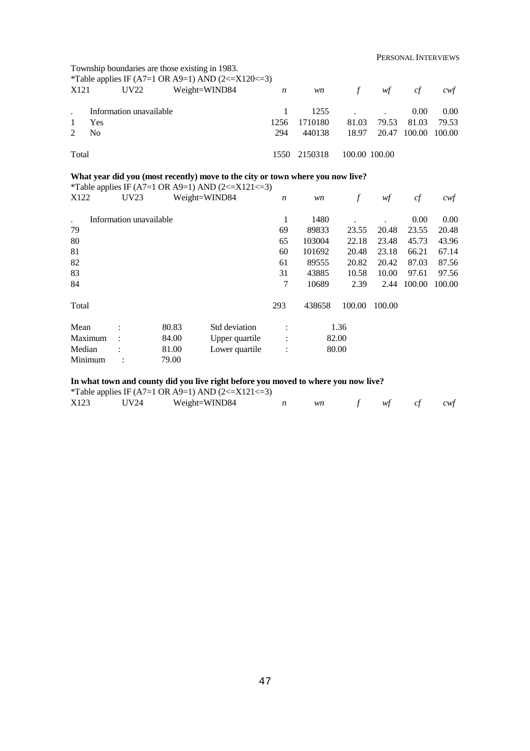PERSONAL INTERVIEWS

| Township boundaries are those existing in 1983.<br>*Table applies IF (A7=1 OR A9=1) AND (2<=X120<=3)<br>X121<br>UV22<br>Weight=WIND84<br>wf<br>$\mathcal{F}$<br>wn<br>$\boldsymbol{n}$ |                                      |             |                           |                |                |                         |                         |  |  |
|----------------------------------------------------------------------------------------------------------------------------------------------------------------------------------------|--------------------------------------|-------------|---------------------------|----------------|----------------|-------------------------|-------------------------|--|--|
|                                                                                                                                                                                        |                                      |             |                           |                |                | cf                      | cwt                     |  |  |
|                                                                                                                                                                                        | Information unavailable<br>Yes<br>No | 1256<br>294 | 1255<br>1710180<br>440138 | 81.03<br>18.97 | 79.53<br>20.47 | 0.00<br>81.03<br>100.00 | 0.00<br>79.53<br>100.00 |  |  |
| Total                                                                                                                                                                                  |                                      | 1550        | 2150318                   | 100.00 100.00  |                |                         |                         |  |  |

## **What year did you (most recently) move to the city or town where you now live?**

|                  |                         |       | *Table applies IF (A7=1 OR A9=1) AND (2<=X121<=3) |                  |        |        |        |        |        |
|------------------|-------------------------|-------|---------------------------------------------------|------------------|--------|--------|--------|--------|--------|
| X <sub>122</sub> | UV23                    |       | Weight=WIND84                                     | $\boldsymbol{n}$ | wn     |        | wf     | cf     | cwf    |
|                  | Information unavailable |       |                                                   | 1                | 1480   |        |        | 0.00   | 0.00   |
| 79               |                         |       |                                                   | 69               | 89833  | 23.55  | 20.48  | 23.55  | 20.48  |
| 80               |                         |       |                                                   | 65               | 103004 | 22.18  | 23.48  | 45.73  | 43.96  |
| 81               |                         |       |                                                   | 60               | 101692 | 20.48  | 23.18  | 66.21  | 67.14  |
| 82               |                         |       |                                                   | 61               | 89555  | 20.82  | 20.42  | 87.03  | 87.56  |
| 83               |                         |       |                                                   | 31               | 43885  | 10.58  | 10.00  | 97.61  | 97.56  |
| 84               |                         |       |                                                   | 7                | 10689  | 2.39   | 2.44   | 100.00 | 100.00 |
| Total            |                         |       |                                                   | 293              | 438658 | 100.00 | 100.00 |        |        |
| Mean             |                         | 80.83 | Std deviation                                     |                  |        | 1.36   |        |        |        |
| Maximum          |                         | 84.00 | Upper quartile                                    | :                | 82.00  |        |        |        |        |
| Median           |                         | 81.00 | Lower quartile                                    | $\bullet$        | 80.00  |        |        |        |        |
| Minimum          |                         | 79.00 |                                                   |                  |        |        |        |        |        |

## **In what town and county did you live right before you moved to where you now live?**

|      |      | <i>*Table applies IF (A7=1 OR A9=1) AND (2&lt;=X121&lt;=3)</i> |    |             |  |
|------|------|----------------------------------------------------------------|----|-------------|--|
| X123 | UV24 | Weight=WIND84                                                  | wn | f wf cf cwf |  |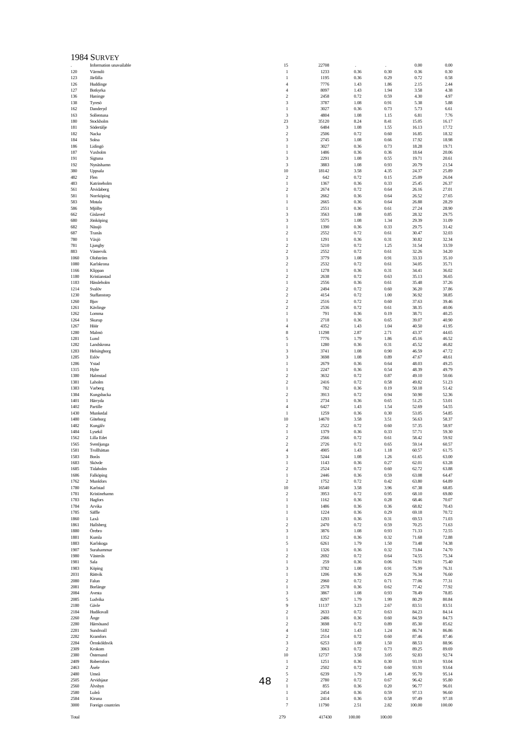|              | 1984 SURVEY               |    |                                           |               |              |              |                |                |
|--------------|---------------------------|----|-------------------------------------------|---------------|--------------|--------------|----------------|----------------|
|              | Information unavailable   |    | 15                                        | 22708         |              |              | 0.00           | 0.00           |
| 120<br>123   | Värmdö<br>Järfälla        |    | $\mathbf{1}$<br>$\mathbf{1}$              | 1233<br>1195  | 0.36<br>0.36 | 0.30<br>0.29 | 0.36<br>0.72   | 0.30<br>0.58   |
| 126          | Huddinge                  |    | $\overline{4}$                            | 7776          | 1.43         | 1.86         | 2.15           | 2.44           |
| 127          | Botkyrka                  |    | $\overline{4}$                            | 8097          | 1.43         | 1.94         | 3.58           | 4.38           |
| 136<br>138   | Haninge<br>Tyresö         |    | $\overline{2}$<br>3                       | 2458<br>3787  | 0.72<br>1.08 | 0.59<br>0.91 | 4.30<br>5.38   | 4.97<br>5.88   |
| 162          | Danderyd                  |    | $\mathbf{1}$                              | 3027          | 0.36         | 0.73         | 5.73           | 6.61           |
| 163          | Sollentuna                |    | 3                                         | 4804          | 1.08         | 1.15         | 6.81           | 7.76           |
| 180          | Stockholm                 |    | 23                                        | 35120         | 8.24         | 8.41         | 15.05          | 16.17          |
| 181<br>182   | Södertälje<br>Nacka       |    | 3<br>$\overline{2}$                       | 6484<br>2506  | 1.08<br>0.72 | 1.55<br>0.60 | 16.13<br>16.85 | 17.72<br>18.32 |
| 184          | Solna                     |    | 3                                         | 2745          | 1.08         | 0.66         | 17.92          | 18.98          |
| 186          | Lidingö                   |    | $\mathbf{1}$                              | 3027          | 0.36         | 0.73         | 18.28          | 19.71          |
| 187          | Vaxholm                   |    | $\mathbf{1}$                              | 1486<br>2291  | 0.36<br>1.08 | 0.36<br>0.55 | 18.64<br>19.71 | 20.06<br>20.61 |
| 191<br>192   | Sigtuna<br>Nynäshamn      |    | 3<br>3                                    | 3883          | 1.08         | 0.93         | 20.79          | 21.54          |
| 380          | Uppsala                   |    | 10                                        | 18142         | 3.58         | 4.35         | 24.37          | 25.89          |
| 482          | Flen                      |    | $\boldsymbol{2}$                          | 642           | 0.72         | 0.15         | 25.09          | 26.04          |
| 483<br>561   | Katrineholm<br>Atvidaberg |    | $\mathbf{1}$<br>$\overline{\mathbf{c}}$   | 1367<br>2674  | 0.36<br>0.72 | 0.33<br>0.64 | 25.45<br>26.16 | 26.37<br>27.01 |
| 581          | Norrköping                |    | $\mathbf{1}$                              | 2662          | 0.36         | 0.64         | 26.52          | 27.65          |
| 583          | Motala                    |    | $\mathbf{1}$                              | 2665          | 0.36         | 0.64         | 26.88          | 28.29          |
| 586<br>662   | Mjölby<br>Gislaved        |    | $\mathbf{1}$<br>3                         | 2551<br>3563  | 0.36<br>1.08 | 0.61<br>0.85 | 27.24<br>28.32 | 28.90<br>29.75 |
| 680          | Jönköping                 |    | 3                                         | 5575          | 1.08         | 1.34         | 29.39          | 31.09          |
| 682          | Nässjö                    |    | $\mathbf{1}$                              | 1390          | 0.36         | 0.33         | 29.75          | 31.42          |
| 687          | Tranås                    |    | $\overline{2}$                            | 2552          | 0.72         | 0.61         | 30.47          | 32.03          |
| 780<br>781   | Växjö<br>Ljungby          |    | $\mathbf{1}$<br>$\boldsymbol{2}$          | 1291<br>5210  | 0.36<br>0.72 | 0.31<br>1.25 | 30.82<br>31.54 | 32.34<br>33.59 |
| 883          | Västervik                 |    | $\boldsymbol{2}$                          | 2552          | 0.72         | 0.61         | 32.26          | 34.20          |
| 1060         | Olofström                 |    | 3                                         | 3779          | 1.08         | 0.91         | 33.33          | 35.10          |
| 1080<br>1166 | Karlskrona<br>Klippan     |    | $\boldsymbol{2}$<br>$\mathbf{1}$          | 2532<br>1278  | 0.72<br>0.36 | 0.61<br>0.31 | 34.05<br>34.41 | 35.71<br>36.02 |
| 1180         | Kristianstad              |    | $\overline{\mathbf{c}}$                   | 2638          | 0.72         | 0.63         | 35.13          | 36.65          |
| 1183         | Hässleholm                |    | $1\,$                                     | 2556          | 0.36         | 0.61         | 35.48          | 37.26          |
| 1214         | Svalöv                    |    | $\overline{2}$                            | 2494          | 0.72         | 0.60         | 36.20          | 37.86          |
| 1230<br>1260 | Staffanstorp<br>Bjuv      |    | $\boldsymbol{2}$<br>$\boldsymbol{2}$      | 4154<br>2516  | 0.72<br>0.72 | 1.00<br>0.60 | 36.92<br>37.63 | 38.85<br>39.46 |
| 1261         | Kävlinge                  |    | $\overline{2}$                            | 2536          | 0.72         | 0.61         | 38.35          | 40.06          |
| 1262         | Lomma                     |    | 1                                         | 791           | 0.36         | 0.19         | 38.71          | 40.25          |
| 1264<br>1267 | Skurup<br>Höör            |    | $\mathbf{1}$<br>$\overline{4}$            | 2718<br>4352  | 0.36<br>1.43 | 0.65<br>1.04 | 39.07<br>40.50 | 40.90<br>41.95 |
| 1280         | Malmö                     |    | 8                                         | 11298         | 2.87         | 2.71         | 43.37          | 44.65          |
| 1281         | Lund                      |    | 5                                         | 7776          | 1.79         | 1.86         | 45.16          | 46.52          |
| 1282         | Landskrona                |    | $\mathbf{1}$                              | 1280          | 0.36         | 0.31         | 45.52          | 46.82          |
| 1283<br>1285 | Helsingborg<br>Eslöv      |    | 3<br>3                                    | 3741<br>3698  | 1.08<br>1.08 | 0.90<br>0.89 | 46.59<br>47.67 | 47.72<br>48.61 |
| 1286         | Ystad                     |    | $\mathbf{1}$                              | 2679          | 0.36         | 0.64         | 48.03          | 49.25          |
| 1315         | Hylte                     |    | $\mathbf{1}$                              | 2247          | 0.36         | 0.54         | 48.39          | 49.79          |
| 1380<br>1381 | Halmstad<br>Laholm        |    | $\overline{2}$<br>$\boldsymbol{2}$        | 3632<br>2416  | 0.72<br>0.72 | 0.87<br>0.58 | 49.10<br>49.82 | 50.66<br>51.23 |
| 1383         | Varberg                   |    | $\mathbf{1}$                              | 782           | 0.36         | 0.19         | 50.18          | 51.42          |
| 1384         | Kungsbacka                |    | $\overline{2}$                            | 3913          | 0.72         | 0.94         | 50.90          | 52.36          |
| 1401         | Härryda                   |    | 1                                         | 2734          | 0.36         | 0.65         | 51.25          | 53.01          |
| 1402<br>1430 | Partille<br>Munkedal      |    | $\overline{4}$<br>$\mathbf{1}$            | 6427<br>1259  | 1.43<br>0.36 | 1.54<br>0.30 | 52.69<br>53.05 | 54.55<br>54.85 |
| 1480         | Göteborg                  |    | 10                                        | 14670         | 3.58         | 3.51         | 56.63          | 58.37          |
| 1482         | Kungälv                   |    | $\overline{2}$                            | 2522          | 0.72         | 0.60         | 57.35          | 58.97          |
| 1484<br>1562 | Lysekil<br>Lilla Edet     |    | $\mathbf{1}$<br>$\overline{2}$            | 1379<br>2566  | 0.36<br>0.72 | 0.33<br>0.61 | 57.71<br>58.42 | 59.30<br>59.92 |
| 1565         | Svenljunga                |    | $\overline{c}$                            | 2726          | 0.72         | 0.65         | 59.14          | 60.57          |
| 1581         | Trollhättan               |    | 4                                         | 4905          | 1.43         | 1.18         | 60.57          | 61.75          |
| 1583<br>1683 | Borås<br>Skövde           |    | 3<br>$\mathbf{1}$                         | 5244<br>1143  | 1.08<br>0.36 | 1.26<br>0.27 | 61.65<br>62.01 | 63.00<br>63.28 |
| 1685         | Tidaholm                  |    | $\overline{\mathbf{c}}$                   | 2524          | 0.72         | 0.60         | 62.72          | 63.88          |
| 1686         | Falköping                 |    | $1\,$                                     | 2446          | 0.36         | 0.59         | 63.08          | 64.47          |
| 1762         | Munkfors                  |    | $\overline{2}$                            | 1752          | 0.72         | 0.42         | 63.80          | 64.89          |
| 1780<br>1781 | Karlstad<br>Kristinehamn  |    | 10<br>$\boldsymbol{2}$                    | 16540<br>3953 | 3.58<br>0.72 | 3.96<br>0.95 | 67.38<br>68.10 | 68.85<br>69.80 |
| 1783         | Hagfors                   |    | $\mathbf{1}$                              | 1162          | 0.36         | 0.28         | 68.46          | 70.07          |
| 1784         | Arvika                    |    | 1                                         | 1486          | 0.36         | 0.36         | 68.82          | 70.43          |
| 1785<br>1860 | Säffle<br>Laxå            |    | $\mathbf{1}$<br>$\mathbf{1}$              | 1224<br>1293  | 0.36<br>0.36 | 0.29<br>0.31 | 69.18<br>69.53 | 70.72<br>71.03 |
| 1861         | Hallsberg                 |    | $\boldsymbol{2}$                          | 2470          | 0.72         | 0.59         | 70.25          | 71.63          |
| 1880         | Örebro                    |    | 3                                         | 3876          | 1.08         | 0.93         | 71.33          | 72.55          |
| 1881         | Kumla                     |    | $\mathbf{1}$                              | 1352          | 0.36         | 0.32         | 71.68          | 72.88          |
| 1883<br>1907 | Karlskoga<br>Surahammar   |    | 5<br>$\mathbf{1}$                         | 6261<br>1326  | 1.79<br>0.36 | 1.50<br>0.32 | 73.48<br>73.84 | 74.38<br>74.70 |
| 1980         | Västerås                  |    | $\overline{\mathbf{c}}$                   | 2692          | 0.72         | 0.64         | 74.55          | 75.34          |
| 1981         | Sala                      |    | $1\,$                                     | 259           | 0.36         | 0.06         | 74.91          | 75.40          |
| 1983<br>2031 | Köping<br>Rättvik         |    | 3<br>$\mathbf{1}$                         | 3782<br>1206  | 1.08<br>0.36 | 0.91<br>0.29 | 75.99<br>76.34 | 76.31<br>76.60 |
| 2080         | Falun                     |    | $\overline{2}$                            | 2960          | 0.72         | 0.71         | 77.06          | 77.31          |
| 2081         | Borlänge                  |    | $\mathbf{1}$                              | 2578          | 0.36         | 0.62         | 77.42          | 77.92          |
| 2084<br>2085 | Avesta                    |    | 3                                         | 3867          | 1.08         | 0.93         | 78.49          | 78.85          |
| 2180         | Ludvika<br>Gävle          |    | 5<br>9                                    | 8297<br>11137 | 1.79<br>3.23 | 1.99<br>2.67 | 80.29<br>83.51 | 80.84<br>83.51 |
| 2184         | Hudiksvall                |    | $\boldsymbol{2}$                          | 2633          | 0.72         | 0.63         | 84.23          | 84.14          |
| 2260         | Ånge                      |    | $\mathbf{1}$                              | 2486          | 0.36         | 0.60         | 84.59          | 84.73          |
| 2280<br>2281 | Härnösand<br>Sundsvall    |    | $\overline{\mathbf{c}}$<br>$\overline{4}$ | 3698<br>5182  | 0.72<br>1.43 | 0.89<br>1.24 | 85.30<br>86.74 | 85.62<br>86.86 |
| 2282         | Kramfors                  |    | $\overline{2}$                            | 2514          | 0.72         | 0.60         | 87.46          | 87.46          |
| 2284         | Örnsköldsvik              |    | 3                                         | 6253          | 1.08         | 1.50         | 88.53          | 88.96          |
| 2309         | Krokom                    |    | $\boldsymbol{2}$                          | 3063          | 0.72         | 0.73         | 89.25          | 89.69          |
| 2380<br>2409 | Östersund<br>Robertsfors  |    | 10<br>$\mathbf{1}$                        | 12737<br>1251 | 3.58<br>0.36 | 3.05<br>0.30 | 92.83<br>93.19 | 92.74<br>93.04 |
| 2463         | Åsele                     |    | $\boldsymbol{2}$                          | 2502          | 0.72         | 0.60         | 93.91          | 93.64          |
| 2480         | Umeå                      |    | 5                                         | 6239          | 1.79         | 1.49         | 95.70          | 95.14          |
| 2505<br>2560 | Arvidsjaur<br>Älvsbyn     | 48 | $\overline{\mathbf{c}}$<br>$\mathbf{1}$   | 2780<br>855   | 0.72<br>0.36 | 0.67<br>0.20 | 96.42<br>96.77 | 95.80<br>96.01 |
| 2580         | Luleå                     |    | $\mathbf{1}$                              | 2454          | 0.36         | 0.59         | 97.13          | 96.60          |
| 2584         | Kiruna                    |    | $\mathbf{1}$                              | 2414          | 0.36         | 0.58         | 97.49          | 97.18          |
| 3000         | Foreign countries         |    | $\overline{7}$                            | 11790         | 2.51         | 2.82         | 100.00         | 100.00         |
| Total        |                           |    | 279                                       | 417430        | 100.00       | 100.00       |                |                |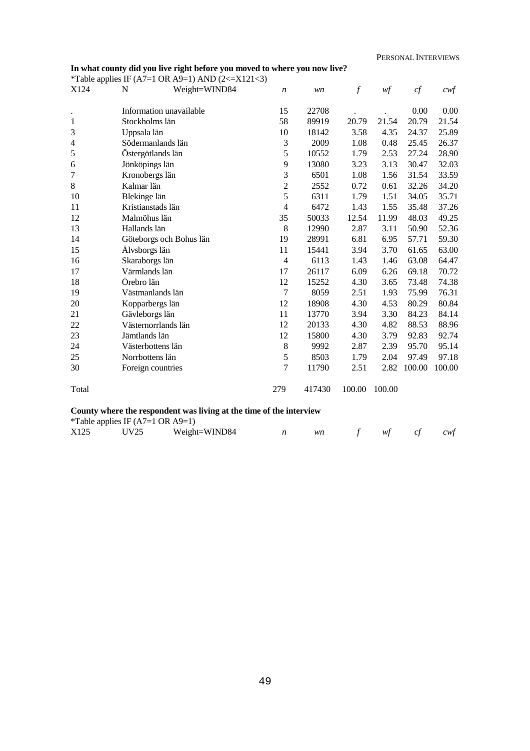$0.00$ 21.54 25.89 26.37 28.90 32.03 33.59  $34.20$ 35.71 37.26 49.25 52.36 59.30 63.00 64.47 70.72 74.38 76.31 80.84 84.14 88.96 92.74 95.14 97.18 100.00

| In what county did you live right before you moved to where you now live? | PERSONAL INTERVIEW |                                                        |                  |       |               |                |        |                   |
|---------------------------------------------------------------------------|--------------------|--------------------------------------------------------|------------------|-------|---------------|----------------|--------|-------------------|
|                                                                           |                    | *Table applies IF (A7=1 OR A9=1) AND (2 <= $X121$ < 3) |                  |       |               |                |        |                   |
| X124                                                                      | N                  | Weight=WIND84                                          | $\boldsymbol{n}$ | wn    | $\mathcal{f}$ | $\mathcal{W}f$ | cf     | cwf               |
|                                                                           |                    | Information unavailable                                | 15               | 22708 |               |                | 0.00   | 0.00              |
| 1                                                                         | Stockholms län     |                                                        | 58               | 89919 | 20.79         | 21.54          | 20.79  | 21.54             |
| 3                                                                         | Uppsala län        |                                                        | 10               | 18142 | 3.58          | 4.35           | 24.37  | 25.89             |
| $\overline{4}$                                                            |                    | Södermanlands län                                      | $\mathfrak{Z}$   | 2009  | 1.08          | 0.48           | 25.45  | 26.3'             |
| 5                                                                         | Östergötlands län  |                                                        | 5                | 10552 | 1.79          | 2.53           | 27.24  | 28.9              |
| 6                                                                         | Jönköpings län     |                                                        | 9                | 13080 | 3.23          | 3.13           | 30.47  | 32.0              |
| 7                                                                         | Kronobergs län     |                                                        | 3                | 6501  | 1.08          | 1.56           | 31.54  | 33.5              |
| $\,8\,$                                                                   | Kalmar län         |                                                        | $\overline{2}$   | 2552  | 0.72          | 0.61           | 32.26  | 34.20             |
| 10                                                                        | Blekinge län       |                                                        | 5                | 6311  | 1.79          | 1.51           | 34.05  | 35.7              |
| 11                                                                        | Kristianstads län  |                                                        | $\overline{4}$   | 6472  | 1.43          | 1.55           | 35.48  | 37.20             |
| 12                                                                        | Malmöhus län       |                                                        | 35               | 50033 | 12.54         | 11.99          | 48.03  | 49.2              |
| 13                                                                        | Hallands län       |                                                        | 8                | 12990 | 2.87          | 3.11           | 50.90  | 52.3 <sub>0</sub> |
| 14                                                                        |                    | Göteborgs och Bohus län                                | 19               | 28991 | 6.81          | 6.95           | 57.71  | 59.30             |
| 15                                                                        | Älvsborgs län      |                                                        | 11               | 15441 | 3.94          | 3.70           | 61.65  | 63.0              |
| 16                                                                        | Skaraborgs län     |                                                        | $\overline{4}$   | 6113  | 1.43          | 1.46           | 63.08  | 64.4              |
| 17                                                                        | Värmlands län      |                                                        | 17               | 26117 | 6.09          | 6.26           | 69.18  | 70.72             |
| 18                                                                        | Örebro län         |                                                        | 12               | 15252 | 4.30          | 3.65           | 73.48  | 74.3              |
| 19                                                                        | Västmanlands län   |                                                        | $\overline{7}$   | 8059  | 2.51          | 1.93           | 75.99  | 76.3              |
| 20                                                                        | Kopparbergs län    |                                                        | 12               | 18908 | 4.30          | 4.53           | 80.29  | 80.84             |
| 21                                                                        | Gävleborgs län     |                                                        | 11               | 13770 | 3.94          | 3.30           | 84.23  | 84.14             |
| 22                                                                        |                    | Västernorrlands län                                    | 12               | 20133 | 4.30          | 4.82           | 88.53  | 88.9              |
| 23                                                                        | Jämtlands län      |                                                        | 12               | 15800 | 4.30          | 3.79           | 92.83  | 92.74             |
| 24                                                                        | Västerbottens län  |                                                        | $\,8$            | 9992  | 2.87          | 2.39           | 95.70  | 95.14             |
| 25                                                                        | Norrbottens län    |                                                        | 5                | 8503  | 1.79          | 2.04           | 97.49  | 97.1              |
| 30                                                                        | Foreign countries  |                                                        | 7                | 11790 | 2.51          | 2.82           | 100.00 | 100.0             |

| County where the respondent was living at the time of the interview |  |  |
|---------------------------------------------------------------------|--|--|

Total

|  |  |  |  | County where the respondent was living at the time of the intervie |  |  |  |  |  |  |  |  |  |  |  |
|--|--|--|--|--------------------------------------------------------------------|--|--|--|--|--|--|--|--|--|--|--|
|--|--|--|--|--------------------------------------------------------------------|--|--|--|--|--|--|--|--|--|--|--|

|      | *Table applies IF $(A7=1 \text{ OR } A9=1)$ |               |  |  |     |
|------|---------------------------------------------|---------------|--|--|-----|
| X125 | UV25                                        | Weight=WIND84 |  |  | cwt |

279 417430 100.00 100.00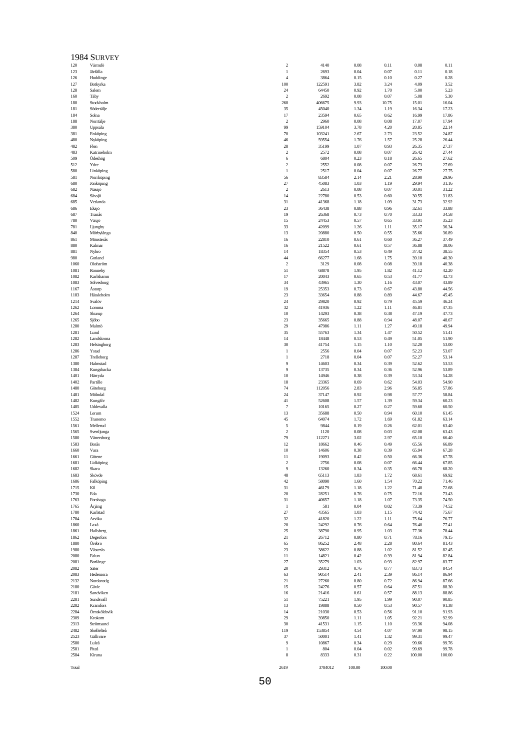|              | 1984 SURVEY             |                       |                 |              |              |                |                |
|--------------|-------------------------|-----------------------|-----------------|--------------|--------------|----------------|----------------|
| 120          | Värmdö                  | $\sqrt{2}$            | 4140            | 0.08         | 0.11         | 0.08           | 0.11           |
| 123          | Järfälla                | $\mathbf{1}$          | 2693            | 0.04         | 0.07         | 0.11           | 0.18           |
| 126<br>127   | Huddinge<br>Botkyrka    | $\overline{4}$<br>100 | 3864<br>122591  | 0.15<br>3.82 | 0.10<br>3.24 | 0.27<br>4.09   | 0.28<br>3.52   |
| 128          | Salem                   | 24                    | 64450           | 0.92         | 1.70         | 5.00           | 5.23           |
| 160          | Täby                    | $\overline{2}$        | 2692            | 0.08         | 0.07         | 5.08           | 5.30           |
| 180          | Stockholm               | 260                   | 406675          | 9.93         | 10.75        | 15.01          | 16.04          |
| 181<br>184   | Södertälje<br>Solna     | 35<br>17              | 45040<br>23594  | 1.34<br>0.65 | 1.19<br>0.62 | 16.34<br>16.99 | 17.23<br>17.86 |
| 188          | Norrtälje               | $\overline{2}$        | 2960            | 0.08         | 0.08         | 17.07          | 17.94          |
| 380          | Uppsala                 | 99                    | 159104          | 3.78         | 4.20         | 20.85          | 22.14          |
| 381          | Enköping                | 70                    | 103241          | 2.67         | 2.73         | 23.52          | 24.87          |
| 480          | Nyköping                | 46                    | 59554           | 1.76         | 1.57         | 25.28          | 26.44          |
| 482<br>483   | Flen<br>Katrineholm     | 28<br>$\overline{2}$  | 35199<br>2572   | 1.07<br>0.08 | 0.93<br>0.07 | 26.35<br>26.42 | 27.37<br>27.44 |
| 509          | Ödeshög                 | 6                     | 6804            | 0.23         | 0.18         | 26.65          | 27.62          |
| 512          | Ydre                    | $\sqrt{2}$            | 2552            | 0.08         | 0.07         | 26.73          | 27.69          |
| 580          | Linköping               | $\mathbf{1}$          | 2517            | 0.04         | 0.07         | 26.77          | 27.75          |
| 581<br>680   | Norrköping<br>Jönköping | 56<br>27              | 83584<br>45083  | 2.14<br>1.03 | 2.21<br>1.19 | 28.90<br>29.94 | 29.96<br>31.16 |
| 682          | Nässjö                  | $\overline{2}$        | 2613            | 0.08         | 0.07         | 30.01          | 31.22          |
| 684          | Sävsjö                  | 14                    | 22780           | 0.53         | 0.60         | 30.55          | 31.83          |
| 685          | Vetlanda                | 31                    | 41368           | 1.18         | 1.09         | 31.73          | 32.92          |
| 686          | Eksjö                   | 23                    | 36438           | 0.88         | 0.96         | 32.61          | 33.88          |
| 687<br>780   | Tranås<br>Växjö         | 19<br>15              | 26368<br>24453  | 0.73<br>0.57 | 0.70<br>0.65 | 33.33<br>33.91 | 34.58<br>35.23 |
| 781          | Ljungby                 | 33                    | 42099           | 1.26         | 1.11         | 35.17          | 36.34          |
| 840          | Mörbylånga              | 13                    | 20880           | 0.50         | 0.55         | 35.66          | 36.89          |
| 861          | Mönsterås               | 16                    | 22810           | 0.61         | 0.60         | 36.27          | 37.49          |
| 880          | Kalmar                  | 16                    | 21522           | 0.61         | 0.57         | 36.88          | 38.06          |
| 881<br>980   | Nybro<br>Gotland        | 14<br>44              | 18354<br>66277  | 0.53<br>1.68 | 0.49<br>1.75 | 37.42<br>39.10 | 38.55<br>40.30 |
| 1060         | Olofström               | $\overline{c}$        | 3129            | 0.08         | 0.08         | 39.18          | 40.38          |
| 1081         | Ronneby                 | 51                    | 68878           | 1.95         | 1.82         | 41.12          | 42.20          |
| 1082         | Karlshamn               | 17                    | 20043           | 0.65         | 0.53         | 41.77          | 42.73          |
| 1083<br>1167 | Sölvesborg              | 34<br>19              | 43965<br>25353  | 1.30<br>0.73 | 1.16<br>0.67 | 43.07<br>43.80 | 43.89<br>44.56 |
| 1183         | Astorp<br>Hässleholm    | 23                    | 33654           | 0.88         | 0.89         | 44.67          | 45.45          |
| 1214         | Svalöv                  | 24                    | 29820           | 0.92         | 0.79         | 45.59          | 46.24          |
| 1262         | Lomma                   | 32                    | 41936           | 1.22         | 1.11         | 46.81          | 47.35          |
| 1264         | Skurup                  | 10                    | 14293           | 0.38         | 0.38         | 47.19          | 47.73          |
| 1265<br>1280 | Sjöbo<br>Malmö          | 23<br>29              | 35665<br>47986  | 0.88<br>1.11 | 0.94<br>1.27 | 48.07<br>49.18 | 48.67<br>49.94 |
| 1281         | Lund                    | 35                    | 55763           | 1.34         | 1.47         | 50.52          | 51.41          |
| 1282         | Landskrona              | 14                    | 18448           | 0.53         | 0.49         | 51.05          | 51.90          |
| 1283         | Helsingborg             | 30                    | 41754           | 1.15         | 1.10         | 52.20          | 53.00          |
| 1286         | Ystad                   | $\mathbf{1}$          | 2556            | 0.04         | 0.07         | 52.23          | 53.07          |
| 1287<br>1380 | Trelleborg<br>Halmstad  | $\mathbf{1}$<br>9     | 2718<br>14603   | 0.04<br>0.34 | 0.07<br>0.39 | 52.27<br>52.62 | 53.14<br>53.53 |
| 1384         | Kungsbacka              | $\overline{9}$        | 13735           | 0.34         | 0.36         | 52.96          | 53.89          |
| 1401         | Härryda                 | $10\,$                | 14946           | 0.38         | 0.39         | 53.34          | 54.28          |
| 1402         | Partille                | 18                    | 23365           | 0.69         | 0.62         | 54.03          | 54.90          |
| 1480<br>1481 | Göteborg<br>Mölndal     | 74<br>24              | 112056<br>37147 | 2.83<br>0.92 | 2.96<br>0.98 | 56.85<br>57.77 | 57.86<br>58.84 |
| 1482         | Kungälv                 | 41                    | 52608           | 1.57         | 1.39         | 59.34          | 60.23          |
| 1485         | Uddevalla               | $\overline{7}$        | 10165           | 0.27         | 0.27         | 59.60          | 60.50          |
| 1524         | Lerum                   | 13                    | 35688           | 0.50         | 0.94         | 60.10          | 61.45          |
| 1552<br>1561 | Tranemo<br>Mellerud     | 45<br>5               | 64074<br>9844   | 1.72<br>0.19 | 1.69<br>0.26 | 61.82<br>62.01 | 63.14<br>63.40 |
| 1565         | Svenljunga              | $\overline{2}$        | 1120            | 0.08         | 0.03         | 62.08          | 63.43          |
| 1580         | Vänersborg              | 79                    | 112271          | 3.02         | 2.97         | 65.10          | 66.40          |
| 1583         | Borås                   | 12                    | 18662           | 0.46         | 0.49         | 65.56          | 66.89          |
| 1660         | Vara                    | 10                    | 14606           | 0.38         | 0.39         | 65.94          | 67.28          |
| 1661<br>1681 | Götene<br>Lidköping     | 11<br>$\sqrt{2}$      | 19093<br>2756   | 0.42<br>0.08 | 0.50<br>0.07 | 66.36<br>66.44 | 67.78<br>67.85 |
| 1682         | Skara                   | 9                     | 13260           | 0.34         | 0.35         | 66.78          | 68.20          |
| 1683         | Skövde                  | 48                    | 65113           | 1.83         | 1.72         | 68.61          | 69.92          |
| 1686         | Falköping               | 42                    | 58090           | 1.60         | 1.54         | 70.22          | 71.46          |
| 1715<br>1730 | Kil<br>Eda              | 31<br>20              | 46179<br>28251  | 1.18<br>0.76 | 1.22<br>0.75 | 71.40<br>72.16 | 72.68<br>73.43 |
| 1763         | Forshaga                | 31                    | 40657           | 1.18         | 1.07         | 73.35          | 74.50          |
| 1765         | Årjäng                  | 1                     | 581             | 0.04         | 0.02         | 73.39          | 74.52          |
| 1780         | Karlstad                | $27\,$                | 43565           | 1.03         | 1.15         | 74.42          | 75.67          |
| 1784<br>1860 | Arvika<br>Laxå          | 32<br>20              | 41820<br>24292  | 1.22<br>0.76 | 1.11<br>0.64 | 75.64<br>76.40 | 76.77<br>77.41 |
| 1861         | Hallsberg               | 25                    | 38790           | 0.95         | 1.03         | 77.36          | 78.44          |
| 1862         | Degerfors               | 21                    | 26712           | 0.80         | 0.71         | 78.16          | 79.15          |
| 1880         | Örebro                  | 65                    | 86252           | 2.48         | 2.28         | 80.64          | 81.43          |
| 1980         | Västerås                | 23                    | 38622           | 0.88         | 1.02         | 81.52          | 82.45          |
| 2080<br>2081 | Falun<br>Borlänge       | 11<br>27              | 14821<br>35279  | 0.42<br>1.03 | 0.39<br>0.93 | 81.94<br>82.97 | 82.84<br>83.77 |
| 2082         | Säter                   | 20                    | 29312           | 0.76         | 0.77         | 83.73          | 84.54          |
| 2083         | Hedemora                | 63                    | 90514           | 2.41         | 2.39         | 86.14          | 86.94          |
| 2132         | Nordanstig              | 21                    | 27260           | 0.80         | 0.72         | 86.94          | 87.66          |
| 2180         | Gävle                   | 15                    | 24276           | 0.57         | 0.64         | 87.51          | 88.30          |
| 2181<br>2281 | Sandviken<br>Sundsvall  | 16<br>51              | 21416<br>75221  | 0.61<br>1.95 | 0.57<br>1.99 | 88.13<br>90.07 | 88.86<br>90.85 |
| 2282         | Kramfors                | 13                    | 19888           | 0.50         | 0.53         | 90.57          | 91.38          |
| 2284         | Örnsköldsvik            | 14                    | 21030           | 0.53         | 0.56         | 91.10          | 91.93          |
| 2309         | Krokom                  | 29                    | 39850           | 1.11         | 1.05         | 92.21          | 92.99          |
| 2313<br>2482 | Strömsund<br>Skellefteå | 30<br>119             | 41531<br>153854 | 1.15<br>4.54 | 1.10<br>4.07 | 93.36<br>97.90 | 94.08<br>98.15 |
| 2523         | Gällivare               | 37                    | 50001           | 1.41         | 1.32         | 99.31          | 99.47          |
| 2580         | Luleå                   | 9                     | 10867           | 0.34         | 0.29         | 99.66          | 99.76          |
| 2581         | Piteå                   | $\mathbf{1}$          | 804             | 0.04         | 0.02         | 99.69          | 99.78          |
| 2584         | Kiruna                  | 8                     | 8333            | 0.31         | 0.22         | 100.00         | 100.00         |

50

2619 3784012 100.00 100.00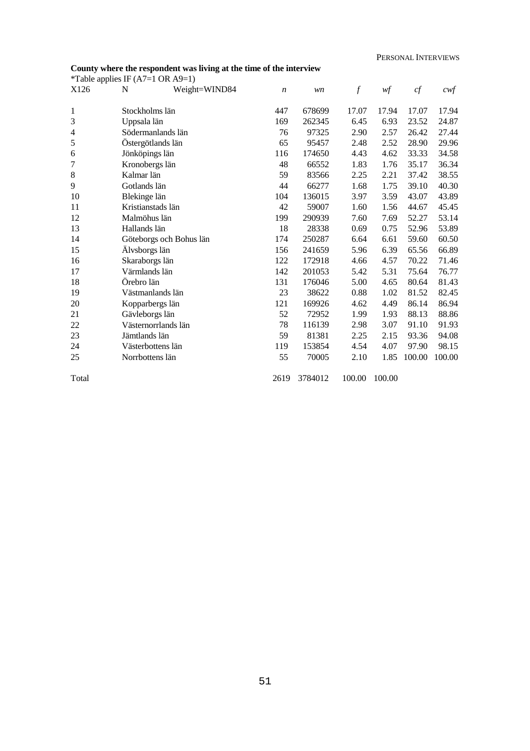## **County where the respondent was living at the time of the interview**

|                          |                 | *Table applies IF $(A7=1 \text{ OR } A9=1)$ |                  |         |                  |        |        |        |
|--------------------------|-----------------|---------------------------------------------|------------------|---------|------------------|--------|--------|--------|
| X126                     | N               | Weight=WIND84                               | $\boldsymbol{n}$ | wn      | $\boldsymbol{f}$ | wf     | cf     | $c$ wf |
|                          |                 |                                             |                  |         |                  |        |        |        |
| 1                        | Stockholms län  |                                             | 447              | 678699  | 17.07            | 17.94  | 17.07  | 17.94  |
| 3                        | Uppsala län     |                                             | 169              | 262345  | 6.45             | 6.93   | 23.52  | 24.87  |
| $\overline{\mathcal{A}}$ |                 | Södermanlands län                           | 76               | 97325   | 2.90             | 2.57   | 26.42  | 27.44  |
| 5                        |                 | Östergötlands län                           | 65               | 95457   | 2.48             | 2.52   | 28.90  | 29.96  |
| 6                        | Jönköpings län  |                                             | 116              | 174650  | 4.43             | 4.62   | 33.33  | 34.58  |
| 7                        | Kronobergs län  |                                             | 48               | 66552   | 1.83             | 1.76   | 35.17  | 36.34  |
| 8                        | Kalmar län      |                                             | 59               | 83566   | 2.25             | 2.21   | 37.42  | 38.55  |
| 9                        | Gotlands län    |                                             | 44               | 66277   | 1.68             | 1.75   | 39.10  | 40.30  |
| 10                       | Blekinge län    |                                             | 104              | 136015  | 3.97             | 3.59   | 43.07  | 43.89  |
| 11                       |                 | Kristianstads län                           | 42               | 59007   | 1.60             | 1.56   | 44.67  | 45.45  |
| 12                       | Malmöhus län    |                                             | 199              | 290939  | 7.60             | 7.69   | 52.27  | 53.14  |
| 13                       | Hallands län    |                                             | 18               | 28338   | 0.69             | 0.75   | 52.96  | 53.89  |
| 14                       |                 | Göteborgs och Bohus län                     | 174              | 250287  | 6.64             | 6.61   | 59.60  | 60.50  |
| 15                       | Älvsborgs län   |                                             | 156              | 241659  | 5.96             | 6.39   | 65.56  | 66.89  |
| 16                       | Skaraborgs län  |                                             | 122              | 172918  | 4.66             | 4.57   | 70.22  | 71.46  |
| 17                       | Värmlands län   |                                             | 142              | 201053  | 5.42             | 5.31   | 75.64  | 76.77  |
| 18                       | Örebro län      |                                             | 131              | 176046  | 5.00             | 4.65   | 80.64  | 81.43  |
| 19                       |                 | Västmanlands län                            | 23               | 38622   | 0.88             | 1.02   | 81.52  | 82.45  |
| 20                       |                 | Kopparbergs län                             | 121              | 169926  | 4.62             | 4.49   | 86.14  | 86.94  |
| 21                       | Gävleborgs län  |                                             | 52               | 72952   | 1.99             | 1.93   | 88.13  | 88.86  |
| 22                       |                 | Västernorrlands län                         | 78               | 116139  | 2.98             | 3.07   | 91.10  | 91.93  |
| 23                       | Jämtlands län   |                                             | 59               | 81381   | 2.25             | 2.15   | 93.36  | 94.08  |
| 24                       |                 | Västerbottens län                           | 119              | 153854  | 4.54             | 4.07   | 97.90  | 98.15  |
| 25                       | Norrbottens län |                                             | 55               | 70005   | 2.10             | 1.85   | 100.00 | 100.00 |
| Total                    |                 |                                             | 2619             | 3784012 | 100.00           | 100.00 |        |        |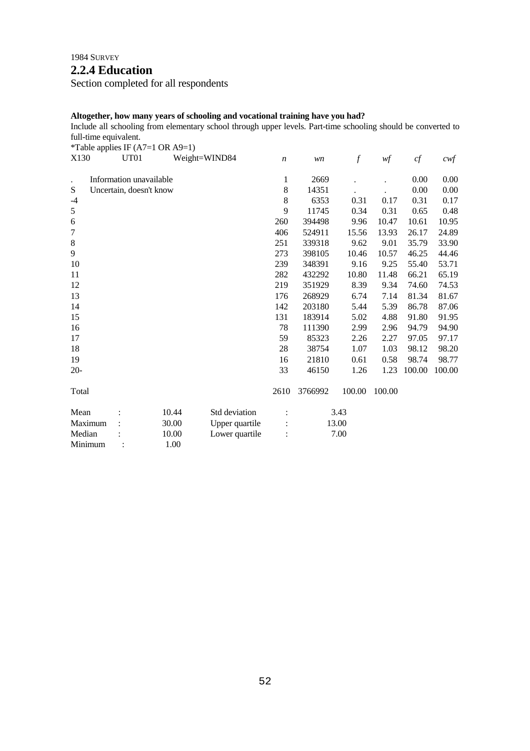# **2.2.4 Education**

Section completed for all respondents

### **Altogether, how many years of schooling and vocational training have you had?**

Include all schooling from elementary school through upper levels. Part-time schooling should be converted to full-time equivalent.

\*Table applies IF (A7=1 OR A9=1)

| X130    | UT01                    |       | Weight=WIND84  | $\boldsymbol{n}$ | wn      | $\overline{f}$ | wf     | cf     | $c \mathcal{w} f$ |
|---------|-------------------------|-------|----------------|------------------|---------|----------------|--------|--------|-------------------|
| $\cdot$ | Information unavailable |       |                | 1                | 2669    |                |        | 0.00   | 0.00              |
| S       | Uncertain, doesn't know |       |                | 8                | 14351   |                |        | 0.00   | 0.00              |
| $-4$    |                         |       |                | 8                | 6353    | 0.31           | 0.17   | 0.31   | 0.17              |
| 5       |                         |       |                | 9                | 11745   | 0.34           | 0.31   | 0.65   | 0.48              |
| 6       |                         |       |                | 260              | 394498  | 9.96           | 10.47  | 10.61  | 10.95             |
| $\tau$  |                         |       |                | 406              | 524911  | 15.56          | 13.93  | 26.17  | 24.89             |
| $\,8\,$ |                         |       |                | 251              | 339318  | 9.62           | 9.01   | 35.79  | 33.90             |
| 9       |                         |       |                | 273              | 398105  | 10.46          | 10.57  | 46.25  | 44.46             |
| 10      |                         |       |                | 239              | 348391  | 9.16           | 9.25   | 55.40  | 53.71             |
| 11      |                         |       |                | 282              | 432292  | 10.80          | 11.48  | 66.21  | 65.19             |
| 12      |                         |       |                | 219              | 351929  | 8.39           | 9.34   | 74.60  | 74.53             |
| 13      |                         |       |                | 176              | 268929  | 6.74           | 7.14   | 81.34  | 81.67             |
| 14      |                         |       |                | 142              | 203180  | 5.44           | 5.39   | 86.78  | 87.06             |
| 15      |                         |       |                | 131              | 183914  | 5.02           | 4.88   | 91.80  | 91.95             |
| 16      |                         |       |                | 78               | 111390  | 2.99           | 2.96   | 94.79  | 94.90             |
| 17      |                         |       |                | 59               | 85323   | 2.26           | 2.27   | 97.05  | 97.17             |
| 18      |                         |       |                | 28               | 38754   | 1.07           | 1.03   | 98.12  | 98.20             |
| 19      |                         |       |                | 16               | 21810   | 0.61           | 0.58   | 98.74  | 98.77             |
| $20-$   |                         |       |                | 33               | 46150   | 1.26           | 1.23   | 100.00 | 100.00            |
| Total   |                         |       |                | 2610             | 3766992 | 100.00         | 100.00 |        |                   |
| Mean    |                         | 10.44 | Std deviation  |                  |         | 3.43           |        |        |                   |
| Maximum |                         | 30.00 | Upper quartile |                  |         | 13.00          |        |        |                   |
| Median  |                         | 10.00 | Lower quartile |                  |         | 7.00           |        |        |                   |
| Minimum |                         | 1.00  |                |                  |         |                |        |        |                   |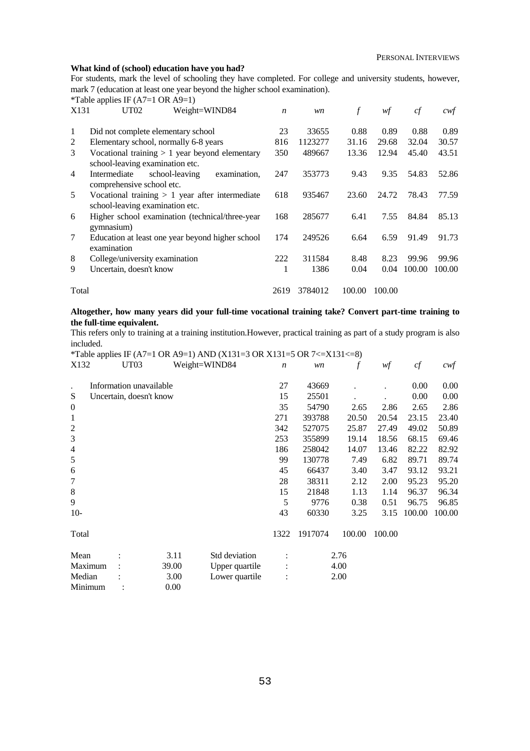#### **What kind of (school) education have you had?**

For students, mark the level of schooling they have completed. For college and university students, however, mark 7 (education at least one year beyond the higher school examination).<br>
\*Table annlies IE ( $\Delta 7$ –1 OB  $\Delta 9$ –1) mplies IF ( $\Delta$ 7–1 OR  $\Delta$ 9–1)

|                | Table applies IF $(A/-1$ ON $A$ 9-1)                                                 |                  |         |        |        |        |        |
|----------------|--------------------------------------------------------------------------------------|------------------|---------|--------|--------|--------|--------|
| X131           | Weight=WIND84<br>UT <sub>02</sub>                                                    | $\boldsymbol{n}$ | wn      | f      | wf     | cf     | cwf    |
| 1              | Did not complete elementary school                                                   | 23               | 33655   | 0.88   | 0.89   | 0.88   | 0.89   |
| 2              | Elementary school, normally 6-8 years                                                | 816              | 1123277 | 31.16  | 29.68  | 32.04  | 30.57  |
| 3              | Vocational training $> 1$ year beyond elementary<br>school-leaving examination etc.  | 350              | 489667  | 13.36  | 12.94  | 45.40  | 43.51  |
| $\overline{4}$ | Intermediate<br>school-leaving<br>examination.<br>comprehensive school etc.          | 247              | 353773  | 9.43   | 9.35   | 54.83  | 52.86  |
| 5              | Vocational training $> 1$ year after intermediate<br>school-leaving examination etc. | 618              | 935467  | 23.60  | 24.72  | 78.43  | 77.59  |
| 6              | Higher school examination (technical/three-year)<br>gymnasium)                       | 168              | 285677  | 6.41   | 7.55   | 84.84  | 85.13  |
| 7              | Education at least one year beyond higher school<br>examination                      | 174              | 249526  | 6.64   | 6.59   | 91.49  | 91.73  |
| 8              | College/university examination                                                       | 222              | 311584  | 8.48   | 8.23   | 99.96  | 99.96  |
| 9              | Uncertain, doesn't know                                                              | 1                | 1386    | 0.04   | 0.04   | 100.00 | 100.00 |
| Total          |                                                                                      |                  | 3784012 | 100.00 | 100.00 |        |        |

### **Altogether, how many years did your full-time vocational training take? Convert part-time training to the full-time equivalent.**

This refers only to training at a training institution.However, practical training as part of a study program is also included.

|                  |                         |       | *Table applies IF (A7=1 OR A9=1) AND (X131=3 OR X131=5 OR 7<=X131<=8) |                  |         |        |        |        |        |
|------------------|-------------------------|-------|-----------------------------------------------------------------------|------------------|---------|--------|--------|--------|--------|
| X132             | UT <sub>03</sub>        |       | Weight=WIND84                                                         | $\boldsymbol{n}$ | wn      |        | wf     | cf     | $c$ wf |
|                  | Information unavailable |       |                                                                       | 27               | 43669   |        |        | 0.00   | 0.00   |
| S                | Uncertain, doesn't know |       |                                                                       | 15               | 25501   |        |        | 0.00   | 0.00   |
| $\boldsymbol{0}$ |                         |       |                                                                       | 35               | 54790   | 2.65   | 2.86   | 2.65   | 2.86   |
| 1                |                         |       |                                                                       | 271              | 393788  | 20.50  | 20.54  | 23.15  | 23.40  |
| $\overline{c}$   |                         |       |                                                                       | 342              | 527075  | 25.87  | 27.49  | 49.02  | 50.89  |
| 3                |                         |       |                                                                       | 253              | 355899  | 19.14  | 18.56  | 68.15  | 69.46  |
| $\overline{4}$   |                         |       |                                                                       | 186              | 258042  | 14.07  | 13.46  | 82.22  | 82.92  |
| 5                |                         |       |                                                                       | 99               | 130778  | 7.49   | 6.82   | 89.71  | 89.74  |
| 6                |                         |       |                                                                       | 45               | 66437   | 3.40   | 3.47   | 93.12  | 93.21  |
| 7                |                         |       |                                                                       | 28               | 38311   | 2.12   | 2.00   | 95.23  | 95.20  |
| 8                |                         |       |                                                                       | 15               | 21848   | 1.13   | 1.14   | 96.37  | 96.34  |
| 9                |                         |       |                                                                       | 5                | 9776    | 0.38   | 0.51   | 96.75  | 96.85  |
| $10-$            |                         |       |                                                                       | 43               | 60330   | 3.25   | 3.15   | 100.00 | 100.00 |
| Total            |                         |       |                                                                       | 1322             | 1917074 | 100.00 | 100.00 |        |        |
| Mean             |                         | 3.11  | Std deviation                                                         |                  |         | 2.76   |        |        |        |
| Maximum          |                         | 39.00 | Upper quartile                                                        |                  |         | 4.00   |        |        |        |
| Median           |                         | 3.00  | Lower quartile                                                        | $\ddot{\cdot}$   |         | 2.00   |        |        |        |
| Minimum          |                         | 0.00  |                                                                       |                  |         |        |        |        |        |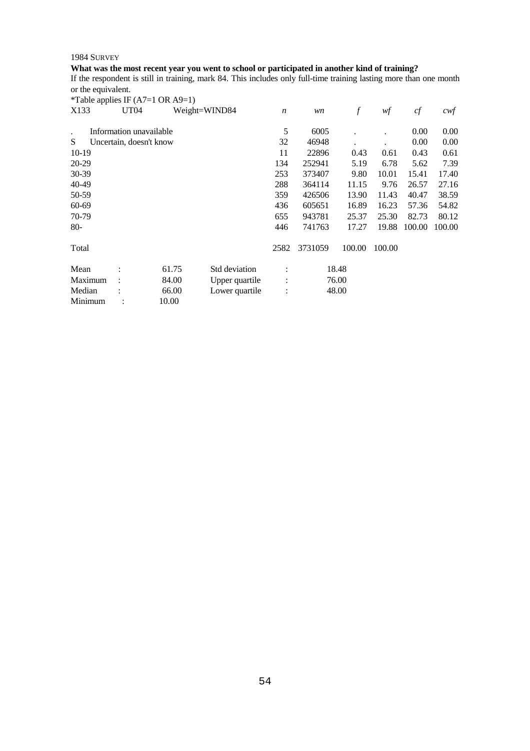## **What was the most recent year you went to school or participated in another kind of training?**

If the respondent is still in training, mark 84. This includes only full-time training lasting more than one month or the equivalent.

|                      |                         | *Table applies IF $(A7=1 \text{ OR } A9=1)$ |                |                      |         |                  |        |        |                  |
|----------------------|-------------------------|---------------------------------------------|----------------|----------------------|---------|------------------|--------|--------|------------------|
| X133                 | UT04                    |                                             | Weight=WIND84  | $\boldsymbol{n}$     | wn      | $\boldsymbol{f}$ | wf     | cf     | $c \mathsf{w} f$ |
| $\ddot{\phantom{a}}$ | Information unavailable |                                             |                | 5                    | 6005    |                  |        | 0.00   | 0.00             |
| S                    | Uncertain, doesn't know |                                             |                | 32                   | 46948   |                  |        | 0.00   | 0.00             |
| $10-19$              |                         |                                             |                | 11                   | 22896   | 0.43             | 0.61   | 0.43   | 0.61             |
| 20-29                |                         |                                             |                | 134                  | 252941  | 5.19             | 6.78   | 5.62   | 7.39             |
| 30-39                |                         |                                             |                | 253                  | 373407  | 9.80             | 10.01  | 15.41  | 17.40            |
| 40-49                |                         |                                             |                | 288                  | 364114  | 11.15            | 9.76   | 26.57  | 27.16            |
| 50-59                |                         |                                             |                | 359                  | 426506  | 13.90            | 11.43  | 40.47  | 38.59            |
| 60-69                |                         |                                             |                | 436                  | 605651  | 16.89            | 16.23  | 57.36  | 54.82            |
| 70-79                |                         |                                             |                | 655                  | 943781  | 25.37            | 25.30  | 82.73  | 80.12            |
| $80-$                |                         |                                             |                | 446                  | 741763  | 17.27            | 19.88  | 100.00 | 100.00           |
| Total                |                         |                                             |                | 2582                 | 3731059 | 100.00           | 100.00 |        |                  |
| Mean                 |                         | 61.75                                       | Std deviation  | $\ddot{\cdot}$       |         | 18.48            |        |        |                  |
| Maximum              |                         | 84.00                                       | Upper quartile | $\ddot{\cdot}$       |         | 76.00            |        |        |                  |
| Median               |                         | 66.00                                       | Lower quartile | $\ddot{\phantom{a}}$ |         | 48.00            |        |        |                  |
| Minimum              |                         | 10.00                                       |                |                      |         |                  |        |        |                  |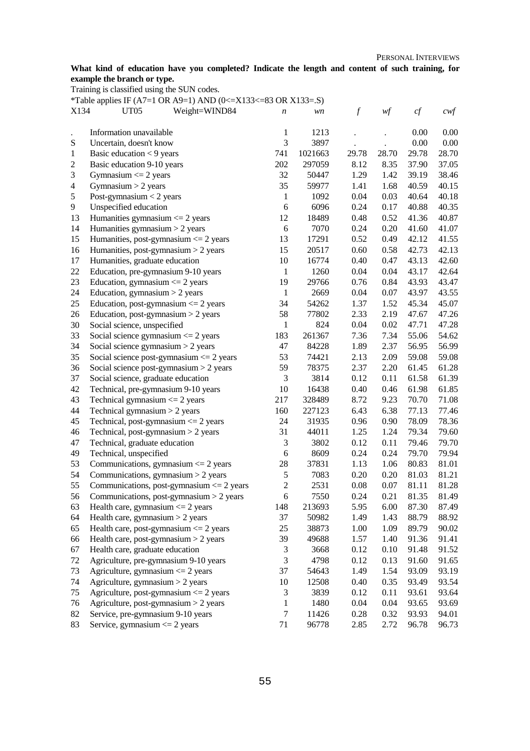### **What kind of education have you completed? Indicate the length and content of such training, for example the branch or type.**

Training is classified using the SUN codes.

\*Table applies IF (A7=1 OR A9=1) AND (0 <= X133 <= 83 OR X133 = .S)

| 1<br>1213<br>0.00<br>Information unavailable<br>0.00<br>$\ddot{\phantom{a}}$<br>3<br>3897<br>0.00<br>${\bf S}$<br>0.00<br>Uncertain, doesn't know<br>741<br>1021663<br>29.78<br>28.70<br>28.70<br>Basic education $<$ 9 years<br>29.78<br>$\mathbf{1}$<br>202<br>$\overline{c}$<br>Basic education 9-10 years<br>297059<br>8.12<br>8.35<br>37.90<br>37.05<br>32<br>3<br>Gymnasium $\leq$ 2 years<br>50447<br>1.29<br>1.42<br>39.19<br>38.46<br>35<br>$\overline{4}$<br>59977<br>1.41<br>1.68<br>40.59<br>40.15<br>Gymnasium $> 2$ years<br>$\mathfrak s$<br>0.04<br>Post-gymnasium $<$ 2 years<br>$\mathbf{1}$<br>1092<br>0.03<br>40.64<br>40.18<br>6<br>6096<br>9<br>Unspecified education<br>0.24<br>0.17<br>40.88<br>40.35<br>13<br>12<br>18489<br>0.48<br>0.52<br>40.87<br>Humanities gymnasium $\leq$ 2 years<br>41.36<br>6<br>14<br>Humanities gymnasium $>$ 2 years<br>7070<br>0.24<br>0.20<br>41.60<br>41.07<br>15<br>Humanities, post-gymnasium $\leq$ 2 years<br>13<br>17291<br>0.52<br>0.49<br>42.12<br>41.55<br>15<br>16<br>Humanities, post-gymnasium $>$ 2 years<br>20517<br>0.60<br>0.58<br>42.73<br>42.13<br>10<br>17<br>Humanities, graduate education<br>16774<br>0.40<br>0.47<br>43.13<br>42.60<br>$22\,$<br>0.04<br>$\mathbf{1}$<br>1260<br>0.04<br>43.17<br>42.64<br>Education, pre-gymnasium 9-10 years<br>23<br>19<br>0.84<br>Education, gymnasium $\leq$ 2 years<br>29766<br>0.76<br>43.93<br>43.47<br>24<br>$\mathbf{1}$<br>Education, gymnasium $> 2$ years<br>2669<br>0.04<br>0.07<br>43.97<br>43.55<br>25<br>Education, post-gymnasium $\leq$ 2 years<br>34<br>54262<br>1.37<br>1.52<br>45.34<br>45.07<br>58<br>26<br>Education, post-gymnasium $>$ 2 years<br>77802<br>2.33<br>2.19<br>47.67<br>47.26<br>$\mathbf{1}$<br>0.04<br>30<br>Social science, unspecified<br>824<br>0.02<br>47.71<br>47.28<br>33<br>54.62<br>183<br>261367<br>7.36<br>7.34<br>55.06<br>Social science gymnasium $\leq$ 2 years<br>34<br>1.89<br>2.37<br>Social science gymnasium $>$ 2 years<br>47<br>84228<br>56.95<br>56.99<br>35<br>Social science post-gymnasium $\leq$ 2 years<br>53<br>74421<br>2.13<br>2.09<br>59.08<br>59.08<br>36<br>59<br>Social science post-gymnasium $>$ 2 years<br>78375<br>2.37<br>2.20<br>61.28<br>61.45<br>3<br>37<br>Social science, graduate education<br>3814<br>0.12<br>0.11<br>61.58<br>61.39<br>42<br>10<br>16438<br>0.40<br>0.46<br>61.85<br>Technical, pre-gymnasium 9-10 years<br>61.98<br>43<br>Technical gymnasium $\leq$ 2 years<br>217<br>328489<br>8.72<br>9.23<br>70.70<br>71.08<br>44<br>6.43<br>Technical gymnasium $>$ 2 years<br>160<br>6.38<br>77.13<br>77.46<br>227123<br>45<br>Technical, post-gymnasium $\leq$ 2 years<br>24<br>0.96<br>0.90<br>78.09<br>78.36<br>31935<br>31<br>46<br>Technical, post-gymnasium $>$ 2 years<br>44011<br>1.25<br>1.24<br>79.34<br>79.60<br>3<br>47<br>Technical, graduate education<br>3802<br>0.12<br>0.11<br>79.46<br>79.70<br>49<br>$\sqrt{6}$<br>8609<br>0.24<br>0.24<br>79.70<br>79.94<br>Technical, unspecified<br>53<br>28<br>37831<br>1.13<br>1.06<br>80.83<br>81.01<br>Communications, gymnasium $\leq$ 2 years |
|------------------------------------------------------------------------------------------------------------------------------------------------------------------------------------------------------------------------------------------------------------------------------------------------------------------------------------------------------------------------------------------------------------------------------------------------------------------------------------------------------------------------------------------------------------------------------------------------------------------------------------------------------------------------------------------------------------------------------------------------------------------------------------------------------------------------------------------------------------------------------------------------------------------------------------------------------------------------------------------------------------------------------------------------------------------------------------------------------------------------------------------------------------------------------------------------------------------------------------------------------------------------------------------------------------------------------------------------------------------------------------------------------------------------------------------------------------------------------------------------------------------------------------------------------------------------------------------------------------------------------------------------------------------------------------------------------------------------------------------------------------------------------------------------------------------------------------------------------------------------------------------------------------------------------------------------------------------------------------------------------------------------------------------------------------------------------------------------------------------------------------------------------------------------------------------------------------------------------------------------------------------------------------------------------------------------------------------------------------------------------------------------------------------------------------------------------------------------------------------------------------------------------------------------------------------------------------------------------------------------------------------------------------------------------------------------------------------------------------------------------------------------------------------------------------------------------------------------------------------------------------------------------------------------------------------------------------------------------------------------------------------------------------------------------------------------------------------------------------------------|
|                                                                                                                                                                                                                                                                                                                                                                                                                                                                                                                                                                                                                                                                                                                                                                                                                                                                                                                                                                                                                                                                                                                                                                                                                                                                                                                                                                                                                                                                                                                                                                                                                                                                                                                                                                                                                                                                                                                                                                                                                                                                                                                                                                                                                                                                                                                                                                                                                                                                                                                                                                                                                                                                                                                                                                                                                                                                                                                                                                                                                                                                                                                        |
|                                                                                                                                                                                                                                                                                                                                                                                                                                                                                                                                                                                                                                                                                                                                                                                                                                                                                                                                                                                                                                                                                                                                                                                                                                                                                                                                                                                                                                                                                                                                                                                                                                                                                                                                                                                                                                                                                                                                                                                                                                                                                                                                                                                                                                                                                                                                                                                                                                                                                                                                                                                                                                                                                                                                                                                                                                                                                                                                                                                                                                                                                                                        |
|                                                                                                                                                                                                                                                                                                                                                                                                                                                                                                                                                                                                                                                                                                                                                                                                                                                                                                                                                                                                                                                                                                                                                                                                                                                                                                                                                                                                                                                                                                                                                                                                                                                                                                                                                                                                                                                                                                                                                                                                                                                                                                                                                                                                                                                                                                                                                                                                                                                                                                                                                                                                                                                                                                                                                                                                                                                                                                                                                                                                                                                                                                                        |
|                                                                                                                                                                                                                                                                                                                                                                                                                                                                                                                                                                                                                                                                                                                                                                                                                                                                                                                                                                                                                                                                                                                                                                                                                                                                                                                                                                                                                                                                                                                                                                                                                                                                                                                                                                                                                                                                                                                                                                                                                                                                                                                                                                                                                                                                                                                                                                                                                                                                                                                                                                                                                                                                                                                                                                                                                                                                                                                                                                                                                                                                                                                        |
|                                                                                                                                                                                                                                                                                                                                                                                                                                                                                                                                                                                                                                                                                                                                                                                                                                                                                                                                                                                                                                                                                                                                                                                                                                                                                                                                                                                                                                                                                                                                                                                                                                                                                                                                                                                                                                                                                                                                                                                                                                                                                                                                                                                                                                                                                                                                                                                                                                                                                                                                                                                                                                                                                                                                                                                                                                                                                                                                                                                                                                                                                                                        |
|                                                                                                                                                                                                                                                                                                                                                                                                                                                                                                                                                                                                                                                                                                                                                                                                                                                                                                                                                                                                                                                                                                                                                                                                                                                                                                                                                                                                                                                                                                                                                                                                                                                                                                                                                                                                                                                                                                                                                                                                                                                                                                                                                                                                                                                                                                                                                                                                                                                                                                                                                                                                                                                                                                                                                                                                                                                                                                                                                                                                                                                                                                                        |
|                                                                                                                                                                                                                                                                                                                                                                                                                                                                                                                                                                                                                                                                                                                                                                                                                                                                                                                                                                                                                                                                                                                                                                                                                                                                                                                                                                                                                                                                                                                                                                                                                                                                                                                                                                                                                                                                                                                                                                                                                                                                                                                                                                                                                                                                                                                                                                                                                                                                                                                                                                                                                                                                                                                                                                                                                                                                                                                                                                                                                                                                                                                        |
|                                                                                                                                                                                                                                                                                                                                                                                                                                                                                                                                                                                                                                                                                                                                                                                                                                                                                                                                                                                                                                                                                                                                                                                                                                                                                                                                                                                                                                                                                                                                                                                                                                                                                                                                                                                                                                                                                                                                                                                                                                                                                                                                                                                                                                                                                                                                                                                                                                                                                                                                                                                                                                                                                                                                                                                                                                                                                                                                                                                                                                                                                                                        |
|                                                                                                                                                                                                                                                                                                                                                                                                                                                                                                                                                                                                                                                                                                                                                                                                                                                                                                                                                                                                                                                                                                                                                                                                                                                                                                                                                                                                                                                                                                                                                                                                                                                                                                                                                                                                                                                                                                                                                                                                                                                                                                                                                                                                                                                                                                                                                                                                                                                                                                                                                                                                                                                                                                                                                                                                                                                                                                                                                                                                                                                                                                                        |
|                                                                                                                                                                                                                                                                                                                                                                                                                                                                                                                                                                                                                                                                                                                                                                                                                                                                                                                                                                                                                                                                                                                                                                                                                                                                                                                                                                                                                                                                                                                                                                                                                                                                                                                                                                                                                                                                                                                                                                                                                                                                                                                                                                                                                                                                                                                                                                                                                                                                                                                                                                                                                                                                                                                                                                                                                                                                                                                                                                                                                                                                                                                        |
|                                                                                                                                                                                                                                                                                                                                                                                                                                                                                                                                                                                                                                                                                                                                                                                                                                                                                                                                                                                                                                                                                                                                                                                                                                                                                                                                                                                                                                                                                                                                                                                                                                                                                                                                                                                                                                                                                                                                                                                                                                                                                                                                                                                                                                                                                                                                                                                                                                                                                                                                                                                                                                                                                                                                                                                                                                                                                                                                                                                                                                                                                                                        |
|                                                                                                                                                                                                                                                                                                                                                                                                                                                                                                                                                                                                                                                                                                                                                                                                                                                                                                                                                                                                                                                                                                                                                                                                                                                                                                                                                                                                                                                                                                                                                                                                                                                                                                                                                                                                                                                                                                                                                                                                                                                                                                                                                                                                                                                                                                                                                                                                                                                                                                                                                                                                                                                                                                                                                                                                                                                                                                                                                                                                                                                                                                                        |
|                                                                                                                                                                                                                                                                                                                                                                                                                                                                                                                                                                                                                                                                                                                                                                                                                                                                                                                                                                                                                                                                                                                                                                                                                                                                                                                                                                                                                                                                                                                                                                                                                                                                                                                                                                                                                                                                                                                                                                                                                                                                                                                                                                                                                                                                                                                                                                                                                                                                                                                                                                                                                                                                                                                                                                                                                                                                                                                                                                                                                                                                                                                        |
|                                                                                                                                                                                                                                                                                                                                                                                                                                                                                                                                                                                                                                                                                                                                                                                                                                                                                                                                                                                                                                                                                                                                                                                                                                                                                                                                                                                                                                                                                                                                                                                                                                                                                                                                                                                                                                                                                                                                                                                                                                                                                                                                                                                                                                                                                                                                                                                                                                                                                                                                                                                                                                                                                                                                                                                                                                                                                                                                                                                                                                                                                                                        |
|                                                                                                                                                                                                                                                                                                                                                                                                                                                                                                                                                                                                                                                                                                                                                                                                                                                                                                                                                                                                                                                                                                                                                                                                                                                                                                                                                                                                                                                                                                                                                                                                                                                                                                                                                                                                                                                                                                                                                                                                                                                                                                                                                                                                                                                                                                                                                                                                                                                                                                                                                                                                                                                                                                                                                                                                                                                                                                                                                                                                                                                                                                                        |
|                                                                                                                                                                                                                                                                                                                                                                                                                                                                                                                                                                                                                                                                                                                                                                                                                                                                                                                                                                                                                                                                                                                                                                                                                                                                                                                                                                                                                                                                                                                                                                                                                                                                                                                                                                                                                                                                                                                                                                                                                                                                                                                                                                                                                                                                                                                                                                                                                                                                                                                                                                                                                                                                                                                                                                                                                                                                                                                                                                                                                                                                                                                        |
|                                                                                                                                                                                                                                                                                                                                                                                                                                                                                                                                                                                                                                                                                                                                                                                                                                                                                                                                                                                                                                                                                                                                                                                                                                                                                                                                                                                                                                                                                                                                                                                                                                                                                                                                                                                                                                                                                                                                                                                                                                                                                                                                                                                                                                                                                                                                                                                                                                                                                                                                                                                                                                                                                                                                                                                                                                                                                                                                                                                                                                                                                                                        |
|                                                                                                                                                                                                                                                                                                                                                                                                                                                                                                                                                                                                                                                                                                                                                                                                                                                                                                                                                                                                                                                                                                                                                                                                                                                                                                                                                                                                                                                                                                                                                                                                                                                                                                                                                                                                                                                                                                                                                                                                                                                                                                                                                                                                                                                                                                                                                                                                                                                                                                                                                                                                                                                                                                                                                                                                                                                                                                                                                                                                                                                                                                                        |
|                                                                                                                                                                                                                                                                                                                                                                                                                                                                                                                                                                                                                                                                                                                                                                                                                                                                                                                                                                                                                                                                                                                                                                                                                                                                                                                                                                                                                                                                                                                                                                                                                                                                                                                                                                                                                                                                                                                                                                                                                                                                                                                                                                                                                                                                                                                                                                                                                                                                                                                                                                                                                                                                                                                                                                                                                                                                                                                                                                                                                                                                                                                        |
|                                                                                                                                                                                                                                                                                                                                                                                                                                                                                                                                                                                                                                                                                                                                                                                                                                                                                                                                                                                                                                                                                                                                                                                                                                                                                                                                                                                                                                                                                                                                                                                                                                                                                                                                                                                                                                                                                                                                                                                                                                                                                                                                                                                                                                                                                                                                                                                                                                                                                                                                                                                                                                                                                                                                                                                                                                                                                                                                                                                                                                                                                                                        |
|                                                                                                                                                                                                                                                                                                                                                                                                                                                                                                                                                                                                                                                                                                                                                                                                                                                                                                                                                                                                                                                                                                                                                                                                                                                                                                                                                                                                                                                                                                                                                                                                                                                                                                                                                                                                                                                                                                                                                                                                                                                                                                                                                                                                                                                                                                                                                                                                                                                                                                                                                                                                                                                                                                                                                                                                                                                                                                                                                                                                                                                                                                                        |
|                                                                                                                                                                                                                                                                                                                                                                                                                                                                                                                                                                                                                                                                                                                                                                                                                                                                                                                                                                                                                                                                                                                                                                                                                                                                                                                                                                                                                                                                                                                                                                                                                                                                                                                                                                                                                                                                                                                                                                                                                                                                                                                                                                                                                                                                                                                                                                                                                                                                                                                                                                                                                                                                                                                                                                                                                                                                                                                                                                                                                                                                                                                        |
|                                                                                                                                                                                                                                                                                                                                                                                                                                                                                                                                                                                                                                                                                                                                                                                                                                                                                                                                                                                                                                                                                                                                                                                                                                                                                                                                                                                                                                                                                                                                                                                                                                                                                                                                                                                                                                                                                                                                                                                                                                                                                                                                                                                                                                                                                                                                                                                                                                                                                                                                                                                                                                                                                                                                                                                                                                                                                                                                                                                                                                                                                                                        |
|                                                                                                                                                                                                                                                                                                                                                                                                                                                                                                                                                                                                                                                                                                                                                                                                                                                                                                                                                                                                                                                                                                                                                                                                                                                                                                                                                                                                                                                                                                                                                                                                                                                                                                                                                                                                                                                                                                                                                                                                                                                                                                                                                                                                                                                                                                                                                                                                                                                                                                                                                                                                                                                                                                                                                                                                                                                                                                                                                                                                                                                                                                                        |
|                                                                                                                                                                                                                                                                                                                                                                                                                                                                                                                                                                                                                                                                                                                                                                                                                                                                                                                                                                                                                                                                                                                                                                                                                                                                                                                                                                                                                                                                                                                                                                                                                                                                                                                                                                                                                                                                                                                                                                                                                                                                                                                                                                                                                                                                                                                                                                                                                                                                                                                                                                                                                                                                                                                                                                                                                                                                                                                                                                                                                                                                                                                        |
|                                                                                                                                                                                                                                                                                                                                                                                                                                                                                                                                                                                                                                                                                                                                                                                                                                                                                                                                                                                                                                                                                                                                                                                                                                                                                                                                                                                                                                                                                                                                                                                                                                                                                                                                                                                                                                                                                                                                                                                                                                                                                                                                                                                                                                                                                                                                                                                                                                                                                                                                                                                                                                                                                                                                                                                                                                                                                                                                                                                                                                                                                                                        |
|                                                                                                                                                                                                                                                                                                                                                                                                                                                                                                                                                                                                                                                                                                                                                                                                                                                                                                                                                                                                                                                                                                                                                                                                                                                                                                                                                                                                                                                                                                                                                                                                                                                                                                                                                                                                                                                                                                                                                                                                                                                                                                                                                                                                                                                                                                                                                                                                                                                                                                                                                                                                                                                                                                                                                                                                                                                                                                                                                                                                                                                                                                                        |
|                                                                                                                                                                                                                                                                                                                                                                                                                                                                                                                                                                                                                                                                                                                                                                                                                                                                                                                                                                                                                                                                                                                                                                                                                                                                                                                                                                                                                                                                                                                                                                                                                                                                                                                                                                                                                                                                                                                                                                                                                                                                                                                                                                                                                                                                                                                                                                                                                                                                                                                                                                                                                                                                                                                                                                                                                                                                                                                                                                                                                                                                                                                        |
|                                                                                                                                                                                                                                                                                                                                                                                                                                                                                                                                                                                                                                                                                                                                                                                                                                                                                                                                                                                                                                                                                                                                                                                                                                                                                                                                                                                                                                                                                                                                                                                                                                                                                                                                                                                                                                                                                                                                                                                                                                                                                                                                                                                                                                                                                                                                                                                                                                                                                                                                                                                                                                                                                                                                                                                                                                                                                                                                                                                                                                                                                                                        |
|                                                                                                                                                                                                                                                                                                                                                                                                                                                                                                                                                                                                                                                                                                                                                                                                                                                                                                                                                                                                                                                                                                                                                                                                                                                                                                                                                                                                                                                                                                                                                                                                                                                                                                                                                                                                                                                                                                                                                                                                                                                                                                                                                                                                                                                                                                                                                                                                                                                                                                                                                                                                                                                                                                                                                                                                                                                                                                                                                                                                                                                                                                                        |
|                                                                                                                                                                                                                                                                                                                                                                                                                                                                                                                                                                                                                                                                                                                                                                                                                                                                                                                                                                                                                                                                                                                                                                                                                                                                                                                                                                                                                                                                                                                                                                                                                                                                                                                                                                                                                                                                                                                                                                                                                                                                                                                                                                                                                                                                                                                                                                                                                                                                                                                                                                                                                                                                                                                                                                                                                                                                                                                                                                                                                                                                                                                        |
|                                                                                                                                                                                                                                                                                                                                                                                                                                                                                                                                                                                                                                                                                                                                                                                                                                                                                                                                                                                                                                                                                                                                                                                                                                                                                                                                                                                                                                                                                                                                                                                                                                                                                                                                                                                                                                                                                                                                                                                                                                                                                                                                                                                                                                                                                                                                                                                                                                                                                                                                                                                                                                                                                                                                                                                                                                                                                                                                                                                                                                                                                                                        |
| 54<br>5<br>Communications, gymnasium $>$ 2 years<br>7083<br>0.20<br>0.20<br>81.03<br>81.21                                                                                                                                                                                                                                                                                                                                                                                                                                                                                                                                                                                                                                                                                                                                                                                                                                                                                                                                                                                                                                                                                                                                                                                                                                                                                                                                                                                                                                                                                                                                                                                                                                                                                                                                                                                                                                                                                                                                                                                                                                                                                                                                                                                                                                                                                                                                                                                                                                                                                                                                                                                                                                                                                                                                                                                                                                                                                                                                                                                                                             |
| 55<br>$\boldsymbol{2}$<br>Communications, post-gymnasium $\leq$ 2 years<br>2531<br>0.08<br>0.07<br>81.28<br>81.11                                                                                                                                                                                                                                                                                                                                                                                                                                                                                                                                                                                                                                                                                                                                                                                                                                                                                                                                                                                                                                                                                                                                                                                                                                                                                                                                                                                                                                                                                                                                                                                                                                                                                                                                                                                                                                                                                                                                                                                                                                                                                                                                                                                                                                                                                                                                                                                                                                                                                                                                                                                                                                                                                                                                                                                                                                                                                                                                                                                                      |
| 6<br>56<br>Communications, post-gymnasium $>$ 2 years<br>7550<br>0.24<br>0.21<br>81.35<br>81.49                                                                                                                                                                                                                                                                                                                                                                                                                                                                                                                                                                                                                                                                                                                                                                                                                                                                                                                                                                                                                                                                                                                                                                                                                                                                                                                                                                                                                                                                                                                                                                                                                                                                                                                                                                                                                                                                                                                                                                                                                                                                                                                                                                                                                                                                                                                                                                                                                                                                                                                                                                                                                                                                                                                                                                                                                                                                                                                                                                                                                        |
| 5.95<br>87.49<br>6.00<br>63<br>Health care, gymnasium $\leq$ 2 years<br>148<br>213693<br>87.30                                                                                                                                                                                                                                                                                                                                                                                                                                                                                                                                                                                                                                                                                                                                                                                                                                                                                                                                                                                                                                                                                                                                                                                                                                                                                                                                                                                                                                                                                                                                                                                                                                                                                                                                                                                                                                                                                                                                                                                                                                                                                                                                                                                                                                                                                                                                                                                                                                                                                                                                                                                                                                                                                                                                                                                                                                                                                                                                                                                                                         |
| 88.79<br>64<br>Health care, gymnasium $> 2$ years<br>37<br>50982<br>1.49<br>1.43<br>88.92                                                                                                                                                                                                                                                                                                                                                                                                                                                                                                                                                                                                                                                                                                                                                                                                                                                                                                                                                                                                                                                                                                                                                                                                                                                                                                                                                                                                                                                                                                                                                                                                                                                                                                                                                                                                                                                                                                                                                                                                                                                                                                                                                                                                                                                                                                                                                                                                                                                                                                                                                                                                                                                                                                                                                                                                                                                                                                                                                                                                                              |
| Health care, post-gymnasium $\leq$ 2 years<br>25<br>65<br>38873<br>1.00<br>1.09<br>89.79<br>90.02                                                                                                                                                                                                                                                                                                                                                                                                                                                                                                                                                                                                                                                                                                                                                                                                                                                                                                                                                                                                                                                                                                                                                                                                                                                                                                                                                                                                                                                                                                                                                                                                                                                                                                                                                                                                                                                                                                                                                                                                                                                                                                                                                                                                                                                                                                                                                                                                                                                                                                                                                                                                                                                                                                                                                                                                                                                                                                                                                                                                                      |
| Health care, post-gymnasium $> 2$ years<br>39<br>66<br>49688<br>1.57<br>1.40<br>91.36<br>91.41                                                                                                                                                                                                                                                                                                                                                                                                                                                                                                                                                                                                                                                                                                                                                                                                                                                                                                                                                                                                                                                                                                                                                                                                                                                                                                                                                                                                                                                                                                                                                                                                                                                                                                                                                                                                                                                                                                                                                                                                                                                                                                                                                                                                                                                                                                                                                                                                                                                                                                                                                                                                                                                                                                                                                                                                                                                                                                                                                                                                                         |
| Health care, graduate education<br>91.52<br>67<br>3<br>3668<br>0.12<br>0.10<br>91.48                                                                                                                                                                                                                                                                                                                                                                                                                                                                                                                                                                                                                                                                                                                                                                                                                                                                                                                                                                                                                                                                                                                                                                                                                                                                                                                                                                                                                                                                                                                                                                                                                                                                                                                                                                                                                                                                                                                                                                                                                                                                                                                                                                                                                                                                                                                                                                                                                                                                                                                                                                                                                                                                                                                                                                                                                                                                                                                                                                                                                                   |
| 3<br>Agriculture, pre-gymnasium 9-10 years<br>72<br>4798<br>0.12<br>0.13<br>91.60<br>91.65                                                                                                                                                                                                                                                                                                                                                                                                                                                                                                                                                                                                                                                                                                                                                                                                                                                                                                                                                                                                                                                                                                                                                                                                                                                                                                                                                                                                                                                                                                                                                                                                                                                                                                                                                                                                                                                                                                                                                                                                                                                                                                                                                                                                                                                                                                                                                                                                                                                                                                                                                                                                                                                                                                                                                                                                                                                                                                                                                                                                                             |
| Agriculture, gymnasium $\leq$ 2 years<br>73<br>37<br>1.54<br>54643<br>1.49<br>93.09<br>93.19                                                                                                                                                                                                                                                                                                                                                                                                                                                                                                                                                                                                                                                                                                                                                                                                                                                                                                                                                                                                                                                                                                                                                                                                                                                                                                                                                                                                                                                                                                                                                                                                                                                                                                                                                                                                                                                                                                                                                                                                                                                                                                                                                                                                                                                                                                                                                                                                                                                                                                                                                                                                                                                                                                                                                                                                                                                                                                                                                                                                                           |
| 74<br>Agriculture, gymnasium $> 2$ years<br>12508<br>0.35<br>93.54<br>10<br>0.40<br>93.49                                                                                                                                                                                                                                                                                                                                                                                                                                                                                                                                                                                                                                                                                                                                                                                                                                                                                                                                                                                                                                                                                                                                                                                                                                                                                                                                                                                                                                                                                                                                                                                                                                                                                                                                                                                                                                                                                                                                                                                                                                                                                                                                                                                                                                                                                                                                                                                                                                                                                                                                                                                                                                                                                                                                                                                                                                                                                                                                                                                                                              |
| 75<br>Agriculture, post-gymnasium $\leq$ 2 years<br>93.64<br>3<br>3839<br>0.12<br>0.11<br>93.61                                                                                                                                                                                                                                                                                                                                                                                                                                                                                                                                                                                                                                                                                                                                                                                                                                                                                                                                                                                                                                                                                                                                                                                                                                                                                                                                                                                                                                                                                                                                                                                                                                                                                                                                                                                                                                                                                                                                                                                                                                                                                                                                                                                                                                                                                                                                                                                                                                                                                                                                                                                                                                                                                                                                                                                                                                                                                                                                                                                                                        |
| Agriculture, post-gymnasium $> 2$ years<br>76<br>1<br>1480<br>0.04<br>0.04<br>93.65<br>93.69                                                                                                                                                                                                                                                                                                                                                                                                                                                                                                                                                                                                                                                                                                                                                                                                                                                                                                                                                                                                                                                                                                                                                                                                                                                                                                                                                                                                                                                                                                                                                                                                                                                                                                                                                                                                                                                                                                                                                                                                                                                                                                                                                                                                                                                                                                                                                                                                                                                                                                                                                                                                                                                                                                                                                                                                                                                                                                                                                                                                                           |
| $\boldsymbol{7}$<br>82<br>Service, pre-gymnasium 9-10 years<br>11426<br>0.28<br>0.32<br>93.93<br>94.01                                                                                                                                                                                                                                                                                                                                                                                                                                                                                                                                                                                                                                                                                                                                                                                                                                                                                                                                                                                                                                                                                                                                                                                                                                                                                                                                                                                                                                                                                                                                                                                                                                                                                                                                                                                                                                                                                                                                                                                                                                                                                                                                                                                                                                                                                                                                                                                                                                                                                                                                                                                                                                                                                                                                                                                                                                                                                                                                                                                                                 |
| 83<br>Service, gymnasium $\leq$ 2 years<br>71<br>96778<br>2.85<br>2.72<br>96.78<br>96.73                                                                                                                                                                                                                                                                                                                                                                                                                                                                                                                                                                                                                                                                                                                                                                                                                                                                                                                                                                                                                                                                                                                                                                                                                                                                                                                                                                                                                                                                                                                                                                                                                                                                                                                                                                                                                                                                                                                                                                                                                                                                                                                                                                                                                                                                                                                                                                                                                                                                                                                                                                                                                                                                                                                                                                                                                                                                                                                                                                                                                               |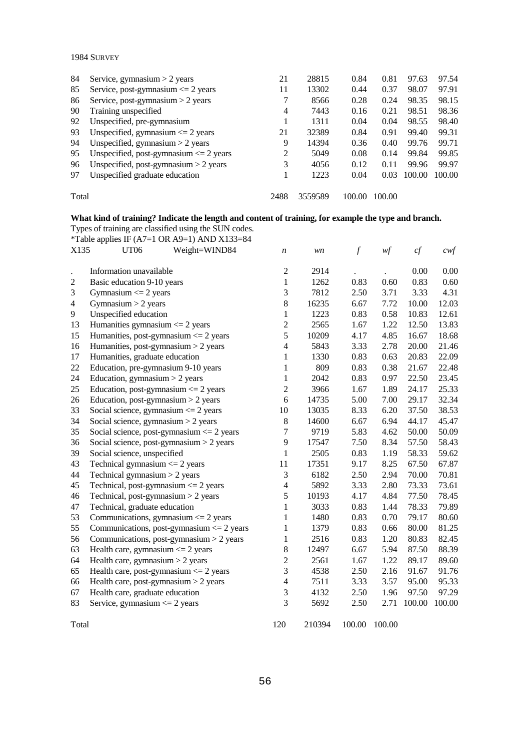| 84    | Service, gymnasium $> 2$ years             | 21   | 28815   | 0.84   | 0.81   | 97.63  | 97.54  |
|-------|--------------------------------------------|------|---------|--------|--------|--------|--------|
| 85    | Service, post-gymnasium $\leq$ 2 years     | 11   | 13302   | 0.44   | 0.37   | 98.07  | 97.91  |
| 86    | Service, post-gymnasium $> 2$ years        |      | 8566    | 0.28   | 0.24   | 98.35  | 98.15  |
| 90    | Training unspecified                       | 4    | 7443    | 0.16   | 0.21   | 98.51  | 98.36  |
| 92    | Unspecified, pre-gymnasium                 |      | 1311    | 0.04   | 0.04   | 98.55  | 98.40  |
| 93    | Unspecified, gymnasium $\leq$ 2 years      | 21   | 32389   | 0.84   | 0.91   | 99.40  | 99.31  |
| 94    | Unspecified, gymnasium $>$ 2 years         | 9    | 14394   | 0.36   | 0.40   | 99.76  | 99.71  |
| 95    | Unspecified, post-gymnasium $\leq$ 2 years | 2    | 5049    | 0.08   | 0.14   | 99.84  | 99.85  |
| 96    | Unspecified, post-gymnasium $> 2$ years    | 3    | 4056    | 0.12   | 0.11   | 99.96  | 99.97  |
| 97    | Unspecified graduate education             |      | 1223    | 0.04   | 0.03   | 100.00 | 100.00 |
|       |                                            |      |         |        |        |        |        |
| Total |                                            | 2488 | 3559589 | 100.00 | 100.00 |        |        |

## **What kind of training? Indicate the length and content of training, for example the type and branch.**

Types of training are classified using the SUN codes.

| *Table applies IF (A7=1 OR A9=1) AND X133=84  |                                                                                                                                                                                                                                                                                                                                                                                                                                                                                                                                                                                                                                                                                                                                                                                                                                          |                                                                                                                                                                                       |                                                                                                                                 |                                                                                                                      |                                                                                                                              |                                                                                                                                  |
|-----------------------------------------------|------------------------------------------------------------------------------------------------------------------------------------------------------------------------------------------------------------------------------------------------------------------------------------------------------------------------------------------------------------------------------------------------------------------------------------------------------------------------------------------------------------------------------------------------------------------------------------------------------------------------------------------------------------------------------------------------------------------------------------------------------------------------------------------------------------------------------------------|---------------------------------------------------------------------------------------------------------------------------------------------------------------------------------------|---------------------------------------------------------------------------------------------------------------------------------|----------------------------------------------------------------------------------------------------------------------|------------------------------------------------------------------------------------------------------------------------------|----------------------------------------------------------------------------------------------------------------------------------|
| UT06<br>Weight=WIND84                         | $\boldsymbol{n}$                                                                                                                                                                                                                                                                                                                                                                                                                                                                                                                                                                                                                                                                                                                                                                                                                         | wn                                                                                                                                                                                    | $\overline{f}$                                                                                                                  | wf                                                                                                                   | cf                                                                                                                           | $\mathit{cwf}$                                                                                                                   |
|                                               |                                                                                                                                                                                                                                                                                                                                                                                                                                                                                                                                                                                                                                                                                                                                                                                                                                          |                                                                                                                                                                                       |                                                                                                                                 |                                                                                                                      |                                                                                                                              |                                                                                                                                  |
|                                               |                                                                                                                                                                                                                                                                                                                                                                                                                                                                                                                                                                                                                                                                                                                                                                                                                                          |                                                                                                                                                                                       |                                                                                                                                 |                                                                                                                      |                                                                                                                              | 0.00                                                                                                                             |
|                                               |                                                                                                                                                                                                                                                                                                                                                                                                                                                                                                                                                                                                                                                                                                                                                                                                                                          |                                                                                                                                                                                       |                                                                                                                                 |                                                                                                                      |                                                                                                                              | 0.60                                                                                                                             |
|                                               |                                                                                                                                                                                                                                                                                                                                                                                                                                                                                                                                                                                                                                                                                                                                                                                                                                          |                                                                                                                                                                                       |                                                                                                                                 |                                                                                                                      |                                                                                                                              | 4.31                                                                                                                             |
|                                               |                                                                                                                                                                                                                                                                                                                                                                                                                                                                                                                                                                                                                                                                                                                                                                                                                                          |                                                                                                                                                                                       |                                                                                                                                 |                                                                                                                      |                                                                                                                              | 12.03                                                                                                                            |
|                                               |                                                                                                                                                                                                                                                                                                                                                                                                                                                                                                                                                                                                                                                                                                                                                                                                                                          |                                                                                                                                                                                       |                                                                                                                                 |                                                                                                                      |                                                                                                                              | 12.61                                                                                                                            |
|                                               |                                                                                                                                                                                                                                                                                                                                                                                                                                                                                                                                                                                                                                                                                                                                                                                                                                          |                                                                                                                                                                                       |                                                                                                                                 |                                                                                                                      |                                                                                                                              | 13.83                                                                                                                            |
|                                               |                                                                                                                                                                                                                                                                                                                                                                                                                                                                                                                                                                                                                                                                                                                                                                                                                                          |                                                                                                                                                                                       |                                                                                                                                 |                                                                                                                      |                                                                                                                              | 18.68                                                                                                                            |
|                                               |                                                                                                                                                                                                                                                                                                                                                                                                                                                                                                                                                                                                                                                                                                                                                                                                                                          |                                                                                                                                                                                       |                                                                                                                                 |                                                                                                                      |                                                                                                                              | 21.46                                                                                                                            |
|                                               |                                                                                                                                                                                                                                                                                                                                                                                                                                                                                                                                                                                                                                                                                                                                                                                                                                          |                                                                                                                                                                                       |                                                                                                                                 |                                                                                                                      |                                                                                                                              | 22.09                                                                                                                            |
|                                               |                                                                                                                                                                                                                                                                                                                                                                                                                                                                                                                                                                                                                                                                                                                                                                                                                                          |                                                                                                                                                                                       |                                                                                                                                 |                                                                                                                      |                                                                                                                              | 22.48                                                                                                                            |
|                                               |                                                                                                                                                                                                                                                                                                                                                                                                                                                                                                                                                                                                                                                                                                                                                                                                                                          |                                                                                                                                                                                       |                                                                                                                                 |                                                                                                                      |                                                                                                                              | 23.45                                                                                                                            |
|                                               |                                                                                                                                                                                                                                                                                                                                                                                                                                                                                                                                                                                                                                                                                                                                                                                                                                          |                                                                                                                                                                                       |                                                                                                                                 |                                                                                                                      |                                                                                                                              | 25.33                                                                                                                            |
|                                               |                                                                                                                                                                                                                                                                                                                                                                                                                                                                                                                                                                                                                                                                                                                                                                                                                                          |                                                                                                                                                                                       |                                                                                                                                 |                                                                                                                      |                                                                                                                              | 32.34                                                                                                                            |
|                                               | 10                                                                                                                                                                                                                                                                                                                                                                                                                                                                                                                                                                                                                                                                                                                                                                                                                                       |                                                                                                                                                                                       |                                                                                                                                 |                                                                                                                      | 37.50                                                                                                                        | 38.53                                                                                                                            |
| Social science, gymnasium $>$ 2 years         |                                                                                                                                                                                                                                                                                                                                                                                                                                                                                                                                                                                                                                                                                                                                                                                                                                          | 14600                                                                                                                                                                                 | 6.67                                                                                                                            |                                                                                                                      | 44.17                                                                                                                        | 45.47                                                                                                                            |
|                                               | 7                                                                                                                                                                                                                                                                                                                                                                                                                                                                                                                                                                                                                                                                                                                                                                                                                                        | 9719                                                                                                                                                                                  | 5.83                                                                                                                            | 4.62                                                                                                                 | 50.00                                                                                                                        | 50.09                                                                                                                            |
|                                               | 9                                                                                                                                                                                                                                                                                                                                                                                                                                                                                                                                                                                                                                                                                                                                                                                                                                        | 17547                                                                                                                                                                                 | 7.50                                                                                                                            | 8.34                                                                                                                 | 57.50                                                                                                                        | 58.43                                                                                                                            |
| Social science, unspecified                   | 1                                                                                                                                                                                                                                                                                                                                                                                                                                                                                                                                                                                                                                                                                                                                                                                                                                        | 2505                                                                                                                                                                                  | 0.83                                                                                                                            | 1.19                                                                                                                 | 58.33                                                                                                                        | 59.62                                                                                                                            |
| Technical gymnasium $\leq$ 2 years            | 11                                                                                                                                                                                                                                                                                                                                                                                                                                                                                                                                                                                                                                                                                                                                                                                                                                       | 17351                                                                                                                                                                                 | 9.17                                                                                                                            | 8.25                                                                                                                 | 67.50                                                                                                                        | 67.87                                                                                                                            |
| Technical gymnasium > 2 years                 | 3                                                                                                                                                                                                                                                                                                                                                                                                                                                                                                                                                                                                                                                                                                                                                                                                                                        | 6182                                                                                                                                                                                  | 2.50                                                                                                                            | 2.94                                                                                                                 | 70.00                                                                                                                        | 70.81                                                                                                                            |
| Technical, post-gymnasium $\leq$ 2 years      | $\overline{\mathcal{L}}$                                                                                                                                                                                                                                                                                                                                                                                                                                                                                                                                                                                                                                                                                                                                                                                                                 | 5892                                                                                                                                                                                  | 3.33                                                                                                                            | 2.80                                                                                                                 | 73.33                                                                                                                        | 73.61                                                                                                                            |
| Technical, post-gymnasium $>$ 2 years         | 5                                                                                                                                                                                                                                                                                                                                                                                                                                                                                                                                                                                                                                                                                                                                                                                                                                        | 10193                                                                                                                                                                                 | 4.17                                                                                                                            | 4.84                                                                                                                 | 77.50                                                                                                                        | 78.45                                                                                                                            |
| Technical, graduate education                 | 1                                                                                                                                                                                                                                                                                                                                                                                                                                                                                                                                                                                                                                                                                                                                                                                                                                        | 3033                                                                                                                                                                                  | 0.83                                                                                                                            | 1.44                                                                                                                 | 78.33                                                                                                                        | 79.89                                                                                                                            |
| Communications, gymnasium $\leq$ 2 years      | 1                                                                                                                                                                                                                                                                                                                                                                                                                                                                                                                                                                                                                                                                                                                                                                                                                                        | 1480                                                                                                                                                                                  | 0.83                                                                                                                            | 0.70                                                                                                                 | 79.17                                                                                                                        | 80.60                                                                                                                            |
| Communications, post-gymnasium $\leq$ 2 years | $\mathbf{1}$                                                                                                                                                                                                                                                                                                                                                                                                                                                                                                                                                                                                                                                                                                                                                                                                                             | 1379                                                                                                                                                                                  | 0.83                                                                                                                            | 0.66                                                                                                                 | 80.00                                                                                                                        | 81.25                                                                                                                            |
| Communications, post-gymnasium $>$ 2 years    | 1                                                                                                                                                                                                                                                                                                                                                                                                                                                                                                                                                                                                                                                                                                                                                                                                                                        | 2516                                                                                                                                                                                  | 0.83                                                                                                                            | 1.20                                                                                                                 | 80.83                                                                                                                        | 82.45                                                                                                                            |
|                                               | 8                                                                                                                                                                                                                                                                                                                                                                                                                                                                                                                                                                                                                                                                                                                                                                                                                                        | 12497                                                                                                                                                                                 | 6.67                                                                                                                            | 5.94                                                                                                                 | 87.50                                                                                                                        | 88.39                                                                                                                            |
|                                               | $\overline{2}$                                                                                                                                                                                                                                                                                                                                                                                                                                                                                                                                                                                                                                                                                                                                                                                                                           | 2561                                                                                                                                                                                  | 1.67                                                                                                                            | 1.22                                                                                                                 | 89.17                                                                                                                        | 89.60                                                                                                                            |
|                                               | 3                                                                                                                                                                                                                                                                                                                                                                                                                                                                                                                                                                                                                                                                                                                                                                                                                                        | 4538                                                                                                                                                                                  | 2.50                                                                                                                            | 2.16                                                                                                                 | 91.67                                                                                                                        | 91.76                                                                                                                            |
|                                               | $\overline{\mathcal{L}}$                                                                                                                                                                                                                                                                                                                                                                                                                                                                                                                                                                                                                                                                                                                                                                                                                 |                                                                                                                                                                                       |                                                                                                                                 |                                                                                                                      |                                                                                                                              | 95.33                                                                                                                            |
|                                               |                                                                                                                                                                                                                                                                                                                                                                                                                                                                                                                                                                                                                                                                                                                                                                                                                                          |                                                                                                                                                                                       |                                                                                                                                 |                                                                                                                      |                                                                                                                              | 97.29                                                                                                                            |
| Service, gymnasium $\leq$ 2 years             | 3                                                                                                                                                                                                                                                                                                                                                                                                                                                                                                                                                                                                                                                                                                                                                                                                                                        | 5692                                                                                                                                                                                  | 2.50                                                                                                                            | 2.71                                                                                                                 | 100.00                                                                                                                       | 100.00                                                                                                                           |
|                                               | 120                                                                                                                                                                                                                                                                                                                                                                                                                                                                                                                                                                                                                                                                                                                                                                                                                                      | 210394                                                                                                                                                                                | 100.00                                                                                                                          | 100.00                                                                                                               |                                                                                                                              |                                                                                                                                  |
|                                               | X135<br>Information unavailable<br>Basic education 9-10 years<br>Gymnasium $\leq$ 2 years<br>Gymnasium $>$ 2 years<br>Unspecified education<br>Humanities gymnasium $\leq$ 2 years<br>Humanities, post-gymnasium $\leq$ 2 years<br>Humanities, post-gymnasium $>$ 2 years<br>Humanities, graduate education<br>Education, pre-gymnasium 9-10 years<br>Education, gymnasium $>$ 2 years<br>Education, post-gymnasium $\leq$ 2 years<br>Education, post-gymnasium $>$ 2 years<br>Social science, gymnasium $\leq$ 2 years<br>Social science, post-gymnasium $\leq$ 2 years<br>Social science, post-gymnasium > 2 years<br>Health care, gymnasium $\leq$ 2 years<br>Health care, gymnasium $>$ 2 years<br>Health care, post-gymnasium $\leq$ 2 years<br>Health care, post-gymnasium $>$ 2 years<br>Health care, graduate education<br>Total | $\mathfrak 2$<br>$\mathbf{1}$<br>3<br>8<br>$\mathbf{1}$<br>$\overline{c}$<br>5<br>$\overline{4}$<br>$\mathbf{1}$<br>$\mathbf{1}$<br>$\mathbf{1}$<br>$\overline{c}$<br>6<br>$8\,$<br>3 | 2914<br>1262<br>7812<br>16235<br>1223<br>2565<br>10209<br>5843<br>1330<br>809<br>2042<br>3966<br>14735<br>13035<br>7511<br>4132 | 0.83<br>2.50<br>6.67<br>0.83<br>1.67<br>4.17<br>3.33<br>0.83<br>0.83<br>0.83<br>1.67<br>5.00<br>8.33<br>3.33<br>2.50 | 0.60<br>3.71<br>7.72<br>0.58<br>1.22<br>4.85<br>2.78<br>0.63<br>0.38<br>0.97<br>1.89<br>7.00<br>6.20<br>6.94<br>3.57<br>1.96 | 0.00<br>0.83<br>3.33<br>10.00<br>10.83<br>12.50<br>16.67<br>20.00<br>20.83<br>21.67<br>22.50<br>24.17<br>29.17<br>95.00<br>97.50 |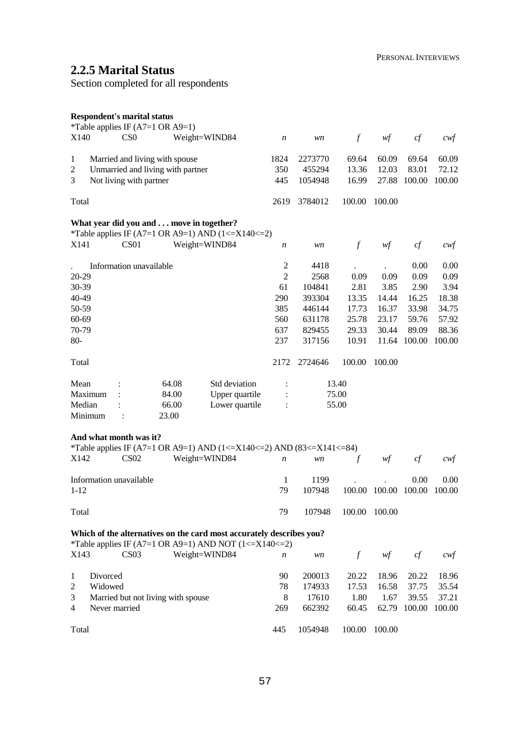# **2.2.5 Marital Status**

Section completed for all respondents

|           |          | <b>Respondent's marital status</b> | *Table applies IF $(A7=1 \text{ OR } A9=1)$ |                                                                              |                  |         |                  |               |        |        |
|-----------|----------|------------------------------------|---------------------------------------------|------------------------------------------------------------------------------|------------------|---------|------------------|---------------|--------|--------|
| X140      |          | C <sub>S</sub> O                   |                                             | Weight=WIND84                                                                | $\boldsymbol{n}$ | wn      | $\boldsymbol{f}$ | wf            | $c\!f$ | cwf    |
| 1         |          |                                    | Married and living with spouse              |                                                                              | 1824             | 2273770 | 69.64            | 60.09         | 69.64  | 60.09  |
| 2         |          |                                    | Unmarried and living with partner           |                                                                              | 350              | 455294  | 13.36            | 12.03         | 83.01  | 72.12  |
| 3         |          | Not living with partner            |                                             |                                                                              | 445              | 1054948 | 16.99            | 27.88         | 100.00 | 100.00 |
| Total     |          |                                    |                                             |                                                                              | 2619             | 3784012 | 100.00           | 100.00        |        |        |
|           |          |                                    | What year did you and move in together?     |                                                                              |                  |         |                  |               |        |        |
|           |          |                                    |                                             | *Table applies IF (A7=1 OR A9=1) AND (1 <= $X140$ <= 2)                      |                  |         |                  |               |        |        |
| X141      |          | CS <sub>01</sub>                   |                                             | Weight=WIND84                                                                | n                | wn      | $\mathcal{f}$    | wf            | cf     | $c$ wf |
|           |          | Information unavailable            |                                             |                                                                              | 2                | 4418    |                  |               | 0.00   | 0.00   |
| 20-29     |          |                                    |                                             |                                                                              | $\overline{2}$   | 2568    | 0.09             | 0.09          | 0.09   | 0.09   |
| 30-39     |          |                                    |                                             |                                                                              | 61               | 104841  | 2.81             | 3.85          | 2.90   | 3.94   |
| 40-49     |          |                                    |                                             |                                                                              | 290              | 393304  | 13.35            | 14.44         | 16.25  | 18.38  |
| 50-59     |          |                                    |                                             |                                                                              | 385              | 446144  | 17.73            | 16.37         | 33.98  | 34.75  |
| $60 - 69$ |          |                                    |                                             |                                                                              | 560              | 631178  | 25.78            | 23.17         | 59.76  | 57.92  |
| 70-79     |          |                                    |                                             |                                                                              | 637              | 829455  | 29.33            | 30.44         | 89.09  | 88.36  |
| $80-$     |          |                                    |                                             |                                                                              | 237              | 317156  | 10.91            | 11.64         | 100.00 | 100.00 |
| Total     |          |                                    |                                             |                                                                              | 2172             | 2724646 | 100.00           | 100.00        |        |        |
| Mean      |          |                                    | 64.08                                       | Std deviation                                                                | $\ddot{\cdot}$   |         | 13.40            |               |        |        |
|           | Maximum  |                                    | 84.00                                       | Upper quartile                                                               |                  |         | 75.00            |               |        |        |
| Median    |          |                                    | 66.00                                       | Lower quartile                                                               |                  |         | 55.00            |               |        |        |
|           | Minimum  |                                    | 23.00                                       |                                                                              |                  |         |                  |               |        |        |
|           |          | And what month was it?             |                                             |                                                                              |                  |         |                  |               |        |        |
|           |          |                                    |                                             | *Table applies IF (A7=1 OR A9=1) AND (1 <= X140 <= 2) AND (83 <= X141 <= 84) |                  |         |                  |               |        |        |
| X142      |          | CS <sub>02</sub>                   |                                             | Weight=WIND84                                                                | n                | wn      | $\mathcal{f}$    | wf            | cf     | cwt    |
|           |          | Information unavailable            |                                             |                                                                              | 1                | 1199    |                  |               | 0.00   | 0.00   |
| $1-12$    |          |                                    |                                             |                                                                              | 79               | 107948  |                  | 100.00 100.00 | 100.00 | 100.00 |
| Total     |          |                                    |                                             |                                                                              | 79               | 107948  |                  | 100.00 100.00 |        |        |
|           |          |                                    |                                             | Which of the alternatives on the card most accurately describes you?         |                  |         |                  |               |        |        |
|           |          |                                    |                                             | *Table applies IF (A7=1 OR A9=1) AND NOT (1 <= $X140 \le 2$ )                |                  |         |                  |               |        |        |
| X143      |          | CS <sub>03</sub>                   |                                             | Weight=WIND84                                                                | n                | wn      | $\boldsymbol{f}$ | wf            | cf     | cwf    |
| 1         | Divorced |                                    |                                             |                                                                              | 90               | 200013  | 20.22            | 18.96         | 20.22  | 18.96  |
| 2         | Widowed  |                                    |                                             |                                                                              | 78               | 174933  | 17.53            | 16.58         | 37.75  | 35.54  |
| 3         |          |                                    | Married but not living with spouse          |                                                                              | 8                | 17610   | 1.80             | 1.67          | 39.55  | 37.21  |
| 4         |          | Never married                      |                                             |                                                                              | 269              | 662392  | 60.45            | 62.79         | 100.00 | 100.00 |

Total

445 1054948 100.00 100.00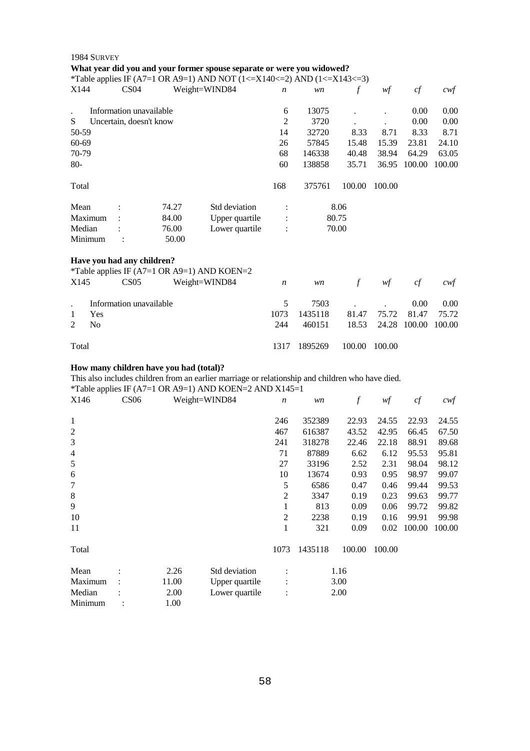|                | 1984 SURVEY |                                                |                                             | What year did you and your former spouse separate or were you widowed?<br>*Table applies IF (A7=1 OR A9=1) AND NOT (1 <= $X140 \le 2$ ) AND (1 <= $X143 \le 3$ ) |                  |         |                      |        |        |                   |
|----------------|-------------|------------------------------------------------|---------------------------------------------|------------------------------------------------------------------------------------------------------------------------------------------------------------------|------------------|---------|----------------------|--------|--------|-------------------|
| X144           |             | CS <sub>04</sub>                               |                                             | Weight=WIND84                                                                                                                                                    | n                | wn      | $\int$               | wf     | cf     | $\alpha$          |
|                |             | Information unavailable                        |                                             |                                                                                                                                                                  | 6                | 13075   | $\ddot{\phantom{0}}$ |        | 0.00   | 0.00              |
| S              |             | Uncertain, doesn't know                        |                                             |                                                                                                                                                                  | $\overline{2}$   | 3720    |                      |        | 0.00   | 0.00              |
| 50-59          |             |                                                |                                             |                                                                                                                                                                  | 14               | 32720   | 8.33                 | 8.71   | 8.33   | 8.71              |
| 60-69          |             |                                                |                                             |                                                                                                                                                                  | 26               | 57845   | 15.48                | 15.39  | 23.81  | 24.10             |
| 70-79          |             |                                                |                                             |                                                                                                                                                                  | 68               | 146338  | 40.48                | 38.94  | 64.29  | 63.05             |
| $80 -$         |             |                                                |                                             |                                                                                                                                                                  | 60               | 138858  | 35.71                | 36.95  | 100.00 | 100.00            |
| Total          |             |                                                |                                             |                                                                                                                                                                  | 168              | 375761  | 100.00               | 100.00 |        |                   |
| Mean           |             |                                                | 74.27                                       | Std deviation                                                                                                                                                    | $\ddot{\cdot}$   |         | 8.06                 |        |        |                   |
|                | Maximum     |                                                | 84.00                                       | Upper quartile                                                                                                                                                   | $\ddot{\cdot}$   |         | 80.75                |        |        |                   |
| Median         | Minimum     | $\ddot{\cdot}$                                 | 76.00<br>50.00                              | Lower quartile                                                                                                                                                   | $\ddot{\cdot}$   |         | 70.00                |        |        |                   |
| X145           |             | Have you had any children?<br>CS <sub>05</sub> | *Table applies IF (A7=1 OR A9=1) AND KOEN=2 | Weight=WIND84                                                                                                                                                    | $\boldsymbol{n}$ | wn      | $\mathcal{f}$        | wf     | cf     | $c$ wf            |
|                |             | Information unavailable                        |                                             |                                                                                                                                                                  | 5                | 7503    |                      |        | 0.00   | 0.00              |
| 1              | Yes         |                                                |                                             |                                                                                                                                                                  | 1073             | 1435118 | 81.47                | 75.72  | 81.47  | 75.72             |
| $\overline{2}$ | No          |                                                |                                             |                                                                                                                                                                  | 244              | 460151  | 18.53                | 24.28  | 100.00 | 100.00            |
| Total          |             |                                                |                                             |                                                                                                                                                                  | 1317             | 1895269 | 100.00               | 100.00 |        |                   |
|                |             |                                                | How many children have you had (total)?     | This also includes children from an earlier marriage or relationship and children who have died.<br>*Table applies IF (A7=1 OR A9=1) AND KOEN=2 AND X145=1       |                  |         |                      |        |        |                   |
| X146           |             | <b>CS06</b>                                    |                                             | Weight=WIND84                                                                                                                                                    | $\boldsymbol{n}$ | wn      | $\boldsymbol{f}$     | wf     | cf     | $c \mathcal{w}$ f |
| 1              |             |                                                |                                             |                                                                                                                                                                  | 246              | 352389  | 22.93                | 24.55  | 22.93  | 24.55             |
| $\overline{c}$ |             |                                                |                                             |                                                                                                                                                                  | 467              | 616387  | 43.52                | 42.95  | 66.45  | 67.50             |
| 3              |             |                                                |                                             |                                                                                                                                                                  | 241              | 318278  | 22.46                | 22.18  | 88.91  | 89.68             |
| $\overline{4}$ |             |                                                |                                             |                                                                                                                                                                  | 71               | 87889   | 6.62                 | 6.12   | 95.53  | 95.81             |
| 5              |             |                                                |                                             |                                                                                                                                                                  | 27               | 33196   | 2.52                 | 2.31   | 98.04  | 98.12             |
| 6              |             |                                                |                                             |                                                                                                                                                                  | 10               | 13674   | 0.93                 | 0.95   | 98.97  | 99.07             |
| 7              |             |                                                |                                             |                                                                                                                                                                  | $\mathfrak s$    | 6586    | 0.47                 | 0.46   | 99.44  | 99.53             |
| $\,8$          |             |                                                |                                             |                                                                                                                                                                  | $\mathfrak 2$    | 3347    | 0.19                 | 0.23   | 99.63  | 99.77             |
| 9              |             |                                                |                                             |                                                                                                                                                                  | 1                | 813     | 0.09                 | 0.06   | 99.72  | 99.82             |
| 10             |             |                                                |                                             |                                                                                                                                                                  | $\overline{2}$   | 2238    | 0.19                 | 0.16   | 99.91  | 99.98             |
| 11             |             |                                                |                                             |                                                                                                                                                                  | 1                | 321     | 0.09                 | 0.02   | 100.00 | 100.00            |
| Total          |             |                                                |                                             |                                                                                                                                                                  | 1073             | 1435118 | 100.00               | 100.00 |        |                   |
| Mean           |             |                                                | 2.26                                        | Std deviation                                                                                                                                                    |                  |         | 1.16                 |        |        |                   |
|                | Maximum     |                                                | 11.00                                       | Upper quartile                                                                                                                                                   |                  |         | 3.00                 |        |        |                   |
| Median         |             |                                                | 2.00                                        | Lower quartile                                                                                                                                                   |                  |         | 2.00                 |        |        |                   |
|                | Minimum     | :                                              | 1.00                                        |                                                                                                                                                                  |                  |         |                      |        |        |                   |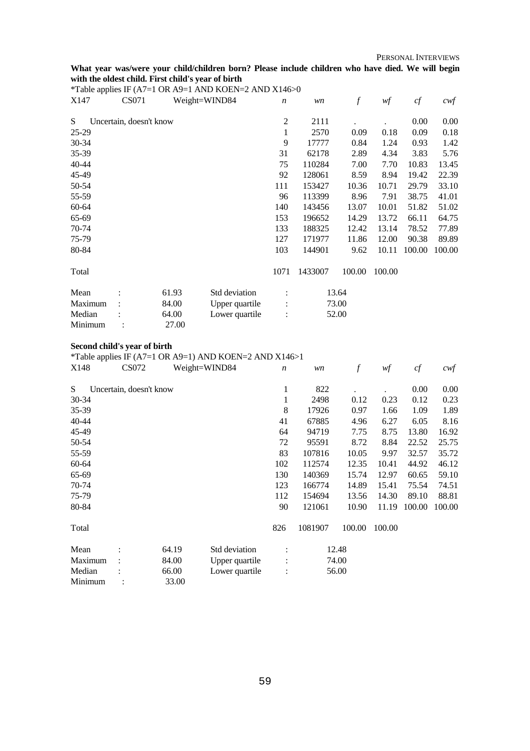PERSONAL INTERVIEWS

#### **What year was/were your child/children born? Please include children who have died. We will begin with the oldest child. First child's year of birth**

| *Table applies IF (A7=1 OR A9=1 AND KOEN=2 AND X146>0 |  |  |
|-------------------------------------------------------|--|--|

| $1000$ upplies $\overline{11}$<br>X147 | $\lambda$<br>CS071      | $\sim$ | $111.0$ $\mu$<br>Weight=WIND84 | $\boldsymbol{n}$ | wn      | $\mathcal{f}$ | wf     | cf     | $c \mathcal{w}$ f |
|----------------------------------------|-------------------------|--------|--------------------------------|------------------|---------|---------------|--------|--------|-------------------|
| S.                                     | Uncertain, doesn't know |        |                                | $\overline{c}$   | 2111    |               |        | 0.00   | 0.00              |
| 25-29                                  |                         |        |                                | 1                | 2570    | 0.09          | 0.18   | 0.09   | 0.18              |
| 30-34                                  |                         |        |                                | 9                | 17777   | 0.84          | 1.24   | 0.93   | 1.42              |
| 35-39                                  |                         |        |                                | 31               | 62178   | 2.89          | 4.34   | 3.83   | 5.76              |
| $40 - 44$                              |                         |        |                                | 75               | 110284  | 7.00          | 7.70   | 10.83  | 13.45             |
| 45-49                                  |                         |        |                                | 92               | 128061  | 8.59          | 8.94   | 19.42  | 22.39             |
| 50-54                                  |                         |        |                                | 111              | 153427  | 10.36         | 10.71  | 29.79  | 33.10             |
| 55-59                                  |                         |        |                                | 96               | 113399  | 8.96          | 7.91   | 38.75  | 41.01             |
| 60-64                                  |                         |        |                                | 140              | 143456  | 13.07         | 10.01  | 51.82  | 51.02             |
| 65-69                                  |                         |        |                                | 153              | 196652  | 14.29         | 13.72  | 66.11  | 64.75             |
| 70-74                                  |                         |        |                                | 133              | 188325  | 12.42         | 13.14  | 78.52  | 77.89             |
| 75-79                                  |                         |        |                                | 127              | 171977  | 11.86         | 12.00  | 90.38  | 89.89             |
| 80-84                                  |                         |        |                                | 103              | 144901  | 9.62          | 10.11  | 100.00 | 100.00            |
| Total                                  |                         |        |                                | 1071             | 1433007 | 100.00        | 100.00 |        |                   |
| Mean                                   |                         | 61.93  | Std deviation                  |                  |         | 13.64         |        |        |                   |
| Maximum                                |                         | 84.00  | Upper quartile                 |                  |         | 73.00         |        |        |                   |
| Median                                 |                         | 64.00  | Lower quartile                 | $\ddot{\cdot}$   |         | 52.00         |        |        |                   |
| Minimum                                |                         | 27.00  |                                |                  |         |               |        |        |                   |

#### **Second child's year of birth**

\*Table applies IF (A7=1 OR A9=1) AND KOEN=2 AND X146>1

| X148      | CS072                   |       | Weight=WIND84  | $\boldsymbol{n}$ | wn      | $\boldsymbol{f}$ | wf     | cf     | $c \mathcal{w} f$ |
|-----------|-------------------------|-------|----------------|------------------|---------|------------------|--------|--------|-------------------|
| S         | Uncertain, doesn't know |       |                | 1                | 822     |                  |        | 0.00   | 0.00              |
| 30-34     |                         |       |                | 1                | 2498    | 0.12             | 0.23   | 0.12   | 0.23              |
| 35-39     |                         |       |                | 8                | 17926   | 0.97             | 1.66   | 1.09   | 1.89              |
| $40 - 44$ |                         |       |                | 41               | 67885   | 4.96             | 6.27   | 6.05   | 8.16              |
| 45-49     |                         |       |                | 64               | 94719   | 7.75             | 8.75   | 13.80  | 16.92             |
| 50-54     |                         |       |                | 72               | 95591   | 8.72             | 8.84   | 22.52  | 25.75             |
| 55-59     |                         |       |                | 83               | 107816  | 10.05            | 9.97   | 32.57  | 35.72             |
| 60-64     |                         |       |                | 102              | 112574  | 12.35            | 10.41  | 44.92  | 46.12             |
| 65-69     |                         |       |                | 130              | 140369  | 15.74            | 12.97  | 60.65  | 59.10             |
| 70-74     |                         |       |                | 123              | 166774  | 14.89            | 15.41  | 75.54  | 74.51             |
| 75-79     |                         |       |                | 112              | 154694  | 13.56            | 14.30  | 89.10  | 88.81             |
| 80-84     |                         |       |                | 90               | 121061  | 10.90            | 11.19  | 100.00 | 100.00            |
| Total     |                         |       |                | 826              | 1081907 | 100.00           | 100.00 |        |                   |
| Mean      |                         | 64.19 | Std deviation  |                  |         | 12.48            |        |        |                   |
| Maximum   |                         | 84.00 | Upper quartile |                  |         | 74.00            |        |        |                   |
| Median    |                         | 66.00 | Lower quartile | $\ddot{\cdot}$   |         | 56.00            |        |        |                   |
| Minimum   |                         | 33.00 |                |                  |         |                  |        |        |                   |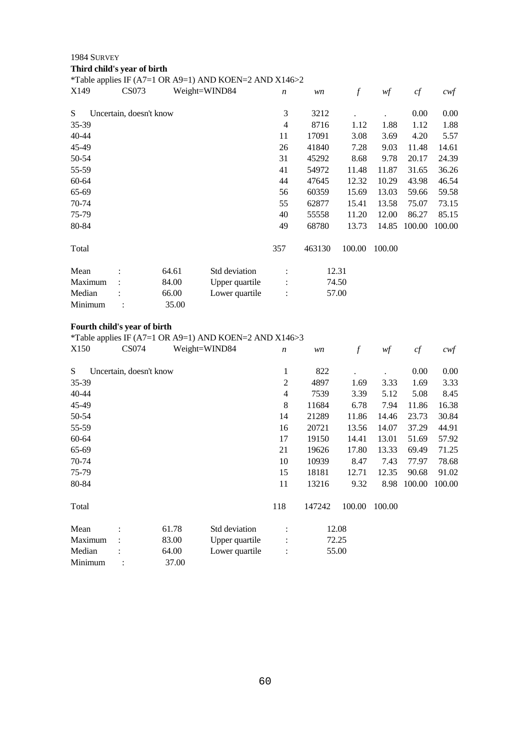**Third child's year of birth**

\*Table applies IF (A7=1 OR A9=1) AND KOEN=2 AND X146>2

| X149      | <b>CS073</b>            |       | Weight=WIND84  | $\boldsymbol{n}$ | wn     | f      | wf     | cf     | $c$ wf |
|-----------|-------------------------|-------|----------------|------------------|--------|--------|--------|--------|--------|
| S         | Uncertain, doesn't know |       |                | 3                | 3212   |        |        | 0.00   | 0.00   |
| 35-39     |                         |       |                | 4                | 8716   | 1.12   | 1.88   | 1.12   | 1.88   |
| $40 - 44$ |                         |       |                | 11               | 17091  | 3.08   | 3.69   | 4.20   | 5.57   |
| 45-49     |                         |       |                | 26               | 41840  | 7.28   | 9.03   | 11.48  | 14.61  |
| 50-54     |                         |       |                | 31               | 45292  | 8.68   | 9.78   | 20.17  | 24.39  |
| 55-59     |                         |       |                | 41               | 54972  | 11.48  | 11.87  | 31.65  | 36.26  |
| 60-64     |                         |       |                | 44               | 47645  | 12.32  | 10.29  | 43.98  | 46.54  |
| 65-69     |                         |       |                | 56               | 60359  | 15.69  | 13.03  | 59.66  | 59.58  |
| 70-74     |                         |       |                | 55               | 62877  | 15.41  | 13.58  | 75.07  | 73.15  |
| 75-79     |                         |       |                | 40               | 55558  | 11.20  | 12.00  | 86.27  | 85.15  |
| 80-84     |                         |       |                | 49               | 68780  | 13.73  | 14.85  | 100.00 | 100.00 |
| Total     |                         |       |                | 357              | 463130 | 100.00 | 100.00 |        |        |
| Mean      |                         | 64.61 | Std deviation  | $\ddot{\cdot}$   |        | 12.31  |        |        |        |
| Maximum   | $\ddot{\cdot}$          | 84.00 | Upper quartile |                  |        | 74.50  |        |        |        |
| Median    |                         | 66.00 | Lower quartile | $\vdots$         |        | 57.00  |        |        |        |
| Minimum   |                         | 35.00 |                |                  |        |        |        |        |        |

### **Fourth child's year of birth**

\*Table applies IF (A7=1 OR A9=1) AND KOEN=2 AND X146>3

| X150    | CS074                   |       | Weight=WIND84  | $\boldsymbol{n}$ | wn     | f      | wf     | cf     | $c$ wf |
|---------|-------------------------|-------|----------------|------------------|--------|--------|--------|--------|--------|
| S       | Uncertain, doesn't know |       |                | 1                | 822    |        |        | 0.00   | 0.00   |
| 35-39   |                         |       |                | $\overline{2}$   | 4897   | 1.69   | 3.33   | 1.69   | 3.33   |
| 40-44   |                         |       |                | 4                | 7539   | 3.39   | 5.12   | 5.08   | 8.45   |
| 45-49   |                         |       |                | 8                | 11684  | 6.78   | 7.94   | 11.86  | 16.38  |
| 50-54   |                         |       |                | 14               | 21289  | 11.86  | 14.46  | 23.73  | 30.84  |
| 55-59   |                         |       |                | 16               | 20721  | 13.56  | 14.07  | 37.29  | 44.91  |
| 60-64   |                         |       |                | 17               | 19150  | 14.41  | 13.01  | 51.69  | 57.92  |
| 65-69   |                         |       |                | 21               | 19626  | 17.80  | 13.33  | 69.49  | 71.25  |
| 70-74   |                         |       |                | 10               | 10939  | 8.47   | 7.43   | 77.97  | 78.68  |
| 75-79   |                         |       |                | 15               | 18181  | 12.71  | 12.35  | 90.68  | 91.02  |
| 80-84   |                         |       |                | 11               | 13216  | 9.32   | 8.98   | 100.00 | 100.00 |
| Total   |                         |       |                | 118              | 147242 | 100.00 | 100.00 |        |        |
| Mean    |                         | 61.78 | Std deviation  | :                |        | 12.08  |        |        |        |
| Maximum |                         | 83.00 | Upper quartile |                  | 72.25  |        |        |        |        |
| Median  |                         | 64.00 | Lower quartile | $\vdots$         |        | 55.00  |        |        |        |
| Minimum |                         | 37.00 |                |                  |        |        |        |        |        |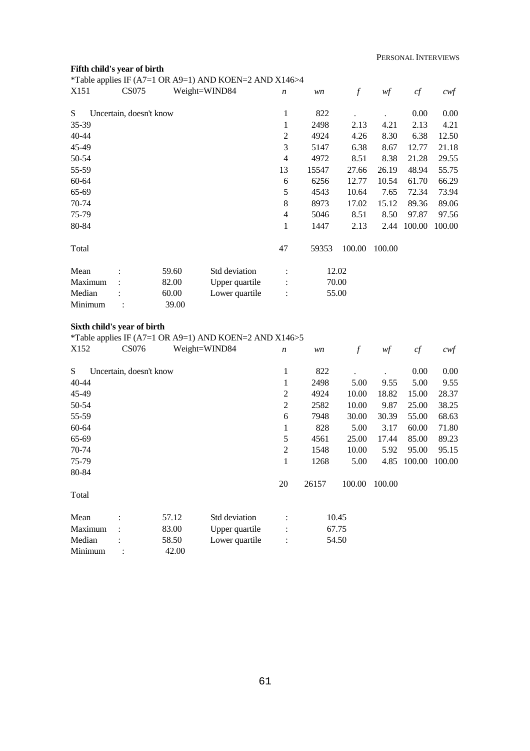## **Fifth child's year of birth**

|                  |                         |       | *Table applies IF (A7=1 OR A9=1) AND KOEN=2 AND X146>4 |                  |       |               |        |        |        |
|------------------|-------------------------|-------|--------------------------------------------------------|------------------|-------|---------------|--------|--------|--------|
| X <sub>151</sub> | <b>CS075</b>            |       | Weight=WIND84                                          | $\boldsymbol{n}$ | wn    | $\mathcal{f}$ | wf     | cf     | cwf    |
| S.               | Uncertain, doesn't know |       |                                                        | 1                | 822   |               |        | 0.00   | 0.00   |
| 35-39            |                         |       |                                                        | 1                | 2498  | 2.13          | 4.21   | 2.13   | 4.21   |
| 40-44            |                         |       |                                                        | $\overline{2}$   | 4924  | 4.26          | 8.30   | 6.38   | 12.50  |
| 45-49            |                         |       |                                                        | 3                | 5147  | 6.38          | 8.67   | 12.77  | 21.18  |
| 50-54            |                         |       |                                                        | 4                | 4972  | 8.51          | 8.38   | 21.28  | 29.55  |
| 55-59            |                         |       |                                                        | 13               | 15547 | 27.66         | 26.19  | 48.94  | 55.75  |
| 60-64            |                         |       |                                                        | 6                | 6256  | 12.77         | 10.54  | 61.70  | 66.29  |
| 65-69            |                         |       |                                                        | 5                | 4543  | 10.64         | 7.65   | 72.34  | 73.94  |
| 70-74            |                         |       |                                                        | 8                | 8973  | 17.02         | 15.12  | 89.36  | 89.06  |
| 75-79            |                         |       |                                                        | 4                | 5046  | 8.51          | 8.50   | 97.87  | 97.56  |
| 80-84            |                         |       |                                                        | $\mathbf{1}$     | 1447  | 2.13          | 2.44   | 100.00 | 100.00 |
| Total            |                         |       |                                                        | 47               | 59353 | 100.00        | 100.00 |        |        |
| Mean             |                         | 59.60 | Std deviation                                          |                  |       | 12.02         |        |        |        |
| Maximum          |                         | 82.00 | Upper quartile                                         |                  |       | 70.00         |        |        |        |
| Median           |                         | 60.00 | Lower quartile                                         |                  |       | 55.00         |        |        |        |
| Minimum          |                         | 39.00 |                                                        |                  |       |               |        |        |        |

### **Sixth child's year of birth**

\*Table applies IF (A7=1 OR A9=1) AND KOEN=2 AND X146>5

| X <sub>152</sub> | CS076                   |       | Weight=WIND84  | $\boldsymbol{n}$ | wn    | $\boldsymbol{f}$ | wf     | cf     | cwf    |
|------------------|-------------------------|-------|----------------|------------------|-------|------------------|--------|--------|--------|
| S.               | Uncertain, doesn't know |       |                | 1                | 822   |                  |        | 0.00   | 0.00   |
| 40-44            |                         |       |                | 1                | 2498  | 5.00             | 9.55   | 5.00   | 9.55   |
| 45-49            |                         |       |                | 2                | 4924  | 10.00            | 18.82  | 15.00  | 28.37  |
| 50-54            |                         |       |                | $\mathfrak{2}$   | 2582  | 10.00            | 9.87   | 25.00  | 38.25  |
| 55-59            |                         |       |                | 6                | 7948  | 30.00            | 30.39  | 55.00  | 68.63  |
| 60-64            |                         |       |                | 1                | 828   | 5.00             | 3.17   | 60.00  | 71.80  |
| 65-69            |                         |       |                | 5                | 4561  | 25.00            | 17.44  | 85.00  | 89.23  |
| 70-74            |                         |       |                | 2                | 1548  | 10.00            | 5.92   | 95.00  | 95.15  |
| 75-79            |                         |       |                | 1                | 1268  | 5.00             | 4.85   | 100.00 | 100.00 |
| 80-84            |                         |       |                |                  |       |                  |        |        |        |
|                  |                         |       |                | 20               | 26157 | 100.00           | 100.00 |        |        |
| Total            |                         |       |                |                  |       |                  |        |        |        |
| Mean             |                         | 57.12 | Std deviation  | $\ddot{\cdot}$   |       | 10.45            |        |        |        |
| Maximum          |                         | 83.00 | Upper quartile | $\vdots$         |       | 67.75            |        |        |        |
| Median           |                         | 58.50 | Lower quartile | $\ddot{\cdot}$   |       | 54.50            |        |        |        |
| Minimum          |                         | 42.00 |                |                  |       |                  |        |        |        |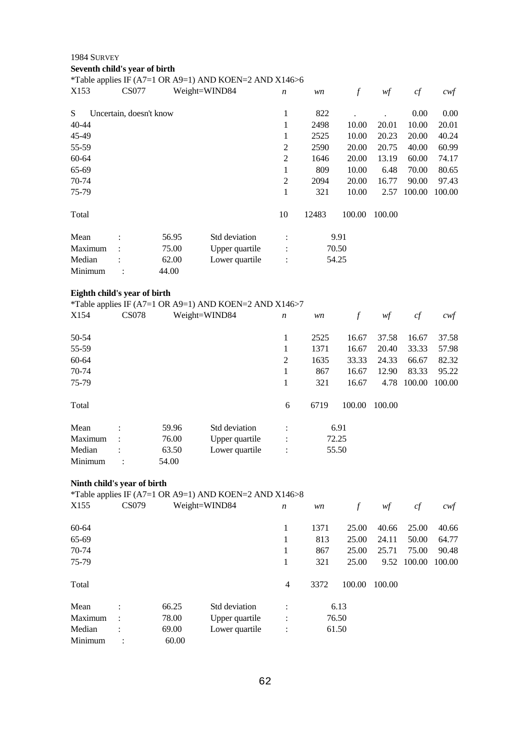**Seventh child's year of birth**

\*Table applies IF (A7=1 OR A9=1) AND KOEN=2 AND X146>6

| X153    | <b>CS077</b>            |       | Weight=WIND84  | $\boldsymbol{n}$     | wn    | f      | wf     | cf     | $c \mathsf{w} f$ |
|---------|-------------------------|-------|----------------|----------------------|-------|--------|--------|--------|------------------|
| S.      | Uncertain, doesn't know |       |                | 1                    | 822   |        |        | 0.00   | 0.00             |
| 40-44   |                         |       |                | 1                    | 2498  | 10.00  | 20.01  | 10.00  | 20.01            |
| 45-49   |                         |       |                | 1                    | 2525  | 10.00  | 20.23  | 20.00  | 40.24            |
| 55-59   |                         |       |                | 2                    | 2590  | 20.00  | 20.75  | 40.00  | 60.99            |
| 60-64   |                         |       |                | $\overline{2}$       | 1646  | 20.00  | 13.19  | 60.00  | 74.17            |
| 65-69   |                         |       |                | 1                    | 809   | 10.00  | 6.48   | 70.00  | 80.65            |
| 70-74   |                         |       |                | $\overline{2}$       | 2094  | 20.00  | 16.77  | 90.00  | 97.43            |
| 75-79   |                         |       |                | 1                    | 321   | 10.00  | 2.57   | 100.00 | 100.00           |
| Total   |                         |       |                | 10                   | 12483 | 100.00 | 100.00 |        |                  |
| Mean    | ٠                       | 56.95 | Std deviation  | $\bullet$<br>$\cdot$ |       | 9.91   |        |        |                  |
| Maximum | $\ddot{\cdot}$          | 75.00 | Upper quartile | $\ddot{\cdot}$       |       | 70.50  |        |        |                  |
| Median  |                         | 62.00 | Lower quartile | $\vdots$             |       | 54.25  |        |        |                  |
| Minimum |                         | 44.00 |                |                      |       |        |        |        |                  |

## **Eighth child's year of birth**

|         |                |       | *Table applies IF (A7=1 OR A9=1) AND KOEN=2 AND X146>7 |                      |       |        |        |        |        |
|---------|----------------|-------|--------------------------------------------------------|----------------------|-------|--------|--------|--------|--------|
| X154    | <b>CS078</b>   |       | Weight=WIND84                                          | $\boldsymbol{n}$     | wn    | f      | wf     | cf     | cwf    |
| 50-54   |                |       |                                                        | 1                    | 2525  | 16.67  | 37.58  | 16.67  | 37.58  |
| 55-59   |                |       |                                                        | 1                    | 1371  | 16.67  | 20.40  | 33.33  | 57.98  |
| 60-64   |                |       |                                                        | $\overline{2}$       | 1635  | 33.33  | 24.33  | 66.67  | 82.32  |
| 70-74   |                |       |                                                        | 1                    | 867   | 16.67  | 12.90  | 83.33  | 95.22  |
| 75-79   |                |       |                                                        | 1                    | 321   | 16.67  | 4.78   | 100.00 | 100.00 |
| Total   |                |       |                                                        | 6                    | 6719  | 100.00 | 100.00 |        |        |
| Mean    | $\bullet$      | 59.96 | Std deviation                                          | $\ddot{\cdot}$       |       | 6.91   |        |        |        |
| Maximum | $\ddot{\cdot}$ | 76.00 | Upper quartile                                         | $\ddot{\phantom{a}}$ | 72.25 |        |        |        |        |
| Median  | $\ddot{\cdot}$ | 63.50 | Lower quartile                                         | $\ddot{\phantom{a}}$ |       | 55.50  |        |        |        |
| Minimum | ٠              | 54.00 |                                                        |                      |       |        |        |        |        |

## **Ninth child's year of birth**

\*Table applies IF (A7=1 OR A9=1) AND KOEN=2 AND X146>8

| X <sub>155</sub> | CS079          |       | Weight=WIND84  | $\boldsymbol{n}$ | wn   |        | wf     | cf     | cwf    |
|------------------|----------------|-------|----------------|------------------|------|--------|--------|--------|--------|
| 60-64            |                |       |                | 1                | 1371 | 25.00  | 40.66  | 25.00  | 40.66  |
| 65-69            |                |       |                | 1                | 813  | 25.00  | 24.11  | 50.00  | 64.77  |
| 70-74            |                |       |                | 1                | 867  | 25.00  | 25.71  | 75.00  | 90.48  |
| 75-79            |                |       |                | 1                | 321  | 25.00  | 9.52   | 100.00 | 100.00 |
| Total            |                |       |                | 4                | 3372 | 100.00 | 100.00 |        |        |
| Mean             | ٠              | 66.25 | Std deviation  | $\ddot{\cdot}$   |      | 6.13   |        |        |        |
| Maximum          | $\ddot{\cdot}$ | 78.00 | Upper quartile | :                |      | 76.50  |        |        |        |
| Median           | ٠              | 69.00 | Lower quartile | $\ddot{\cdot}$   |      | 61.50  |        |        |        |
| Minimum          |                | 60.00 |                |                  |      |        |        |        |        |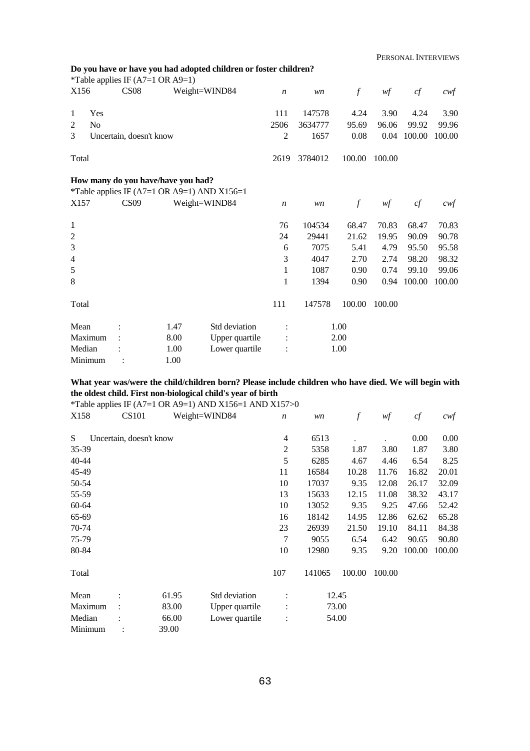|                     |                         | *Table applies IF $(A7=1 \text{ OR } A9=1)$ | Do you have or have you had adopted children or foster children? |                  |         |                  |        |        |        |
|---------------------|-------------------------|---------------------------------------------|------------------------------------------------------------------|------------------|---------|------------------|--------|--------|--------|
| X156                | CS <sub>08</sub>        |                                             | Weight=WIND84                                                    | $\boldsymbol{n}$ | wn      | $\boldsymbol{f}$ | wf     | cf     | cwf    |
| Yes<br>1            |                         |                                             |                                                                  | 111              | 147578  | 4.24             | 3.90   | 4.24   | 3.90   |
| 2<br>N <sub>o</sub> |                         |                                             |                                                                  | 2506             | 3634777 | 95.69            | 96.06  | 99.92  | 99.96  |
| 3                   | Uncertain, doesn't know |                                             |                                                                  | $\overline{2}$   | 1657    | 0.08             | 0.04   | 100.00 | 100.00 |
| Total               |                         |                                             |                                                                  | 2619             | 3784012 | 100.00           | 100.00 |        |        |
|                     |                         | How many do you have/have you had?          |                                                                  |                  |         |                  |        |        |        |
|                     |                         |                                             | *Table applies IF (A7=1 OR A9=1) AND X156=1                      |                  |         |                  |        |        |        |
| X157                | CS <sub>09</sub>        |                                             | Weight=WIND84                                                    | $\boldsymbol{n}$ | wn      | $\boldsymbol{f}$ | wf     | cf     | cwt    |
| $\mathbf{1}$        |                         |                                             |                                                                  | 76               | 104534  | 68.47            | 70.83  | 68.47  | 70.83  |
| $\overline{2}$      |                         |                                             |                                                                  | 24               | 29441   | 21.62            | 19.95  | 90.09  | 90.78  |
| 3                   |                         |                                             |                                                                  | 6                | 7075    | 5.41             | 4.79   | 95.50  | 95.58  |
| $\overline{4}$      |                         |                                             |                                                                  | 3                | 4047    | 2.70             | 2.74   | 98.20  | 98.32  |
| 5                   |                         |                                             |                                                                  | 1                | 1087    | 0.90             | 0.74   | 99.10  | 99.06  |
| 8                   |                         |                                             |                                                                  | 1                | 1394    | 0.90             | 0.94   | 100.00 | 100.00 |
| Total               |                         |                                             |                                                                  | 111              | 147578  | 100.00           | 100.00 |        |        |
| Mean                |                         | 1.47                                        | Std deviation                                                    |                  |         | 1.00             |        |        |        |
| Maximum             |                         | 8.00                                        | Upper quartile                                                   |                  |         | 2.00             |        |        |        |
| Median              |                         | 1.00                                        | Lower quartile                                                   |                  |         | 1.00             |        |        |        |
| Minimum             |                         | 1.00                                        |                                                                  |                  |         |                  |        |        |        |

## **What year was/were the child/children born? Please include children who have died. We will begin with the oldest child. First non-biological child's year of birth**

\*Table applies IF (A7=1 OR A9=1) AND X156=1 AND X157>0

| X158    | <b>CS101</b>            |       | Weight=WIND84  | $\boldsymbol{n}$ | wn     | $\boldsymbol{f}$ | wf     | cf     | $c \mathcal{w} f$ |
|---------|-------------------------|-------|----------------|------------------|--------|------------------|--------|--------|-------------------|
| S       | Uncertain, doesn't know |       |                | 4                | 6513   |                  |        | 0.00   | 0.00              |
| 35-39   |                         |       |                | $\overline{c}$   | 5358   | 1.87             | 3.80   | 1.87   | 3.80              |
| 40-44   |                         |       |                | 5                | 6285   | 4.67             | 4.46   | 6.54   | 8.25              |
| 45-49   |                         |       |                | 11               | 16584  | 10.28            | 11.76  | 16.82  | 20.01             |
| 50-54   |                         |       |                | 10               | 17037  | 9.35             | 12.08  | 26.17  | 32.09             |
| 55-59   |                         |       |                | 13               | 15633  | 12.15            | 11.08  | 38.32  | 43.17             |
| 60-64   |                         |       |                | 10               | 13052  | 9.35             | 9.25   | 47.66  | 52.42             |
| 65-69   |                         |       |                | 16               | 18142  | 14.95            | 12.86  | 62.62  | 65.28             |
| 70-74   |                         |       |                | 23               | 26939  | 21.50            | 19.10  | 84.11  | 84.38             |
| 75-79   |                         |       |                | 7                | 9055   | 6.54             | 6.42   | 90.65  | 90.80             |
| 80-84   |                         |       |                | 10               | 12980  | 9.35             | 9.20   | 100.00 | 100.00            |
| Total   |                         |       |                | 107              | 141065 | 100.00           | 100.00 |        |                   |
| Mean    |                         | 61.95 | Std deviation  | $\ddot{\cdot}$   |        | 12.45            |        |        |                   |
| Maximum | $\ddot{\cdot}$          | 83.00 | Upper quartile |                  |        | 73.00            |        |        |                   |
| Median  |                         | 66.00 | Lower quartile | $\ddot{\cdot}$   |        | 54.00            |        |        |                   |
| Minimum |                         | 39.00 |                |                  |        |                  |        |        |                   |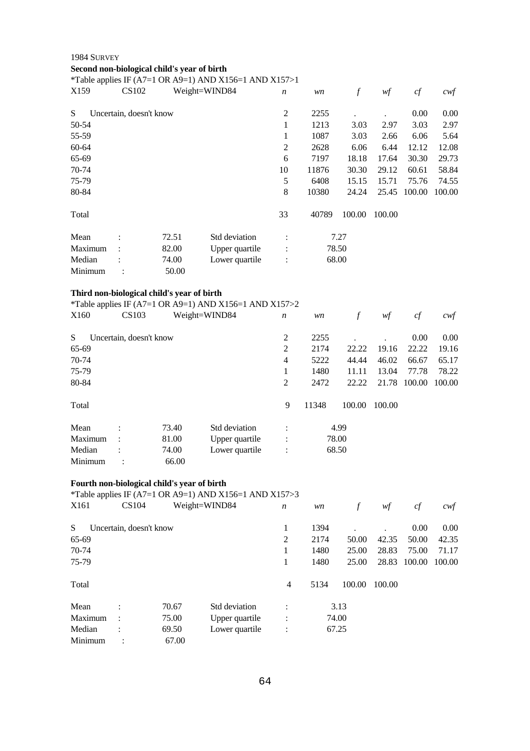#### 1984 SURVEY **Second non-biological child's year of birth** \*Table applies IF (A7=1 OR A9=1) AND X156=1 AND X157>1 X159 CS102 Weight=WIND84 *n wn f wf cf cwf* S Uncertain, doesn't know 50-54 55-59 60-64 65-69 70-74 75-79 80-84 Total 2 2255 . . 0.00 0.00 1 1213 3.03 2.97 3.03 2.97 1 1087 3.03 2.66 6.06 5.64 2 2628 6.06 6.44 12.12 12.08 6 7197 18.18 17.64 30.30 29.73 10 11876 30.30 29.12 60.61 58.84 5 6408 15.15 15.71 75.76 74.55 8 10380 24.24 25.45 100.00 100.00 33 40789 100.00 100.00 Mean : 72.51 Std deviation : 7.27 Maximum : 82.00 Upper quartile : 78.50 Median : 74.00 Lower quartile : 68.00 Minimum : 50.00

#### **Third non-biological child's year of birth**

|         |                         |       | *Table applies IF (A7=1 OR A9=1) AND X156=1 AND X157>2 |                      |       |        |        |        |        |
|---------|-------------------------|-------|--------------------------------------------------------|----------------------|-------|--------|--------|--------|--------|
| X160    | <b>CS103</b>            |       | Weight=WIND84                                          | $\boldsymbol{n}$     | wn    | f      | wf     | cf     | cwf    |
| S       | Uncertain, doesn't know |       |                                                        | 2                    | 2255  |        |        | 0.00   | 0.00   |
| 65-69   |                         |       |                                                        | 2                    | 2174  | 22.22  | 19.16  | 22.22  | 19.16  |
| 70-74   |                         |       |                                                        | $\overline{4}$       | 5222  | 44.44  | 46.02  | 66.67  | 65.17  |
| 75-79   |                         |       |                                                        | 1                    | 1480  | 11.11  | 13.04  | 77.78  | 78.22  |
| 80-84   |                         |       |                                                        | 2                    | 2472  | 22.22  | 21.78  | 100.00 | 100.00 |
| Total   |                         |       |                                                        | 9                    | 11348 | 100.00 | 100.00 |        |        |
| Mean    |                         | 73.40 | Std deviation                                          | $\bullet$            |       | 4.99   |        |        |        |
| Maximum | $\bullet$               | 81.00 | Upper quartile                                         | $\bullet$            |       | 78.00  |        |        |        |
| Median  | $\bullet$               | 74.00 | Lower quartile                                         | $\ddot{\phantom{a}}$ |       | 68.50  |        |        |        |
| Minimum | $\bullet$               | 66.00 |                                                        |                      |       |        |        |        |        |

#### **Fourth non-biological child's year of birth**

\*Table applies IF (A7=1 OR A9=1) AND X156=1 AND X157>3

| X161    | CS104                   |       | Weight=WIND84  | $\boldsymbol{n}$ | wn   | f      | wf     | cf     | cwf    |
|---------|-------------------------|-------|----------------|------------------|------|--------|--------|--------|--------|
| S       | Uncertain, doesn't know |       |                | 1                | 1394 |        |        | 0.00   | 0.00   |
| 65-69   |                         |       |                | $\overline{2}$   | 2174 | 50.00  | 42.35  | 50.00  | 42.35  |
| 70-74   |                         |       |                | 1                | 1480 | 25.00  | 28.83  | 75.00  | 71.17  |
| 75-79   |                         |       |                | 1                | 1480 | 25.00  | 28.83  | 100.00 | 100.00 |
| Total   |                         |       |                | 4                | 5134 | 100.00 | 100.00 |        |        |
| Mean    | $\bullet$               | 70.67 | Std deviation  | $\bullet$        |      | 3.13   |        |        |        |
| Maximum | $\ddot{\cdot}$          | 75.00 | Upper quartile | :                |      | 74.00  |        |        |        |
| Median  | $\bullet$               | 69.50 | Lower quartile | $\ddot{\cdot}$   |      | 67.25  |        |        |        |
| Minimum |                         | 67.00 |                |                  |      |        |        |        |        |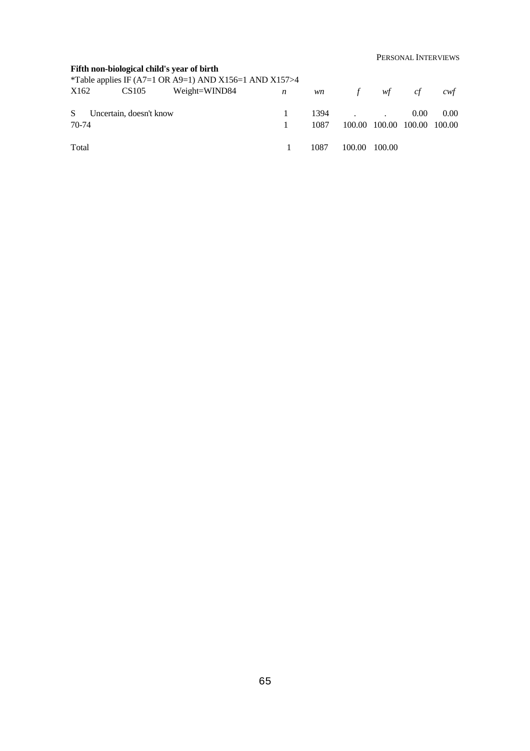PERSONAL INTERVIEWS

### **Fifth non-biological child's year of birth**

\*Table applies IF (A7=1 OR A9=1) AND X156=1 AND X157>4 X162 CS105 Weight=WIND84 *n wn f wf cf cwf* S Uncertain, doesn't know 70-74 Total 1 1394 . . 0.00 0.00  $1\qquad \quad 1087\qquad 100.00\quad 100.00\quad 100.00\quad 100.00$ 1 1087 100.00 100.00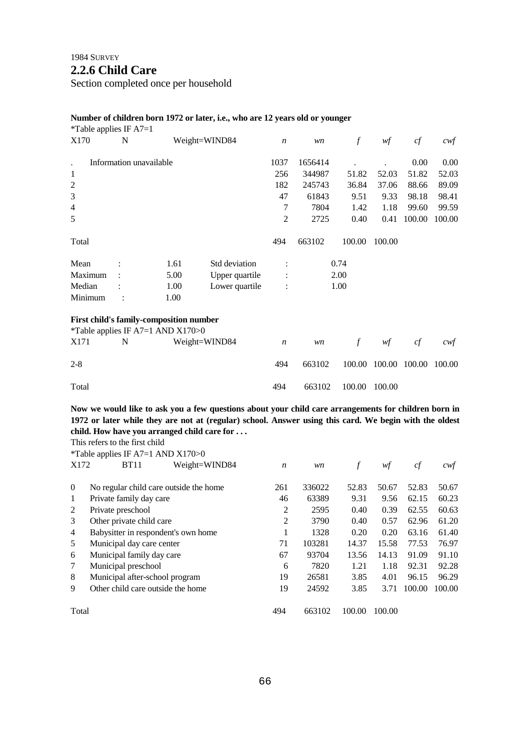## **2.2.6 Child Care**

Section completed once per household

#### **Number of children born 1972 or later, i.e., who are 12 years old or younger**

| *Table applies IF $A7=1$ |                                                                                |               |                |                  |         |               |        |        |        |
|--------------------------|--------------------------------------------------------------------------------|---------------|----------------|------------------|---------|---------------|--------|--------|--------|
| X170                     | N                                                                              | Weight=WIND84 |                | $\boldsymbol{n}$ | wn      | $\mathcal{f}$ | wf     | cf     | cwf    |
| $\ddot{\phantom{a}}$     | Information unavailable                                                        |               |                | 1037             | 1656414 |               |        | 0.00   | 0.00   |
| $\mathbf{1}$             |                                                                                |               |                | 256              | 344987  | 51.82         | 52.03  | 51.82  | 52.03  |
| $\sqrt{2}$               |                                                                                |               |                | 182              | 245743  | 36.84         | 37.06  | 88.66  | 89.09  |
| 3                        |                                                                                |               |                | 47               | 61843   | 9.51          | 9.33   | 98.18  | 98.41  |
| $\overline{4}$           |                                                                                |               |                | 7                | 7804    | 1.42          | 1.18   | 99.60  | 99.59  |
| 5                        |                                                                                |               |                | $\overline{c}$   | 2725    | 0.40          | 0.41   | 100.00 | 100.00 |
| Total                    |                                                                                |               |                | 494              | 663102  | 100.00        | 100.00 |        |        |
| Mean                     |                                                                                | 1.61          | Std deviation  |                  |         | 0.74          |        |        |        |
| Maximum                  |                                                                                | 5.00          | Upper quartile |                  |         | 2.00          |        |        |        |
| Median                   |                                                                                | 1.00          | Lower quartile |                  |         | 1.00          |        |        |        |
| Minimum                  |                                                                                | 1.00          |                |                  |         |               |        |        |        |
|                          | First child's family-composition number<br>*Table applies IF A7=1 AND $X170>0$ |               |                |                  |         |               |        |        |        |
| X171                     | N                                                                              | Weight=WIND84 |                | $\boldsymbol{n}$ | wn      | $\int$        | wf     | cf     | cwt    |
| $2 - 8$                  |                                                                                |               |                | 494              | 663102  | 100.00        | 100.00 | 100.00 | 100.00 |

Total 494 663102 100.00 100.00

**Now we would like to ask you a few questions about your child care arrangements for children born in 1972 or later while they are not at (regular) school. Answer using this card. We begin with the oldest child. How have you arranged child care for . . .**

This refers to the first child

|                | *Table applies IF A7=1 AND $X170>0$    |                  |        |        |        |        |        |
|----------------|----------------------------------------|------------------|--------|--------|--------|--------|--------|
| X172           | <b>BT11</b><br>Weight=WIND84           | $\boldsymbol{n}$ | wn     |        | wf     | cf     | cwt    |
|                |                                        |                  |        |        |        |        |        |
| $\theta$       | No regular child care outside the home | 261              | 336022 | 52.83  | 50.67  | 52.83  | 50.67  |
| 1              | Private family day care                | 46               | 63389  | 9.31   | 9.56   | 62.15  | 60.23  |
| 2              | Private preschool                      | 2                | 2595   | 0.40   | 0.39   | 62.55  | 60.63  |
| 3              | Other private child care               | $\overline{2}$   | 3790   | 0.40   | 0.57   | 62.96  | 61.20  |
| $\overline{4}$ | Babysitter in respondent's own home    |                  | 1328   | 0.20   | 0.20   | 63.16  | 61.40  |
| 5              | Municipal day care center              | 71               | 103281 | 14.37  | 15.58  | 77.53  | 76.97  |
| 6              | Municipal family day care              | 67               | 93704  | 13.56  | 14.13  | 91.09  | 91.10  |
| 7              | Municipal preschool                    | 6                | 7820   | 1.21   | 1.18   | 92.31  | 92.28  |
| 8              | Municipal after-school program         | 19               | 26581  | 3.85   | 4.01   | 96.15  | 96.29  |
| 9              | Other child care outside the home      | 19               | 24592  | 3.85   | 3.71   | 100.00 | 100.00 |
| Total          |                                        | 494              | 663102 | 100.00 | 100.00 |        |        |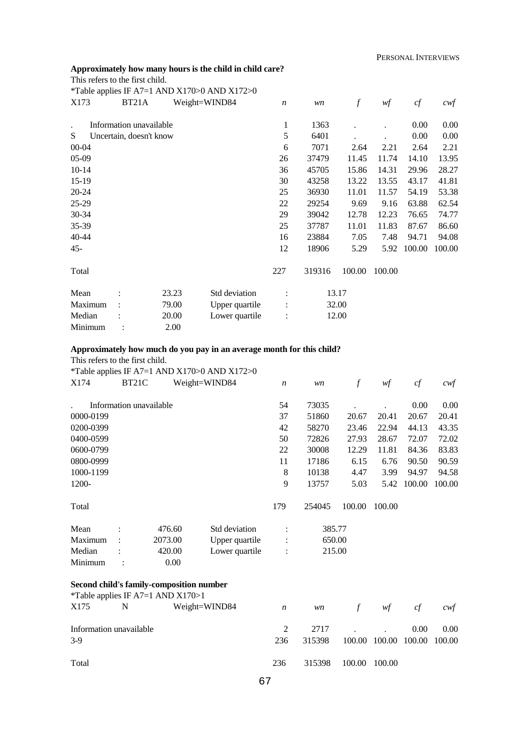### **Approximately how many hours is the child in child care?**

|  |  | This refers to the first child. |  |  |  |  |
|--|--|---------------------------------|--|--|--|--|
|--|--|---------------------------------|--|--|--|--|

|           |                         |       | *Table applies IF A7=1 AND X170>0 AND X172>0 |                  |        |                  |        |        |        |
|-----------|-------------------------|-------|----------------------------------------------|------------------|--------|------------------|--------|--------|--------|
| X173      | BT <sub>21</sub> A      |       | Weight=WIND84                                | $\boldsymbol{n}$ | wn     | $\boldsymbol{f}$ | wf     | cf     | $c$ wf |
|           | Information unavailable |       |                                              | 1                | 1363   |                  |        | 0.00   | 0.00   |
| S         | Uncertain, doesn't know |       |                                              | 5                | 6401   |                  |        | 0.00   | 0.00   |
| $00 - 04$ |                         |       |                                              | 6                | 7071   | 2.64             | 2.21   | 2.64   | 2.21   |
| $05-09$   |                         |       |                                              | 26               | 37479  | 11.45            | 11.74  | 14.10  | 13.95  |
| $10 - 14$ |                         |       |                                              | 36               | 45705  | 15.86            | 14.31  | 29.96  | 28.27  |
| 15-19     |                         |       |                                              | 30               | 43258  | 13.22            | 13.55  | 43.17  | 41.81  |
| $20 - 24$ |                         |       |                                              | 25               | 36930  | 11.01            | 11.57  | 54.19  | 53.38  |
| $25-29$   |                         |       |                                              | 22               | 29254  | 9.69             | 9.16   | 63.88  | 62.54  |
| 30-34     |                         |       |                                              | 29               | 39042  | 12.78            | 12.23  | 76.65  | 74.77  |
| 35-39     |                         |       |                                              | 25               | 37787  | 11.01            | 11.83  | 87.67  | 86.60  |
| 40-44     |                         |       |                                              | 16               | 23884  | 7.05             | 7.48   | 94.71  | 94.08  |
| $45 -$    |                         |       |                                              | 12               | 18906  | 5.29             | 5.92   | 100.00 | 100.00 |
| Total     |                         |       |                                              | 227              | 319316 | 100.00           | 100.00 |        |        |
| Mean      |                         | 23.23 | Std deviation                                |                  |        | 13.17            |        |        |        |
| Maximum   |                         | 79.00 | Upper quartile                               | $\ddot{\cdot}$   |        | 32.00            |        |        |        |
| Median    |                         | 20.00 | Lower quartile                               | ÷                |        | 12.00            |        |        |        |
| Minimum   |                         | 2.00  |                                              |                  |        |                  |        |        |        |

## **Approximately how much do you pay in an average month for this child?**

This refers to the first child.

\*Table applies IF A7=1 AND X170>0 AND X172>0<br>X174 BT21C Weight-WIND84

| X174      | BT <sub>21</sub> C |                         | Weight=WIND84 |                | $\boldsymbol{n}$ | wn     | f      | wf     | cf     | $c$ wf |
|-----------|--------------------|-------------------------|---------------|----------------|------------------|--------|--------|--------|--------|--------|
|           |                    | Information unavailable |               |                | 54               | 73035  |        |        | 0.00   | 0.00   |
| 0000-0199 |                    |                         |               |                | 37               | 51860  | 20.67  | 20.41  | 20.67  | 20.41  |
| 0200-0399 |                    |                         |               |                | 42               | 58270  | 23.46  | 22.94  | 44.13  | 43.35  |
| 0400-0599 |                    |                         |               |                | 50               | 72826  | 27.93  | 28.67  | 72.07  | 72.02  |
| 0600-0799 |                    |                         |               |                | 22               | 30008  | 12.29  | 11.81  | 84.36  | 83.83  |
| 0800-0999 |                    |                         |               |                | 11               | 17186  | 6.15   | 6.76   | 90.50  | 90.59  |
| 1000-1199 |                    |                         |               |                | 8                | 10138  | 4.47   | 3.99   | 94.97  | 94.58  |
| 1200-     |                    |                         |               |                | 9                | 13757  | 5.03   | 5.42   | 100.00 | 100.00 |
| Total     |                    |                         |               |                | 179              | 254045 | 100.00 | 100.00 |        |        |
| Mean      |                    | 476.60                  | Std deviation |                |                  | 385.77 |        |        |        |        |
| Maximum   |                    | 2073.00                 |               | Upper quartile | :                | 650.00 |        |        |        |        |
| Median    |                    | 420.00                  |               | Lower quartile | $\ddot{\cdot}$   | 215.00 |        |        |        |        |
| Minimum   |                    | 0.00                    |               |                |                  |        |        |        |        |        |

#### **Second child's family-composition number**  \*Table applies IF  $\Delta$ 7-1  $\Delta$ ND  $\Delta$ 170>1

| X175  | $N$ and $N$             | Lable applies $\mathbf{H}^{\dagger} \mathbf{A}$ $\mathbf{H}^{\dagger} \mathbf{A}$<br>Weight=WIND84 | $\overline{n}$ |                      | $wn$ f $wf$                         | c f               | cwf  |
|-------|-------------------------|----------------------------------------------------------------------------------------------------|----------------|----------------------|-------------------------------------|-------------------|------|
| $3-9$ | Information unavailable |                                                                                                    | 236            | 315398               | 2717<br>100.00 100.00 100.00 100.00 | 0.00 <sub>1</sub> | 0.00 |
| Total |                         |                                                                                                    | 236            | 315398 100.00 100.00 |                                     |                   |      |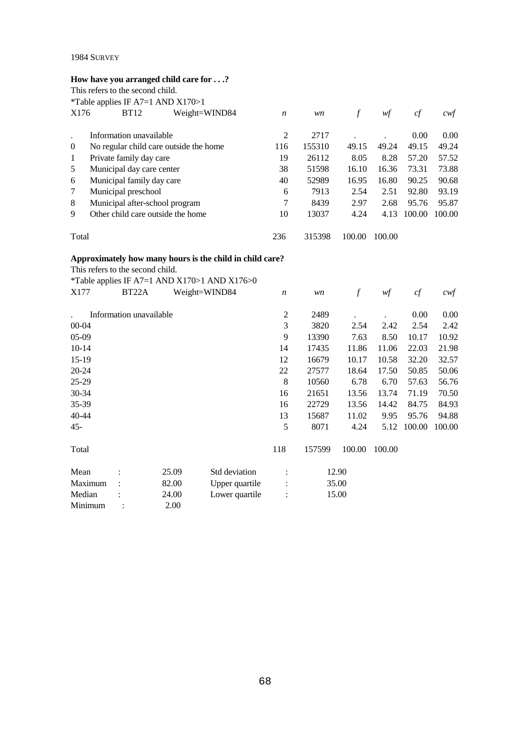## **How have you arranged child care for . . .?**

|          | This refers to the second child.            |               |                  |        |        |        |        |       |
|----------|---------------------------------------------|---------------|------------------|--------|--------|--------|--------|-------|
|          | <i>*</i> Table applies IF A7=1 AND $X170>1$ |               |                  |        |        |        |        |       |
| X176     | <b>BT12</b>                                 | Weight=WIND84 | $\boldsymbol{n}$ | wn     | f      | wf     | cf     | cwt   |
|          | Information unavailable                     |               | 2                | 2717   |        |        | 0.00   | 0.00  |
| $\theta$ | No regular child care outside the home      | 116           | 155310           | 49.15  | 49.24  | 49.15  | 49.24  |       |
| 1        | Private family day care                     | 19            | 26112            | 8.05   | 8.28   | 57.20  | 57.52  |       |
| 5        | Municipal day care center                   |               |                  | 51598  | 16.10  | 16.36  | 73.31  | 73.88 |
| 6        | Municipal family day care                   |               | 40               | 52989  | 16.95  | 16.80  | 90.25  | 90.68 |
| 7        | Municipal preschool                         |               | 6                | 7913   | 2.54   | 2.51   | 92.80  | 93.19 |
| 8        | Municipal after-school program              |               | 7                | 8439   | 2.97   | 2.68   | 95.76  | 95.87 |
| 9        | Other child care outside the home           | 10            | 13037            | 4.24   | 4.13   | 100.00 | 100.00 |       |
| Total    |                                             |               | 236              | 315398 | 100.00 | 100.00 |        |       |

## **Approximately how many hours is the child in child care?**

This refers to the second child.

|           | This refers to the second child. |       |                                              |                  |        |        |        |        |        |
|-----------|----------------------------------|-------|----------------------------------------------|------------------|--------|--------|--------|--------|--------|
|           |                                  |       | *Table applies IF A7=1 AND X170>1 AND X176>0 |                  |        |        |        |        |        |
| X177      | BT22A                            |       | Weight=WIND84                                | $\boldsymbol{n}$ | wn     | $\int$ | wf     | cf     | cwt    |
|           | Information unavailable          |       |                                              | $\overline{c}$   | 2489   |        |        | 0.00   | 0.00   |
| 00-04     |                                  |       |                                              | 3                | 3820   | 2.54   | 2.42   | 2.54   | 2.42   |
| 05-09     |                                  |       |                                              | 9                | 13390  | 7.63   | 8.50   | 10.17  | 10.92  |
| $10-14$   |                                  |       |                                              | 14               | 17435  | 11.86  | 11.06  | 22.03  | 21.98  |
| $15-19$   |                                  |       |                                              | 12               | 16679  | 10.17  | 10.58  | 32.20  | 32.57  |
| $20 - 24$ |                                  |       |                                              | 22               | 27577  | 18.64  | 17.50  | 50.85  | 50.06  |
| $25-29$   |                                  |       |                                              | 8                | 10560  | 6.78   | 6.70   | 57.63  | 56.76  |
| 30-34     |                                  |       |                                              | 16               | 21651  | 13.56  | 13.74  | 71.19  | 70.50  |
| 35-39     |                                  |       |                                              | 16               | 22729  | 13.56  | 14.42  | 84.75  | 84.93  |
| 40-44     |                                  |       |                                              | 13               | 15687  | 11.02  | 9.95   | 95.76  | 94.88  |
| $45 -$    |                                  |       |                                              | 5                | 8071   | 4.24   | 5.12   | 100.00 | 100.00 |
| Total     |                                  |       |                                              | 118              | 157599 | 100.00 | 100.00 |        |        |
| Mean      |                                  | 25.09 | Std deviation                                |                  |        | 12.90  |        |        |        |
| Maximum   |                                  | 82.00 | Upper quartile                               |                  |        | 35.00  |        |        |        |
| Median    |                                  | 24.00 | Lower quartile                               | $\ddot{\cdot}$   |        | 15.00  |        |        |        |
| Minimum   |                                  | 2.00  |                                              |                  |        |        |        |        |        |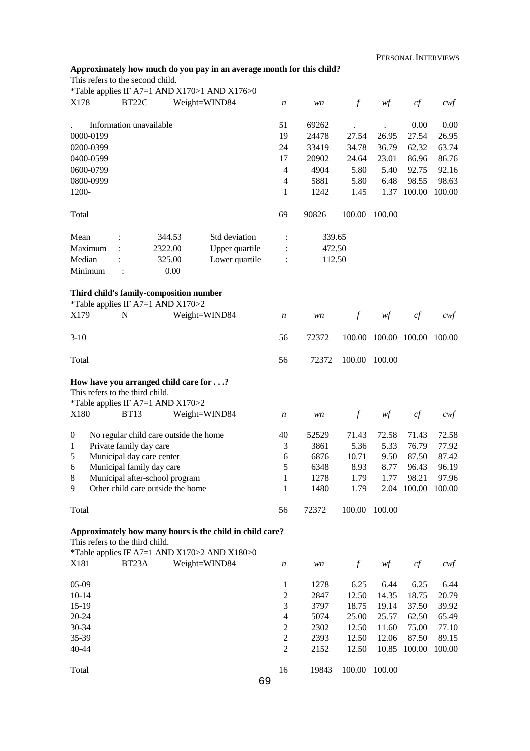PERSONAL INTERVIEWS

|                  |           |                        |                                                                                                                | Approximately how much do you pay in an average month for this child? |                  |        |                  |                      |        |                   |
|------------------|-----------|------------------------|----------------------------------------------------------------------------------------------------------------|-----------------------------------------------------------------------|------------------|--------|------------------|----------------------|--------|-------------------|
|                  |           |                        | This refers to the second child.                                                                               |                                                                       |                  |        |                  |                      |        |                   |
|                  |           |                        |                                                                                                                | *Table applies IF A7=1 AND X170>1 AND X176>0                          |                  |        |                  |                      |        |                   |
| X178             |           | BT22C                  |                                                                                                                | Weight=WIND84                                                         | n                | wn     | $\mathcal{f}$    | wf                   | cf     | $c$ wf            |
|                  |           |                        | Information unavailable                                                                                        |                                                                       | 51               | 69262  |                  |                      | 0.00   | 0.00              |
|                  | 0000-0199 |                        |                                                                                                                |                                                                       | 19               | 24478  | 27.54            | 26.95                | 27.54  | 26.95             |
|                  | 0200-0399 |                        |                                                                                                                |                                                                       | 24               | 33419  | 34.78            | 36.79                | 62.32  | 63.74             |
|                  | 0400-0599 |                        |                                                                                                                |                                                                       | 17               | 20902  | 24.64            | 23.01                | 86.96  | 86.76             |
|                  |           |                        |                                                                                                                |                                                                       | $\overline{4}$   |        |                  |                      |        |                   |
|                  | 0600-0799 |                        |                                                                                                                |                                                                       |                  | 4904   | 5.80             | 5.40                 | 92.75  | 92.16             |
|                  | 0800-0999 |                        |                                                                                                                |                                                                       | 4                | 5881   | 5.80             | 6.48                 | 98.55  | 98.63             |
| 1200-            |           |                        |                                                                                                                |                                                                       | 1                | 1242   | 1.45             | 1.37                 | 100.00 | 100.00            |
| Total            |           |                        |                                                                                                                |                                                                       | 69               | 90826  | 100.00           | 100.00               |        |                   |
| Mean             |           |                        | 344.53                                                                                                         | Std deviation                                                         | :                | 339.65 |                  |                      |        |                   |
|                  | Maximum   |                        | 2322.00                                                                                                        | Upper quartile                                                        |                  | 472.50 |                  |                      |        |                   |
| Median           |           |                        | 325.00                                                                                                         | Lower quartile                                                        |                  | 112.50 |                  |                      |        |                   |
|                  | Minimum   | 0.00<br>$\ddot{\cdot}$ |                                                                                                                |                                                                       |                  |        |                  |                      |        |                   |
|                  |           |                        | Third child's family-composition number                                                                        |                                                                       |                  |        |                  |                      |        |                   |
|                  |           |                        | *Table applies IF A7=1 AND X170>2                                                                              |                                                                       |                  |        |                  |                      |        |                   |
| X179             |           | N                      |                                                                                                                | Weight=WIND84                                                         | $\boldsymbol{n}$ | wn     | $\mathcal{f}$    | wf                   | cf     | cwf               |
| $3-10$           |           |                        |                                                                                                                |                                                                       | 56               | 72372  |                  | 100.00 100.00 100.00 |        | 100.00            |
| Total            |           |                        |                                                                                                                |                                                                       | 56               | 72372  | 100.00           | 100.00               |        |                   |
|                  |           |                        | How have you arranged child care for ?<br>This refers to the third child.<br>*Table applies IF A7=1 AND X170>2 |                                                                       |                  |        |                  |                      |        |                   |
| X180             |           | <b>BT13</b>            |                                                                                                                | Weight=WIND84                                                         | $\boldsymbol{n}$ | wn     | $\boldsymbol{f}$ | wf                   | cf     | cwt               |
| $\boldsymbol{0}$ |           |                        | No regular child care outside the home                                                                         |                                                                       | 40               | 52529  | 71.43            | 72.58                | 71.43  | 72.58             |
| 1                |           |                        | Private family day care                                                                                        |                                                                       | 3                | 3861   | 5.36             | 5.33                 | 76.79  | 77.92             |
| 5                |           |                        | Municipal day care center                                                                                      |                                                                       | 6                | 6876   | 10.71            | 9.50                 | 87.50  | 87.42             |
| 6                |           |                        | Municipal family day care                                                                                      |                                                                       | 5                | 6348   | 8.93             | 8.77                 | 96.43  | 96.19             |
| 8                |           |                        | Municipal after-school program                                                                                 |                                                                       | 1                | 1278   | 1.79             | 1.77                 | 98.21  | 97.96             |
| 9                |           |                        | Other child care outside the home                                                                              |                                                                       | 1                | 1480   | 1.79             | 2.04                 | 100.00 | 100.00            |
| Total            |           |                        |                                                                                                                |                                                                       | 56               | 72372  | 100.00           | 100.00               |        |                   |
|                  |           |                        |                                                                                                                | Approximately how many hours is the child in child care?              |                  |        |                  |                      |        |                   |
|                  |           |                        | This refers to the third child.                                                                                |                                                                       |                  |        |                  |                      |        |                   |
|                  |           |                        |                                                                                                                | *Table applies IF A7=1 AND X170>2 AND X180>0                          |                  |        |                  |                      |        |                   |
| X181             |           | BT <sub>23</sub> A     |                                                                                                                | Weight=WIND84                                                         | $\boldsymbol{n}$ | wn     | $\boldsymbol{f}$ | wf                   | cf     | $c \mathcal{w}$ f |
| 05-09            |           |                        |                                                                                                                |                                                                       | $\mathbf{1}$     | 1278   | 6.25             | 6.44                 | 6.25   | 6.44              |
| $10 - 14$        |           |                        |                                                                                                                |                                                                       | $\boldsymbol{2}$ | 2847   | 12.50            | 14.35                | 18.75  | 20.79             |
| 15-19            |           |                        |                                                                                                                |                                                                       | 3                | 3797   | 18.75            | 19.14                | 37.50  | 39.92             |
|                  | $20 - 24$ |                        |                                                                                                                |                                                                       | $\overline{4}$   | 5074   | 25.00            | 25.57                | 62.50  | 65.49             |
| 30-34            |           |                        |                                                                                                                |                                                                       | $\mathbf{2}$     | 2302   | 12.50            | 11.60                | 75.00  | 77.10             |
| 35-39            |           |                        |                                                                                                                |                                                                       | $\overline{c}$   | 2393   | 12.50            | 12.06                | 87.50  | 89.15             |
| 40-44            |           |                        |                                                                                                                |                                                                       | $\overline{2}$   | 2152   | 12.50            | 10.85                | 100.00 | 100.00            |
| Total            |           |                        |                                                                                                                |                                                                       | 16               | 19843  | 100.00           | 100.00               |        |                   |

69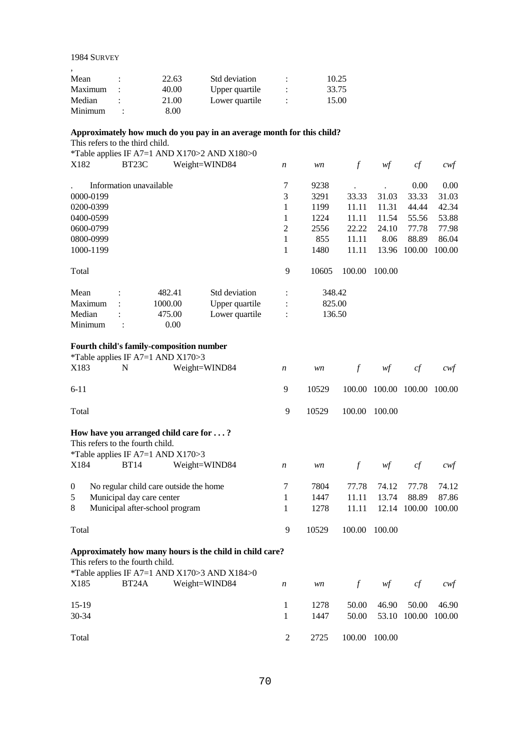| Mean    | 22.63 | Std deviation  | ٠ | 10.25 |
|---------|-------|----------------|---|-------|
| Maximum | 40.00 | Upper quartile |   | 33.75 |
| Median  | 21.00 | Lower quartile |   | 15.00 |
| Minimum | 8.00  |                |   |       |

## **Approximately how much do you pay in an average month for this child?**

This refers to the third child.

\*Table applies IF A7=1 AND X170>2 AND X180>0

| X182      | BT23C                   |         | Weight=WIND84  | $\boldsymbol{n}$ | wn     |        | wf     | cf     | $c \mathsf{w} f$ |
|-----------|-------------------------|---------|----------------|------------------|--------|--------|--------|--------|------------------|
|           | Information unavailable |         |                | 7                | 9238   |        |        | 0.00   | 0.00             |
| 0000-0199 |                         |         |                | 3                | 3291   | 33.33  | 31.03  | 33.33  | 31.03            |
| 0200-0399 |                         |         |                |                  | 1199   | 11.11  | 11.31  | 44.44  | 42.34            |
| 0400-0599 |                         |         |                | 1                | 1224   | 11.11  | 11.54  | 55.56  | 53.88            |
| 0600-0799 |                         |         |                | 2                | 2556   | 22.22  | 24.10  | 77.78  | 77.98            |
| 0800-0999 |                         |         |                | 1                | 855    | 11.11  | 8.06   | 88.89  | 86.04            |
| 1000-1199 |                         |         |                |                  | 1480   | 11.11  | 13.96  | 100.00 | 100.00           |
| Total     |                         |         |                | 9                | 10605  | 100.00 | 100.00 |        |                  |
| Mean      | $\ddot{\cdot}$          | 482.41  | Std deviation  | $\ddot{\cdot}$   | 348.42 |        |        |        |                  |
| Maximum   |                         | 1000.00 | Upper quartile | $\ddot{\cdot}$   | 825.00 |        |        |        |                  |
| Median    | ٠                       | 475.00  | Lower quartile | $\ddot{\cdot}$   | 136.50 |        |        |        |                  |
| Minimum   |                         | 0.00    |                |                  |        |        |        |        |                  |

#### **Fourth child's family-composition number**

Total

|                    | *Table applies IF A7=1 AND $X170>3$                                                    |                                                                                                                       |                  |                      |                         |                         |                          |                          |
|--------------------|----------------------------------------------------------------------------------------|-----------------------------------------------------------------------------------------------------------------------|------------------|----------------------|-------------------------|-------------------------|--------------------------|--------------------------|
| X183               | N                                                                                      | Weight=WIND84                                                                                                         | $\boldsymbol{n}$ | wn                   | $\int$                  | wf                      | cf                       | cwf                      |
| $6-11$             |                                                                                        |                                                                                                                       | 9                | 10529                | 100.00                  | 100.00                  | 100.00                   | 100.00                   |
| Total              |                                                                                        |                                                                                                                       | 9                | 10529                | 100.00                  | 100.00                  |                          |                          |
| X184               | This refers to the fourth child.<br>*Table applies IF A7=1 AND $X170>3$<br><b>BT14</b> | How have you arranged child care for ?<br>Weight=WIND84                                                               | $\boldsymbol{n}$ | wn                   | $\int$                  | wf                      | cf                       | cwt                      |
| $\theta$<br>5<br>8 | Municipal day care center<br>Municipal after-school program                            | No regular child care outside the home                                                                                | 7<br>1<br>1      | 7804<br>1447<br>1278 | 77.78<br>11.11<br>11.11 | 74.12<br>13.74<br>12.14 | 77.78<br>88.89<br>100.00 | 74.12<br>87.86<br>100.00 |
| Total              |                                                                                        |                                                                                                                       | 9                | 10529                | 100.00                  | 100.00                  |                          |                          |
|                    | This refers to the fourth child.                                                       | Approximately how many hours is the child in child care?<br><i>*Table applies IF A7=1 AND X170&gt;3 AND X184&gt;0</i> |                  |                      |                         |                         |                          |                          |
| X185               | BT <sub>24</sub> A                                                                     | Weight=WIND84                                                                                                         | $\boldsymbol{n}$ | wn                   | $\int$                  | wf                      | cf                       | cwt                      |
| $15-19$<br>30-34   |                                                                                        |                                                                                                                       | 1<br>1           | 1278<br>1447         | 50.00<br>50.00          | 46.90<br>53.10          | 50.00<br>100.00          | 46.90<br>100.00          |

2 2725 100.00 100.00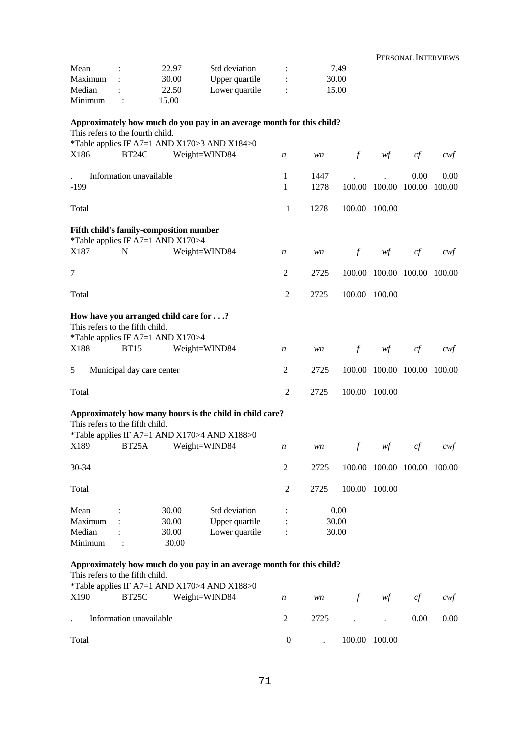|                                                                                                               |                           |                |                                                                       |                      |      |               | PERSONAL INTERVIEWS         |      |        |
|---------------------------------------------------------------------------------------------------------------|---------------------------|----------------|-----------------------------------------------------------------------|----------------------|------|---------------|-----------------------------|------|--------|
| Mean                                                                                                          | $\ddot{\cdot}$            | 22.97          | Std deviation                                                         | $\ddot{\phantom{a}}$ |      | 7.49          |                             |      |        |
| Maximum                                                                                                       |                           | 30.00          | Upper quartile                                                        | $\vdots$             |      | 30.00         |                             |      |        |
| Median                                                                                                        |                           | 22.50          | Lower quartile                                                        |                      |      | 15.00         |                             |      |        |
| Minimum                                                                                                       | $\ddot{\cdot}$            | 15.00          |                                                                       |                      |      |               |                             |      |        |
| This refers to the fourth child.                                                                              |                           |                | Approximately how much do you pay in an average month for this child? |                      |      |               |                             |      |        |
| X186                                                                                                          | BT24C                     |                | *Table applies IF A7=1 AND X170>3 AND X184>0<br>Weight=WIND84         | $\boldsymbol{n}$     | wn   | $\int$        | wf                          | cf   | cwt    |
|                                                                                                               | Information unavailable   |                |                                                                       | 1                    | 1447 |               |                             | 0.00 | 0.00   |
| $-199$                                                                                                        |                           |                |                                                                       | 1                    | 1278 |               | 100.00 100.00 100.00        |      | 100.00 |
| Total                                                                                                         |                           |                |                                                                       | 1                    | 1278 | 100.00 100.00 |                             |      |        |
| Fifth child's family-composition number<br>*Table applies IF A7=1 AND X170>4                                  |                           |                |                                                                       |                      |      |               |                             |      |        |
| X187                                                                                                          | $\mathbf N$               |                | Weight=WIND84                                                         | $\boldsymbol{n}$     | wn   | $\int$        | wf                          | cf   | cwt    |
| $\tau$                                                                                                        |                           |                |                                                                       | 2                    | 2725 |               | 100.00 100.00 100.00        |      | 100.00 |
| Total                                                                                                         |                           |                |                                                                       | $\overline{2}$       | 2725 | 100.00 100.00 |                             |      |        |
| How have you arranged child care for?<br>This refers to the fifth child.<br>*Table applies IF A7=1 AND X170>4 |                           |                |                                                                       |                      |      |               |                             |      |        |
| X188                                                                                                          | <b>BT15</b>               |                | Weight=WIND84                                                         | $\boldsymbol{n}$     | wn   | $\int$        | wf                          | cf   | cwt    |
| 5                                                                                                             | Municipal day care center |                |                                                                       | 2                    | 2725 |               | 100.00 100.00 100.00        |      | 100.00 |
| Total                                                                                                         |                           |                |                                                                       | $\overline{c}$       | 2725 | 100.00 100.00 |                             |      |        |
| This refers to the fifth child.                                                                               |                           |                | Approximately how many hours is the child in child care?              |                      |      |               |                             |      |        |
| X189                                                                                                          | BT <sub>25</sub> A        |                | *Table applies IF A7=1 AND X170>4 AND X188>0<br>Weight=WIND84         | n                    | wn   | f             | wf                          | cf   | cwt    |
| $30 - 34$                                                                                                     |                           |                |                                                                       | 2                    | 2725 |               | 100.00 100.00 100.00 100.00 |      |        |
| Total                                                                                                         |                           |                |                                                                       | 2                    | 2725 | 100.00 100.00 |                             |      |        |
| Mean                                                                                                          |                           | 30.00          | Std deviation                                                         | :                    |      | 0.00          |                             |      |        |
| Maximum                                                                                                       |                           | 30.00          | Upper quartile                                                        |                      |      | 30.00         |                             |      |        |
| Median<br>Minimum                                                                                             |                           | 30.00<br>30.00 | Lower quartile                                                        |                      |      | 30.00         |                             |      |        |
| This refers to the fifth child.                                                                               |                           |                | Approximately how much do you pay in an average month for this child? |                      |      |               |                             |      |        |
| X190                                                                                                          | BT <sub>25</sub> C        |                | *Table applies IF A7=1 AND X170>4 AND X188>0<br>Weight=WIND84         | $\boldsymbol{n}$     | wn   | $\int$        | wf                          | cf   | cwt    |
|                                                                                                               | Information unavailable   |                |                                                                       | 2                    | 2725 |               |                             | 0.00 | 0.00   |
| Total                                                                                                         |                           |                |                                                                       | $\boldsymbol{0}$     |      | 100.00 100.00 |                             |      |        |

0 . 100.00 100.00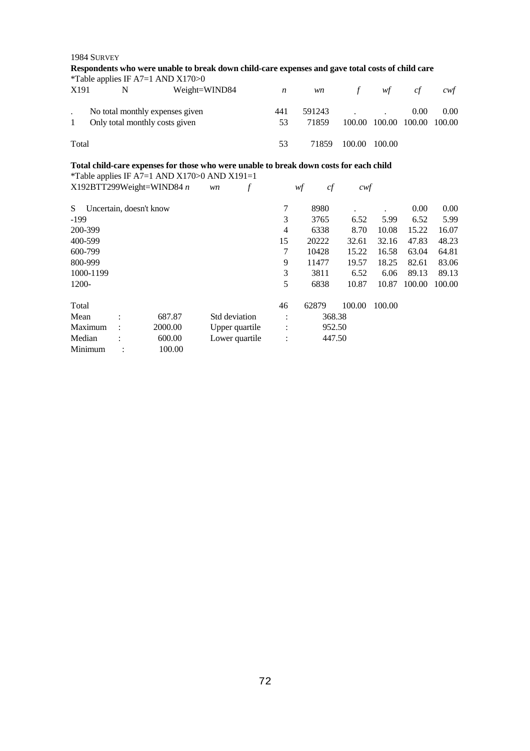| 1984 SURVEY |   |                                   |                                                                                                  |   |                      |          |               |        |        |                   |
|-------------|---|-----------------------------------|--------------------------------------------------------------------------------------------------|---|----------------------|----------|---------------|--------|--------|-------------------|
|             |   |                                   | Respondents who were unable to break down child-care expenses and gave total costs of child care |   |                      |          |               |        |        |                   |
|             |   | *Table applies IF A7=1 AND X170>0 |                                                                                                  |   |                      |          |               |        |        |                   |
| X191        | N |                                   | Weight=WIND84                                                                                    |   | $\boldsymbol{n}$     | wn       | $\mathcal{f}$ | wf     | cf     | $c \mathcal{w} f$ |
|             |   | No total monthly expenses given   |                                                                                                  |   | 441                  | 591243   |               |        | 0.00   | 0.00              |
| 1           |   | Only total monthly costs given    |                                                                                                  |   | 53                   | 71859    | 100.00        | 100.00 | 100.00 | 100.00            |
| Total       |   |                                   |                                                                                                  |   | 53                   | 71859    | 100.00        | 100.00 |        |                   |
|             |   |                                   | Total child-care expenses for those who were unable to break down costs for each child           |   |                      |          |               |        |        |                   |
|             |   |                                   | *Table applies IF A7=1 AND X170>0 AND X191=1                                                     |   |                      |          |               |        |        |                   |
|             |   | $X192BTT299Weight=WIND84 n$       | wn                                                                                               | f |                      | cf<br>wf | cwf           |        |        |                   |
| S           |   | Uncertain, doesn't know           |                                                                                                  |   | 7                    | 8980     |               |        | 0.00   | 0.00              |
| $-199$      |   |                                   |                                                                                                  |   | 3                    | 3765     | 6.52          | 5.99   | 6.52   | 5.99              |
| 200-399     |   |                                   |                                                                                                  |   | 4                    | 6338     | 8.70          | 10.08  | 15.22  | 16.07             |
| 400-599     |   |                                   |                                                                                                  |   | 15                   | 20222    | 32.61         | 32.16  | 47.83  | 48.23             |
| 600-799     |   |                                   |                                                                                                  |   | 7                    | 10428    | 15.22         | 16.58  | 63.04  | 64.81             |
| 800-999     |   |                                   |                                                                                                  |   | 9                    | 11477    | 19.57         | 18.25  | 82.61  | 83.06             |
| 1000-1199   |   |                                   |                                                                                                  |   | $\mathfrak{Z}$       | 3811     | 6.52          | 6.06   | 89.13  | 89.13             |
| 1200-       |   |                                   |                                                                                                  |   | 5                    | 6838     | 10.87         | 10.87  | 100.00 | 100.00            |
| Total       |   |                                   |                                                                                                  |   | 46                   | 62879    | 100.00        | 100.00 |        |                   |
| Mean        |   | 687.87                            | Std deviation                                                                                    |   | $\ddot{\cdot}$       | 368.38   |               |        |        |                   |
| Maximum     |   | 2000.00                           | Upper quartile                                                                                   |   |                      | 952.50   |               |        |        |                   |
| Median      |   | 600.00                            | Lower quartile                                                                                   |   | $\ddot{\phantom{a}}$ | 447.50   |               |        |        |                   |
| Minimum     |   | 100.00                            |                                                                                                  |   |                      |          |               |        |        |                   |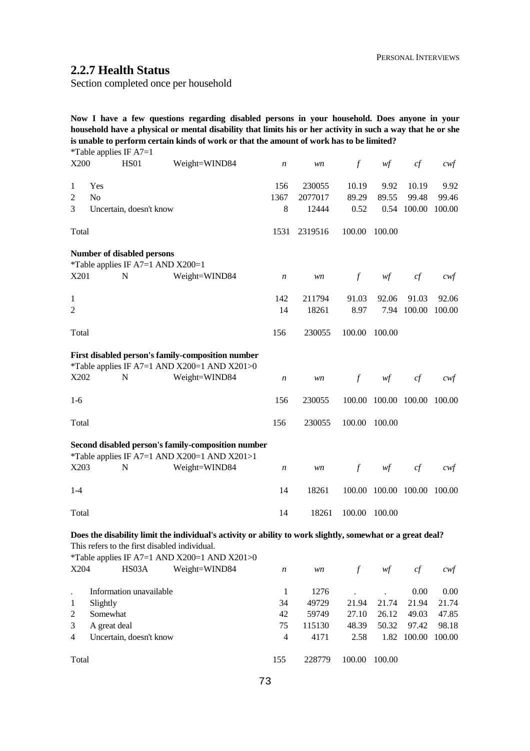# **2.2.7 Health Status**

Section completed once per household

**Now I have a few questions regarding disabled persons in your household. Does anyone in your household have a physical or mental disability that limits his or her activity in such a way that he or she is unable to perform certain kinds of work or that the amount of work has to be limited?**  \*Table applies IF  $\Delta$ 7-1

| X200                 | Table applies In $A/-1$<br><b>HS01</b>                                 | Weight=WIND84                                                                                                      | $\boldsymbol{n}$ | wn                         | $\int$                 | wf                          | cf                       | cwf                     |
|----------------------|------------------------------------------------------------------------|--------------------------------------------------------------------------------------------------------------------|------------------|----------------------------|------------------------|-----------------------------|--------------------------|-------------------------|
| 1<br>2<br>3          | Yes<br>N <sub>0</sub><br>Uncertain, doesn't know                       |                                                                                                                    | 156<br>1367<br>8 | 230055<br>2077017<br>12444 | 10.19<br>89.29<br>0.52 | 9.92<br>89.55<br>0.54       | 10.19<br>99.48<br>100.00 | 9.92<br>99.46<br>100.00 |
| Total                |                                                                        |                                                                                                                    | 1531             | 2319516                    | 100.00                 | 100.00                      |                          |                         |
|                      | <b>Number of disabled persons</b><br>*Table applies IF A7=1 AND X200=1 |                                                                                                                    |                  |                            |                        |                             |                          |                         |
| X201                 | N                                                                      | Weight=WIND84                                                                                                      | $\boldsymbol{n}$ | wn                         | $\int$                 | wf                          | cf                       | cwt                     |
| 1<br>$\overline{2}$  |                                                                        |                                                                                                                    | 142<br>14        | 211794<br>18261            | 91.03<br>8.97          | 92.06<br>7.94               | 91.03<br>100.00          | 92.06<br>100.00         |
| Total                |                                                                        |                                                                                                                    | 156              | 230055                     | 100.00                 | 100.00                      |                          |                         |
| X202                 | N                                                                      | First disabled person's family-composition number<br>*Table applies IF A7=1 AND X200=1 AND X201>0<br>Weight=WIND84 | $\boldsymbol{n}$ | wn                         | f                      | wf                          | cf                       | cwf                     |
| $1-6$                |                                                                        |                                                                                                                    | 156              | 230055                     |                        | 100.00 100.00 100.00        |                          | 100.00                  |
| Total                |                                                                        |                                                                                                                    | 156              | 230055                     | 100.00                 | 100.00                      |                          |                         |
|                      |                                                                        | Second disabled person's family-composition number<br>*Table applies IF A7=1 AND X200=1 AND X201>1                 |                  |                            |                        |                             |                          |                         |
| X203                 | N                                                                      | Weight=WIND84                                                                                                      | $\boldsymbol{n}$ | wn                         | $\mathcal{f}$          | wf                          | cf                       | cwt                     |
| $1-4$                |                                                                        |                                                                                                                    | 14               | 18261                      |                        | 100.00 100.00 100.00 100.00 |                          |                         |
| Total                |                                                                        |                                                                                                                    | 14               | 18261                      |                        | 100.00 100.00               |                          |                         |
|                      | This refers to the first disabled individual.                          | Does the disability limit the individual's activity or ability to work slightly, somewhat or a great deal?         |                  |                            |                        |                             |                          |                         |
|                      |                                                                        | *Table applies IF A7=1 AND X200=1 AND X201>0                                                                       |                  |                            |                        |                             |                          |                         |
| X204                 | HS03A                                                                  | Weight=WIND84                                                                                                      | $\boldsymbol{n}$ | wn                         | $\int$                 | wf                          | cf                       | $c \mathcal{w} f$       |
| $\ddot{\phantom{0}}$ | Information unavailable                                                |                                                                                                                    | $\mathbf{1}$     | 1276                       |                        |                             | 0.00                     | 0.00                    |
| 1                    | Slightly                                                               |                                                                                                                    | 34               | 49729                      | 21.94                  | 21.74                       | 21.94                    | 21.74                   |
| $\overline{c}$       | Somewhat                                                               |                                                                                                                    | 42               | 59749                      | 27.10                  | 26.12                       | 49.03                    | 47.85                   |
| 3                    | A great deal                                                           |                                                                                                                    | 75               | 115130                     | 48.39                  | 50.32                       | 97.42                    | 98.18                   |
| $\overline{4}$       | Uncertain, doesn't know                                                |                                                                                                                    | $\overline{4}$   | 4171                       | 2.58                   |                             | 1.82 100.00              | 100.00                  |
| Total                |                                                                        |                                                                                                                    | 155              | 228779                     | 100.00                 | 100.00                      |                          |                         |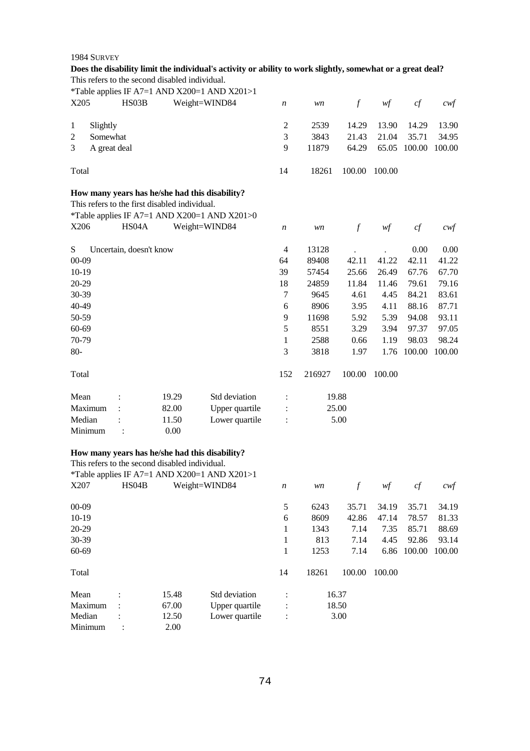|                |              | This refers to the second disabled individual. |       | Does the disability limit the individual's activity or ability to work slightly, somewhat or a great deal? |                  |        |                  |        |             |                   |
|----------------|--------------|------------------------------------------------|-------|------------------------------------------------------------------------------------------------------------|------------------|--------|------------------|--------|-------------|-------------------|
| X205           |              | HS03B                                          |       | *Table applies IF A7=1 AND X200=1 AND X201>1                                                               |                  |        |                  |        |             |                   |
|                |              |                                                |       | Weight=WIND84                                                                                              | n                | wn     | $\boldsymbol{f}$ | wf     | cf          | $c \mathcal{w}$ f |
| 1              | Slightly     |                                                |       |                                                                                                            | $\overline{c}$   | 2539   | 14.29            | 13.90  | 14.29       | 13.90             |
| $\overline{c}$ | Somewhat     |                                                |       |                                                                                                            | $\mathfrak{Z}$   | 3843   | 21.43            | 21.04  | 35.71       | 34.95             |
| 3              | A great deal |                                                |       |                                                                                                            | 9                | 11879  | 64.29            | 65.05  | 100.00      | 100.00            |
| Total          |              |                                                |       |                                                                                                            | 14               | 18261  | 100.00           | 100.00 |             |                   |
|                |              |                                                |       | How many years has he/she had this disability?                                                             |                  |        |                  |        |             |                   |
|                |              | This refers to the first disabled individual.  |       |                                                                                                            |                  |        |                  |        |             |                   |
|                |              |                                                |       | *Table applies IF A7=1 AND X200=1 AND X201>0                                                               |                  |        |                  |        |             |                   |
| X206           |              | HS04A                                          |       | Weight=WIND84                                                                                              | $\boldsymbol{n}$ | wn     | $\mathcal{f}$    | wf     | cf          | $c \mathcal{w}$ f |
| S              |              | Uncertain, doesn't know                        |       |                                                                                                            | $\overline{4}$   | 13128  |                  |        | 0.00        | 0.00              |
| $00 - 09$      |              |                                                |       |                                                                                                            | 64               | 89408  | 42.11            | 41.22  | 42.11       | 41.22             |
| $10-19$        |              |                                                |       |                                                                                                            | 39               | 57454  | 25.66            | 26.49  | 67.76       | 67.70             |
| 20-29          |              |                                                |       |                                                                                                            | 18               | 24859  | 11.84            | 11.46  | 79.61       | 79.16             |
| 30-39          |              |                                                |       |                                                                                                            | 7                | 9645   | 4.61             | 4.45   | 84.21       | 83.61             |
| 40-49          |              |                                                |       |                                                                                                            | 6                | 8906   | 3.95             | 4.11   | 88.16       | 87.71             |
| 50-59          |              |                                                |       |                                                                                                            | 9                | 11698  | 5.92             | 5.39   | 94.08       | 93.11             |
| 60-69          |              |                                                |       |                                                                                                            | 5                | 8551   | 3.29             | 3.94   | 97.37       | 97.05             |
| 70-79          |              |                                                |       |                                                                                                            | 1                | 2588   | 0.66             | 1.19   | 98.03       | 98.24             |
| $80-$          |              |                                                |       |                                                                                                            | 3                | 3818   | 1.97             |        | 1.76 100.00 | 100.00            |
| Total          |              |                                                |       |                                                                                                            | 152              | 216927 | 100.00           | 100.00 |             |                   |
| Mean           |              |                                                | 19.29 | Std deviation                                                                                              | $\ddot{\cdot}$   |        | 19.88            |        |             |                   |
|                | Maximum      |                                                | 82.00 | Upper quartile                                                                                             | $\ddot{\cdot}$   |        | 25.00            |        |             |                   |
| Median         |              |                                                | 11.50 | Lower quartile                                                                                             | $\ddot{\cdot}$   |        | 5.00             |        |             |                   |
|                | Minimum      | $\ddot{\cdot}$                                 | 0.00  |                                                                                                            |                  |        |                  |        |             |                   |
|                |              | This refers to the second disabled individual. |       | How many years has he/she had this disability?                                                             |                  |        |                  |        |             |                   |
|                |              |                                                |       | *Table applies IF A7=1 AND X200=1 AND X201>1                                                               |                  |        |                  |        |             |                   |
| X207           |              | HS04B                                          |       | Weight=WIND84                                                                                              | n                | wn     | $\boldsymbol{f}$ | wf     | cf          | $c \mathcal{w} f$ |
| $00 - 09$      |              |                                                |       |                                                                                                            | $\mathfrak s$    | 6243   | 35.71            | 34.19  | 35.71       | 34.19             |
| $10-19$        |              |                                                |       |                                                                                                            | 6                | 8609   | 42.86            | 47.14  | 78.57       | 81.33             |
| 20-29          |              |                                                |       |                                                                                                            | 1                | 1343   | 7.14             | 7.35   | 85.71       | 88.69             |
| 30-39          |              |                                                |       |                                                                                                            | 1                | 813    | 7.14             | 4.45   | 92.86       | 93.14             |
| 60-69          |              |                                                |       |                                                                                                            | $\mathbf{1}$     | 1253   | 7.14             | 6.86   | 100.00      | 100.00            |
| Total          |              |                                                |       |                                                                                                            | 14               | 18261  | 100.00           | 100.00 |             |                   |
| Mean           |              |                                                | 15.48 | Std deviation                                                                                              | :                |        | 16.37            |        |             |                   |
|                | Maximum      |                                                | 67.00 | Upper quartile                                                                                             |                  |        | 18.50            |        |             |                   |
| Median         |              |                                                | 12.50 | Lower quartile                                                                                             |                  |        | 3.00             |        |             |                   |
|                | Minimum      |                                                | 2.00  |                                                                                                            |                  |        |                  |        |             |                   |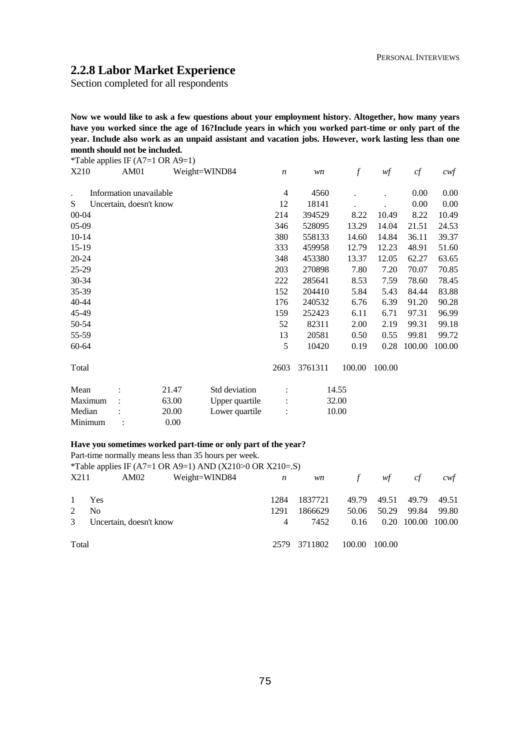# **2.2.8 Labor Market Experience**

Section completed for all respondents

**Now we would like to ask a few questions about your employment history. Altogether, how many years have you worked since the age of 16?Include years in which you worked part-time or only part of the year. Include also work as an unpaid assistant and vacation jobs. However, work lasting less than one month should not be included.**<br>**ATABLE ATABLE CATABLE** 

|           |                               |                         | *Table applies IF $(A7=1 \text{ OR } A9=1)$ |                |                  |         |               |        |        |                   |
|-----------|-------------------------------|-------------------------|---------------------------------------------|----------------|------------------|---------|---------------|--------|--------|-------------------|
|           | X210<br>AM01<br>Weight=WIND84 |                         |                                             |                | $\boldsymbol{n}$ | wn      | $\mathcal{f}$ | wf     | cf     | $c \mathcal{w}$ f |
|           |                               |                         |                                             |                |                  |         |               |        |        |                   |
|           |                               | Information unavailable |                                             |                | 4                | 4560    |               |        | 0.00   | 0.00              |
| S         |                               | Uncertain, doesn't know |                                             |                | 12               | 18141   |               |        | 0.00   | 0.00              |
|           | $00 - 04$                     |                         |                                             |                |                  | 394529  | 8.22          | 10.49  | 8.22   | 10.49             |
| $05-09$   |                               |                         |                                             |                | 346              | 528095  | 13.29         | 14.04  | 21.51  | 24.53             |
| $10-14$   |                               |                         |                                             |                | 380              | 558133  | 14.60         | 14.84  | 36.11  | 39.37             |
| $15-19$   |                               |                         |                                             |                | 333              | 459958  | 12.79         | 12.23  | 48.91  | 51.60             |
| 20-24     |                               |                         |                                             |                | 348              | 453380  | 13.37         | 12.05  | 62.27  | 63.65             |
| 25-29     |                               |                         |                                             |                | 203              | 270898  | 7.80          | 7.20   | 70.07  | 70.85             |
| 30-34     |                               |                         |                                             |                | 222              | 285641  | 8.53          | 7.59   | 78.60  | 78.45             |
| 35-39     |                               |                         |                                             |                | 152              | 204410  | 5.84          | 5.43   | 84.44  | 83.88             |
| $40 - 44$ |                               |                         |                                             |                | 176              | 240532  | 6.76          | 6.39   | 91.20  | 90.28             |
| 45-49     |                               |                         |                                             |                | 159              | 252423  | 6.11          | 6.71   | 97.31  | 96.99             |
| 50-54     |                               |                         |                                             |                | 52               | 82311   | 2.00          | 2.19   | 99.31  | 99.18             |
| 55-59     |                               |                         |                                             |                | 13               | 20581   | 0.50          | 0.55   | 99.81  | 99.72             |
| 60-64     |                               |                         |                                             |                | 5                | 10420   | 0.19          | 0.28   | 100.00 | 100.00            |
| Total     |                               |                         |                                             |                | 2603             | 3761311 | 100.00        | 100.00 |        |                   |
| Mean      |                               |                         | 21.47                                       | Std deviation  |                  |         | 14.55         |        |        |                   |
|           | Maximum                       |                         | 63.00                                       | Upper quartile |                  |         | 32.00         |        |        |                   |
| Median    |                               |                         | 20.00                                       | Lower quartile |                  |         | 10.00         |        |        |                   |
|           | Minimum                       |                         | 0.00                                        |                |                  |         |               |        |        |                   |

# **Have you sometimes worked part-time or only part of the year?**

|               | Part-time normally means less than 35 hours per week.    |                  |           |               |        |               |       |
|---------------|----------------------------------------------------------|------------------|-----------|---------------|--------|---------------|-------|
|               | *Table applies IF (A7=1 OR A9=1) AND (X210>0 OR X210=.S) |                  |           |               |        |               |       |
| X211          | Weight=WIND84<br>AM02                                    | $\boldsymbol{n}$ | <i>wn</i> | $\mathcal{F}$ | wf     | cf            | cwt   |
|               | Yes                                                      | 1284             | 1837721   | 49.79         | 49.51  | 49.79         | 49.51 |
| $\mathcal{L}$ | N <sub>0</sub>                                           | 1291             | 1866629   | 50.06         | 50.29  | 99.84         | 99.80 |
| $\mathcal{E}$ | Uncertain, doesn't know                                  | $\overline{4}$   | 7452      | 0.16          | 0.20   | 100.00 100.00 |       |
| Total         |                                                          | 2579             | 3711802   | 100.00        | 100.00 |               |       |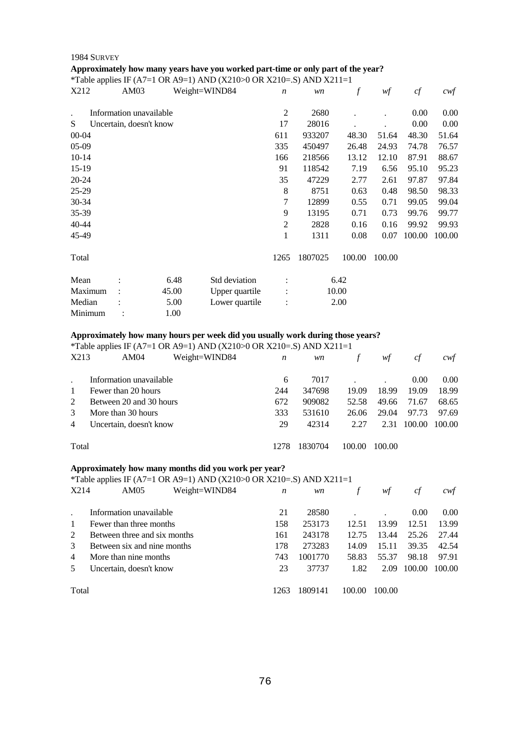# **Approximately how many years have you worked part-time or only part of the year?**

|       | <i>*Table applies IF (A7=1 OR A9=1) AND (X210&gt;0 OR X210=.S) AND X211=1</i> |  |
|-------|-------------------------------------------------------------------------------|--|
| _____ |                                                                               |  |

| X212      | AM03                    |       | Weight=WIND84  | $\boldsymbol{n}$ | wn      | $\boldsymbol{f}$ | wf     | cf     | $c \mathcal{w} f$ |
|-----------|-------------------------|-------|----------------|------------------|---------|------------------|--------|--------|-------------------|
|           | Information unavailable |       |                | $\overline{2}$   | 2680    |                  |        | 0.00   | 0.00              |
| S         | Uncertain, doesn't know |       |                | 17               | 28016   |                  |        | 0.00   | 0.00              |
| $00 - 04$ |                         |       |                | 611              | 933207  | 48.30            | 51.64  | 48.30  | 51.64             |
| $05-09$   |                         |       |                | 335              | 450497  | 26.48            | 24.93  | 74.78  | 76.57             |
| $10-14$   |                         |       |                | 166              | 218566  | 13.12            | 12.10  | 87.91  | 88.67             |
| $15-19$   |                         |       |                | 91               | 118542  | 7.19             | 6.56   | 95.10  | 95.23             |
| $20 - 24$ |                         |       |                | 35               | 47229   | 2.77             | 2.61   | 97.87  | 97.84             |
| 25-29     |                         |       |                | 8                | 8751    | 0.63             | 0.48   | 98.50  | 98.33             |
| 30-34     |                         |       |                | 7                | 12899   | 0.55             | 0.71   | 99.05  | 99.04             |
| 35-39     |                         |       |                | 9                | 13195   | 0.71             | 0.73   | 99.76  | 99.77             |
| 40-44     |                         |       |                | $\overline{2}$   | 2828    | 0.16             | 0.16   | 99.92  | 99.93             |
| 45-49     |                         |       |                | 1                | 1311    | 0.08             | 0.07   | 100.00 | 100.00            |
| Total     |                         |       |                | 1265             | 1807025 | 100.00           | 100.00 |        |                   |
| Mean      |                         | 6.48  | Std deviation  |                  |         | 6.42             |        |        |                   |
| Maximum   |                         | 45.00 | Upper quartile |                  |         | 10.00            |        |        |                   |
| Median    |                         | 5.00  | Lower quartile | $\ddot{\cdot}$   |         | 2.00             |        |        |                   |
| Minimum   |                         | 1.00  |                |                  |         |                  |        |        |                   |

# **Approximately how many hours per week did you usually work during those years?**

\*Table applies IF (A7=1 OR A9=1) AND (X210>0 OR X210=.S) AND X211=1

| X213           | AM04                    | Weight=WIND84 | n   | wn      |        | wt     | сt     | cwt               |
|----------------|-------------------------|---------------|-----|---------|--------|--------|--------|-------------------|
|                | Information unavailable |               | 6   | 7017    |        |        | 0.00   | 0.00 <sub>1</sub> |
| $\mathbf{1}$   | Fewer than 20 hours     |               | 244 | 347698  | 19.09  | 18.99  | 19.09  | 18.99             |
| $\mathcal{L}$  | Between 20 and 30 hours |               | 672 | 909082  | 52.58  | 49.66  | 71.67  | 68.65             |
| 3              | More than 30 hours      |               | 333 | 531610  | 26.06  | 29.04  | 97.73  | 97.69             |
| $\overline{4}$ | Uncertain, doesn't know |               | 29  | 42314   | 2.27   | 2.31   | 100.00 | 100.00            |
|                | Total                   |               |     | 1830704 | 100.00 | 100.00 |        |                   |

# **Approximately how many months did you work per year?**

# \*Table applies IF (A7=1 OR A9=1) AND (X210>0 OR X210=.S) AND X211=1

| X214                        | AM05                         | Weight=WIND84 | n       | wn      |        | wf     | ct     | cwt    |
|-----------------------------|------------------------------|---------------|---------|---------|--------|--------|--------|--------|
|                             | Information unavailable      |               | 21      | 28580   |        |        | 0.00   | 0.00   |
|                             | Fewer than three months      |               | 158     | 253173  | 12.51  | 13.99  | 12.51  | 13.99  |
| $\mathcal{D}_{\mathcal{L}}$ | Between three and six months |               | 161     | 243178  | 12.75  | 13.44  | 25.26  | 27.44  |
| 3                           | Between six and nine months  |               | 178     | 273283  | 14.09  | 15.11  | 39.35  | 42.54  |
| $\overline{4}$              | More than nine months        |               | 743     | 1001770 | 58.83  | 55.37  | 98.18  | 97.91  |
|                             | Uncertain, doesn't know      |               | 23      | 37737   | 1.82   | 2.09   | 100.00 | 100.00 |
| Total                       |                              |               | $126^3$ | 1809141 | 100.00 | 100.00 |        |        |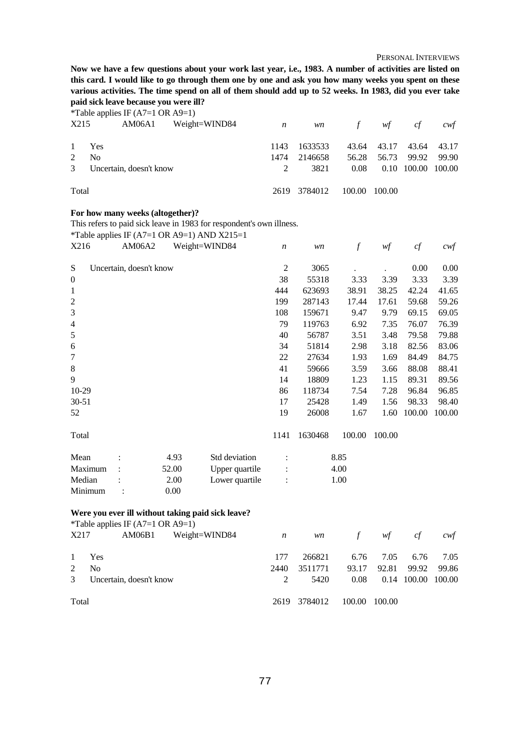**Now we have a few questions about your work last year, i.e., 1983. A number of activities are listed on this card. I would like to go through them one by one and ask you how many weeks you spent on these various activities. The time spend on all of them should add up to 52 weeks. In 1983, did you ever take paid sick leave because you were ill?** 

\*Table applies IF (A7=1 OR A9=1)

| X215  | AM06A1                    | Weight=WIND84 $n$ |      |              | $wn$ f $wf$ |                   | cf                 | cwt         |
|-------|---------------------------|-------------------|------|--------------|-------------|-------------------|--------------------|-------------|
|       | 1 Yes                     |                   | 1143 | 1633533      |             | 43.64 43.17       |                    | 43.64 43.17 |
| 2     | N <sub>0</sub>            |                   | 1474 | 2146658      |             | 56.28 56.73 99.92 |                    | 99.90       |
|       | 3 Uncertain, doesn't know |                   | 2    | 3821         | 0.08        |                   | 0.10 100.00 100.00 |             |
| Total |                           |                   |      | 2619 3784012 | 100.00      | 100.00            |                    |             |

#### **For how many weeks (altogether)?**

This refers to paid sick leave in 1983 for respondent's own illness.

\*Table applies IF  $(A7=1 \text{ OR } A9=1)$  AND  $X215=1$ 

| X216             |         | AM06A2                  |       | Weight=WIND84  | $\boldsymbol{n}$ | wn      | f      | wf     | cf     | $c \mathcal{w}$ f |
|------------------|---------|-------------------------|-------|----------------|------------------|---------|--------|--------|--------|-------------------|
| S                |         | Uncertain, doesn't know |       |                | 2                | 3065    |        |        | 0.00   | 0.00              |
| $\boldsymbol{0}$ |         |                         |       |                | 38               | 55318   | 3.33   | 3.39   | 3.33   | 3.39              |
| $\mathbf{1}$     |         |                         |       |                | 444              | 623693  | 38.91  | 38.25  | 42.24  | 41.65             |
| $\mathfrak{2}$   |         |                         |       |                | 199              | 287143  | 17.44  | 17.61  | 59.68  | 59.26             |
| 3                |         |                         |       |                | 108              | 159671  | 9.47   | 9.79   | 69.15  | 69.05             |
| $\overline{4}$   |         |                         |       |                | 79               | 119763  | 6.92   | 7.35   | 76.07  | 76.39             |
| 5                |         |                         |       |                | 40               | 56787   | 3.51   | 3.48   | 79.58  | 79.88             |
| 6                |         |                         |       |                | 34               | 51814   | 2.98   | 3.18   | 82.56  | 83.06             |
| 7                |         |                         |       |                | 22               | 27634   | 1.93   | 1.69   | 84.49  | 84.75             |
| 8                |         |                         |       |                | 41               | 59666   | 3.59   | 3.66   | 88.08  | 88.41             |
| 9                |         |                         |       |                | 14               | 18809   | 1.23   | 1.15   | 89.31  | 89.56             |
| 10-29            |         |                         |       |                | 86               | 118734  | 7.54   | 7.28   | 96.84  | 96.85             |
| $30 - 51$        |         |                         |       |                | 17               | 25428   | 1.49   | 1.56   | 98.33  | 98.40             |
| 52               |         |                         |       |                | 19               | 26008   | 1.67   | 1.60   | 100.00 | 100.00            |
| Total            |         |                         |       |                | 1141             | 1630468 | 100.00 | 100.00 |        |                   |
| Mean             |         |                         | 4.93  | Std deviation  |                  |         | 8.85   |        |        |                   |
|                  | Maximum |                         | 52.00 | Upper quartile |                  |         | 4.00   |        |        |                   |
| Median           |         |                         | 2.00  | Lower quartile |                  |         | 1.00   |        |        |                   |
| Minimum          |         |                         | 0.00  |                |                  |         |        |        |        |                   |

# **Were you ever ill without taking paid sick leave?**

|             | *Table applies IF $(A7=1 \text{ OR } A9=1)$ |               |                  |         |         |       |                    |       |
|-------------|---------------------------------------------|---------------|------------------|---------|---------|-------|--------------------|-------|
| X217        | AM06B1                                      | Weight=WIND84 | $\boldsymbol{n}$ |         | wn f wf |       | cf                 | cwt   |
|             | 1 Yes                                       |               | 177              | 266821  | 6.76    | 7.05  | 6.76               | 7.05  |
| 2           | N <sub>0</sub>                              |               | 2440             | 3511771 | 93.17   | 92.81 | 99.92              | 99.86 |
| $3^{\circ}$ | Uncertain, doesn't know                     |               | 2                | 5420    | 0.08    |       | 0.14 100.00 100.00 |       |
| Total       |                                             |               | 2619 3784012     | 100.00  | 100.00  |       |                    |       |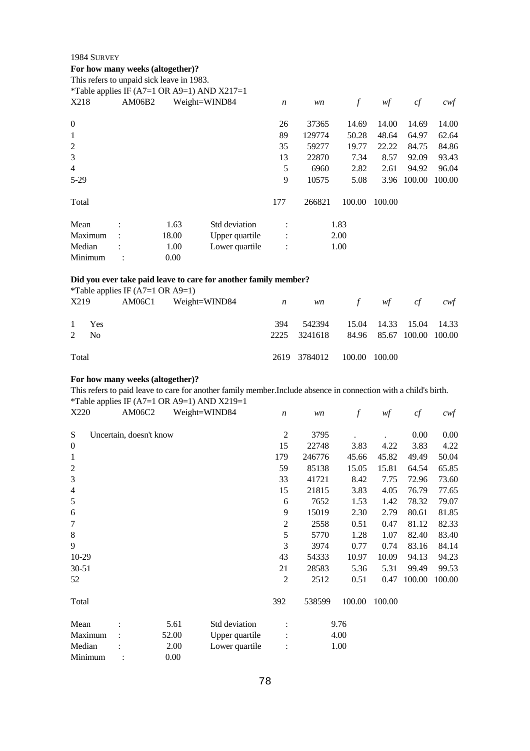# **For how many weeks (altogether)?**<br>This refers to unpoid sick leave in 109

|                  | This refers to unpaid sick leave in 1983. |       | *Table applies IF (A7=1 OR A9=1) AND $X217=1$ |                  |        |        |        |        |        |
|------------------|-------------------------------------------|-------|-----------------------------------------------|------------------|--------|--------|--------|--------|--------|
| X218             | AM06B2                                    |       | Weight=WIND84                                 | $\boldsymbol{n}$ | wn     | $\int$ | wf     | cf     | cwt    |
| $\boldsymbol{0}$ |                                           |       |                                               | 26               | 37365  | 14.69  | 14.00  | 14.69  | 14.00  |
| 1                |                                           |       |                                               | 89               | 129774 | 50.28  | 48.64  | 64.97  | 62.64  |
| $\overline{2}$   |                                           |       |                                               | 35               | 59277  | 19.77  | 22.22  | 84.75  | 84.86  |
| 3                |                                           |       |                                               | 13               | 22870  | 7.34   | 8.57   | 92.09  | 93.43  |
| $\overline{4}$   |                                           |       |                                               | 5                | 6960   | 2.82   | 2.61   | 94.92  | 96.04  |
| $5-29$           |                                           |       |                                               | 9                | 10575  | 5.08   | 3.96   | 100.00 | 100.00 |
| Total            |                                           |       |                                               | 177              | 266821 | 100.00 | 100.00 |        |        |
| Mean             |                                           | 1.63  | Std deviation                                 |                  |        | 1.83   |        |        |        |
| Maximum          | $\ddot{\phantom{a}}$                      | 18.00 | Upper quartile                                | $\ddot{\cdot}$   |        | 2.00   |        |        |        |
| Median           |                                           | 1.00  | Lower quartile                                | $\vdots$         |        | 1.00   |        |        |        |
| Minimum          |                                           | 0.00  |                                               |                  |        |        |        |        |        |

#### **Did you ever take paid leave to care for another family member?**

|       |                | *Table applies IF $(A7=1 \text{ OR } A9=1)$ |                            |     |                                        |               |                         |     |
|-------|----------------|---------------------------------------------|----------------------------|-----|----------------------------------------|---------------|-------------------------|-----|
|       | X219           |                                             | $AM06C1$ Weight=WIND84 $n$ |     |                                        | wn f wf cf    |                         | cwt |
|       |                |                                             |                            |     |                                        |               |                         |     |
|       | 1 Yes          |                                             |                            | 394 | 542394                                 |               | 15.04 14.33 15.04 14.33 |     |
| 2     | N <sub>0</sub> |                                             |                            |     | 2225 3241618 84.96 85.67 100.00 100.00 |               |                         |     |
|       |                |                                             |                            |     |                                        |               |                         |     |
| Total |                |                                             |                            |     | 2619 3784012                           | 100.00 100.00 |                         |     |
|       |                |                                             |                            |     |                                        |               |                         |     |

# **For how many weeks (altogether)?**

This refers to paid leave to care for another family member.Include absence in connection with a child's birth. \*Table applies IF  $(A7=1 \text{ OR } A9=1)$  AND  $X219=1$ 

| X220             | ruote uppnes $\mathbf{r}$ (11) $\mathbf{r}$ of the $\mathbf{r}$ $\mathbf{r}$<br>AM06C2 | Weight=WIND84 |                | $\boldsymbol{n}$ |        | $\mathcal{f}$ | wf     | cf     | $c \mathcal{w} f$ |
|------------------|----------------------------------------------------------------------------------------|---------------|----------------|------------------|--------|---------------|--------|--------|-------------------|
|                  |                                                                                        |               |                |                  | wn     |               |        |        |                   |
| ${\bf S}$        | Uncertain, doesn't know                                                                |               |                | $\mathfrak{2}$   | 3795   |               |        | 0.00   | 0.00              |
| $\boldsymbol{0}$ |                                                                                        |               |                | 15               | 22748  | 3.83          | 4.22   | 3.83   | 4.22              |
| $\mathbf{1}$     |                                                                                        |               |                | 179              | 246776 | 45.66         | 45.82  | 49.49  | 50.04             |
| $\overline{2}$   |                                                                                        |               |                | 59               | 85138  | 15.05         | 15.81  | 64.54  | 65.85             |
| 3                |                                                                                        |               |                | 33               | 41721  | 8.42          | 7.75   | 72.96  | 73.60             |
| $\overline{4}$   |                                                                                        |               |                | 15               | 21815  | 3.83          | 4.05   | 76.79  | 77.65             |
| $\mathfrak s$    |                                                                                        |               |                | 6                | 7652   | 1.53          | 1.42   | 78.32  | 79.07             |
| 6                |                                                                                        |               |                | 9                | 15019  | 2.30          | 2.79   | 80.61  | 81.85             |
| $\tau$           |                                                                                        |               |                | $\mathfrak{2}$   | 2558   | 0.51          | 0.47   | 81.12  | 82.33             |
| $\,8\,$          |                                                                                        |               |                | 5                | 5770   | 1.28          | 1.07   | 82.40  | 83.40             |
| 9                |                                                                                        |               |                | 3                | 3974   | 0.77          | 0.74   | 83.16  | 84.14             |
| $10-29$          |                                                                                        |               |                | 43               | 54333  | 10.97         | 10.09  | 94.13  | 94.23             |
| $30 - 51$        |                                                                                        |               |                | 21               | 28583  | 5.36          | 5.31   | 99.49  | 99.53             |
| 52               |                                                                                        |               |                | $\mathfrak{2}$   | 2512   | 0.51          | 0.47   | 100.00 | 100.00            |
| Total            |                                                                                        |               |                | 392              | 538599 | 100.00        | 100.00 |        |                   |
| Mean             |                                                                                        | 5.61          | Std deviation  |                  |        | 9.76          |        |        |                   |
| Maximum          |                                                                                        | 52.00         | Upper quartile |                  |        | 4.00          |        |        |                   |
| Median           |                                                                                        | 2.00          | Lower quartile | $\ddot{\cdot}$   |        | 1.00          |        |        |                   |
| Minimum          |                                                                                        | 0.00          |                |                  |        |               |        |        |                   |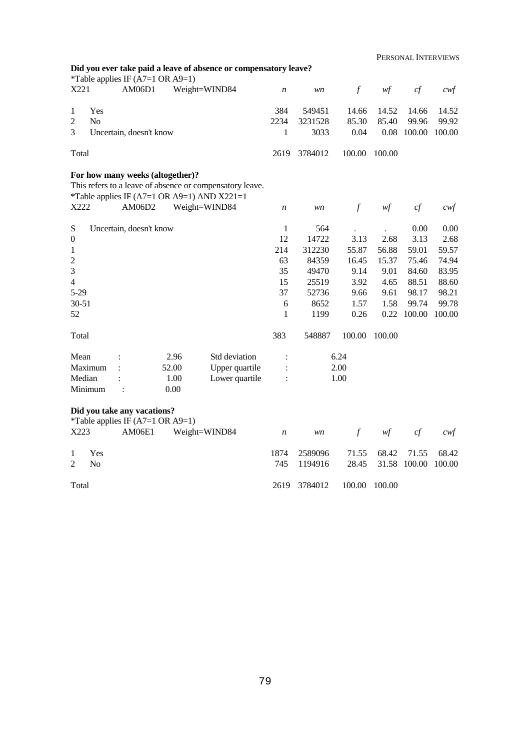|                |                | *Table applies IF $(A7=1 \text{ OR } A9=1)$                     |       | Did you ever take paid a leave of absence or compensatory leave?                                                         |                  |         |                  |        |        |        |
|----------------|----------------|-----------------------------------------------------------------|-------|--------------------------------------------------------------------------------------------------------------------------|------------------|---------|------------------|--------|--------|--------|
| X221           |                | AM06D1                                                          |       | Weight=WIND84                                                                                                            | $\boldsymbol{n}$ | wn      | $\int$           | wf     | cf     | $c$ wf |
| 1              | Yes            |                                                                 |       |                                                                                                                          | 384              | 549451  | 14.66            | 14.52  | 14.66  | 14.52  |
| $\overline{2}$ | No             |                                                                 |       |                                                                                                                          | 2234             | 3231528 | 85.30            | 85.40  | 99.96  | 99.92  |
| 3              |                | Uncertain, doesn't know                                         |       |                                                                                                                          | 1                | 3033    | 0.04             | 0.08   | 100.00 | 100.00 |
| Total          |                |                                                                 |       |                                                                                                                          | 2619             | 3784012 | 100.00           | 100.00 |        |        |
| X222           |                | For how many weeks (altogether)?<br>AM06D2                      |       | This refers to a leave of absence or compensatory leave.<br>*Table applies IF (A7=1 OR A9=1) AND X221=1<br>Weight=WIND84 | $\boldsymbol{n}$ | wn      | $\mathcal{f}$    | wf     | cf     | cwt    |
|                |                |                                                                 |       |                                                                                                                          |                  |         |                  |        |        |        |
| ${\bf S}$      |                | Uncertain, doesn't know                                         |       |                                                                                                                          | $\mathbf{1}$     | 564     |                  |        | 0.00   | 0.00   |
| $\mathbf{0}$   |                |                                                                 |       |                                                                                                                          | 12               | 14722   | 3.13             | 2.68   | 3.13   | 2.68   |
| 1              |                |                                                                 |       |                                                                                                                          | 214              | 312230  | 55.87            | 56.88  | 59.01  | 59.57  |
| $\overline{c}$ |                |                                                                 |       |                                                                                                                          | 63               | 84359   | 16.45            | 15.37  | 75.46  | 74.94  |
| 3              |                |                                                                 |       |                                                                                                                          | 35               | 49470   | 9.14             | 9.01   | 84.60  | 83.95  |
| $\overline{4}$ |                |                                                                 |       |                                                                                                                          | 15               | 25519   | 3.92             | 4.65   | 88.51  | 88.60  |
| $5 - 29$       |                |                                                                 |       |                                                                                                                          | 37               | 52736   | 9.66             | 9.61   | 98.17  | 98.21  |
| $30 - 51$      |                |                                                                 |       |                                                                                                                          | 6                | 8652    | 1.57             | 1.58   | 99.74  | 99.78  |
| 52             |                |                                                                 |       |                                                                                                                          | 1                | 1199    | 0.26             | 0.22   | 100.00 | 100.00 |
| Total          |                |                                                                 |       |                                                                                                                          | 383              | 548887  | 100.00           | 100.00 |        |        |
| Mean           |                |                                                                 | 2.96  | Std deviation                                                                                                            | $\vdots$         |         | 6.24             |        |        |        |
|                | Maximum        |                                                                 | 52.00 | Upper quartile                                                                                                           |                  |         | 2.00             |        |        |        |
| Median         |                |                                                                 | 1.00  | Lower quartile                                                                                                           |                  |         | 1.00             |        |        |        |
|                | Minimum        |                                                                 | 0.00  |                                                                                                                          |                  |         |                  |        |        |        |
|                |                | Did you take any vacations?<br>*Table applies IF (A7=1 OR A9=1) |       |                                                                                                                          |                  |         |                  |        |        |        |
| X223           |                | AM06E1                                                          |       | Weight=WIND84                                                                                                            | $\boldsymbol{n}$ | wn      | $\boldsymbol{f}$ | wf     | cf     | cwt    |
| 1              | Yes            |                                                                 |       |                                                                                                                          | 1874             | 2589096 | 71.55            | 68.42  | 71.55  | 68.42  |
| $\overline{2}$ | N <sub>o</sub> |                                                                 |       |                                                                                                                          | 745              | 1194916 | 28.45            | 31.58  | 100.00 | 100.00 |
| Total          |                |                                                                 |       |                                                                                                                          | 2619             | 3784012 | 100.00           | 100.00 |        |        |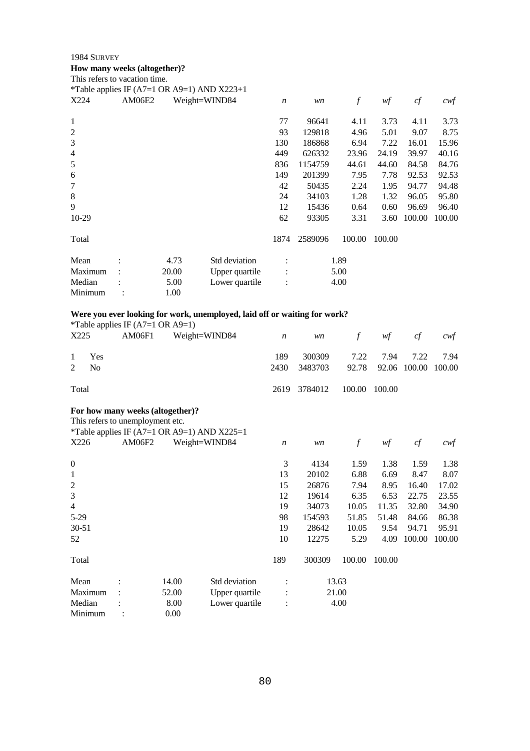#### **How many weeks (altogether)?**

|                | This refers to vacation time. |                                             |                |                  |         |        |        |        |        |
|----------------|-------------------------------|---------------------------------------------|----------------|------------------|---------|--------|--------|--------|--------|
|                |                               | *Table applies IF (A7=1 OR A9=1) AND X223+1 |                |                  |         |        |        |        |        |
| X224           | <b>AM06E2</b>                 |                                             | Weight=WIND84  | $\boldsymbol{n}$ | wn      | f      | wf     | cf     | cwt    |
| 1              |                               |                                             |                | 77               | 96641   | 4.11   | 3.73   | 4.11   | 3.73   |
| $\overline{c}$ |                               |                                             |                | 93               | 129818  | 4.96   | 5.01   | 9.07   | 8.75   |
| 3              |                               |                                             |                | 130              | 186868  | 6.94   | 7.22   | 16.01  | 15.96  |
| 4              |                               |                                             |                | 449              | 626332  | 23.96  | 24.19  | 39.97  | 40.16  |
| 5              |                               |                                             |                | 836              | 1154759 | 44.61  | 44.60  | 84.58  | 84.76  |
| 6              |                               |                                             |                | 149              | 201399  | 7.95   | 7.78   | 92.53  | 92.53  |
| 7              |                               |                                             |                | 42               | 50435   | 2.24   | 1.95   | 94.77  | 94.48  |
| 8              |                               |                                             |                | 24               | 34103   | 1.28   | 1.32   | 96.05  | 95.80  |
| 9              |                               |                                             |                | 12               | 15436   | 0.64   | 0.60   | 96.69  | 96.40  |
| 10-29          |                               |                                             |                | 62               | 93305   | 3.31   | 3.60   | 100.00 | 100.00 |
| Total          |                               |                                             |                | 1874             | 2589096 | 100.00 | 100.00 |        |        |
| Mean           |                               | 4.73                                        | Std deviation  |                  |         | 1.89   |        |        |        |
| Maximum        |                               | 20.00                                       | Upper quartile |                  |         | 5.00   |        |        |        |
| Median         |                               | 5.00                                        | Lower quartile | $\ddot{\cdot}$   |         | 4.00   |        |        |        |
| Minimum        |                               | 1.00                                        |                |                  |         |        |        |        |        |

# **Were you ever looking for work, unemployed, laid off or waiting for work?**

|       |                           | *Table applies IF $(A7=1 \text{ OR } A9=1)$ |                                   |             |                                   |                            |  |              |
|-------|---------------------------|---------------------------------------------|-----------------------------------|-------------|-----------------------------------|----------------------------|--|--------------|
|       | X225                      |                                             | AM06F1 Weight=WIND84 n wn f wf cf |             |                                   |                            |  | $\alpha$ cwf |
|       | 1 Yes<br>2 N <sub>0</sub> |                                             |                                   | 189<br>2430 | 3483703 92.78 92.06 100.00 100.00 | 300309 7.22 7.94 7.22 7.94 |  |              |
| Total |                           |                                             |                                   |             | 2619 3784012 100.00 100.00        |                            |  |              |

# **For how many weeks (altogether)?**

This refers to unemployment etc.

|                | $\ldots$<br>*Table applies IF (A7=1 OR A9=1) AND X225=1 |       |                |                  |        |                  |        |        |        |
|----------------|---------------------------------------------------------|-------|----------------|------------------|--------|------------------|--------|--------|--------|
| X226           | <b>AM06F2</b>                                           |       | Weight=WIND84  | $\boldsymbol{n}$ | wn     | $\boldsymbol{f}$ | wf     | cf     | cwf    |
| $\theta$       |                                                         |       |                | 3                | 4134   | 1.59             | 1.38   | 1.59   | 1.38   |
| 1              |                                                         |       |                | 13               | 20102  | 6.88             | 6.69   | 8.47   | 8.07   |
| $\overline{2}$ |                                                         |       |                | 15               | 26876  | 7.94             | 8.95   | 16.40  | 17.02  |
| 3              |                                                         |       |                | 12               | 19614  | 6.35             | 6.53   | 22.75  | 23.55  |
| $\overline{4}$ |                                                         |       |                | 19               | 34073  | 10.05            | 11.35  | 32.80  | 34.90  |
| $5-29$         |                                                         |       |                | 98               | 154593 | 51.85            | 51.48  | 84.66  | 86.38  |
| $30 - 51$      |                                                         |       |                | 19               | 28642  | 10.05            | 9.54   | 94.71  | 95.91  |
| 52             |                                                         |       |                | 10               | 12275  | 5.29             | 4.09   | 100.00 | 100.00 |
| Total          |                                                         |       |                | 189              | 300309 | 100.00           | 100.00 |        |        |
| Mean           |                                                         | 14.00 | Std deviation  | $\bullet$        |        | 13.63            |        |        |        |
| Maximum        |                                                         | 52.00 | Upper quartile | :                |        | 21.00            |        |        |        |
| Median         |                                                         | 8.00  | Lower quartile | $\vdots$         |        | 4.00             |        |        |        |
| Minimum        |                                                         | 0.00  |                |                  |        |                  |        |        |        |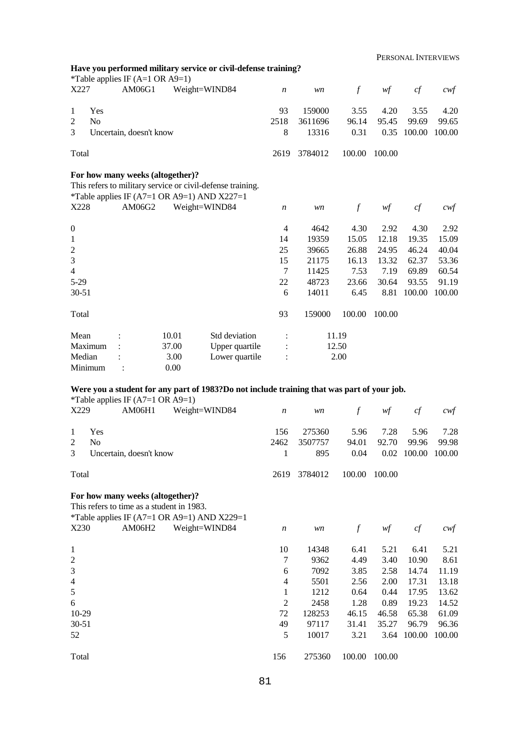PERSONAL INTERVIEWS

|                  |                | *Table applies IF $(A=1 \text{ OR } A9=1)$ |              | Have you performed military service or civil-defense training?                                                             |                  |         |               |        |        |                  |
|------------------|----------------|--------------------------------------------|--------------|----------------------------------------------------------------------------------------------------------------------------|------------------|---------|---------------|--------|--------|------------------|
| X227             |                | AM06G1                                     |              | Weight=WIND84                                                                                                              | $\boldsymbol{n}$ | wn      | $\mathcal{f}$ | wf     | cf     | $c \mathsf{w} f$ |
| 1                | Yes            |                                            |              |                                                                                                                            | 93               | 159000  | 3.55          | 4.20   | 3.55   | 4.20             |
| 2                | N <sub>o</sub> |                                            |              |                                                                                                                            | 2518             | 3611696 | 96.14         | 95.45  | 99.69  | 99.65            |
| 3                |                | Uncertain, doesn't know                    |              |                                                                                                                            | 8                | 13316   | 0.31          | 0.35   | 100.00 | 100.00           |
| Total            |                |                                            |              |                                                                                                                            | 2619             | 3784012 | 100.00        | 100.00 |        |                  |
| X228             |                | For how many weeks (altogether)?<br>AM06G2 |              | This refers to military service or civil-defense training.<br>*Table applies IF (A7=1 OR A9=1) AND X227=1<br>Weight=WIND84 | $\boldsymbol{n}$ | wn      | $\mathcal{f}$ | w f    | cf     | $c$ wf           |
| $\boldsymbol{0}$ |                |                                            |              |                                                                                                                            | $\overline{4}$   | 4642    | 4.30          | 2.92   | 4.30   | 2.92             |
| 1                |                |                                            |              |                                                                                                                            | 14               | 19359   | 15.05         | 12.18  | 19.35  | 15.09            |
| 2                |                |                                            |              |                                                                                                                            | 25               | 39665   | 26.88         | 24.95  | 46.24  | 40.04            |
| 3                |                |                                            |              |                                                                                                                            | 15               | 21175   | 16.13         | 13.32  | 62.37  | 53.36            |
| $\overline{4}$   |                |                                            |              |                                                                                                                            | $\overline{7}$   | 11425   | 7.53          | 7.19   | 69.89  | 60.54            |
| $5 - 29$         |                |                                            |              |                                                                                                                            | 22               | 48723   | 23.66         | 30.64  | 93.55  | 91.19            |
| $30 - 51$        |                |                                            |              |                                                                                                                            | 6                | 14011   | 6.45          | 8.81   | 100.00 | 100.00           |
| Total            |                |                                            |              |                                                                                                                            | 93               | 159000  | 100.00        | 100.00 |        |                  |
| Mean             |                |                                            | 10.01        | Std deviation                                                                                                              |                  |         | 11.19         |        |        |                  |
|                  | Maximum        |                                            | 37.00        | Upper quartile                                                                                                             |                  |         | 12.50         |        |        |                  |
| Median           | Minimum        |                                            | 3.00<br>0.00 | Lower quartile                                                                                                             |                  |         | 2.00          |        |        |                  |

# **Were you a student for any part of 1983?Do not include training that was part of your job.**

\*Table applies IF  $(A7=1 \text{ OR } A9=1)$ 

| X229           | T T<br>AM06H1                                                                 | Weight=WIND84                               | $\boldsymbol{n}$ | wn      | f                | wf     | cf     | $c \mathcal{w}$ f |
|----------------|-------------------------------------------------------------------------------|---------------------------------------------|------------------|---------|------------------|--------|--------|-------------------|
| 1              | Yes                                                                           |                                             | 156              | 275360  | 5.96             | 7.28   | 5.96   | 7.28              |
| $\overline{2}$ | N <sub>0</sub>                                                                |                                             | 2462             | 3507757 | 94.01            | 92.70  | 99.96  | 99.98             |
| 3              | Uncertain, doesn't know                                                       |                                             | 1                | 895     | 0.04             | 0.02   | 100.00 | 100.00            |
| Total          |                                                                               |                                             | 2619             | 3784012 | 100.00           | 100.00 |        |                   |
|                | For how many weeks (altogether)?<br>This refers to time as a student in 1983. | *Table applies IF (A7=1 OR A9=1) AND X229=1 |                  |         |                  |        |        |                   |
| X230           | AM06H2                                                                        | Weight=WIND84                               | $\boldsymbol{n}$ | wn      | $\boldsymbol{f}$ | wf     | cf     | $\alpha$          |
| 1              |                                                                               |                                             | 10               | 14348   | 6.41             | 5.21   | 6.41   | 5.21              |
| $\overline{2}$ |                                                                               |                                             | 7                | 9362    | 4.49             | 3.40   | 10.90  | 8.61              |
| $\mathfrak{Z}$ |                                                                               |                                             | 6                | 7092    | 3.85             | 2.58   | 14.74  | 11.19             |
| $\overline{4}$ |                                                                               |                                             | 4                | 5501    | 2.56             | 2.00   | 17.31  | 13.18             |
| 5              |                                                                               |                                             | 1                | 1212    | 0.64             | 0.44   | 17.95  | 13.62             |
| 6              |                                                                               |                                             | 2                | 2458    | 1.28             | 0.89   | 19.23  | 14.52             |
| $10-29$        |                                                                               |                                             | 72               | 128253  | 46.15            | 46.58  | 65.38  | 61.09             |
| $30 - 51$      |                                                                               |                                             | 49               | 97117   | 31.41            | 35.27  | 96.79  | 96.36             |
| 52             |                                                                               |                                             | 5                | 10017   | 3.21             | 3.64   | 100.00 | 100.00            |
| Total          |                                                                               |                                             | 156              | 275360  | 100.00           | 100.00 |        |                   |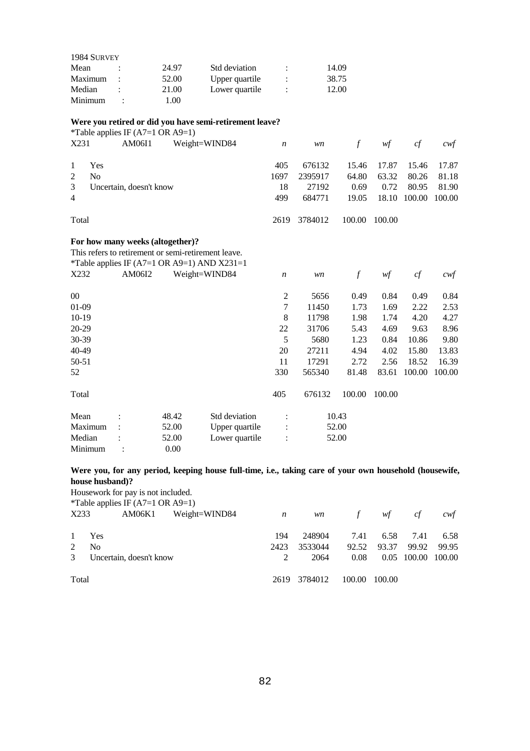| 1984 SURVEY |   |       |                |   |       |
|-------------|---|-------|----------------|---|-------|
| Mean        |   | 24.97 | Std deviation  |   | 14.09 |
| Maximum     |   | 52.00 | Upper quartile | ÷ | 38.75 |
| Median      |   | 21.00 | Lower quartile | ٠ | 12.00 |
| Minimum     | ٠ | .00   |                |   |       |

#### **Were you retired or did you have semi-retirement leave?**

| *Table applies IF $(A7=1 \text{ OR } A9=1)$ |
|---------------------------------------------|
|---------------------------------------------|

| X231                             | $\sim$ $\sim$ $\sim$<br>AM06I1   |       | Weight=WIND84                                       | $\boldsymbol{n}$ | wn      | $\boldsymbol{f}$ | wf     | cf     | $c \mathsf{w} f$ |
|----------------------------------|----------------------------------|-------|-----------------------------------------------------|------------------|---------|------------------|--------|--------|------------------|
| Yes<br>1                         |                                  |       |                                                     | 405              | 676132  | 15.46            | 17.87  | 15.46  | 17.87            |
| $\overline{c}$<br>N <sub>0</sub> |                                  |       |                                                     | 1697             | 2395917 | 64.80            | 63.32  | 80.26  | 81.18            |
| 3                                | Uncertain, doesn't know          |       |                                                     | 18               | 27192   | 0.69             | 0.72   | 80.95  | 81.90            |
| $\overline{4}$                   |                                  |       |                                                     | 499              | 684771  | 19.05            | 18.10  | 100.00 | 100.00           |
| Total                            |                                  |       |                                                     | 2619             | 3784012 | 100.00           | 100.00 |        |                  |
|                                  | For how many weeks (altogether)? |       |                                                     |                  |         |                  |        |        |                  |
|                                  |                                  |       | This refers to retirement or semi-retirement leave. |                  |         |                  |        |        |                  |
|                                  |                                  |       | *Table applies IF (A7=1 OR A9=1) AND X231=1         |                  |         |                  |        |        |                  |
| X232                             | AM06I2                           |       | Weight=WIND84                                       | $\boldsymbol{n}$ | wn      | $\boldsymbol{f}$ | wf     | cf     | cwt              |
| $00\,$                           |                                  |       |                                                     | $\overline{c}$   | 5656    | 0.49             | 0.84   | 0.49   | 0.84             |
| $01-09$                          |                                  |       |                                                     | 7                | 11450   | 1.73             | 1.69   | 2.22   | 2.53             |
| $10-19$                          |                                  |       |                                                     | 8                | 11798   | 1.98             | 1.74   | 4.20   | 4.27             |
| 20-29                            |                                  |       |                                                     | 22               | 31706   | 5.43             | 4.69   | 9.63   | 8.96             |
| 30-39                            |                                  |       |                                                     | 5                | 5680    | 1.23             | 0.84   | 10.86  | 9.80             |
| 40-49                            |                                  |       |                                                     | 20               | 27211   | 4.94             | 4.02   | 15.80  | 13.83            |
| $50 - 51$                        |                                  |       |                                                     | 11               | 17291   | 2.72             | 2.56   | 18.52  | 16.39            |
| 52                               |                                  |       |                                                     | 330              | 565340  | 81.48            | 83.61  | 100.00 | 100.00           |
| Total                            |                                  |       |                                                     | 405              | 676132  | 100.00           | 100.00 |        |                  |
| Mean                             |                                  | 48.42 | Std deviation                                       |                  |         | 10.43            |        |        |                  |
| Maximum                          |                                  | 52.00 | Upper quartile                                      |                  |         | 52.00            |        |        |                  |
| Median                           |                                  | 52.00 | Lower quartile                                      |                  |         | 52.00            |        |        |                  |

Minimum : 0.00

# **Were you, for any period, keeping house full-time, i.e., taking care of your own household (housewife, house husband)?**

Housework for pay is not included.

| *Table applies IF $(A7=1 \text{ OR } A9=1)$ |  |  |
|---------------------------------------------|--|--|
|---------------------------------------------|--|--|

|       | $\frac{1}{2}$<br>X233<br>AM06K1<br>Weight=WIND84 | $\overline{n}$ | <i>wn</i>    |      | f $wf$            | cf | cwt                |
|-------|--------------------------------------------------|----------------|--------------|------|-------------------|----|--------------------|
|       | 1 Yes                                            | 194            | 248904       |      | 7.41 6.58 7.41    |    | 6.58               |
| 2     | N <sub>0</sub>                                   | 2423           | 3533044      |      | 92.52 93.37 99.92 |    | 99.95              |
|       | 3 Uncertain, doesn't know                        |                | 2064         | 0.08 |                   |    | 0.05 100.00 100.00 |
| Total |                                                  |                | 2619 3784012 |      | 100.00 100.00     |    |                    |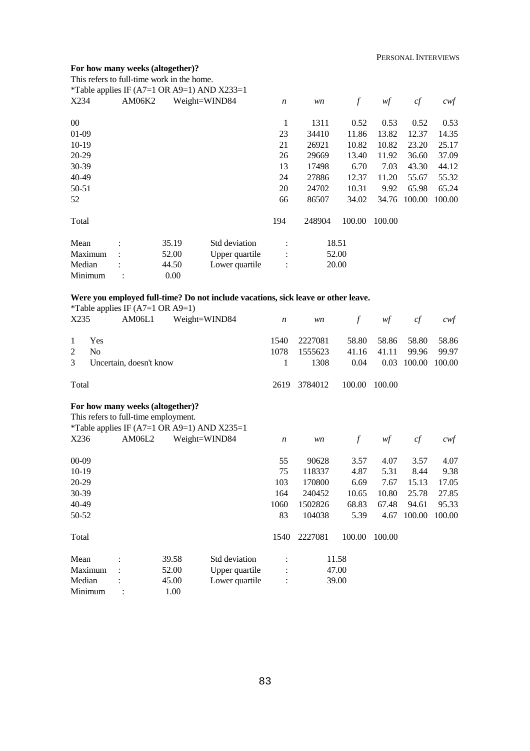# **For how many weeks (altogether)?**

|                                  | This refers to full-time work in the home.<br>*Table applies IF (A7=1 OR A9=1) AND X233=1 |       |                                                                                   |                  |         |                  |        |        |        |
|----------------------------------|-------------------------------------------------------------------------------------------|-------|-----------------------------------------------------------------------------------|------------------|---------|------------------|--------|--------|--------|
| X234                             | AM06K2                                                                                    |       | Weight=WIND84                                                                     | $\boldsymbol{n}$ | wn      | $\boldsymbol{f}$ | wf     | cf     | $c$ wf |
| $00\,$                           |                                                                                           |       |                                                                                   | 1                | 1311    | 0.52             | 0.53   | 0.52   | 0.53   |
| $01-09$                          |                                                                                           |       |                                                                                   | 23               | 34410   | 11.86            | 13.82  | 12.37  | 14.35  |
| $10-19$                          |                                                                                           |       |                                                                                   | 21               | 26921   | 10.82            | 10.82  | 23.20  | 25.17  |
| 20-29                            |                                                                                           |       |                                                                                   | 26               | 29669   | 13.40            | 11.92  | 36.60  | 37.09  |
| 30-39                            |                                                                                           |       |                                                                                   | 13               | 17498   | 6.70             | 7.03   | 43.30  | 44.12  |
| 40-49                            |                                                                                           |       |                                                                                   | 24               | 27886   | 12.37            | 11.20  | 55.67  | 55.32  |
| 50-51                            |                                                                                           |       |                                                                                   | 20               | 24702   | 10.31            | 9.92   | 65.98  | 65.24  |
| 52                               |                                                                                           |       |                                                                                   | 66               | 86507   | 34.02            | 34.76  | 100.00 | 100.00 |
| Total                            |                                                                                           |       |                                                                                   | 194              | 248904  | 100.00           | 100.00 |        |        |
| Mean                             |                                                                                           | 35.19 | Std deviation                                                                     |                  |         | 18.51            |        |        |        |
| Maximum                          |                                                                                           | 52.00 | Upper quartile                                                                    |                  |         | 52.00            |        |        |        |
| Median                           |                                                                                           | 44.50 | Lower quartile                                                                    |                  |         | 20.00            |        |        |        |
| Minimum                          |                                                                                           | 0.00  |                                                                                   |                  |         |                  |        |        |        |
|                                  |                                                                                           |       | Were you employed full-time? Do not include vacations, sick leave or other leave. |                  |         |                  |        |        |        |
|                                  | *Table applies IF $(A7=1 \text{ OR } A9=1)$                                               |       |                                                                                   |                  |         |                  |        |        |        |
| X235                             | AM06L1                                                                                    |       | Weight=WIND84                                                                     | $\boldsymbol{n}$ | wn      | $\boldsymbol{f}$ | wf     | cf     | $c$ wf |
| Yes<br>1                         |                                                                                           |       |                                                                                   | 1540             | 2227081 | 58.80            | 58.86  | 58.80  | 58.86  |
| $\overline{c}$<br>N <sub>o</sub> |                                                                                           |       |                                                                                   | 1078             | 1555623 | 41.16            | 41.11  | 99.96  | 99.97  |
| 3                                | Uncertain, doesn't know                                                                   |       |                                                                                   | 1                | 1308    | 0.04             | 0.03   | 100.00 | 100.00 |
| Total                            |                                                                                           |       |                                                                                   | 2619             | 3784012 | 100.00           | 100.00 |        |        |
|                                  | For how many weeks (altogether)?                                                          |       |                                                                                   |                  |         |                  |        |        |        |
|                                  | This refers to full-time employment.                                                      |       |                                                                                   |                  |         |                  |        |        |        |
| X236                             | *Table applies IF (A7=1 OR A9=1) AND X235=1<br>AM06L2                                     |       | Weight=WIND84                                                                     |                  |         |                  |        |        |        |
|                                  |                                                                                           |       |                                                                                   | $\boldsymbol{n}$ | wn      | $\boldsymbol{f}$ | wf     | cf     | cwf    |
| $00 - 09$                        |                                                                                           |       |                                                                                   | 55               | 90628   | 3.57             | 4.07   | 3.57   | 4.07   |
| 10-19                            |                                                                                           |       |                                                                                   | 75               | 118337  | 4.87             | 5.31   | 8.44   | 9.38   |
| 20-29                            |                                                                                           |       |                                                                                   | 103              | 170800  | 6.69             | 7.67   | 15.13  | 17.05  |
| 30-39                            |                                                                                           |       |                                                                                   | 164              | 240452  | 10.65            | 10.80  | 25.78  | 27.85  |
| 40-49                            |                                                                                           |       |                                                                                   | 1060             | 1502826 | 68.83            | 67.48  | 94.61  | 95.33  |
| 50-52                            |                                                                                           |       |                                                                                   | 83               | 104038  | 5.39             | 4.67   | 100.00 | 100.00 |
| Total                            |                                                                                           |       |                                                                                   | 1540             | 2227081 | 100.00           | 100.00 |        |        |
| Mean                             |                                                                                           | 39.58 | Std deviation                                                                     |                  |         | 11.58            |        |        |        |
| Maximum                          |                                                                                           | 52.00 | Upper quartile                                                                    |                  |         | 47.00            |        |        |        |
| Median                           |                                                                                           | 45.00 | Lower quartile                                                                    |                  |         | 39.00            |        |        |        |
| Minimum                          |                                                                                           | 1.00  |                                                                                   |                  |         |                  |        |        |        |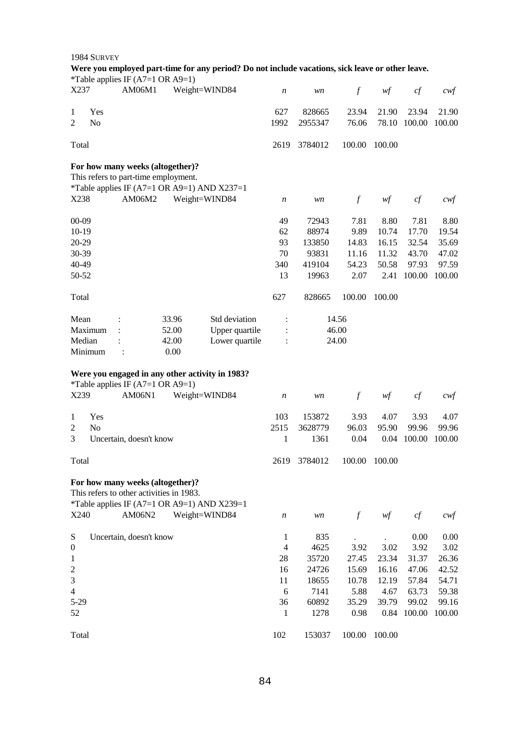|                         | 1984 SURVEY    |                                             |                                             |                                                                                                  |                  |         |                  |        |             |                   |
|-------------------------|----------------|---------------------------------------------|---------------------------------------------|--------------------------------------------------------------------------------------------------|------------------|---------|------------------|--------|-------------|-------------------|
|                         |                | *Table applies IF $(A7=1 \text{ OR } A9=1)$ |                                             | Were you employed part-time for any period? Do not include vacations, sick leave or other leave. |                  |         |                  |        |             |                   |
| X237                    |                | AM06M1                                      |                                             | Weight=WIND84                                                                                    | $\boldsymbol{n}$ | wn      | $\mathcal{f}$    | wf     | cf          | cwf               |
| 1                       | Yes            |                                             |                                             |                                                                                                  | 627              | 828665  | 23.94            | 21.90  | 23.94       | 21.90             |
| $\overline{2}$          | N <sub>o</sub> |                                             |                                             |                                                                                                  | 1992             | 2955347 | 76.06            | 78.10  | 100.00      | 100.00            |
|                         |                |                                             |                                             |                                                                                                  |                  |         |                  |        |             |                   |
| Total                   |                |                                             |                                             |                                                                                                  | 2619             | 3784012 | 100.00           | 100.00 |             |                   |
|                         |                | For how many weeks (altogether)?            |                                             |                                                                                                  |                  |         |                  |        |             |                   |
|                         |                | This refers to part-time employment.        |                                             |                                                                                                  |                  |         |                  |        |             |                   |
|                         |                |                                             | *Table applies IF (A7=1 OR A9=1) AND X237=1 |                                                                                                  |                  |         |                  |        |             |                   |
| X238                    |                | AM06M2                                      | Weight=WIND84                               |                                                                                                  | n                | wn      | $\boldsymbol{f}$ | wf     | cf          | $c$ wf            |
| $00 - 09$               |                |                                             |                                             |                                                                                                  | 49               | 72943   | 7.81             | 8.80   | 7.81        | 8.80              |
| $10-19$                 |                |                                             |                                             |                                                                                                  | 62               | 88974   | 9.89             | 10.74  | 17.70       | 19.54             |
| 20-29                   |                |                                             |                                             |                                                                                                  | 93               | 133850  | 14.83            | 16.15  | 32.54       | 35.69             |
| 30-39                   |                |                                             |                                             |                                                                                                  | 70               | 93831   | 11.16            | 11.32  | 43.70       | 47.02             |
| 40-49                   |                |                                             |                                             |                                                                                                  | 340              | 419104  | 54.23            | 50.58  | 97.93       | 97.59             |
| 50-52                   |                |                                             |                                             |                                                                                                  | 13               | 19963   | 2.07             | 2.41   | 100.00      | 100.00            |
| Total                   |                |                                             |                                             |                                                                                                  | 627              | 828665  | 100.00           | 100.00 |             |                   |
| Mean                    |                |                                             | 33.96                                       | Std deviation                                                                                    |                  |         | 14.56            |        |             |                   |
|                         | Maximum        |                                             | 52.00                                       | Upper quartile                                                                                   |                  |         | 46.00            |        |             |                   |
| Median                  |                |                                             | 42.00                                       | Lower quartile                                                                                   |                  |         | 24.00            |        |             |                   |
|                         | Minimum        |                                             | 0.00                                        |                                                                                                  |                  |         |                  |        |             |                   |
|                         |                |                                             |                                             |                                                                                                  |                  |         |                  |        |             |                   |
|                         |                |                                             |                                             | Were you engaged in any other activity in 1983?                                                  |                  |         |                  |        |             |                   |
|                         |                | *Table applies IF $(A7=1 \text{ OR } A9=1)$ |                                             |                                                                                                  |                  |         |                  |        |             |                   |
| X239                    |                | AM06N1                                      |                                             | Weight=WIND84                                                                                    | $\boldsymbol{n}$ | wn      | $\boldsymbol{f}$ | wf     | cf          | $c \mathcal{w} f$ |
| 1                       | Yes            |                                             |                                             |                                                                                                  | 103              | 153872  | 3.93             | 4.07   | 3.93        | 4.07              |
| 2                       | N <sub>o</sub> |                                             |                                             |                                                                                                  | 2515             | 3628779 | 96.03            | 95.90  | 99.96       | 99.96             |
| 3                       |                | Uncertain, doesn't know                     |                                             |                                                                                                  | 1                | 1361    | 0.04             | 0.04   | 100.00      | 100.00            |
| Total                   |                |                                             |                                             |                                                                                                  | 2619             | 3784012 | 100.00           | 100.00 |             |                   |
|                         |                | For how many weeks (altogether)?            |                                             |                                                                                                  |                  |         |                  |        |             |                   |
|                         |                | This refers to other activities in 1983.    |                                             |                                                                                                  |                  |         |                  |        |             |                   |
|                         |                |                                             | *Table applies IF (A7=1 OR A9=1) AND X239=1 |                                                                                                  |                  |         |                  |        |             |                   |
| X240                    |                | AM06N2                                      | Weight=WIND84                               |                                                                                                  | n                | wn      | $\mathcal{f}$    | wf     | cf          | cwf               |
|                         |                |                                             |                                             |                                                                                                  |                  |         |                  |        |             |                   |
| S                       |                | Uncertain, doesn't know                     |                                             |                                                                                                  | 1                | 835     |                  |        | 0.00        | 0.00              |
| $\boldsymbol{0}$        |                |                                             |                                             |                                                                                                  | $\overline{4}$   | 4625    | 3.92             | 3.02   | 3.92        | 3.02              |
| 1                       |                |                                             |                                             |                                                                                                  | 28               | 35720   | 27.45            | 23.34  | 31.37       | 26.36             |
| $\overline{\mathbf{c}}$ |                |                                             |                                             |                                                                                                  | 16               | 24726   | 15.69            | 16.16  | 47.06       | 42.52             |
| 3                       |                |                                             |                                             |                                                                                                  | 11               | 18655   | 10.78            | 12.19  | 57.84       | 54.71             |
| $\overline{4}$          |                |                                             |                                             |                                                                                                  | 6                | 7141    | 5.88             | 4.67   | 63.73       | 59.38             |
| $5 - 29$                |                |                                             |                                             |                                                                                                  | 36               | 60892   | 35.29            | 39.79  | 99.02       | 99.16             |
| 52                      |                |                                             |                                             |                                                                                                  | 1                | 1278    | 0.98             |        | 0.84 100.00 | 100.00            |
| Total                   |                |                                             |                                             |                                                                                                  | 102              | 153037  | 100.00           | 100.00 |             |                   |

# 84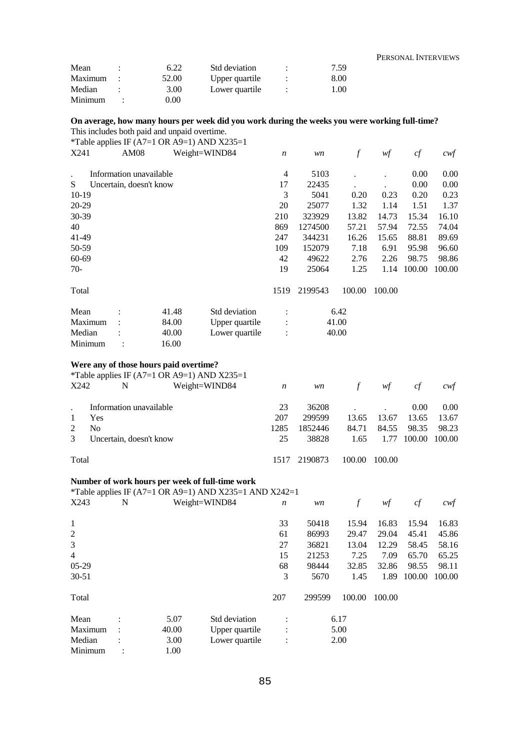#### PERSONAL INTERVIEWS

| Mean    | 6.22  | Std deviation  |   | 7.59 |
|---------|-------|----------------|---|------|
| Maximum | 52.00 | Upper quartile | ٠ | 8.00 |
| Median  | 3.00  | Lower quartile | ٠ | 1.00 |
| Minimum | 0.OO  |                |   |      |

#### **On average, how many hours per week did you work during the weeks you were working full-time?**  This includes both paid and unpaid overtime.

\*Table applies IF (A7=1 OR A9=1) AND X235=1

|                                        |                         |       | Table applies $\mathbf{H}$ (11) = 1 OK (19 = 1) TH (D 21233 = 1 |                  |         |        |        |          |        |
|----------------------------------------|-------------------------|-------|-----------------------------------------------------------------|------------------|---------|--------|--------|----------|--------|
| X241                                   | AM08                    |       | Weight=WIND84                                                   | $\boldsymbol{n}$ | wn      | $\int$ | wf     | cf       | cwf    |
|                                        | Information unavailable |       |                                                                 | $\overline{4}$   | 5103    |        |        | $0.00\,$ | 0.00   |
| S                                      | Uncertain, doesn't know |       |                                                                 | 17               | 22435   |        |        | 0.00     | 0.00   |
| $10-19$                                |                         |       |                                                                 | 3                | 5041    | 0.20   | 0.23   | 0.20     | 0.23   |
| 20-29                                  |                         |       |                                                                 | 20               | 25077   | 1.32   | 1.14   | 1.51     | 1.37   |
| 30-39                                  |                         |       |                                                                 | 210              | 323929  | 13.82  | 14.73  | 15.34    | 16.10  |
| 40                                     |                         |       |                                                                 | 869              | 1274500 | 57.21  | 57.94  | 72.55    | 74.04  |
| 41-49                                  |                         |       |                                                                 | 247              | 344231  | 16.26  | 15.65  | 88.81    | 89.69  |
| 50-59                                  |                         |       |                                                                 | 109              | 152079  | 7.18   | 6.91   | 95.98    | 96.60  |
| 60-69                                  |                         |       |                                                                 | 42               | 49622   | 2.76   | 2.26   | 98.75    | 98.86  |
| $70-$                                  |                         |       |                                                                 | 19               | 25064   | 1.25   | 1.14   | 100.00   | 100.00 |
| Total                                  |                         |       |                                                                 | 1519             | 2199543 | 100.00 | 100.00 |          |        |
| Mean                                   |                         | 41.48 | Std deviation                                                   |                  |         | 6.42   |        |          |        |
| Maximum                                |                         | 84.00 | Upper quartile                                                  |                  |         | 41.00  |        |          |        |
| Median                                 |                         | 40.00 | Lower quartile                                                  |                  |         | 40.00  |        |          |        |
| Minimum                                |                         | 16.00 |                                                                 |                  |         |        |        |          |        |
| Were any of those hours paid overtime? |                         |       |                                                                 |                  |         |        |        |          |        |
|                                        |                         |       | *Table applies IF (A7=1 OR A9=1) AND X235=1                     |                  |         |        |        |          |        |
| X242                                   | N                       |       | Weight=WIND84                                                   | $\boldsymbol{n}$ | wn      | f      | wf     | cf       | cwt    |

|               | Information unavailable   | 23   | 36208   |        |             | 0.00 <sub>1</sub> | 0.00   |
|---------------|---------------------------|------|---------|--------|-------------|-------------------|--------|
|               | Yes                       | 207  | 299599  |        | 13.65 13.67 | 13.65             | 13.67  |
| $\mathcal{L}$ | N <sub>0</sub>            | 1285 | 1852446 | 84.71  | 84.55       | 98.35             | 98.23  |
|               | 3 Uncertain, doesn't know | 25   | 38828   | 1.65   | 1.77        | 100.00            | 100.00 |
| Total         |                           | 1517 | 2190873 | 100.00 | 100.00      |                   |        |

# **Number of work hours per week of full-time work**

\*Table applies IF  $(A7=1 \text{ OR } A9=1)$  AND X235=1 AND X242=1

| X243           | N              |       | Weight=WIND84  | $\boldsymbol{n}$     | wn     | f      | wf     | cf     | $c \mathsf{w} f$ |
|----------------|----------------|-------|----------------|----------------------|--------|--------|--------|--------|------------------|
|                |                |       |                |                      |        |        |        |        |                  |
| 1              |                |       |                | 33                   | 50418  | 15.94  | 16.83  | 15.94  | 16.83            |
| $\overline{2}$ |                |       |                | 61                   | 86993  | 29.47  | 29.04  | 45.41  | 45.86            |
| 3              |                |       |                | 27                   | 36821  | 13.04  | 12.29  | 58.45  | 58.16            |
| $\overline{4}$ |                |       |                | 15                   | 21253  | 7.25   | 7.09   | 65.70  | 65.25            |
| $05-29$        |                |       |                | 68                   | 98444  | 32.85  | 32.86  | 98.55  | 98.11            |
| $30 - 51$      |                |       |                | 3                    | 5670   | 1.45   | 1.89   | 100.00 | 100.00           |
| Total          |                |       |                | 207                  | 299599 | 100.00 | 100.00 |        |                  |
| Mean           | $\ddot{\cdot}$ | 5.07  | Std deviation  | $\ddot{\cdot}$       |        | 6.17   |        |        |                  |
| Maximum        |                | 40.00 | Upper quartile |                      |        | 5.00   |        |        |                  |
| Median         |                | 3.00  | Lower quartile | $\ddot{\phantom{a}}$ |        | 2.00   |        |        |                  |
| Minimum        |                | 1.00  |                |                      |        |        |        |        |                  |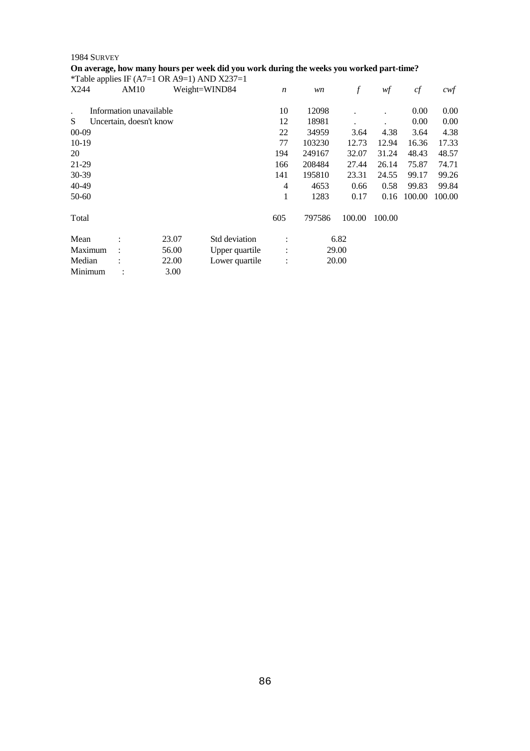#### **On average, how many hours per week did you work during the weeks you worked part-time?**

|         |                         |       | *Table applies IF (A7=1 OR A9=1) AND X237=1 |                      |        |        |        |        |        |
|---------|-------------------------|-------|---------------------------------------------|----------------------|--------|--------|--------|--------|--------|
| X244    | AM10                    |       | Weight=WIND84                               | $\boldsymbol{n}$     | wn     | f      | wf     | cf     | cwf    |
|         | Information unavailable |       |                                             | 10                   | 12098  |        |        | 0.00   | 0.00   |
| S       | Uncertain, doesn't know |       |                                             | 12                   | 18981  |        |        | 0.00   | 0.00   |
| $00-09$ |                         |       |                                             | 22                   | 34959  | 3.64   | 4.38   | 3.64   | 4.38   |
| $10-19$ |                         |       |                                             | 77                   | 103230 | 12.73  | 12.94  | 16.36  | 17.33  |
| 20      |                         |       |                                             | 194                  | 249167 | 32.07  | 31.24  | 48.43  | 48.57  |
| 21-29   |                         |       |                                             | 166                  | 208484 | 27.44  | 26.14  | 75.87  | 74.71  |
| 30-39   |                         |       |                                             | 141                  | 195810 | 23.31  | 24.55  | 99.17  | 99.26  |
| 40-49   |                         |       |                                             | $\overline{4}$       | 4653   | 0.66   | 0.58   | 99.83  | 99.84  |
| 50-60   |                         |       |                                             | 1                    | 1283   | 0.17   | 0.16   | 100.00 | 100.00 |
| Total   |                         |       |                                             | 605                  | 797586 | 100.00 | 100.00 |        |        |
| Mean    | $\ddot{\cdot}$          | 23.07 | Std deviation                               | $\ddot{\cdot}$       |        | 6.82   |        |        |        |
| Maximum |                         | 56.00 | Upper quartile                              | :                    |        | 29.00  |        |        |        |
| Median  |                         | 22.00 | Lower quartile                              | $\ddot{\phantom{a}}$ |        | 20.00  |        |        |        |
| Minimum |                         | 3.00  |                                             |                      |        |        |        |        |        |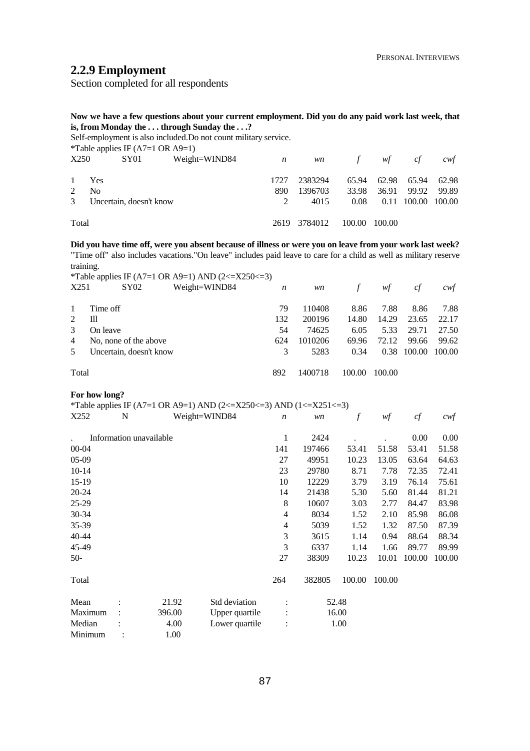# **2.2.9 Employment**

Section completed for all respondents

**Now we have a few questions about your current employment. Did you do any paid work last week, that is, from Monday the . . . through Sunday the . . .?** 

Self-employment is also included.Do not count military service.<br>
\*Teble employe IE ( $\Delta T = 1$  OB  $\Delta 0 = 1$ )  $^{1}$ Projector as also acceptants applies IF ( $\Delta$ 7–1 OR  $\Delta$ 9–1)

|               |                | Table applies IF $(A)=1$ OK $(A)=1$ ) |               |                  |              |        |             |       |                    |
|---------------|----------------|---------------------------------------|---------------|------------------|--------------|--------|-------------|-------|--------------------|
| X250          |                | SY01                                  | Weight=WIND84 | $\boldsymbol{n}$ | <i>wn</i>    | f      | wf          | cf    | cwt                |
| $\mathbf{1}$  | Yes            |                                       |               | 1727             | 2383294      |        | 65.94 62.98 | 65.94 | 62.98              |
| 2             | N <sub>0</sub> |                                       |               | 890              | 1396703      | 33.98  | 36.91       | 99.92 | 99.89              |
| $\mathcal{E}$ |                | Uncertain, doesn't know               |               |                  | 4015         | 0.08   |             |       | 0.11 100.00 100.00 |
| Total         |                |                                       |               |                  | 2619 3784012 | 100.00 | 100.00      |       |                    |

**Did you have time off, were you absent because of illness or were you on leave from your work last week?**  "Time off" also includes vacations."On leave" includes paid leave to care for a child as well as military reserve training.

|                             |                         | *Table applies IF (A7=1 OR A9=1) AND (2<=X250<=3) |         |         |        |       |        |        |
|-----------------------------|-------------------------|---------------------------------------------------|---------|---------|--------|-------|--------|--------|
| X251                        | SY02                    | Weight=WIND84                                     | n       | wn      |        | wf    | сf     | cwt    |
| 1                           | Time off                |                                                   | 79      | 110408  | 8.86   | 7.88  | 8.86   | 7.88   |
| $\mathcal{D}_{\mathcal{L}}$ | TĦ                      |                                                   | 132     | 200196  | 14.80  | 14.29 | 23.65  | 22.17  |
| $\mathcal{R}$               | On leave                |                                                   | 54      | 74625   | 6.05   | 5.33  | 29.71  | 27.50  |
| $\overline{4}$              | No, none of the above   |                                                   | 624     | 1010206 | 69.96  | 72.12 | 99.66  | 99.62  |
| 5                           | Uncertain, doesn't know |                                                   | 3       | 5283    | 0.34   | 0.38  | 100.00 | 100.00 |
| Total                       |                         | 892                                               | 1400718 | 100.00  | 100.00 |       |        |        |

#### **For how long?**

|           |   |                         | *Table applies IF (A7=1 OR A9=1) AND (2<=X250<=3) AND (1<=X251<=3) |                  |        |                  |        |        |        |
|-----------|---|-------------------------|--------------------------------------------------------------------|------------------|--------|------------------|--------|--------|--------|
| X252      | N |                         | Weight=WIND84                                                      | $\boldsymbol{n}$ | wn     | $\boldsymbol{f}$ | wf     | cf     | $c$ wf |
|           |   |                         |                                                                    |                  |        |                  |        |        |        |
|           |   | Information unavailable |                                                                    | 1                | 2424   |                  |        | 0.00   | 0.00   |
| 00-04     |   |                         |                                                                    | 141              | 197466 | 53.41            | 51.58  | 53.41  | 51.58  |
| $05-09$   |   |                         |                                                                    | 27               | 49951  | 10.23            | 13.05  | 63.64  | 64.63  |
| $10 - 14$ |   |                         |                                                                    | 23               | 29780  | 8.71             | 7.78   | 72.35  | 72.41  |
| $15-19$   |   |                         |                                                                    | 10               | 12229  | 3.79             | 3.19   | 76.14  | 75.61  |
| 20-24     |   |                         |                                                                    | 14               | 21438  | 5.30             | 5.60   | 81.44  | 81.21  |
| $25-29$   |   |                         |                                                                    | 8                | 10607  | 3.03             | 2.77   | 84.47  | 83.98  |
| $30 - 34$ |   |                         |                                                                    | 4                | 8034   | 1.52             | 2.10   | 85.98  | 86.08  |
| 35-39     |   |                         |                                                                    | 4                | 5039   | 1.52             | 1.32   | 87.50  | 87.39  |
| 40-44     |   |                         |                                                                    | 3                | 3615   | 1.14             | 0.94   | 88.64  | 88.34  |
| 45-49     |   |                         |                                                                    | 3                | 6337   | 1.14             | 1.66   | 89.77  | 89.99  |
| $50-$     |   |                         |                                                                    | 27               | 38309  | 10.23            | 10.01  | 100.00 | 100.00 |
| Total     |   |                         |                                                                    | 264              | 382805 | 100.00           | 100.00 |        |        |
| Mean      |   | 21.92                   | Std deviation                                                      |                  |        | 52.48            |        |        |        |
| Maximum   |   | 396.00                  | Upper quartile                                                     |                  |        | 16.00            |        |        |        |
| Median    |   | 4.00                    | Lower quartile                                                     |                  |        | 1.00             |        |        |        |
| Minimum   |   | 1.00                    |                                                                    |                  |        |                  |        |        |        |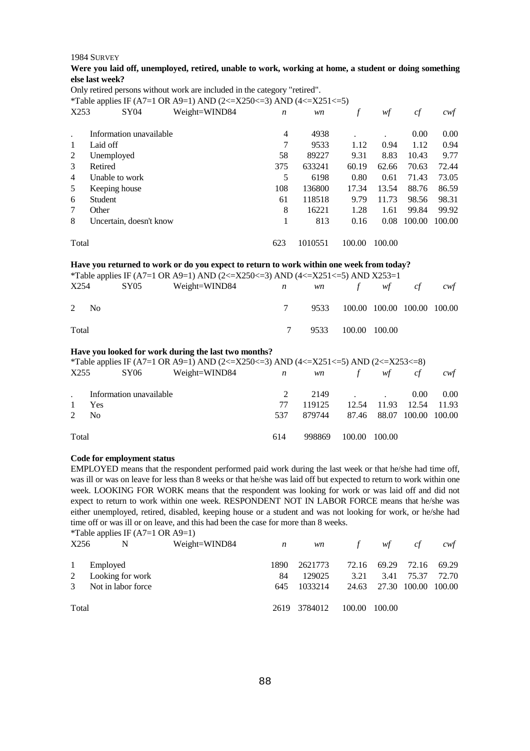#### **Were you laid off, unemployed, retired, unable to work, working at home, a student or doing something else last week?**

Only retired persons without work are included in the category "retired".

\*Table applies IF (A7=1 OR A9=1) AND (2 <= X250 <= 3) AND (4 <= X251 <= 5)

| X253           | SY <sub>04</sub>        | Weight=WIND84 | $\boldsymbol{n}$ | wn      |        | wf     | cf     | cwf    |
|----------------|-------------------------|---------------|------------------|---------|--------|--------|--------|--------|
|                | Information unavailable |               | 4                | 4938    |        |        | 0.00   | 0.00   |
| 1              | Laid off                |               | 7                | 9533    | 1.12   | 0.94   | 1.12   | 0.94   |
| 2              | Unemployed              |               | 58               | 89227   | 9.31   | 8.83   | 10.43  | 9.77   |
| 3              | Retired                 |               | 375              | 633241  | 60.19  | 62.66  | 70.63  | 72.44  |
| $\overline{4}$ | Unable to work          |               | 5                | 6198    | 0.80   | 0.61   | 71.43  | 73.05  |
| 5              | Keeping house           |               | 108              | 136800  | 17.34  | 13.54  | 88.76  | 86.59  |
| 6              | Student                 |               | 61               | 118518  | 9.79   | 11.73  | 98.56  | 98.31  |
| 7              | Other                   |               | 8                | 16221   | 1.28   | 1.61   | 99.84  | 99.92  |
| 8              | Uncertain, doesn't know |               |                  | 813     | 0.16   | 0.08   | 100.00 | 100.00 |
| Total          |                         |               | 623              | 1010551 | 100.00 | 100.00 |        |        |

#### **Have you returned to work or do you expect to return to work within one week from today?**

\*Table applies IF (A7=1 OR A9=1) AND (2<=X250<=3) AND (4<=X251<=5) AND X253=1

| X254             | SY05 | Weight=WIND84<br>$\mathbf n$ |   | wn f wf cf                       |  | cwt |
|------------------|------|------------------------------|---|----------------------------------|--|-----|
| 2 N <sub>0</sub> |      |                              |   | 9533 100.00 100.00 100.00 100.00 |  |     |
| Total            |      |                              | 7 | 9533 100.00 100.00               |  |     |

#### **Have you looked for work during the last two months?**

\*Table applies IF (A7=1 OR A9=1) AND (2<=X250<=3) AND (4<=X251<=5) AND (2<=X253<=8)

| X255         | SY06                    | Weight=WIND84 | $\boldsymbol{n}$ | <i>wn</i> | f             | wf                        | cf       | cwt   |
|--------------|-------------------------|---------------|------------------|-----------|---------------|---------------------------|----------|-------|
|              | Information unavailable |               |                  |           | $2149$ .      |                           | $0.00\,$ | 0.00  |
| $\mathbf{1}$ | Yes                     |               | 77               | 119125    |               | 12.54 11.93               | 12.54    | 11.93 |
| 2            | - No                    |               | 537              | 879744    |               | 87.46 88.07 100.00 100.00 |          |       |
| Total        |                         |               | 614              | 998869    | 100.00 100.00 |                           |          |       |

#### **Code for employment status**

EMPLOYED means that the respondent performed paid work during the last week or that he/she had time off, was ill or was on leave for less than 8 weeks or that he/she was laid off but expected to return to work within one week. LOOKING FOR WORK means that the respondent was looking for work or was laid off and did not expect to return to work within one week. RESPONDENT NOT IN LABOR FORCE means that he/she was either unemployed, retired, disabled, keeping house or a student and was not looking for work, or he/she had time off or was ill or on leave, and this had been the case for more than 8 weeks.

|              | *Table applies IF $(A7=1 \text{ OR } A9=1)$ |               |                  |              |              |        |        |       |
|--------------|---------------------------------------------|---------------|------------------|--------------|--------------|--------|--------|-------|
| X256         | N                                           | Weight=WIND84 | $\boldsymbol{n}$ | <i>wn</i>    | f            | wf     | cf     | cwt   |
| $\mathbf{1}$ | Employed                                    |               | 1890             | 2621773      | 72.16        | 69.29  | 72.16  | 69.29 |
| 2            | Looking for work                            |               | 84               | 129025       | 3.21         | 3.41   | 75.37  | 72.70 |
| 3            | Not in labor force.                         | 645           | 1033214          | 24.63        | 27.30 100.00 |        | 100.00 |       |
| Total        |                                             |               |                  | 2619 3784012 | 100.00       | 100.00 |        |       |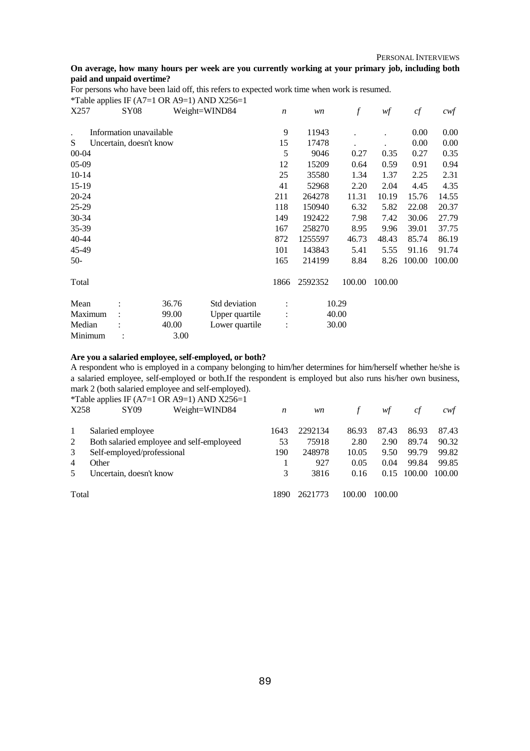PERSONAL INTERVIEWS

#### **On average, how many hours per week are you currently working at your primary job, including both paid and unpaid overtime?**

For persons who have been laid off, this refers to expected work time when work is resumed. \*Table applies IF (A7=1 OR A9=1) AND X256=1

| X257      | <b>SY08</b>             |       | Weight=WIND84  | $\boldsymbol{n}$ | wn      | f      | wf     | cf     | $c$ wf |
|-----------|-------------------------|-------|----------------|------------------|---------|--------|--------|--------|--------|
| $\bullet$ | Information unavailable |       |                | 9                | 11943   |        |        | 0.00   | 0.00   |
| S         | Uncertain, doesn't know |       |                | 15               | 17478   |        |        | 0.00   | 0.00   |
| $00 - 04$ |                         |       |                | 5                | 9046    | 0.27   | 0.35   | 0.27   | 0.35   |
| $05-09$   |                         |       |                | 12               | 15209   | 0.64   | 0.59   | 0.91   | 0.94   |
| $10 - 14$ |                         |       |                | 25               | 35580   | 1.34   | 1.37   | 2.25   | 2.31   |
| $15-19$   |                         |       |                | 41               | 52968   | 2.20   | 2.04   | 4.45   | 4.35   |
| 20-24     |                         |       |                | 211              | 264278  | 11.31  | 10.19  | 15.76  | 14.55  |
| 25-29     |                         |       |                | 118              | 150940  | 6.32   | 5.82   | 22.08  | 20.37  |
| 30-34     |                         |       |                | 149              | 192422  | 7.98   | 7.42   | 30.06  | 27.79  |
| 35-39     |                         |       |                | 167              | 258270  | 8.95   | 9.96   | 39.01  | 37.75  |
| 40-44     |                         |       |                | 872              | 1255597 | 46.73  | 48.43  | 85.74  | 86.19  |
| 45-49     |                         |       |                | 101              | 143843  | 5.41   | 5.55   | 91.16  | 91.74  |
| $50-$     |                         |       |                | 165              | 214199  | 8.84   | 8.26   | 100.00 | 100.00 |
| Total     |                         |       |                | 1866             | 2592352 | 100.00 | 100.00 |        |        |
| Mean      |                         | 36.76 | Std deviation  |                  |         | 10.29  |        |        |        |
| Maximum   |                         | 99.00 | Upper quartile |                  |         | 40.00  |        |        |        |
| Median    |                         | 40.00 | Lower quartile |                  |         | 30.00  |        |        |        |
| Minimum   |                         | 3.00  |                |                  |         |        |        |        |        |

# **Are you a salaried employee, self-employed, or both?**

A respondent who is employed in a company belonging to him/her determines for him/herself whether he/she is a salaried employee, self-employed or both.If the respondent is employed but also runs his/her own business, mark 2 (both salaried employee and self-employed).

\*Table applies IF (A7=1 OR A9=1) AND  $\overline{X256}$ =1

| X258  | <b>SY09</b>                | Weight=WIND84                             | n    | wn      |        | wt     | Сt     | cwt    |
|-------|----------------------------|-------------------------------------------|------|---------|--------|--------|--------|--------|
|       | Salaried employee          |                                           | 1643 | 2292134 | 86.93  | 87.43  | 86.93  | 87.43  |
|       |                            | Both salaried employee and self-employeed | 53   | 75918   | 2.80   | 2.90   | 89.74  | 90.32  |
| 3     | Self-employed/professional |                                           | 190  | 248978  | 10.05  | 9.50   | 99.79  | 99.82  |
| 4     | Other                      |                                           |      | 927     | 0.05   | 0.04   | 99.84  | 99.85  |
|       | Uncertain, doesn't know    |                                           | 3    | 3816    | 0.16   | 0.15   | 100.00 | 100.00 |
| Total |                            |                                           | 1890 | 2621773 | 100.00 | 100.00 |        |        |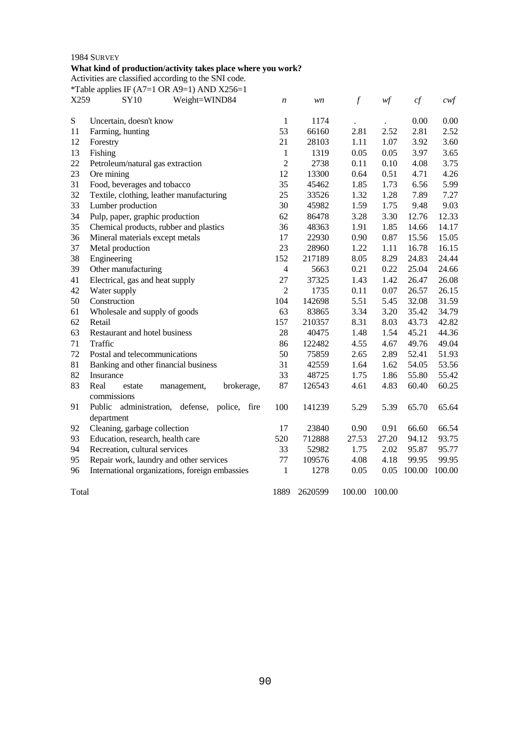# 1984 SURVEY **What kind of production/activity takes place where you work?**

Activities are classified according to the SNI code.

\*Table applies IF (A7=1 OR A9=1) AND X256=1

| vaso | $\mathbf{C} \mathbf{V}$ 10 | Wojcht-WIND94 |  |
|------|----------------------------|---------------|--|

| X259      | . .<br>Weight=WIND84<br><b>SY10</b>             | n              | wn      | $\boldsymbol{f}$ | w f    | cf     | $c \mathsf{w} f$ |
|-----------|-------------------------------------------------|----------------|---------|------------------|--------|--------|------------------|
| ${\bf S}$ | Uncertain, doesn't know                         | $\mathbf{1}$   | 1174    |                  |        | 0.00   | 0.00             |
| 11        | Farming, hunting                                | 53             | 66160   | 2.81             | 2.52   | 2.81   | 2.52             |
| 12        | Forestry                                        | 21             | 28103   | 1.11             | 1.07   | 3.92   | 3.60             |
| 13        | Fishing                                         | $\mathbf{1}$   | 1319    | 0.05             | 0.05   | 3.97   | 3.65             |
| 22        | Petroleum/natural gas extraction                | $\overline{2}$ | 2738    | 0.11             | 0.10   | 4.08   | 3.75             |
| 23        | Ore mining                                      | 12             | 13300   | 0.64             | 0.51   | 4.71   | 4.26             |
| 31        | Food, beverages and tobacco                     | 35             | 45462   | 1.85             | 1.73   | 6.56   | 5.99             |
| 32        | Textile, clothing, leather manufacturing        | 25             | 33526   | 1.32             | 1.28   | 7.89   | 7.27             |
| 33        | Lumber production                               | 30             | 45982   | 1.59             | 1.75   | 9.48   | 9.03             |
| 34        | Pulp, paper, graphic production                 | 62             | 86478   | 3.28             | 3.30   | 12.76  | 12.33            |
| 35        | Chemical products, rubber and plastics          | 36             | 48363   | 1.91             | 1.85   | 14.66  | 14.17            |
| 36        | Mineral materials except metals                 | 17             | 22930   | 0.90             | 0.87   | 15.56  | 15.05            |
| 37        | Metal production                                | 23             | 28960   | 1.22             | 1.11   | 16.78  | 16.15            |
| 38        | Engineering                                     | 152            | 217189  | 8.05             | 8.29   | 24.83  | 24.44            |
| 39        | Other manufacturing                             | $\overline{4}$ | 5663    | 0.21             | 0.22   | 25.04  | 24.66            |
| 41        | Electrical, gas and heat supply                 | 27             | 37325   | 1.43             | 1.42   | 26.47  | 26.08            |
| 42        | Water supply                                    | $\overline{2}$ | 1735    | 0.11             | 0.07   | 26.57  | 26.15            |
| 50        | Construction                                    | 104            | 142698  | 5.51             | 5.45   | 32.08  | 31.59            |
| 61        | Wholesale and supply of goods                   | 63             | 83865   | 3.34             | 3.20   | 35.42  | 34.79            |
| 62        | Retail                                          | 157            | 210357  | 8.31             | 8.03   | 43.73  | 42.82            |
| 63        | Restaurant and hotel business                   | 28             | 40475   | 1.48             | 1.54   | 45.21  | 44.36            |
| 71        | Traffic                                         | 86             | 122482  | 4.55             | 4.67   | 49.76  | 49.04            |
| 72        | Postal and telecommunications                   | 50             | 75859   | 2.65             | 2.89   | 52.41  | 51.93            |
| 81        | Banking and other financial business            | 31             | 42559   | 1.64             | 1.62   | 54.05  | 53.56            |
| 82        | Insurance                                       | 33             | 48725   | 1.75             | 1.86   | 55.80  | 55.42            |
| 83        | Real<br>brokerage,<br>management,<br>estate     | 87             | 126543  | 4.61             | 4.83   | 60.40  | 60.25            |
|           | commissions                                     |                |         |                  |        |        |                  |
| 91        | Public administration, defense, police,<br>fire | 100            | 141239  | 5.29             | 5.39   | 65.70  | 65.64            |
|           | department                                      |                |         |                  |        |        |                  |
| 92        | Cleaning, garbage collection                    | 17             | 23840   | 0.90             | 0.91   | 66.60  | 66.54            |
| 93        | Education, research, health care                | 520            | 712888  | 27.53            | 27.20  | 94.12  | 93.75            |
| 94        | Recreation, cultural services                   | 33             | 52982   | 1.75             | 2.02   | 95.87  | 95.77            |
| 95        | Repair work, laundry and other services         | 77             | 109576  | 4.08             | 4.18   | 99.95  | 99.95            |
| 96        | International organizations, foreign embassies  | 1              | 1278    | 0.05             | 0.05   | 100.00 | 100.00           |
| Total     |                                                 | 1889           | 2620599 | 100.00           | 100.00 |        |                  |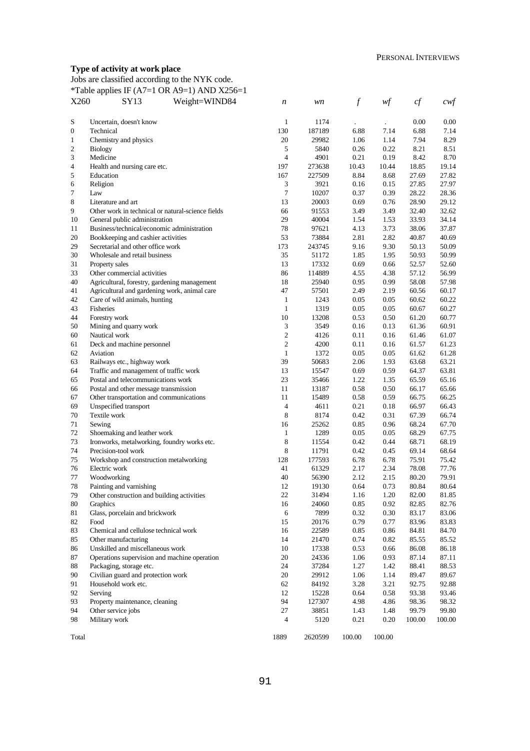# **Type of activity at work place**

Jobs are classified according to the NYK code.

\*Table applies IF (A7=1 OR A9=1) AND X256=1

| X260                     | SY 13                                             | Weight=WIND84 | n              | wn      | $\boldsymbol{f}$ | wf     | cf     | $c$ wf |
|--------------------------|---------------------------------------------------|---------------|----------------|---------|------------------|--------|--------|--------|
|                          |                                                   |               |                |         |                  |        |        |        |
| ${\bf S}$                | Uncertain, doesn't know                           |               | $\mathbf{1}$   | 1174    |                  |        | 0.00   | 0.00   |
| $\boldsymbol{0}$         | Technical                                         |               | 130            | 187189  | 6.88             | 7.14   | 6.88   | 7.14   |
| 1                        | Chemistry and physics                             |               | 20             | 29982   | 1.06             | 1.14   | 7.94   | 8.29   |
| $\overline{c}$           | <b>Biology</b>                                    |               | 5              | 5840    | 0.26             | 0.22   | 8.21   | 8.51   |
| 3                        | Medicine                                          |               | $\overline{4}$ | 4901    | 0.21             | 0.19   | 8.42   | 8.70   |
| $\overline{\mathcal{L}}$ | Health and nursing care etc.                      |               | 197            | 273638  | 10.43            | 10.44  | 18.85  | 19.14  |
| 5                        | Education                                         |               | 167            | 227509  | 8.84             | 8.68   | 27.69  | 27.82  |
| 6                        | Religion                                          |               | 3              | 3921    | 0.16             | 0.15   | 27.85  | 27.97  |
| 7                        | Law                                               |               | $\tau$         | 10207   | 0.37             | 0.39   | 28.22  | 28.36  |
| 8                        | Literature and art                                |               | 13             | 20003   | 0.69             | 0.76   | 28.90  | 29.12  |
| 9                        | Other work in technical or natural-science fields |               | 66             | 91553   | 3.49             | 3.49   | 32.40  | 32.62  |
| 10                       | General public administration                     |               | 29             | 40004   | 1.54             | 1.53   | 33.93  | 34.14  |
| 11                       | Business/technical/economic administration        |               | 78             | 97621   | 4.13             | 3.73   | 38.06  | 37.87  |
| 20                       | Bookkeeping and cashier activities                |               | 53             | 73884   | 2.81             | 2.82   | 40.87  | 40.69  |
| 29                       | Secretarial and other office work                 |               | 173            | 243745  | 9.16             | 9.30   | 50.13  | 50.09  |
| 30                       | Wholesale and retail business                     |               | 35             | 51172   | 1.85             | 1.95   | 50.93  | 50.99  |
| 31                       | Property sales                                    |               | 13             | 17332   | 0.69             | 0.66   | 52.57  | 52.60  |
| 33                       | Other commercial activities                       |               | 86             | 114889  | 4.55             | 4.38   | 57.12  | 56.99  |
| 40                       | Agricultural, forestry, gardening management      |               | 18             | 25940   | 0.95             | 0.99   | 58.08  | 57.98  |
| 41                       | Agricultural and gardening work, animal care      |               | 47             | 57501   | 2.49             | 2.19   | 60.56  | 60.17  |
| 42                       | Care of wild animals, hunting                     |               | $\mathbf{1}$   | 1243    | 0.05             | 0.05   | 60.62  | 60.22  |
| 43                       | Fisheries                                         |               | $\mathbf{1}$   | 1319    | 0.05             | 0.05   | 60.67  | 60.27  |
| 44                       | Forestry work                                     |               | 10             | 13208   | 0.53             | 0.50   | 61.20  | 60.77  |
| 50                       | Mining and quarry work                            |               | 3              | 3549    | 0.16             | 0.13   | 61.36  | 60.91  |
| 60                       | Nautical work                                     |               | $\mathfrak{2}$ | 4126    | 0.11             | 0.16   | 61.46  | 61.07  |
| 61                       | Deck and machine personnel                        |               | $\overline{c}$ | 4200    | 0.11             | 0.16   | 61.57  | 61.23  |
| 62                       | Aviation                                          |               | $\mathbf{1}$   | 1372    | 0.05             | 0.05   | 61.62  | 61.28  |
| 63                       | Railways etc., highway work                       |               | 39             | 50683   | 2.06             | 1.93   | 63.68  | 63.21  |
| 64                       | Traffic and management of traffic work            |               | 13             | 15547   | 0.69             | 0.59   | 64.37  | 63.81  |
| 65                       | Postal and telecommunications work                |               | 23             | 35466   | 1.22             | 1.35   | 65.59  | 65.16  |
| 66                       | Postal and other message transmission             |               | 11             | 13187   | 0.58             | 0.50   | 66.17  | 65.66  |
| 67                       | Other transportation and communications           |               | 11             | 15489   | 0.58             | 0.59   | 66.75  | 66.25  |
| 69                       | Unspecified transport                             |               | $\overline{4}$ | 4611    | 0.21             | 0.18   | 66.97  | 66.43  |
| 70                       | Textile work                                      |               | 8              | 8174    | 0.42             | 0.31   | 67.39  | 66.74  |
| 71                       | Sewing                                            |               | 16             | 25262   | 0.85             | 0.96   | 68.24  | 67.70  |
| 72                       | Shoemaking and leather work                       |               | $\mathbf{1}$   | 1289    | 0.05             | 0.05   | 68.29  | 67.75  |
| 73                       | Ironworks, metalworking, foundry works etc.       |               | 8              | 11554   | 0.42             | 0.44   | 68.71  | 68.19  |
| 74                       | Precision-tool work                               |               | 8              | 11791   | 0.42             | 0.45   | 69.14  | 68.64  |
| 75                       | Workshop and construction metalworking            |               | 128            | 177593  | 6.78             | 6.78   | 75.91  | 75.42  |
| 76                       | Electric work                                     |               | 41             | 61329   | 2.17             | 2.34   | 78.08  | 77.76  |
| 77                       | Woodworking                                       |               | 40             | 56390   | 2.12             | 2.15   | 80.20  | 79.91  |
| 78                       | Painting and varnishing                           |               | 12             | 19130   | 0.64             | 0.73   | 80.84  | 80.64  |
| 79                       | Other construction and building activities        |               | 22             | 31494   | 1.16             | 1.20   | 82.00  | 81.85  |
| 80                       | Graphics                                          |               | 16             | 24060   | 0.85             | 0.92   | 82.85  | 82.76  |
| 81                       | Glass, porcelain and brickwork                    |               | 6              | 7899    | 0.32             | 0.30   | 83.17  | 83.06  |
| 82                       | Food                                              |               | 15             | 20176   | 0.79             | 0.77   | 83.96  | 83.83  |
| 83                       | Chemical and cellulose technical work             |               | 16             | 22589   | 0.85             | 0.86   | 84.81  | 84.70  |
| 85                       | Other manufacturing                               |               | 14             | 21470   | 0.74             | 0.82   | 85.55  | 85.52  |
| 86                       | Unskilled and miscellaneous work                  |               | 10             | 17338   |                  |        |        |        |
| 87                       | Operations supervision and machine operation      |               | 20             |         | 0.53             | 0.66   | 86.08  | 86.18  |
|                          |                                                   |               |                | 24336   | 1.06             | 0.93   | 87.14  | 87.11  |
| 88                       | Packaging, storage etc.                           |               | 24             | 37284   | 1.27             | 1.42   | 88.41  | 88.53  |
| 90                       | Civilian guard and protection work                |               | 20             | 29912   | 1.06             | 1.14   | 89.47  | 89.67  |
| 91                       | Household work etc.                               |               | 62             | 84192   | 3.28             | 3.21   | 92.75  | 92.88  |
| 92                       | Serving                                           |               | 12             | 15228   | 0.64             | 0.58   | 93.38  | 93.46  |
| 93                       | Property maintenance, cleaning                    |               | 94             | 127307  | 4.98             | 4.86   | 98.36  | 98.32  |
| 94                       | Other service jobs                                |               | 27             | 38851   | 1.43             | 1.48   | 99.79  | 99.80  |
| 98                       | Military work                                     |               | 4              | 5120    | 0.21             | 0.20   | 100.00 | 100.00 |
| Total                    |                                                   |               | 1889           | 2620599 | 100.00           | 100.00 |        |        |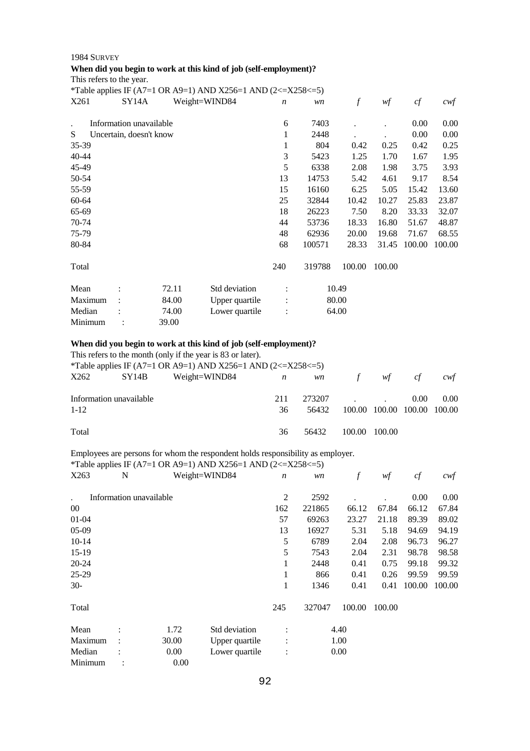# 1984 SURVEY **When did you begin to work at this kind of job (self-employment)?**

This refers to the year.

|         |                         |       | *Table applies IF (A7=1 OR A9=1) AND X256=1 AND (2<=X258<=5) |                  |        |                  |        |        |        |
|---------|-------------------------|-------|--------------------------------------------------------------|------------------|--------|------------------|--------|--------|--------|
| X261    | SY14A                   |       | Weight=WIND84                                                | $\boldsymbol{n}$ | wn     | $\boldsymbol{f}$ | wf     | cf     | $c$ wf |
|         | Information unavailable |       |                                                              | 6                | 7403   |                  |        | 0.00   | 0.00   |
| S       | Uncertain, doesn't know |       |                                                              | 1                | 2448   |                  |        | 0.00   | 0.00   |
| 35-39   |                         |       |                                                              | 1                | 804    | 0.42             | 0.25   | 0.42   | 0.25   |
| 40-44   |                         |       |                                                              | 3                | 5423   | 1.25             | 1.70   | 1.67   | 1.95   |
| 45-49   |                         |       |                                                              | 5                | 6338   | 2.08             | 1.98   | 3.75   | 3.93   |
| 50-54   |                         |       |                                                              | 13               | 14753  | 5.42             | 4.61   | 9.17   | 8.54   |
| 55-59   |                         |       |                                                              | 15               | 16160  | 6.25             | 5.05   | 15.42  | 13.60  |
| 60-64   |                         |       |                                                              | 25               | 32844  | 10.42            | 10.27  | 25.83  | 23.87  |
| 65-69   |                         |       |                                                              | 18               | 26223  | 7.50             | 8.20   | 33.33  | 32.07  |
| 70-74   |                         |       |                                                              | 44               | 53736  | 18.33            | 16.80  | 51.67  | 48.87  |
| 75-79   |                         |       |                                                              | 48               | 62936  | 20.00            | 19.68  | 71.67  | 68.55  |
| 80-84   |                         |       |                                                              | 68               | 100571 | 28.33            | 31.45  | 100.00 | 100.00 |
| Total   |                         |       |                                                              | 240              | 319788 | 100.00           | 100.00 |        |        |
| Mean    |                         | 72.11 | Std deviation                                                |                  |        | 10.49            |        |        |        |
| Maximum |                         | 84.00 | Upper quartile                                               |                  |        | 80.00            |        |        |        |
| Median  |                         | 74.00 | Lower quartile                                               |                  |        | 64.00            |        |        |        |
| Minimum |                         | 39.00 |                                                              |                  |        |                  |        |        |        |

#### **When did you begin to work at this kind of job (self-employment)?**

This refers to the month (only if the year is 83 or later).

\*Table applies IF (A7=1 OR A9=1) AND X256=1 AND (2<=X258<=5)

| X262     | SY14B                   | Weight=WIND84 | $\boldsymbol{n}$ | <i>wn</i>       | $\int f$      | wf                          | ct                | cwt  |
|----------|-------------------------|---------------|------------------|-----------------|---------------|-----------------------------|-------------------|------|
| $1 - 12$ | Information unavailable |               | 211<br>36        | 273207<br>56432 |               | 100.00 100.00 100.00 100.00 | 0.00 <sub>1</sub> | 0.00 |
| Total    |                         |               | 36               | 56432           | 100.00 100.00 |                             |                   |      |

Employees are persons for whom the respondent holds responsibility as employer.

\*Table applies IF (A7=1 OR A9=1) AND X256=1 AND  $(2\leq X258\leq 5)$ 

| X263                 | N                       |       | Weight=WIND84  | $\boldsymbol{n}$ | wn     | $\int f$ | wf     | cf     | $c \mathsf{w} f$ |
|----------------------|-------------------------|-------|----------------|------------------|--------|----------|--------|--------|------------------|
| $\ddot{\phantom{a}}$ | Information unavailable |       |                | 2                | 2592   |          |        | 0.00   | 0.00             |
| $00\,$               |                         |       |                | 162              | 221865 | 66.12    | 67.84  | 66.12  | 67.84            |
| 01-04                |                         |       |                | 57               | 69263  | 23.27    | 21.18  | 89.39  | 89.02            |
| $05-09$              |                         |       |                | 13               | 16927  | 5.31     | 5.18   | 94.69  | 94.19            |
| $10-14$              |                         |       |                | 5                | 6789   | 2.04     | 2.08   | 96.73  | 96.27            |
| $15-19$              |                         |       |                | 5                | 7543   | 2.04     | 2.31   | 98.78  | 98.58            |
| 20-24                |                         |       |                | 1                | 2448   | 0.41     | 0.75   | 99.18  | 99.32            |
| 25-29                |                         |       |                | 1                | 866    | 0.41     | 0.26   | 99.59  | 99.59            |
| $30-$                |                         |       |                | 1                | 1346   | 0.41     | 0.41   | 100.00 | 100.00           |
| Total                |                         |       |                | 245              | 327047 | 100.00   | 100.00 |        |                  |
| Mean                 |                         | 1.72  | Std deviation  |                  |        | 4.40     |        |        |                  |
| Maximum              |                         | 30.00 | Upper quartile |                  |        | 1.00     |        |        |                  |
| Median               |                         | 0.00  | Lower quartile | $\ddot{\cdot}$   |        | 0.00     |        |        |                  |
| Minimum              |                         | 0.00  |                |                  |        |          |        |        |                  |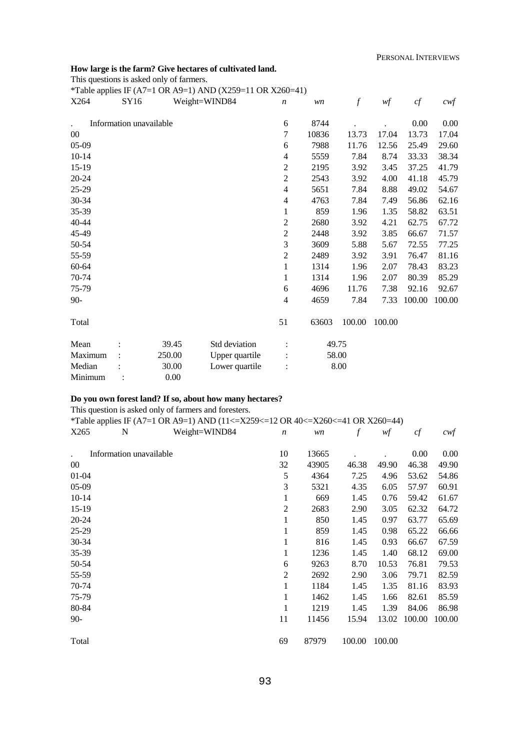#### **How large is the farm? Give hectares of cultivated land.**

This questions is asked only of farmers.

\*Table applies IF (A7=1 OR A9=1) AND (X259=11 OR X260=41) X264 SY16 Weight=WIND84 *n wn f wf cf cwf* . Information unavailable 00 05-09 10-14 15-19 20-24 25-29 30-34 35-39 40-44 45-49 50-54 55-59 60-64 70-74 75-79 90- Total 6 8744 . . 0.00 0.00 7 10836 13.73 17.04 13.73 17.04 6 7988 11.76 12.56 25.49 29.60 4 5559 7.84 8.74 33.33 38.34 2 2195 3.92 3.45 37.25 41.79 2 2543 3.92 4.00 41.18 45.79 4 5651 7.84 8.88 49.02 54.67 4 4763 7.84 7.49 56.86 62.16 1 859 1.96 1.35 58.82 63.51 2 2680 3.92 4.21 62.75 67.72 2 2448 3.92 3.85 66.67 71.57 3 3609 5.88 5.67 72.55 77.25 2 2489 3.92 3.91 76.47 81.16 1 1314 1.96 2.07 78.43 83.23 1 1314 1.96 2.07 80.39 85.29 6 4696 11.76 7.38 92.16 92.67 4 4659 7.84 7.33 100.00 100.00 51 63603 100.00 100.00 Mean : 39.45 Std deviation : 49.75 Maximum :  $250.00$  Upper quartile : 58.00 Median : 30.00 Lower quartile : 8.00 Minimum : 0.00

#### **Do you own forest land? If so, about how many hectares?**

This question is asked only of farmers and foresters.

|           |                         | *Table applies IF (A7=1 OR A9=1) AND (11<=X259<=12 OR 40<=X260<=41 OR X260=44) |                  |       |        |        |        |        |
|-----------|-------------------------|--------------------------------------------------------------------------------|------------------|-------|--------|--------|--------|--------|
| X265      | N                       | Weight=WIND84                                                                  | $\boldsymbol{n}$ | wn    | f      | wf     | cf     | $c$ wf |
|           |                         |                                                                                |                  |       |        |        |        |        |
|           | Information unavailable |                                                                                | 10               | 13665 |        |        | 0.00   | 0.00   |
| $00\,$    |                         |                                                                                | 32               | 43905 | 46.38  | 49.90  | 46.38  | 49.90  |
| $01 - 04$ |                         |                                                                                | 5                | 4364  | 7.25   | 4.96   | 53.62  | 54.86  |
| $05-09$   |                         |                                                                                | 3                | 5321  | 4.35   | 6.05   | 57.97  | 60.91  |
| $10 - 14$ |                         |                                                                                | 1                | 669   | 1.45   | 0.76   | 59.42  | 61.67  |
| $15-19$   |                         |                                                                                | $\overline{2}$   | 2683  | 2.90   | 3.05   | 62.32  | 64.72  |
| $20 - 24$ |                         |                                                                                | 1                | 850   | 1.45   | 0.97   | 63.77  | 65.69  |
| $25-29$   |                         |                                                                                | 1                | 859   | 1.45   | 0.98   | 65.22  | 66.66  |
| 30-34     |                         |                                                                                | 1                | 816   | 1.45   | 0.93   | 66.67  | 67.59  |
| 35-39     |                         |                                                                                | 1                | 1236  | 1.45   | 1.40   | 68.12  | 69.00  |
| 50-54     |                         |                                                                                | 6                | 9263  | 8.70   | 10.53  | 76.81  | 79.53  |
| 55-59     |                         |                                                                                | 2                | 2692  | 2.90   | 3.06   | 79.71  | 82.59  |
| 70-74     |                         |                                                                                | 1                | 1184  | 1.45   | 1.35   | 81.16  | 83.93  |
| 75-79     |                         |                                                                                | 1                | 1462  | 1.45   | 1.66   | 82.61  | 85.59  |
| 80-84     |                         |                                                                                | 1                | 1219  | 1.45   | 1.39   | 84.06  | 86.98  |
| $90-$     |                         |                                                                                | 11               | 11456 | 15.94  | 13.02  | 100.00 | 100.00 |
|           |                         |                                                                                |                  |       |        |        |        |        |
| Total     |                         |                                                                                | 69               | 87979 | 100.00 | 100.00 |        |        |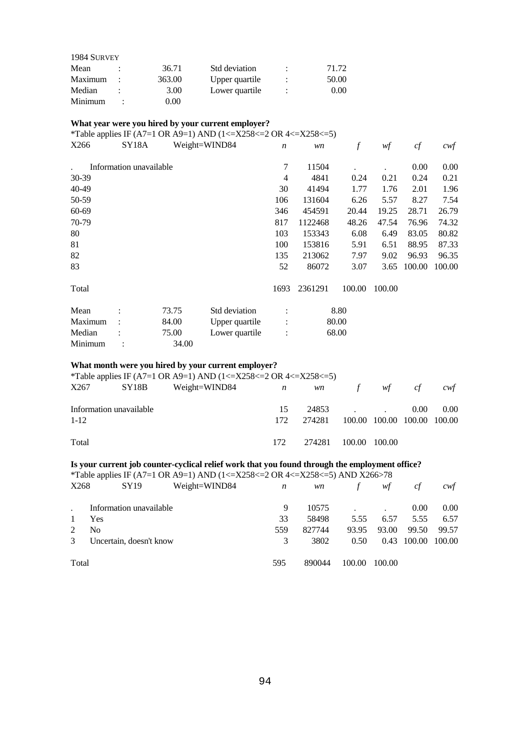| 1984 SURVEY |   |          |                |   |       |
|-------------|---|----------|----------------|---|-------|
| Mean        |   | 36.71    | Std deviation  | ٠ | 71.72 |
| Maximum     | ÷ | 363.00   | Upper quartile | ٠ | 50.00 |
| Median      |   | 3.00     | Lower quartile | ٠ | 0.00  |
| Minimum     |   | $0.00\,$ |                |   |       |

# **What year were you hired by your current employer?**

\*Table applies IF (A7=1 OR A9=1) AND (1<=X258<=2 OR 4<=X258<=5)

| X266    | SY <sub>18</sub> A      |       | Weight=WIND84  | $\boldsymbol{n}$ | wn      | $\boldsymbol{f}$ | wf     | cf     | $c \mathsf{w} f$ |
|---------|-------------------------|-------|----------------|------------------|---------|------------------|--------|--------|------------------|
|         | Information unavailable |       |                | 7                | 11504   |                  |        | 0.00   | 0.00             |
| 30-39   |                         |       |                | $\overline{4}$   | 4841    | 0.24             | 0.21   | 0.24   | 0.21             |
| 40-49   |                         |       |                | 30               | 41494   | 1.77             | 1.76   | 2.01   | 1.96             |
| 50-59   |                         |       |                | 106              | 131604  | 6.26             | 5.57   | 8.27   | 7.54             |
| 60-69   |                         |       |                | 346              | 454591  | 20.44            | 19.25  | 28.71  | 26.79            |
| 70-79   |                         |       |                | 817              | 1122468 | 48.26            | 47.54  | 76.96  | 74.32            |
| 80      |                         |       |                | 103              | 153343  | 6.08             | 6.49   | 83.05  | 80.82            |
| 81      |                         |       |                | 100              | 153816  | 5.91             | 6.51   | 88.95  | 87.33            |
| 82      |                         |       |                | 135              | 213062  | 7.97             | 9.02   | 96.93  | 96.35            |
| 83      |                         |       |                | 52               | 86072   | 3.07             | 3.65   | 100.00 | 100.00           |
| Total   |                         |       |                | 1693             | 2361291 | 100.00           | 100.00 |        |                  |
| Mean    |                         | 73.75 | Std deviation  |                  |         | 8.80             |        |        |                  |
| Maximum |                         | 84.00 | Upper quartile | $\ddot{\cdot}$   |         | 80.00            |        |        |                  |
| Median  |                         | 75.00 | Lower quartile | $\ddot{\cdot}$   |         | 68.00            |        |        |                  |
| Minimum | $\ddot{\cdot}$          | 34.00 |                |                  |         |                  |        |        |                  |

# **What month were you hired by your current employer?**

\*Table applies IF (A7=1 OR A9=1) AND (1 <= X258 <= 2 OR 4 <= X258 <= 5)

| X267                                | SY18B | Weight=WIND84 | $\overline{n}$ |                      | $w\mathbf{n}$ f |                             | $wf$ cf  | cwt  |
|-------------------------------------|-------|---------------|----------------|----------------------|-----------------|-----------------------------|----------|------|
| Information unavailable<br>$1 - 12$ |       |               | 15<br>172      | 274281               | 24853           | 100.00 100.00 100.00 100.00 | $0.00\,$ | 0.00 |
| Total                               |       |               | 172            | 274281 100.00 100.00 |                 |                             |          |      |

# **Is your current job counter-cyclical relief work that you found through the employment office?**

\*Table applies IF (A7=1 OR A9=1) AND (1<=X258<=2 OR 4<=X258<=5) AND X266>78

| X268  | SY <sub>19</sub>        | Weight=WIND84 | n   | wn     | f      | wf     | cf          | cwf    |
|-------|-------------------------|---------------|-----|--------|--------|--------|-------------|--------|
|       | Information unavailable |               | 9   | 10575  |        |        | 0.00        | 0.00   |
|       | Yes                     |               | 33  | 58498  | 5.55   | 6.57   | 5.55        | 6.57   |
|       | N <sub>0</sub>          |               | 559 | 827744 | 93.95  | 93.00  | 99.50       | 99.57  |
| 3     | Uncertain, doesn't know |               | 3   | 3802   | 0.50   |        | 0.43 100.00 | 100.00 |
| Total |                         |               | 595 | 890044 | 100.00 | 100.00 |             |        |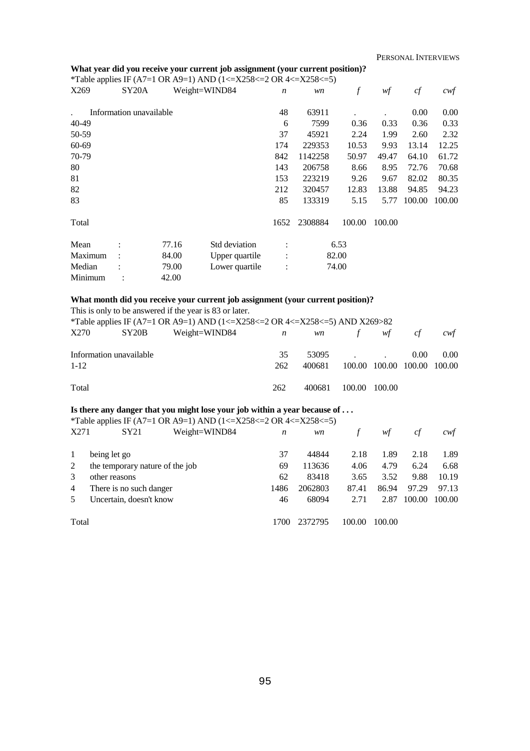# **What year did you receive your current job assignment (your current position)?**

|       |                         | *Table applies IF (A7=1 OR A9=1) AND (1<= $X258 \le 2$ OR 4 $\le 258 \le 5$ ) |    |           |               |      |                   |      |
|-------|-------------------------|-------------------------------------------------------------------------------|----|-----------|---------------|------|-------------------|------|
| X269  |                         | $SY20A$ Weight=WIND84 <i>n</i>                                                |    | <i>wn</i> | $\mathcal{L}$ | wf   | ct                | cwf  |
|       | Information unavailable |                                                                               | 48 | 63911     |               |      | 0.00 <sub>1</sub> | 0.00 |
| 40-49 |                         |                                                                               |    | 7599      | 0.36          | 0.33 | 0.36              | 0.33 |
| 50-59 |                         |                                                                               | 37 | 45921     | 2.24          | 1.99 | 2.60              | 2.32 |

| 60-69   |           |       |                | 174                  | 229353  | 10.53  | 9.93   | 13.14  | 12.25  |
|---------|-----------|-------|----------------|----------------------|---------|--------|--------|--------|--------|
| 70-79   |           |       |                | 842                  | 1142258 | 50.97  | 49.47  | 64.10  | 61.72  |
| 80      |           |       |                | 143                  | 206758  | 8.66   | 8.95   | 72.76  | 70.68  |
| 81      |           |       |                | 153                  | 223219  | 9.26   | 9.67   | 82.02  | 80.35  |
| 82      |           |       |                | 212                  | 320457  | 12.83  | 13.88  | 94.85  | 94.23  |
| 83      |           |       |                | 85                   | 133319  | 5.15   | 5.77   | 100.00 | 100.00 |
|         |           |       |                |                      |         |        |        |        |        |
| Total   |           |       |                | 1652                 | 2308884 | 100.00 | 100.00 |        |        |
|         |           |       |                |                      |         |        |        |        |        |
| Mean    | $\bullet$ | 77.16 | Std deviation  | $\ddot{\phantom{a}}$ |         | 6.53   |        |        |        |
| Maximum |           | 84.00 | Upper quartile | $\ddot{\cdot}$       |         | 82.00  |        |        |        |
| Median  |           | 79.00 | Lower quartile | $\ddot{\cdot}$       |         | 74.00  |        |        |        |

# **What month did you receive your current job assignment (your current position)?**

Minimum : 42.00

|          |                         | This is only to be answered if the year is 83 or later.                     |              |           |        |                             |          |                   |
|----------|-------------------------|-----------------------------------------------------------------------------|--------------|-----------|--------|-----------------------------|----------|-------------------|
|          |                         | *Table applies IF (A7=1 OR A9=1) AND (1<=X258<=2 OR 4<=X258<=5) AND X269>82 |              |           |        |                             |          |                   |
| X270     | SY20B                   | Weight=WIND84                                                               | $\mathbf{n}$ | <i>wn</i> | f      | wf                          | cf       | cwt               |
|          | Information unavailable |                                                                             | 35           | 53095     |        |                             | $0.00 -$ | 0.00 <sub>1</sub> |
| $1 - 12$ |                         |                                                                             | 262          | 400681    |        | 100.00 100.00 100.00 100.00 |          |                   |
| Total    |                         |                                                                             | 262          | 400681    | 100.00 | 100.00                      |          |                   |

# **Is there any danger that you might lose your job within a year because of . . .**

|                          | *Table applies IF (A7=1 OR A9=1) AND (1<=X258<=2 OR 4<=X258<=5) |      |         |        |        |        |        |
|--------------------------|-----------------------------------------------------------------|------|---------|--------|--------|--------|--------|
| X271                     | SY21<br>Weight=WIND84                                           | n    | wn      |        | wf     | cf     | cwf    |
| 1                        | being let go                                                    | 37   | 44844   | 2.18   | 1.89   | 2.18   | 1.89   |
| 2                        | the temporary nature of the job                                 | 69   | 113636  | 4.06   | 4.79   | 6.24   | 6.68   |
| 3                        | other reasons                                                   | 62   | 83418   | 3.65   | 3.52   | 9.88   | 10.19  |
| 4                        | There is no such danger                                         | 1486 | 2062803 | 87.41  | 86.94  | 97.29  | 97.13  |
| $\overline{\phantom{1}}$ | Uncertain, doesn't know                                         | 46   | 68094   | 2.71   | 2.87   | 100.00 | 100.00 |
| Total                    |                                                                 | 1700 | 2372795 | 100.00 | 100.00 |        |        |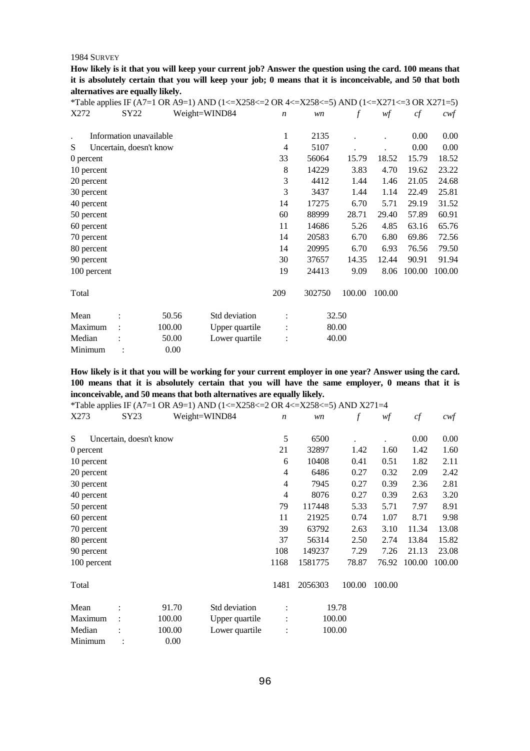**How likely is it that you will keep your current job? Answer the question using the card. 100 means that it is absolutely certain that you will keep your job; 0 means that it is inconceivable, and 50 that both alternatives are equally likely.** 

|             |      |                         | *Table applies IF (A7=1 OR A9=1) AND (1<=X258<=2 OR 4<=X258<=5) AND (1<=X271<=3 OR X271=5) |                  |        |        |        |        |        |
|-------------|------|-------------------------|--------------------------------------------------------------------------------------------|------------------|--------|--------|--------|--------|--------|
| X272        | SY22 |                         | Weight=WIND84                                                                              | $\boldsymbol{n}$ | wn     | f      | wf     | cf     | $c$ wf |
|             |      |                         |                                                                                            |                  |        |        |        |        |        |
|             |      | Information unavailable |                                                                                            | 1                | 2135   |        |        | 0.00   | 0.00   |
| S           |      | Uncertain, doesn't know |                                                                                            | 4                | 5107   |        |        | 0.00   | 0.00   |
| 0 percent   |      |                         |                                                                                            | 33               | 56064  | 15.79  | 18.52  | 15.79  | 18.52  |
| 10 percent  |      |                         |                                                                                            | 8                | 14229  | 3.83   | 4.70   | 19.62  | 23.22  |
| 20 percent  |      |                         |                                                                                            | 3                | 4412   | 1.44   | 1.46   | 21.05  | 24.68  |
| 30 percent  |      |                         |                                                                                            | 3                | 3437   | 1.44   | 1.14   | 22.49  | 25.81  |
| 40 percent  |      |                         |                                                                                            | 14               | 17275  | 6.70   | 5.71   | 29.19  | 31.52  |
| 50 percent  |      |                         |                                                                                            | 60               | 88999  | 28.71  | 29.40  | 57.89  | 60.91  |
| 60 percent  |      |                         |                                                                                            | 11               | 14686  | 5.26   | 4.85   | 63.16  | 65.76  |
| 70 percent  |      |                         |                                                                                            | 14               | 20583  | 6.70   | 6.80   | 69.86  | 72.56  |
| 80 percent  |      |                         |                                                                                            | 14               | 20995  | 6.70   | 6.93   | 76.56  | 79.50  |
| 90 percent  |      |                         |                                                                                            | 30               | 37657  | 14.35  | 12.44  | 90.91  | 91.94  |
| 100 percent |      |                         |                                                                                            | 19               | 24413  | 9.09   | 8.06   | 100.00 | 100.00 |
|             |      |                         |                                                                                            |                  |        |        |        |        |        |
| Total       |      |                         |                                                                                            | 209              | 302750 | 100.00 | 100.00 |        |        |
|             |      |                         |                                                                                            |                  |        |        |        |        |        |
| Mean        |      | 50.56                   | Std deviation                                                                              |                  |        | 32.50  |        |        |        |
| Maximum     |      | 100.00                  | Upper quartile                                                                             |                  |        | 80.00  |        |        |        |
| Median      |      | 50.00                   | Lower quartile                                                                             |                  |        | 40.00  |        |        |        |
| Minimum     |      | 0.00                    |                                                                                            |                  |        |        |        |        |        |

**How likely is it that you will be working for your current employer in one year? Answer using the card. 100 means that it is absolutely certain that you will have the same employer, 0 means that it is inconceivable, and 50 means that both alternatives are equally likely.** 

|             |                         |        | *Table applies IF (A7=1 OR A9=1) AND (1<=X258<=2 OR 4<=X258<=5) AND X271=4 |                  |         |          |        |        |        |
|-------------|-------------------------|--------|----------------------------------------------------------------------------|------------------|---------|----------|--------|--------|--------|
| X273        | SY23                    |        | Weight=WIND84                                                              | $\boldsymbol{n}$ | wn      | $\int f$ | wf     | cf     | $c$ wf |
| S           | Uncertain, doesn't know |        |                                                                            | 5                | 6500    |          |        | 0.00   | 0.00   |
|             |                         |        |                                                                            |                  |         |          |        |        |        |
| 0 percent   |                         |        |                                                                            | 21               | 32897   | 1.42     | 1.60   | 1.42   | 1.60   |
| 10 percent  |                         |        |                                                                            | 6                | 10408   | 0.41     | 0.51   | 1.82   | 2.11   |
| 20 percent  |                         |        |                                                                            | 4                | 6486    | 0.27     | 0.32   | 2.09   | 2.42   |
| 30 percent  |                         |        |                                                                            | 4                | 7945    | 0.27     | 0.39   | 2.36   | 2.81   |
| 40 percent  |                         |        |                                                                            | $\overline{4}$   | 8076    | 0.27     | 0.39   | 2.63   | 3.20   |
| 50 percent  |                         |        |                                                                            | 79               | 117448  | 5.33     | 5.71   | 7.97   | 8.91   |
| 60 percent  |                         |        |                                                                            | 11               | 21925   | 0.74     | 1.07   | 8.71   | 9.98   |
| 70 percent  |                         |        |                                                                            | 39               | 63792   | 2.63     | 3.10   | 11.34  | 13.08  |
| 80 percent  |                         |        |                                                                            | 37               | 56314   | 2.50     | 2.74   | 13.84  | 15.82  |
| 90 percent  |                         |        |                                                                            | 108              | 149237  | 7.29     | 7.26   | 21.13  | 23.08  |
| 100 percent |                         |        |                                                                            | 1168             | 1581775 | 78.87    | 76.92  | 100.00 | 100.00 |
| Total       |                         |        |                                                                            | 1481             | 2056303 | 100.00   | 100.00 |        |        |
| Mean        |                         | 91.70  | Std deviation                                                              | $\ddot{\cdot}$   |         | 19.78    |        |        |        |
| Maximum     |                         | 100.00 | Upper quartile                                                             | $\ddot{\cdot}$   |         | 100.00   |        |        |        |
| Median      |                         | 100.00 | Lower quartile                                                             |                  |         | 100.00   |        |        |        |
| Minimum     |                         | 0.00   |                                                                            |                  |         |          |        |        |        |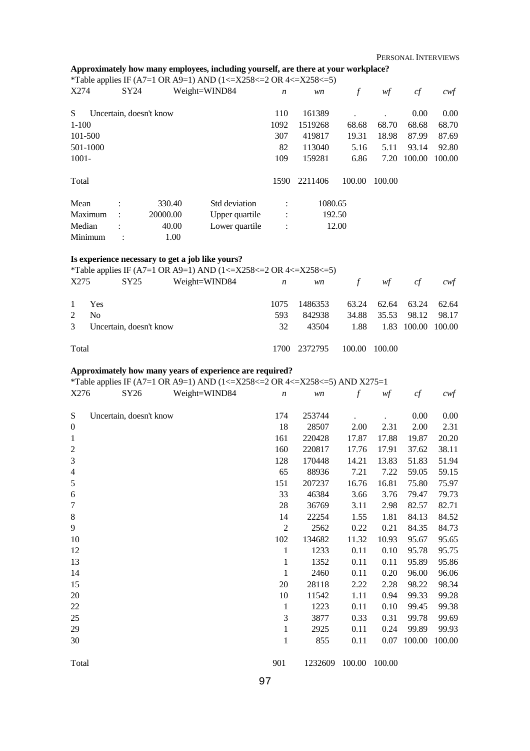# **Approximately how many employees, including yourself, are there at your workplace?**

\*Table applies IF (A7=1 OR A9=1) AND (1<=X258<=2 OR 4<=X258<=5)

| X274     | SY24           |                         | Weight=WIND84  | $\boldsymbol{n}$ | wn      | f      | wf     | cf     | $c \mathsf{w} f$ |
|----------|----------------|-------------------------|----------------|------------------|---------|--------|--------|--------|------------------|
| S        |                | Uncertain, doesn't know |                | 110              | 161389  |        | ٠      | 0.00   | 0.00             |
| $1-100$  |                |                         |                | 1092             | 1519268 | 68.68  | 68.70  | 68.68  | 68.70            |
| 101-500  |                |                         |                | 307              | 419817  | 19.31  | 18.98  | 87.99  | 87.69            |
| 501-1000 |                |                         |                | 82               | 113040  | 5.16   | 5.11   | 93.14  | 92.80            |
| $1001 -$ |                |                         |                | 109              | 159281  | 6.86   | 7.20   | 100.00 | 100.00           |
| Total    |                |                         |                | 1590             | 2211406 | 100.00 | 100.00 |        |                  |
| Mean     | $\ddot{\cdot}$ | 330.40                  | Std deviation  | $\ddot{\cdot}$   | 1080.65 |        |        |        |                  |
| Maximum  | $\ddot{\cdot}$ | 20000.00                | Upper quartile | $\ddot{\cdot}$   |         | 192.50 |        |        |                  |
| Median   | $\bullet$      | 40.00                   | Lower quartile | $\ddot{\cdot}$   |         | 12.00  |        |        |                  |
| Minimum  |                |                         | 1.00           |                  |         |        |        |        |                  |

#### **Is experience necessary to get a job like yours?**

\*Table applies IF (A7=1 OR A9=1) AND (1 <= X258 <= 2 OR 4 <= X258 <= 5)

| X275  | SY25                      | Weight=WIND84 | $\overline{n}$ |              | wn f wf cf |                         |                    | cwt   |
|-------|---------------------------|---------------|----------------|--------------|------------|-------------------------|--------------------|-------|
|       | 1 Yes                     |               | 1075           | 1486353      |            | 63.24 62.64 63.24 62.64 |                    |       |
| 2     | N <sub>0</sub>            |               | 593            | 842938       |            | 34.88 35.53 98.12       |                    | 98.17 |
|       | 3 Uncertain, doesn't know |               | 32             | 43504        | 1.88       |                         | 1.83 100.00 100.00 |       |
| Total |                           |               |                | 1700 2372795 | 100.00     | 100.00                  |                    |       |

#### **Approximately how many years of experience are required?**

\*Table applies IF (A7=1 OR A9=1) AND (1<=X258<=2 OR 4<=X258<=5) AND X275=1<br>x276 SY26 Weight=WIND84 n wn f wf

| X276           | SY26                    | Weight=WIND84 | $\boldsymbol{n}$ | wn      | $\boldsymbol{f}$ | wf     | cf     | cwf    |
|----------------|-------------------------|---------------|------------------|---------|------------------|--------|--------|--------|
| S              | Uncertain, doesn't know |               | 174              | 253744  |                  |        | 0.00   | 0.00   |
| $\mathbf{0}$   |                         |               | 18               | 28507   | 2.00             | 2.31   | 2.00   | 2.31   |
| $\mathbf{1}$   |                         |               | 161              | 220428  | 17.87            | 17.88  | 19.87  | 20.20  |
| $\sqrt{2}$     |                         |               | 160              | 220817  | 17.76            | 17.91  | 37.62  | 38.11  |
| $\mathfrak{Z}$ |                         |               | 128              | 170448  | 14.21            | 13.83  | 51.83  | 51.94  |
| $\overline{4}$ |                         |               | 65               | 88936   | 7.21             | 7.22   | 59.05  | 59.15  |
| $\sqrt{5}$     |                         |               | 151              | 207237  | 16.76            | 16.81  | 75.80  | 75.97  |
| 6              |                         |               | 33               | 46384   | 3.66             | 3.76   | 79.47  | 79.73  |
| $\tau$         |                         |               | 28               | 36769   | 3.11             | 2.98   | 82.57  | 82.71  |
| $\,8\,$        |                         |               | 14               | 22254   | 1.55             | 1.81   | 84.13  | 84.52  |
| 9              |                         |               | $\mathfrak{2}$   | 2562    | 0.22             | 0.21   | 84.35  | 84.73  |
| 10             |                         |               | 102              | 134682  | 11.32            | 10.93  | 95.67  | 95.65  |
| 12             |                         |               | $\mathbf{1}$     | 1233    | 0.11             | 0.10   | 95.78  | 95.75  |
| 13             |                         |               | 1                | 1352    | 0.11             | 0.11   | 95.89  | 95.86  |
| 14             |                         |               | $\mathbf{1}$     | 2460    | 0.11             | 0.20   | 96.00  | 96.06  |
| 15             |                         |               | 20               | 28118   | 2.22             | 2.28   | 98.22  | 98.34  |
| 20             |                         |               | 10               | 11542   | 1.11             | 0.94   | 99.33  | 99.28  |
| 22             |                         |               | $\mathbf{1}$     | 1223    | 0.11             | 0.10   | 99.45  | 99.38  |
| 25             |                         |               | 3                | 3877    | 0.33             | 0.31   | 99.78  | 99.69  |
| 29             |                         |               | $\mathbf{1}$     | 2925    | 0.11             | 0.24   | 99.89  | 99.93  |
| 30             |                         |               | $\mathbf{1}$     | 855     | 0.11             | 0.07   | 100.00 | 100.00 |
| Total          |                         |               | 901              | 1232609 | 100.00           | 100.00 |        |        |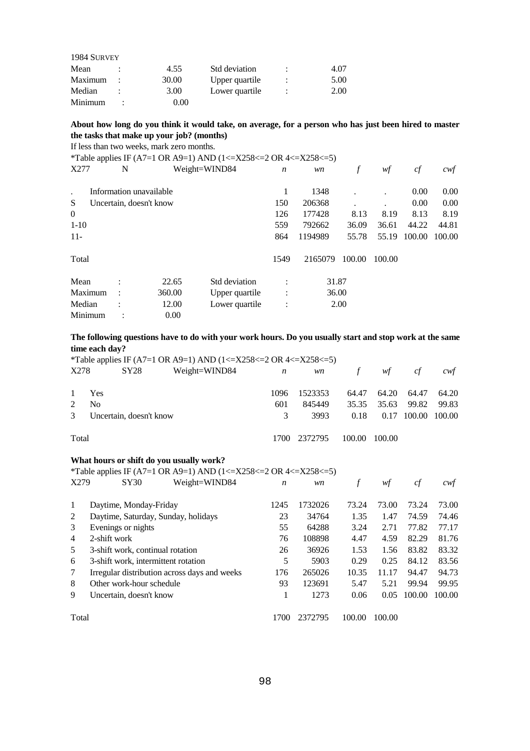| 1984 SURVEY |          |                |   |      |
|-------------|----------|----------------|---|------|
| Mean        | 4.55     | Std deviation  | ٠ | 4.07 |
| Maximum     | 30.00    | Upper quartile | ٠ | 5.00 |
| Median      | 3.00     | Lower quartile | ٠ | 2.00 |
| Minimum     | $0.00\,$ |                |   |      |

#### **About how long do you think it would take, on average, for a person who has just been hired to master the tasks that make up your job? (months)**

If less than two weeks, mark zero months.

\*Table applies IF (A7=1 OR A9=1) AND (1<=X258<=2 OR 4<=X258<=5)

| X277           | N              |                         | Weight=WIND84  | $\boldsymbol{n}$ | wn      | f      | wf     | cf     | cwf    |
|----------------|----------------|-------------------------|----------------|------------------|---------|--------|--------|--------|--------|
| $\cdot$        |                | Information unavailable |                |                  | 1348    |        |        | 0.00   | 0.00   |
| S              |                | Uncertain, doesn't know |                | 150              | 206368  |        |        | 0.00   | 0.00   |
| $\overline{0}$ |                |                         |                | 126              | 177428  | 8.13   | 8.19   | 8.13   | 8.19   |
| $1-10$         |                |                         |                | 559              | 792662  | 36.09  | 36.61  | 44.22  | 44.81  |
| $11-$          |                |                         |                | 864              | 1194989 | 55.78  | 55.19  | 100.00 | 100.00 |
| Total          |                |                         |                | 1549             | 2165079 | 100.00 | 100.00 |        |        |
| Mean           | $\bullet$      | 22.65                   | Std deviation  | $\bullet$        | 31.87   |        |        |        |        |
| Maximum        | $\ddot{\cdot}$ | 360.00                  | Upper quartile | $\ddot{\cdot}$   | 36.00   |        |        |        |        |
| Median         |                | 12.00                   | Lower quartile | $\ddot{\cdot}$   |         | 2.00   |        |        |        |
| Minimum        |                | 0.00                    |                |                  |         |        |        |        |        |

#### **The following questions have to do with your work hours. Do you usually start and stop work at the same time each day?**

\*Table applies IF (A7=1 OR A9=1) AND (1<=X258<=2 OR 4<=X258<=5) X278 SY28 Weight=WIND84 *n wn f wf cf cwf* 1 Yes 2 No 3 Uncertain, doesn't know Total 1096 1523353 64.47 64.20 64.47 64.20 601 845449 35.35 35.63 99.82 99.83 3 3993 0.18 0.17 100.00 100.00 1700 2372795 100.00 100.00 **What hours or shift do you usually work?**  \*Table applies IF (A7=1 OR A9=1) AND (1 <= X258 <= 2 OR 4 <= X258 <= 5) X279 SY30 Weight=WIND84 *n wn f wf cf cwf* 1 Daytime, Monday-Friday 2 Daytime, Saturday, Sunday, holidays 3 Evenings or nights 4 2-shift work 5 3-shift work, continual rotation 6 3-shift work, intermittent rotation 7 Irregular distribution across days and weeks 8 Other work-hour schedule 9 Uncertain, doesn't know 1245 1732026 73.24 73.00 73.24 73.00 23 34764 1.35 1.47 74.59 74.46 55 64288 3.24 2.71 77.82 77.17 76 108898 4.47 4.59 82.29 81.76 26 36926 1.53 1.56 83.82 83.32 5 5903 0.29 0.25 84.12 83.56 176 265026 10.35 11.17 94.47 94.73 93 123691 5.47 5.21 99.94 99.95 1 1273 0.06 0.05 100.00 100.00

Total

1700 2372795 100.00 100.00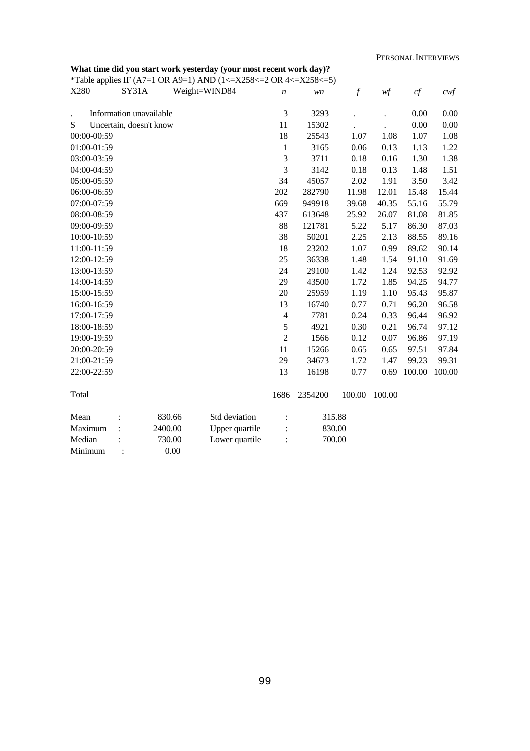# **What time did you start work yesterday (your most recent work day)?**

\*Table applies IF (A7=1 OR A9=1) AND (1<=X258<=2 OR 4<=X258<=5)

| X280        | SY31A                   |         | Weight=WIND84  | $\boldsymbol{n}$ | wn      | $\boldsymbol{f}$ | wf     | cf     | $c \mathcal{w} f$ |
|-------------|-------------------------|---------|----------------|------------------|---------|------------------|--------|--------|-------------------|
|             | Information unavailable |         |                | 3                | 3293    |                  |        | 0.00   | 0.00              |
| S           | Uncertain, doesn't know |         |                | 11               | 15302   |                  |        | 0.00   | 0.00              |
| 00:00-00:59 |                         |         |                | 18               | 25543   | 1.07             | 1.08   | 1.07   | 1.08              |
| 01:00-01:59 |                         |         |                | 1                | 3165    | 0.06             | 0.13   | 1.13   | 1.22              |
| 03:00-03:59 |                         |         |                | $\mathfrak{Z}$   | 3711    | 0.18             | 0.16   | 1.30   | 1.38              |
| 04:00-04:59 |                         |         |                | 3                | 3142    | 0.18             | 0.13   | 1.48   | 1.51              |
| 05:00-05:59 |                         |         |                | 34               | 45057   | 2.02             | 1.91   | 3.50   | 3.42              |
| 06:00-06:59 |                         |         |                | 202              | 282790  | 11.98            | 12.01  | 15.48  | 15.44             |
| 07:00-07:59 |                         |         |                | 669              | 949918  | 39.68            | 40.35  | 55.16  | 55.79             |
| 08:00-08:59 |                         |         |                | 437              | 613648  | 25.92            | 26.07  | 81.08  | 81.85             |
| 09:00-09:59 |                         |         |                | 88               | 121781  | 5.22             | 5.17   | 86.30  | 87.03             |
| 10:00-10:59 |                         |         |                | 38               | 50201   | 2.25             | 2.13   | 88.55  | 89.16             |
| 11:00-11:59 |                         |         |                | 18               | 23202   | 1.07             | 0.99   | 89.62  | 90.14             |
| 12:00-12:59 |                         |         |                | 25               | 36338   | 1.48             | 1.54   | 91.10  | 91.69             |
| 13:00-13:59 |                         |         |                | 24               | 29100   | 1.42             | 1.24   | 92.53  | 92.92             |
| 14:00-14:59 |                         |         |                | 29               | 43500   | 1.72             | 1.85   | 94.25  | 94.77             |
| 15:00-15:59 |                         |         |                | 20               | 25959   | 1.19             | 1.10   | 95.43  | 95.87             |
| 16:00-16:59 |                         |         |                | 13               | 16740   | 0.77             | 0.71   | 96.20  | 96.58             |
| 17:00-17:59 |                         |         |                | $\overline{4}$   | 7781    | 0.24             | 0.33   | 96.44  | 96.92             |
| 18:00-18:59 |                         |         |                | 5                | 4921    | 0.30             | 0.21   | 96.74  | 97.12             |
| 19:00-19:59 |                         |         |                | $\overline{2}$   | 1566    | 0.12             | 0.07   | 96.86  | 97.19             |
| 20:00-20:59 |                         |         |                | 11               | 15266   | 0.65             | 0.65   | 97.51  | 97.84             |
| 21:00-21:59 |                         |         |                | 29               | 34673   | 1.72             | 1.47   | 99.23  | 99.31             |
| 22:00-22:59 |                         |         |                | 13               | 16198   | 0.77             | 0.69   | 100.00 | 100.00            |
| Total       |                         |         |                | 1686             | 2354200 | 100.00           | 100.00 |        |                   |
| Mean        |                         | 830.66  | Std deviation  |                  | 315.88  |                  |        |        |                   |
| Maximum     |                         | 2400.00 | Upper quartile |                  | 830.00  |                  |        |        |                   |
| Median      |                         | 730.00  | Lower quartile |                  | 700.00  |                  |        |        |                   |
| Minimum     |                         | 0.00    |                |                  |         |                  |        |        |                   |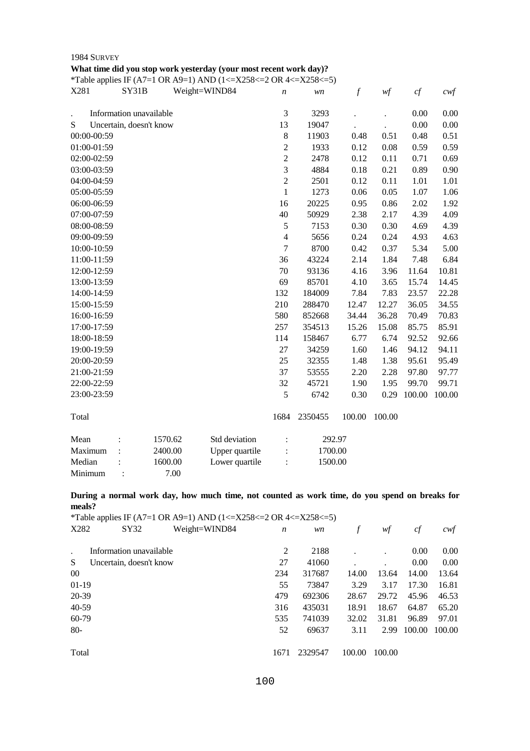|             |                         |               | What time did you stop work yesterday (your most recent work day)?<br>*Table applies IF (A7=1 OR A9=1) AND (1<=X258<=2 OR 4<=X258<=5) |                |         |                  |        |          |                  |
|-------------|-------------------------|---------------|---------------------------------------------------------------------------------------------------------------------------------------|----------------|---------|------------------|--------|----------|------------------|
| X281        | SY31B                   | Weight=WIND84 |                                                                                                                                       | n              | wn      | $\boldsymbol{f}$ | wf     | cf       | $c \mathsf{w} f$ |
|             | Information unavailable |               |                                                                                                                                       | $\mathfrak{Z}$ | 3293    |                  |        | 0.00     | 0.00             |
| ${\bf S}$   | Uncertain, doesn't know |               |                                                                                                                                       | 13             | 19047   |                  |        | $0.00\,$ | 0.00             |
| 00:00-00:59 |                         |               |                                                                                                                                       | $8\,$          | 11903   | 0.48             | 0.51   | 0.48     | 0.51             |
| 01:00-01:59 |                         |               |                                                                                                                                       | $\overline{2}$ | 1933    | 0.12             | 0.08   | 0.59     | 0.59             |
| 02:00-02:59 |                         |               |                                                                                                                                       | $\overline{c}$ | 2478    | 0.12             | 0.11   | 0.71     | 0.69             |
| 03:00-03:59 |                         |               |                                                                                                                                       | $\overline{3}$ | 4884    | 0.18             | 0.21   | 0.89     | 0.90             |
| 04:00-04:59 |                         |               |                                                                                                                                       | $\overline{c}$ | 2501    | 0.12             | 0.11   | 1.01     | 1.01             |
| 05:00-05:59 |                         |               |                                                                                                                                       | $\mathbf{1}$   | 1273    | 0.06             | 0.05   | 1.07     | 1.06             |
| 06:00-06:59 |                         |               |                                                                                                                                       | 16             | 20225   | 0.95             | 0.86   | 2.02     | 1.92             |
| 07:00-07:59 |                         |               |                                                                                                                                       | 40             | 50929   | 2.38             | 2.17   | 4.39     | 4.09             |
| 08:00-08:59 |                         |               |                                                                                                                                       | 5              | 7153    | 0.30             | 0.30   | 4.69     | 4.39             |
| 09:00-09:59 |                         |               |                                                                                                                                       | $\overline{4}$ | 5656    | 0.24             | 0.24   | 4.93     | 4.63             |
| 10:00-10:59 |                         |               |                                                                                                                                       | $\overline{7}$ | 8700    | 0.42             | 0.37   | 5.34     | 5.00             |
| 11:00-11:59 |                         |               |                                                                                                                                       | 36             | 43224   | 2.14             | 1.84   | 7.48     | 6.84             |
| 12:00-12:59 |                         |               |                                                                                                                                       | 70             | 93136   | 4.16             | 3.96   | 11.64    | 10.81            |
| 13:00-13:59 |                         |               |                                                                                                                                       | 69             | 85701   | 4.10             | 3.65   | 15.74    | 14.45            |
| 14:00-14:59 |                         |               |                                                                                                                                       | 132            | 184009  | 7.84             | 7.83   | 23.57    | 22.28            |
| 15:00-15:59 |                         |               |                                                                                                                                       | 210            | 288470  | 12.47            | 12.27  | 36.05    | 34.55            |
| 16:00-16:59 |                         |               |                                                                                                                                       | 580            | 852668  | 34.44            | 36.28  | 70.49    | 70.83            |
| 17:00-17:59 |                         |               |                                                                                                                                       | 257            | 354513  | 15.26            | 15.08  | 85.75    | 85.91            |
| 18:00-18:59 |                         |               |                                                                                                                                       | 114            | 158467  | 6.77             | 6.74   | 92.52    | 92.66            |
| 19:00-19:59 |                         |               |                                                                                                                                       | 27             | 34259   | 1.60             | 1.46   | 94.12    | 94.11            |
| 20:00-20:59 |                         |               |                                                                                                                                       | 25             | 32355   | 1.48             | 1.38   | 95.61    | 95.49            |
| 21:00-21:59 |                         |               |                                                                                                                                       | 37             | 53555   | 2.20             | 2.28   | 97.80    | 97.77            |
| 22:00-22:59 |                         |               |                                                                                                                                       | 32             | 45721   | 1.90             | 1.95   | 99.70    | 99.71            |
| 23:00-23:59 |                         |               |                                                                                                                                       | 5              | 6742    | 0.30             | 0.29   | 100.00   | 100.00           |
| Total       |                         |               |                                                                                                                                       | 1684           | 2350455 | 100.00           | 100.00 |          |                  |
| Mean        |                         | 1570.62       | Std deviation                                                                                                                         |                | 292.97  |                  |        |          |                  |
| Maximum     |                         | 2400.00       | Upper quartile                                                                                                                        |                | 1700.00 |                  |        |          |                  |
| Median      |                         | 1600.00       | Lower quartile                                                                                                                        |                | 1500.00 |                  |        |          |                  |
| Minimum     |                         | 7.00          |                                                                                                                                       |                |         |                  |        |          |                  |

**During a normal work day, how much time, not counted as work time, do you spend on breaks for meals?** 

| *Table applies IF (A7=1 OR A9=1) AND (1<=X258<=2 OR 4<=X258<=5) |      |         |        |        |        |        |  |  |  |
|-----------------------------------------------------------------|------|---------|--------|--------|--------|--------|--|--|--|
| X282<br>SY32<br>Weight=WIND84                                   | n    | wn      | f      | wf     | cf     | cwt    |  |  |  |
|                                                                 |      |         |        |        |        |        |  |  |  |
| Information unavailable                                         | 2    | 2188    |        |        | 0.00   | 0.00   |  |  |  |
| S<br>Uncertain, doesn't know                                    | 27   | 41060   |        |        | 0.00   | 0.00   |  |  |  |
| $00\,$                                                          | 234  | 317687  | 14.00  | 13.64  | 14.00  | 13.64  |  |  |  |
| $01-19$                                                         | 55   | 73847   | 3.29   | 3.17   | 17.30  | 16.81  |  |  |  |
| 20-39                                                           | 479  | 692306  | 28.67  | 29.72  | 45.96  | 46.53  |  |  |  |
| 40-59                                                           | 316  | 435031  | 18.91  | 18.67  | 64.87  | 65.20  |  |  |  |
| 60-79                                                           | 535  | 741039  | 32.02  | 31.81  | 96.89  | 97.01  |  |  |  |
| $80-$                                                           | 52   | 69637   | 3.11   | 2.99   | 100.00 | 100.00 |  |  |  |
|                                                                 |      |         |        |        |        |        |  |  |  |
| Total                                                           | 1671 | 2329547 | 100.00 | 100.00 |        |        |  |  |  |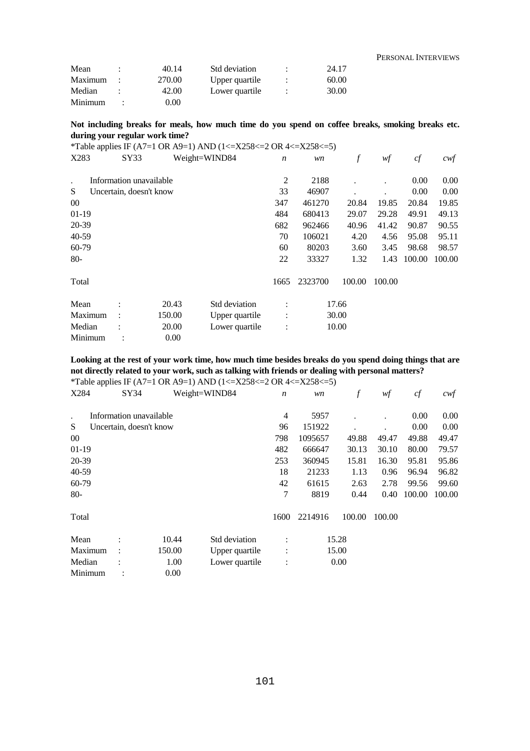|         |        |                |       | PERSONAL INTERVIEWS |
|---------|--------|----------------|-------|---------------------|
| Mean    | 40.14  | Std deviation  | 24.17 |                     |
| Maximum | 270.00 | Upper quartile | 60.00 |                     |
| Median  | 42.00  | Lower quartile | 30.00 |                     |
| Minimum | 0.00   |                |       |                     |

# **Not including breaks for meals, how much time do you spend on coffee breaks, smoking breaks etc. during your regular work time?**

|         |                         |        | *Table applies IF (A7=1 OR A9=1) AND (1<=X258<=2 OR 4<=X258<=5) |                  |         |        |        |        |        |
|---------|-------------------------|--------|-----------------------------------------------------------------|------------------|---------|--------|--------|--------|--------|
| X283    | SY33                    |        | Weight=WIND84                                                   | $\boldsymbol{n}$ | wn      | f      | wf     | cf     | cwf    |
|         | Information unavailable |        |                                                                 | $\overline{c}$   | 2188    |        |        | 0.00   | 0.00   |
| S       | Uncertain, doesn't know |        |                                                                 | 33               | 46907   |        |        | 0.00   | 0.00   |
| $00\,$  |                         |        |                                                                 | 347              | 461270  | 20.84  | 19.85  | 20.84  | 19.85  |
| 01-19   |                         |        |                                                                 | 484              | 680413  | 29.07  | 29.28  | 49.91  | 49.13  |
| 20-39   |                         |        |                                                                 | 682              | 962466  | 40.96  | 41.42  | 90.87  | 90.55  |
| 40-59   |                         |        |                                                                 | 70               | 106021  | 4.20   | 4.56   | 95.08  | 95.11  |
| 60-79   |                         |        |                                                                 | 60               | 80203   | 3.60   | 3.45   | 98.68  | 98.57  |
| $80-$   |                         |        |                                                                 | 22               | 33327   | 1.32   | 1.43   | 100.00 | 100.00 |
| Total   |                         |        |                                                                 | 1665             | 2323700 | 100.00 | 100.00 |        |        |
| Mean    |                         | 20.43  | Std deviation                                                   | $\ddot{\cdot}$   |         | 17.66  |        |        |        |
| Maximum |                         | 150.00 | Upper quartile                                                  |                  |         | 30.00  |        |        |        |
| Median  |                         | 20.00  | Lower quartile                                                  |                  |         | 10.00  |        |        |        |
| Minimum |                         | 0.00   |                                                                 |                  |         |        |        |        |        |

**Looking at the rest of your work time, how much time besides breaks do you spend doing things that are not directly related to your work, such as talking with friends or dealing with personal matters?** 

\*Table applies IF (A7=1 OR A9=1) AND (1<=X258<=2 OR 4<=X258<=5)<br> $X$ 284  $X$ <br> $X$ 924  $W$ eight=WIND84  $n$ 

| * *       |                         |        |                |                      |         |        |        |        |                  |
|-----------|-------------------------|--------|----------------|----------------------|---------|--------|--------|--------|------------------|
| X284      | SY34                    |        | Weight=WIND84  | $\boldsymbol{n}$     | wn      | f      | wf     | cf     | $c \mathsf{w} f$ |
| $\cdot$   | Information unavailable |        |                | $\overline{4}$       | 5957    |        |        | 0.00   | 0.00             |
| S         | Uncertain, doesn't know |        |                | 96                   | 151922  |        |        | 0.00   | 0.00             |
| $00\,$    |                         |        |                | 798                  | 1095657 | 49.88  | 49.47  | 49.88  | 49.47            |
| $01-19$   |                         |        |                | 482                  | 666647  | 30.13  | 30.10  | 80.00  | 79.57            |
| 20-39     |                         |        |                | 253                  | 360945  | 15.81  | 16.30  | 95.81  | 95.86            |
| $40 - 59$ |                         |        |                | 18                   | 21233   | 1.13   | 0.96   | 96.94  | 96.82            |
| 60-79     |                         |        |                | 42                   | 61615   | 2.63   | 2.78   | 99.56  | 99.60            |
| $80-$     |                         |        |                | 7                    | 8819    | 0.44   | 0.40   | 100.00 | 100.00           |
| Total     |                         |        |                | 1600                 | 2214916 | 100.00 | 100.00 |        |                  |
| Mean      | $\ddot{\cdot}$          | 10.44  | Std deviation  | $\ddot{\cdot}$       |         | 15.28  |        |        |                  |
| Maximum   | $\ddot{\cdot}$          | 150.00 | Upper quartile | $\ddot{\phantom{a}}$ |         | 15.00  |        |        |                  |
| Median    |                         | 1.00   | Lower quartile | $\vdots$             |         | 0.00   |        |        |                  |
| Minimum   |                         | 0.00   |                |                      |         |        |        |        |                  |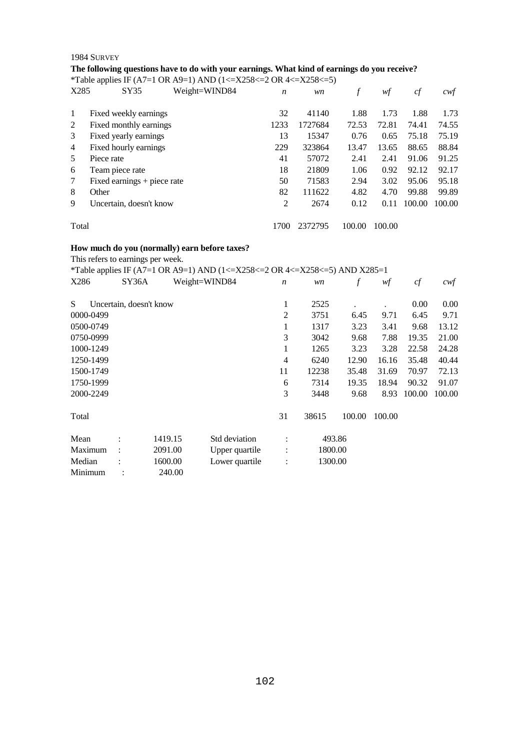# **The following questions have to do with your earnings. What kind of earnings do you receive?**

\*Table applies IF (A7=1 OR A9=1) AND (1<=X258<=2 OR 4<=X258<=5)

| X285           |                 | SY35                          | Weight=WIND84 | n    | wn      | f      | wf     | cf     | cwt    |
|----------------|-----------------|-------------------------------|---------------|------|---------|--------|--------|--------|--------|
| 1              |                 | Fixed weekly earnings         |               | 32   | 41140   | 1.88   | 1.73   | 1.88   | 1.73   |
| 2              |                 | Fixed monthly earnings        |               | 1233 | 1727684 | 72.53  | 72.81  | 74.41  | 74.55  |
| 3              |                 | Fixed yearly earnings         |               | 13   | 15347   | 0.76   | 0.65   | 75.18  | 75.19  |
| $\overline{4}$ |                 | Fixed hourly earnings         |               | 229  | 323864  | 13.47  | 13.65  | 88.65  | 88.84  |
| 5              | Piece rate      |                               |               | 41   | 57072   | 2.41   | 2.41   | 91.06  | 91.25  |
| 6              | Team piece rate |                               |               | 18   | 21809   | 1.06   | 0.92   | 92.12  | 92.17  |
| 7              |                 | Fixed earnings $+$ piece rate |               | 50   | 71583   | 2.94   | 3.02   | 95.06  | 95.18  |
| 8              | Other           |                               |               | 82   | 111622  | 4.82   | 4.70   | 99.88  | 99.89  |
| 9              |                 | Uncertain, doesn't know       |               | 2    | 2674    | 0.12   | 0.11   | 100.00 | 100.00 |
|                | Total           |                               |               |      | 2372795 | 100.00 | 100.00 |        |        |

# **How much do you (normally) earn before taxes?**

This refers to earnings per week.

|           |                         |         | *Table applies IF (A7=1 OR A9=1) AND (1<=X258<=2 OR 4<=X258<=5) AND X285=1 |                  |         |        |        |        |        |
|-----------|-------------------------|---------|----------------------------------------------------------------------------|------------------|---------|--------|--------|--------|--------|
| X286      | SY36A                   |         | Weight=WIND84                                                              | $\boldsymbol{n}$ | wn      | f      | wf     | cf     | cwf    |
| S         | Uncertain, doesn't know |         |                                                                            | 1                | 2525    |        |        | 0.00   | 0.00   |
| 0000-0499 |                         |         |                                                                            | $\overline{2}$   | 3751    | 6.45   | 9.71   | 6.45   | 9.71   |
| 0500-0749 |                         |         |                                                                            | 1                | 1317    | 3.23   | 3.41   | 9.68   | 13.12  |
| 0750-0999 |                         |         |                                                                            | 3                | 3042    | 9.68   | 7.88   | 19.35  | 21.00  |
| 1000-1249 |                         |         |                                                                            | 1                | 1265    | 3.23   | 3.28   | 22.58  | 24.28  |
| 1250-1499 |                         |         |                                                                            | 4                | 6240    | 12.90  | 16.16  | 35.48  | 40.44  |
| 1500-1749 |                         |         |                                                                            | 11               | 12238   | 35.48  | 31.69  | 70.97  | 72.13  |
| 1750-1999 |                         |         |                                                                            | 6                | 7314    | 19.35  | 18.94  | 90.32  | 91.07  |
| 2000-2249 |                         |         |                                                                            | 3                | 3448    | 9.68   | 8.93   | 100.00 | 100.00 |
| Total     |                         |         |                                                                            | 31               | 38615   | 100.00 | 100.00 |        |        |
| Mean      |                         | 1419.15 | Std deviation                                                              |                  | 493.86  |        |        |        |        |
| Maximum   |                         | 2091.00 | Upper quartile                                                             |                  | 1800.00 |        |        |        |        |
| Median    |                         | 1600.00 | Lower quartile                                                             |                  | 1300.00 |        |        |        |        |
| Minimum   |                         | 240.00  |                                                                            |                  |         |        |        |        |        |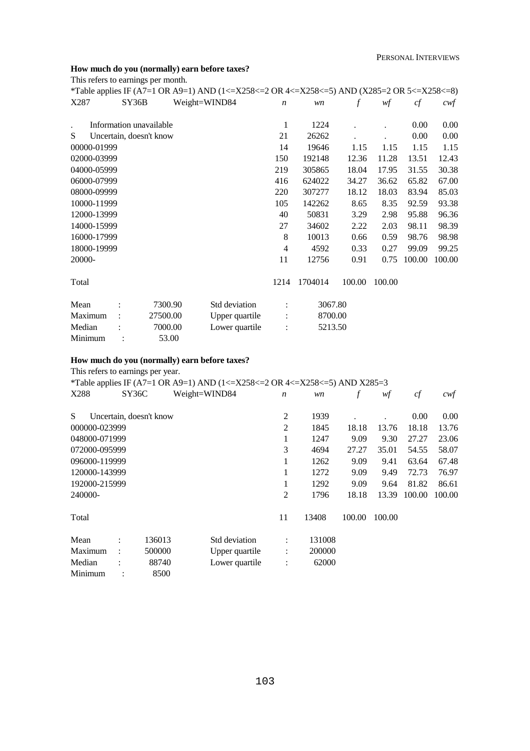# **How much do you (normally) earn before taxes?**

This refers to earnings per month.

|             |       |                         | *Table applies IF (A7=1 OR A9=1) AND (1<=X258<=2 OR 4<=X258<=5) AND (X285=2 OR 5<=X258<=8) |                      |         |        |        |        |        |
|-------------|-------|-------------------------|--------------------------------------------------------------------------------------------|----------------------|---------|--------|--------|--------|--------|
| X287        | SY36B |                         | Weight=WIND84                                                                              | $\boldsymbol{n}$     | wn      | f      | wf     | cf     | $c$ wf |
|             |       | Information unavailable |                                                                                            | 1                    | 1224    |        |        | 0.00   | 0.00   |
| S           |       | Uncertain, doesn't know |                                                                                            | 21                   | 26262   |        |        | 0.00   | 0.00   |
| 00000-01999 |       |                         |                                                                                            | 14                   | 19646   | 1.15   | 1.15   | 1.15   | 1.15   |
| 02000-03999 |       |                         |                                                                                            | 150                  | 192148  | 12.36  | 11.28  | 13.51  | 12.43  |
| 04000-05999 |       |                         |                                                                                            | 219                  | 305865  | 18.04  | 17.95  | 31.55  | 30.38  |
| 06000-07999 |       |                         |                                                                                            | 416                  | 624022  | 34.27  | 36.62  | 65.82  | 67.00  |
| 08000-09999 |       |                         |                                                                                            | 220                  | 307277  | 18.12  | 18.03  | 83.94  | 85.03  |
| 10000-11999 |       |                         |                                                                                            | 105                  | 142262  | 8.65   | 8.35   | 92.59  | 93.38  |
| 12000-13999 |       |                         |                                                                                            | 40                   | 50831   | 3.29   | 2.98   | 95.88  | 96.36  |
| 14000-15999 |       |                         |                                                                                            | 27                   | 34602   | 2.22   | 2.03   | 98.11  | 98.39  |
| 16000-17999 |       |                         |                                                                                            | 8                    | 10013   | 0.66   | 0.59   | 98.76  | 98.98  |
| 18000-19999 |       |                         |                                                                                            | 4                    | 4592    | 0.33   | 0.27   | 99.09  | 99.25  |
| 20000-      |       |                         |                                                                                            | 11                   | 12756   | 0.91   | 0.75   | 100.00 | 100.00 |
| Total       |       |                         |                                                                                            | 1214                 | 1704014 | 100.00 | 100.00 |        |        |
| Mean        |       | 7300.90                 | Std deviation                                                                              |                      | 3067.80 |        |        |        |        |
| Maximum     |       | 27500.00                | Upper quartile                                                                             |                      | 8700.00 |        |        |        |        |
| Median      |       | 7000.00                 | Lower quartile                                                                             | $\ddot{\phantom{a}}$ | 5213.50 |        |        |        |        |
| Minimum     |       | 53.00                   |                                                                                            |                      |         |        |        |        |        |

# **How much do you (normally) earn before taxes?**

This refers to earnings per year.

\*Table applies IF (A7=1 OR A9=1) AND (1<=X258<=2 OR 4<=X258<=5) AND X285=3<br>  $\frac{8 \times 36C}{W}$  Weight=WIND84 n wn f wf

|               |       |                         | $\frac{1}{2}$ applies if $\frac{1}{2}$ if $\frac{1}{2}$ of $\frac{1}{2}$ if $\frac{1}{2}$ if $\frac{1}{2}$ if $\frac{1}{2}$ if $\frac{1}{2}$ if $\frac{1}{2}$ if $\frac{1}{2}$ if $\frac{1}{2}$ if $\frac{1}{2}$ if $\frac{1}{2}$ if $\frac{1}{2}$ if $\frac{1}{2}$ if $\frac{1}{2}$ if $\frac{1$ |                  |        |        |        |        |        |
|---------------|-------|-------------------------|---------------------------------------------------------------------------------------------------------------------------------------------------------------------------------------------------------------------------------------------------------------------------------------------------|------------------|--------|--------|--------|--------|--------|
| X288          | SY36C |                         | Weight=WIND84                                                                                                                                                                                                                                                                                     | $\boldsymbol{n}$ | wn     |        | wf     | cf     | cwf    |
| S             |       | Uncertain, doesn't know |                                                                                                                                                                                                                                                                                                   | $\overline{2}$   | 1939   |        |        | 0.00   | 0.00   |
| 000000-023999 |       |                         |                                                                                                                                                                                                                                                                                                   | $\overline{2}$   | 1845   | 18.18  | 13.76  | 18.18  | 13.76  |
| 048000-071999 |       |                         |                                                                                                                                                                                                                                                                                                   | 1                | 1247   | 9.09   | 9.30   | 27.27  | 23.06  |
| 072000-095999 |       |                         |                                                                                                                                                                                                                                                                                                   | 3                | 4694   | 27.27  | 35.01  | 54.55  | 58.07  |
| 096000-119999 |       |                         |                                                                                                                                                                                                                                                                                                   | 1                | 1262   | 9.09   | 9.41   | 63.64  | 67.48  |
| 120000-143999 |       |                         |                                                                                                                                                                                                                                                                                                   | 1                | 1272   | 9.09   | 9.49   | 72.73  | 76.97  |
| 192000-215999 |       |                         |                                                                                                                                                                                                                                                                                                   | 1                | 1292   | 9.09   | 9.64   | 81.82  | 86.61  |
| 240000-       |       |                         |                                                                                                                                                                                                                                                                                                   | $\overline{2}$   | 1796   | 18.18  | 13.39  | 100.00 | 100.00 |
| Total         |       |                         |                                                                                                                                                                                                                                                                                                   | 11               | 13408  | 100.00 | 100.00 |        |        |
| Mean          |       | 136013                  | Std deviation                                                                                                                                                                                                                                                                                     | $\ddot{\cdot}$   | 131008 |        |        |        |        |
| Maximum       |       | 500000                  | Upper quartile                                                                                                                                                                                                                                                                                    | $\ddot{\cdot}$   | 200000 |        |        |        |        |
| Median        |       | 88740                   | Lower quartile                                                                                                                                                                                                                                                                                    | $\ddot{\cdot}$   | 62000  |        |        |        |        |
| Minimum       |       | 8500                    |                                                                                                                                                                                                                                                                                                   |                  |        |        |        |        |        |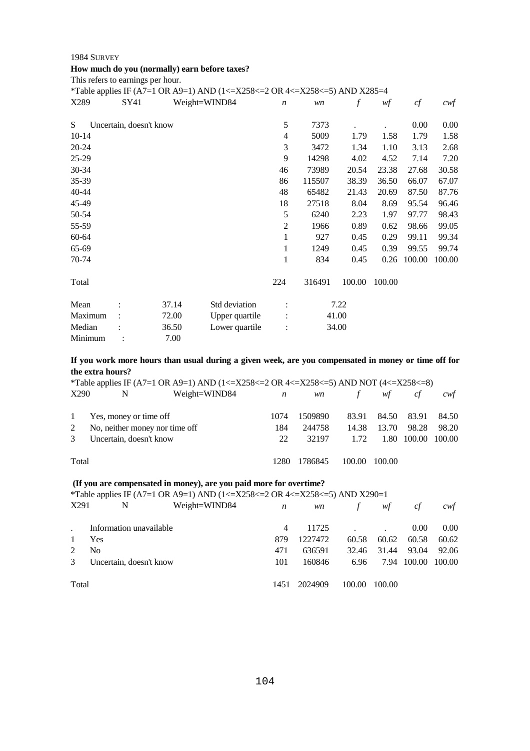# **How much do you (normally) earn before taxes?**

This refers to earnings per hour.

|           |                         | *Table applies IF (A7=1 OR A9=1) AND (1<=X258<=2 OR 4<=X258<=5) AND X285=4 |                  |        |        |        |        |        |
|-----------|-------------------------|----------------------------------------------------------------------------|------------------|--------|--------|--------|--------|--------|
| X289      | SY41                    | Weight=WIND84                                                              | $\boldsymbol{n}$ | wn     | f      | wf     | cf     | cwf    |
| S         | Uncertain, doesn't know |                                                                            | 5                | 7373   |        |        | 0.00   | 0.00   |
| $10-14$   |                         |                                                                            | 4                | 5009   | 1.79   | 1.58   | 1.79   | 1.58   |
| $20 - 24$ |                         |                                                                            | 3                | 3472   | 1.34   | 1.10   | 3.13   | 2.68   |
| $25-29$   |                         |                                                                            | 9                | 14298  | 4.02   | 4.52   | 7.14   | 7.20   |
| $30 - 34$ |                         |                                                                            | 46               | 73989  | 20.54  | 23.38  | 27.68  | 30.58  |
| 35-39     |                         |                                                                            | 86               | 115507 | 38.39  | 36.50  | 66.07  | 67.07  |
| 40-44     |                         |                                                                            | 48               | 65482  | 21.43  | 20.69  | 87.50  | 87.76  |
| 45-49     |                         |                                                                            | 18               | 27518  | 8.04   | 8.69   | 95.54  | 96.46  |
| 50-54     |                         |                                                                            | 5                | 6240   | 2.23   | 1.97   | 97.77  | 98.43  |
| 55-59     |                         |                                                                            | 2                | 1966   | 0.89   | 0.62   | 98.66  | 99.05  |
| 60-64     |                         |                                                                            | 1                | 927    | 0.45   | 0.29   | 99.11  | 99.34  |
| 65-69     |                         |                                                                            | 1                | 1249   | 0.45   | 0.39   | 99.55  | 99.74  |
| 70-74     |                         |                                                                            | 1                | 834    | 0.45   | 0.26   | 100.00 | 100.00 |
| Total     |                         |                                                                            | 224              | 316491 | 100.00 | 100.00 |        |        |
| Mean      | 37.14                   | Std deviation                                                              |                  |        | 7.22   |        |        |        |
| Maximum   | 72.00                   | Upper quartile                                                             |                  |        | 41.00  |        |        |        |
| Median    | 36.50                   | Lower quartile                                                             |                  |        | 34.00  |        |        |        |
| Minimum   | 7.00                    |                                                                            |                  |        |        |        |        |        |

**If you work more hours than usual during a given week, are you compensated in money or time off for the extra hours?** 

|               |                                | *Table applies IF (A7=1 OR A9=1) AND (1<=X258<=2 OR 4<=X258<=5) AND NOT (4<=X258<=8) |                  |           |        |        |        |        |
|---------------|--------------------------------|--------------------------------------------------------------------------------------|------------------|-----------|--------|--------|--------|--------|
| X290          | N                              | Weight=WIND84                                                                        | $\boldsymbol{n}$ | <i>wn</i> | f      | wf     | cf     | cwt    |
| $\mathbf{1}$  | Yes, money or time off         |                                                                                      | 1074             | 1509890   | 83.91  | 84.50  | 83.91  | 84.50  |
| 2             | No, neither money nor time off |                                                                                      | 184              | 244758    | 14.38  | 13.70  | 98.28  | 98.20  |
| $\mathcal{E}$ | Uncertain, doesn't know        |                                                                                      | 22               | 32197     | 1.72   | 1.80   | 100.00 | 100.00 |
| Total         |                                |                                                                                      | 1280             | 1786845   | 100.00 | 100.00 |        |        |

# **(If you are compensated in money), are you paid more for overtime?**

\*Table applies IF (A7=1 OR A9=1) AND (1<=X258<=2 OR 4<=X258<=5) AND X290=1

| X291  | N                       | Weight=WIND84 | n    | wn      | $\mathcal{F}$ | wf     | cf     | cwf               |
|-------|-------------------------|---------------|------|---------|---------------|--------|--------|-------------------|
|       | Information unavailable |               | 4    | 11725   |               |        | 0.00   | 0.00 <sub>1</sub> |
|       | Yes                     |               | 879  | 1227472 | 60.58         | 60.62  | 60.58  | 60.62             |
|       | N <sub>0</sub>          |               | 471  | 636591  | 32.46         | 31.44  | 93.04  | 92.06             |
| 3     | Uncertain, doesn't know |               | 101  | 160846  | 6.96          | 7.94   | 100.00 | 100.00            |
| Total |                         |               | 1451 | 2024909 | 100.00        | 100.00 |        |                   |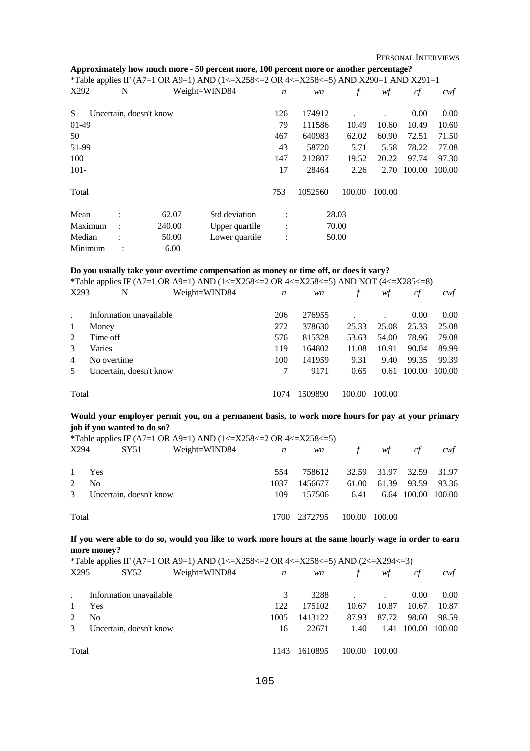PERSONAL INTERVIEWS

| Approximately how much more - 50 percent more, 100 percent more or another percentage? |  |  |
|----------------------------------------------------------------------------------------|--|--|
|                                                                                        |  |  |

|         |   |                         | *Table applies IF (A7=1 OR A9=1) AND (1<=X258<=2 OR 4<=X258<=5) AND X290=1 AND X291=1 |                  |         |        |        |        |        |
|---------|---|-------------------------|---------------------------------------------------------------------------------------|------------------|---------|--------|--------|--------|--------|
| X292    | N |                         | Weight=WIND84                                                                         | $\boldsymbol{n}$ | wn      |        | wf     | cf     | cwf    |
| S       |   | Uncertain, doesn't know |                                                                                       | 126              | 174912  |        |        | 0.00   | 0.00   |
| $01-49$ |   |                         |                                                                                       | 79               | 111586  | 10.49  | 10.60  | 10.49  | 10.60  |
| 50      |   |                         |                                                                                       | 467              | 640983  | 62.02  | 60.90  | 72.51  | 71.50  |
| 51-99   |   |                         |                                                                                       | 43               | 58720   | 5.71   | 5.58   | 78.22  | 77.08  |
| 100     |   |                         |                                                                                       | 147              | 212807  | 19.52  | 20.22  | 97.74  | 97.30  |
| $101 -$ |   |                         |                                                                                       | 17               | 28464   | 2.26   | 2.70   | 100.00 | 100.00 |
| Total   |   |                         |                                                                                       | 753              | 1052560 | 100.00 | 100.00 |        |        |
| Mean    |   | 62.07                   | Std deviation                                                                         |                  |         | 28.03  |        |        |        |
| Maximum |   | 240.00                  | Upper quartile                                                                        | $\ddot{\cdot}$   |         | 70.00  |        |        |        |
| Median  |   | 50.00                   | Lower quartile                                                                        | $\ddot{\cdot}$   |         | 50.00  |        |        |        |
| Minimum |   | 6.00                    |                                                                                       |                  |         |        |        |        |        |

#### **Do you usually take your overtime compensation as money or time off, or does it vary?**

|                | *Table applies IF (A7=1 OR A9=1) AND (1<=X258<=2 OR 4<=X258<=5) AND NOT (4<=X285<=8) |      |         |        |        |        |        |  |  |
|----------------|--------------------------------------------------------------------------------------|------|---------|--------|--------|--------|--------|--|--|
| X293           | N<br>Weight=WIND84                                                                   | n    | wn      |        | wf     | cf     | cwt    |  |  |
|                | Information unavailable                                                              | 206  | 276955  |        |        | 0.00   | 0.00   |  |  |
| -1             | Money                                                                                | 272  | 378630  | 25.33  | 25.08  | 25.33  | 25.08  |  |  |
| 2              | Time off                                                                             | 576  | 815328  | 53.63  | 54.00  | 78.96  | 79.08  |  |  |
| $\mathcal{E}$  | Varies                                                                               | 119  | 164802  | 11.08  | 10.91  | 90.04  | 89.99  |  |  |
| $\overline{4}$ | No overtime                                                                          | 100  | 141959  | 9.31   | 9.40   | 99.35  | 99.39  |  |  |
| 5              | Uncertain, doesn't know                                                              |      | 9171    | 0.65   | 0.61   | 100.00 | 100.00 |  |  |
| Total          |                                                                                      | 1074 | 1509890 | 100.00 | 100.00 |        |        |  |  |

# **Would your employer permit you, on a permanent basis, to work more hours for pay at your primary job if you wanted to do so?**

\*Table applies IF (A7=1 OR A9=1) AND (1 <= X258 <= 2 OR 4 <= X258 <= 5) X294 SY51 Weight=WIND84 *n wn f wf cf cwf*

|             | 1 Yes                     | 554  | 758612       |               | 32.59 31.97 32.59 31.97 |  |
|-------------|---------------------------|------|--------------|---------------|-------------------------|--|
| $2^{\circ}$ | N <sub>0</sub>            | 1037 | 1456677      |               | 61.00 61.39 93.59 93.36 |  |
|             | 3 Uncertain, doesn't know | 109. | 157506       |               | 6.41 6.64 100.00 100.00 |  |
|             |                           |      |              |               |                         |  |
| Total       |                           |      | 1700 2372795 | 100.00 100.00 |                         |  |

# **If you were able to do so, would you like to work more hours at the same hourly wage in order to earn more money?**

|                             |                         | *Table applies IF (A7=1 OR A9=1) AND (1<=X258<=2 OR 4<=X258<=5) AND (2<=X294<=3) |                  |         |        |        |                   |        |
|-----------------------------|-------------------------|----------------------------------------------------------------------------------|------------------|---------|--------|--------|-------------------|--------|
| X295                        | SY52                    | Weight=WIND84                                                                    | $\boldsymbol{n}$ | wn      | f      | wf     | сf                | cwt    |
|                             | Information unavailable |                                                                                  | 3                | 3288    |        |        | 0.00 <sub>1</sub> | 0.00   |
|                             | <b>Yes</b>              |                                                                                  | 122              | 175102  | 10.67  | 10.87  | 10.67             | 10.87  |
| $\mathcal{D}_{\mathcal{L}}$ | No                      |                                                                                  | 1005             | 1413122 | 87.93  | 87.72  | 98.60             | 98.59  |
| $\mathcal{E}$               | Uncertain, doesn't know |                                                                                  | 16               | 22671   | 1.40   |        | 1.41 100.00       | 100.00 |
| Total                       |                         |                                                                                  | 1143             | 1610895 | 100.00 | 100.00 |                   |        |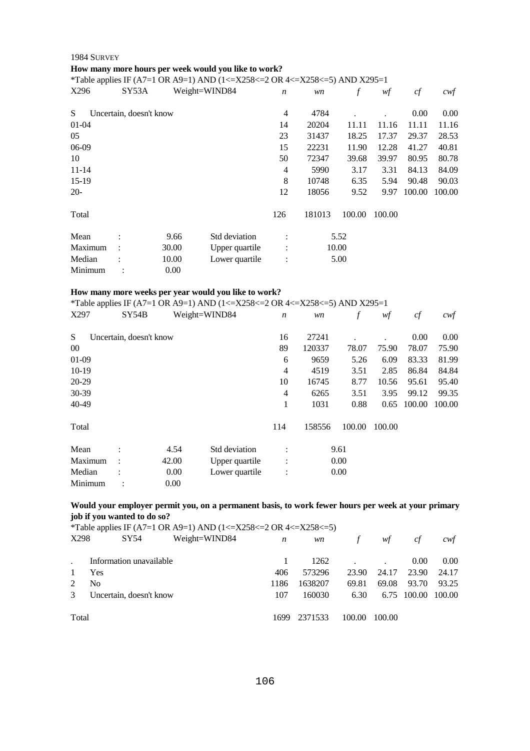# **How many more hours per week would you like to work?**

\*Table applies IF (A7=1 OR A9=1) AND (1<=X258<=2 OR 4<=X258<=5) AND X295=1

| X296      | SY53A                   |       | Weight=WIND84  | $\boldsymbol{n}$ | wn     | $\boldsymbol{f}$ | wf     | cf     | $c \mathsf{w} f$ |
|-----------|-------------------------|-------|----------------|------------------|--------|------------------|--------|--------|------------------|
| S         | Uncertain, doesn't know |       |                | 4                | 4784   |                  |        | 0.00   | 0.00             |
| $01 - 04$ |                         |       |                | 14               | 20204  | 11.11            | 11.16  | 11.11  | 11.16            |
| 05        |                         |       |                | 23               | 31437  | 18.25            | 17.37  | 29.37  | 28.53            |
| 06-09     |                         |       |                | 15               | 22231  | 11.90            | 12.28  | 41.27  | 40.81            |
| 10        |                         |       |                | 50               | 72347  | 39.68            | 39.97  | 80.95  | 80.78            |
| $11 - 14$ |                         |       |                | 4                | 5990   | 3.17             | 3.31   | 84.13  | 84.09            |
| $15-19$   |                         |       |                | 8                | 10748  | 6.35             | 5.94   | 90.48  | 90.03            |
| $20-$     |                         |       |                | 12               | 18056  | 9.52             | 9.97   | 100.00 | 100.00           |
| Total     |                         |       |                | 126              | 181013 | 100.00           | 100.00 |        |                  |
| Mean      |                         | 9.66  | Std deviation  | $\ddot{\cdot}$   |        | 5.52             |        |        |                  |
| Maximum   | ÷                       | 30.00 | Upper quartile | :                |        | 10.00            |        |        |                  |
| Median    |                         | 10.00 | Lower quartile | $\ddot{\cdot}$   |        | 5.00             |        |        |                  |
| Minimum   |                         | 0.00  |                |                  |        |                  |        |        |                  |

#### **How many more weeks per year would you like to work?**

\*Table applies IF (A7=1 OR A9=1) AND (1<=X258<=2 OR 4<=X258<=5) AND X295=1

| X297    | SY54B                   |       | Weight=WIND84  | $\boldsymbol{n}$       | wn     | f      | wf     | cf     | $c \mathsf{w} f$ |
|---------|-------------------------|-------|----------------|------------------------|--------|--------|--------|--------|------------------|
| S       | Uncertain, doesn't know |       |                | 16                     | 27241  |        |        | 0.00   | 0.00             |
| $00\,$  |                         |       |                | 89                     | 120337 | 78.07  | 75.90  | 78.07  | 75.90            |
| $01-09$ |                         |       |                | 6                      | 9659   | 5.26   | 6.09   | 83.33  | 81.99            |
| $10-19$ |                         |       |                | $\overline{4}$         | 4519   | 3.51   | 2.85   | 86.84  | 84.84            |
| 20-29   |                         |       |                | 10                     | 16745  | 8.77   | 10.56  | 95.61  | 95.40            |
| 30-39   |                         |       |                | 4                      | 6265   | 3.51   | 3.95   | 99.12  | 99.35            |
| 40-49   |                         |       |                | 1                      | 1031   | 0.88   | 0.65   | 100.00 | 100.00           |
| Total   |                         |       |                | 114                    | 158556 | 100.00 | 100.00 |        |                  |
| Mean    | $\bullet$               | 4.54  | Std deviation  | $\bullet$              |        | 9.61   |        |        |                  |
| Maximum | $\bullet$               | 42.00 | Upper quartile | $\bullet$<br>$\bullet$ |        | 0.00   |        |        |                  |
| Median  |                         | 0.00  | Lower quartile | $\ddot{\cdot}$         |        | 0.00   |        |        |                  |
| Minimum |                         | 0.00  |                |                        |        |        |        |        |                  |

# **Would your employer permit you, on a permanent basis, to work fewer hours per week at your primary job if you wanted to do so?**

|  | *Table applies IF (A7=1 OR A9=1) AND (1<=X258<=2 OR 4<=X258<=5) |
|--|-----------------------------------------------------------------|
|  |                                                                 |

| X298  | SY54                    | Weight=WIND84 | n     | wn      | $\sqrt{f}$ | wf     | cf     | cwf    |
|-------|-------------------------|---------------|-------|---------|------------|--------|--------|--------|
|       | Information unavailable |               |       | 1262    |            |        | 0.00   | 0.00   |
|       | Yes                     |               | 406   | 573296  | 23.90      | 24.17  | 23.90  | 24.17  |
|       | No                      |               | 1186  | 1638207 | 69.81      | 69.08  | 93.70  | 93.25  |
| 3     | Uncertain, doesn't know |               | 107   | 160030  | 6.30       | 6.75   | 100.00 | 100.00 |
| Total |                         |               | 1699. | 2371533 | 100.00     | 100.00 |        |        |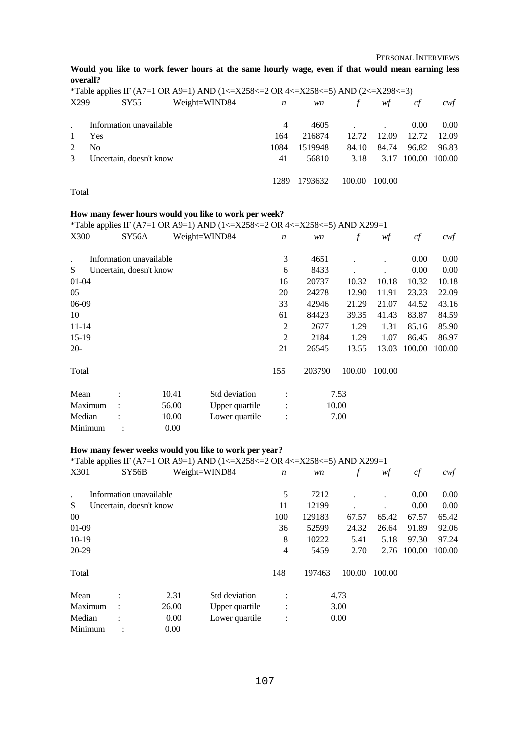PERSONAL INTERVIEWS

**Would you like to work fewer hours at the same hourly wage, even if that would mean earning less overall?** 

|               |                         |                         | *Table applies IF (A7=1 OR A9=1) AND (1<=X258<=2 OR 4<=X258<=5) AND (2<=X298<=3) |                  |         |        |        |        |       |
|---------------|-------------------------|-------------------------|----------------------------------------------------------------------------------|------------------|---------|--------|--------|--------|-------|
| X299          |                         | SY55                    | Weight=WIND84                                                                    | $\boldsymbol{n}$ | wn      |        | wf     | cf     | cwt   |
|               |                         | Information unavailable |                                                                                  | 4                | 4605    |        |        | 0.00   | 0.00  |
|               | Yes                     |                         |                                                                                  | 164              | 216874  | 12.72  | 12.09  | 12.72  | 12.09 |
|               | N <sub>0</sub>          |                         |                                                                                  | 1084             | 1519948 | 84.10  | 84.74  | 96.82  | 96.83 |
| $\mathcal{E}$ | Uncertain, doesn't know |                         | 41                                                                               | 56810            | 3.18    | 3.17   | 100.00 | 100.00 |       |
|               |                         |                         |                                                                                  | 1289             | 1793632 | 100.00 | 100.00 |        |       |

Total

#### **How many fewer hours would you like to work per week?**

\*Table applies IF (A7=1 OR A9=1) AND (1<=X258<=2 OR 4<=X258<=5) AND X299=1<br>X300 SY56A Weight=WIND84  $n \text{ w n}$  f  $\text{ w f}$ 

| X300                 | SY56A                   |       | Weight=WIND84  | $\boldsymbol{n}$ | wn     |        | wf     | cf       | cwf      |
|----------------------|-------------------------|-------|----------------|------------------|--------|--------|--------|----------|----------|
| $\ddot{\phantom{0}}$ | Information unavailable |       |                | 3                | 4651   |        |        | $0.00\,$ | $0.00\,$ |
| S                    | Uncertain, doesn't know |       |                | 6                | 8433   |        |        | $0.00\,$ | 0.00     |
| $01-04$              |                         |       |                | 16               | 20737  | 10.32  | 10.18  | 10.32    | 10.18    |
| 05                   |                         |       |                | 20               | 24278  | 12.90  | 11.91  | 23.23    | 22.09    |
| 06-09                |                         |       |                | 33               | 42946  | 21.29  | 21.07  | 44.52    | 43.16    |
| 10                   |                         |       |                | 61               | 84423  | 39.35  | 41.43  | 83.87    | 84.59    |
| $11 - 14$            |                         |       |                | 2                | 2677   | 1.29   | 1.31   | 85.16    | 85.90    |
| $15-19$              |                         |       |                | 2                | 2184   | 1.29   | 1.07   | 86.45    | 86.97    |
| $20-$                |                         |       |                | 21               | 26545  | 13.55  | 13.03  | 100.00   | 100.00   |
| Total                |                         |       |                | 155              | 203790 | 100.00 | 100.00 |          |          |
| Mean                 |                         | 10.41 | Std deviation  | $\ddot{\cdot}$   |        | 7.53   |        |          |          |
| Maximum              |                         | 56.00 | Upper quartile | $\ddot{\cdot}$   |        | 10.00  |        |          |          |
| Median               |                         | 10.00 | Lower quartile | $\ddot{\cdot}$   |        | 7.00   |        |          |          |
| Minimum              |                         | 0.00  |                |                  |        |        |        |          |          |

# **How many fewer weeks would you like to work per year?**

\*Table applies IF (A7=1 OR A9=1) AND (1<=X258<=2 OR 4<=X258<=5) AND X299=1

| X301    |                      | SY56B                   |       | Weight=WIND84  | $\boldsymbol{n}$ | wn     | f      | wf     | cf     | cwf    |
|---------|----------------------|-------------------------|-------|----------------|------------------|--------|--------|--------|--------|--------|
| $\cdot$ |                      | Information unavailable |       |                | 5                | 7212   |        |        | 0.00   | 0.00   |
| S       |                      | Uncertain, doesn't know |       |                | 11               | 12199  |        |        | 0.00   | 0.00   |
| $00\,$  |                      |                         |       |                | 100              | 129183 | 67.57  | 65.42  | 67.57  | 65.42  |
| $01-09$ |                      |                         |       |                | 36               | 52599  | 24.32  | 26.64  | 91.89  | 92.06  |
| $10-19$ |                      |                         |       |                | 8                | 10222  | 5.41   | 5.18   | 97.30  | 97.24  |
| 20-29   |                      |                         |       |                | 4                | 5459   | 2.70   | 2.76   | 100.00 | 100.00 |
| Total   |                      |                         |       |                | 148              | 197463 | 100.00 | 100.00 |        |        |
| Mean    | $\ddot{\cdot}$       |                         | 2.31  | Std deviation  | $\ddot{\cdot}$   |        | 4.73   |        |        |        |
| Maximum | $\ddot{\phantom{a}}$ |                         | 26.00 | Upper quartile | $\ddot{\cdot}$   |        | 3.00   |        |        |        |
| Median  |                      |                         | 0.00  | Lower quartile | $\ddot{\cdot}$   |        | 0.00   |        |        |        |
| Minimum |                      | $\ddot{\phantom{a}}$    | 0.00  |                |                  |        |        |        |        |        |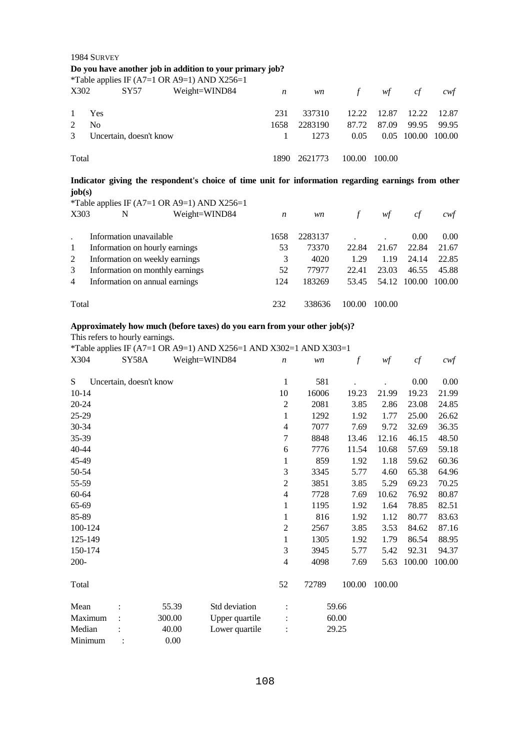|                                                                                                     | 1984 SURVEY    |                         |                                                          |                  |         |        |        |        |        |
|-----------------------------------------------------------------------------------------------------|----------------|-------------------------|----------------------------------------------------------|------------------|---------|--------|--------|--------|--------|
|                                                                                                     |                |                         | Do you have another job in addition to your primary job? |                  |         |        |        |        |        |
|                                                                                                     |                |                         | *Table applies IF (A7=1 OR A9=1) AND $X256=1$            |                  |         |        |        |        |        |
| X302                                                                                                |                | SY57                    | Weight=WIND84                                            | $\boldsymbol{n}$ | wn      | $\int$ | wf     | cf     | cwt    |
|                                                                                                     |                |                         |                                                          |                  |         |        |        |        |        |
| 1                                                                                                   | Yes            |                         |                                                          | 231              | 337310  | 12.22  | 12.87  | 12.22  | 12.87  |
| 2                                                                                                   | N <sub>0</sub> |                         |                                                          | 1658             | 2283190 | 87.72  | 87.09  | 99.95  | 99.95  |
| 3                                                                                                   |                | Uncertain, doesn't know |                                                          | 1                | 1273    | 0.05   | 0.05   | 100.00 | 100.00 |
| Total                                                                                               |                |                         |                                                          |                  | 2621773 | 100.00 | 100.00 |        |        |
| Indicator giving the respondent's choice of time unit for information regarding earnings from other |                |                         |                                                          |                  |         |        |        |        |        |
|                                                                                                     |                |                         |                                                          |                  |         |        |        |        |        |
| job(s)                                                                                              |                |                         |                                                          |                  |         |        |        |        |        |
|                                                                                                     |                |                         | *Table applies IF (A7=1 OR A9=1) AND X256=1              |                  |         |        |        |        |        |
| X303                                                                                                |                | N                       | Weight=WIND84                                            | $\boldsymbol{n}$ | wn      | $\int$ | wf     | cf     | cwt    |
|                                                                                                     |                |                         |                                                          |                  |         |        |        |        |        |
|                                                                                                     |                | Information unavailable |                                                          | 1658             | 2283137 |        |        | 0.00   | 0.00   |
| 1                                                                                                   |                |                         | Information on hourly earnings                           | 53               | 73370   | 22.84  | 21.67  | 22.84  | 21.67  |
| 2                                                                                                   |                |                         | Information on weekly earnings                           | 3                | 4020    | 1.29   | 1.19   | 24.14  | 22.85  |
| 3                                                                                                   |                |                         | Information on monthly earnings                          | 52               | 77977   | 22.41  | 23.03  | 46.55  | 45.88  |
| 4                                                                                                   |                |                         | Information on annual earnings                           | 124              | 183269  | 53.45  | 54.12  | 100.00 | 100.00 |

Total 232 338636 100.00 100.00

# **Approximately how much (before taxes) do you earn from your other job(s)?**

This refers to hourly earnings.

\*Table applies IF (A7=1 OR A9=1) AND X256=1 AND X302=1 AND X303=1

| X304      | SY58A                   |        | Weight=WIND84  | $\boldsymbol{n}$         | wn    | $\boldsymbol{f}$ | wf     | cf     | $c \mathcal{w} f$ |
|-----------|-------------------------|--------|----------------|--------------------------|-------|------------------|--------|--------|-------------------|
| S         | Uncertain, doesn't know |        |                | $\mathbf{1}$             | 581   |                  |        | 0.00   | 0.00              |
| $10-14$   |                         |        |                | 10                       | 16006 | 19.23            | 21.99  | 19.23  | 21.99             |
| $20 - 24$ |                         |        |                | $\overline{2}$           | 2081  | 3.85             | 2.86   | 23.08  | 24.85             |
| 25-29     |                         |        |                | 1                        | 1292  | 1.92             | 1.77   | 25.00  | 26.62             |
| 30-34     |                         |        |                | 4                        | 7077  | 7.69             | 9.72   | 32.69  | 36.35             |
| 35-39     |                         |        |                | 7                        | 8848  | 13.46            | 12.16  | 46.15  | 48.50             |
| 40-44     |                         |        |                | 6                        | 7776  | 11.54            | 10.68  | 57.69  | 59.18             |
| 45-49     |                         |        |                | 1                        | 859   | 1.92             | 1.18   | 59.62  | 60.36             |
| 50-54     |                         |        |                | 3                        | 3345  | 5.77             | 4.60   | 65.38  | 64.96             |
| 55-59     |                         |        |                | 2                        | 3851  | 3.85             | 5.29   | 69.23  | 70.25             |
| 60-64     |                         |        |                | 4                        | 7728  | 7.69             | 10.62  | 76.92  | 80.87             |
| 65-69     |                         |        |                | 1                        | 1195  | 1.92             | 1.64   | 78.85  | 82.51             |
| 85-89     |                         |        |                | $\mathbf{1}$             | 816   | 1.92             | 1.12   | 80.77  | 83.63             |
| 100-124   |                         |        |                | $\overline{2}$           | 2567  | 3.85             | 3.53   | 84.62  | 87.16             |
| 125-149   |                         |        |                | 1                        | 1305  | 1.92             | 1.79   | 86.54  | 88.95             |
| 150-174   |                         |        |                | 3                        | 3945  | 5.77             | 5.42   | 92.31  | 94.37             |
| $200 -$   |                         |        |                | $\overline{\mathcal{L}}$ | 4098  | 7.69             | 5.63   | 100.00 | 100.00            |
| Total     |                         |        |                | 52                       | 72789 | 100.00           | 100.00 |        |                   |
| Mean      |                         | 55.39  | Std deviation  |                          |       | 59.66            |        |        |                   |
| Maximum   |                         | 300.00 | Upper quartile |                          |       | 60.00            |        |        |                   |
| Median    |                         | 40.00  | Lower quartile |                          |       | 29.25            |        |        |                   |
| Minimum   |                         | 0.00   |                |                          |       |                  |        |        |                   |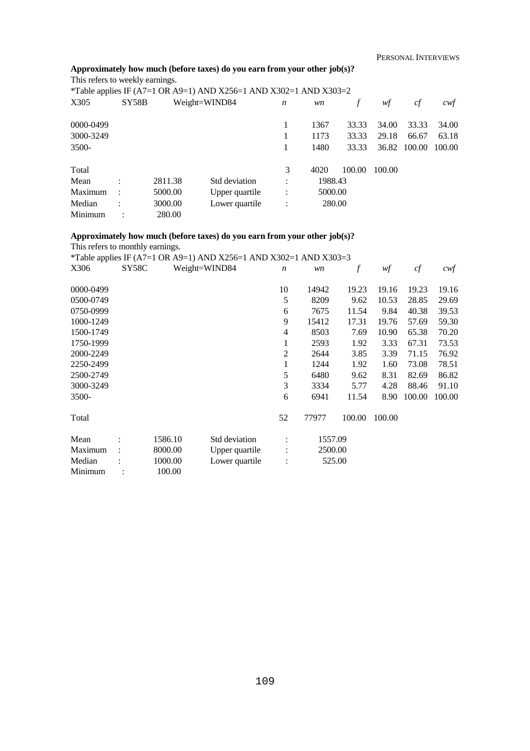## **Approximately how much (before taxes) do you earn from your other job(s)?**

This refers to weekly earnings.

|           |                      |         | *Table applies IF (A7=1 OR A9=1) AND X256=1 AND X302=1 AND X303=2 |                |         |        |        |        |        |
|-----------|----------------------|---------|-------------------------------------------------------------------|----------------|---------|--------|--------|--------|--------|
| X305      | SY58B                |         | Weight=WIND84                                                     | n              | wn      |        | wf     | cf     | cwf    |
| 0000-0499 |                      |         |                                                                   |                | 1367    | 33.33  | 34.00  | 33.33  | 34.00  |
| 3000-3249 |                      |         |                                                                   |                | 1173    | 33.33  | 29.18  | 66.67  | 63.18  |
| 3500-     |                      |         |                                                                   |                | 1480    | 33.33  | 36.82  | 100.00 | 100.00 |
| Total     |                      |         |                                                                   | 3              | 4020    | 100.00 | 100.00 |        |        |
| Mean      | ٠                    | 2811.38 | Std deviation                                                     | ٠              | 1988.43 |        |        |        |        |
| Maximum   | $\ddot{\phantom{a}}$ | 5000.00 | Upper quartile                                                    | $\ddot{\cdot}$ | 5000.00 |        |        |        |        |
| Median    | ٠                    | 3000.00 | Lower quartile                                                    | $\ddot{\cdot}$ | 280.00  |        |        |        |        |
| Minimum   |                      | 280.00  |                                                                   |                |         |        |        |        |        |

### **Approximately how much (before taxes) do you earn from your other job(s)?**  This refers to monthly earnings.

\*Table applies IF (A7=1 OR A9=1) AND X256=1 AND X302=1 AND X303=3

| X306      | SY58C |         | Weight=WIND84  | $\boldsymbol{n}$ | wn      |        | wf     | cf     | $c$ wf |
|-----------|-------|---------|----------------|------------------|---------|--------|--------|--------|--------|
| 0000-0499 |       |         |                | 10               | 14942   | 19.23  | 19.16  | 19.23  | 19.16  |
| 0500-0749 |       |         |                | 5                | 8209    | 9.62   | 10.53  | 28.85  | 29.69  |
| 0750-0999 |       |         |                | 6                | 7675    | 11.54  | 9.84   | 40.38  | 39.53  |
| 1000-1249 |       |         |                | 9                | 15412   | 17.31  | 19.76  | 57.69  | 59.30  |
| 1500-1749 |       |         |                | 4                | 8503    | 7.69   | 10.90  | 65.38  | 70.20  |
| 1750-1999 |       |         |                | 1                | 2593    | 1.92   | 3.33   | 67.31  | 73.53  |
| 2000-2249 |       |         |                | 2                | 2644    | 3.85   | 3.39   | 71.15  | 76.92  |
| 2250-2499 |       |         |                | 1                | 1244    | 1.92   | 1.60   | 73.08  | 78.51  |
| 2500-2749 |       |         |                | 5                | 6480    | 9.62   | 8.31   | 82.69  | 86.82  |
| 3000-3249 |       |         |                | 3                | 3334    | 5.77   | 4.28   | 88.46  | 91.10  |
| 3500-     |       |         |                | 6                | 6941    | 11.54  | 8.90   | 100.00 | 100.00 |
| Total     |       |         |                | 52               | 77977   | 100.00 | 100.00 |        |        |
| Mean      |       | 1586.10 | Std deviation  | $\ddot{\cdot}$   | 1557.09 |        |        |        |        |
| Maximum   |       | 8000.00 | Upper quartile | $\vdots$         | 2500.00 |        |        |        |        |
| Median    |       | 1000.00 | Lower quartile | $\ddot{\cdot}$   | 525.00  |        |        |        |        |
| Minimum   |       | 100.00  |                |                  |         |        |        |        |        |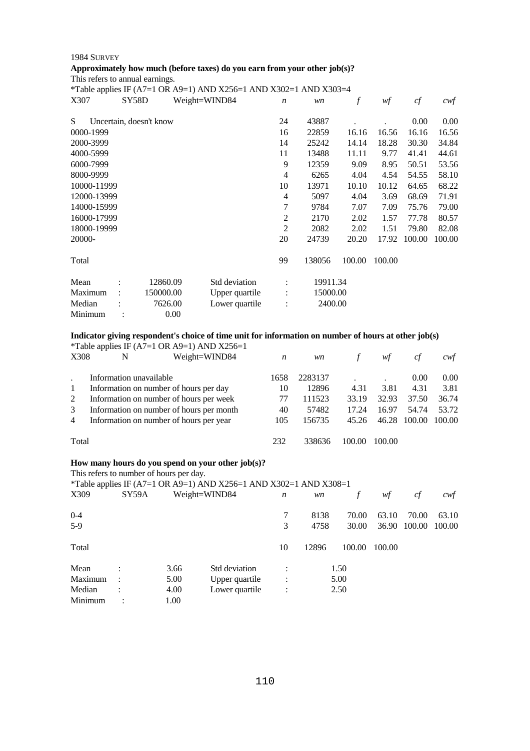## 1984 SURVEY **Approximately how much (before taxes) do you earn from your other job(s)?**

This refers to annual earnings.

| *Table applies IF (A7=1 OR A9=1) AND X256=1 AND X302=1 AND X303=4 |
|-------------------------------------------------------------------|
|                                                                   |

| $1.0015$ mpp<br>X307 | SY58D |                         | Weight=WIND84  | $\boldsymbol{n}$ | wn       | f      | wf     | cf     | cwt    |
|----------------------|-------|-------------------------|----------------|------------------|----------|--------|--------|--------|--------|
| S                    |       | Uncertain, doesn't know |                | 24               | 43887    |        |        | 0.00   | 0.00   |
| 0000-1999            |       |                         |                | 16               | 22859    | 16.16  | 16.56  | 16.16  | 16.56  |
| 2000-3999            |       |                         |                | 14               | 25242    | 14.14  | 18.28  | 30.30  | 34.84  |
| 4000-5999            |       |                         |                | 11               | 13488    | 11.11  | 9.77   | 41.41  | 44.61  |
| 6000-7999            |       |                         |                | 9                | 12359    | 9.09   | 8.95   | 50.51  | 53.56  |
| 8000-9999            |       |                         |                | 4                | 6265     | 4.04   | 4.54   | 54.55  | 58.10  |
| 10000-11999          |       |                         |                | 10               | 13971    | 10.10  | 10.12  | 64.65  | 68.22  |
| 12000-13999          |       |                         |                | 4                | 5097     | 4.04   | 3.69   | 68.69  | 71.91  |
| 14000-15999          |       |                         |                | 7                | 9784     | 7.07   | 7.09   | 75.76  | 79.00  |
| 16000-17999          |       |                         |                | 2                | 2170     | 2.02   | 1.57   | 77.78  | 80.57  |
| 18000-19999          |       |                         |                | $\overline{2}$   | 2082     | 2.02   | 1.51   | 79.80  | 82.08  |
| 20000-               |       |                         |                | 20               | 24739    | 20.20  | 17.92  | 100.00 | 100.00 |
| Total                |       |                         |                | 99               | 138056   | 100.00 | 100.00 |        |        |
| Mean                 |       | 12860.09                | Std deviation  |                  | 19911.34 |        |        |        |        |
| Maximum              |       | 150000.00               | Upper quartile | $\ddot{\cdot}$   | 15000.00 |        |        |        |        |
| Median               |       | 7626.00                 | Lower quartile |                  | 2400.00  |        |        |        |        |
| Minimum              |       | 0.00                    |                |                  |          |        |        |        |        |

## **Indicator giving respondent's choice of time unit for information on number of hours at other job(s)**

|           |         |                                                  |      | *Table applies IF (A7=1 OR A9=1) AND X256=1                                                                                             |                  |         |               |        |          |        |
|-----------|---------|--------------------------------------------------|------|-----------------------------------------------------------------------------------------------------------------------------------------|------------------|---------|---------------|--------|----------|--------|
| X308      |         | N                                                |      | Weight=WIND84                                                                                                                           | $\boldsymbol{n}$ | wn      | $\int$        | wf     | cf       | cwf    |
|           |         | Information unavailable                          |      |                                                                                                                                         | 1658             | 2283137 |               |        | $0.00\,$ | 0.00   |
| $\bullet$ |         |                                                  |      |                                                                                                                                         |                  | 12896   | 4.31          | 3.81   | 4.31     |        |
| 1         |         | Information on number of hours per day           |      |                                                                                                                                         | 10               |         |               |        |          | 3.81   |
| 2         |         | Information on number of hours per week          |      |                                                                                                                                         | 77               | 111523  | 33.19         | 32.93  | 37.50    | 36.74  |
| 3         |         |                                                  |      | Information on number of hours per month                                                                                                | 40               | 57482   | 17.24         | 16.97  | 54.74    | 53.72  |
| 4         |         | Information on number of hours per year          |      |                                                                                                                                         | 105              | 156735  | 45.26         | 46.28  | 100.00   | 100.00 |
| Total     |         |                                                  |      |                                                                                                                                         | 232              | 338636  | 100.00        | 100.00 |          |        |
| X309      |         | This refers to number of hours per day.<br>SY59A |      | How many hours do you spend on your other job(s)?<br>*Table applies IF (A7=1 OR A9=1) AND X256=1 AND X302=1 AND X308=1<br>Weight=WIND84 | $\boldsymbol{n}$ | wn      | $\mathcal{f}$ | wf     | cf       | cwt    |
| $0 - 4$   |         |                                                  |      |                                                                                                                                         | 7                | 8138    | 70.00         | 63.10  | 70.00    | 63.10  |
| $5-9$     |         |                                                  |      |                                                                                                                                         | 3                | 4758    | 30.00         | 36.90  | 100.00   | 100.00 |
| Total     |         |                                                  |      |                                                                                                                                         | 10               | 12896   | 100.00        | 100.00 |          |        |
| Mean      |         |                                                  | 3.66 | Std deviation                                                                                                                           |                  |         | 1.50          |        |          |        |
|           | Maximum |                                                  | 5.00 | Upper quartile                                                                                                                          |                  |         | 5.00          |        |          |        |
| Median    |         |                                                  | 4.00 | Lower quartile                                                                                                                          |                  |         | 2.50          |        |          |        |
| Minimum   |         |                                                  | 1.00 |                                                                                                                                         |                  |         |               |        |          |        |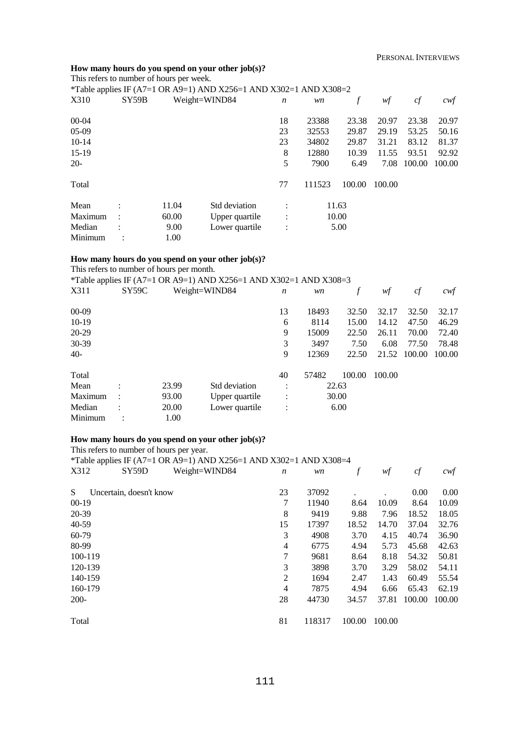#### **How many hours do you spend on your other job(s)?**  This refers to number of hours per week.

| This refers to humber of hours per week. |       |       |                                                                   |                  |        |        |        |        |        |
|------------------------------------------|-------|-------|-------------------------------------------------------------------|------------------|--------|--------|--------|--------|--------|
|                                          |       |       | *Table applies IF (A7=1 OR A9=1) AND X256=1 AND X302=1 AND X308=2 |                  |        |        |        |        |        |
| X310                                     | SY59B |       | Weight=WIND84                                                     | $\boldsymbol{n}$ | wn     | f      | wf     | cf     | cwf    |
| $00-04$                                  |       |       |                                                                   | 18               | 23388  | 23.38  | 20.97  | 23.38  | 20.97  |
| $05-09$                                  |       |       |                                                                   | 23               | 32553  | 29.87  | 29.19  | 53.25  | 50.16  |
| $10-14$                                  |       |       |                                                                   | 23               | 34802  | 29.87  | 31.21  | 83.12  | 81.37  |
| $15-19$                                  |       |       |                                                                   | 8                | 12880  | 10.39  | 11.55  | 93.51  | 92.92  |
| $20-$                                    |       |       |                                                                   | 5                | 7900   | 6.49   | 7.08   | 100.00 | 100.00 |
| Total                                    |       |       |                                                                   | 77               | 111523 | 100.00 | 100.00 |        |        |
| Mean                                     |       | 11.04 | Std deviation                                                     |                  |        | 11.63  |        |        |        |
| Maximum                                  |       | 60.00 | Upper quartile                                                    | $\ddot{\cdot}$   |        | 10.00  |        |        |        |
| Median                                   |       | 9.00  | Lower quartile                                                    | $\ddot{\cdot}$   |        | 5.00   |        |        |        |
| Minimum                                  |       | 1.00  |                                                                   |                  |        |        |        |        |        |

### **How many hours do you spend on your other job(s)?**

This refers to number of hours per month.

|         |       |       | *Table applies IF (A7=1 OR A9=1) AND X256=1 AND X302=1 AND X308=3 |                |       |        |        |        |        |
|---------|-------|-------|-------------------------------------------------------------------|----------------|-------|--------|--------|--------|--------|
| X311    | SY59C |       | Weight=WIND84                                                     | n              | wn    | f      | wf     | cf     | cwt    |
| $00-09$ |       |       |                                                                   | 13             | 18493 | 32.50  | 32.17  | 32.50  | 32.17  |
| $10-19$ |       |       |                                                                   | 6              | 8114  | 15.00  | 14.12  | 47.50  | 46.29  |
| 20-29   |       |       |                                                                   | 9              | 15009 | 22.50  | 26.11  | 70.00  | 72.40  |
| 30-39   |       |       |                                                                   | 3              | 3497  | 7.50   | 6.08   | 77.50  | 78.48  |
| $40-$   |       |       |                                                                   | 9              | 12369 | 22.50  | 21.52  | 100.00 | 100.00 |
| Total   |       |       |                                                                   | 40             | 57482 | 100.00 | 100.00 |        |        |
| Mean    |       | 23.99 | Std deviation                                                     | $\bullet$      |       | 22.63  |        |        |        |
| Maximum |       | 93.00 | Upper quartile                                                    | $\ddot{\cdot}$ |       | 30.00  |        |        |        |
| Median  |       | 20.00 | Lower quartile                                                    | $\ddot{\cdot}$ |       | 6.00   |        |        |        |
| Minimum |       | 1.00  |                                                                   |                |       |        |        |        |        |

## **How many hours do you spend on your other job(s)?**

This refers to number of hours per year.

\*Table applies IF (A7=1 OR A9=1) AND X256=1 AND X302=1 AND X308=4

| X312      | SY59D                   | Weight=WIND84 | n              | wn     |        | wf     | cf     | cwf    |
|-----------|-------------------------|---------------|----------------|--------|--------|--------|--------|--------|
| S.        | Uncertain, doesn't know |               | 23             | 37092  |        |        | 0.00   | 0.00   |
| $00-19$   |                         |               | 7              | 11940  | 8.64   | 10.09  | 8.64   | 10.09  |
| 20-39     |                         |               | 8              | 9419   | 9.88   | 7.96   | 18.52  | 18.05  |
| $40 - 59$ |                         |               | 15             | 17397  | 18.52  | 14.70  | 37.04  | 32.76  |
| 60-79     |                         |               | 3              | 4908   | 3.70   | 4.15   | 40.74  | 36.90  |
| 80-99     |                         |               | 4              | 6775   | 4.94   | 5.73   | 45.68  | 42.63  |
| 100-119   |                         |               | 7              | 9681   | 8.64   | 8.18   | 54.32  | 50.81  |
| 120-139   |                         |               | 3              | 3898   | 3.70   | 3.29   | 58.02  | 54.11  |
| 140-159   |                         |               | $\overline{2}$ | 1694   | 2.47   | 1.43   | 60.49  | 55.54  |
| 160-179   |                         |               | 4              | 7875   | 4.94   | 6.66   | 65.43  | 62.19  |
| $200-$    |                         |               | 28             | 44730  | 34.57  | 37.81  | 100.00 | 100.00 |
| Total     |                         |               | 81             | 118317 | 100.00 | 100.00 |        |        |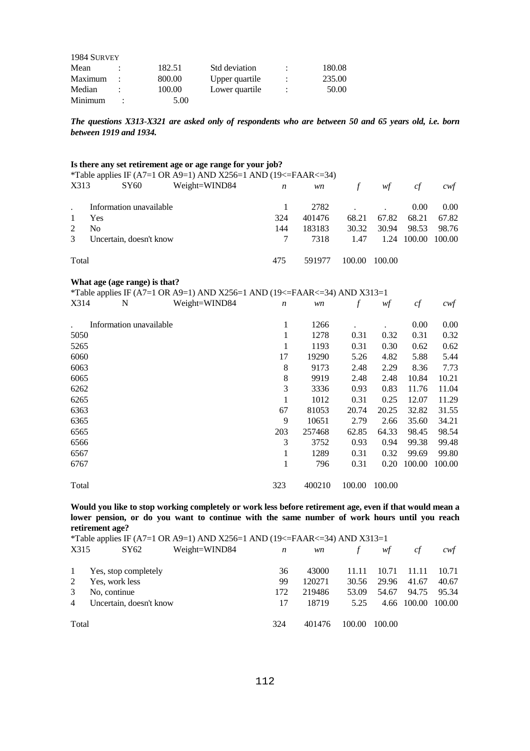| 1984 SURVEY |   |        |                |   |        |
|-------------|---|--------|----------------|---|--------|
| Mean        |   | 182.51 | Std deviation  |   | 180.08 |
| Maximum     |   | 800.00 | Upper quartile | ÷ | 235.00 |
| Median      |   | 100.00 | Lower quartile | ٠ | 50.00  |
| Minimum     | ٠ | 5.00   |                |   |        |

*The questions X313-X321 are asked only of respondents who are between 50 and 65 years old, i.e. born between 1919 and 1934.*

|                |                |                               | Is there any set retirement age or age range for your job?                |                  |        |                  |        |        |        |
|----------------|----------------|-------------------------------|---------------------------------------------------------------------------|------------------|--------|------------------|--------|--------|--------|
|                |                |                               | *Table applies IF (A7=1 OR A9=1) AND X256=1 AND (19<=FAAR<=34)            |                  |        |                  |        |        |        |
| X313           |                | SY <sub>60</sub>              | Weight=WIND84                                                             | $\boldsymbol{n}$ | wn     | $\boldsymbol{f}$ | wf     | cf     | cwf    |
|                |                | Information unavailable       |                                                                           | 1                | 2782   |                  |        | 0.00   | 0.00   |
| 1              | Yes            |                               |                                                                           | 324              | 401476 | 68.21            | 67.82  | 68.21  | 67.82  |
| $\overline{2}$ | N <sub>0</sub> |                               |                                                                           | 144              | 183183 | 30.32            | 30.94  | 98.53  | 98.76  |
| 3              |                | Uncertain, doesn't know       |                                                                           | 7                | 7318   | 1.47             | 1.24   | 100.00 | 100.00 |
| Total          |                |                               |                                                                           | 475              | 591977 | 100.00           | 100.00 |        |        |
|                |                | What age (age range) is that? |                                                                           |                  |        |                  |        |        |        |
|                |                |                               | *Table applies IF (A7=1 OR A9=1) AND X256=1 AND (19<=FAAR<=34) AND X313=1 |                  |        |                  |        |        |        |
| X314           |                | N                             | Weight=WIND84                                                             | $\boldsymbol{n}$ | wn     | $\int$           | wf     | cf     | cwt    |
|                |                | Information unavailable       |                                                                           | 1                | 1266   |                  |        | 0.00   | 0.00   |
| 5050           |                |                               |                                                                           | $\mathbf{1}$     | 1278   | 0.31             | 0.32   | 0.31   | 0.32   |
| 5265           |                |                               |                                                                           | 1                | 1193   | 0.31             | 0.30   | 0.62   | 0.62   |
| 6060           |                |                               |                                                                           | 17               | 19290  | 5.26             | 4.82   | 5.88   | 5.44   |
| 6063           |                |                               |                                                                           | 8                | 9173   | 2.48             | 2.29   | 8.36   | 7.73   |
| 6065           |                |                               |                                                                           | 8                | 9919   | 2.48             | 2.48   | 10.84  | 10.21  |
| 6262           |                |                               |                                                                           | 3                | 3336   | 0.93             | 0.83   | 11.76  | 11.04  |
| 6265           |                |                               |                                                                           | 1                | 1012   | 0.31             | 0.25   | 12.07  | 11.29  |
| 6363           |                |                               |                                                                           | 67               | 81053  | 20.74            | 20.25  | 32.82  | 31.55  |
| 6365           |                |                               |                                                                           | 9                | 10651  | 2.79             | 2.66   | 35.60  | 34.21  |
| 6565           |                |                               |                                                                           | 203              | 257468 | 62.85            | 64.33  | 98.45  | 98.54  |
| 6566           |                |                               |                                                                           | 3                | 3752   | 0.93             | 0.94   | 99.38  | 99.48  |
| 6567           |                |                               |                                                                           | 1                | 1289   | 0.31             | 0.32   | 99.69  | 99.80  |
| 6767           |                |                               |                                                                           | $\mathbf{1}$     | 796    | 0.31             | 0.20   | 100.00 | 100.00 |
| Total          |                |                               |                                                                           | 323              | 400210 | 100.00           | 100.00 |        |        |

**Would you like to stop working completely or work less before retirement age, even if that would mean a lower pension, or do you want to continue with the same number of work hours until you reach retirement age?** 

|                | *Table applies IF (A7=1 OR A9=1) AND X256=1 AND (19<=FAAR<=34) AND X313=1 |               |                  |        |               |        |             |        |  |
|----------------|---------------------------------------------------------------------------|---------------|------------------|--------|---------------|--------|-------------|--------|--|
| X315           | SY62                                                                      | Weight=WIND84 | $\boldsymbol{n}$ | wn     | $\mathcal{F}$ | wf     | сf          | cwt    |  |
| $\mathbf{1}$   | Yes, stop completely                                                      |               | 36               | 43000  | 11.11         | 10.71  | 11.11       | 10.71  |  |
| 2              | Yes, work less                                                            |               | 99               | 120271 | 30.56         | 29.96  | 41.67       | 40.67  |  |
| 3              | No, continue                                                              |               | 172              | 219486 | 53.09         | 54.67  | 94.75       | 95.34  |  |
| $\overline{4}$ | Uncertain, doesn't know                                                   |               |                  | 18719  | 5.25          |        | 4.66 100.00 | 100.00 |  |
| Total          |                                                                           |               | 324              | 401476 | 100.00        | 100.00 |             |        |  |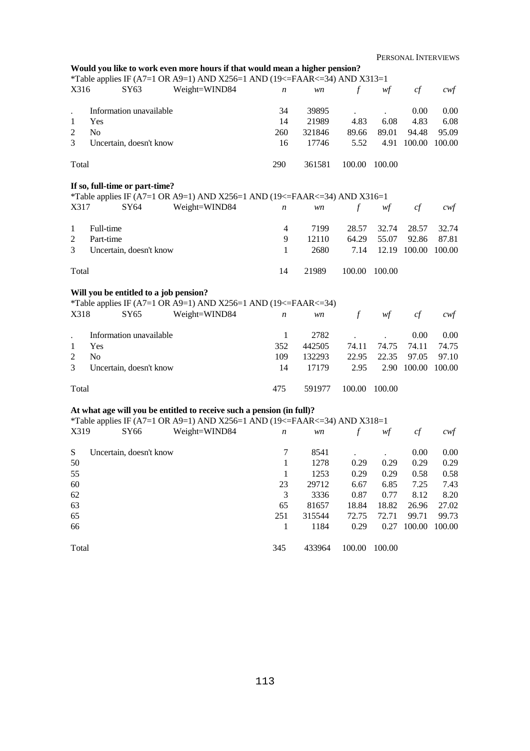|                      |                |                                | Would you like to work even more hours if that would mean a higher pension?<br>*Table applies IF (A7=1 OR A9=1) AND X256=1 AND (19<=FAAR<=34) AND X313=1 |                |        |               |        |                    |        |
|----------------------|----------------|--------------------------------|----------------------------------------------------------------------------------------------------------------------------------------------------------|----------------|--------|---------------|--------|--------------------|--------|
| X316                 |                | SY63                           | Weight=WIND84                                                                                                                                            | n              | wn     | $\mathcal{f}$ | wf     | cf                 | $c$ wf |
|                      |                | Information unavailable        |                                                                                                                                                          | 34             | 39895  |               |        | 0.00               | 0.00   |
| $\ddot{\phantom{0}}$ | Yes            |                                |                                                                                                                                                          | 14             | 21989  |               | 6.08   |                    |        |
| 1                    |                |                                |                                                                                                                                                          |                |        | 4.83          |        | 4.83               | 6.08   |
| $\overline{c}$       | N <sub>o</sub> |                                |                                                                                                                                                          | 260            | 321846 | 89.66         | 89.01  | 94.48              | 95.09  |
| 3                    |                | Uncertain, doesn't know        |                                                                                                                                                          | 16             | 17746  | 5.52          | 4.91   | 100.00             | 100.00 |
| Total                |                |                                |                                                                                                                                                          | 290            | 361581 | 100.00        | 100.00 |                    |        |
|                      |                | If so, full-time or part-time? |                                                                                                                                                          |                |        |               |        |                    |        |
|                      |                |                                | *Table applies IF (A7=1 OR A9=1) AND X256=1 AND (19<=FAAR<=34) AND X316=1                                                                                |                |        |               |        |                    |        |
| X317                 |                | SY64                           | Weight=WIND84                                                                                                                                            | n              | wn     | $\int$        | wf     | cf                 | cwf    |
| $\mathbf{1}$         | Full-time      |                                |                                                                                                                                                          | $\overline{4}$ | 7199   | 28.57         | 32.74  | 28.57              | 32.74  |
| $\overline{2}$       | Part-time      |                                |                                                                                                                                                          | 9              | 12110  | 64.29         | 55.07  | 92.86              | 87.81  |
| 3                    |                | Uncertain, doesn't know        |                                                                                                                                                          | 1              | 2680   | 7.14          |        | 12.19 100.00       | 100.00 |
|                      |                |                                |                                                                                                                                                          |                |        |               |        |                    |        |
| Total                |                |                                |                                                                                                                                                          | 14             | 21989  | 100.00        | 100.00 |                    |        |
| X318                 |                | SY65                           | Will you be entitled to a job pension?<br>*Table applies IF (A7=1 OR A9=1) AND X256=1 AND (19<=FAAR<=34)<br>Weight=WIND84                                | n              | wn     | $\mathcal{f}$ | wf     | cf                 | $c$ wf |
|                      |                | Information unavailable        |                                                                                                                                                          | $\mathbf{1}$   | 2782   |               |        | 0.00               | 0.00   |
| $\mathbf{1}$         | Yes            |                                |                                                                                                                                                          | 352            | 442505 | 74.11         | 74.75  | 74.11              | 74.75  |
| $\overline{c}$       | N <sub>o</sub> |                                |                                                                                                                                                          | 109            | 132293 | 22.95         | 22.35  | 97.05              | 97.10  |
| 3                    |                | Uncertain, doesn't know        |                                                                                                                                                          | 14             | 17179  | 2.95          | 2.90   | 100.00             | 100.00 |
| Total                |                |                                |                                                                                                                                                          | 475            | 591977 | 100.00        | 100.00 |                    |        |
|                      |                |                                | At what age will you be entitled to receive such a pension (in full)?                                                                                    |                |        |               |        |                    |        |
|                      |                |                                | *Table applies IF (A7=1 OR A9=1) AND X256=1 AND (19<=FAAR<=34) AND X318=1                                                                                |                |        |               |        |                    |        |
| X319                 |                | SY66                           | Weight=WIND84                                                                                                                                            | n              | wn     | $\mathcal{f}$ | wf     | cf                 | cwt    |
| ${\bf S}$            |                | Uncertain, doesn't know        |                                                                                                                                                          | 7              | 8541   |               |        | 0.00               | 0.00   |
| 50                   |                |                                |                                                                                                                                                          | 1              | 1278   | 0.29          | 0.29   | 0.29               | 0.29   |
| 55                   |                |                                |                                                                                                                                                          | -1             | 1253   | 0.29          | 0.29   | 0.58               | 0.58   |
| 60                   |                |                                |                                                                                                                                                          | 23             | 29712  | 6.67          | 6.85   | 7.25               | 7.43   |
| 62                   |                |                                |                                                                                                                                                          | $\overline{3}$ | 3336   | 0.87          | 0.77   | 8.12               | 8.20   |
| 63                   |                |                                |                                                                                                                                                          |                |        |               |        |                    |        |
| 65                   |                |                                |                                                                                                                                                          | 65             | 81657  | 18.84         | 18.82  | 26.96<br>99.71     | 27.02  |
|                      |                |                                |                                                                                                                                                          | 251            | 315544 | 72.75         | 72.71  |                    | 99.73  |
| 66                   |                |                                |                                                                                                                                                          | -1             | 1184   | 0.29          |        | 0.27 100.00 100.00 |        |
| Total                |                |                                |                                                                                                                                                          | 345            | 433964 | 100.00 100.00 |        |                    |        |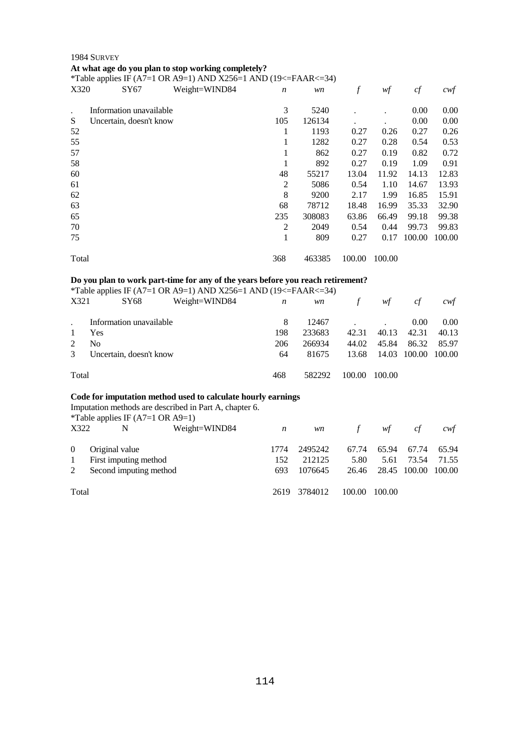## 1984 SURVEY **At what age do you plan to stop working completely?**

\*Table applies IF (A7=1 OR A9=1) AND X256=1 AND (19 $\leq$ =FAAR $\leq$ =34)

|           | .                       |               |                  |        |        |        |        |                  |
|-----------|-------------------------|---------------|------------------|--------|--------|--------|--------|------------------|
| X320      | SY67                    | Weight=WIND84 | $\boldsymbol{n}$ | wn     | f      | wf     | cf     | $c \mathsf{w} f$ |
| $\bullet$ | Information unavailable |               | 3                | 5240   |        |        | 0.00   | 0.00             |
| S         | Uncertain, doesn't know |               | 105              | 126134 |        |        | 0.00   | 0.00             |
| 52        |                         |               |                  | 1193   | 0.27   | 0.26   | 0.27   | 0.26             |
| 55        |                         |               | 1                | 1282   | 0.27   | 0.28   | 0.54   | 0.53             |
| 57        |                         |               | 1                | 862    | 0.27   | 0.19   | 0.82   | 0.72             |
| 58        |                         |               | 1                | 892    | 0.27   | 0.19   | 1.09   | 0.91             |
| 60        |                         |               | 48               | 55217  | 13.04  | 11.92  | 14.13  | 12.83            |
| 61        |                         |               | $\overline{2}$   | 5086   | 0.54   | 1.10   | 14.67  | 13.93            |
| 62        |                         |               | 8                | 9200   | 2.17   | 1.99   | 16.85  | 15.91            |
| 63        |                         |               | 68               | 78712  | 18.48  | 16.99  | 35.33  | 32.90            |
| 65        |                         |               | 235              | 308083 | 63.86  | 66.49  | 99.18  | 99.38            |
| 70        |                         |               | 2                | 2049   | 0.54   | 0.44   | 99.73  | 99.83            |
| 75        |                         |               | 1                | 809    | 0.27   | 0.17   | 100.00 | 100.00           |
| Total     |                         |               | 368              | 463385 | 100.00 | 100.00 |        |                  |

## **Do you plan to work part-time for any of the years before you reach retirement?**

\*Table applies IF (A7=1 OR A9=1) AND X256=1 AND (19<=FAAR<=34)

| X321  | <b>SY68</b>             | Weight=WIND84 | n   | wn     | $\mathbf{f}$ | wf     | <sub>ct</sub> | cwt               |
|-------|-------------------------|---------------|-----|--------|--------------|--------|---------------|-------------------|
|       | Information unavailable |               | 8   | 12467  |              |        | 0.00          | 0.00 <sub>1</sub> |
|       | Yes                     |               | 198 | 233683 | 42.31        | 40.13  | 42.31         | 40.13             |
| 2     | No                      |               | 206 | 266934 | 44.02        | 45.84  | 86.32         | 85.97             |
| 3     | Uncertain, doesn't know |               | 64  | 81675  | 13.68        | 14.03  | 100.00        | 100.00            |
| Total |                         |               | 468 | 582292 | 100.00       | 100.00 |               |                   |

### **Code for imputation method used to calculate hourly earnings**

Imputation methods are described in Part A, chapter 6.

|                | *Table applies IF $(A7=1 \text{ OR } A9=1)$ |               |      |              |               |        |              |        |
|----------------|---------------------------------------------|---------------|------|--------------|---------------|--------|--------------|--------|
| X322           | N                                           | Weight=WIND84 | n    | wn           | $\mathcal{F}$ | wf     | cf           | cwt    |
| $\overline{0}$ | Original value                              |               | 1774 | 2495242      | 67.74         | 65.94  | 67.74        | 65.94  |
| $\mathbf{1}$   | First imputing method                       |               | 152  | 212125       | 5.80          | 5.61   | 73.54        | 71.55  |
| 2              | Second imputing method                      |               | 693  | 1076645      | 26.46         |        | 28.45 100.00 | 100.00 |
| Total          |                                             |               |      | 2619 3784012 | 100.00        | 100.00 |              |        |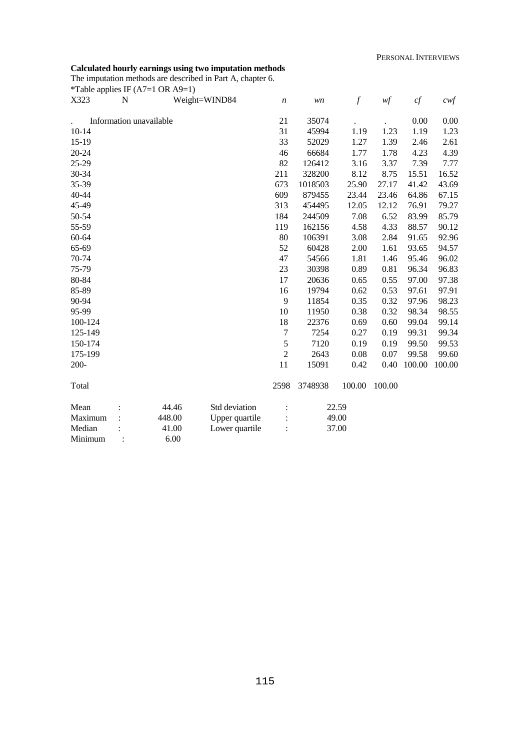## **Calculated hourly earnings using two imputation methods**

The imputation methods are described in Part A, chapter 6. \*Table applies IF  $(47-1 \text{ OR } 49-1)$ 

|           |                | Table applies IF ( $A$ /=1 OK $A$ 9=1) |                |                  |         |                  |               |        |                   |
|-----------|----------------|----------------------------------------|----------------|------------------|---------|------------------|---------------|--------|-------------------|
| X323      | N              |                                        | Weight=WIND84  | $\boldsymbol{n}$ | wn      | $\boldsymbol{f}$ | $\mathit{wf}$ | cf     | $c \mathcal{w} f$ |
|           |                | Information unavailable                |                | 21               | 35074   |                  |               | 0.00   | 0.00              |
| $10 - 14$ |                |                                        |                | 31               | 45994   | 1.19             | 1.23          | 1.19   | 1.23              |
| 15-19     |                |                                        |                | 33               | 52029   | 1.27             | 1.39          | 2.46   | 2.61              |
| 20-24     |                |                                        |                | 46               | 66684   | 1.77             | 1.78          | 4.23   | 4.39              |
| 25-29     |                |                                        |                | 82               | 126412  | 3.16             | 3.37          | 7.39   | 7.77              |
| 30-34     |                |                                        |                | 211              | 328200  | 8.12             | 8.75          | 15.51  | 16.52             |
| 35-39     |                |                                        |                | 673              | 1018503 | 25.90            | 27.17         | 41.42  | 43.69             |
| 40-44     |                |                                        |                | 609              | 879455  | 23.44            | 23.46         | 64.86  | 67.15             |
| 45-49     |                |                                        |                | 313              | 454495  | 12.05            | 12.12         | 76.91  | 79.27             |
| 50-54     |                |                                        |                | 184              | 244509  | 7.08             | 6.52          | 83.99  | 85.79             |
| 55-59     |                |                                        |                | 119              | 162156  | 4.58             | 4.33          | 88.57  | 90.12             |
| 60-64     |                |                                        |                | 80               | 106391  | 3.08             | 2.84          | 91.65  | 92.96             |
| 65-69     |                |                                        |                | 52               | 60428   | 2.00             | 1.61          | 93.65  | 94.57             |
| 70-74     |                |                                        |                | 47               | 54566   | 1.81             | 1.46          | 95.46  | 96.02             |
| 75-79     |                |                                        |                | 23               | 30398   | 0.89             | 0.81          | 96.34  | 96.83             |
| 80-84     |                |                                        |                | 17               | 20636   | 0.65             | 0.55          | 97.00  | 97.38             |
| 85-89     |                |                                        |                | 16               | 19794   | 0.62             | 0.53          | 97.61  | 97.91             |
| 90-94     |                |                                        |                | 9                | 11854   | 0.35             | 0.32          | 97.96  | 98.23             |
| 95-99     |                |                                        |                | 10               | 11950   | 0.38             | 0.32          | 98.34  | 98.55             |
| 100-124   |                |                                        |                | 18               | 22376   | 0.69             | 0.60          | 99.04  | 99.14             |
| 125-149   |                |                                        |                | $\boldsymbol{7}$ | 7254    | 0.27             | 0.19          | 99.31  | 99.34             |
| 150-174   |                |                                        |                | 5                | 7120    | 0.19             | 0.19          | 99.50  | 99.53             |
| 175-199   |                |                                        |                | $\overline{c}$   | 2643    | 0.08             | 0.07          | 99.58  | 99.60             |
| $200 -$   |                |                                        |                | 11               | 15091   | 0.42             | 0.40          | 100.00 | 100.00            |
| Total     |                |                                        |                | 2598             | 3748938 | 100.00           | 100.00        |        |                   |
| Mean      |                | 44.46                                  | Std deviation  |                  |         | 22.59            |               |        |                   |
| Maximum   |                | 448.00                                 | Upper quartile |                  |         | 49.00            |               |        |                   |
| Median    |                | 41.00                                  | Lower quartile |                  |         | 37.00            |               |        |                   |
| Minimum   | $\ddot{\cdot}$ | 6.00                                   |                |                  |         |                  |               |        |                   |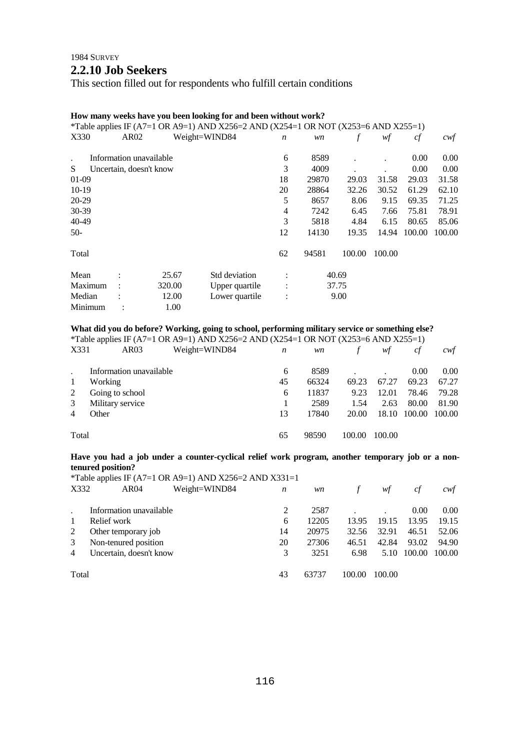## 1984 SURVEY **2.2.10 Job Seekers**

This section filled out for respondents who fulfill certain conditions

## **How many weeks have you been looking for and been without work?**

|      |                                                            | $\boldsymbol{n}$                          | wn                                                |        | wf                     | cf     | cwf                                                                                |
|------|------------------------------------------------------------|-------------------------------------------|---------------------------------------------------|--------|------------------------|--------|------------------------------------------------------------------------------------|
|      |                                                            | 6                                         | 8589                                              |        |                        | 0.00   | $0.00\,$                                                                           |
|      |                                                            | 3                                         | 4009                                              |        |                        | 0.00   | 0.00                                                                               |
|      |                                                            | 18                                        | 29870                                             | 29.03  | 31.58                  | 29.03  | 31.58                                                                              |
|      |                                                            | 20                                        | 28864                                             | 32.26  | 30.52                  | 61.29  | 62.10                                                                              |
|      |                                                            | 5                                         | 8657                                              | 8.06   | 9.15                   | 69.35  | 71.25                                                                              |
|      |                                                            | 4                                         | 7242                                              | 6.45   | 7.66                   | 75.81  | 78.91                                                                              |
|      |                                                            | 3                                         | 5818                                              | 4.84   | 6.15                   | 80.65  | 85.06                                                                              |
|      |                                                            | 12                                        | 14130                                             | 19.35  | 14.94                  | 100.00 | 100.00                                                                             |
|      |                                                            | 62                                        | 94581                                             | 100.00 | 100.00                 |        |                                                                                    |
|      |                                                            |                                           |                                                   |        |                        |        |                                                                                    |
|      |                                                            |                                           |                                                   |        |                        |        |                                                                                    |
|      |                                                            | $\ddot{\cdot}$                            |                                                   |        |                        |        |                                                                                    |
| 1.00 |                                                            |                                           |                                                   |        |                        |        |                                                                                    |
|      | AR02<br>Information unavailable<br>Uncertain, doesn't know | Weight=WIND84<br>25.67<br>320.00<br>12.00 | Std deviation<br>Upper quartile<br>Lower quartile |        | 40.69<br>37.75<br>9.00 |        | *Table applies IF (A7=1 OR A9=1) AND X256=2 AND (X254=1 OR NOT (X253=6 AND X255=1) |

## **What did you do before? Working, going to school, performing military service or something else?**

|       | *Table applies IF (A7=1 OR A9=1) AND X256=2 AND (X254=1 OR NOT (X253=6 AND X255=1) |               |    |       |        |        |        |        |  |
|-------|------------------------------------------------------------------------------------|---------------|----|-------|--------|--------|--------|--------|--|
| X331  | AR03                                                                               | Weight=WIND84 | n  | wn    |        | wf     | сf     | cwt    |  |
|       | Information unavailable                                                            |               | 6  | 8589  |        |        | 0.00   | 0.00   |  |
| -1    | Working                                                                            |               | 45 | 66324 | 69.23  | 67.27  | 69.23  | 67.27  |  |
| 2     | Going to school                                                                    |               | 6  | 11837 | 9.23   | 12.01  | 78.46  | 79.28  |  |
| 3     | Military service                                                                   |               |    | 2589  | 1.54   | 2.63   | 80.00  | 81.90  |  |
| 4     | Other                                                                              |               | 13 | 17840 | 20.00  | 18.10  | 100.00 | 100.00 |  |
| Total |                                                                                    |               | 65 | 98590 | 100.00 | 100.00 |        |        |  |

## **Have you had a job under a counter-cyclical relief work program, another temporary job or a nontenured position?**

|       |                         |               |    |       | *Table applies IF (A7=1 OR A9=1) AND X256=2 AND X331=1 |        |        |        |  |  |  |  |  |  |
|-------|-------------------------|---------------|----|-------|--------------------------------------------------------|--------|--------|--------|--|--|--|--|--|--|
| X332  | AR <sub>04</sub>        | Weight=WIND84 | n  | wn    |                                                        | wf     | ct     | cwt    |  |  |  |  |  |  |
|       | Information unavailable |               |    | 2587  |                                                        |        | 0.00   | 0.00   |  |  |  |  |  |  |
| 1     | Relief work             |               | 6  | 12205 | 13.95                                                  | 19.15  | 13.95  | 19.15  |  |  |  |  |  |  |
| 2     | Other temporary job     |               | 14 | 20975 | 32.56                                                  | 32.91  | 46.51  | 52.06  |  |  |  |  |  |  |
| 3     | Non-tenured position    |               | 20 | 27306 | 46.51                                                  | 42.84  | 93.02  | 94.90  |  |  |  |  |  |  |
| 4     | Uncertain, doesn't know |               |    | 3251  | 6.98                                                   | 5.10   | 100.00 | 100.00 |  |  |  |  |  |  |
| Total |                         |               | 43 | 63737 | 100.00                                                 | 100.00 |        |        |  |  |  |  |  |  |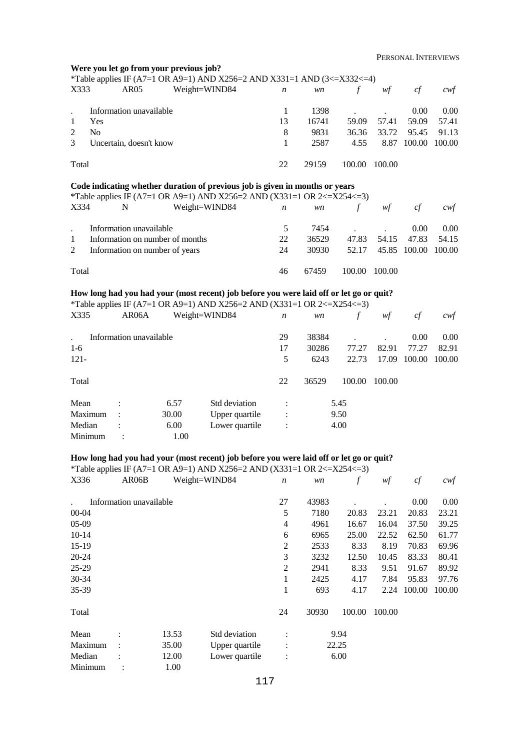|                |                | Were you let go from your previous job? |       | *Table applies IF (A7=1 OR A9=1) AND X256=2 AND X331=1 AND (3<=X332<=4)                                                                                               |                          |               |        |        |        |        |
|----------------|----------------|-----------------------------------------|-------|-----------------------------------------------------------------------------------------------------------------------------------------------------------------------|--------------------------|---------------|--------|--------|--------|--------|
| X333           |                | AR05                                    |       | Weight=WIND84                                                                                                                                                         | n                        | wn            | $\int$ | wf     | cf     | cwf    |
|                |                | Information unavailable                 |       |                                                                                                                                                                       | 1                        | 1398          |        |        | 0.00   | 0.00   |
| 1              | Yes            |                                         |       |                                                                                                                                                                       | 13                       | 16741         | 59.09  | 57.41  | 59.09  | 57.41  |
| $\overline{2}$ | N <sub>o</sub> |                                         |       |                                                                                                                                                                       | 8                        | 9831          | 36.36  | 33.72  | 95.45  | 91.13  |
| 3              |                | Uncertain, doesn't know                 |       |                                                                                                                                                                       | 1                        | 2587          | 4.55   | 8.87   | 100.00 | 100.00 |
| Total          |                |                                         |       |                                                                                                                                                                       | 22                       | 29159         | 100.00 | 100.00 |        |        |
|                |                |                                         |       | Code indicating whether duration of previous job is given in months or years                                                                                          |                          |               |        |        |        |        |
|                |                |                                         |       | *Table applies IF (A7=1 OR A9=1) AND X256=2 AND (X331=1 OR 2 <= X254 <= 3)                                                                                            |                          |               |        |        |        |        |
| X334           |                | N                                       |       | Weight=WIND84                                                                                                                                                         | n                        | wn            | $\int$ | wf     | cf     | $c$ wf |
|                |                | Information unavailable                 |       |                                                                                                                                                                       | 5                        | 7454          |        |        | 0.00   | 0.00   |
| 1              |                | Information on number of months         |       |                                                                                                                                                                       | 22                       | 36529         | 47.83  | 54.15  | 47.83  | 54.15  |
| 2              |                | Information on number of years          |       |                                                                                                                                                                       | 24                       | 30930         | 52.17  | 45.85  | 100.00 | 100.00 |
| Total          |                |                                         |       |                                                                                                                                                                       | 46                       | 67459         | 100.00 | 100.00 |        |        |
|                |                |                                         |       | How long had you had your (most recent) job before you were laid off or let go or quit?                                                                               |                          |               |        |        |        |        |
|                |                |                                         |       | *Table applies IF (A7=1 OR A9=1) AND X256=2 AND (X331=1 OR 2 <= X254 <= 3)                                                                                            |                          |               |        |        |        |        |
| X335           |                | AR06A                                   |       | Weight=WIND84                                                                                                                                                         | $\boldsymbol{n}$         | wn            | $\int$ | wf     | cf     | $c$ wf |
|                |                | Information unavailable                 |       |                                                                                                                                                                       | 29                       | 38384         |        |        | 0.00   | 0.00   |
| $1-6$          |                |                                         |       |                                                                                                                                                                       | 17                       | 30286         | 77.27  | 82.91  | 77.27  | 82.91  |
| $121 -$        |                |                                         |       |                                                                                                                                                                       | 5                        | 6243          | 22.73  | 17.09  | 100.00 | 100.00 |
| Total          |                |                                         |       |                                                                                                                                                                       | 22                       | 36529         | 100.00 | 100.00 |        |        |
| Mean           |                |                                         | 6.57  | Std deviation                                                                                                                                                         |                          |               | 5.45   |        |        |        |
|                | Maximum        |                                         | 30.00 | Upper quartile                                                                                                                                                        | $\ddot{\cdot}$           |               | 9.50   |        |        |        |
| Median         |                |                                         | 6.00  | Lower quartile                                                                                                                                                        |                          |               | 4.00   |        |        |        |
|                | Minimum        |                                         | 1.00  |                                                                                                                                                                       |                          |               |        |        |        |        |
|                |                |                                         |       |                                                                                                                                                                       |                          |               |        |        |        |        |
|                |                |                                         |       | How long had you had your (most recent) job before you were laid off or let go or quit?<br>*Table applies IF (A7=1 OR A9=1) AND X256=2 AND (X331=1 OR 2 <= X254 <= 3) |                          |               |        |        |        |        |
| X336           |                | AR06B                                   |       | Weight=WIND84                                                                                                                                                         | $\boldsymbol{n}$         | $\mathit{wn}$ | f      | wf     | cf     | cwf    |
|                |                |                                         |       |                                                                                                                                                                       |                          |               |        |        |        |        |
|                |                | Information unavailable                 |       |                                                                                                                                                                       | 27                       | 43983         |        |        | 0.00   | 0.00   |
| $00 - 04$      |                |                                         |       |                                                                                                                                                                       | $\mathfrak s$            | 7180          | 20.83  | 23.21  | 20.83  | 23.21  |
| 05-09          |                |                                         |       |                                                                                                                                                                       | $\overline{\mathcal{A}}$ | 4961          | 16.67  | 16.04  | 37.50  | 39.25  |
| $10 - 14$      |                |                                         |       |                                                                                                                                                                       | 6                        | 6965          | 25.00  | 22.52  | 62.50  | 61.77  |
| 15-19          |                |                                         |       |                                                                                                                                                                       | $\sqrt{2}$               | 2533          | 8.33   | 8.19   | 70.83  | 69.96  |
| $20 - 24$      |                |                                         |       |                                                                                                                                                                       | 3                        | 3232          | 12.50  | 10.45  | 83.33  | 80.41  |
| 25-29          |                |                                         |       |                                                                                                                                                                       | $\mathfrak{2}$           | 2941          | 8.33   | 9.51   | 91.67  | 89.92  |

Total

30-34 35-39

| Mean    | 13.53 | Std deviation  | ٠ | 9.94  |
|---------|-------|----------------|---|-------|
| Maximum | 35.00 | Upper quartile |   | 22.25 |
| Median  | 12.00 | Lower quartile |   | 6.00  |
| Minimum | .00   |                |   |       |

 1 2425 4.17 7.84 95.83 97.76 1 693 4.17 2.24 100.00 100.00

24 30930 100.00 100.00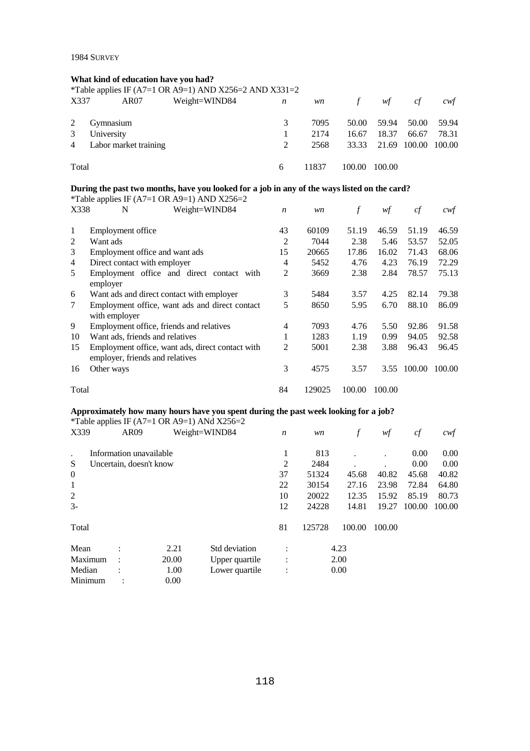## **What kind of education have you had?**

|                |                       | *Table applies IF (A7=1 OR A9=1) AND X256=2 AND X331=2 |   |       |        |                           |       |       |
|----------------|-----------------------|--------------------------------------------------------|---|-------|--------|---------------------------|-------|-------|
| X337           | AR07                  | Weight=WIND84                                          | n | wn    | $\int$ | wf                        | c f   | cwt   |
| 2              | Gymnasium             |                                                        | 3 | 7095  |        | 50.00 59.94               | 50.00 | 59.94 |
| 3              | University            |                                                        |   | 2174  | 16.67  | 18.37                     | 66.67 | 78.31 |
| $\overline{4}$ | Labor market training |                                                        |   | 2568  |        | 33.33 21.69 100.00 100.00 |       |       |
| Total          |                       |                                                        | 6 | 11837 | 100.00 | 100.00                    |       |       |

# **During the past two months, have you looked for a job in any of the ways listed on the card?**<br> **Example 10** (A7, 1.0D, A0, 1), AND Y256, 2.

|       | *Table applies IF (A7=1 OR A9=1) AND X256=2      |                  |        |        |        |        |        |
|-------|--------------------------------------------------|------------------|--------|--------|--------|--------|--------|
| X338  | Weight=WIND84<br>N                               | $\boldsymbol{n}$ | wn     | $\int$ | wf     | cf     | cwf    |
| 1     | Employment office                                | 43               | 60109  | 51.19  | 46.59  | 51.19  | 46.59  |
| 2     | Want ads                                         | 2                | 7044   | 2.38   | 5.46   | 53.57  | 52.05  |
| 3     | Employment office and want ads                   | 15               | 20665  | 17.86  | 16.02  | 71.43  | 68.06  |
| 4     | Direct contact with employer                     | 4                | 5452   | 4.76   | 4.23   | 76.19  | 72.29  |
| 5     | Employment office and direct contact with        | $\overline{2}$   | 3669   | 2.38   | 2.84   | 78.57  | 75.13  |
|       | employer                                         |                  |        |        |        |        |        |
| 6     | Want ads and direct contact with employer        | 3                | 5484   | 3.57   | 4.25   | 82.14  | 79.38  |
| 7     | Employment office, want ads and direct contact   | 5                | 8650   | 5.95   | 6.70   | 88.10  | 86.09  |
|       | with employer                                    |                  |        |        |        |        |        |
| 9     | Employment office, friends and relatives         | 4                | 7093   | 4.76   | 5.50   | 92.86  | 91.58  |
| 10    | Want ads, friends and relatives                  |                  | 1283   | 1.19   | 0.99   | 94.05  | 92.58  |
| 15    | Employment office, want ads, direct contact with | 2                | 5001   | 2.38   | 3.88   | 96.43  | 96.45  |
|       | employer, friends and relatives                  |                  |        |        |        |        |        |
| 16    | Other ways                                       | 3                | 4575   | 3.57   | 3.55   | 100.00 | 100.00 |
| Total |                                                  | 84               | 129025 | 100.00 | 100.00 |        |        |

## **Approximately how many hours have you spent during the past week looking for a job?**

|          |                         |       | *Table applies IF (A7=1 OR A9=1) ANd $X256=2$ |                  |        |        |        |        |        |
|----------|-------------------------|-------|-----------------------------------------------|------------------|--------|--------|--------|--------|--------|
| X339     | AR <sub>09</sub>        |       | Weight=WIND84                                 | $\boldsymbol{n}$ | wn     | f      | wf     | cf     | cwf    |
|          | Information unavailable |       |                                               | 1                | 813    |        |        | 0.00   | 0.00   |
| S        | Uncertain, doesn't know |       |                                               | 2                | 2484   |        |        | 0.00   | 0.00   |
| $\theta$ |                         |       |                                               | 37               | 51324  | 45.68  | 40.82  | 45.68  | 40.82  |
| 1        |                         |       |                                               | 22               | 30154  | 27.16  | 23.98  | 72.84  | 64.80  |
| 2        |                         |       |                                               | 10               | 20022  | 12.35  | 15.92  | 85.19  | 80.73  |
| $3 -$    |                         |       |                                               | 12               | 24228  | 14.81  | 19.27  | 100.00 | 100.00 |
| Total    |                         |       |                                               | 81               | 125728 | 100.00 | 100.00 |        |        |
| Mean     | $\bullet$               | 2.21  | Std deviation                                 | $\ddot{\cdot}$   |        | 4.23   |        |        |        |
| Maximum  |                         | 20.00 | Upper quartile                                | $\ddot{\cdot}$   |        | 2.00   |        |        |        |
| Median   |                         | 1.00  | Lower quartile                                | $\ddot{\cdot}$   |        | 0.00   |        |        |        |
| Minimum  |                         | 0.00  |                                               |                  |        |        |        |        |        |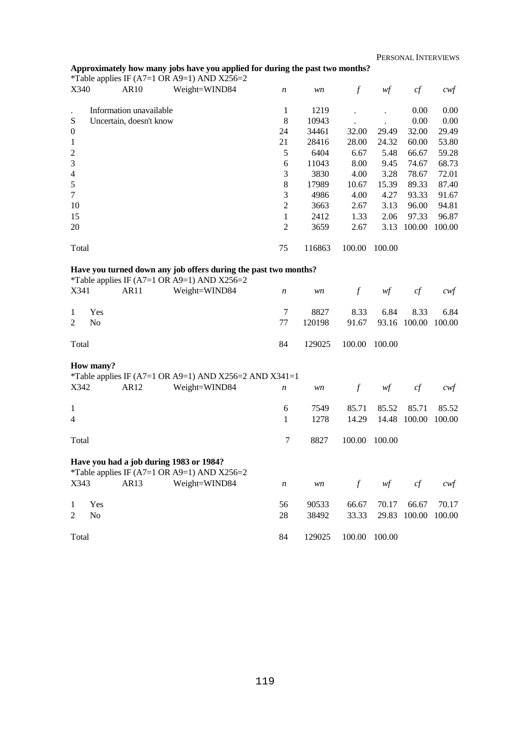## **Approximately how many jobs have you applied for during the past two months?**

|                  | *Table applies IF (A7=1 OR A9=1) AND X256=2 |               |                  |        |        |        |        |        |
|------------------|---------------------------------------------|---------------|------------------|--------|--------|--------|--------|--------|
| X340             | AR <sub>10</sub>                            | Weight=WIND84 | $\boldsymbol{n}$ | wn     | $\int$ | wf     | cf     | cwf    |
|                  |                                             |               |                  |        |        |        |        |        |
|                  | Information unavailable                     |               | 1                | 1219   |        |        | 0.00   | 0.00   |
| S                | Uncertain, doesn't know                     |               | 8                | 10943  |        |        | 0.00   | 0.00   |
| $\boldsymbol{0}$ |                                             |               | 24               | 34461  | 32.00  | 29.49  | 32.00  | 29.49  |
| 1                |                                             |               | 21               | 28416  | 28.00  | 24.32  | 60.00  | 53.80  |
| $\overline{2}$   |                                             |               | 5                | 6404   | 6.67   | 5.48   | 66.67  | 59.28  |
| 3                |                                             |               | 6                | 11043  | 8.00   | 9.45   | 74.67  | 68.73  |
| $\overline{4}$   |                                             |               | 3                | 3830   | 4.00   | 3.28   | 78.67  | 72.01  |
| 5                |                                             |               | 8                | 17989  | 10.67  | 15.39  | 89.33  | 87.40  |
| 7                |                                             |               | 3                | 4986   | 4.00   | 4.27   | 93.33  | 91.67  |
| 10               |                                             |               | 2                | 3663   | 2.67   | 3.13   | 96.00  | 94.81  |
| 15               |                                             |               | 1                | 2412   | 1.33   | 2.06   | 97.33  | 96.87  |
| 20               |                                             |               | $\overline{2}$   | 3659   | 2.67   | 3.13   | 100.00 | 100.00 |
|                  |                                             |               |                  |        |        |        |        |        |
| Total            |                                             |               | 75               | 116863 | 100.00 | 100.00 |        |        |

#### **Have you turned down any job offers during the past two months?**

| *Table applies IF (A7=1 OR A9=1) AND X256=2 |                    |  |                         |                |        |               |                           |  |      |
|---------------------------------------------|--------------------|--|-------------------------|----------------|--------|---------------|---------------------------|--|------|
|                                             |                    |  | X341 AR11 Weight=WIND84 | $\overline{n}$ |        | wn f wf cf    |                           |  | cwt  |
|                                             |                    |  |                         |                |        |               |                           |  |      |
|                                             | 1 Yes              |  |                         |                | 8827   |               | 8.33 6.84 8.33            |  | 6.84 |
| 2                                           | $\overline{N_{0}}$ |  |                         | 77             | 120198 |               | 91.67 93.16 100.00 100.00 |  |      |
|                                             |                    |  |                         |                |        |               |                           |  |      |
| Total                                       |                    |  |                         | 84             | 129025 | 100.00 100.00 |                           |  |      |
|                                             |                    |  |                         |                |        |               |                           |  |      |

#### **How many?**

|                |                |                  | *Table applies IF (A7=1 OR A9=1) AND X256=2 AND X341=1                                 |                  |        |        |        |        |        |
|----------------|----------------|------------------|----------------------------------------------------------------------------------------|------------------|--------|--------|--------|--------|--------|
| X342           |                | AR <sub>12</sub> | Weight=WIND84                                                                          | $\boldsymbol{n}$ | wn     | f      | wf     | cf     | cwf    |
| 1              |                |                  |                                                                                        | 6                | 7549   | 85.71  | 85.52  | 85.71  | 85.52  |
| $\overline{4}$ |                |                  |                                                                                        | 1                | 1278   | 14.29  | 14.48  | 100.00 | 100.00 |
| Total          |                |                  |                                                                                        | 7                | 8827   | 100.00 | 100.00 |        |        |
|                |                |                  | Have you had a job during 1983 or 1984?<br>*Table applies IF (A7=1 OR A9=1) AND X256=2 |                  |        |        |        |        |        |
| X343           |                | AR <sub>13</sub> | Weight=WIND84                                                                          | $\boldsymbol{n}$ | wn     | f      | wf     | cf     | cwf    |
| 1              | Yes            |                  |                                                                                        | 56               | 90533  | 66.67  | 70.17  | 66.67  | 70.17  |
| $\mathfrak{D}$ | N <sub>0</sub> |                  |                                                                                        | 28               | 38492  | 33.33  | 29.83  | 100.00 | 100.00 |
| Total          |                |                  |                                                                                        | 84               | 129025 | 100.00 | 100.00 |        |        |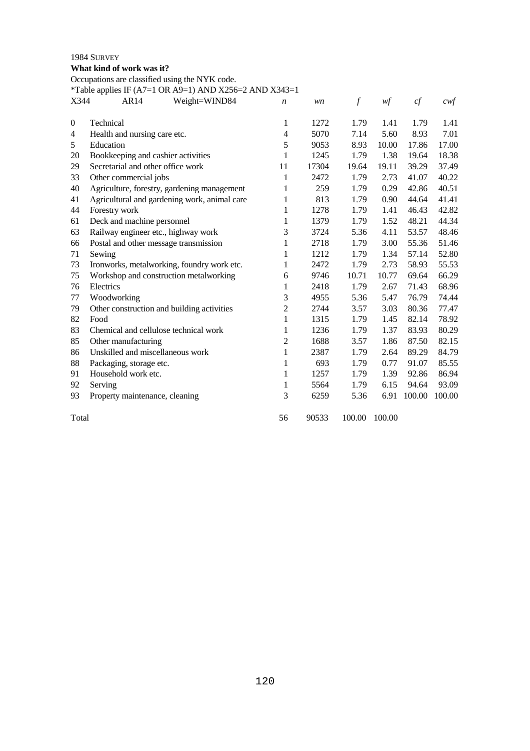## **What kind of work was it?**

Occupations are classified using the NYK code.

*\**Table applies IF (A7=1 OR A9=1) AND X256=2 AND X343=1

| X344             | Table applies II $(A) = 1$ ON $(A) = 1$ Also $A250 = 2$ Also $A35 = 1$<br>Weight=WIND84<br>AR14 | n              | wn    | $\mathcal{f}$ | wf     | cf     | $c \mathsf{w} f$ |
|------------------|-------------------------------------------------------------------------------------------------|----------------|-------|---------------|--------|--------|------------------|
|                  |                                                                                                 |                |       |               |        |        |                  |
| $\boldsymbol{0}$ | Technical                                                                                       | 1              | 1272  | 1.79          | 1.41   | 1.79   | 1.41             |
| 4                | Health and nursing care etc.                                                                    | $\overline{4}$ | 5070  | 7.14          | 5.60   | 8.93   | 7.01             |
| 5                | Education                                                                                       | 5              | 9053  | 8.93          | 10.00  | 17.86  | 17.00            |
| 20               | Bookkeeping and cashier activities                                                              | 1              | 1245  | 1.79          | 1.38   | 19.64  | 18.38            |
| 29               | Secretarial and other office work                                                               | 11             | 17304 | 19.64         | 19.11  | 39.29  | 37.49            |
| 33               | Other commercial jobs                                                                           | 1              | 2472  | 1.79          | 2.73   | 41.07  | 40.22            |
| 40               | Agriculture, forestry, gardening management                                                     | 1              | 259   | 1.79          | 0.29   | 42.86  | 40.51            |
| 41               | Agricultural and gardening work, animal care                                                    | 1              | 813   | 1.79          | 0.90   | 44.64  | 41.41            |
| 44               | Forestry work                                                                                   | 1              | 1278  | 1.79          | 1.41   | 46.43  | 42.82            |
| 61               | Deck and machine personnel                                                                      | 1              | 1379  | 1.79          | 1.52   | 48.21  | 44.34            |
| 63               | Railway engineer etc., highway work                                                             | 3              | 3724  | 5.36          | 4.11   | 53.57  | 48.46            |
| 66               | Postal and other message transmission                                                           | 1              | 2718  | 1.79          | 3.00   | 55.36  | 51.46            |
| 71               | Sewing                                                                                          | 1              | 1212  | 1.79          | 1.34   | 57.14  | 52.80            |
| 73               | Ironworks, metalworking, foundry work etc.                                                      | 1              | 2472  | 1.79          | 2.73   | 58.93  | 55.53            |
| 75               | Workshop and construction metalworking                                                          | 6              | 9746  | 10.71         | 10.77  | 69.64  | 66.29            |
| 76               | Electrics                                                                                       | 1              | 2418  | 1.79          | 2.67   | 71.43  | 68.96            |
| 77               | Woodworking                                                                                     | 3              | 4955  | 5.36          | 5.47   | 76.79  | 74.44            |
| 79               | Other construction and building activities                                                      | 2              | 2744  | 3.57          | 3.03   | 80.36  | 77.47            |
| 82               | Food                                                                                            | 1              | 1315  | 1.79          | 1.45   | 82.14  | 78.92            |
| 83               | Chemical and cellulose technical work                                                           | 1              | 1236  | 1.79          | 1.37   | 83.93  | 80.29            |
| 85               | Other manufacturing                                                                             | $\mathbf{2}$   | 1688  | 3.57          | 1.86   | 87.50  | 82.15            |
| 86               | Unskilled and miscellaneous work                                                                | 1              | 2387  | 1.79          | 2.64   | 89.29  | 84.79            |
| 88               | Packaging, storage etc.                                                                         | 1              | 693   | 1.79          | 0.77   | 91.07  | 85.55            |
| 91               | Household work etc.                                                                             | 1              | 1257  | 1.79          | 1.39   | 92.86  | 86.94            |
| 92               | Serving                                                                                         | 1              | 5564  | 1.79          | 6.15   | 94.64  | 93.09            |
| 93               | Property maintenance, cleaning                                                                  | 3              | 6259  | 5.36          | 6.91   | 100.00 | 100.00           |
| Total            |                                                                                                 | 56             | 90533 | 100.00        | 100.00 |        |                  |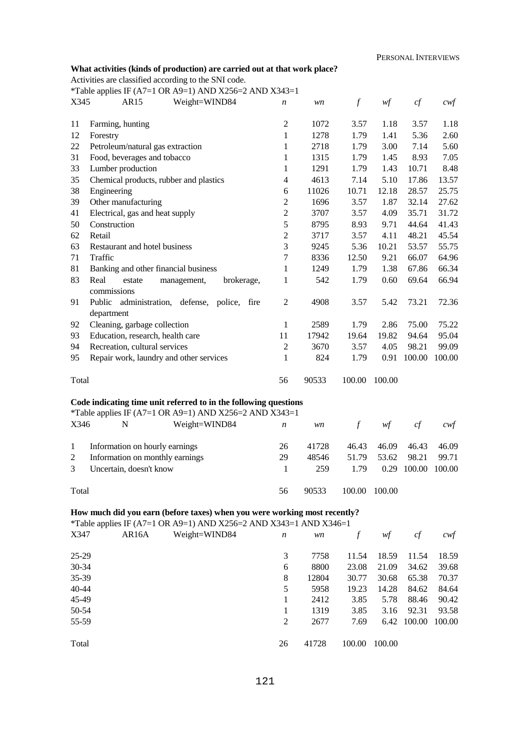## **What activities (kinds of production) are carried out at that work place?**

Activities are classified according to the SNI code.

Total

*\**Table applies IF (A7=1 OR A9=1) AND X256=2 AND X343=1

|                       |          | Table applies If $(A/-1$ ON $A/-1$ Also $A200-Z$ Also $A3+3-1$                                                                                                                                                                                                                                                                     |
|-----------------------|----------|------------------------------------------------------------------------------------------------------------------------------------------------------------------------------------------------------------------------------------------------------------------------------------------------------------------------------------|
| <b>TTA</b> <i>i</i> = | $\cdots$ | $\mathbf{v}$ $\mathbf{v}$ $\mathbf{v}$ $\mathbf{v}$ $\mathbf{v}$ $\mathbf{v}$ $\mathbf{v}$ $\mathbf{v}$ $\mathbf{v}$ $\mathbf{v}$ $\mathbf{v}$ $\mathbf{v}$ $\mathbf{v}$ $\mathbf{v}$ $\mathbf{v}$ $\mathbf{v}$ $\mathbf{v}$ $\mathbf{v}$ $\mathbf{v}$ $\mathbf{v}$ $\mathbf{v}$ $\mathbf{v}$ $\mathbf{v}$ $\mathbf{v}$ $\mathbf{$ |

| X345     | Weight=WIND84<br>AR <sub>15</sub>                                                                                                              | n                              | wn           | $\boldsymbol{f}$ | wf                                     | cf           | $c \mathcal{w} f$ |
|----------|------------------------------------------------------------------------------------------------------------------------------------------------|--------------------------------|--------------|------------------|----------------------------------------|--------------|-------------------|
|          |                                                                                                                                                |                                |              |                  |                                        |              |                   |
| 11<br>12 | Farming, hunting                                                                                                                               | $\mathfrak{2}$<br>$\mathbf{1}$ | 1072<br>1278 | 3.57<br>1.79     | 1.18<br>1.41                           | 3.57<br>5.36 | 1.18              |
| 22       | Forestry<br>Petroleum/natural gas extraction                                                                                                   | 1                              | 2718         | 1.79             | 3.00                                   | 7.14         | 2.60<br>5.60      |
| 31       | Food, beverages and tobacco                                                                                                                    | 1                              | 1315         | 1.79             | 1.45                                   | 8.93         | 7.05              |
| 33       | Lumber production                                                                                                                              | 1                              | 1291         | 1.79             | 1.43                                   | 10.71        | 8.48              |
| 35       | Chemical products, rubber and plastics                                                                                                         | 4                              | 4613         | 7.14             | 5.10                                   | 17.86        | 13.57             |
| 38       | Engineering                                                                                                                                    | 6                              | 11026        | 10.71            | 12.18                                  | 28.57        | 25.75             |
| 39       | Other manufacturing                                                                                                                            | $\overline{c}$                 | 1696         | 3.57             | 1.87                                   | 32.14        | 27.62             |
| 41       | Electrical, gas and heat supply                                                                                                                | $\overline{c}$                 | 3707         | 3.57             | 4.09                                   | 35.71        | 31.72             |
| 50       | Construction                                                                                                                                   | 5                              | 8795         | 8.93             | 9.71                                   | 44.64        | 41.43             |
| 62       | Retail                                                                                                                                         | $\mathfrak{2}$                 | 3717         | 3.57             | 4.11                                   | 48.21        | 45.54             |
| 63       | Restaurant and hotel business                                                                                                                  | 3                              | 9245         | 5.36             | 10.21                                  | 53.57        | 55.75             |
| 71       | Traffic                                                                                                                                        | 7                              | 8336         | 12.50            | 9.21                                   | 66.07        | 64.96             |
| 81       | Banking and other financial business                                                                                                           | 1                              | 1249         | 1.79             | 1.38                                   | 67.86        | 66.34             |
| 83       | Real<br>brokerage,<br>estate<br>management,                                                                                                    | 1                              | 542          | 1.79             | 0.60                                   | 69.64        | 66.94             |
|          | commissions                                                                                                                                    |                                |              |                  |                                        |              |                   |
| 91       | Public<br>administration, defense, police,<br>fire                                                                                             | 2                              | 4908         | 3.57             | 5.42                                   | 73.21        | 72.36             |
|          | department                                                                                                                                     |                                |              |                  |                                        |              |                   |
| 92       | Cleaning, garbage collection                                                                                                                   | 1                              | 2589         | 1.79             | 2.86                                   | 75.00        | 75.22             |
| 93       | Education, research, health care                                                                                                               | 11                             | 17942        | 19.64            | 19.82                                  | 94.64        | 95.04             |
| 94       | Recreation, cultural services                                                                                                                  | $\mathfrak{2}$                 | 3670         | 3.57             | 4.05                                   | 98.21        | 99.09             |
| 95       | Repair work, laundry and other services                                                                                                        | 1                              | 824          | 1.79             | 0.91                                   | 100.00       | 100.00            |
|          |                                                                                                                                                |                                |              |                  |                                        |              |                   |
| Total    |                                                                                                                                                | 56                             | 90533        | 100.00           | 100.00                                 |              |                   |
|          |                                                                                                                                                |                                |              |                  |                                        |              |                   |
|          | Code indicating time unit referred to in the following questions                                                                               |                                |              |                  |                                        |              |                   |
|          | *Table applies IF (A7=1 OR A9=1) AND X256=2 AND X343=1                                                                                         |                                |              |                  |                                        |              |                   |
| X346     | N<br>Weight=WIND84                                                                                                                             | n                              | wn           | $\mathcal{f}$    | $\mathcal{W}\hspace{-0.5mm}\textit{f}$ | cf           | cwf               |
| 1        | Information on hourly earnings                                                                                                                 | 26                             | 41728        | 46.43            | 46.09                                  | 46.43        | 46.09             |
| 2        | Information on monthly earnings                                                                                                                | 29                             | 48546        | 51.79            | 53.62                                  | 98.21        | 99.71             |
| 3        | Uncertain, doesn't know                                                                                                                        | 1                              | 259          | 1.79             | 0.29                                   | 100.00       | 100.00            |
|          |                                                                                                                                                |                                |              |                  |                                        |              |                   |
| Total    |                                                                                                                                                | 56                             | 90533        | 100.00           | 100.00                                 |              |                   |
|          |                                                                                                                                                |                                |              |                  |                                        |              |                   |
|          | How much did you earn (before taxes) when you were working most recently?<br>*Table applies IF (A7=1 OR A9=1) AND X256=2 AND X343=1 AND X346=1 |                                |              |                  |                                        |              |                   |
| X347     | AR16A<br>Weight=WIND84                                                                                                                         |                                |              |                  |                                        |              |                   |
|          |                                                                                                                                                | n                              | wn           | $\int$           | wf                                     | cf           | $c \mathsf{w} f$  |
| 25-29    |                                                                                                                                                | 3                              | 7758         | 11.54            | 18.59                                  | 11.54        | 18.59             |
| 30-34    |                                                                                                                                                | 6                              | 8800         | 23.08            | 21.09                                  | 34.62        | 39.68             |
| 35-39    |                                                                                                                                                | 8                              | 12804        | 30.77            | 30.68                                  | 65.38        | 70.37             |
| 40-44    |                                                                                                                                                | 5                              | 5958         | 19.23            | 14.28                                  | 84.62        | 84.64             |
| 45-49    |                                                                                                                                                | 1                              | 2412         | 3.85             | 5.78                                   | 88.46        | 90.42             |
| 50-54    |                                                                                                                                                | 1                              | 1319         | 3.85             | 3.16                                   | 92.31        | 93.58             |
| 55-59    |                                                                                                                                                | $\overline{c}$                 | 2677         | 7.69             |                                        | 6.42 100.00  | 100.00            |
|          |                                                                                                                                                |                                |              |                  |                                        |              |                   |

26 41728 100.00 100.00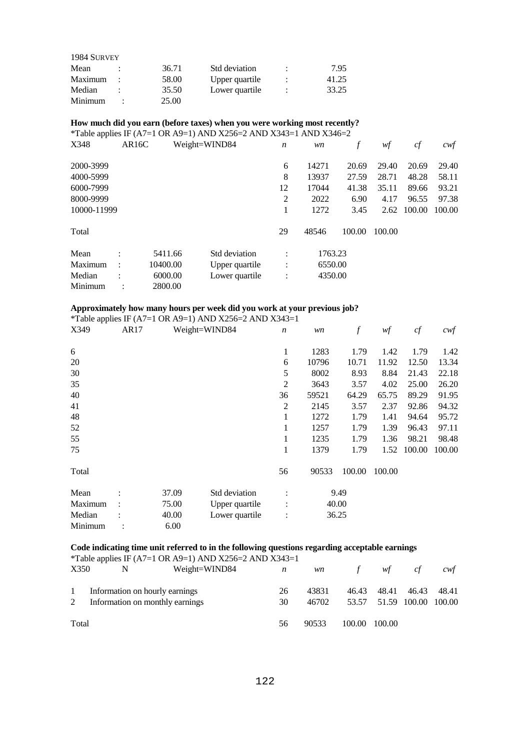| 1984 SURVEY |       |                |   |       |
|-------------|-------|----------------|---|-------|
| Mean        | 36.71 | Std deviation  | ٠ | 7.95  |
| Maximum     | 58.00 | Upper quartile | ÷ | 41.25 |
| Median      | 35.50 | Lower quartile | ٠ | 33.25 |
| Minimum     | 25.00 |                |   |       |

## **How much did you earn (before taxes) when you were working most recently?**

\*Table applies IF (A7=1 OR A9=1) AND X256=2 AND X343=1 AND X346=2

| X348        | AR <sub>16</sub> C |          | Weight=WIND84  | $\boldsymbol{n}$ | wn    | f       | wf     | cf     | cwf    |
|-------------|--------------------|----------|----------------|------------------|-------|---------|--------|--------|--------|
| 2000-3999   |                    |          |                | 6                | 14271 | 20.69   | 29.40  | 20.69  | 29.40  |
| 4000-5999   |                    |          |                | 8                | 13937 | 27.59   | 28.71  | 48.28  | 58.11  |
| 6000-7999   |                    |          |                | 12               | 17044 | 41.38   | 35.11  | 89.66  | 93.21  |
| 8000-9999   |                    |          |                | 2                | 2022  | 6.90    | 4.17   | 96.55  | 97.38  |
| 10000-11999 |                    |          |                | 1                | 1272  | 3.45    | 2.62   | 100.00 | 100.00 |
| Total       |                    |          |                | 29               | 48546 | 100.00  | 100.00 |        |        |
| Mean        | $\bullet$          | 5411.66  | Std deviation  | ٠                |       | 1763.23 |        |        |        |
| Maximum     | $\ddot{\cdot}$     | 10400.00 | Upper quartile | $\ddot{\cdot}$   |       | 6550.00 |        |        |        |
| Median      |                    | 6000.00  | Lower quartile | $\ddot{\cdot}$   |       | 4350.00 |        |        |        |
| Minimum     |                    | 2800.00  |                |                  |       |         |        |        |        |

## **Approximately how many hours per week did you work at your previous job?**

\*Table applies IF (A7=1 OR A9=1) AND X256=2 AND X343=1

| X349    | AR17 |       | Weight=WIND84  | $\boldsymbol{n}$ | wn    | $\boldsymbol{f}$ | wf     | cf     | $c \mathsf{w} f$ |
|---------|------|-------|----------------|------------------|-------|------------------|--------|--------|------------------|
| 6       |      |       |                | 1                | 1283  | 1.79             | 1.42   | 1.79   | 1.42             |
| 20      |      |       |                | 6                | 10796 | 10.71            | 11.92  | 12.50  | 13.34            |
| 30      |      |       |                | 5                | 8002  | 8.93             | 8.84   | 21.43  | 22.18            |
| 35      |      |       |                | $\overline{2}$   | 3643  | 3.57             | 4.02   | 25.00  | 26.20            |
| 40      |      |       |                | 36               | 59521 | 64.29            | 65.75  | 89.29  | 91.95            |
| 41      |      |       |                | $\overline{2}$   | 2145  | 3.57             | 2.37   | 92.86  | 94.32            |
| 48      |      |       |                | 1                | 1272  | 1.79             | 1.41   | 94.64  | 95.72            |
| 52      |      |       |                | 1                | 1257  | 1.79             | 1.39   | 96.43  | 97.11            |
| 55      |      |       |                | 1                | 1235  | 1.79             | 1.36   | 98.21  | 98.48            |
| 75      |      |       |                | 1                | 1379  | 1.79             | 1.52   | 100.00 | 100.00           |
| Total   |      |       |                | 56               | 90533 | 100.00           | 100.00 |        |                  |
| Mean    |      | 37.09 | Std deviation  | $\ddot{\cdot}$   |       | 9.49             |        |        |                  |
| Maximum |      | 75.00 | Upper quartile |                  | 40.00 |                  |        |        |                  |
| Median  |      | 40.00 | Lower quartile | $\ddot{\cdot}$   | 36.25 |                  |        |        |                  |
| Minimum |      | 6.00  |                |                  |       |                  |        |        |                  |

## **Code indicating time unit referred to in the following questions regarding acceptable earnings**

|                   |                                                                   | <i>*Table applies IF (A7=1 OR A9=1) AND X256=2 AND X343=1</i> |                |                |             |                                          |       |                                       |
|-------------------|-------------------------------------------------------------------|---------------------------------------------------------------|----------------|----------------|-------------|------------------------------------------|-------|---------------------------------------|
| X350              | N                                                                 | Weight=WIND84                                                 | $\overline{n}$ |                | $wn$ f $wf$ |                                          | ct    | $\mathcal{C} \mathcal{W} \mathcal{F}$ |
| $\mathbf{1}$<br>2 | Information on hourly earnings<br>Information on monthly earnings |                                                               | 26<br>30       | 43831<br>46702 |             | 46.43 48.41<br>53.57 51.59 100.00 100.00 | 46.43 | 48.41                                 |
| Total             |                                                                   |                                                               | 56             | 90533          |             | 100.00 100.00                            |       |                                       |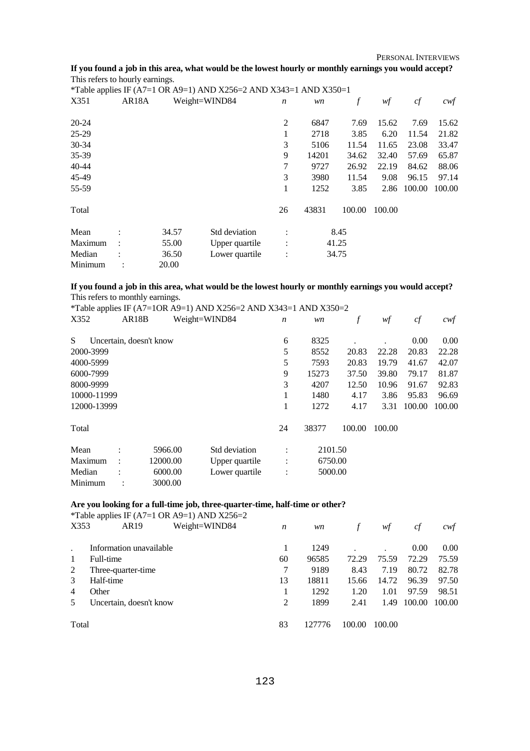PERSONAL INTERVIEWS

## **If you found a job in this area, what would be the lowest hourly or monthly earnings you would accept?**  This refers to hourly earnings.

|           |                    |       | *Table applies IF (A7=1 OR A9=1) AND X256=2 AND X343=1 AND X350=1 |                  |       |        |        |        |        |
|-----------|--------------------|-------|-------------------------------------------------------------------|------------------|-------|--------|--------|--------|--------|
| X351      | AR <sub>18</sub> A |       | Weight=WIND84                                                     | $\boldsymbol{n}$ | wn    | f      | wf     | cf     | cwf    |
| 20-24     |                    |       |                                                                   | $\overline{c}$   | 6847  | 7.69   | 15.62  | 7.69   | 15.62  |
| 25-29     |                    |       |                                                                   | 1                | 2718  | 3.85   | 6.20   | 11.54  | 21.82  |
| 30-34     |                    |       |                                                                   | 3                | 5106  | 11.54  | 11.65  | 23.08  | 33.47  |
| $35-39$   |                    |       |                                                                   | 9                | 14201 | 34.62  | 32.40  | 57.69  | 65.87  |
| $40 - 44$ |                    |       |                                                                   | 7                | 9727  | 26.92  | 22.19  | 84.62  | 88.06  |
| 45-49     |                    |       |                                                                   | 3                | 3980  | 11.54  | 9.08   | 96.15  | 97.14  |
| 55-59     |                    |       |                                                                   | 1                | 1252  | 3.85   | 2.86   | 100.00 | 100.00 |
| Total     |                    |       |                                                                   | 26               | 43831 | 100.00 | 100.00 |        |        |
| Mean      |                    | 34.57 | Std deviation                                                     | $\ddot{\cdot}$   |       | 8.45   |        |        |        |
| Maximum   |                    | 55.00 | Upper quartile                                                    |                  |       | 41.25  |        |        |        |
| Median    |                    | 36.50 | Lower quartile                                                    | $\bullet$        |       | 34.75  |        |        |        |
| Minimum   |                    | 20.00 |                                                                   |                  |       |        |        |        |        |

## **If you found a job in this area, what would be the lowest hourly or monthly earnings you would accept?**  This refers to monthly earnings.

|             |             |                         |               | *Table applies IF (A7=1OR A9=1) AND X256=2 AND X343=1 AND X350=2 |                  |         |        |        |        |        |
|-------------|-------------|-------------------------|---------------|------------------------------------------------------------------|------------------|---------|--------|--------|--------|--------|
| X352        |             | AR <sub>18</sub> B      | Weight=WIND84 |                                                                  | $\boldsymbol{n}$ | wn      | f      | wf     | cf     | cwf    |
| S           |             | Uncertain, doesn't know |               |                                                                  | 6                | 8325    |        |        | 0.00   | 0.00   |
| 2000-3999   |             |                         |               |                                                                  | 5                | 8552    | 20.83  | 22.28  | 20.83  | 22.28  |
| 4000-5999   |             |                         |               |                                                                  | 5                | 7593    | 20.83  | 19.79  | 41.67  | 42.07  |
| 6000-7999   |             |                         |               |                                                                  | 9                | 15273   | 37.50  | 39.80  | 79.17  | 81.87  |
| 8000-9999   |             |                         |               |                                                                  | 3                | 4207    | 12.50  | 10.96  | 91.67  | 92.83  |
|             | 10000-11999 |                         |               |                                                                  |                  | 1480    | 4.17   | 3.86   | 95.83  | 96.69  |
| 12000-13999 |             |                         |               |                                                                  | 1                | 1272    | 4.17   | 3.31   | 100.00 | 100.00 |
| Total       |             |                         |               |                                                                  | 24               | 38377   | 100.00 | 100.00 |        |        |
| Mean        | $\bullet$   | 5966.00                 |               | Std deviation                                                    | $\ddot{\cdot}$   | 2101.50 |        |        |        |        |
| Maximum     |             | 12000.00                |               | Upper quartile                                                   | $\ddot{\cdot}$   | 6750.00 |        |        |        |        |
| Median      |             | 6000.00                 |               | Lower quartile                                                   | ٠                | 5000.00 |        |        |        |        |
| Minimum     |             | 3000.00                 |               |                                                                  |                  |         |        |        |        |        |

## **Are you looking for a full-time job, three-quarter-time, half-time or other?**

|       | *Table applies IF (A7=1 OR A9=1) AND X256=2 |                |        |        |        |        |        |
|-------|---------------------------------------------|----------------|--------|--------|--------|--------|--------|
| X353  | Weight=WIND84<br>AR <sub>19</sub>           | n              | wn     |        | wf     | сf     | cwt    |
|       | Information unavailable                     |                | 1249   |        |        | 0.00   | 0.00   |
| 1     | Full-time                                   | 60             | 96585  | 72.29  | 75.59  | 72.29  | 75.59  |
| 2     | Three-quarter-time                          | 7              | 9189   | 8.43   | 7.19   | 80.72  | 82.78  |
| 3     | Half-time                                   | 13             | 18811  | 15.66  | 14.72  | 96.39  | 97.50  |
| 4     | Other                                       |                | 1292   | 1.20   | 1.01   | 97.59  | 98.51  |
| 5     | Uncertain, doesn't know                     | $\overline{2}$ | 1899   | 2.41   | 1.49   | 100.00 | 100.00 |
| Total |                                             | 83             | 27776ء | 100.00 | 100.00 |        |        |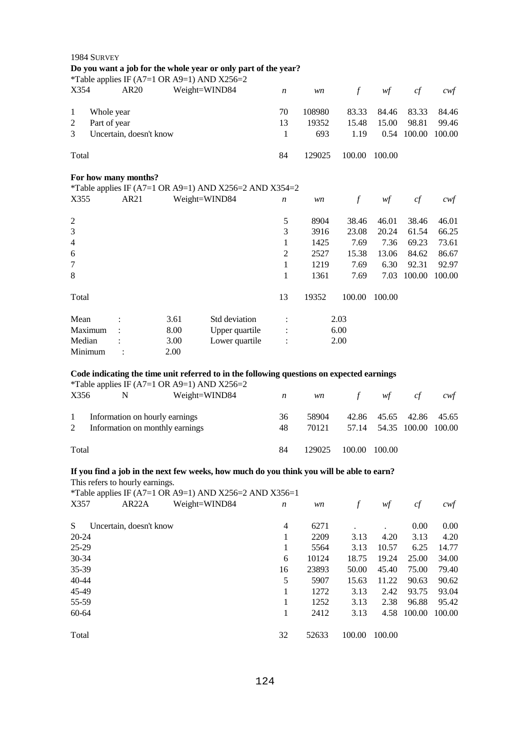| 1984 SURVEY          |                         |      |                                                                |                  |        |               |        |             |        |
|----------------------|-------------------------|------|----------------------------------------------------------------|------------------|--------|---------------|--------|-------------|--------|
|                      |                         |      | Do you want a job for the whole year or only part of the year? |                  |        |               |        |             |        |
|                      |                         |      | *Table applies IF (A7=1 OR A9=1) AND X256=2                    |                  |        |               |        |             |        |
| X354                 | AR <sub>20</sub>        |      | Weight=WIND84                                                  | $\boldsymbol{n}$ | wn     | $\mathcal{f}$ | wf     | cf          | cwf    |
| 1<br>Whole year      |                         |      |                                                                | 70               | 108980 | 83.33         | 84.46  | 83.33       | 84.46  |
| Part of year<br>2    |                         |      |                                                                | 13               | 19352  | 15.48         | 15.00  | 98.81       | 99.46  |
| 3                    | Uncertain, doesn't know |      |                                                                | 1                | 693    | 1.19          |        | 0.54 100.00 | 100.00 |
| Total                |                         |      |                                                                | 84               | 129025 | 100.00        | 100.00 |             |        |
| For how many months? |                         |      |                                                                |                  |        |               |        |             |        |
|                      |                         |      | *Table applies IF (A7=1 OR A9=1) AND X256=2 AND X354=2         |                  |        |               |        |             |        |
| X355                 | AR21                    |      | Weight=WIND84                                                  | $\boldsymbol{n}$ | wn     | $\mathcal{f}$ | wf     | cf          | cwf    |
| $\overline{2}$       |                         |      |                                                                | 5                | 8904   | 38.46         | 46.01  | 38.46       | 46.01  |
| 3                    |                         |      |                                                                | 3                | 3916   | 23.08         | 20.24  | 61.54       | 66.25  |
| $\overline{4}$       |                         |      |                                                                | 1                | 1425   | 7.69          | 7.36   | 69.23       | 73.61  |
| 6                    |                         |      |                                                                | $\overline{2}$   | 2527   | 15.38         | 13.06  | 84.62       | 86.67  |
| 7                    |                         |      |                                                                | 1                | 1219   | 7.69          | 6.30   | 92.31       | 92.97  |
| 8                    |                         |      |                                                                | 1                | 1361   | 7.69          | 7.03   | 100.00      | 100.00 |
| Total                |                         |      |                                                                | 13               | 19352  | 100.00        | 100.00 |             |        |
| Mean                 |                         | 3.61 | Std deviation                                                  | $\ddot{\cdot}$   |        | 2.03          |        |             |        |
| Maximum              |                         | 8.00 | Upper quartile                                                 |                  |        | 6.00          |        |             |        |
| Median               |                         | 3.00 | Lower quartile                                                 |                  |        | 2.00          |        |             |        |
| Minimum              |                         | 2.00 |                                                                |                  |        |               |        |             |        |

# Code indicating the time unit referred to in the following questions on expected earnings  $K_{\text{Table 2D}}(A7-1 \text{ OP } A0-1)$ . AND  $X256-2$

|                     |                                                                   | *Table applies IF (A7=1 OR A9=1) AND X256=2 |          |                |                                                      |     |     |
|---------------------|-------------------------------------------------------------------|---------------------------------------------|----------|----------------|------------------------------------------------------|-----|-----|
| X356                | N                                                                 | Weight=WIND84                               | n        | <i>wn</i>      | f $wt$                                               | c f | cwt |
| $\overline{1}$<br>2 | Information on hourly earnings<br>Information on monthly earnings |                                             | 36<br>48 | 58904<br>70121 | 42.86 45.65 42.86 45.65<br>57.14 54.35 100.00 100.00 |     |     |
| Total               |                                                                   |                                             | 84       | 129025         | 100.00 100.00                                        |     |     |

# **If you find a job in the next few weeks, how much do you think you will be able to earn?**

This refers to hourly earnings.

\*Table applies IF (A7=1 OR A9=1) AND X256=2 AND X356=1

| X357      | AR <sub>22</sub> A      | Weight=WIND84 | $\boldsymbol{n}$ | wn    |        | wf     | cf     | cwf    |
|-----------|-------------------------|---------------|------------------|-------|--------|--------|--------|--------|
| S.        | Uncertain, doesn't know |               | 4                | 6271  |        |        | 0.00   | 0.00   |
| 20-24     |                         |               |                  | 2209  | 3.13   | 4.20   | 3.13   | 4.20   |
| 25-29     |                         |               | 1                | 5564  | 3.13   | 10.57  | 6.25   | 14.77  |
| $30 - 34$ |                         |               | 6                | 10124 | 18.75  | 19.24  | 25.00  | 34.00  |
| $35-39$   |                         |               | 16               | 23893 | 50.00  | 45.40  | 75.00  | 79.40  |
| $40 - 44$ |                         |               | 5                | 5907  | 15.63  | 11.22  | 90.63  | 90.62  |
| 45-49     |                         |               |                  | 1272  | 3.13   | 2.42   | 93.75  | 93.04  |
| 55-59     |                         |               |                  | 1252  | 3.13   | 2.38   | 96.88  | 95.42  |
| 60-64     |                         |               |                  | 2412  | 3.13   | 4.58   | 100.00 | 100.00 |
| Total     |                         |               | 32               | 52633 | 100.00 | 100.00 |        |        |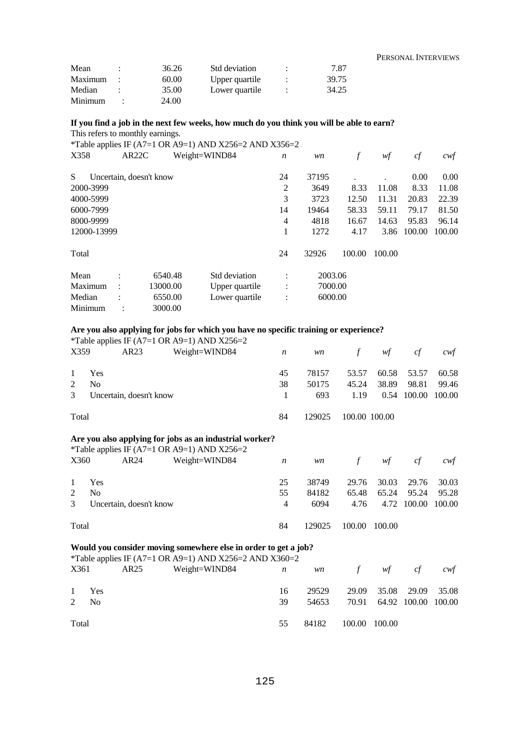PERSONAL INTERVIEWS

| Mean    | 36.26 | Std deviation  |   | 7.87  |
|---------|-------|----------------|---|-------|
| Maximum | 60.00 | Upper quartile |   | 39.75 |
| Median  | 35.00 | Lower quartile | ٠ | 34.25 |
| Minimum | 24.00 |                |   |       |

## **If you find a job in the next few weeks, how much do you think you will be able to earn?**  This refers to monthly earnings.

\*Table applies IF  $(A7=1 \text{ OR } A9=1)$  AND X256=2 AND X356=2

| X358        |                         | AR <sub>22</sub> C |          | Weight=WIND84  | $\boldsymbol{n}$ | wn      |        | wf     | cf     | $c \mathsf{w} f$ |
|-------------|-------------------------|--------------------|----------|----------------|------------------|---------|--------|--------|--------|------------------|
| S           | Uncertain, doesn't know |                    |          |                | 24               | 37195   |        |        | 0.00   | 0.00             |
| 2000-3999   |                         |                    |          |                | 2                | 3649    | 8.33   | 11.08  | 8.33   | 11.08            |
| 4000-5999   |                         |                    |          |                | 3                | 3723    | 12.50  | 11.31  | 20.83  | 22.39            |
| 6000-7999   |                         |                    |          |                | 14               | 19464   | 58.33  | 59.11  | 79.17  | 81.50            |
| 8000-9999   |                         |                    |          |                | 4                | 4818    | 16.67  | 14.63  | 95.83  | 96.14            |
| 12000-13999 |                         |                    |          |                | 1                | 1272    | 4.17   | 3.86   | 100.00 | 100.00           |
| Total       |                         |                    |          |                | 24               | 32926   | 100.00 | 100.00 |        |                  |
| Mean        | ٠                       |                    | 6540.48  | Std deviation  | ٠                | 2003.06 |        |        |        |                  |
| Maximum     | $\ddot{\phantom{a}}$    |                    | 13000.00 | Upper quartile | $\vdots$         | 7000.00 |        |        |        |                  |
| Median      | ٠                       |                    | 6550.00  | Lower quartile | $\ddot{\cdot}$   | 6000.00 |        |        |        |                  |
| Minimum     |                         |                    | 3000.00  |                |                  |         |        |        |        |                  |

## **Are you also applying for jobs for which you have no specific training or experience?**

|                             |                |                         | *Table applies IF (A7=1 OR A9=1) AND X256=2 |    |           |               |       |                    |       |
|-----------------------------|----------------|-------------------------|---------------------------------------------|----|-----------|---------------|-------|--------------------|-------|
| X359                        |                | AR23                    | Weight=WIND84                               | n  | <i>wn</i> | $f$ and $f$   | wf    | cf                 | cwt   |
| $\mathbf{1}$                | Yes            |                         |                                             | 45 | 78157     | 53.57         |       | 60.58 53.57        | 60.58 |
| $\mathcal{D}_{\mathcal{L}}$ | N <sub>0</sub> |                         |                                             | 38 | 50175     | 45.24         | 38.89 | 98.81              | 99.46 |
| 3                           |                | Uncertain, doesn't know |                                             |    | 693       | 1.19          |       | 0.54 100.00 100.00 |       |
| Total                       |                |                         |                                             | 84 | 129025    | 100.00 100.00 |       |                    |       |

## **Are you also applying for jobs as an industrial worker?**

|               |                |                         | *Table applies IF (A7=1 OR A9=1) AND X256=2 |                |           |             |        |                    |       |
|---------------|----------------|-------------------------|---------------------------------------------|----------------|-----------|-------------|--------|--------------------|-------|
| X360          |                | AR24                    | Weight=WIND84                               | n              | <i>wn</i> | $f$ and $f$ | wf     | cf                 | cwt   |
| $\mathbf{1}$  | Yes            |                         |                                             | 25             | 38749     | 29.76       | 30.03  | 29.76              | 30.03 |
| $\mathcal{L}$ | N <sub>0</sub> |                         |                                             | 55             | 84182     | 65.48       | 65.24  | 95.24              | 95.28 |
| 3             |                | Uncertain, doesn't know |                                             | $\overline{4}$ | 6094      | 4.76        |        | 4.72 100.00 100.00 |       |
| Total         |                |                         |                                             | 84             | 129025    | 100.00      | 100.00 |                    |       |

#### **Would you consider moving somewhere else in order to get a job?**

|       |       |      | *Table applies IF (A7=1 OR A9=1) AND X256=2 AND X360=2 |    |       |               |                           |     |
|-------|-------|------|--------------------------------------------------------|----|-------|---------------|---------------------------|-----|
|       | X361  | AR25 | Weight=WIND84 $n$                                      |    |       | wn f wf cf    |                           | cwt |
|       | 1 Yes |      |                                                        | 16 | 29529 |               | 29.09 35.08 29.09 35.08   |     |
| 2     | - No  |      |                                                        | 39 | 54653 |               | 70.91 64.92 100.00 100.00 |     |
| Total |       |      |                                                        | 55 | 84182 | 100.00 100.00 |                           |     |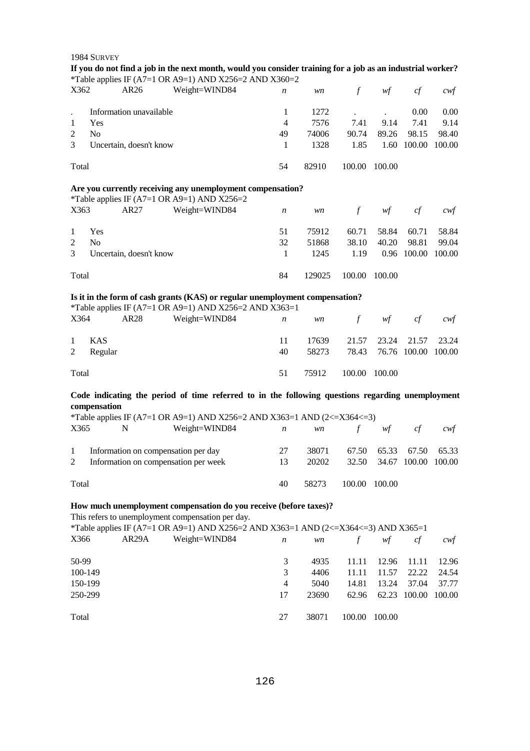|                           | 1984 SURVEY    |                         | If you do not find a job in the next month, would you consider training for a job as an industrial worker? |                  |        |                 |                              |              |                   |
|---------------------------|----------------|-------------------------|------------------------------------------------------------------------------------------------------------|------------------|--------|-----------------|------------------------------|--------------|-------------------|
|                           |                |                         | *Table applies IF (A7=1 OR A9=1) AND X256=2 AND X360=2                                                     |                  |        |                 |                              |              |                   |
| X362                      |                | AR26                    | Weight=WIND84                                                                                              | n                | wn     | $\int$          | wf                           | cf           | $c$ wf            |
|                           |                | Information unavailable |                                                                                                            | $\mathbf{1}$     | 1272   |                 |                              | 0.00         | 0.00              |
| $\ddot{\phantom{0}}$<br>1 | Yes            |                         |                                                                                                            | 4                | 7576   | $\cdot$<br>7.41 | $\ddot{\phantom{a}}$<br>9.14 | 7.41         | 9.14              |
| $\overline{2}$            | N <sub>o</sub> |                         |                                                                                                            | 49               | 74006  | 90.74           | 89.26                        | 98.15        | 98.40             |
| 3                         |                | Uncertain, doesn't know |                                                                                                            | $\mathbf{1}$     | 1328   | 1.85            |                              | 1.60 100.00  | 100.00            |
|                           |                |                         |                                                                                                            |                  |        |                 |                              |              |                   |
| Total                     |                |                         |                                                                                                            | 54               | 82910  | 100.00          | 100.00                       |              |                   |
|                           |                |                         | Are you currently receiving any unemployment compensation?<br>*Table applies IF (A7=1 OR A9=1) AND X256=2  |                  |        |                 |                              |              |                   |
| X363                      |                | AR27                    | Weight=WIND84                                                                                              | $\boldsymbol{n}$ | wn     | $\int$          | wf                           | cf           | cwt               |
| $\mathbf{1}$              | Yes            |                         |                                                                                                            | 51               | 75912  | 60.71           | 58.84                        | 60.71        | 58.84             |
| $\overline{2}$            | <b>No</b>      |                         |                                                                                                            | 32               | 51868  | 38.10           | 40.20                        | 98.81        | 99.04             |
| 3                         |                | Uncertain, doesn't know |                                                                                                            | $\mathbf{1}$     | 1245   | 1.19            |                              | 0.96 100.00  | 100.00            |
|                           |                |                         |                                                                                                            |                  |        |                 |                              |              |                   |
| Total                     |                |                         |                                                                                                            | 84               | 129025 | 100.00          | 100.00                       |              |                   |
|                           |                |                         | Is it in the form of cash grants (KAS) or regular unemployment compensation?                               |                  |        |                 |                              |              |                   |
|                           |                |                         | *Table applies IF (A7=1 OR A9=1) AND X256=2 AND X363=1                                                     |                  |        |                 |                              |              |                   |
| X364                      |                | AR28                    | Weight=WIND84                                                                                              | n                | wn     | $\mathcal{f}$   | wf                           | cf           | cwt               |
| $\mathbf{1}$              | <b>KAS</b>     |                         |                                                                                                            | 11               | 17639  | 21.57           | 23.24                        | 21.57        | 23.24             |
| 2                         | Regular        |                         |                                                                                                            | 40               | 58273  | 78.43           |                              | 76.76 100.00 | 100.00            |
|                           |                |                         |                                                                                                            |                  |        |                 |                              |              |                   |
| Total                     |                |                         |                                                                                                            | 51               | 75912  | 100.00          | 100.00                       |              |                   |
|                           |                |                         | Code indicating the period of time referred to in the following questions regarding unemployment           |                  |        |                 |                              |              |                   |
|                           | compensation   |                         |                                                                                                            |                  |        |                 |                              |              |                   |
|                           |                |                         | *Table applies IF (A7=1 OR A9=1) AND X256=2 AND X363=1 AND (2<=X364<=3)                                    |                  |        |                 |                              |              |                   |
| X365                      | $\mathbf N$    |                         | Weight=WIND84                                                                                              | n                | wn     | $\int$          | wf                           | cf           | cwt               |
| $\mathbf{1}$              |                |                         | Information on compensation per day                                                                        | 27               | 38071  | 67.50           | 65.33                        | 67.50        | 65.33             |
| $\mathfrak{2}$            |                |                         | Information on compensation per week                                                                       | 13               | 20202  | 32.50           | 34.67                        | 100.00       | 100.00            |
|                           |                |                         |                                                                                                            |                  |        |                 |                              |              |                   |
| Total                     |                |                         |                                                                                                            | 40               | 58273  | 100.00          | 100.00                       |              |                   |
|                           |                |                         | How much unemployment compensation do you receive (before taxes)?                                          |                  |        |                 |                              |              |                   |
|                           |                |                         | This refers to unemployment compensation per day.                                                          |                  |        |                 |                              |              |                   |
|                           |                |                         | *Table applies IF (A7=1 OR A9=1) AND X256=2 AND X363=1 AND (2<=X364<=3) AND X365=1                         |                  |        |                 |                              |              |                   |
| X366                      |                | AR <sub>29</sub> A      | Weight=WIND84                                                                                              | n                | wn     | f               | wf                           | cf           | $c \mathcal{w} f$ |
| 50-99                     |                |                         |                                                                                                            | 3                | 4935   | 11.11           | 12.96                        | 11.11        | 12.96             |
| 100-149                   |                |                         |                                                                                                            | 3                | 4406   | 11.11           | 11.57                        | 22.22        | 24.54             |
| 150-199                   |                |                         |                                                                                                            | 4                | 5040   | 14.81           | 13.24                        | 37.04        | 37.77             |
| 250-299                   |                |                         |                                                                                                            | 17               | 23690  | 62.96           |                              | 62.23 100.00 | 100.00            |

Total

27 38071 100.00 100.00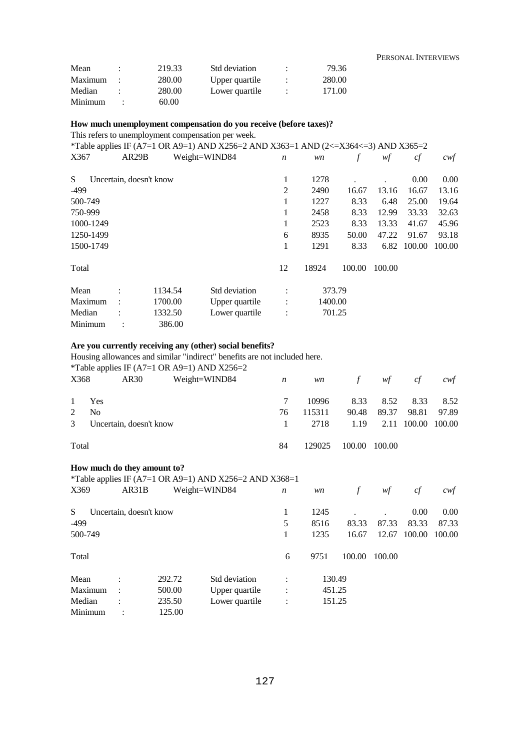| Mean    | ٠ | 219.33 | Std deviation  |   | 79.36  |
|---------|---|--------|----------------|---|--------|
| Maximum |   | 280.00 | Upper quartile | ٠ | 280.00 |
| Median  |   | 280.00 | Lower quartile | ٠ | 171.00 |
| Minimum |   | 60.00  |                |   |        |

## **How much unemployment compensation do you receive (before taxes)?**

This refers to unemployment compensation per week.

|           |                |                         | *Table applies IF (A7=1 OR A9=1) AND X256=2 AND X363=1 AND (2<=X364<=3) AND X365=2 |                  |         |        |        |        |        |
|-----------|----------------|-------------------------|------------------------------------------------------------------------------------|------------------|---------|--------|--------|--------|--------|
| X367      |                | AR29B                   | Weight=WIND84                                                                      | $\boldsymbol{n}$ | wn      |        | wf     | cf     | cwf    |
| S.        |                | Uncertain, doesn't know |                                                                                    | 1                | 1278    |        |        | 0.00   | 0.00   |
| -499      |                |                         |                                                                                    | $\overline{2}$   | 2490    | 16.67  | 13.16  | 16.67  | 13.16  |
| 500-749   |                |                         |                                                                                    | 1                | 1227    | 8.33   | 6.48   | 25.00  | 19.64  |
| 750-999   |                |                         |                                                                                    | 1                | 2458    | 8.33   | 12.99  | 33.33  | 32.63  |
| 1000-1249 |                |                         |                                                                                    | 1                | 2523    | 8.33   | 13.33  | 41.67  | 45.96  |
| 1250-1499 |                |                         |                                                                                    | 6                | 8935    | 50.00  | 47.22  | 91.67  | 93.18  |
| 1500-1749 |                |                         |                                                                                    | 1                | 1291    | 8.33   | 6.82   | 100.00 | 100.00 |
| Total     |                |                         |                                                                                    | 12               | 18924   | 100.00 | 100.00 |        |        |
| Mean      | $\ddot{\cdot}$ | 1134.54                 | Std deviation                                                                      | $\ddot{\cdot}$   |         | 373.79 |        |        |        |
| Maximum   |                | 1700.00                 | Upper quartile                                                                     |                  | 1400.00 |        |        |        |        |
| Median    |                | 1332.50                 | Lower quartile                                                                     | $\ddot{\cdot}$   |         | 701.25 |        |        |        |
| Minimum   |                | 386.00                  |                                                                                    |                  |         |        |        |        |        |

## **Are you currently receiving any (other) social benefits?**

Housing allowances and similar "indirect" benefits are not included here.

\*Table applies IF (A7=1 OR A9=1) AND X256=2

| X368  | AR30                    | Weight=WIND84 | $\boldsymbol{n}$ | <i>wn</i> |        | f wf               | c f   | cwt   |
|-------|-------------------------|---------------|------------------|-----------|--------|--------------------|-------|-------|
|       | 1 Yes                   |               |                  | 10996     |        | 8.33 8.52 8.33     |       | 8.52  |
| 2     | N <sub>0</sub>          |               | 76               | 115311    |        | 90.48 89.37        | 98.81 | 97.89 |
| 3     | Uncertain, doesn't know |               | $1 -$            | 2718      | 1.19   | 2.11 100.00 100.00 |       |       |
| Total |                         |               | 84               | 129025    | 100.00 | 100.00             |       |       |

#### **How much do they amount to?**

\*Table applies IF (A7=1 OR A9=1) AND X256=2 AND X368=1

| X369    | AR31B                   |        | Weight=WIND84  | $\boldsymbol{n}$     | wn     | f      | wf     | cf     | cwf    |
|---------|-------------------------|--------|----------------|----------------------|--------|--------|--------|--------|--------|
| S       | Uncertain, doesn't know |        |                | 1                    | 1245   |        |        | 0.00   | 0.00   |
| $-499$  |                         |        |                | 5                    | 8516   | 83.33  | 87.33  | 83.33  | 87.33  |
| 500-749 |                         |        |                | 1                    | 1235   | 16.67  | 12.67  | 100.00 | 100.00 |
| Total   |                         |        |                | 6                    | 9751   | 100.00 | 100.00 |        |        |
| Mean    | $\bullet$               | 292.72 | Std deviation  | $\bullet$            | 130.49 |        |        |        |        |
| Maximum | ÷                       | 500.00 | Upper quartile | $\ddot{\cdot}$       | 451.25 |        |        |        |        |
| Median  | $\bullet$               | 235.50 | Lower quartile | $\ddot{\phantom{a}}$ | 151.25 |        |        |        |        |
| Minimum | ٠                       | 125.00 |                |                      |        |        |        |        |        |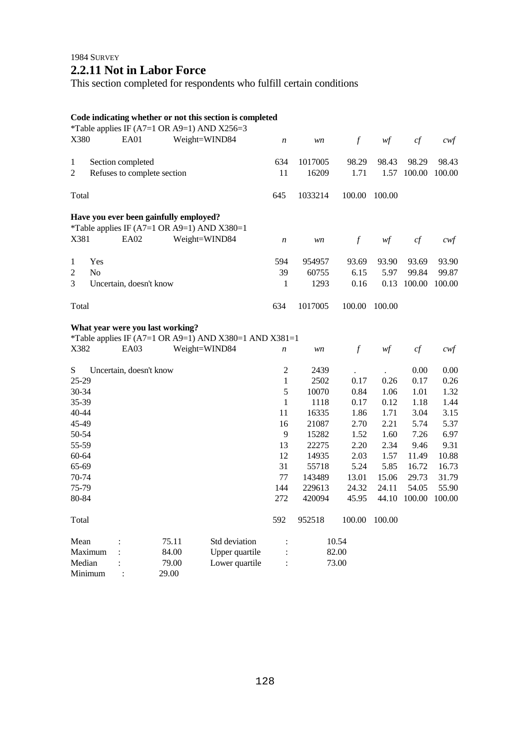# **2.2.11 Not in Labor Force**

This section completed for respondents who fulfill certain conditions

## **Code indicating whether or not this section is completed**

| X380                           |                | EA01                        |                                        | *Table applies IF (A7=1 OR A9=1) AND X256=3<br>Weight=WIND84 | $\boldsymbol{n}$ | wn      | $\boldsymbol{f}$ | wf     | cf     | cwf               |
|--------------------------------|----------------|-----------------------------|----------------------------------------|--------------------------------------------------------------|------------------|---------|------------------|--------|--------|-------------------|
| 1                              |                | Section completed           |                                        |                                                              | 634              | 1017005 | 98.29            | 98.43  | 98.29  | 98.43             |
| 2                              |                | Refuses to complete section |                                        |                                                              | 11               | 16209   | 1.71             | 1.57   | 100.00 | 100.00            |
|                                |                |                             |                                        |                                                              |                  |         |                  |        |        |                   |
| Total                          |                |                             |                                        |                                                              | 645              | 1033214 | 100.00           | 100.00 |        |                   |
|                                |                |                             | Have you ever been gainfully employed? |                                                              |                  |         |                  |        |        |                   |
|                                |                |                             |                                        | *Table applies IF (A7=1 OR A9=1) AND X380=1                  |                  |         |                  |        |        |                   |
| X381                           |                | EA02                        |                                        | Weight=WIND84                                                | $\boldsymbol{n}$ | wn      | $\mathcal{f}$    | wf     | cf     | cwf               |
|                                | Yes            |                             |                                        |                                                              | 594              | 954957  | 93.69            | 93.90  | 93.69  | 93.90             |
| $\mathbf{1}$<br>$\overline{c}$ | N <sub>o</sub> |                             |                                        |                                                              | 39               | 60755   | 6.15             | 5.97   | 99.84  | 99.87             |
|                                |                |                             |                                        |                                                              |                  |         |                  |        |        |                   |
| 3                              |                | Uncertain, doesn't know     |                                        |                                                              | 1                | 1293    | 0.16             | 0.13   | 100.00 | 100.00            |
| Total                          |                |                             |                                        |                                                              | 634              | 1017005 | 100.00           | 100.00 |        |                   |
|                                |                |                             | What year were you last working?       |                                                              |                  |         |                  |        |        |                   |
|                                |                |                             |                                        | *Table applies IF (A7=1 OR A9=1) AND X380=1 AND X381=1       |                  |         |                  |        |        |                   |
| X382                           |                | EA03                        |                                        | Weight=WIND84                                                | $\boldsymbol{n}$ | wn      | $\mathcal{f}$    | wf     | cf     | $c \mathcal{w} f$ |
| ${\bf S}$                      |                | Uncertain, doesn't know     |                                        |                                                              | $\overline{2}$   | 2439    |                  |        | 0.00   | $0.00\,$          |
| 25-29                          |                |                             |                                        |                                                              | $\mathbf{1}$     | 2502    | 0.17             | 0.26   | 0.17   | 0.26              |
| 30-34                          |                |                             |                                        |                                                              | 5                | 10070   | 0.84             | 1.06   | 1.01   | 1.32              |
| 35-39                          |                |                             |                                        |                                                              | $\mathbf{1}$     | 1118    | 0.17             | 0.12   | 1.18   | 1.44              |
| 40-44                          |                |                             |                                        |                                                              | 11               | 16335   | 1.86             | 1.71   | 3.04   | 3.15              |
| 45-49                          |                |                             |                                        |                                                              | 16               | 21087   | 2.70             | 2.21   | 5.74   | 5.37              |
| 50-54                          |                |                             |                                        |                                                              | $\overline{9}$   | 15282   | 1.52             | 1.60   | 7.26   | 6.97              |
| 55-59                          |                |                             |                                        |                                                              | 13               | 22275   | 2.20             | 2.34   | 9.46   | 9.31              |
| 60-64                          |                |                             |                                        |                                                              | 12               | 14935   | 2.03             | 1.57   | 11.49  | 10.88             |
| 65-69                          |                |                             |                                        |                                                              | 31               | 55718   | 5.24             | 5.85   | 16.72  | 16.73             |
| 70-74                          |                |                             |                                        |                                                              | 77               | 143489  | 13.01            | 15.06  | 29.73  | 31.79             |
| 75-79                          |                |                             |                                        |                                                              | 144              | 229613  | 24.32            | 24.11  | 54.05  | 55.90             |
| 80-84                          |                |                             |                                        |                                                              | 272              | 420094  | 45.95            | 44.10  | 100.00 | 100.00            |
| Total                          |                |                             |                                        |                                                              | 592              | 952518  | 100.00           | 100.00 |        |                   |
| Mean                           |                |                             | 75.11                                  | Std deviation                                                | $\ddot{\cdot}$   |         | 10.54            |        |        |                   |
| Maximum                        |                |                             | 84.00                                  | Upper quartile                                               |                  |         | 82.00            |        |        |                   |
| Median                         |                |                             | 79.00                                  | Lower quartile                                               | $\ddot{\cdot}$   |         | 73.00            |        |        |                   |
| Minimum                        |                |                             | 29.00                                  |                                                              |                  |         |                  |        |        |                   |
|                                |                |                             |                                        |                                                              |                  |         |                  |        |        |                   |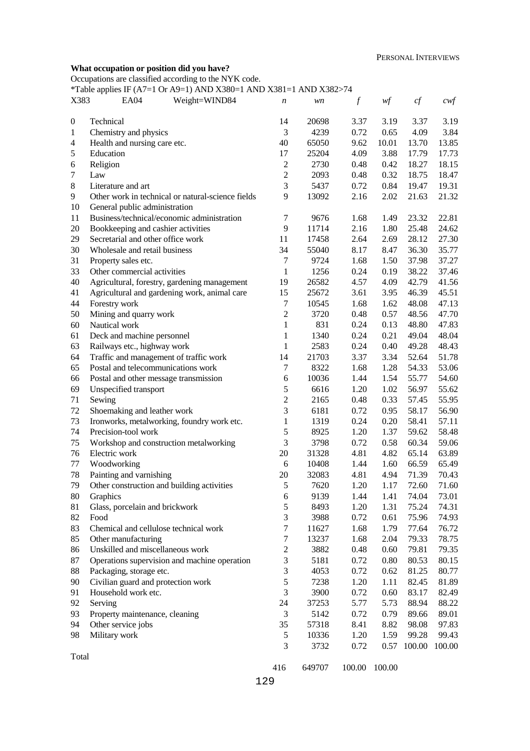### **What occupation or position did you have?**

Occupations are classified according to the NYK code.

\*Table applies IF (A7=1 Or A9=1) AND X380=1 AND X381=1 AND X382>74

| X383             | <b>EA04</b>                                | Weight=WIND84                                     | $\boldsymbol{n}$ | wn     | $\boldsymbol{f}$ | wf     | cf     | $c$ wf |
|------------------|--------------------------------------------|---------------------------------------------------|------------------|--------|------------------|--------|--------|--------|
| $\boldsymbol{0}$ | Technical                                  |                                                   | 14               | 20698  | 3.37             | 3.19   | 3.37   | 3.19   |
| $\mathbf{1}$     | Chemistry and physics                      |                                                   | 3                | 4239   | 0.72             | 0.65   | 4.09   | 3.84   |
| $\overline{4}$   | Health and nursing care etc.               |                                                   | 40               | 65050  | 9.62             | 10.01  | 13.70  | 13.85  |
| 5                | Education                                  |                                                   | 17               | 25204  | 4.09             | 3.88   | 17.79  | 17.73  |
| 6                | Religion                                   |                                                   | $\mathbf{2}$     | 2730   | 0.48             | 0.42   | 18.27  | 18.15  |
| $\tau$           | Law                                        |                                                   | $\mathbf{2}$     | 2093   | 0.48             | 0.32   | 18.75  | 18.47  |
| $8\,$            | Literature and art                         |                                                   | 3                | 5437   | 0.72             | 0.84   | 19.47  | 19.31  |
| 9                |                                            | Other work in technical or natural-science fields | 9                | 13092  | 2.16             | 2.02   | 21.63  | 21.32  |
| 10               | General public administration              |                                                   |                  |        |                  |        |        |        |
| 11               |                                            | Business/technical/economic administration        | $\tau$           | 9676   | 1.68             | 1.49   | 23.32  | 22.81  |
| 20               | Bookkeeping and cashier activities         |                                                   | 9                | 11714  | 2.16             | 1.80   | 25.48  | 24.62  |
| 29               | Secretarial and other office work          |                                                   | 11               | 17458  | 2.64             | 2.69   | 28.12  | 27.30  |
| 30               | Wholesale and retail business              |                                                   | 34               | 55040  | 8.17             | 8.47   | 36.30  | 35.77  |
| 31               | Property sales etc.                        |                                                   | $\tau$           | 9724   | 1.68             | 1.50   | 37.98  | 37.27  |
| 33               | Other commercial activities                |                                                   | $\mathbf{1}$     | 1256   | 0.24             | 0.19   | 38.22  | 37.46  |
| 40               |                                            | Agricultural, forestry, gardening management      | 19               | 26582  | 4.57             | 4.09   | 42.79  | 41.56  |
| 41               |                                            | Agricultural and gardening work, animal care      | 15               | 25672  | 3.61             | 3.95   | 46.39  | 45.51  |
| 44               | Forestry work                              |                                                   | $\tau$           | 10545  | 1.68             | 1.62   | 48.08  | 47.13  |
| 50               | Mining and quarry work                     |                                                   | $\boldsymbol{2}$ | 3720   | 0.48             | 0.57   | 48.56  | 47.70  |
| 60               | Nautical work                              |                                                   | $\mathbf{1}$     | 831    | 0.24             | 0.13   | 48.80  | 47.83  |
| 61               | Deck and machine personnel                 |                                                   | $\mathbf{1}$     | 1340   | 0.24             | 0.21   | 49.04  | 48.04  |
| 63               | Railways etc., highway work                |                                                   | 1                | 2583   | 0.24             | 0.40   | 49.28  | 48.43  |
| 64               | Traffic and management of traffic work     |                                                   | 14               | 21703  | 3.37             | 3.34   | 52.64  | 51.78  |
| 65               | Postal and telecommunications work         |                                                   | 7                | 8322   | 1.68             | 1.28   | 54.33  | 53.06  |
| 66               | Postal and other message transmission      |                                                   | 6                | 10036  | 1.44             | 1.54   | 55.77  | 54.60  |
| 69               | Unspecified transport                      |                                                   | 5                | 6616   | 1.20             | 1.02   | 56.97  | 55.62  |
| 71               | Sewing                                     |                                                   | $\boldsymbol{2}$ | 2165   | 0.48             | 0.33   | 57.45  | 55.95  |
| 72               | Shoemaking and leather work                |                                                   | 3                | 6181   | 0.72             | 0.95   | 58.17  | 56.90  |
| 73               |                                            | Ironworks, metalworking, foundry work etc.        | $\mathbf{1}$     | 1319   | 0.24             | 0.20   | 58.41  | 57.11  |
| 74               | Precision-tool work                        |                                                   | 5                | 8925   | 1.20             | 1.37   | 59.62  | 58.48  |
| 75               | Workshop and construction metalworking     |                                                   | 3                | 3798   | 0.72             | 0.58   | 60.34  | 59.06  |
| 76               | Electric work                              |                                                   | 20               | 31328  | 4.81             | 4.82   | 65.14  | 63.89  |
| 77               | Woodworking                                |                                                   | 6                | 10408  | 1.44             | 1.60   | 66.59  | 65.49  |
| 78               | Painting and varnishing                    |                                                   | 20               | 32083  | 4.81             | 4.94   | 71.39  | 70.43  |
| 79               | Other construction and building activities |                                                   | 5                | 7620   | 1.20             | 1.17   | 72.60  | 71.60  |
| $80\,$           | Graphics                                   |                                                   | $\sqrt{6}$       | 9139   | 1.44             | 1.41   | 74.04  | 73.01  |
| 81               | Glass, porcelain and brickwork             |                                                   | 5                | 8493   | 1.20             | 1.31   | 75.24  | 74.31  |
| 82               | Food                                       |                                                   | 3                | 3988   | 0.72             | 0.61   | 75.96  | 74.93  |
| 83               | Chemical and cellulose technical work      |                                                   | $\boldsymbol{7}$ | 11627  | 1.68             | 1.79   | 77.64  | 76.72  |
| 85               | Other manufacturing                        |                                                   | $\tau$           | 13237  | 1.68             | 2.04   | 79.33  | 78.75  |
| 86               | Unskilled and miscellaneous work           |                                                   | $\sqrt{2}$       | 3882   | 0.48             | 0.60   | 79.81  | 79.35  |
| 87               |                                            | Operations supervision and machine operation      | $\mathfrak{Z}$   | 5181   | 0.72             | 0.80   | 80.53  | 80.15  |
| 88               | Packaging, storage etc.                    |                                                   | 3                | 4053   | 0.72             | 0.62   | 81.25  | 80.77  |
| 90               | Civilian guard and protection work         |                                                   | 5                | 7238   | 1.20             | 1.11   | 82.45  | 81.89  |
| 91               | Household work etc.                        |                                                   | 3                | 3900   | 0.72             | 0.60   | 83.17  | 82.49  |
| 92               | Serving                                    |                                                   | 24               | 37253  | 5.77             | 5.73   | 88.94  | 88.22  |
| 93               | Property maintenance, cleaning             |                                                   | 3                | 5142   | 0.72             | 0.79   | 89.66  | 89.01  |
| 94               | Other service jobs                         |                                                   | 35               | 57318  | 8.41             | 8.82   | 98.08  | 97.83  |
| 98               | Military work                              |                                                   | 5                | 10336  | 1.20             | 1.59   | 99.28  | 99.43  |
|                  |                                            |                                                   | 3                | 3732   | 0.72             | 0.57   | 100.00 | 100.00 |
| Total            |                                            |                                                   |                  |        |                  |        |        |        |
|                  |                                            |                                                   | 416              | 649707 | 100.00           | 100.00 |        |        |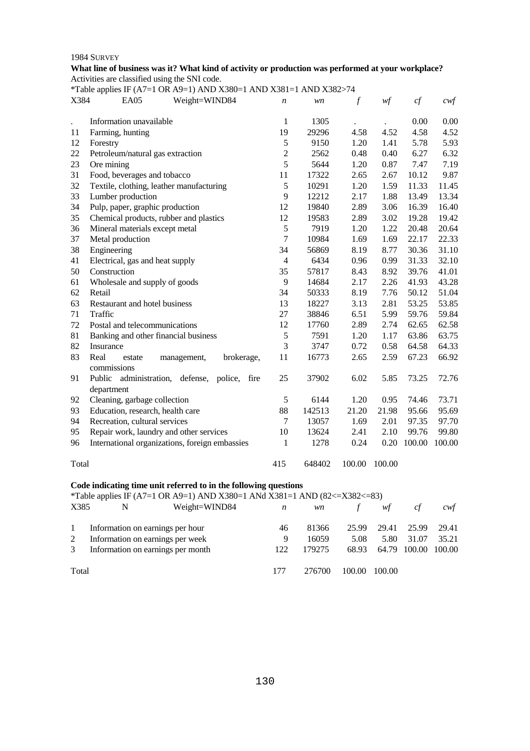## **What line of business was it? What kind of activity or production was performed at your workplace?**  Activities are classified using the SNI code.

|                      | *Table applies IF (A7=1 OR A9=1) AND X380=1 AND X381=1 AND X382>74                                                                                               |                |        |        |        |        |        |
|----------------------|------------------------------------------------------------------------------------------------------------------------------------------------------------------|----------------|--------|--------|--------|--------|--------|
| X384                 | EA05<br>Weight=WIND84                                                                                                                                            | n              | wn     | $\int$ | wf     | cf     | $c$ wf |
|                      |                                                                                                                                                                  |                |        |        |        |        |        |
| $\ddot{\phantom{a}}$ | Information unavailable                                                                                                                                          | $\mathbf{1}$   | 1305   |        |        | 0.00   | 0.00   |
| 11                   | Farming, hunting                                                                                                                                                 | 19             | 29296  | 4.58   | 4.52   | 4.58   | 4.52   |
| 12                   | Forestry                                                                                                                                                         | 5              | 9150   | 1.20   | 1.41   | 5.78   | 5.93   |
| 22                   | Petroleum/natural gas extraction                                                                                                                                 | $\overline{2}$ | 2562   | 0.48   | 0.40   | 6.27   | 6.32   |
| 23                   | Ore mining                                                                                                                                                       | 5              | 5644   | 1.20   | 0.87   | 7.47   | 7.19   |
| 31                   | Food, beverages and tobacco                                                                                                                                      | 11             | 17322  | 2.65   | 2.67   | 10.12  | 9.87   |
| 32                   | Textile, clothing, leather manufacturing                                                                                                                         | 5              | 10291  | 1.20   | 1.59   | 11.33  | 11.45  |
| 33                   | Lumber production                                                                                                                                                | 9              | 12212  | 2.17   | 1.88   | 13.49  | 13.34  |
| 34                   | Pulp, paper, graphic production                                                                                                                                  | 12             | 19840  | 2.89   | 3.06   | 16.39  | 16.40  |
| 35                   | Chemical products, rubber and plastics                                                                                                                           | 12             | 19583  | 2.89   | 3.02   | 19.28  | 19.42  |
| 36                   | Mineral materials except metal                                                                                                                                   | 5              | 7919   | 1.20   | 1.22   | 20.48  | 20.64  |
| 37                   | Metal production                                                                                                                                                 | $\overline{7}$ | 10984  | 1.69   | 1.69   | 22.17  | 22.33  |
| 38                   | Engineering                                                                                                                                                      | 34             | 56869  | 8.19   | 8.77   | 30.36  | 31.10  |
| 41                   | Electrical, gas and heat supply                                                                                                                                  | $\overline{4}$ | 6434   | 0.96   | 0.99   | 31.33  | 32.10  |
| 50                   | Construction                                                                                                                                                     | 35             | 57817  | 8.43   | 8.92   | 39.76  | 41.01  |
| 61                   | Wholesale and supply of goods                                                                                                                                    | $\overline{9}$ | 14684  | 2.17   | 2.26   | 41.93  | 43.28  |
| 62                   | Retail                                                                                                                                                           | 34             | 50333  | 8.19   | 7.76   | 50.12  | 51.04  |
| 63                   | Restaurant and hotel business                                                                                                                                    | 13             | 18227  | 3.13   | 2.81   | 53.25  | 53.85  |
| 71                   | Traffic                                                                                                                                                          | 27             | 38846  | 6.51   | 5.99   | 59.76  | 59.84  |
| 72                   | Postal and telecommunications                                                                                                                                    | 12             | 17760  | 2.89   | 2.74   | 62.65  | 62.58  |
| 81                   | Banking and other financial business                                                                                                                             | 5              | 7591   | 1.20   | 1.17   | 63.86  | 63.75  |
| 82                   | Insurance                                                                                                                                                        | 3              | 3747   | 0.72   | 0.58   | 64.58  | 64.33  |
| 83                   | Real<br>brokerage,<br>estate<br>management,                                                                                                                      | 11             | 16773  | 2.65   | 2.59   | 67.23  | 66.92  |
|                      | commissions                                                                                                                                                      |                |        |        |        |        |        |
| 91                   | Public administration, defense, police, fire                                                                                                                     | 25             | 37902  | 6.02   | 5.85   | 73.25  | 72.76  |
| 92                   | department<br>Cleaning, garbage collection                                                                                                                       | 5              | 6144   | 1.20   | 0.95   | 74.46  | 73.71  |
| 93                   | Education, research, health care                                                                                                                                 | 88             | 142513 | 21.20  | 21.98  | 95.66  | 95.69  |
| 94                   | Recreation, cultural services                                                                                                                                    | $\tau$         | 13057  | 1.69   | 2.01   | 97.35  | 97.70  |
| 95                   | Repair work, laundry and other services                                                                                                                          | 10             | 13624  | 2.41   | 2.10   | 99.76  | 99.80  |
|                      |                                                                                                                                                                  | 1              |        |        |        | 100.00 | 100.00 |
| 96                   | International organizations, foreign embassies                                                                                                                   |                | 1278   | 0.24   | 0.20   |        |        |
| Total                |                                                                                                                                                                  | 415            | 648402 | 100.00 | 100.00 |        |        |
|                      | Code indicating time unit referred to in the following questions<br>$*$ Toble enning IE ( $\Delta$ 7-1 OP $\Delta$ 0-1) AND V280-1 ANJ V281-1 AND (82<-V282<-82) |                |        |        |        |        |        |

#### Table applies IF (A7=1 OR A9=1) AND X380=1 ANd X381=1 AND (82<=X382<=83)<br>  $x^{385}$  N Weight=WIND84 n wn f X385 N Weight=WIND84 *n wn f wf cf cwf* 1 Information on earnings per hour 2 Information on earnings per week 3 Information on earnings per month Total 46 81366 25.99 29.41 25.99 29.41 9 16059 5.08 5.80 31.07 35.21 122 179275 68.93 64.79 100.00 100.00 177 276700 100.00 100.00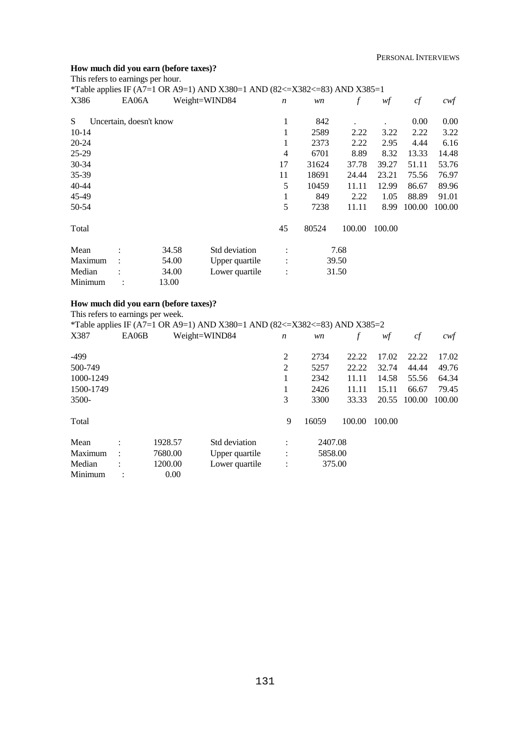## **How much did you earn (before taxes)?**

| This refers to earnings per hour. |                         |       | *Table applies IF (A7=1 OR A9=1) AND X380=1 AND (82<=X382<=83) AND X385=1 |                  |       |        |        |          |        |
|-----------------------------------|-------------------------|-------|---------------------------------------------------------------------------|------------------|-------|--------|--------|----------|--------|
| X386                              | EA06A                   |       | Weight=WIND84                                                             | $\boldsymbol{n}$ | wn    | f      | wf     | cf       | cwt    |
| S                                 | Uncertain, doesn't know |       |                                                                           | 1                | 842   |        |        | $0.00\,$ | 0.00   |
| $10-14$                           |                         |       |                                                                           | 1                | 2589  | 2.22   | 3.22   | 2.22     | 3.22   |
| 20-24                             |                         |       |                                                                           | 1                | 2373  | 2.22   | 2.95   | 4.44     | 6.16   |
| $25-29$                           |                         |       |                                                                           | 4                | 6701  | 8.89   | 8.32   | 13.33    | 14.48  |
| 30-34                             |                         |       |                                                                           | 17               | 31624 | 37.78  | 39.27  | 51.11    | 53.76  |
| 35-39                             |                         |       |                                                                           | 11               | 18691 | 24.44  | 23.21  | 75.56    | 76.97  |
| 40-44                             |                         |       |                                                                           | 5                | 10459 | 11.11  | 12.99  | 86.67    | 89.96  |
| 45-49                             |                         |       |                                                                           | 1                | 849   | 2.22   | 1.05   | 88.89    | 91.01  |
| 50-54                             |                         |       |                                                                           | 5                | 7238  | 11.11  | 8.99   | 100.00   | 100.00 |
| Total                             |                         |       |                                                                           | 45               | 80524 | 100.00 | 100.00 |          |        |
| Mean                              |                         | 34.58 | Std deviation                                                             |                  |       | 7.68   |        |          |        |
| Maximum                           |                         | 54.00 | Upper quartile                                                            | $\ddot{\cdot}$   |       | 39.50  |        |          |        |
| Median                            |                         | 34.00 | Lower quartile                                                            | $\ddot{\cdot}$   |       | 31.50  |        |          |        |
| Minimum                           |                         | 13.00 |                                                                           |                  |       |        |        |          |        |

#### **How much did you earn (before taxes)?**

This refers to earnings per week.

|           | *Table applies IF (A7=1 OR A9=1) AND X380=1 AND (82<=X382<=83) AND X385=2 |         |                |                      |         |        |        |        |        |  |  |  |  |
|-----------|---------------------------------------------------------------------------|---------|----------------|----------------------|---------|--------|--------|--------|--------|--|--|--|--|
| X387      | EA06B                                                                     |         | Weight=WIND84  | $\boldsymbol{n}$     | wn      | f      | wf     | cf     | cwf    |  |  |  |  |
| -499      |                                                                           |         |                | 2                    | 2734    | 22.22  | 17.02  | 22.22  | 17.02  |  |  |  |  |
| 500-749   |                                                                           |         |                | 2                    | 5257    | 22.22  | 32.74  | 44.44  | 49.76  |  |  |  |  |
| 1000-1249 |                                                                           |         |                |                      | 2342    | 11.11  | 14.58  | 55.56  | 64.34  |  |  |  |  |
| 1500-1749 |                                                                           |         |                |                      | 2426    | 11.11  | 15.11  | 66.67  | 79.45  |  |  |  |  |
| $3500-$   |                                                                           |         |                | 3                    | 3300    | 33.33  | 20.55  | 100.00 | 100.00 |  |  |  |  |
| Total     |                                                                           |         |                | 9                    | 16059   | 100.00 | 100.00 |        |        |  |  |  |  |
| Mean      | $\bullet$                                                                 | 1928.57 | Std deviation  | $\bullet$            | 2407.08 |        |        |        |        |  |  |  |  |
| Maximum   | $\bullet$                                                                 | 7680.00 | Upper quartile | $\ddot{\cdot}$       | 5858.00 |        |        |        |        |  |  |  |  |
| Median    |                                                                           | 1200.00 | Lower quartile | $\ddot{\phantom{a}}$ |         | 375.00 |        |        |        |  |  |  |  |
| Minimum   |                                                                           | 0.00    |                |                      |         |        |        |        |        |  |  |  |  |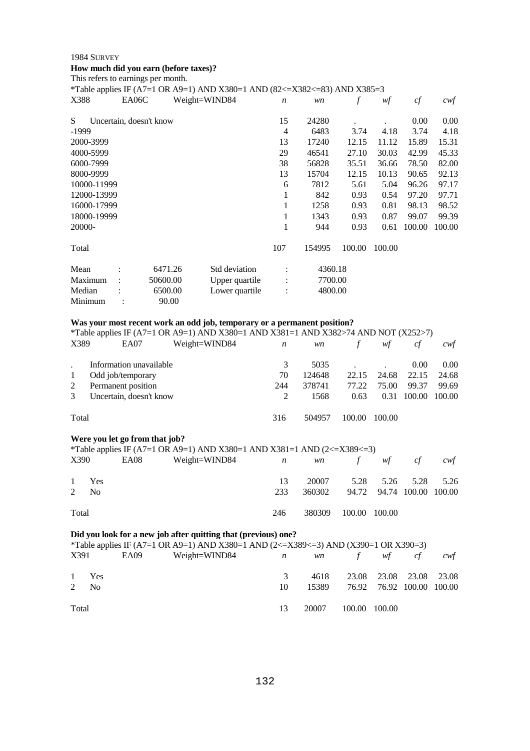## **How much did you earn (before taxes)?**  This refers to earnings per month.

|             |       |                         |               | *Table applies IF (A7=1 OR A9=1) AND X380=1 AND (82<=X382<=83) AND X385=3 |                  |         |        |        |          |        |
|-------------|-------|-------------------------|---------------|---------------------------------------------------------------------------|------------------|---------|--------|--------|----------|--------|
| X388        | EA06C |                         | Weight=WIND84 |                                                                           | $\boldsymbol{n}$ | wn      | f      | wf     | cf       | cwf    |
| S           |       | Uncertain, doesn't know |               |                                                                           | 15               | 24280   |        |        | $0.00\,$ | 0.00   |
| -1999       |       |                         |               |                                                                           | 4                | 6483    | 3.74   | 4.18   | 3.74     | 4.18   |
| 2000-3999   |       |                         |               |                                                                           | 13               | 17240   | 12.15  | 11.12  | 15.89    | 15.31  |
| 4000-5999   |       |                         |               |                                                                           | 29               | 46541   | 27.10  | 30.03  | 42.99    | 45.33  |
| 6000-7999   |       |                         |               |                                                                           | 38               | 56828   | 35.51  | 36.66  | 78.50    | 82.00  |
| 8000-9999   |       |                         |               |                                                                           | 13               | 15704   | 12.15  | 10.13  | 90.65    | 92.13  |
| 10000-11999 |       |                         |               |                                                                           | 6                | 7812    | 5.61   | 5.04   | 96.26    | 97.17  |
| 12000-13999 |       |                         |               |                                                                           | 1                | 842     | 0.93   | 0.54   | 97.20    | 97.71  |
| 16000-17999 |       |                         |               |                                                                           | 1                | 1258    | 0.93   | 0.81   | 98.13    | 98.52  |
| 18000-19999 |       |                         |               |                                                                           | 1                | 1343    | 0.93   | 0.87   | 99.07    | 99.39  |
| 20000-      |       |                         |               |                                                                           | 1                | 944     | 0.93   | 0.61   | 100.00   | 100.00 |
| Total       |       |                         |               |                                                                           | 107              | 154995  | 100.00 | 100.00 |          |        |
| Mean        |       | 6471.26                 |               | Std deviation                                                             |                  | 4360.18 |        |        |          |        |
| Maximum     |       | 50600.00                |               | Upper quartile                                                            |                  | 7700.00 |        |        |          |        |
| Median      |       | 6500.00                 |               | Lower quartile                                                            | $\ddot{\cdot}$   | 4800.00 |        |        |          |        |
| Minimum     |       | 90.00                   |               |                                                                           |                  |         |        |        |          |        |

## **Was your most recent work an odd job, temporary or a permanent position?**

| *Table applies IF (A7=1 OR A9=1) AND X380=1 AND X381=1 AND X382>74 AND NOT (X252>7) |                         |               |                  |        |        |        |                   |        |  |  |
|-------------------------------------------------------------------------------------|-------------------------|---------------|------------------|--------|--------|--------|-------------------|--------|--|--|
| X389                                                                                | EA07                    | Weight=WIND84 | $\boldsymbol{n}$ | wn     | f      | wf     | сf                | cwt    |  |  |
|                                                                                     | Information unavailable |               | 3                | 5035   |        |        | 0.00 <sub>1</sub> | 0.00   |  |  |
|                                                                                     | Odd job/temporary       |               | 70               | 124648 | 22.15  | 24.68  | 22.15             | 24.68  |  |  |
| 2                                                                                   | Permanent position      |               | 244              | 378741 | 77.22  | 75.00  | 99.37             | 99.69  |  |  |
| $\mathcal{R}$                                                                       | Uncertain, doesn't know |               | 2                | 1568   | 0.63   | 0.31   | 100.00            | 100.00 |  |  |
| Total                                                                               |                         |               | 316              | 504957 | 100.00 | 100.00 |                   |        |  |  |

## **Were you let go from that job?**

|                |       |      | *Table applies IF (A7=1 OR A9=1) AND X380=1 AND X381=1 AND (2<=X389<=3) |     |        |               |                           |                                       |
|----------------|-------|------|-------------------------------------------------------------------------|-----|--------|---------------|---------------------------|---------------------------------------|
| X390           |       | EA08 | Weight=WIND84 $n$ wn $f$ wf                                             |     |        |               | cf                        | $\mathcal{C} \mathcal{W} \mathcal{F}$ |
|                | 1 Yes |      |                                                                         | 13  | 20007  |               | 5.28 5.26 5.28 5.26       |                                       |
| $2 \text{ No}$ |       |      |                                                                         | 233 | 360302 |               | 94.72 94.74 100.00 100.00 |                                       |
| Total          |       |      |                                                                         | 246 | 380309 | 100.00 100.00 |                           |                                       |

## **Did you look for a new job after quitting that (previous) one?**

|       | *Table applies IF (A7=1 OR A9=1) AND X380=1 AND (2<=X389<=3) AND (X390=1 OR X390=3) |  |                                               |    |       |                              |                           |  |     |  |  |  |
|-------|-------------------------------------------------------------------------------------|--|-----------------------------------------------|----|-------|------------------------------|---------------------------|--|-----|--|--|--|
|       |                                                                                     |  | $X391$ EA09 Weight=WIND84 <i>n</i> wn f wf cf |    |       |                              |                           |  | cwt |  |  |  |
|       | 1 Yes                                                                               |  |                                               | 3  |       | 4618 23.08 23.08 23.08 23.08 |                           |  |     |  |  |  |
|       | $2 \text{ No}$                                                                      |  |                                               | 10 | 15389 |                              | 76.92 76.92 100.00 100.00 |  |     |  |  |  |
| Total |                                                                                     |  |                                               | 13 | 20007 | 100.00 100.00                |                           |  |     |  |  |  |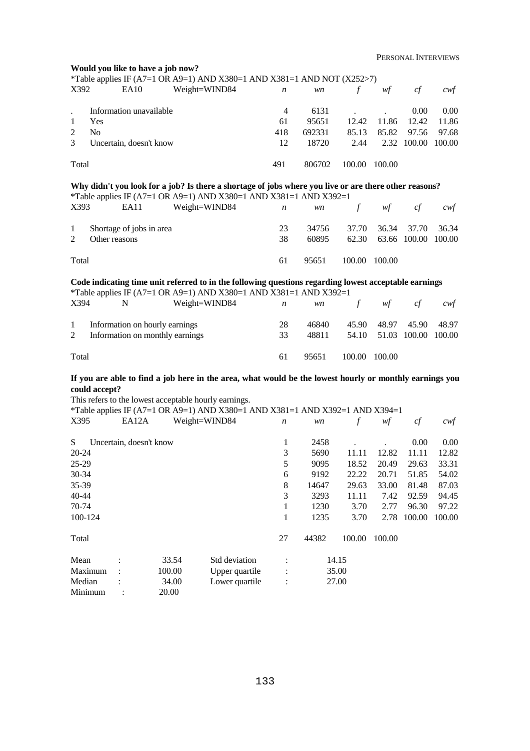|                |                |                          | Would you like to have a job now? |                                                                                                         |                  |        |               |        |        |                  |
|----------------|----------------|--------------------------|-----------------------------------|---------------------------------------------------------------------------------------------------------|------------------|--------|---------------|--------|--------|------------------|
| X392           |                |                          |                                   | *Table applies IF (A7=1 OR A9=1) AND X380=1 AND X381=1 AND NOT (X252>7)                                 |                  |        |               |        |        |                  |
|                |                | <b>EA10</b>              |                                   | Weight=WIND84                                                                                           | n                | wn     | $\int$        | wf     | cf     | cwf              |
|                |                | Information unavailable  |                                   |                                                                                                         | $\overline{4}$   | 6131   |               |        | 0.00   | 0.00             |
| 1              | Yes            |                          |                                   |                                                                                                         | 61               | 95651  | 12.42         | 11.86  | 12.42  | 11.86            |
| $\overline{2}$ | N <sub>o</sub> |                          |                                   |                                                                                                         | 418              | 692331 | 85.13         | 85.82  | 97.56  | 97.68            |
| 3              |                | Uncertain, doesn't know  |                                   |                                                                                                         | 12               | 18720  | 2.44          | 2.32   | 100.00 | 100.00           |
|                |                |                          |                                   |                                                                                                         |                  |        |               |        |        |                  |
| Total          |                |                          |                                   |                                                                                                         | 491              | 806702 | 100.00        | 100.00 |        |                  |
|                |                |                          |                                   | Why didn't you look for a job? Is there a shortage of jobs where you live or are there other reasons?   |                  |        |               |        |        |                  |
|                |                |                          |                                   | *Table applies IF (A7=1 OR A9=1) AND X380=1 AND X381=1 AND X392=1                                       |                  |        |               |        |        |                  |
| X393           |                | EA11                     |                                   | Weight=WIND84                                                                                           | $\boldsymbol{n}$ | wn     | $\mathcal{f}$ | wf     | cf     | cwf              |
| $\mathbf{1}$   |                | Shortage of jobs in area |                                   |                                                                                                         | 23               | 34756  | 37.70         | 36.34  | 37.70  | 36.34            |
| $\overline{2}$ | Other reasons  |                          |                                   |                                                                                                         | 38               | 60895  | 62.30         | 63.66  | 100.00 | 100.00           |
|                |                |                          |                                   |                                                                                                         |                  |        |               |        |        |                  |
| Total          |                |                          |                                   |                                                                                                         | 61               | 95651  | 100.00        | 100.00 |        |                  |
|                |                |                          |                                   | Code indicating time unit referred to in the following questions regarding lowest acceptable earnings   |                  |        |               |        |        |                  |
|                |                |                          |                                   | *Table applies IF (A7=1 OR A9=1) AND X380=1 AND X381=1 AND X392=1                                       |                  |        |               |        |        |                  |
| X394           |                | N                        |                                   | Weight=WIND84                                                                                           | n                | wn     | $\int$        | wf     | cf     | $c \mathsf{w} f$ |
|                |                |                          |                                   |                                                                                                         |                  |        |               |        |        |                  |
| $\mathbf{1}$   |                |                          | Information on hourly earnings    |                                                                                                         | 28               | 46840  | 45.90         | 48.97  | 45.90  | 48.97            |
| 2              |                |                          | Information on monthly earnings   |                                                                                                         | 33               | 48811  | 54.10         | 51.03  | 100.00 | 100.00           |
|                |                |                          |                                   |                                                                                                         |                  |        |               |        |        |                  |
| Total          |                |                          |                                   |                                                                                                         | 61               | 95651  | 100.00        | 100.00 |        |                  |
|                |                |                          |                                   | If you are able to find a job here in the area, what would be the lowest hourly or monthly earnings you |                  |        |               |        |        |                  |
|                | could accept?  |                          |                                   |                                                                                                         |                  |        |               |        |        |                  |
|                |                |                          |                                   | This refers to the lowest acceptable hourly earnings.                                                   |                  |        |               |        |        |                  |
|                |                |                          |                                   | *Table applies IF (A7=1 OR A9=1) AND X380=1 AND X381=1 AND X392=1 AND X394=1                            |                  |        |               |        |        |                  |
| X395           |                | EA12A                    |                                   | Weight=WIND84                                                                                           | n                | wn     | $\int$        | wf     | cf     | cwt              |
|                |                |                          |                                   |                                                                                                         |                  |        |               |        |        |                  |
| S              |                | Uncertain, doesn't know  |                                   |                                                                                                         | 1                | 2458   |               |        | 0.00   | 0.00             |
| 20-24          |                |                          |                                   |                                                                                                         | 3                | 5690   | 11.11         | 12.82  | 11.11  | 12.82            |
| 25-29          |                |                          |                                   |                                                                                                         | 5                | 9095   | 18.52         | 20.49  | 29.63  | 33.31            |
| 30-34          |                |                          |                                   |                                                                                                         | 6                | 9192   | 22.22         | 20.71  | 51.85  | 54.02            |
| 35-39          |                |                          |                                   |                                                                                                         | 8                | 14647  | 29.63         | 33.00  | 81.48  | 87.03            |
| 40-44          |                |                          |                                   |                                                                                                         | 3                | 3293   | 11.11         | 7.42   | 92.59  | 94.45            |
| 70-74          |                |                          |                                   |                                                                                                         | 1                | 1230   | 3.70          | 2.77   | 96.30  | 97.22            |
| 100-124        |                |                          |                                   |                                                                                                         | 1                | 1235   | 3.70          | 2.78   | 100.00 | 100.00           |
|                |                |                          |                                   |                                                                                                         |                  |        |               |        |        |                  |
| Total          |                |                          |                                   |                                                                                                         | 27               | 44382  | 100.00        | 100.00 |        |                  |
| Mean           |                |                          | 33.54                             | Std deviation                                                                                           |                  |        | 14.15         |        |        |                  |
|                | Maximum        |                          | 100.00                            | Upper quartile                                                                                          |                  |        | 35.00         |        |        |                  |
| Median         |                |                          | 34.00                             | Lower quartile                                                                                          |                  |        | 27.00         |        |        |                  |
|                | Minimum        |                          | 20.00                             |                                                                                                         |                  |        |               |        |        |                  |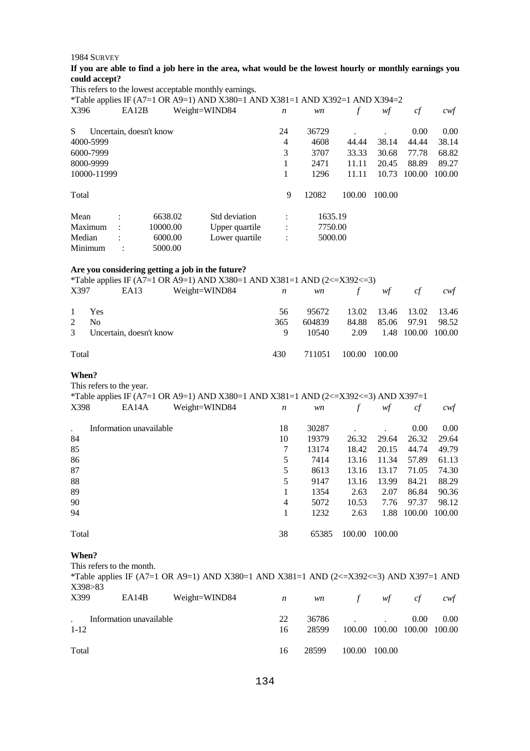## **If you are able to find a job here in the area, what would be the lowest hourly or monthly earnings you could accept?**

This refers to the lowest acceptable monthly earnings.

|             |           |                         |               | *Table applies IF (A7=1 OR A9=1) AND X380=1 AND X381=1 AND X392=1 AND X394=2 |                  |         |        |        |        |                  |
|-------------|-----------|-------------------------|---------------|------------------------------------------------------------------------------|------------------|---------|--------|--------|--------|------------------|
| X396        |           | EA12B                   | Weight=WIND84 |                                                                              | $\boldsymbol{n}$ | wn      |        | wţ     | cf     | $c \mathsf{w} f$ |
| S           |           | Uncertain, doesn't know |               |                                                                              | 24               | 36729   |        |        | 0.00   | 0.00             |
| 4000-5999   |           |                         |               |                                                                              | 4                | 4608    | 44.44  | 38.14  | 44.44  | 38.14            |
| 6000-7999   |           |                         |               |                                                                              | 3                | 3707    | 33.33  | 30.68  | 77.78  | 68.82            |
| 8000-9999   |           |                         |               |                                                                              |                  | 2471    | 11.11  | 20.45  | 88.89  | 89.27            |
| 10000-11999 |           |                         |               |                                                                              | -1               | 1296    | 11.11  | 10.73  | 100.00 | 100.00           |
| Total       |           |                         |               |                                                                              | 9                | 12082   | 100.00 | 100.00 |        |                  |
| Mean        | $\bullet$ | 6638.02                 |               | Std deviation                                                                |                  | 1635.19 |        |        |        |                  |
| Maximum     |           | 10000.00                |               | Upper quartile                                                               | $\ddot{\cdot}$   | 7750.00 |        |        |        |                  |
| Median      |           | 6000.00                 |               | Lower quartile                                                               | $\ddot{\cdot}$   | 5000.00 |        |        |        |                  |
| Minimum     |           | 5000.00                 |               |                                                                              |                  |         |        |        |        |                  |

## **Are you considering getting a job in the future?**

|               |                           |      | *Table applies IF (A7=1 OR A9=1) AND X380=1 AND X381=1 AND (2 $\lt$ =X392 $\lt$ =3) |     |        |        |                    |    |         |
|---------------|---------------------------|------|-------------------------------------------------------------------------------------|-----|--------|--------|--------------------|----|---------|
| X397          |                           | EA13 | Weight=WIND84 $n$ wn $f$                                                            |     |        |        | wf                 | cf | cwt     |
|               | 1 Yes                     |      |                                                                                     | 56  | 95672  |        | 13.02 13.46 13.02  |    | - 13.46 |
| $\mathcal{L}$ | N <sub>0</sub>            |      |                                                                                     | 365 | 604839 | 84.88  | 85.06 97.91        |    | 98.52   |
|               | 3 Uncertain, doesn't know |      |                                                                                     | 9   | 10540  | 2.09   | 1.48 100.00 100.00 |    |         |
| Total         |                           |      |                                                                                     | 430 | 711051 | 100.00 | 100.00             |    |         |

#### **When?**

This refers to the year.

| *Table applies IF (A7=1 OR A9=1) AND X380=1 AND X381=1 AND (2<=X392<=3) AND X397=1 |                                   |       |        |        |        |        |
|------------------------------------------------------------------------------------|-----------------------------------|-------|--------|--------|--------|--------|
| X398<br>EA14A                                                                      | Weight=WIND84<br>$\boldsymbol{n}$ | wn    |        | wf     | сţ     | cwf    |
| Information unavailable                                                            | 18                                | 30287 |        |        | 0.00   | 0.00   |
| 84                                                                                 | 10                                | 19379 | 26.32  | 29.64  | 26.32  | 29.64  |
| 85                                                                                 | 7                                 | 13174 | 18.42  | 20.15  | 44.74  | 49.79  |
| 86                                                                                 | 5                                 | 7414  | 13.16  | 11.34  | 57.89  | 61.13  |
| 87                                                                                 | 5                                 | 8613  | 13.16  | 13.17  | 71.05  | 74.30  |
| 88                                                                                 | 5                                 | 9147  | 13.16  | 13.99  | 84.21  | 88.29  |
| 89                                                                                 |                                   | 1354  | 2.63   | 2.07   | 86.84  | 90.36  |
| 90                                                                                 | 4                                 | 5072  | 10.53  | 7.76   | 97.37  | 98.12  |
| 94                                                                                 |                                   | 1232  | 2.63   | 1.88   | 100.00 | 100.00 |
| Total                                                                              | 38                                | 65385 | 100.00 | 100.00 |        |        |

#### **When?**

This refers to the month.

| X398 > 83 |                         | *Table applies IF (A7=1 OR A9=1) AND X380=1 AND X381=1 AND (2<=X392<=3) AND X397=1 AND |    |       |        |                             |      |  |
|-----------|-------------------------|----------------------------------------------------------------------------------------|----|-------|--------|-----------------------------|------|--|
| X399      | EA14B                   | Weight=WIND84 $n$ wn f wf cf cwf                                                       |    |       |        |                             |      |  |
|           | Information unavailable | 22                                                                                     |    | 36786 |        | 0.00 <sub>1</sub>           | 0.00 |  |
| $1 - 12$  |                         |                                                                                        | 16 | 28599 |        | 100.00 100.00 100.00 100.00 |      |  |
| Total     |                         |                                                                                        | 16 | 28599 | 100.00 | 100.00                      |      |  |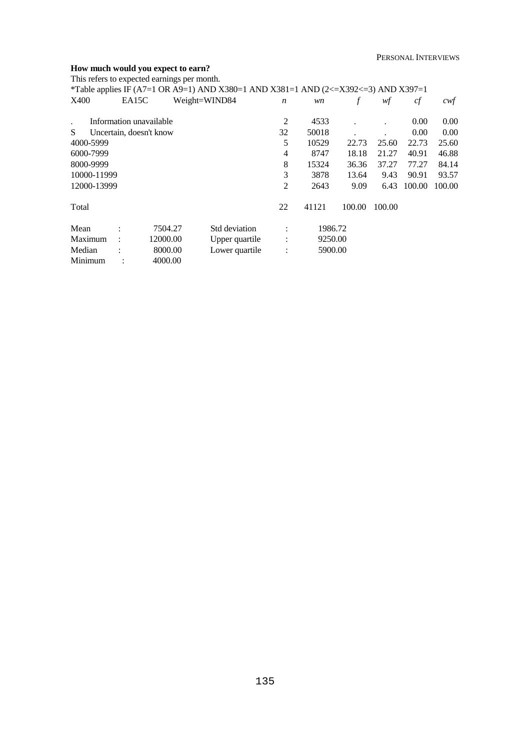#### **How much would you expect to earn?**

This refers to expected earnings per month.

|             |                |                         | *Table applies IF (A7=1 OR A9=1) AND X380=1 AND X381=1 AND (2<=X392<=3) AND X397=1 |                      |         |        |        |        |        |
|-------------|----------------|-------------------------|------------------------------------------------------------------------------------|----------------------|---------|--------|--------|--------|--------|
| X400        | EA15C          |                         | Weight=WIND84                                                                      | $\boldsymbol{n}$     | wn      | f      | wf     | cf     | cwf    |
|             |                | Information unavailable |                                                                                    | 2                    | 4533    |        |        | 0.00   | 0.00   |
| S.          |                | Uncertain, doesn't know |                                                                                    | 32                   | 50018   |        |        | 0.00   | 0.00   |
| 4000-5999   |                |                         |                                                                                    | 5                    | 10529   | 22.73  | 25.60  | 22.73  | 25.60  |
| 6000-7999   |                |                         |                                                                                    | 4                    | 8747    | 18.18  | 21.27  | 40.91  | 46.88  |
| 8000-9999   |                |                         |                                                                                    | 8                    | 15324   | 36.36  | 37.27  | 77.27  | 84.14  |
| 10000-11999 |                |                         |                                                                                    | 3                    | 3878    | 13.64  | 9.43   | 90.91  | 93.57  |
| 12000-13999 |                |                         |                                                                                    | 2                    | 2643    | 9.09   | 6.43   | 100.00 | 100.00 |
| Total       |                |                         |                                                                                    | 22                   | 41121   | 100.00 | 100.00 |        |        |
| Mean        |                | 7504.27                 | Std deviation                                                                      | $\bullet$            | 1986.72 |        |        |        |        |
| Maximum     |                | 12000.00                | Upper quartile                                                                     | $\ddot{\phantom{a}}$ | 9250.00 |        |        |        |        |
| Median      |                | 8000.00                 | Lower quartile                                                                     | $\ddot{\phantom{a}}$ | 5900.00 |        |        |        |        |
| Minimum     | $\ddot{\cdot}$ | 4000.00                 |                                                                                    |                      |         |        |        |        |        |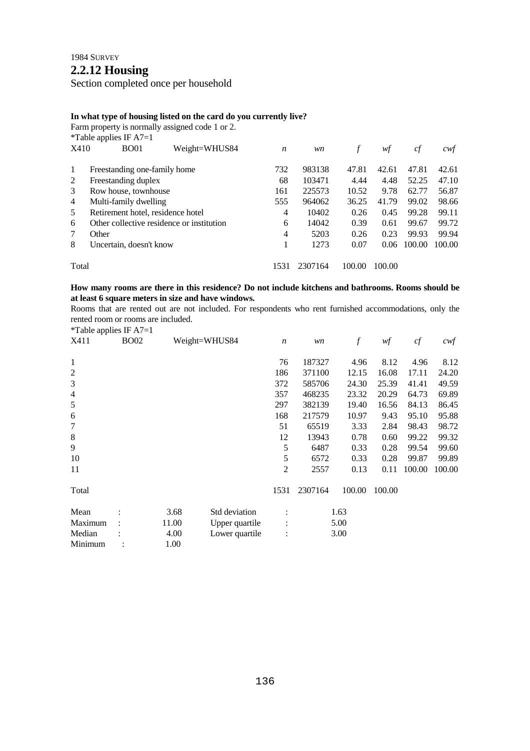# **2.2.12 Housing**

Section completed once per household

## **In what type of housing listed on the card do you currently live?**

Farm property is normally assigned code 1 or 2.

|                | *Table applies IF $A7=1$                  |               |                  |         |        |        |        |        |
|----------------|-------------------------------------------|---------------|------------------|---------|--------|--------|--------|--------|
| X410           | <b>BO01</b>                               | Weight=WHUS84 | $\boldsymbol{n}$ | wn      |        | wf     | cf     | cwt    |
| $\mathbf{1}$   | Freestanding one-family home              |               | 732              | 983138  | 47.81  | 42.61  | 47.81  | 42.61  |
| 2              | Freestanding duplex                       |               | 68               | 103471  | 4.44   | 4.48   | 52.25  | 47.10  |
| 3              | Row house, townhouse                      |               | 161              | 225573  | 10.52  | 9.78   | 62.77  | 56.87  |
| $\overline{4}$ | Multi-family dwelling                     |               | 555              | 964062  | 36.25  | 41.79  | 99.02  | 98.66  |
| 5              | Retirement hotel, residence hotel         |               | 4                | 10402   | 0.26   | 0.45   | 99.28  | 99.11  |
| 6              | Other collective residence or institution |               | 6                | 14042   | 0.39   | 0.61   | 99.67  | 99.72  |
| 7              | Other                                     |               | 4                | 5203    | 0.26   | 0.23   | 99.93  | 99.94  |
| 8              | Uncertain, doesn't know                   |               |                  | 1273    | 0.07   | 0.06   | 100.00 | 100.00 |
| Total          |                                           |               | 1531             | 2307164 | 100.00 | 100.00 |        |        |

## **How many rooms are there in this residence? Do not include kitchens and bathrooms. Rooms should be at least 6 square meters in size and have windows.**

Rooms that are rented out are not included. For respondents who rent furnished accommodations, only the rented room or rooms are included. \*Table applies IF  $\Delta$ 7-1

|                | r avic applies $\mathbf{H}$ $\mathbf{H}$ |       |                |                  |         |        |        |        |        |
|----------------|------------------------------------------|-------|----------------|------------------|---------|--------|--------|--------|--------|
| X411           | <b>BO02</b>                              |       | Weight=WHUS84  | $\boldsymbol{n}$ | wn      | f      | wf     | cf     | cwt    |
| 1              |                                          |       |                | 76               | 187327  | 4.96   | 8.12   | 4.96   | 8.12   |
| $\overline{c}$ |                                          |       |                | 186              | 371100  | 12.15  | 16.08  | 17.11  | 24.20  |
| 3              |                                          |       |                | 372              | 585706  | 24.30  | 25.39  | 41.41  | 49.59  |
| $\overline{4}$ |                                          |       |                | 357              | 468235  | 23.32  | 20.29  | 64.73  | 69.89  |
| $\sqrt{5}$     |                                          |       |                | 297              | 382139  | 19.40  | 16.56  | 84.13  | 86.45  |
| 6              |                                          |       |                | 168              | 217579  | 10.97  | 9.43   | 95.10  | 95.88  |
| 7              |                                          |       |                | 51               | 65519   | 3.33   | 2.84   | 98.43  | 98.72  |
| $\,8\,$        |                                          |       |                | 12               | 13943   | 0.78   | 0.60   | 99.22  | 99.32  |
| 9              |                                          |       |                | 5                | 6487    | 0.33   | 0.28   | 99.54  | 99.60  |
| 10             |                                          |       |                | 5                | 6572    | 0.33   | 0.28   | 99.87  | 99.89  |
| 11             |                                          |       |                | 2                | 2557    | 0.13   | 0.11   | 100.00 | 100.00 |
| Total          |                                          |       |                | 1531             | 2307164 | 100.00 | 100.00 |        |        |
| Mean           |                                          | 3.68  | Std deviation  |                  |         | 1.63   |        |        |        |
| Maximum        |                                          | 11.00 | Upper quartile |                  |         | 5.00   |        |        |        |
| Median         |                                          | 4.00  | Lower quartile |                  |         | 3.00   |        |        |        |

Minimum : 1.00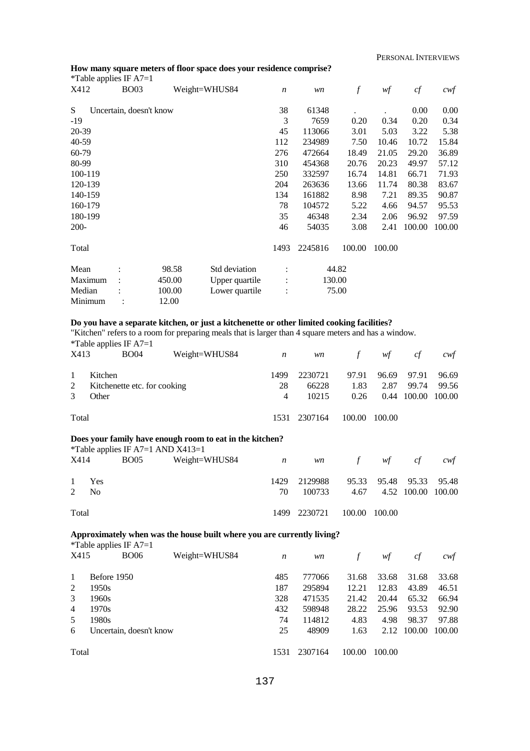## **How many square meters of floor space does your residence comprise?**

| *Table applies IF $A7=1$ |                         |        |                |                  |         |                  |        |        |                  |
|--------------------------|-------------------------|--------|----------------|------------------|---------|------------------|--------|--------|------------------|
| X412                     | <b>BO03</b>             |        | Weight=WHUS84  | $\boldsymbol{n}$ | wn      | $\boldsymbol{f}$ | wf     | cf     | $c \mathsf{w} f$ |
| S                        | Uncertain, doesn't know |        |                | 38               | 61348   |                  |        | 0.00   | 0.00             |
| $-19$                    |                         |        |                | 3                | 7659    | 0.20             | 0.34   | 0.20   | 0.34             |
| 20-39                    |                         |        |                | 45               | 113066  | 3.01             | 5.03   | 3.22   | 5.38             |
| 40-59                    |                         |        |                | 112              | 234989  | 7.50             | 10.46  | 10.72  | 15.84            |
| 60-79                    |                         |        |                | 276              | 472664  | 18.49            | 21.05  | 29.20  | 36.89            |
| 80-99                    |                         |        |                | 310              | 454368  | 20.76            | 20.23  | 49.97  | 57.12            |
| 100-119                  |                         |        |                | 250              | 332597  | 16.74            | 14.81  | 66.71  | 71.93            |
| 120-139                  |                         |        |                | 204              | 263636  | 13.66            | 11.74  | 80.38  | 83.67            |
| 140-159                  |                         |        |                | 134              | 161882  | 8.98             | 7.21   | 89.35  | 90.87            |
| 160-179                  |                         |        |                | 78               | 104572  | 5.22             | 4.66   | 94.57  | 95.53            |
| 180-199                  |                         |        |                | 35               | 46348   | 2.34             | 2.06   | 96.92  | 97.59            |
| $200 -$                  |                         |        |                | 46               | 54035   | 3.08             | 2.41   | 100.00 | 100.00           |
| Total                    |                         |        |                | 1493             | 2245816 | 100.00           | 100.00 |        |                  |
| Mean                     |                         | 98.58  | Std deviation  |                  |         | 44.82            |        |        |                  |
| Maximum                  |                         | 450.00 | Upper quartile | $\ddot{\cdot}$   |         | 130.00           |        |        |                  |
| Median                   |                         | 100.00 | Lower quartile | $\ddot{\cdot}$   |         | 75.00            |        |        |                  |
| Minimum                  |                         | 12.00  |                |                  |         |                  |        |        |                  |

#### **Do you have a separate kitchen, or just a kitchenette or other limited cooking facilities?**

"Kitchen" refers to a room for preparing meals that is larger than 4 square meters and has a window. \*Table applies IF A7=1

| X413   | . .<br><b>BO04</b>                               | Weight=WHUS84 | n                            | <i>wn</i>                 | $\frac{1}{2}$         | wf                    | cf                              | cwt            |
|--------|--------------------------------------------------|---------------|------------------------------|---------------------------|-----------------------|-----------------------|---------------------------------|----------------|
| 2<br>3 | Kitchen<br>Kitchenette etc. for cooking<br>Other |               | 1499<br>28<br>$\overline{4}$ | 2230721<br>66228<br>10215 | 97.91<br>1.83<br>0.26 | 96.69<br>2.87<br>0.44 | 97.91<br>99.74<br>100.00 100.00 | 96.69<br>99.56 |
| Total  |                                                  |               |                              | 1531 2307164              | 100.00                | 100.00                |                                 |                |

## **Does your family have enough room to eat in the kitchen?**

|       |                |      | *Table applies IF A7=1 AND $X413=1$ |    |              |            |                         |                    |     |
|-------|----------------|------|-------------------------------------|----|--------------|------------|-------------------------|--------------------|-----|
| X414  |                | BO05 | Weight=WHUS84 $n$                   |    |              | wn f wf cf |                         |                    | cwt |
|       |                |      |                                     |    |              |            |                         |                    |     |
|       | 1 Yes          |      |                                     |    | 1429 2129988 |            | 95.33 95.48 95.33 95.48 |                    |     |
|       | $2 \text{ No}$ |      |                                     | 70 | 100733       | 4.67       |                         | 4.52 100.00 100.00 |     |
|       |                |      |                                     |    |              |            |                         |                    |     |
| Total |                |      |                                     |    | 1499 2230721 |            | 100.00 100.00           |                    |     |

## **Approximately when was the house built where you are currently living?**

\*Table applies IF  $A7=1$ 

| X415           | <b>BO06</b>             | Weight=WHUS84 | n    | wn      |        | wf     | cf     | cwt    |
|----------------|-------------------------|---------------|------|---------|--------|--------|--------|--------|
| $\perp$        | Before 1950             |               | 485  | 777066  | 31.68  | 33.68  | 31.68  | 33.68  |
| 2              | 1950s                   |               | 187  | 295894  | 12.21  | 12.83  | 43.89  | 46.51  |
| 3              | 1960s                   |               | 328  | 471535  | 21.42  | 20.44  | 65.32  | 66.94  |
| $\overline{4}$ | 1970s                   |               | 432  | 598948  | 28.22  | 25.96  | 93.53  | 92.90  |
| 5              | 1980s                   |               | 74   | 114812  | 4.83   | 4.98   | 98.37  | 97.88  |
| 6              | Uncertain, doesn't know |               | 25   | 48909   | 1.63   | 2.12   | 100.00 | 100.00 |
| Total          |                         |               | 1531 | 2307164 | 100.00 | 100.00 |        |        |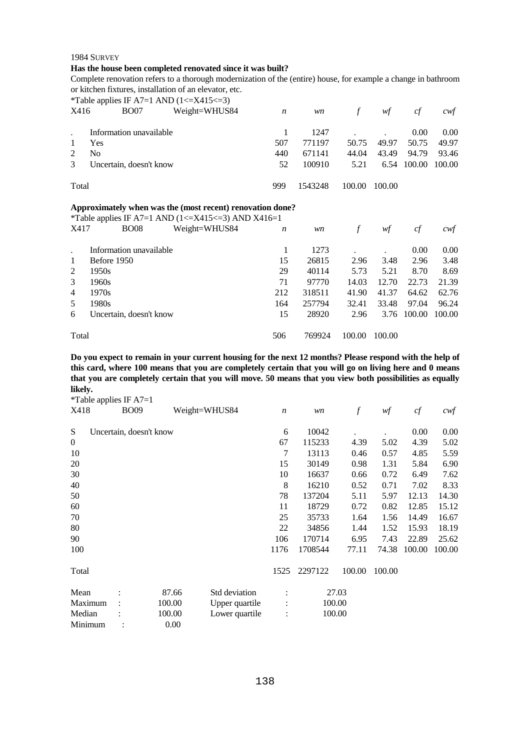#### **Has the house been completed renovated since it was built?**

Complete renovation refers to a thorough modernization of the (entire) house, for example a change in bathroom or kitchen fixtures, installation of an elevator, etc.

|                |                         | *Table applies IF A7=1 AND $(1\leq$ X415 $\leq$ 3)                                                                           |                  |         |        |        |        |        |
|----------------|-------------------------|------------------------------------------------------------------------------------------------------------------------------|------------------|---------|--------|--------|--------|--------|
| X416           | <b>BO07</b>             | Weight=WHUS84                                                                                                                | $\boldsymbol{n}$ | wn      | $\int$ | wf     | cf     | cwf    |
|                |                         |                                                                                                                              | 1                | 1247    |        |        | 0.00   | 0.00   |
|                | Information unavailable |                                                                                                                              |                  |         |        |        |        |        |
| 1              | Yes                     |                                                                                                                              | 507              | 771197  | 50.75  | 49.97  | 50.75  | 49.97  |
| 2              | No.                     |                                                                                                                              | 440              | 671141  | 44.04  | 43.49  | 94.79  | 93.46  |
| 3              | Uncertain, doesn't know |                                                                                                                              | 52               | 100910  | 5.21   | 6.54   | 100.00 | 100.00 |
| Total          |                         |                                                                                                                              | 999              | 1543248 | 100.00 | 100.00 |        |        |
|                |                         | Approximately when was the (most recent) renovation done?<br><i>*Table applies IF A7=1 AND (1&lt;=X415&lt;=3) AND X416=1</i> |                  |         |        |        |        |        |
| X417           | <b>BO08</b>             | Weight=WHUS84                                                                                                                | $\boldsymbol{n}$ | wn      | $\int$ | wf     | cf     | cwt    |
|                | Information unavailable |                                                                                                                              | 1                | 1273    |        |        | 0.00   | 0.00   |
| 1              | Before 1950             |                                                                                                                              | 15               | 26815   | 2.96   | 3.48   | 2.96   | 3.48   |
| 2              | 1950s                   |                                                                                                                              | 29               | 40114   | 5.73   | 5.21   | 8.70   | 8.69   |
| 3              | 1960s                   |                                                                                                                              | 71               | 97770   | 14.03  | 12.70  | 22.73  | 21.39  |
| $\overline{4}$ | 1970s                   |                                                                                                                              | 212              | 318511  | 41.90  | 41.37  | 64.62  | 62.76  |
| 5              | 1980s                   |                                                                                                                              | 164              | 257794  | 32.41  | 33.48  | 97.04  | 96.24  |

Total 506 769924 100.00 100.00

**Do you expect to remain in your current housing for the next 12 months? Please respond with the help of this card, where 100 means that you are completely certain that you will go on living here and 0 means that you are completely certain that you will move. 50 means that you view both possibilities as equally likely.** 

15 28920 2.96 3.76 100.00 100.00

\*Table applies IF A7=1

6 Uncertain, doesn't know

| X418             | <b>BO09</b>             |        | Weight=WHUS84  | $\boldsymbol{n}$ | wn      | $\boldsymbol{f}$ | wf     | cf     | $c \mathcal{w}$ f |
|------------------|-------------------------|--------|----------------|------------------|---------|------------------|--------|--------|-------------------|
| S                | Uncertain, doesn't know |        |                | 6                | 10042   |                  |        | 0.00   | 0.00              |
| $\boldsymbol{0}$ |                         |        |                | 67               | 115233  | 4.39             | 5.02   | 4.39   | 5.02              |
| 10               |                         |        |                | 7                | 13113   | 0.46             | 0.57   | 4.85   | 5.59              |
| 20               |                         |        |                | 15               | 30149   | 0.98             | 1.31   | 5.84   | 6.90              |
| 30               |                         |        |                | 10               | 16637   | 0.66             | 0.72   | 6.49   | 7.62              |
| 40               |                         |        |                | 8                | 16210   | 0.52             | 0.71   | 7.02   | 8.33              |
| 50               |                         |        |                | 78               | 137204  | 5.11             | 5.97   | 12.13  | 14.30             |
| 60               |                         |        |                | 11               | 18729   | 0.72             | 0.82   | 12.85  | 15.12             |
| 70               |                         |        |                | 25               | 35733   | 1.64             | 1.56   | 14.49  | 16.67             |
| 80               |                         |        |                | 22               | 34856   | 1.44             | 1.52   | 15.93  | 18.19             |
| 90               |                         |        |                | 106              | 170714  | 6.95             | 7.43   | 22.89  | 25.62             |
| 100              |                         |        |                | 1176             | 1708544 | 77.11            | 74.38  | 100.00 | 100.00            |
| Total            |                         |        |                | 1525             | 2297122 | 100.00           | 100.00 |        |                   |
| Mean             |                         | 87.66  | Std deviation  |                  |         | 27.03            |        |        |                   |
| Maximum          |                         | 100.00 | Upper quartile |                  | 100.00  |                  |        |        |                   |
| Median           |                         | 100.00 | Lower quartile | $\ddot{\cdot}$   | 100.00  |                  |        |        |                   |
| Minimum          |                         | 0.00   |                |                  |         |                  |        |        |                   |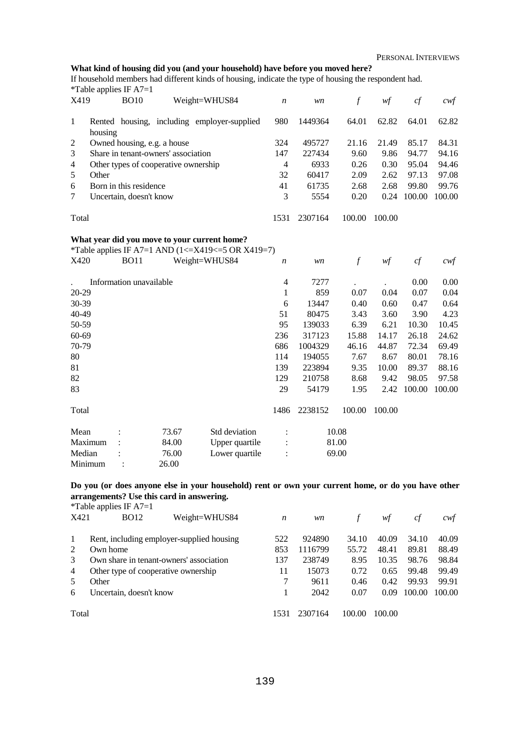## **What kind of housing did you (and your household) have before you moved here?**

If household members had different kinds of housing, indicate the type of housing the respondent had.  $*$ Table applies IF A7=1

| X419  | $1000$ up phob in 11.<br><b>BO10</b><br>Weight=WHUS84  | n    | wn      |        | wţ     | ct     | cwt    |
|-------|--------------------------------------------------------|------|---------|--------|--------|--------|--------|
| 1     | Rented housing, including employer-supplied<br>housing | 980  | 1449364 | 64.01  | 62.82  | 64.01  | 62.82  |
| 2     | Owned housing, e.g. a house                            | 324  | 495727  | 21.16  | 21.49  | 85.17  | 84.31  |
| 3     | Share in tenant-owners' association                    | 147  | 227434  | 9.60   | 9.86   | 94.77  | 94.16  |
| 4     | Other types of cooperative ownership                   | 4    | 6933    | 0.26   | 0.30   | 95.04  | 94.46  |
| 5     | Other                                                  | 32   | 60417   | 2.09   | 2.62   | 97.13  | 97.08  |
| 6     | Born in this residence                                 | 41   | 61735   | 2.68   | 2.68   | 99.80  | 99.76  |
| 7     | Uncertain, doesn't know                                | 3    | 5554    | 0.20   | 0.24   | 100.00 | 100.00 |
| Total |                                                        | 1531 | 2307164 | 100.00 | 100.00 |        |        |

#### **What year did you move to your current home?**

\*Table applies IF A7=1 AND  $(1 \leq X419 \leq 5 \text{ OR } X419 = 7)$ <br> $X420$  BO11 Weight-WHIS 84

| 1 U     |                         |       |                |                  |         |                  |        |        |                  |
|---------|-------------------------|-------|----------------|------------------|---------|------------------|--------|--------|------------------|
| X420    | <b>BO11</b>             |       | Weight=WHUS84  | $\boldsymbol{n}$ | wn      | $\boldsymbol{f}$ | wf     | cf     | $c \mathsf{w} f$ |
|         | Information unavailable |       |                | 4                | 7277    |                  |        | 0.00   | 0.00             |
| 20-29   |                         |       |                | 1                | 859     | 0.07             | 0.04   | 0.07   | 0.04             |
| 30-39   |                         |       |                | 6                | 13447   | 0.40             | 0.60   | 0.47   | 0.64             |
| 40-49   |                         |       |                | 51               | 80475   | 3.43             | 3.60   | 3.90   | 4.23             |
| 50-59   |                         |       |                | 95               | 139033  | 6.39             | 6.21   | 10.30  | 10.45            |
| 60-69   |                         |       |                | 236              | 317123  | 15.88            | 14.17  | 26.18  | 24.62            |
| 70-79   |                         |       |                | 686              | 1004329 | 46.16            | 44.87  | 72.34  | 69.49            |
| 80      |                         |       |                | 114              | 194055  | 7.67             | 8.67   | 80.01  | 78.16            |
| 81      |                         |       |                | 139              | 223894  | 9.35             | 10.00  | 89.37  | 88.16            |
| 82      |                         |       |                | 129              | 210758  | 8.68             | 9.42   | 98.05  | 97.58            |
| 83      |                         |       |                | 29               | 54179   | 1.95             | 2.42   | 100.00 | 100.00           |
| Total   |                         |       |                | 1486             | 2238152 | 100.00           | 100.00 |        |                  |
| Mean    |                         | 73.67 | Std deviation  |                  |         | 10.08            |        |        |                  |
| Maximum |                         | 84.00 | Upper quartile | $\ddot{\cdot}$   |         | 81.00            |        |        |                  |
| Median  |                         | 76.00 | Lower quartile | $\vdots$         |         | 69.00            |        |        |                  |
| Minimum |                         | 26.00 |                |                  |         |                  |        |        |                  |
|         |                         |       |                |                  |         |                  |        |        |                  |

**Do you (or does anyone else in your household) rent or own your current home, or do you have other arrangements? Use this card in answering.**  \*Table applies IF  $A7=1$ 

|               | $1 \text{ and } \text{up}$ applies $\text{II}$ $1 \text{I}$ |      |         |        |        |        |        |
|---------------|-------------------------------------------------------------|------|---------|--------|--------|--------|--------|
| X421          | Weight=WHUS84<br><b>BO12</b>                                | n    | wn      |        | wt     | ct     | cwt    |
| -1            | Rent, including employer-supplied housing                   | 522  | 924890  | 34.10  | 40.09  | 34.10  | 40.09  |
| 2             | Own home                                                    | 853  | 1116799 | 55.72  | 48.41  | 89.81  | 88.49  |
| $\mathcal{R}$ | Own share in tenant-owners' association                     | 137  | 238749  | 8.95   | 10.35  | 98.76  | 98.84  |
| 4             | Other type of cooperative ownership                         | 11   | 15073   | 0.72   | 0.65   | 99.48  | 99.49  |
| 5             | Other                                                       |      | 9611    | 0.46   | 0.42   | 99.93  | 99.91  |
| 6             | Uncertain, doesn't know                                     |      | 2042    | 0.07   | 0.09   | 100.00 | 100.00 |
| Total         |                                                             | 1531 | 2307164 | 100.00 | 100.00 |        |        |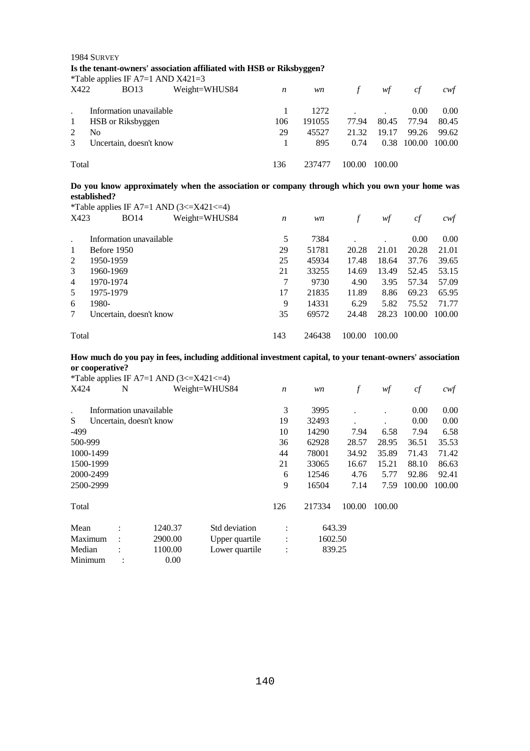|                                      | Is the tenant-owners' association affiliated with HSB or Riksbyggen?<br>*Table applies IF A7=1 AND $X421=3$ |     |        |               |        |        |        |  |  |  |  |
|--------------------------------------|-------------------------------------------------------------------------------------------------------------|-----|--------|---------------|--------|--------|--------|--|--|--|--|
| Weight=WHUS84<br>X422<br><b>BO13</b> |                                                                                                             | n   | wn     | $\mathcal{F}$ | wf     | cf     | cwt    |  |  |  |  |
|                                      | Information unavailable                                                                                     |     | 1272   |               |        | 0.00   | 0.00   |  |  |  |  |
| $\mathbf{1}$                         | HSB or Riksbyggen                                                                                           | 106 | 191055 | 77.94         | 80.45  | 77.94  | 80.45  |  |  |  |  |
|                                      | No                                                                                                          | 29  | 45527  | 21.32         | 19.17  | 99.26  | 99.62  |  |  |  |  |
| 3                                    | Uncertain, doesn't know                                                                                     |     | 895    | 0.74          | 0.38   | 100.00 | 100.00 |  |  |  |  |
| Total                                |                                                                                                             | 136 | 237477 | 100.00        | 100.00 |        |        |  |  |  |  |

## **Do you know approximately when the association or company through which you own your home was established?**

|               | *Table applies IF A7=1 AND $(3\leq$ X421 $\leq$ 4) |                  |        |        |        |        |        |
|---------------|----------------------------------------------------|------------------|--------|--------|--------|--------|--------|
| X423          | <b>BO14</b><br>Weight=WHUS84                       | $\boldsymbol{n}$ | wn     | f      | wf     | cf     | cwf    |
|               |                                                    |                  |        |        |        |        |        |
|               | Information unavailable                            | 5                | 7384   |        |        | 0.00   | 0.00   |
| 1             | Before 1950                                        | 29               | 51781  | 20.28  | 21.01  | 20.28  | 21.01  |
| 2             | 1950-1959                                          | 25               | 45934  | 17.48  | 18.64  | 37.76  | 39.65  |
| $\mathcal{F}$ | 1960-1969                                          | 21               | 33255  | 14.69  | 13.49  | 52.45  | 53.15  |
| 4             | 1970-1974                                          | 7                | 9730   | 4.90   | 3.95   | 57.34  | 57.09  |
| .5            | 1975-1979                                          | 17               | 21835  | 11.89  | 8.86   | 69.23  | 65.95  |
| 6             | 1980-                                              | 9                | 14331  | 6.29   | 5.82   | 75.52  | 71.77  |
| $\tau$        | Uncertain, doesn't know                            | 35               | 69572  | 24.48  | 28.23  | 100.00 | 100.00 |
|               |                                                    |                  |        |        |        |        |        |
| Total         |                                                    | 143              | 246438 | 100.00 | 100.00 |        |        |

## **How much do you pay in fees, including additional investment capital, to your tenant-owners' association or cooperative?**

|           |           | *Table applies IF A7=1 AND $(3\leq$ X421 $\leq$ 4) |                |                  |         |        |        |        |        |
|-----------|-----------|----------------------------------------------------|----------------|------------------|---------|--------|--------|--------|--------|
| X424      | N         |                                                    | Weight=WHUS84  | $\boldsymbol{n}$ | wn      | $\int$ | wf     | cf     | cwf    |
|           |           | Information unavailable                            |                | 3                | 3995    |        |        | 0.00   | 0.00   |
| S         |           | Uncertain, doesn't know                            |                | 19               | 32493   |        |        | 0.00   | 0.00   |
| $-499$    |           |                                                    |                | 10               | 14290   | 7.94   | 6.58   | 7.94   | 6.58   |
| 500-999   |           |                                                    |                | 36               | 62928   | 28.57  | 28.95  | 36.51  | 35.53  |
| 1000-1499 |           |                                                    |                | 44               | 78001   | 34.92  | 35.89  | 71.43  | 71.42  |
| 1500-1999 |           |                                                    |                | 21               | 33065   | 16.67  | 15.21  | 88.10  | 86.63  |
| 2000-2499 |           |                                                    |                | 6                | 12546   | 4.76   | 5.77   | 92.86  | 92.41  |
| 2500-2999 |           |                                                    |                | 9                | 16504   | 7.14   | 7.59   | 100.00 | 100.00 |
| Total     |           |                                                    |                | 126              | 217334  | 100.00 | 100.00 |        |        |
| Mean      |           | 1240.37                                            | Std deviation  | ٠                | 643.39  |        |        |        |        |
| Maximum   |           | 2900.00                                            | Upper quartile | $\bullet$        | 1602.50 |        |        |        |        |
| Median    |           | 1100.00                                            | Lower quartile | ٠                | 839.25  |        |        |        |        |
| Minimum   | $\bullet$ | 0.00                                               |                |                  |         |        |        |        |        |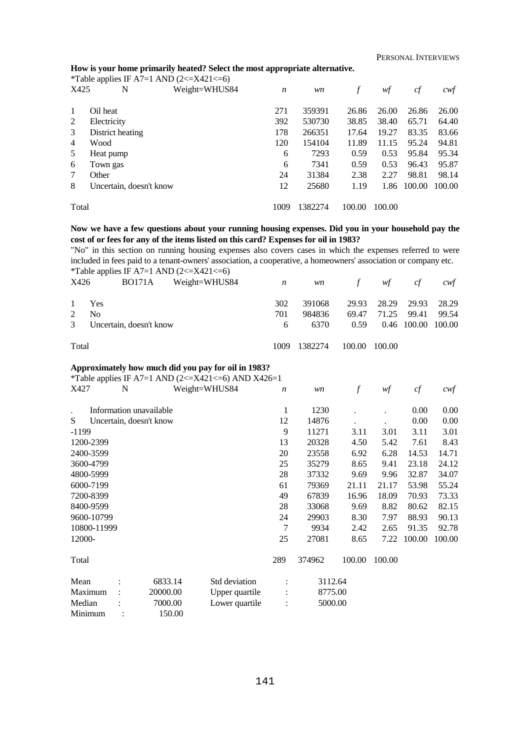#### **How is your home primarily heated? Select the most appropriate alternative.**

|                | *Table applies IF A7=1 AND $(2\leq$ X421 $\leq$ =6) |                  |         |        |        |        |        |
|----------------|-----------------------------------------------------|------------------|---------|--------|--------|--------|--------|
| X425           | Weight=WHUS84<br>N                                  | $\boldsymbol{n}$ | wn      |        | wf     | cf     | cwf    |
|                |                                                     |                  |         |        |        |        |        |
| 1              | Oil heat                                            | 271              | 359391  | 26.86  | 26.00  | 26.86  | 26.00  |
| 2              | Electricity                                         | 392              | 530730  | 38.85  | 38.40  | 65.71  | 64.40  |
| 3              | District heating                                    | 178              | 266351  | 17.64  | 19.27  | 83.35  | 83.66  |
| $\overline{4}$ | Wood                                                | 120              | 154104  | 11.89  | 11.15  | 95.24  | 94.81  |
| 5              | Heat pump                                           | 6                | 7293    | 0.59   | 0.53   | 95.84  | 95.34  |
| 6              | Town gas                                            | 6                | 7341    | 0.59   | 0.53   | 96.43  | 95.87  |
| 7              | Other                                               | 24               | 31384   | 2.38   | 2.27   | 98.81  | 98.14  |
| 8              | Uncertain, doesn't know                             | 12               | 25680   | 1.19   | 1.86   | 100.00 | 100.00 |
|                |                                                     |                  |         |        |        |        |        |
| Total          |                                                     | 1009             | 1382274 | 100.00 | 100.00 |        |        |

#### **Now we have a few questions about your running housing expenses. Did you in your household pay the cost of or fees for any of the items listed on this card? Expenses for oil in 1983?**

"No" in this section on running housing expenses also covers cases in which the expenses referred to were included in fees paid to a tenant-owners' association, a cooperative, a homeowners' association or company etc. \*Table applies IF A7=1 AND  $(2 \le X421 \le 6)$ 

| X426           | <b>BO171A</b>           | Weight=WHUS84 | $\boldsymbol{n}$ | <i>wn</i> | $\mathcal{F}$ | wf          | cf    | cwt                |
|----------------|-------------------------|---------------|------------------|-----------|---------------|-------------|-------|--------------------|
| $\mathbf{1}$   | Yes                     |               | 302              | 391068    |               | 29.93 28.29 | 29.93 | 28.29              |
| $\mathfrak{D}$ | N <sub>0</sub>          |               | 701              | 984836    | 69.47         | 71.25       | 99.41 | 99.54              |
| 3 <sup>1</sup> | Uncertain, doesn't know |               | 6                | 6370      | 0.59          |             |       | 0.46 100.00 100.00 |
| Total          |                         |               | 1009             | 1382274   | 100.00        | 100.00      |       |                    |

#### **Approximately how much did you pay for oil in 1983?**

\*Table applies IF A7=1 AND  $(2 \le X421 \le 6)$  AND X426=1

| X427                 |             | N              |                         | Weight=WHUS84 | $\boldsymbol{n}$ | wn      | f      | wf     | cf     | $c$ wf |
|----------------------|-------------|----------------|-------------------------|---------------|------------------|---------|--------|--------|--------|--------|
| $\ddot{\phantom{0}}$ |             |                | Information unavailable |               | 1                | 1230    |        |        | 0.00   | 0.00   |
| S                    |             |                | Uncertain, doesn't know |               | 12               | 14876   |        |        | 0.00   | 0.00   |
| $-1199$              |             |                |                         |               | 9                | 11271   | 3.11   | 3.01   | 3.11   | 3.01   |
|                      | 1200-2399   |                |                         |               |                  | 20328   | 4.50   | 5.42   | 7.61   | 8.43   |
|                      | 2400-3599   |                |                         |               |                  | 23558   | 6.92   | 6.28   | 14.53  | 14.71  |
|                      | 3600-4799   |                |                         |               | 25               | 35279   | 8.65   | 9.41   | 23.18  | 24.12  |
|                      | 4800-5999   |                |                         |               | 28               | 37332   | 9.69   | 9.96   | 32.87  | 34.07  |
|                      | 6000-7199   |                |                         |               | 61               | 79369   | 21.11  | 21.17  | 53.98  | 55.24  |
|                      | 7200-8399   |                |                         |               | 49               | 67839   | 16.96  | 18.09  | 70.93  | 73.33  |
|                      | 8400-9599   |                |                         |               | 28               | 33068   | 9.69   | 8.82   | 80.62  | 82.15  |
|                      | 9600-10799  |                |                         |               | 24               | 29903   | 8.30   | 7.97   | 88.93  | 90.13  |
|                      | 10800-11999 |                |                         |               | 7                | 9934    | 2.42   | 2.65   | 91.35  | 92.78  |
| 12000-               |             |                |                         |               | 25               | 27081   | 8.65   | 7.22   | 100.00 | 100.00 |
| Total                |             |                |                         |               | 289              | 374962  | 100.00 | 100.00 |        |        |
| Mean                 |             |                | 6833.14                 | Std deviation |                  | 3112.64 |        |        |        |        |
| 20000.00<br>Maximum  |             | Upper quartile |                         | 8775.00       |                  |         |        |        |        |        |
| 7000.00<br>Median    |             |                | Lower quartile          |               | 5000.00          |         |        |        |        |        |
| 150.00<br>Minimum    |             |                |                         |               |                  |         |        |        |        |        |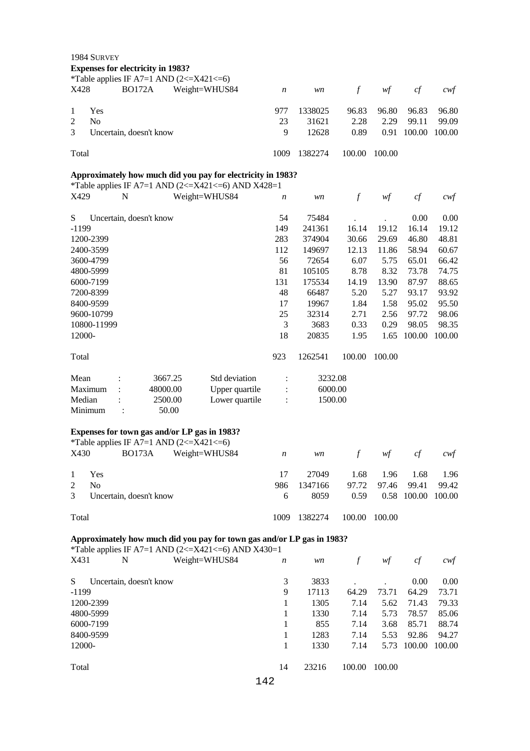|                | 1984 SURVEY                                                                                         |          |                                                                                                                              |                  |         |               |        |        |                   |
|----------------|-----------------------------------------------------------------------------------------------------|----------|------------------------------------------------------------------------------------------------------------------------------|------------------|---------|---------------|--------|--------|-------------------|
|                | <b>Expenses for electricity in 1983?</b><br>*Table applies IF A7=1 AND $(2\leq$ X421 $\leq$ =6)     |          |                                                                                                                              |                  |         |               |        |        |                   |
| X428           | <b>BO172A</b>                                                                                       |          | Weight=WHUS84                                                                                                                | $\boldsymbol{n}$ | wn      | $\int$        | wf     | cf     | $c \mathcal{w} f$ |
| $\mathbf{1}$   | Yes                                                                                                 |          |                                                                                                                              | 977              | 1338025 | 96.83         | 96.80  | 96.83  | 96.80             |
| $\overline{c}$ | N <sub>o</sub>                                                                                      |          |                                                                                                                              | 23               | 31621   | 2.28          | 2.29   | 99.11  | 99.09             |
| 3              | Uncertain, doesn't know                                                                             |          |                                                                                                                              | 9                | 12628   | 0.89          | 0.91   | 100.00 | 100.00            |
| Total          |                                                                                                     |          |                                                                                                                              | 1009             | 1382274 | 100.00        | 100.00 |        |                   |
|                |                                                                                                     |          |                                                                                                                              |                  |         |               |        |        |                   |
|                |                                                                                                     |          | Approximately how much did you pay for electricity in 1983?<br>*Table applies IF A7=1 AND $(2\leq$ X421 $\leq$ 6) AND X428=1 |                  |         |               |        |        |                   |
| X429           | N                                                                                                   |          | Weight=WHUS84                                                                                                                | n                | wn      | $\mathcal{f}$ | wf     | cf     | $c$ wf            |
| S              | Uncertain, doesn't know                                                                             |          |                                                                                                                              | 54               | 75484   |               |        | 0.00   | 0.00              |
| $-1199$        |                                                                                                     |          |                                                                                                                              | 149              | 241361  | 16.14         | 19.12  | 16.14  | 19.12             |
| 1200-2399      |                                                                                                     |          | 283                                                                                                                          | 374904           | 30.66   | 29.69         | 46.80  | 48.81  |                   |
| 2400-3599      |                                                                                                     |          | 112                                                                                                                          | 149697           | 12.13   | 11.86         | 58.94  | 60.67  |                   |
| 3600-4799      |                                                                                                     |          |                                                                                                                              | 56               | 72654   | 6.07          | 5.75   | 65.01  | 66.42             |
| 4800-5999      |                                                                                                     |          |                                                                                                                              | 81               | 105105  | 8.78          | 8.32   | 73.78  | 74.75             |
| 6000-7199      |                                                                                                     |          |                                                                                                                              | 131              | 175534  | 14.19         | 13.90  | 87.97  | 88.65             |
| 7200-8399      |                                                                                                     |          |                                                                                                                              | 48               | 66487   | 5.20          | 5.27   | 93.17  | 93.92             |
| 8400-9599      |                                                                                                     |          |                                                                                                                              | 17               | 19967   | 1.84          | 1.58   | 95.02  | 95.50             |
| 9600-10799     |                                                                                                     |          |                                                                                                                              | 25               | 32314   | 2.71          | 2.56   | 97.72  | 98.06             |
|                | 10800-11999                                                                                         |          |                                                                                                                              | 3                | 3683    | 0.33          | 0.29   | 98.05  | 98.35             |
| 12000-         |                                                                                                     |          |                                                                                                                              | 18               | 20835   | 1.95          | 1.65   | 100.00 | 100.00            |
| Total          |                                                                                                     |          |                                                                                                                              |                  | 1262541 | 100.00        | 100.00 |        |                   |
| Mean           | :                                                                                                   | 3667.25  | Std deviation                                                                                                                | $\ddot{\cdot}$   | 3232.08 |               |        |        |                   |
| Maximum        | $\ddot{\cdot}$                                                                                      | 48000.00 | Upper quartile                                                                                                               |                  | 6000.00 |               |        |        |                   |
| Median         | $\ddot{\phantom{a}}$                                                                                | 2500.00  | Lower quartile                                                                                                               | $\ddot{\cdot}$   | 1500.00 |               |        |        |                   |
| Minimum        | $\ddot{\cdot}$                                                                                      | 50.00    |                                                                                                                              |                  |         |               |        |        |                   |
|                |                                                                                                     |          |                                                                                                                              |                  |         |               |        |        |                   |
|                | Expenses for town gas and/or LP gas in 1983?<br>*Table applies IF A7=1 AND $(2\leq$ X421 $\leq$ =6) |          |                                                                                                                              |                  |         |               |        |        |                   |
|                | X430 BO173A Weight=WHUS84                                                                           |          |                                                                                                                              | $\boldsymbol{n}$ | wn      | $f_{-}$       | wf     | cf     | $c \mathsf{w} f$  |
| 1              | Yes                                                                                                 |          |                                                                                                                              | 17               | 27049   | 1.68          | 1.96   | 1.68   | 1.96              |
| $\overline{2}$ | N <sub>o</sub>                                                                                      |          |                                                                                                                              | 986              | 1347166 | 97.72         | 97.46  | 99.41  | 99.42             |
| 3              | Uncertain, doesn't know                                                                             |          |                                                                                                                              | 6                | 8059    | 0.59          | 0.58   | 100.00 | 100.00            |
| Total          |                                                                                                     |          |                                                                                                                              | 1009             | 1382274 | 100.00        | 100.00 |        |                   |
|                |                                                                                                     |          | Approximately how much did you pay for town gas and/or LP gas in 1983?                                                       |                  |         |               |        |        |                   |
|                |                                                                                                     |          | *Table applies IF A7=1 AND $(2\leq$ X421 $\leq$ 6) AND X430=1                                                                |                  |         |               |        |        |                   |
| X431           | N                                                                                                   |          | Weight=WHUS84                                                                                                                | $\boldsymbol{n}$ | wn      | $\int$        | wf     | cf     | $c$ wf            |
| S              | Uncertain, doesn't know                                                                             |          |                                                                                                                              | 3                | 3833    |               |        | 0.00   | 0.00              |
| $-1199$        |                                                                                                     |          | 9                                                                                                                            | 17113            | 64.29   | 73.71         | 64.29  | 73.71  |                   |
| 1200-2399      |                                                                                                     | 1        | 1305                                                                                                                         | 7.14             | 5.62    | 71.43         | 79.33  |        |                   |
| 4800-5999      |                                                                                                     |          |                                                                                                                              | 1                | 1330    | 7.14          | 5.73   | 78.57  | 85.06             |
| 6000-7199      |                                                                                                     |          |                                                                                                                              | 1                | 855     | 7.14          | 3.68   | 85.71  | 88.74             |
|                | 8400-9599                                                                                           |          |                                                                                                                              |                  | 1283    | 7.14          | 5.53   | 92.86  | 94.27             |
| 12000-         |                                                                                                     |          |                                                                                                                              |                  | 1330    | 7.14          | 5.73   | 100.00 | 100.00            |
| Total          |                                                                                                     |          |                                                                                                                              |                  | 23216   | 100.00        | 100.00 |        |                   |
|                |                                                                                                     |          | 142                                                                                                                          | 14               |         |               |        |        |                   |
|                |                                                                                                     |          |                                                                                                                              |                  |         |               |        |        |                   |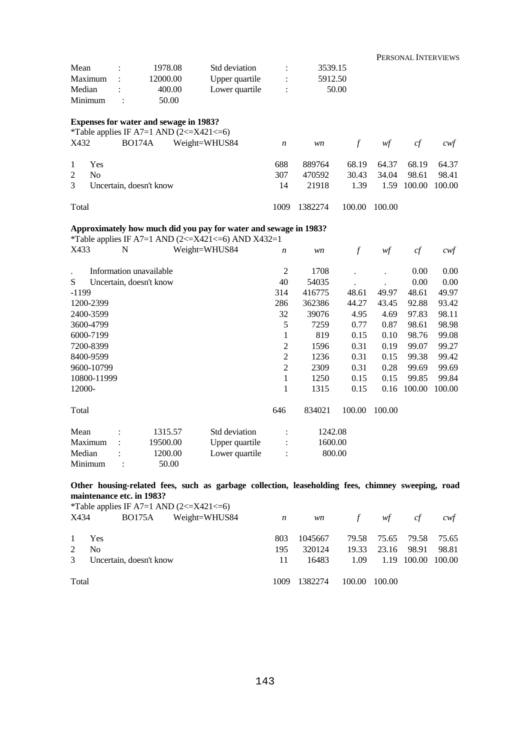|                |                |   |                                                                                                      |                                                                                                                        |                  |         |        |        | PERSONAL INTERVIEWS |        |
|----------------|----------------|---|------------------------------------------------------------------------------------------------------|------------------------------------------------------------------------------------------------------------------------|------------------|---------|--------|--------|---------------------|--------|
| Mean           |                |   | 1978.08                                                                                              | Std deviation                                                                                                          |                  | 3539.15 |        |        |                     |        |
| Maximum        |                |   | 12000.00                                                                                             | Upper quartile                                                                                                         |                  | 5912.50 |        |        |                     |        |
| Median         |                |   | 400.00                                                                                               | Lower quartile                                                                                                         |                  | 50.00   |        |        |                     |        |
| Minimum        |                |   | 50.00                                                                                                |                                                                                                                        |                  |         |        |        |                     |        |
|                |                |   | <b>Expenses for water and sewage in 1983?</b><br>*Table applies IF A7=1 AND $(2\leq$ X421 $\leq$ =6) |                                                                                                                        |                  |         |        |        |                     |        |
| X432           |                |   | <b>BO174A</b>                                                                                        | Weight=WHUS84                                                                                                          | $\boldsymbol{n}$ | wn      | $\int$ | wf     | cf                  | cwt    |
| 1              | Yes            |   |                                                                                                      |                                                                                                                        | 688              | 889764  | 68.19  | 64.37  | 68.19               | 64.37  |
| $\overline{2}$ | N <sub>o</sub> |   |                                                                                                      |                                                                                                                        | 307              | 470592  | 30.43  | 34.04  | 98.61               | 98.41  |
| 3              |                |   | Uncertain, doesn't know                                                                              |                                                                                                                        | 14               | 21918   | 1.39   | 1.59   | 100.00              | 100.00 |
| Total          |                |   |                                                                                                      |                                                                                                                        | 1009             | 1382274 | 100.00 | 100.00 |                     |        |
|                |                |   |                                                                                                      | Approximately how much did you pay for water and sewage in 1983?<br>*Table applies IF A7=1 AND (2<=X421<=6) AND X432=1 |                  |         |        |        |                     |        |
| X433           |                | N |                                                                                                      | Weight=WHUS84                                                                                                          | $\boldsymbol{n}$ | wn      | $\int$ | wf     | cf                  | cwt    |
|                |                |   | Information unavailable                                                                              |                                                                                                                        | 2                | 1708    |        |        | 0.00                | 0.00   |
| S              |                |   | Uncertain, doesn't know                                                                              |                                                                                                                        | 40               | 54035   |        |        | 0.00                | 0.00   |
| $-1199$        |                |   |                                                                                                      | 314                                                                                                                    | 416775           | 48.61   | 49.97  | 48.61  | 49.97               |        |
| 1200-2399      |                |   |                                                                                                      |                                                                                                                        | 286              | 362386  | 44.27  | 43.45  | 92.88               | 93.42  |
| 2400-3599      |                |   |                                                                                                      | 32                                                                                                                     | 39076            | 4.95    | 4.69   | 97.83  | 98.11               |        |
| 3600-4799      |                |   |                                                                                                      | 5                                                                                                                      | 7259             | 0.77    | 0.87   | 98.61  | 98.98               |        |

 1 819 0.15 0.10 98.76 99.08 2 1596 0.31 0.19 99.07 99.27 2 1236 0.31 0.15 99.38 99.42 2 2309 0.31 0.28 99.69 99.69 1 1250 0.15 0.15 99.85 99.84 1 1315 0.15 0.16 100.00 100.00

646 834021 100.00 100.00

Median : 1200.00 Lower quartile : 800.00 Minimum : 50.00

6000-7199 7200-8399 8400-9599 9600-10799 10800-11999 12000-

Total

**Other housing-related fees, such as garbage collection, leaseholding fees, chimney sweeping, road maintenance etc. in 1983?** 

Mean : 1315.57 Std deviation : 1242.08 Maximum : 19500.00 Upper quartile : 1600.00

\*Table applies IF A7=1 AND  $(2\leq$  X421 $\leq$ =6)

| X434        | BO175A                    | $Weight = WHUSS4$ $n$ |     |              | wn f wf cf    |                         | cwt   |
|-------------|---------------------------|-----------------------|-----|--------------|---------------|-------------------------|-------|
|             | 1 Yes                     |                       | 803 | 1045667      |               | 79.58 75.65 79.58 75.65 |       |
| $2^{\circ}$ | - No                      |                       | 195 | 320124       |               | 19.33 23.16 98.91       | 98.81 |
|             | 3 Uncertain, doesn't know |                       |     | 16483        |               | 1.09 1.19 100.00 100.00 |       |
| Total       |                           |                       |     | 1009 1382274 | 100.00 100.00 |                         |       |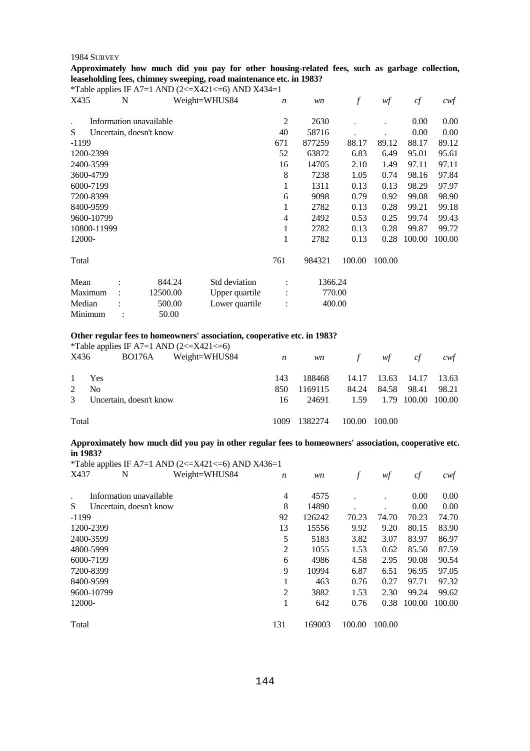**Approximately how much did you pay for other housing-related fees, such as garbage collection, leaseholding fees, chimney sweeping, road maintenance etc. in 1983?** 

\*Table applies IF A7=1 AND  $(2 \le X421 \le 6)$  AND X434=1 X435 N Weight=WHUS84 *n wn f wf cf cwf* . Information unavailable S Uncertain, doesn't know -1199 1200-2399 2400-3599 3600-4799 6000-7199 7200-8399 8400-9599 9600-10799 10800-11999 12000- Total 2 2630 . . 0.00 0.00 40 58716 . . 0.00 0.00 671 877259 88.17 89.12 88.17 89.12 52 63872 6.83 6.49 95.01 95.61 16 14705 2.10 1.49 97.11 97.11 8 7238 1.05 0.74 98.16 97.84 1 1311 0.13 0.13 98.29 97.97 6 9098 0.79 0.92 99.08 98.90 1 2782 0.13 0.28 99.21 99.18 4 2492 0.53 0.25 99.74 99.43 1 2782 0.13 0.28 99.87 99.72 1 2782 0.13 0.28 100.00 100.00 761 984321 100.00 100.00 Mean : 844.24 Std deviation : 1366.24 Maximum : 12500.00 Upper quartile : 770.00 Median : 500.00 Lower quartile : 400.00 Minimum : 50.00

#### **Other regular fees to homeowners' association, cooperative etc. in 1983?**

|               |                         |        | *Table applies IF A7=1 AND $(2\leq$ X421 $\leq$ =6) |                  |           |        |        |                    |       |
|---------------|-------------------------|--------|-----------------------------------------------------|------------------|-----------|--------|--------|--------------------|-------|
| X436          |                         | BO176A | Weight=WHUS84                                       | $\boldsymbol{n}$ | <i>wn</i> |        | f $wf$ | cf                 | cwt   |
| $\mathbf{1}$  | Yes                     |        |                                                     | 143              | 188468    | 14.17  | 13.63  | 14.17              | 13.63 |
| 2             | N <sub>0</sub>          |        |                                                     | 850              | 1169115   | 84.24  | 84.58  | 98.41              | 98.21 |
| $\mathcal{E}$ | Uncertain, doesn't know |        |                                                     | 16               | 24691     | 1.59   |        | 1.79 100.00 100.00 |       |
| Total         |                         |        |                                                     | 1009             | 1382274   | 100.00 | 100.00 |                    |       |

#### **Approximately how much did you pay in other regular fees to homeowners' association, cooperative etc. in 1983?**

|         |                         | *Table applies IF A7=1 AND (2<=X421<=6) AND X436=1 |                  |        |        |        |        |        |
|---------|-------------------------|----------------------------------------------------|------------------|--------|--------|--------|--------|--------|
| X437    | N                       | Weight=WHUS84                                      | $\boldsymbol{n}$ | wn     | f      | wf     | cf     | cwf    |
| $\cdot$ | Information unavailable |                                                    | 4                | 4575   |        |        | 0.00   | 0.00   |
| S       | Uncertain, doesn't know |                                                    | 8                | 14890  |        |        | 0.00   | 0.00   |
| $-1199$ |                         |                                                    | 92               | 126242 | 70.23  | 74.70  | 70.23  | 74.70  |
|         | 1200-2399               |                                                    | 13               | 15556  | 9.92   | 9.20   | 80.15  | 83.90  |
|         | 2400-3599               |                                                    | 5                | 5183   | 3.82   | 3.07   | 83.97  | 86.97  |
|         | 4800-5999               |                                                    | $\overline{2}$   | 1055   | 1.53   | 0.62   | 85.50  | 87.59  |
|         | 6000-7199               |                                                    | 6                | 4986   | 4.58   | 2.95   | 90.08  | 90.54  |
|         | 7200-8399               |                                                    | 9                | 10994  | 6.87   | 6.51   | 96.95  | 97.05  |
|         | 8400-9599               |                                                    | 1                | 463    | 0.76   | 0.27   | 97.71  | 97.32  |
|         | 9600-10799              |                                                    | $\overline{2}$   | 3882   | 1.53   | 2.30   | 99.24  | 99.62  |
| 12000-  |                         |                                                    | 1                | 642    | 0.76   | 0.38   | 100.00 | 100.00 |
| Total   |                         |                                                    | 131              | 169003 | 100.00 | 100.00 |        |        |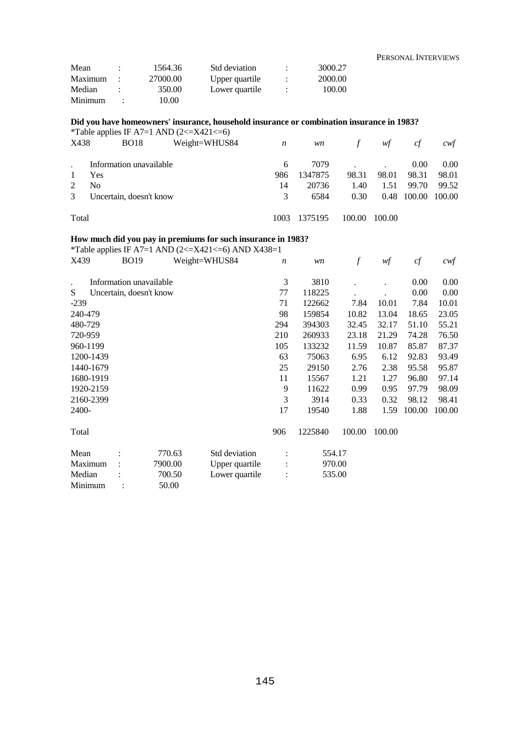|         |         |          |                |           |         | PERSONAL INTERVIEWS |
|---------|---------|----------|----------------|-----------|---------|---------------------|
| Mean    |         | 1564.36  | Std deviation  |           | 3000.27 |                     |
| Maximum |         | 27000.00 | Upper quartile |           | 2000.00 |                     |
| Median  | $\cdot$ | 350.00   | Lower quartile | $\bullet$ | 100.00  |                     |
| Minimum |         | 10.00    |                |           |         |                     |

**Did you have homeowners' insurance, household insurance or combination insurance in 1983?** 

|               |                         | *Table applies IF A7=1 AND $(2\leq$ X421 $\leq$ =6) |      |         |        |        |        |                   |
|---------------|-------------------------|-----------------------------------------------------|------|---------|--------|--------|--------|-------------------|
| X438          | <b>BO18</b>             | Weight=WHUS84                                       | n    | wn      | f      | wf     | cf     | cwt               |
|               | Information unavailable |                                                     | 6    | 7079    |        |        | 0.00   | 0.00 <sub>1</sub> |
|               | Yes                     |                                                     | 986  | 1347875 | 98.31  | 98.01  | 98.31  | 98.01             |
|               | No                      |                                                     | 14   | 20736   | 1.40   | 1.51   | 99.70  | 99.52             |
| $\mathcal{E}$ | Uncertain, doesn't know | 3                                                   | 6584 | 0.30    | 0.48   | 100.00 | 100.00 |                   |
| Total         |                         |                                                     | 1003 | 1375195 | 100.00 | 100.00 |        |                   |

## **How much did you pay in premiums for such insurance in 1983?**

\*Table applies IF A7=1 AND (2<=X421<=6) AND X438=1<br>X439 BO19 Weight=WHUS84  $\prime$ X439 BO19 Weight=WHUS84 *n wn f wf cf cwf*

| <u> 121 J A</u> |           | <b>DV</b> 12            |         | $11 \times 1 = 11 \times 100$ | $\cdot$ | ,,,,    | J      | $^{\prime}$ . | $\mathcal{L}$ | $\mathbf{v}$ |
|-----------------|-----------|-------------------------|---------|-------------------------------|---------|---------|--------|---------------|---------------|--------------|
| $\bullet$       |           | Information unavailable |         |                               | 3       | 3810    |        |               | 0.00          | 0.00         |
| S               |           | Uncertain, doesn't know |         |                               | 77      | 118225  |        |               | 0.00          | 0.00         |
| $-239$          |           |                         |         |                               | 71      | 122662  | 7.84   | 10.01         | 7.84          | 10.01        |
| 240-479         |           |                         |         |                               | 98      | 159854  | 10.82  | 13.04         | 18.65         | 23.05        |
| 480-729         |           |                         |         |                               | 294     | 394303  | 32.45  | 32.17         | 51.10         | 55.21        |
| 720-959         |           |                         |         |                               | 210     | 260933  | 23.18  | 21.29         | 74.28         | 76.50        |
| 960-1199        |           |                         |         |                               | 105     | 133232  | 11.59  | 10.87         | 85.87         | 87.37        |
|                 | 1200-1439 |                         |         |                               | 63      | 75063   | 6.95   | 6.12          | 92.83         | 93.49        |
|                 | 1440-1679 |                         |         |                               | 25      | 29150   | 2.76   | 2.38          | 95.58         | 95.87        |
|                 | 1680-1919 |                         |         |                               | 11      | 15567   | 1.21   | 1.27          | 96.80         | 97.14        |
|                 | 1920-2159 |                         |         |                               | 9       | 11622   | 0.99   | 0.95          | 97.79         | 98.09        |
|                 | 2160-2399 |                         |         |                               | 3       | 3914    | 0.33   | 0.32          | 98.12         | 98.41        |
| 2400-           |           |                         |         |                               | 17      | 19540   | 1.88   | 1.59          | 100.00        | 100.00       |
| Total           |           |                         |         |                               | 906     | 1225840 | 100.00 | 100.00        |               |              |
| Mean            |           |                         | 770.63  | Std deviation                 |         |         | 554.17 |               |               |              |
| Maximum         |           |                         | 7900.00 | Upper quartile                |         |         | 970.00 |               |               |              |
| Median          |           |                         | 700.50  | Lower quartile                |         |         | 535.00 |               |               |              |
| Minimum         |           |                         | 50.00   |                               |         |         |        |               |               |              |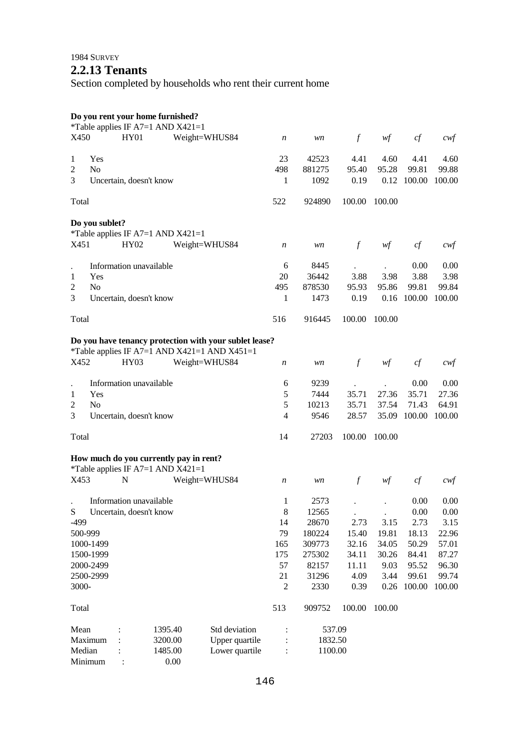## **2.2.13 Tenants**

Section completed by households who rent their current home

#### **Do you rent your home furnished?**

| X450                 |                | <b>HY01</b>             | *Table applies IF A7=1 AND X421=1      | Weight=WHUS84                                          | $\boldsymbol{n}$ | wn      | $\int$        | wf     | cf     | $c$ wf |
|----------------------|----------------|-------------------------|----------------------------------------|--------------------------------------------------------|------------------|---------|---------------|--------|--------|--------|
| 1                    | Yes            |                         |                                        |                                                        | 23               | 42523   | 4.41          | 4.60   | 4.41   | 4.60   |
| 2                    | N <sub>o</sub> |                         |                                        |                                                        | 498              | 881275  | 95.40         | 95.28  | 99.81  | 99.88  |
| 3                    |                | Uncertain, doesn't know |                                        |                                                        | 1                | 1092    | 0.19          | 0.12   | 100.00 | 100.00 |
| Total                |                |                         |                                        |                                                        | 522              | 924890  | 100.00        | 100.00 |        |        |
|                      |                |                         |                                        |                                                        |                  |         |               |        |        |        |
|                      | Do you sublet? |                         | *Table applies IF A7=1 AND X421=1      |                                                        |                  |         |               |        |        |        |
| X451                 |                | HY02                    |                                        | Weight=WHUS84                                          | $\boldsymbol{n}$ | wn      | $\mathcal{f}$ | wf     | cf     | $c$ wf |
|                      |                |                         |                                        |                                                        |                  |         |               |        |        |        |
| $\ddot{\phantom{0}}$ |                | Information unavailable |                                        |                                                        | 6                | 8445    |               |        | 0.00   | 0.00   |
| 1                    | Yes            |                         |                                        |                                                        | 20               | 36442   | 3.88          | 3.98   | 3.88   | 3.98   |
| 2                    | N <sub>o</sub> |                         |                                        |                                                        | 495              | 878530  | 95.93         | 95.86  | 99.81  | 99.84  |
| 3                    |                | Uncertain, doesn't know |                                        |                                                        | 1                | 1473    | 0.19          | 0.16   | 100.00 | 100.00 |
| Total                |                |                         |                                        |                                                        | 516              | 916445  | 100.00        | 100.00 |        |        |
|                      |                |                         |                                        | Do you have tenancy protection with your sublet lease? |                  |         |               |        |        |        |
|                      |                |                         |                                        | *Table applies IF A7=1 AND X421=1 AND X451=1           |                  |         |               |        |        |        |
| X452                 |                | <b>HY03</b>             |                                        | Weight=WHUS84                                          | $\boldsymbol{n}$ | wn      | $\int$        | wf     | cf     | $c$ wf |
| $\ddot{\phantom{0}}$ |                | Information unavailable |                                        |                                                        | 6                | 9239    |               |        | 0.00   | 0.00   |
| 1                    | Yes            |                         |                                        |                                                        | 5                | 7444    | 35.71         | 27.36  | 35.71  | 27.36  |
| 2                    | N <sub>o</sub> |                         |                                        |                                                        | 5                | 10213   | 35.71         | 37.54  | 71.43  | 64.91  |
| 3                    |                | Uncertain, doesn't know |                                        |                                                        | $\overline{4}$   | 9546    | 28.57         | 35.09  | 100.00 | 100.00 |
|                      |                |                         |                                        |                                                        |                  |         |               |        |        |        |
| Total                |                |                         |                                        |                                                        | 14               | 27203   | 100.00        | 100.00 |        |        |
|                      |                |                         | How much do you currently pay in rent? |                                                        |                  |         |               |        |        |        |
|                      |                |                         | *Table applies IF A7=1 AND $X421=1$    |                                                        |                  |         |               |        |        |        |
| X453                 |                | N                       |                                        | Weight=WHUS84                                          | $\boldsymbol{n}$ | wn      | $\int$        | wf     | cf     | cwt    |
|                      |                | Information unavailable |                                        |                                                        | 1                | 2573    |               |        | 0.00   | 0.00   |
| S                    |                | Uncertain, doesn't know |                                        |                                                        | 8                | 12565   |               |        | 0.00   | 0.00   |
| -499                 |                |                         |                                        |                                                        | 14               | 28670   | 2.73          | 3.15   | 2.73   | 3.15   |
| 500-999              |                |                         |                                        |                                                        | 79               | 180224  | 15.40         | 19.81  | 18.13  | 22.96  |
|                      | 1000-1499      |                         |                                        |                                                        | 165              | 309773  | 32.16         | 34.05  | 50.29  | 57.01  |
|                      | 1500-1999      |                         |                                        |                                                        | 175              | 275302  | 34.11         | 30.26  | 84.41  | 87.27  |
|                      | 2000-2499      |                         |                                        |                                                        | 57               | 82157   | 11.11         | 9.03   | 95.52  | 96.30  |
|                      | 2500-2999      |                         |                                        |                                                        | 21               | 31296   | 4.09          | 3.44   | 99.61  | 99.74  |
| 3000-                |                |                         |                                        |                                                        | $\mathfrak{2}$   | 2330    | 0.39          | 0.26   | 100.00 | 100.00 |
|                      |                |                         |                                        |                                                        |                  |         |               |        |        |        |
| Total                |                |                         |                                        |                                                        | 513              | 909752  | 100.00        | 100.00 |        |        |
| Mean                 |                |                         | 1395.40                                | Std deviation                                          |                  | 537.09  |               |        |        |        |
|                      | Maximum        |                         | 3200.00                                | Upper quartile                                         | $\ddot{\cdot}$   | 1832.50 |               |        |        |        |
| Median               |                |                         | 1485.00                                | Lower quartile                                         | $\ddot{\cdot}$   | 1100.00 |               |        |        |        |
|                      | Minimum        |                         | 0.00                                   |                                                        |                  |         |               |        |        |        |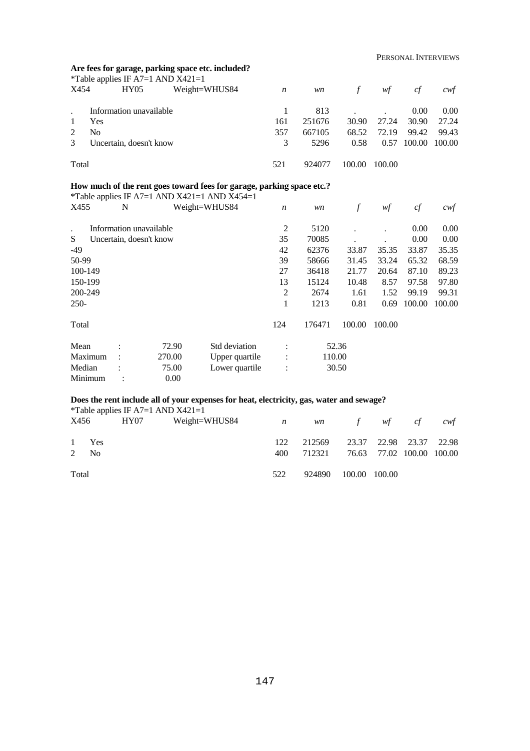## **Are fees for garage, parking space etc. included?**

|                                          | *Table applies IF A7=1 AND $X421=1$ |               |     |        |            |        |        |        |
|------------------------------------------|-------------------------------------|---------------|-----|--------|------------|--------|--------|--------|
| X454                                     | HY05                                | Weight=WHUS84 | n   | wn     | $\sqrt{f}$ | wf     | cf     | cwt    |
|                                          | Information unavailable             |               |     | 813    |            |        | 0.00   | 0.00   |
|                                          | <b>Yes</b>                          |               | 161 | 251676 | 30.90      | 27.24  | 30.90  | 27.24  |
|                                          | N <sub>0</sub>                      |               | 357 | 667105 | 68.52      | 72.19  | 99.42  | 99.43  |
| $\mathcal{E}$<br>Uncertain, doesn't know |                                     |               | 3   | 5296   | 0.58       | 0.57   | 100.00 | 100.00 |
| Total                                    |                                     |               | 521 | 924077 | 100.00     | 100.00 |        |        |

#### **How much of the rent goes toward fees for garage, parking space etc.?**

|           |   | *Table applies IF A7=1 AND X421=1 AND X454=1 |                |                  |        |        |        |        |        |
|-----------|---|----------------------------------------------|----------------|------------------|--------|--------|--------|--------|--------|
| X455      | N |                                              | Weight=WHUS84  | $\boldsymbol{n}$ | wn     | f      | wf     | cf     | cwf    |
| $\bullet$ |   | Information unavailable                      |                | $\overline{c}$   | 5120   |        |        | 0.00   | 0.00   |
| S         |   | Uncertain, doesn't know                      |                | 35               | 70085  |        |        | 0.00   | 0.00   |
| $-49$     |   |                                              |                | 42               | 62376  | 33.87  | 35.35  | 33.87  | 35.35  |
| 50-99     |   |                                              |                | 39               | 58666  | 31.45  | 33.24  | 65.32  | 68.59  |
| 100-149   |   |                                              |                | 27               | 36418  | 21.77  | 20.64  | 87.10  | 89.23  |
| 150-199   |   |                                              |                | 13               | 15124  | 10.48  | 8.57   | 97.58  | 97.80  |
| 200-249   |   |                                              |                | $\overline{2}$   | 2674   | 1.61   | 1.52   | 99.19  | 99.31  |
| $250-$    |   |                                              |                | 1                | 1213   | 0.81   | 0.69   | 100.00 | 100.00 |
| Total     |   |                                              |                | 124              | 176471 | 100.00 | 100.00 |        |        |
| Mean      |   | 72.90                                        | Std deviation  | $\ddot{\cdot}$   |        | 52.36  |        |        |        |
| Maximum   |   | 270.00                                       | Upper quartile | $\bullet$        | 110.00 |        |        |        |        |
| Median    |   | 75.00                                        | Lower quartile | $\ddot{\cdot}$   |        | 30.50  |        |        |        |
| Minimum   |   | 0.00                                         |                |                  |        |        |        |        |        |

#### **Does the rent include all of your expenses for heat, electricity, gas, water and sewage?**

|       |                  |      | <i>*</i> Table applies IF A7=1 AND $X421=1$ |     |        |               |                           |     |
|-------|------------------|------|---------------------------------------------|-----|--------|---------------|---------------------------|-----|
| X456  |                  | HY07 | Weight=WHUS84 $n$                           |     |        | wn f wf cf    |                           | cwt |
|       |                  |      |                                             |     |        |               |                           |     |
|       | 1 Yes            |      |                                             | 122 | 212569 |               | 23.37 22.98 23.37 22.98   |     |
|       | 2 N <sub>0</sub> |      |                                             | 400 | 712321 |               | 76.63 77.02 100.00 100.00 |     |
|       |                  |      |                                             |     |        |               |                           |     |
| Total |                  |      |                                             | 522 | 924890 | 100.00 100.00 |                           |     |
|       |                  |      |                                             |     |        |               |                           |     |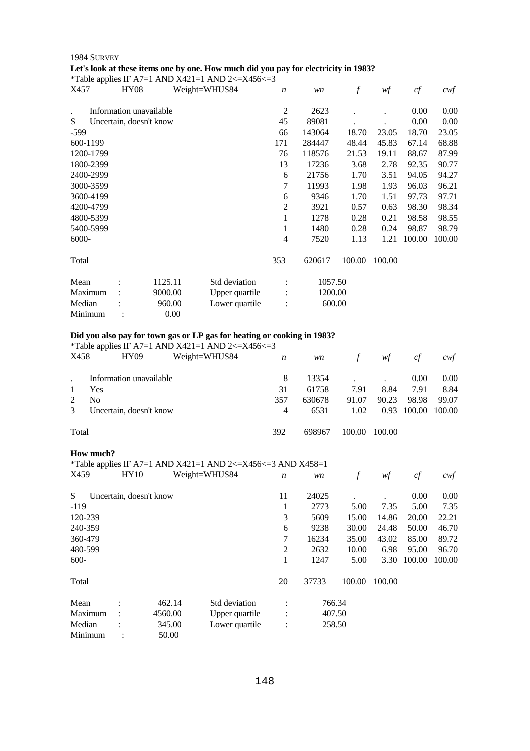## 1984 SURVEY **Let's look at these items one by one. How much did you pay for electricity in 1983?**

\*Table applies IF A7=1 AND X421=1 AND 2 $\lt$ =X456 $\lt$ =3

| -тг<br>X457 | <b>HY08</b>             |         | Weight=WHUS84  | $\boldsymbol{n}$ | wn      | f      | wf     | cf     | $c \mathsf{w} f$ |
|-------------|-------------------------|---------|----------------|------------------|---------|--------|--------|--------|------------------|
|             | Information unavailable |         |                | $\overline{2}$   | 2623    |        |        | 0.00   | 0.00             |
| S           | Uncertain, doesn't know |         |                | 45               | 89081   |        |        | 0.00   | 0.00             |
| -599        |                         |         |                | 66               | 143064  | 18.70  | 23.05  | 18.70  | 23.05            |
| 600-1199    |                         |         |                | 171              | 284447  | 48.44  | 45.83  | 67.14  | 68.88            |
| 1200-1799   |                         |         |                | 76               | 118576  | 21.53  | 19.11  | 88.67  | 87.99            |
| 1800-2399   |                         |         |                | 13               | 17236   | 3.68   | 2.78   | 92.35  | 90.77            |
| 2400-2999   |                         |         |                | 6                | 21756   | 1.70   | 3.51   | 94.05  | 94.27            |
| 3000-3599   |                         |         |                | 7                | 11993   | 1.98   | 1.93   | 96.03  | 96.21            |
| 3600-4199   |                         |         |                | 6                | 9346    | 1.70   | 1.51   | 97.73  | 97.71            |
| 4200-4799   |                         |         |                | 2                | 3921    | 0.57   | 0.63   | 98.30  | 98.34            |
| 4800-5399   |                         |         |                | 1                | 1278    | 0.28   | 0.21   | 98.58  | 98.55            |
| 5400-5999   |                         |         |                | 1                | 1480    | 0.28   | 0.24   | 98.87  | 98.79            |
| 6000-       |                         |         |                | 4                | 7520    | 1.13   | 1.21   | 100.00 | 100.00           |
| Total       |                         |         |                | 353              | 620617  | 100.00 | 100.00 |        |                  |
| Mean        |                         | 1125.11 | Std deviation  |                  | 1057.50 |        |        |        |                  |
| Maximum     |                         | 9000.00 | Upper quartile |                  | 1200.00 |        |        |        |                  |
| Median      |                         | 960.00  | Lower quartile |                  | 600.00  |        |        |        |                  |
| Minimum     |                         | 0.00    |                |                  |         |        |        |        |                  |

## **Did you also pay for town gas or LP gas for heating or cooking in 1983?**

\*Table applies IF A7=1 AND X421=1 AND 2 $\leq$  X456 $\leq$ =3

| X458  | HY09                    | Weight=WHUS84 | $\boldsymbol{n}$ | wn     | f      | wf     | cf     | cwt    |
|-------|-------------------------|---------------|------------------|--------|--------|--------|--------|--------|
|       | Information unavailable |               | 8                | 13354  |        |        | 0.00   | 0.00   |
|       | Yes                     |               | 31               | 61758  | 7.91   | 8.84   | 7.91   | 8.84   |
| 2     | N <sub>0</sub>          |               | 357              | 630678 | 91.07  | 90.23  | 98.98  | 99.07  |
| 3     | Uncertain, doesn't know |               | 4                | 6531   | 1.02   | 0.93   | 100.00 | 100.00 |
| Total |                         |               | 392              | 698967 | 100.00 | 100.00 |        |        |

## **How much?**

\*Table applies IF A7=1 AND X421=1 AND 2<=X456<=3 AND X458=1

| X459    | HY10                    |         | Weight=WHUS84  | $\boldsymbol{n}$ | wn     | f      | wf     | cf     | cwf    |
|---------|-------------------------|---------|----------------|------------------|--------|--------|--------|--------|--------|
| S       | Uncertain, doesn't know |         |                | 11               | 24025  |        |        | 0.00   | 0.00   |
| $-119$  |                         |         |                | 1                | 2773   | 5.00   | 7.35   | 5.00   | 7.35   |
| 120-239 |                         |         |                | 3                | 5609   | 15.00  | 14.86  | 20.00  | 22.21  |
| 240-359 |                         |         |                | 6                | 9238   | 30.00  | 24.48  | 50.00  | 46.70  |
| 360-479 |                         |         |                | 7                | 16234  | 35.00  | 43.02  | 85.00  | 89.72  |
| 480-599 |                         |         |                | $\overline{2}$   | 2632   | 10.00  | 6.98   | 95.00  | 96.70  |
| $600 -$ |                         |         |                | 1                | 1247   | 5.00   | 3.30   | 100.00 | 100.00 |
| Total   |                         |         |                | 20               | 37733  | 100.00 | 100.00 |        |        |
| Mean    | $\bullet$               | 462.14  | Std deviation  | $\bullet$        | 766.34 |        |        |        |        |
| Maximum |                         | 4560.00 | Upper quartile | $\ddot{\cdot}$   | 407.50 |        |        |        |        |
| Median  | $\ddot{\phantom{a}}$    | 345.00  | Lower quartile | $\ddot{\cdot}$   | 258.50 |        |        |        |        |
| Minimum |                         | 50.00   |                |                  |        |        |        |        |        |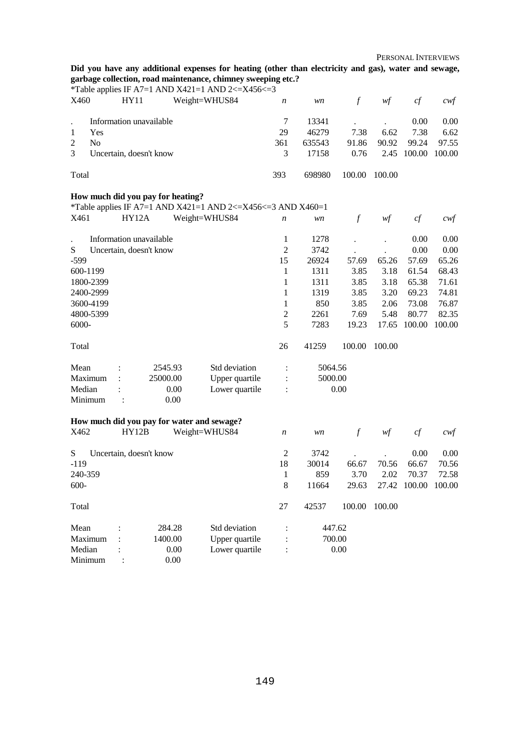**Did you have any additional expenses for heating (other than electricity and gas), water and sewage, garbage collection, road maintenance, chimney sweeping etc.?** 

|                                  |                         |                                            | *Table applies IF A7=1 AND X421=1 AND 2 $\lt$ =X456 $\lt$ =3 |                  |         |               |        |                     |        |
|----------------------------------|-------------------------|--------------------------------------------|--------------------------------------------------------------|------------------|---------|---------------|--------|---------------------|--------|
| X460                             | <b>HY11</b>             |                                            | Weight=WHUS84                                                | $\boldsymbol{n}$ | wn      | $\int$        | wf     | $c f$               | $c$ wf |
| $\bullet$                        | Information unavailable |                                            |                                                              | $\tau$           | 13341   |               |        | 0.00                | 0.00   |
| $\mathbf{1}$<br>Yes              |                         |                                            |                                                              | 29               | 46279   | 7.38          | 6.62   | 7.38                | 6.62   |
| N <sub>o</sub><br>$\overline{c}$ |                         |                                            |                                                              | 361              | 635543  | 91.86         | 90.92  | 99.24               | 97.55  |
| 3                                | Uncertain, doesn't know |                                            |                                                              | 3                | 17158   | 0.76          | 2.45   | 100.00              | 100.00 |
| Total                            |                         |                                            |                                                              | 393              | 698980  | 100.00        | 100.00 |                     |        |
|                                  |                         | How much did you pay for heating?          |                                                              |                  |         |               |        |                     |        |
|                                  |                         |                                            | *Table applies IF A7=1 AND X421=1 AND 2<=X456<=3 AND X460=1  |                  |         |               |        |                     |        |
| X461                             | <b>HY12A</b>            |                                            | Weight=WHUS84                                                | $\boldsymbol{n}$ | wn      | $\mathcal{f}$ | wf     | cf                  | cwf    |
|                                  | Information unavailable |                                            |                                                              | 1                | 1278    |               |        | 0.00                | 0.00   |
| S                                | Uncertain, doesn't know |                                            |                                                              | $\overline{c}$   | 3742    |               |        | 0.00                | 0.00   |
| $-599$                           |                         |                                            |                                                              | 15               | 26924   | 57.69         | 65.26  | 57.69               | 65.26  |
| 600-1199                         |                         |                                            |                                                              | 1                | 1311    | 3.85          | 3.18   | 61.54               | 68.43  |
| 1800-2399                        |                         |                                            |                                                              | 1                | 1311    | 3.85          | 3.18   | 65.38               | 71.61  |
| 2400-2999                        |                         |                                            |                                                              | 1                | 1319    | 3.85          | 3.20   | 69.23               | 74.81  |
| 3600-4199                        |                         |                                            |                                                              | 1                | 850     | 3.85          | 2.06   | 73.08               | 76.87  |
| 4800-5399                        |                         |                                            |                                                              | $\mathbf{2}$     | 2261    | 7.69          | 5.48   | 80.77               | 82.35  |
| 6000-                            |                         |                                            |                                                              | 5                | 7283    | 19.23         | 17.65  | 100.00              | 100.00 |
| Total                            |                         |                                            |                                                              | 26               | 41259   | 100.00        | 100.00 |                     |        |
| Mean                             |                         | 2545.93                                    | Std deviation                                                | $\ddot{\cdot}$   | 5064.56 |               |        |                     |        |
| Maximum                          | $\ddot{\cdot}$          | 25000.00                                   | Upper quartile                                               | $\ddot{\cdot}$   | 5000.00 |               |        |                     |        |
| Median                           | $\ddot{\cdot}$          | 0.00                                       | Lower quartile                                               | $\ddot{\cdot}$   |         | 0.00          |        |                     |        |
| Minimum                          | $\ddot{\cdot}$          | 0.00                                       |                                                              |                  |         |               |        |                     |        |
|                                  |                         | How much did you pay for water and sewage? |                                                              |                  |         |               |        |                     |        |
| X462                             | HY12B                   |                                            | Weight=WHUS84                                                | $\boldsymbol{n}$ | wn      | $\mathcal{f}$ | wf     | cf                  | $c$ wf |
| S                                | Uncertain, doesn't know |                                            |                                                              | $\overline{c}$   | 3742    |               |        | 0.00                | 0.00   |
| $-119$                           |                         |                                            |                                                              | 18               | 30014   | 66.67         | 70.56  | 66.67               | 70.56  |
| 240-359                          |                         |                                            |                                                              | $\mathbf{1}$     | 859     | 3.70          | 2.02   | 70.37               | 72.58  |
| $600 -$                          |                         |                                            |                                                              | 8                | 11664   | 29.63         |        | 27.42 100.00 100.00 |        |
| Total                            |                         |                                            |                                                              | 27               | 42537   | 100.00        | 100.00 |                     |        |
| Mean                             |                         | 284.28                                     | Std deviation                                                |                  | 447.62  |               |        |                     |        |
| Maximum                          |                         | 1400.00                                    | Upper quartile                                               |                  | 700.00  |               |        |                     |        |
| Median<br>Minimum                |                         | 0.00<br>0.00                               | Lower quartile                                               | $\ddot{\cdot}$   |         | 0.00          |        |                     |        |
|                                  |                         |                                            |                                                              |                  |         |               |        |                     |        |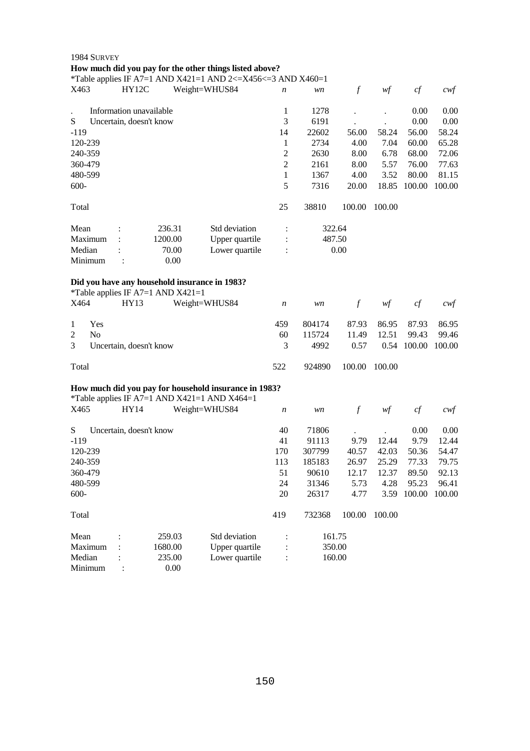|                                      | 1984 SURVEY                                                  |                         |         |                                                             |                  |        |               |        |        |          |
|--------------------------------------|--------------------------------------------------------------|-------------------------|---------|-------------------------------------------------------------|------------------|--------|---------------|--------|--------|----------|
|                                      |                                                              |                         |         | How much did you pay for the other things listed above?     |                  |        |               |        |        |          |
|                                      |                                                              |                         |         | *Table applies IF A7=1 AND X421=1 AND 2<=X456<=3 AND X460=1 |                  |        |               |        |        |          |
| X463                                 |                                                              | HY12C                   |         | Weight=WHUS84                                               | n                | wn     | $\mathcal{f}$ | wf     | cf     | $\alpha$ |
|                                      |                                                              | Information unavailable |         |                                                             | 1                | 1278   |               |        | 0.00   | 0.00     |
| S                                    |                                                              | Uncertain, doesn't know |         |                                                             | 3                | 6191   |               |        | 0.00   | 0.00     |
| $-119$                               |                                                              |                         |         |                                                             | 14               | 22602  | 56.00         | 58.24  | 56.00  | 58.24    |
| 120-239                              |                                                              |                         |         |                                                             | 1                | 2734   | 4.00          | 7.04   | 60.00  | 65.28    |
| 240-359                              |                                                              |                         |         |                                                             | $\overline{c}$   | 2630   | 8.00          | 6.78   | 68.00  | 72.06    |
| 360-479                              |                                                              |                         |         |                                                             | $\overline{2}$   | 2161   | 8.00          | 5.57   | 76.00  | 77.63    |
| 480-599                              |                                                              |                         |         |                                                             | 1                | 1367   | 4.00          | 3.52   | 80.00  | 81.15    |
| $600 -$                              |                                                              |                         |         |                                                             | 5                | 7316   | 20.00         | 18.85  | 100.00 | 100.00   |
| Total                                |                                                              |                         |         |                                                             | 25               | 38810  | 100.00        | 100.00 |        |          |
| Mean                                 |                                                              |                         | 236.31  | Std deviation                                               | $\ddot{\cdot}$   | 322.64 |               |        |        |          |
|                                      | Maximum                                                      |                         | 1200.00 | Upper quartile                                              |                  | 487.50 |               |        |        |          |
| Median                               |                                                              |                         | 70.00   | Lower quartile                                              | $\ddot{\cdot}$   |        | 0.00          |        |        |          |
|                                      | Minimum                                                      |                         | 0.00    |                                                             |                  |        |               |        |        |          |
|                                      |                                                              |                         |         | Did you have any household insurance in 1983?               |                  |        |               |        |        |          |
| X464                                 | *Table applies IF A7=1 AND $X421=1$<br>HY13<br>Weight=WHUS84 |                         |         |                                                             | $\boldsymbol{n}$ | wn     | $\mathcal{f}$ | wf     | cf     | $c$ wf   |
| $\mathbf{1}$                         | Yes                                                          |                         |         |                                                             | 459              | 804174 | 87.93         | 86.95  | 87.93  | 86.95    |
| $\overline{c}$                       | N <sub>o</sub>                                               |                         |         |                                                             | 60               | 115724 | 11.49         | 12.51  | 99.43  | 99.46    |
| 3                                    |                                                              | Uncertain, doesn't know |         |                                                             | 3                | 4992   | 0.57          | 0.54   | 100.00 | 100.00   |
| Total                                |                                                              |                         |         |                                                             | 522              | 924890 | 100.00        | 100.00 |        |          |
|                                      |                                                              |                         |         | How much did you pay for household insurance in 1983?       |                  |        |               |        |        |          |
|                                      |                                                              |                         |         | *Table applies IF A7=1 AND X421=1 AND X464=1                |                  |        |               |        |        |          |
| X465                                 |                                                              | HY14                    |         | Weight=WHUS84                                               | $\boldsymbol{n}$ | wn     | $\mathcal{f}$ | wf     | cf     | cwt      |
| S                                    |                                                              | Uncertain, doesn't know |         |                                                             | 40               | 71806  |               |        | 0.00   | 0.00     |
| $-119$                               |                                                              |                         |         |                                                             | 41               | 91113  | 9.79          | 12.44  | 9.79   | 12.44    |
| 120-239                              |                                                              |                         |         |                                                             | 170              | 307799 | 40.57         | 42.03  | 50.36  | 54.47    |
| 240-359                              |                                                              |                         |         |                                                             | 113              | 185183 | 26.97         | 25.29  | 77.33  | 79.75    |
| 360-479                              |                                                              |                         |         |                                                             | 51               | 90610  | 12.17         | 12.37  | 89.50  | 92.13    |
| 480-599                              |                                                              |                         |         |                                                             | 24               | 31346  | 5.73          | 4.28   | 95.23  | 96.41    |
| $600 -$                              |                                                              |                         |         |                                                             | 20               | 26317  | 4.77          | 3.59   | 100.00 | 100.00   |
| Total                                |                                                              |                         |         |                                                             | 419              | 732368 | 100.00        | 100.00 |        |          |
| Mean                                 |                                                              |                         | 259.03  | Std deviation                                               |                  | 161.75 |               |        |        |          |
| Maximum<br>1680.00<br>Upper quartile |                                                              |                         |         |                                                             | 350.00           |        |               |        |        |          |
|                                      | Lower quartile<br>Median<br>235.00                           |                         |         |                                                             |                  | 160.00 |               |        |        |          |

Minimum : 0.00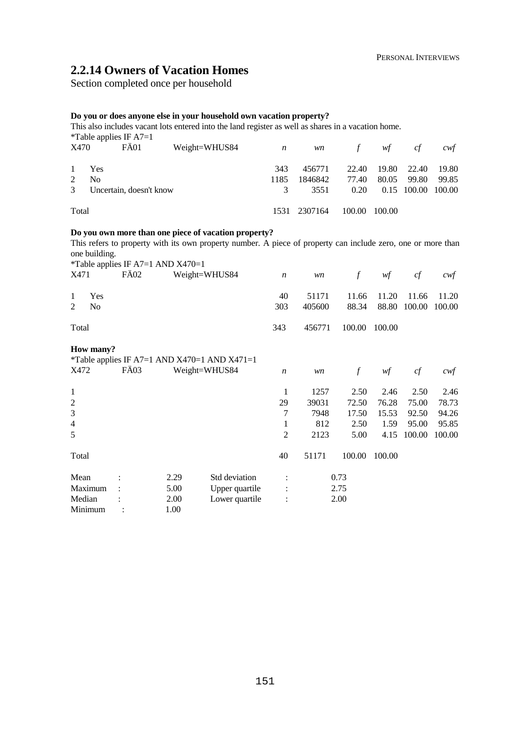## **2.2.14 Owners of Vacation Homes**

Section completed once per household

## **Do you or does anyone else in your household own vacation property?**

This also includes vacant lots entered into the land register as well as shares in a vacation home.

|             |                | *Table applies IF $A7=1$ | This also includes vacant lots entered lino the failu register as well as shares in a vacation home. |                |              |        |        |                    |       |
|-------------|----------------|--------------------------|------------------------------------------------------------------------------------------------------|----------------|--------------|--------|--------|--------------------|-------|
| X470        |                | FÄ01                     | Weight=WHUS84                                                                                        | $\overline{n}$ | <i>wn</i>    | f      | wf     | c f                | cwt   |
|             | Yes            |                          |                                                                                                      | 343            | 456771       | 22.40  | 19.80  | 22.40              | 19.80 |
| $2^{\circ}$ | N <sub>0</sub> |                          |                                                                                                      | 1185           | 1846842      | 77.40  | 80.05  | 99.80              | 99.85 |
| 3           |                | Uncertain, doesn't know  |                                                                                                      |                | 3551         | 0.20   |        | 0.15 100.00 100.00 |       |
| Total       |                |                          |                                                                                                      |                | 1531 2307164 | 100.00 | 100.00 |                    |       |

## **Do you own more than one piece of vacation property?**

This refers to property with its own property number. A piece of property can include zero, one or more than one building.

| X471                | *Table applies IF A7=1 AND $X470=1$<br>FÄ02 |      | Weight=WHUS84                                | $\boldsymbol{n}$ | wn     | $\mathcal{f}$ | wf     | cf     | cwf    |
|---------------------|---------------------------------------------|------|----------------------------------------------|------------------|--------|---------------|--------|--------|--------|
| Yes<br>1            |                                             |      |                                              | 40               | 51171  | 11.66         | 11.20  | 11.66  | 11.20  |
| 2<br>N <sub>0</sub> |                                             |      |                                              | 303              | 405600 | 88.34         | 88.80  | 100.00 | 100.00 |
| Total               |                                             |      |                                              | 343              | 456771 | 100.00        | 100.00 |        |        |
| How many?           |                                             |      | *Table applies IF A7=1 AND X470=1 AND X471=1 |                  |        |               |        |        |        |
| X472                | FÄ03                                        |      | Weight=WHUS84                                | $\boldsymbol{n}$ | wn     | $\int$        | wf     | cf     | $c$ wf |
| $\mathbf{1}$        |                                             |      |                                              | 1                | 1257   | 2.50          | 2.46   | 2.50   | 2.46   |
| $\overline{c}$      |                                             |      |                                              | 29               | 39031  | 72.50         | 76.28  | 75.00  | 78.73  |
| 3                   |                                             |      |                                              | 7                | 7948   | 17.50         | 15.53  | 92.50  | 94.26  |
| $\overline{4}$      |                                             |      |                                              | 1                | 812    | 2.50          | 1.59   | 95.00  | 95.85  |
| 5                   |                                             |      |                                              | 2                | 2123   | 5.00          | 4.15   | 100.00 | 100.00 |
| Total               |                                             |      |                                              | 40               | 51171  | 100.00        | 100.00 |        |        |
| Mean                |                                             | 2.29 | Std deviation                                |                  |        | 0.73          |        |        |        |
| Maximum             |                                             | 5.00 | Upper quartile                               |                  |        | 2.75          |        |        |        |
| Median              |                                             | 2.00 | Lower quartile                               | $\ddot{\cdot}$   |        | 2.00          |        |        |        |
| Minimum             |                                             | 1.00 |                                              |                  |        |               |        |        |        |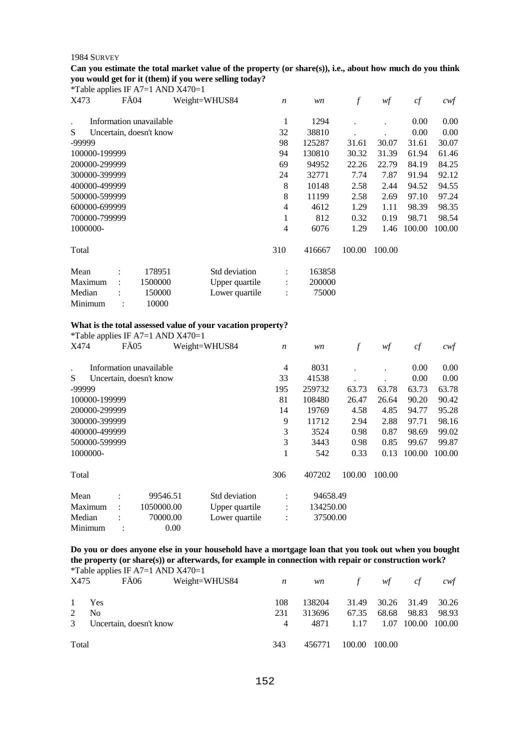#### **Can you estimate the total market value of the property (or share(s)), i.e., about how much do you think you would get for it (them) if you were selling today?**   $*$ Table applies IF A7=1 AND X470=1

|                      |               |                | rable applies in $A/-1$ Arr $D/4+1$ |                |                  |        |                  |        |        |        |
|----------------------|---------------|----------------|-------------------------------------|----------------|------------------|--------|------------------|--------|--------|--------|
| X473                 |               | FÄ04           |                                     | Weight=WHUS84  | $\boldsymbol{n}$ | wn     | $\boldsymbol{f}$ | wf     | cf     | $c$ wf |
| $\ddot{\phantom{a}}$ |               |                | Information unavailable             |                | 1                | 1294   |                  |        | 0.00   | 0.00   |
| S                    |               |                | Uncertain, doesn't know             |                | 32               | 38810  |                  |        | 0.00   | 0.00   |
| -99999               |               |                |                                     |                | 98               | 125287 | 31.61            | 30.07  | 31.61  | 30.07  |
|                      | 100000-199999 |                |                                     |                | 94               | 130810 | 30.32            | 31.39  | 61.94  | 61.46  |
|                      | 200000-299999 |                |                                     |                | 69               | 94952  | 22.26            | 22.79  | 84.19  | 84.25  |
|                      | 300000-399999 |                |                                     |                | 24               | 32771  | 7.74             | 7.87   | 91.94  | 92.12  |
|                      | 400000-499999 |                |                                     |                | 8                | 10148  | 2.58             | 2.44   | 94.52  | 94.55  |
|                      | 500000-599999 |                |                                     |                | 8                | 11199  | 2.58             | 2.69   | 97.10  | 97.24  |
|                      | 600000-699999 |                |                                     |                | 4                | 4612   | 1.29             | 1.11   | 98.39  | 98.35  |
|                      | 700000-799999 |                |                                     |                | 1                | 812    | 0.32             | 0.19   | 98.71  | 98.54  |
| 1000000-             |               |                |                                     |                | 4                | 6076   | 1.29             | 1.46   | 100.00 | 100.00 |
| Total                |               |                |                                     |                | 310              | 416667 | 100.00           | 100.00 |        |        |
| Mean                 |               | $\ddot{\cdot}$ | 178951                              | Std deviation  | $\ddot{\cdot}$   | 163858 |                  |        |        |        |
| Maximum              |               | $\ddot{\cdot}$ | 1500000                             | Upper quartile |                  | 200000 |                  |        |        |        |
| Median               |               |                | 150000                              | Lower quartile | $\vdots$         | 75000  |                  |        |        |        |
| Minimum              |               |                | 10000                               |                |                  |        |                  |        |        |        |

#### **What is the total assessed value of your vacation property?**

\*Table applies IF A7=1 AND X470=1

| . .<br>X474   | FÄ05                                       |                         | Weight=WHUS84  | $\boldsymbol{n}$ | wn        | f      | wf     | cf     | cwf    |
|---------------|--------------------------------------------|-------------------------|----------------|------------------|-----------|--------|--------|--------|--------|
|               |                                            | Information unavailable |                | 4                | 8031      |        |        | 0.00   | 0.00   |
| S             |                                            | Uncertain, doesn't know |                | 33               | 41538     |        |        | 0.00   | 0.00   |
| -99999        |                                            |                         |                | 195              | 259732    | 63.73  | 63.78  | 63.73  | 63.78  |
| 100000-199999 |                                            |                         |                | 81               | 108480    | 26.47  | 26.64  | 90.20  | 90.42  |
| 200000-299999 |                                            |                         |                | 14               | 19769     | 4.58   | 4.85   | 94.77  | 95.28  |
| 300000-399999 |                                            |                         |                | 9                | 11712     | 2.94   | 2.88   | 97.71  | 98.16  |
|               | 3<br>400000-499999<br>3524<br>0.87<br>0.98 |                         |                |                  |           |        | 98.69  | 99.02  |        |
| 500000-599999 |                                            |                         |                | 3                | 3443      | 0.98   | 0.85   | 99.67  | 99.87  |
| 1000000-      |                                            |                         |                | 1                | 542       | 0.33   | 0.13   | 100.00 | 100.00 |
| Total         |                                            |                         |                | 306              | 407202    | 100.00 | 100.00 |        |        |
| Mean          | $\bullet$                                  | 99546.51                | Std deviation  | ÷                | 94658.49  |        |        |        |        |
| Maximum       | ٠                                          | 1050000.00              | Upper quartile | $\vdots$         | 134250.00 |        |        |        |        |
| Median        |                                            | 70000.00                | Lower quartile | $\ddot{\cdot}$   | 37500.00  |        |        |        |        |
| Minimum       |                                            | 0.00                    |                |                  |           |        |        |        |        |

**Do you or does anyone else in your household have a mortgage loan that you took out when you bought the property (or share(s)) or afterwards, for example in connection with repair or construction work?**  \*Table applies IF A7=1 AND X470=1

| X475           | $F\ddot{A}06$           | Weight=WHUS84 | $\boldsymbol{n}$ | <i>wn</i> | $f$ and $f$ | wf                | ct            | cwt   |
|----------------|-------------------------|---------------|------------------|-----------|-------------|-------------------|---------------|-------|
| $\mathbf{1}$   | Yes                     |               | 108              | 138204    |             | 31.49 30.26 31.49 |               | 30.26 |
| 2              | N <sub>0</sub>          |               | 231              | 313696    | 67.35       | 68.68             | 98.83         | 98.93 |
| 3 <sup>7</sup> | Uncertain, doesn't know |               | 4                | 4871      | 1.17        | 1.07              | 100.00 100.00 |       |
| Total          |                         |               | 343              | 456771    | 100.00      | 100.00            |               |       |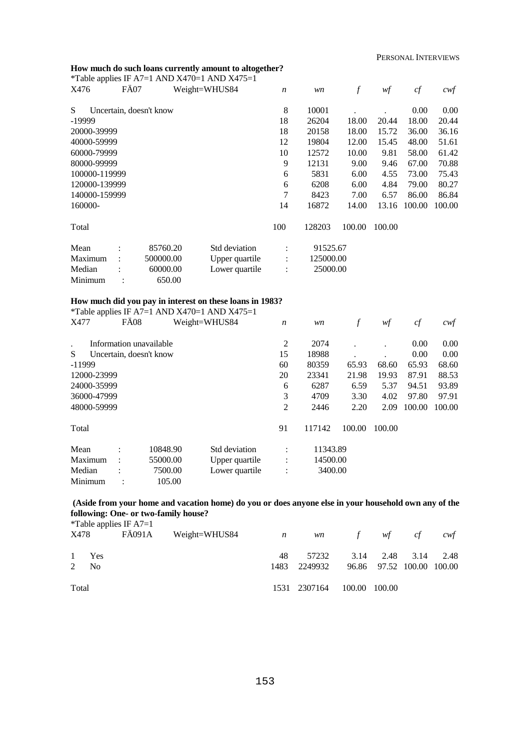## **How much do such loans currently amount to altogether?**

|               |      |                                             | *Table applies IF A7=1 AND X470=1 AND X475=1             |                  |           |                  |        |        |                   |
|---------------|------|---------------------------------------------|----------------------------------------------------------|------------------|-----------|------------------|--------|--------|-------------------|
| X476          | FÄ07 |                                             | Weight=WHUS84                                            | $\boldsymbol{n}$ | wn        | $\boldsymbol{f}$ | wf     | cf     | $c \mathcal{w} f$ |
| S             |      | Uncertain, doesn't know                     |                                                          | $8\,$            | 10001     |                  |        | 0.00   | 0.00              |
| -19999        |      |                                             |                                                          | 18               | 26204     | 18.00            | 20.44  | 18.00  | 20.44             |
| 20000-39999   |      |                                             |                                                          | 18               | 20158     | 18.00            | 15.72  | 36.00  | 36.16             |
| 40000-59999   |      |                                             |                                                          | 12               | 19804     | 12.00            | 15.45  | 48.00  | 51.61             |
| 60000-79999   |      |                                             |                                                          | 10               | 12572     | 10.00            | 9.81   | 58.00  | 61.42             |
| 80000-99999   |      |                                             |                                                          | 9                | 12131     | 9.00             | 9.46   | 67.00  | 70.88             |
| 100000-119999 |      |                                             |                                                          | 6                | 5831      | 6.00             | 4.55   | 73.00  | 75.43             |
| 120000-139999 |      |                                             |                                                          | $\epsilon$       | 6208      | 6.00             | 4.84   | 79.00  | 80.27             |
| 140000-159999 |      |                                             |                                                          | 7                | 8423      | 7.00             | 6.57   | 86.00  | 86.84             |
| 160000-       |      |                                             |                                                          | 14               | 16872     | 14.00            | 13.16  | 100.00 | 100.00            |
| Total         |      |                                             |                                                          | 100              | 128203    | 100.00           | 100.00 |        |                   |
| Mean          |      | 85760.20                                    | Std deviation                                            | :                | 91525.67  |                  |        |        |                   |
| Maximum       |      | 500000.00                                   | Upper quartile                                           | $\ddot{\cdot}$   | 125000.00 |                  |        |        |                   |
| Median        |      | 60000.00                                    | Lower quartile                                           | $\ddot{\cdot}$   | 25000.00  |                  |        |        |                   |
| Minimum       |      | 650.00                                      |                                                          |                  |           |                  |        |        |                   |
|               |      |                                             | How much did you pay in interest on these loans in 1983? |                  |           |                  |        |        |                   |
|               |      |                                             | *Table applies IF A7=1 AND X470=1 AND X475=1             |                  |           |                  |        |        |                   |
| X477          | FÄ08 |                                             | Weight=WHUS84                                            | $\boldsymbol{n}$ | wn        | $\mathcal{f}$    | w f    | cf     | $c \mathcal{w}$ f |
|               |      | Information unavailable                     |                                                          | $\boldsymbol{2}$ | 2074      |                  |        | 0.00   | 0.00              |
| S             |      | Uncertain, doesn't know                     |                                                          | 15               | 18988     |                  |        | 0.00   | 0.00              |
| $-11999$      |      |                                             |                                                          | 60               | 80359     | 65.93            | 68.60  | 65.93  | 68.60             |
| 12000-23999   |      |                                             |                                                          | 20               | 23341     | 21.98            | 19.93  | 87.91  | 88.53             |
| 24000-35999   |      |                                             |                                                          | $\boldsymbol{6}$ | 6287      | 6.59             | 5.37   | 94.51  | 93.89             |
| 36000-47999   |      |                                             |                                                          | 3                | 4709      | 3.30             | 4.02   | 97.80  | 97.91             |
| 48000-59999   |      |                                             |                                                          | $\overline{2}$   | 2446      | 2.20             | 2.09   | 100.00 | 100.00            |
| Total         |      |                                             |                                                          | 91               | 117142    | 100.00           | 100.00 |        |                   |
| Mean          |      | 10848.90                                    | Std deviation                                            | $\vdots$         | 11343.89  |                  |        |        |                   |
| Maximum       |      | 55000.00<br>Upper quartile<br>14500.00<br>: |                                                          |                  |           |                  |        |        |                   |
| Median        |      | 7500.00                                     | Lower quartile                                           | $\ddot{\cdot}$   | 3400.00   |                  |        |        |                   |
| Minimum       |      | 105.00                                      |                                                          |                  |           |                  |        |        |                   |

## **(Aside from your home and vacation home) do you or does anyone else in your household own any of the following: One- or two-family house?**

|       |                | <i>*</i> Table applies IF $A7=1$ |                                    |      |              |        |                           |    |      |
|-------|----------------|----------------------------------|------------------------------------|------|--------------|--------|---------------------------|----|------|
|       | X478           |                                  | FÄ091A Weight=WHUS84 $n$ wn $f$ wf |      |              |        |                           | cf | cwt  |
|       | 1 Yes          |                                  |                                    | 48   | 57232        |        | 3.14 2.48 3.14            |    | 2.48 |
| 2     | N <sub>0</sub> |                                  |                                    | 1483 | 2249932      |        | 96.86 97.52 100.00 100.00 |    |      |
| Total |                |                                  |                                    |      | 1531 2307164 | 100.00 | 100.00                    |    |      |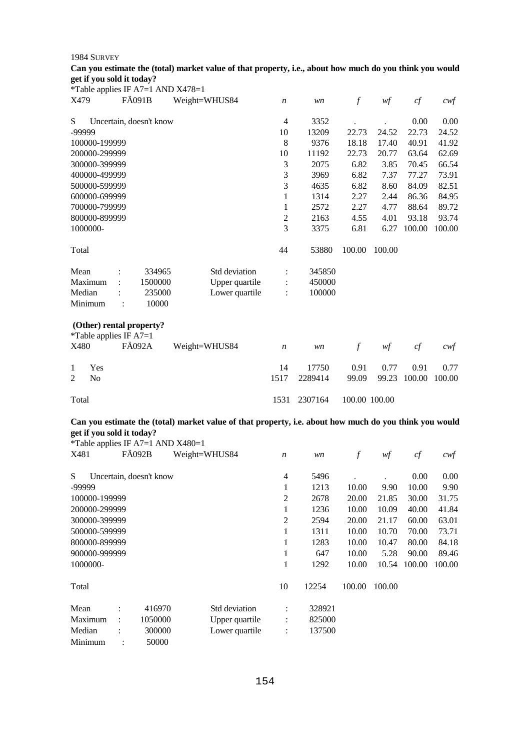| Can you estimate the (total) market value of that property, i.e., about how much do you think you would |  |  |  |
|---------------------------------------------------------------------------------------------------------|--|--|--|
| get if you sold it today?                                                                               |  |  |  |

|                                  | *Table applies IF A7=1 AND X478=1         |                |                      |         |                  |        |        |                   |
|----------------------------------|-------------------------------------------|----------------|----------------------|---------|------------------|--------|--------|-------------------|
| X479                             | FÄ091B                                    | Weight=WHUS84  | $\boldsymbol{n}$     | wn      | $\boldsymbol{f}$ | wf     | cf     | $c \mathcal{w} f$ |
| S                                | Uncertain, doesn't know                   |                | 4                    | 3352    |                  |        | 0.00   | 0.00              |
| -99999                           |                                           |                | 10                   | 13209   | 22.73            | 24.52  | 22.73  | 24.52             |
| 100000-199999                    |                                           |                | 8                    | 9376    | 18.18            | 17.40  | 40.91  | 41.92             |
| 200000-299999                    |                                           |                | 10                   | 11192   | 22.73            | 20.77  | 63.64  | 62.69             |
| 300000-399999                    |                                           |                | 3                    | 2075    | 6.82             | 3.85   | 70.45  | 66.54             |
| 400000-499999                    |                                           |                | 3                    | 3969    | 6.82             | 7.37   | 77.27  | 73.91             |
| 500000-599999                    |                                           |                | 3                    | 4635    | 6.82             | 8.60   | 84.09  | 82.51             |
| 600000-699999                    |                                           |                | 1                    | 1314    | 2.27             | 2.44   | 86.36  | 84.95             |
| 700000-799999                    |                                           |                | $\mathbf{1}$         | 2572    | 2.27             | 4.77   | 88.64  | 89.72             |
| 800000-899999                    |                                           |                | 2                    | 2163    | 4.55             | 4.01   | 93.18  | 93.74             |
| 1000000-                         |                                           |                | 3                    | 3375    | 6.81             | 6.27   | 100.00 | 100.00            |
| Total                            |                                           |                | 44                   | 53880   | 100.00           | 100.00 |        |                   |
| Mean                             | 334965                                    | Std deviation  |                      | 345850  |                  |        |        |                   |
| Maximum                          | 1500000                                   | Upper quartile | $\ddot{\phantom{a}}$ | 450000  |                  |        |        |                   |
| Median                           | 235000                                    | Lower quartile |                      | 100000  |                  |        |        |                   |
| Minimum                          | 10000<br>:                                |                |                      |         |                  |        |        |                   |
| *Table applies IF $A7=1$<br>X480 | (Other) rental property?<br><b>FÄ092A</b> | Weight=WHUS84  | $\boldsymbol{n}$     | wn      | $\boldsymbol{f}$ | wf     | cf     | cwf               |
|                                  |                                           |                |                      |         |                  |        |        |                   |
| Yes<br>1                         |                                           |                | 14                   | 17750   | 0.91             | 0.77   | 0.91   | 0.77              |
| 2<br>No                          |                                           |                | 1517                 | 2289414 | 99.09            | 99.23  | 100.00 | 100.00            |
| Total                            |                                           |                | 1531                 | 2307164 | 100.00 100.00    |        |        |                   |

## **Can you estimate the (total) market value of that property, i.e. about how much do you think you would get if you sold it today?**

\*Table applies IF A7=1 AND X480=1

| X481          | <b>FA092B</b>           |         | Weight=WHUS84  | $\boldsymbol{n}$     | wn     | $\boldsymbol{f}$ | wf     | cf     | $c \mathsf{w} f$ |
|---------------|-------------------------|---------|----------------|----------------------|--------|------------------|--------|--------|------------------|
| S             | Uncertain, doesn't know |         |                | 4                    | 5496   |                  |        | 0.00   | 0.00             |
| -99999        |                         |         |                | 1                    | 1213   | 10.00            | 9.90   | 10.00  | 9.90             |
| 100000-199999 |                         |         |                | 2                    | 2678   | 20.00            | 21.85  | 30.00  | 31.75            |
| 200000-299999 |                         |         |                | 1                    | 1236   | 10.00            | 10.09  | 40.00  | 41.84            |
| 300000-399999 |                         |         |                | 2                    | 2594   | 20.00            | 21.17  | 60.00  | 63.01            |
| 500000-599999 |                         |         |                | 1                    | 1311   | 10.00            | 10.70  | 70.00  | 73.71            |
| 800000-899999 |                         |         |                | 1                    | 1283   | 10.00            | 10.47  | 80.00  | 84.18            |
| 900000-999999 |                         |         |                | 1                    | 647    | 10.00            | 5.28   | 90.00  | 89.46            |
| 1000000-      |                         |         |                | 1                    | 1292   | 10.00            | 10.54  | 100.00 | 100.00           |
| Total         |                         |         |                | 10                   | 12254  | 100.00           | 100.00 |        |                  |
| Mean          | $\bullet$               | 416970  | Std deviation  | $\ddot{\phantom{a}}$ | 328921 |                  |        |        |                  |
| Maximum       | $\ddot{\phantom{a}}$    | 1050000 | Upper quartile | ÷                    | 825000 |                  |        |        |                  |
| Median        |                         | 300000  | Lower quartile | ÷                    | 137500 |                  |        |        |                  |
| Minimum       | $\ddot{\cdot}$          | 50000   |                |                      |        |                  |        |        |                  |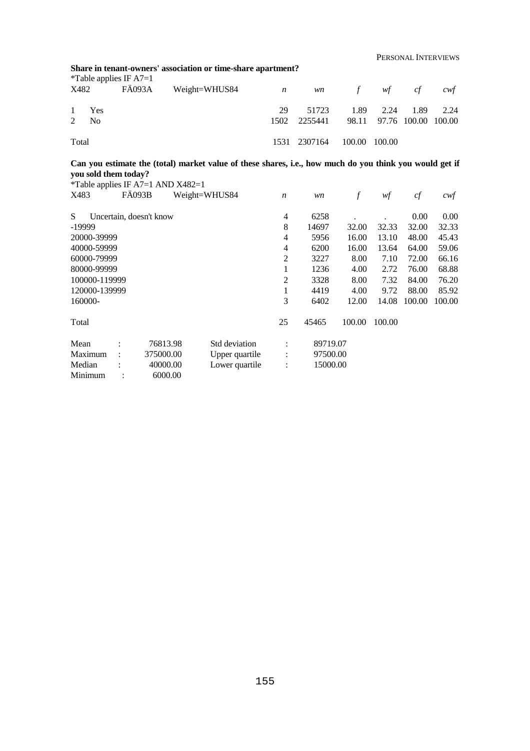PERSONAL INTERVIEWS

|                                        | Share in tenant-owners' association or time-share apartment? |  |                                        |      |                                   |  |           |      |      |  |  |  |  |
|----------------------------------------|--------------------------------------------------------------|--|----------------------------------------|------|-----------------------------------|--|-----------|------|------|--|--|--|--|
|                                        | <i>*</i> Table applies IF $A7=1$                             |  |                                        |      |                                   |  |           |      |      |  |  |  |  |
|                                        |                                                              |  | X482 FÄ093A Weight=WHUS84 n wn f wf cf |      |                                   |  |           |      | cwt  |  |  |  |  |
| $\overline{1}$                         | Yes                                                          |  |                                        | 29   | 51723                             |  | 1.89 2.24 | 1.89 | 2.24 |  |  |  |  |
|                                        | $2 \text{ No}$                                               |  |                                        | 1502 | 2255441 98.11 97.76 100.00 100.00 |  |           |      |      |  |  |  |  |
| Total<br>100.00 100.00<br>1531 2307164 |                                                              |  |                                        |      |                                   |  |           |      |      |  |  |  |  |

## **Can you estimate the (total) market value of these shares, i.e., how much do you think you would get if you sold them today?**

|               |                         | *Table applies IF A7=1 AND $X482=1$ |                |                  |          |        |        |        |        |
|---------------|-------------------------|-------------------------------------|----------------|------------------|----------|--------|--------|--------|--------|
| X483          | <b>FÄ093B</b>           |                                     | Weight=WHUS84  | $\boldsymbol{n}$ | wn       | f      | wf     | cf     | cwf    |
| S             | Uncertain, doesn't know |                                     |                | 4                | 6258     |        |        | 0.00   | 0.00   |
| -19999        |                         |                                     |                | 8                | 14697    | 32.00  | 32.33  | 32.00  | 32.33  |
| 20000-39999   |                         |                                     |                | 4                | 5956     | 16.00  | 13.10  | 48.00  | 45.43  |
| 40000-59999   |                         |                                     |                | 4                | 6200     | 16.00  | 13.64  | 64.00  | 59.06  |
| 60000-79999   |                         |                                     |                | 2                | 3227     | 8.00   | 7.10   | 72.00  | 66.16  |
| 80000-99999   |                         |                                     |                | 1                | 1236     | 4.00   | 2.72   | 76.00  | 68.88  |
| 100000-119999 |                         |                                     |                | 2                | 3328     | 8.00   | 7.32   | 84.00  | 76.20  |
| 120000-139999 |                         |                                     |                | 1                | 4419     | 4.00   | 9.72   | 88.00  | 85.92  |
| 160000-       |                         |                                     |                | 3                | 6402     | 12.00  | 14.08  | 100.00 | 100.00 |
| Total         |                         |                                     |                | 25               | 45465    | 100.00 | 100.00 |        |        |
| Mean          |                         | 76813.98                            | Std deviation  | $\ddot{\cdot}$   | 89719.07 |        |        |        |        |
| Maximum       |                         | 375000.00                           | Upper quartile | $\vdots$         | 97500.00 |        |        |        |        |
| Median        |                         | 40000.00                            | Lower quartile | $\ddot{\cdot}$   | 15000.00 |        |        |        |        |
| Minimum       |                         | 6000.00                             |                |                  |          |        |        |        |        |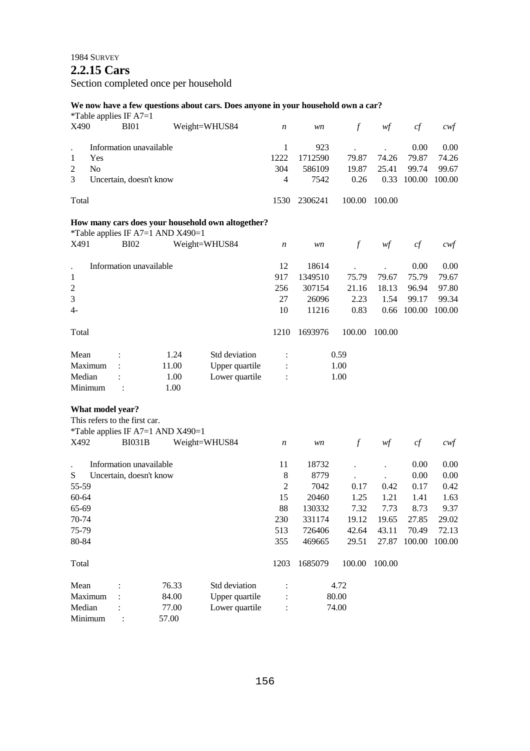## **2.2.15 Cars**

Section completed once per household

#### **We now have a few questions about cars. Does anyone in your household own a car?**

\*Table applies IF A7=1 X490 BI01 Weight=WHUS84 *n wn f wf cf cwf* . Information unavailable 1 Yes 2 No 3 Uncertain, doesn't know Total 1 923 . 0.00 0.00 1222 1712590 79.87 74.26 79.87 74.26 304 586109 19.87 25.41 99.74 99.67 4 7542 0.26 0.33 100.00 100.00 1530 2306241 100.00 100.00 **How many cars does your household own altogether?**  \*Table applies IF A7=1 AND X490=1 X491 BI02 Weight=WHUS84 *n wn f wf cf cwf* . Information unavailable 1 2 3 4- Total 12 18614 . . 0.00 0.00 917 1349510 75.79 79.67 75.79 79.67 256 307154 21.16 18.13 96.94 97.80 27 26096 2.23 1.54 99.17 99.34 10 11216 0.83 0.66 100.00 100.00 1210 1693976 100.00 100.00 Mean : 1.24 Std deviation : 0.59 Maximum : 11.00 Upper quartile : 1.00 Median : 1.00 Lower quartile : 1.00 Minimum : 1.00 **What model year?**  This refers to the first car. \*Table applies IF A7=1 AND X490=1 X492 BI031B Weight=WHUS84 *n wn f wf cf cwf* . Information unavailable S Uncertain, doesn't know 55-59 60-64 65-69 70-74 75-79 80-84 Total 11 18732 . . 0.00 0.00 8 8779 . . 0.00 0.00 2 7042 0.17 0.42 0.17 0.42 15 20460 1.25 1.21 1.41 1.63 88 130332 7.32 7.73 8.73 9.37 230 331174 19.12 19.65 27.85 29.02 513 726406 42.64 43.11 70.49 72.13 355 469665 29.51 27.87 100.00 100.00 1203 1685079 100.00 100.00 Mean : 76.33 Std deviation : 4.72 Maximum : 84.00 Upper quartile : 80.00 Median : 77.00 Lower quartile : 74.00 Minimum : 57.00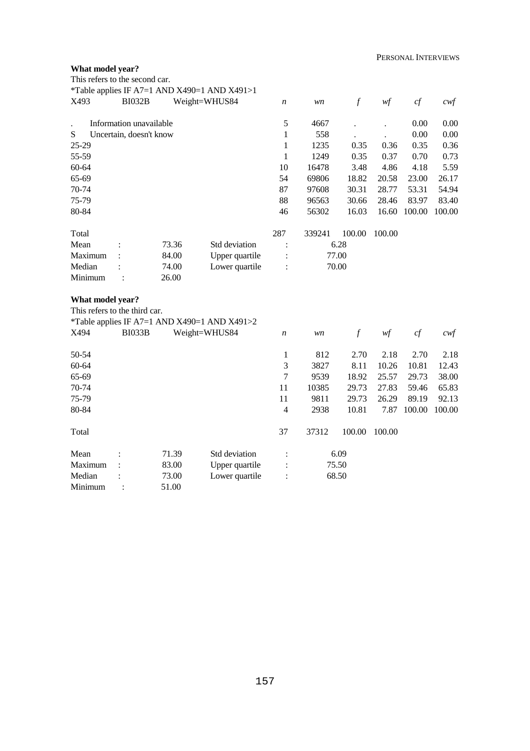## **What model year?**

| This refers to the second car.                    |                         |       |                                                               |                  |        |                  |        |        |                   |
|---------------------------------------------------|-------------------------|-------|---------------------------------------------------------------|------------------|--------|------------------|--------|--------|-------------------|
| X493                                              | <b>BI032B</b>           |       | *Table applies IF A7=1 AND X490=1 AND X491>1<br>Weight=WHUS84 | n                | wn     | $\mathcal{f}$    | w f    | cf     | $c \mathcal{w} f$ |
|                                                   |                         |       |                                                               |                  |        |                  |        |        |                   |
|                                                   | Information unavailable |       |                                                               | 5                | 4667   |                  |        | 0.00   | 0.00              |
| S                                                 | Uncertain, doesn't know |       |                                                               | 1                | 558    |                  |        | 0.00   | 0.00              |
| 25-29                                             |                         |       |                                                               | $\mathbf{1}$     | 1235   | 0.35             | 0.36   | 0.35   | 0.36              |
| 55-59                                             |                         |       |                                                               | $\mathbf{1}$     | 1249   | 0.35             | 0.37   | 0.70   | 0.73              |
| 60-64                                             |                         |       |                                                               | 10               | 16478  | 3.48             | 4.86   | 4.18   | 5.59              |
| 65-69                                             |                         |       |                                                               | 54               | 69806  | 18.82            | 20.58  | 23.00  | 26.17             |
| 70-74                                             |                         |       |                                                               | 87               | 97608  | 30.31            | 28.77  | 53.31  | 54.94             |
| 75-79                                             |                         |       |                                                               | 88               | 96563  | 30.66            | 28.46  | 83.97  | 83.40             |
| 80-84                                             |                         |       |                                                               | 46               | 56302  | 16.03            | 16.60  | 100.00 | 100.00            |
| Total                                             |                         |       |                                                               | 287              | 339241 | 100.00           | 100.00 |        |                   |
| Mean                                              |                         | 73.36 | Std deviation                                                 | $\ddot{\cdot}$   |        | 6.28             |        |        |                   |
| Maximum                                           |                         | 84.00 | Upper quartile                                                | $\ddot{\cdot}$   |        | 77.00            |        |        |                   |
| Median                                            |                         | 74.00 | Lower quartile                                                | $\ddot{\cdot}$   |        | 70.00            |        |        |                   |
| Minimum                                           |                         | 26.00 |                                                               |                  |        |                  |        |        |                   |
| What model year?<br>This refers to the third car. |                         |       |                                                               |                  |        |                  |        |        |                   |
|                                                   |                         |       | *Table applies IF A7=1 AND X490=1 AND X491>2                  |                  |        |                  |        |        |                   |
| X494                                              | <b>BI033B</b>           |       | Weight=WHUS84                                                 | $\boldsymbol{n}$ | wn     | $\boldsymbol{f}$ | wf     | cf     | $c \mathcal{w}$ f |
| 50-54                                             |                         |       |                                                               | 1                | 812    | 2.70             | 2.18   | 2.70   | 2.18              |
| 60-64                                             |                         |       |                                                               | 3                | 3827   | 8.11             | 10.26  | 10.81  | 12.43             |
| 65-69                                             |                         |       |                                                               | $\overline{7}$   | 9539   | 18.92            | 25.57  | 29.73  | 38.00             |
| 70-74                                             |                         |       |                                                               | 11               | 10385  | 29.73            | 27.83  | 59.46  | 65.83             |
| 75-79                                             |                         |       |                                                               | 11               | 9811   | 29.73            | 26.29  | 89.19  | 92.13             |
| 80-84                                             |                         |       |                                                               | $\overline{4}$   | 2938   | 10.81            | 7.87   | 100.00 | 100.00            |
| Total                                             |                         |       |                                                               | 37               | 37312  | 100.00           | 100.00 |        |                   |
| Mean                                              |                         | 71.39 | Std deviation                                                 | $\ddot{\cdot}$   |        | 6.09             |        |        |                   |
| Maximum                                           |                         | 83.00 | Upper quartile                                                |                  |        | 75.50            |        |        |                   |
| Median                                            |                         | 73.00 | Lower quartile                                                |                  |        | 68.50            |        |        |                   |
| Minimum                                           |                         | 51.00 |                                                               |                  |        |                  |        |        |                   |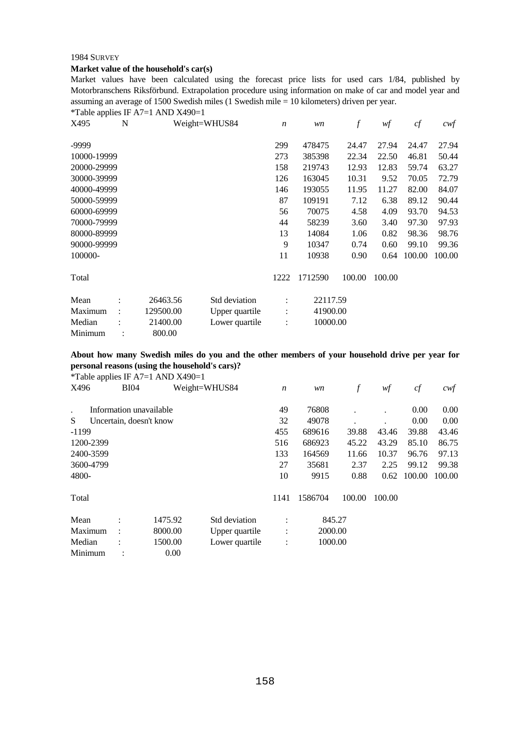#### **Market value of the household's car(s)**

Market values have been calculated using the forecast price lists for used cars 1/84, published by Motorbranschens Riksförbund. Extrapolation procedure using information on make of car and model year and assuming an average of 1500 Swedish miles (1 Swedish mile = 10 kilometers) driven per year.

\*Table applies IF A7=1 AND X490=1

| X495        | N                    |           | Weight=WHUS84  | $\boldsymbol{n}$ | wn       | $\boldsymbol{f}$ | wf     | cf     | $c$ wf |
|-------------|----------------------|-----------|----------------|------------------|----------|------------------|--------|--------|--------|
| -9999       |                      |           |                | 299              | 478475   | 24.47            | 27.94  | 24.47  | 27.94  |
| 10000-19999 |                      |           |                | 273              | 385398   | 22.34            | 22.50  | 46.81  | 50.44  |
| 20000-29999 |                      |           |                | 158              | 219743   | 12.93            | 12.83  | 59.74  | 63.27  |
| 30000-39999 |                      |           |                | 126              | 163045   | 10.31            | 9.52   | 70.05  | 72.79  |
| 40000-49999 |                      |           |                | 146              | 193055   | 11.95            | 11.27  | 82.00  | 84.07  |
| 50000-59999 |                      |           |                | 87               | 109191   | 7.12             | 6.38   | 89.12  | 90.44  |
| 60000-69999 |                      |           |                | 56               | 70075    | 4.58             | 4.09   | 93.70  | 94.53  |
| 70000-79999 |                      |           |                | 44               | 58239    | 3.60             | 3.40   | 97.30  | 97.93  |
| 80000-89999 |                      |           |                | 13               | 14084    | 1.06             | 0.82   | 98.36  | 98.76  |
| 90000-99999 |                      |           |                | 9                | 10347    | 0.74             | 0.60   | 99.10  | 99.36  |
| 100000-     |                      |           |                | 11               | 10938    | 0.90             | 0.64   | 100.00 | 100.00 |
| Total       |                      |           |                | 1222             | 1712590  | 100.00           | 100.00 |        |        |
| Mean        | $\ddot{\cdot}$       | 26463.56  | Std deviation  | $\ddot{\cdot}$   | 22117.59 |                  |        |        |        |
| Maximum     | $\ddot{\phantom{a}}$ | 129500.00 | Upper quartile | $\ddot{\cdot}$   | 41900.00 |                  |        |        |        |
| Median      |                      | 21400.00  | Lower quartile | $\ddot{\cdot}$   | 10000.00 |                  |        |        |        |
| Minimum     |                      | 800.00    |                |                  |          |                  |        |        |        |

#### **About how many Swedish miles do you and the other members of your household drive per year for personal reasons (using the household's cars)?**

\*Table applies IF A7=1 AND X490=1

| . .<br>X496 | <b>BI04</b>             |         | Weight=WHUS84  | $\boldsymbol{n}$ | wn      | f      | wf     | cf     | cwf    |
|-------------|-------------------------|---------|----------------|------------------|---------|--------|--------|--------|--------|
|             | Information unavailable |         |                | 49               | 76808   |        |        | 0.00   | 0.00   |
| S           | Uncertain, doesn't know |         |                | 32               | 49078   |        |        | 0.00   | 0.00   |
| $-1199$     |                         |         |                | 455              | 689616  | 39.88  | 43.46  | 39.88  | 43.46  |
| 1200-2399   |                         |         |                | 516              | 686923  | 45.22  | 43.29  | 85.10  | 86.75  |
| 2400-3599   |                         |         |                | 133              | 164569  | 11.66  | 10.37  | 96.76  | 97.13  |
| 3600-4799   |                         |         |                | 27               | 35681   | 2.37   | 2.25   | 99.12  | 99.38  |
| 4800-       |                         |         |                | 10               | 9915    | 0.88   | 0.62   | 100.00 | 100.00 |
| Total       |                         |         |                | 1141             | 1586704 | 100.00 | 100.00 |        |        |
| Mean        |                         | 1475.92 | Std deviation  |                  | 845.27  |        |        |        |        |
| Maximum     | ÷                       | 8000.00 | Upper quartile | $\ddot{\cdot}$   | 2000.00 |        |        |        |        |
| Median      |                         | 1500.00 | Lower quartile | $\ddot{\cdot}$   | 1000.00 |        |        |        |        |
| Minimum     | ٠                       | 0.00    |                |                  |         |        |        |        |        |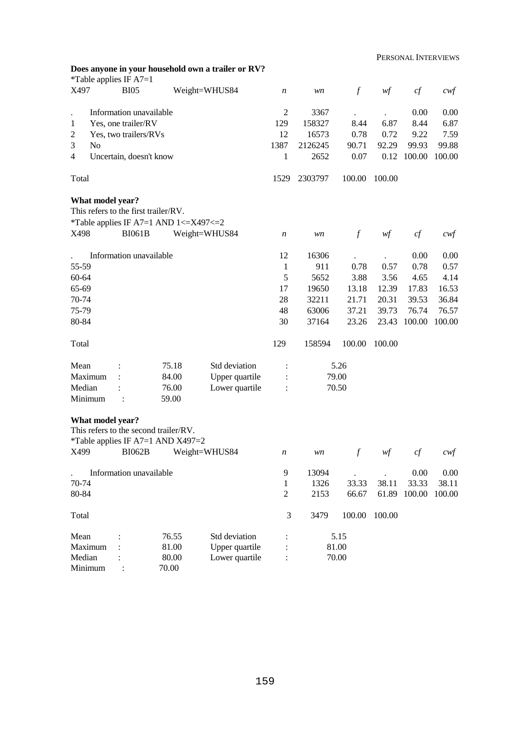PERSONAL INTERVIEWS

|                   |                  | *Table applies IF $A7=1$                                                                    |                | Does anyone in your household own a trailer or RV? |                  |         |                  |        | LINDOI VI ILI II LEIN VILLIVID |                   |
|-------------------|------------------|---------------------------------------------------------------------------------------------|----------------|----------------------------------------------------|------------------|---------|------------------|--------|--------------------------------|-------------------|
| X497              |                  | <b>BI05</b>                                                                                 |                | Weight=WHUS84                                      | n                | wn      | $\boldsymbol{f}$ | wf     | cf                             | $\alpha$          |
|                   |                  | Information unavailable                                                                     |                |                                                    | 2                | 3367    |                  |        | 0.00                           | 0.00              |
| 1                 |                  | Yes, one trailer/RV                                                                         |                |                                                    | 129              | 158327  | 8.44             | 6.87   | 8.44                           | 6.87              |
| 2                 |                  | Yes, two trailers/RVs                                                                       |                |                                                    | 12               | 16573   | 0.78             | 0.72   | 9.22                           | 7.59              |
| 3                 | N <sub>o</sub>   |                                                                                             |                |                                                    | 1387             | 2126245 | 90.71            | 92.29  | 99.93                          | 99.88             |
| $\overline{4}$    |                  | Uncertain, doesn't know                                                                     |                |                                                    | 1                | 2652    | 0.07             | 0.12   | 100.00                         | 100.00            |
| Total             |                  |                                                                                             |                |                                                    | 1529             | 2303797 | 100.00           | 100.00 |                                |                   |
|                   | What model year? | This refers to the first trailer/RV.<br>*Table applies IF A7=1 AND $1 \le X497 \le 2$       |                |                                                    |                  |         |                  |        |                                |                   |
| X498              |                  | <b>BI061B</b>                                                                               |                | Weight=WHUS84                                      | $\boldsymbol{n}$ | wn      | $\mathcal{f}$    | w f    | cf                             | $c \mathcal{w}$ f |
|                   |                  | Information unavailable                                                                     |                |                                                    | 12               | 16306   |                  |        | 0.00                           | 0.00              |
| 55-59             |                  |                                                                                             |                |                                                    | $\mathbf{1}$     | 911     | 0.78             | 0.57   | 0.78                           | 0.57              |
| $60 - 64$         |                  |                                                                                             |                |                                                    | 5                | 5652    | 3.88             | 3.56   | 4.65                           | 4.14              |
| 65-69             |                  |                                                                                             |                |                                                    | 17               | 19650   | 13.18            | 12.39  | 17.83                          | 16.53             |
| 70-74             |                  |                                                                                             |                |                                                    | 28               | 32211   | 21.71            | 20.31  | 39.53                          | 36.84             |
| 75-79             |                  |                                                                                             |                |                                                    | 48               | 63006   | 37.21            | 39.73  | 76.74                          | 76.57             |
| 80-84             |                  |                                                                                             |                |                                                    | 30               | 37164   | 23.26            | 23.43  | 100.00                         | 100.00            |
| Total             |                  |                                                                                             |                |                                                    | 129              | 158594  | 100.00           | 100.00 |                                |                   |
| Mean              |                  |                                                                                             | 75.18          | Std deviation                                      | $\ddot{\cdot}$   |         | 5.26             |        |                                |                   |
| Maximum           |                  |                                                                                             | 84.00          | Upper quartile                                     |                  |         | 79.00            |        |                                |                   |
| Median            |                  |                                                                                             | 76.00          | Lower quartile                                     |                  |         | 70.50            |        |                                |                   |
| Minimum           |                  | $\ddot{\cdot}$                                                                              | 59.00          |                                                    |                  |         |                  |        |                                |                   |
| X499              | What model year? | This refers to the second trailer/RV.<br>*Table applies IF A7=1 AND X497=2<br><b>BI062B</b> |                | Weight=WHUS84                                      | n                | wn      | $\boldsymbol{f}$ | wf     | cf                             | $c$ wf            |
|                   |                  | Information unavailable                                                                     |                |                                                    | 9                | 13094   |                  |        | 0.00                           | 0.00              |
| 70-74             |                  |                                                                                             |                |                                                    | 1                | 1326    | 33.33            | 38.11  | 33.33                          | 38.11             |
| 80-84             |                  |                                                                                             |                |                                                    | $\mathfrak{2}$   | 2153    | 66.67            |        | 61.89 100.00                   | 100.00            |
| Total             |                  |                                                                                             |                |                                                    | 3                | 3479    | 100.00           | 100.00 |                                |                   |
| Mean              |                  |                                                                                             | 76.55          | Std deviation                                      |                  |         | 5.15             |        |                                |                   |
| Maximum           |                  |                                                                                             | 81.00          | Upper quartile                                     |                  |         | 81.00            |        |                                |                   |
| Median<br>Minimum |                  |                                                                                             | 80.00<br>70.00 | Lower quartile                                     |                  |         | 70.00            |        |                                |                   |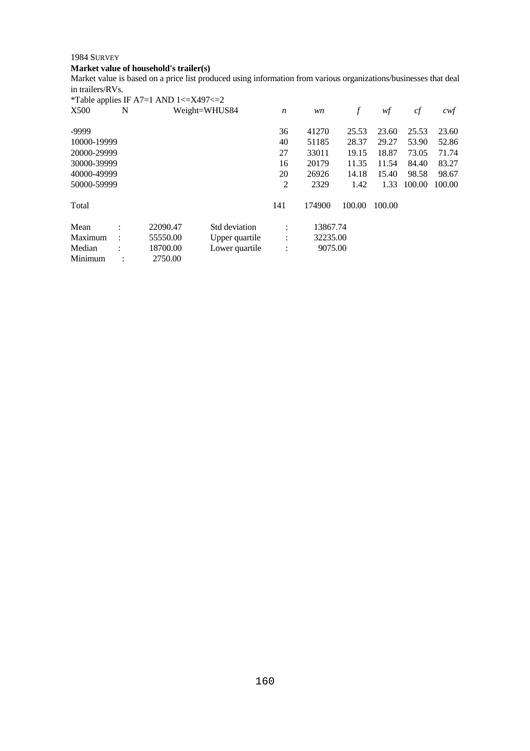## **Market value of household's trailer(s)**

Market value is based on a price list produced using information from various organizations/businesses that deal in trailers/RVs.

|             |           | *Table applies IF A7=1 AND $1 \leq$ X497 $\leq$ 2 |                |                      |          |        |        |        |        |
|-------------|-----------|---------------------------------------------------|----------------|----------------------|----------|--------|--------|--------|--------|
| X500        | N         |                                                   | Weight=WHUS84  | $\boldsymbol{n}$     | wn       | f      | wf     | cf     | cwf    |
| -9999       |           |                                                   |                | 36                   | 41270    | 25.53  | 23.60  | 25.53  | 23.60  |
| 10000-19999 |           |                                                   |                | 40                   | 51185    | 28.37  | 29.27  | 53.90  | 52.86  |
| 20000-29999 |           |                                                   |                | 27                   | 33011    | 19.15  | 18.87  | 73.05  | 71.74  |
| 30000-39999 |           |                                                   |                | 16                   | 20179    | 11.35  | 11.54  | 84.40  | 83.27  |
| 40000-49999 |           |                                                   |                | 20                   | 26926    | 14.18  | 15.40  | 98.58  | 98.67  |
| 50000-59999 |           |                                                   |                | 2                    | 2329     | 1.42   | 1.33   | 100.00 | 100.00 |
| Total       |           |                                                   |                | 141                  | 174900   | 100.00 | 100.00 |        |        |
| Mean        | $\bullet$ | 22090.47                                          | Std deviation  | $\ddot{\phantom{a}}$ | 13867.74 |        |        |        |        |
| Maximum     |           | 55550.00                                          | Upper quartile | $\ddot{\phantom{a}}$ | 32235.00 |        |        |        |        |
| Median      | $\bullet$ | 18700.00                                          | Lower quartile | $\ddot{\cdot}$       | 9075.00  |        |        |        |        |
| Minimum     | ٠         | 2750.00                                           |                |                      |          |        |        |        |        |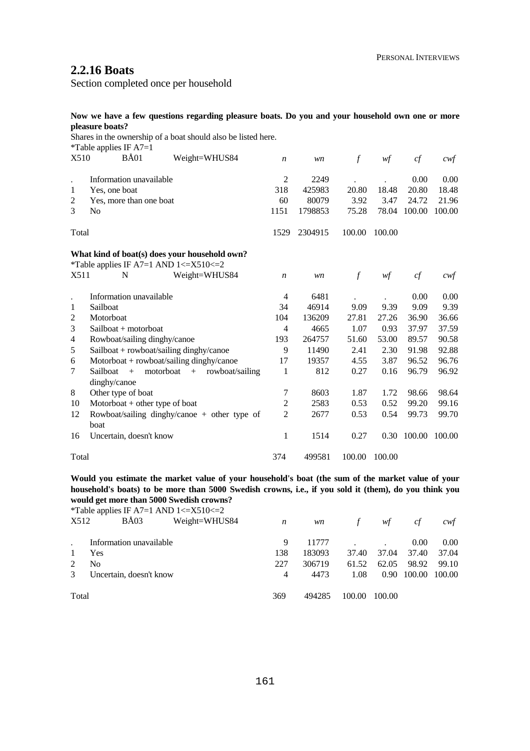## **2.2.16 Boats**

Section completed once per household

### **Now we have a few questions regarding pleasure boats. Do you and your household own one or more pleasure boats?**

Shares in the ownership of a boat should also be listed here.  $*$ Table applies IF  $\Lambda$ 7-1

|                | $1$ avic applies $\mathbf{H}^{\dagger}$ $\mathbf{H}$ / $\mathbf{H}$ = 1 |                                               |                  |         |               |        |             |                  |
|----------------|-------------------------------------------------------------------------|-----------------------------------------------|------------------|---------|---------------|--------|-------------|------------------|
| X510           | $B\AA01$                                                                | Weight=WHUS84                                 | $\boldsymbol{n}$ | wn      | $\mathcal{f}$ | wf     | cf          | $c \mathsf{w} f$ |
|                | Information unavailable                                                 |                                               | 2                | 2249    |               |        | 0.00        | 0.00             |
| 1              | Yes, one boat                                                           |                                               | 318              | 425983  | 20.80         | 18.48  | 20.80       | 18.48            |
| 2              | Yes, more than one boat                                                 |                                               | 60               | 80079   | 3.92          | 3.47   | 24.72       | 21.96            |
| 3              | N <sub>0</sub>                                                          |                                               | 1151             | 1798853 | 75.28         | 78.04  | 100.00      | 100.00           |
| Total          |                                                                         |                                               | 1529             | 2304915 | 100.00        | 100.00 |             |                  |
|                |                                                                         | What kind of boat(s) does your household own? |                  |         |               |        |             |                  |
| X511           | *Table applies IF A7=1 AND $1 \le X510 \le 2$<br>N                      | Weight=WHUS84                                 | $\boldsymbol{n}$ | wn      | $\int$        | wf     | cf          | cwt              |
|                | Information unavailable                                                 |                                               | $\overline{4}$   | 6481    |               |        | 0.00        | 0.00             |
| 1              | Sailboat                                                                |                                               | 34               | 46914   | 9.09          | 9.39   | 9.09        | 9.39             |
| $\overline{c}$ | Motorboat                                                               |                                               | 104              | 136209  | 27.81         | 27.26  | 36.90       | 36.66            |
| 3              | Sailboat + motorboat                                                    |                                               | 4                | 4665    | 1.07          | 0.93   | 37.97       | 37.59            |
| $\overline{4}$ | Rowboat/sailing dinghy/canoe                                            |                                               | 193              | 264757  | 51.60         | 53.00  | 89.57       | 90.58            |
| 5              | Sailboat + rowboat/sailing dinghy/canoe                                 |                                               | 9                | 11490   | 2.41          | 2.30   | 91.98       | 92.88            |
| 6              | Motorboat + rowboat/sailing dinghy/canoe                                |                                               | 17               | 19357   | 4.55          | 3.87   | 96.52       | 96.76            |
| 7              | Sailboat<br>motorboat<br>$+$<br>dinghy/canoe                            | rowboat/sailing<br>$+$                        | 1                | 812     | 0.27          | 0.16   | 96.79       | 96.92            |
| 8              | Other type of boat                                                      |                                               | 7                | 8603    | 1.87          | 1.72   | 98.66       | 98.64            |
| 10             | $Motorboat + other type of boat$                                        |                                               | $\overline{2}$   | 2583    | 0.53          | 0.52   | 99.20       | 99.16            |
| 12             | boat                                                                    | Rowboat/sailing dinghy/canoe + other type of  | $\overline{2}$   | 2677    | 0.53          | 0.54   | 99.73       | 99.70            |
| 16             | Uncertain, doesn't know                                                 |                                               | 1                | 1514    | 0.27          |        | 0.30 100.00 | 100.00           |
| Total          |                                                                         |                                               | 374              | 499581  | 100.00        | 100.00 |             |                  |

**Would you estimate the market value of your household's boat (the sum of the market value of your household's boats) to be more than 5000 Swedish crowns, i.e., if you sold it (them), do you think you would get more than 5000 Swedish crowns?** 

|                             | *Table applies IF A7=1 AND $1 \le X510 \le 2$ |                |        |            |        |        |        |
|-----------------------------|-----------------------------------------------|----------------|--------|------------|--------|--------|--------|
| X512                        | $B\AA 03$<br>Weight=WHUS84                    | n              | wn     | $\sqrt{f}$ | wf     | сf     | cwt    |
|                             | Information unavailable                       | 9              | 11777  |            |        | 0.00   | 0.00   |
|                             | Yes                                           | 138            | 183093 | 37.40      | 37.04  | 37.40  | 37.04  |
| $\mathcal{D}_{\mathcal{L}}$ | N <sub>0</sub>                                | 227            | 306719 | 61.52      | 62.05  | 98.92  | 99.10  |
| $\mathcal{E}$               | Uncertain, doesn't know                       | $\overline{4}$ | 4473   | 1.08       | 0.90   | 100.00 | 100.00 |
| Total                       |                                               | 369            | 494285 | 100.00     | 100.00 |        |        |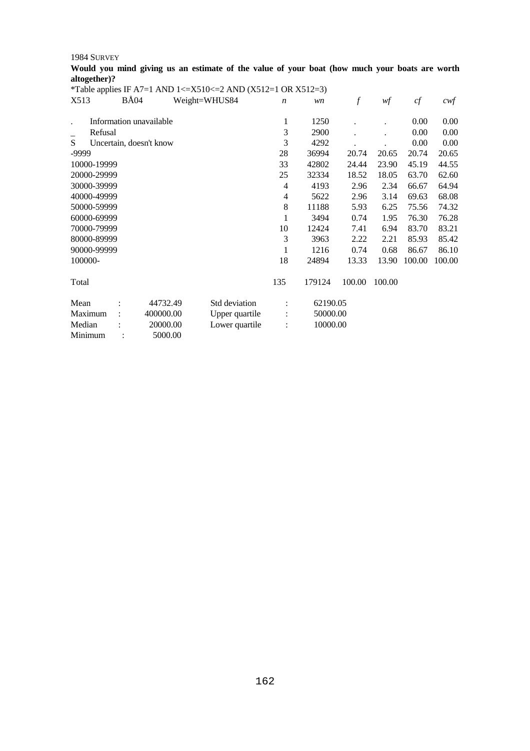| Would you mind giving us an estimate of the value of your boat (how much your boats are worth |  |  |                                                                                                               |  |  |  |  |  |  |
|-----------------------------------------------------------------------------------------------|--|--|---------------------------------------------------------------------------------------------------------------|--|--|--|--|--|--|
| altogether)?                                                                                  |  |  |                                                                                                               |  |  |  |  |  |  |
|                                                                                               |  |  | i wa katika kutoka wa kutoka kutoka wa wakazi wa 1999 na wakazi wa 1999 na wakazi wa kutoka wa 1999 na kutoka |  |  |  |  |  |  |

|         |             |                         |           | <i>*Table applies IF A7=1 AND 1&lt;=<math>X510 \le 2</math> AND (X512=1 OR X512=3)</i> |                  |          |                  |        |        |                   |
|---------|-------------|-------------------------|-----------|----------------------------------------------------------------------------------------|------------------|----------|------------------|--------|--------|-------------------|
| X513    |             | <b>BÅ04</b>             |           | Weight=WHUS84                                                                          | $\boldsymbol{n}$ | wn       | $\boldsymbol{f}$ | wf     | cf     | $c \mathcal{w} f$ |
|         |             | Information unavailable |           |                                                                                        | 1                | 1250     |                  |        | 0.00   | 0.00              |
|         | Refusal     |                         |           |                                                                                        | 3                | 2900     |                  |        | 0.00   | 0.00              |
| S       |             |                         |           |                                                                                        | 3                | 4292     |                  |        | 0.00   | 0.00              |
| -9999   |             | Uncertain, doesn't know |           |                                                                                        | 28               | 36994    | 20.74            | 20.65  | 20.74  | 20.65             |
|         | 10000-19999 |                         |           |                                                                                        | 33               | 42802    | 24.44            | 23.90  | 45.19  | 44.55             |
|         | 20000-29999 |                         |           |                                                                                        | 25               | 32334    | 18.52            | 18.05  | 63.70  | 62.60             |
|         | 30000-39999 |                         |           |                                                                                        | 4                | 4193     | 2.96             | 2.34   | 66.67  | 64.94             |
|         | 40000-49999 |                         |           |                                                                                        | 4                | 5622     | 2.96             | 3.14   | 69.63  | 68.08             |
|         | 50000-59999 |                         |           |                                                                                        | 8                |          |                  |        |        |                   |
|         | 60000-69999 |                         |           |                                                                                        |                  | 11188    | 5.93             | 6.25   | 75.56  | 74.32             |
|         |             |                         |           |                                                                                        | 1                | 3494     | 0.74             | 1.95   | 76.30  | 76.28             |
|         | 70000-79999 |                         |           |                                                                                        | 10               | 12424    | 7.41             | 6.94   | 83.70  | 83.21             |
|         | 80000-89999 |                         |           |                                                                                        | 3                | 3963     | 2.22             | 2.21   | 85.93  | 85.42             |
|         | 90000-99999 |                         |           |                                                                                        | 1                | 1216     | 0.74             | 0.68   | 86.67  | 86.10             |
| 100000- |             |                         |           |                                                                                        | 18               | 24894    | 13.33            | 13.90  | 100.00 | 100.00            |
| Total   |             |                         |           |                                                                                        | 135              | 179124   | 100.00           | 100.00 |        |                   |
| Mean    |             |                         | 44732.49  | Std deviation                                                                          |                  | 62190.05 |                  |        |        |                   |
| Maximum |             |                         | 400000.00 | Upper quartile                                                                         |                  | 50000.00 |                  |        |        |                   |
| Median  |             |                         | 20000.00  | Lower quartile                                                                         |                  | 10000.00 |                  |        |        |                   |
| Minimum |             |                         | 5000.00   |                                                                                        |                  |          |                  |        |        |                   |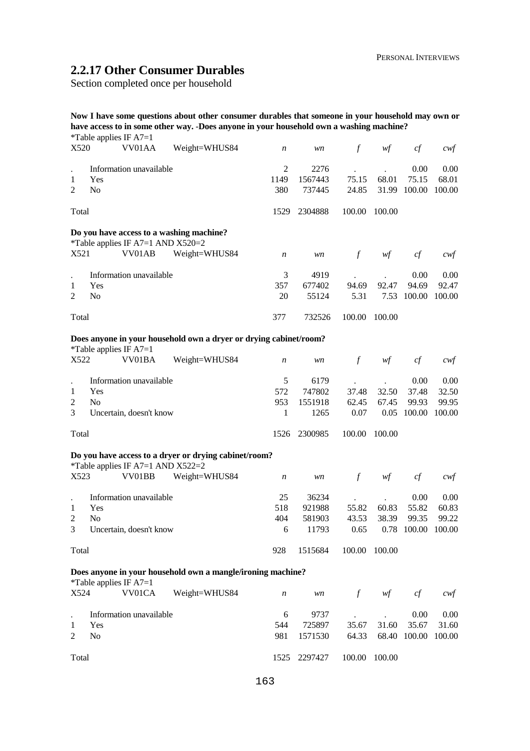# **2.2.17 Other Consumer Durables**

Section completed once per household

|                      | *Table applies IF $A7=1$ |                                     | Now I have some questions about other consumer durables that someone in your household may own or<br>have access to in some other way. -Does anyone in your household own a washing machine? |                  |         |               |                                        |              |                  |
|----------------------|--------------------------|-------------------------------------|----------------------------------------------------------------------------------------------------------------------------------------------------------------------------------------------|------------------|---------|---------------|----------------------------------------|--------------|------------------|
| X520                 |                          | VV01AA                              | Weight=WHUS84                                                                                                                                                                                | $\boldsymbol{n}$ | wn      | $\int$        | wf                                     | cf           | $c \mathsf{w} f$ |
|                      |                          | Information unavailable             |                                                                                                                                                                                              | $\mathfrak{2}$   | 2276    |               |                                        | 0.00         | 0.00             |
| 1                    | Yes                      |                                     |                                                                                                                                                                                              | 1149             | 1567443 | 75.15         | 68.01                                  | 75.15        | 68.01            |
| $\overline{2}$       | No                       |                                     |                                                                                                                                                                                              | 380              | 737445  | 24.85         | 31.99                                  | 100.00       | 100.00           |
| Total                |                          |                                     |                                                                                                                                                                                              | 1529             | 2304888 | 100.00        | 100.00                                 |              |                  |
|                      |                          | *Table applies IF A7=1 AND X520=2   | Do you have access to a washing machine?                                                                                                                                                     |                  |         |               |                                        |              |                  |
| X521                 |                          | VV01AB                              | Weight=WHUS84                                                                                                                                                                                | n                | wn      | $\mathcal{f}$ | wf                                     | cf           | cwt              |
| $\ddot{\phantom{0}}$ |                          | Information unavailable             |                                                                                                                                                                                              | 3                | 4919    |               |                                        | 0.00         | 0.00             |
| 1                    | Yes                      |                                     |                                                                                                                                                                                              | 357              | 677402  | 94.69         | 92.47                                  | 94.69        | 92.47            |
| $\overline{2}$       | No                       |                                     |                                                                                                                                                                                              | 20               | 55124   | 5.31          | 7.53                                   | 100.00       | 100.00           |
| Total                |                          |                                     |                                                                                                                                                                                              | 377              | 732526  | 100.00        | 100.00                                 |              |                  |
|                      |                          |                                     | Does anyone in your household own a dryer or drying cabinet/room?                                                                                                                            |                  |         |               |                                        |              |                  |
|                      | *Table applies IF A7=1   |                                     |                                                                                                                                                                                              |                  |         |               |                                        |              |                  |
| X522                 |                          | VV01BA                              | Weight=WHUS84                                                                                                                                                                                | n                | wn      | $\mathcal{f}$ | wf                                     | cf           | cwf              |
| $\bullet$            |                          | Information unavailable             |                                                                                                                                                                                              | 5                | 6179    |               |                                        | 0.00         | 0.00             |
| 1                    | Yes                      |                                     |                                                                                                                                                                                              | 572              | 747802  | 37.48         | 32.50                                  | 37.48        | 32.50            |
| $\overline{c}$       | N <sub>o</sub>           |                                     |                                                                                                                                                                                              | 953              | 1551918 | 62.45         | 67.45                                  | 99.93        | 99.95            |
| 3                    |                          | Uncertain, doesn't know             |                                                                                                                                                                                              | 1                | 1265    | 0.07          | 0.05                                   | 100.00       | 100.00           |
| Total                |                          |                                     |                                                                                                                                                                                              | 1526             | 2300985 | 100.00        | 100.00                                 |              |                  |
|                      |                          |                                     |                                                                                                                                                                                              |                  |         |               |                                        |              |                  |
|                      |                          | *Table applies IF A7=1 AND $X522=2$ | Do you have access to a dryer or drying cabinet/room?                                                                                                                                        |                  |         |               |                                        |              |                  |
| X523                 |                          | VV01BB                              | Weight=WHUS84                                                                                                                                                                                | $\boldsymbol{n}$ | wn      | $\mathcal{f}$ | wf                                     | cf           | cwt              |
|                      |                          | Information unavailable             |                                                                                                                                                                                              | 25               | 36234   |               |                                        | 0.00         | 0.00             |
| 1                    | Yes                      |                                     |                                                                                                                                                                                              | 518              | 921988  | 55.82         | 60.83                                  | 55.82        | 60.83            |
| $\overline{c}$       | No                       |                                     |                                                                                                                                                                                              | 404              | 581903  | 43.53         | 38.39                                  | 99.35        | 99.22            |
| 3                    |                          | Uncertain, doesn't know             |                                                                                                                                                                                              | 6                | 11793   | 0.65          |                                        | 0.78 100.00  | 100.00           |
| Total                |                          |                                     |                                                                                                                                                                                              | 928              | 1515684 | 100.00        | 100.00                                 |              |                  |
|                      |                          |                                     | Does anyone in your household own a mangle/ironing machine?                                                                                                                                  |                  |         |               |                                        |              |                  |
| X524                 | *Table applies IF $A7=1$ | VV01CA                              | Weight=WHUS84                                                                                                                                                                                | n                | wn      | $\int$        | $\mathcal{W}\hspace{-0.5mm}\textit{f}$ | cf           | cwf              |
|                      |                          | Information unavailable             |                                                                                                                                                                                              | 6                | 9737    |               |                                        | 0.00         | 0.00             |
| $\mathbf{1}$         | Yes                      |                                     |                                                                                                                                                                                              | 544              | 725897  | 35.67         | 31.60                                  | 35.67        | 31.60            |
| $\overline{c}$       | No                       |                                     |                                                                                                                                                                                              | 981              | 1571530 | 64.33         |                                        | 68.40 100.00 | 100.00           |
| Total                |                          |                                     |                                                                                                                                                                                              | 1525             | 2297427 | 100.00        | 100.00                                 |              |                  |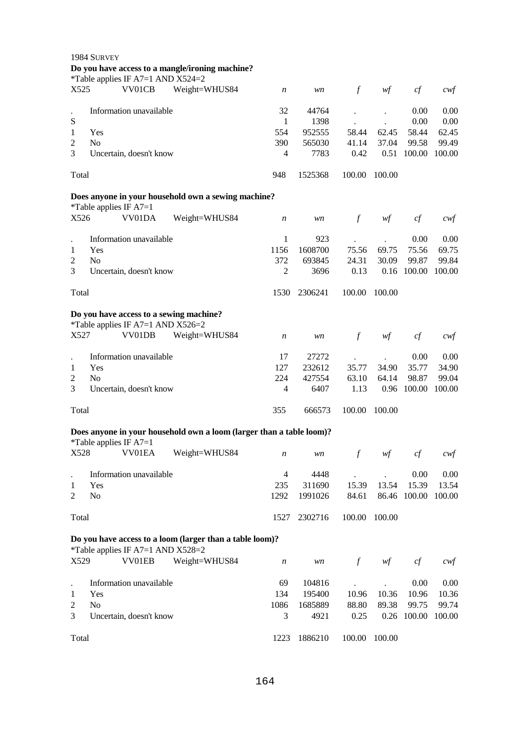|                | 1984 SURVEY<br>Do you have access to a mangle/ironing machine?                                |               |                  |                  |                      |                |                |                   |
|----------------|-----------------------------------------------------------------------------------------------|---------------|------------------|------------------|----------------------|----------------|----------------|-------------------|
| X525           | *Table applies IF A7=1 AND X524=2<br>VV01CB                                                   | Weight=WHUS84 | $\boldsymbol{n}$ | wn               | $\mathcal{f}$        | wf             | cf             | $\alpha$          |
|                | Information unavailable                                                                       |               | 32               | 44764            |                      |                | 0.00           | 0.00              |
| ${\bf S}$      |                                                                                               |               | 1                | 1398             |                      |                | 0.00           | 0.00              |
| 1<br>2         | Yes<br>N <sub>o</sub>                                                                         |               | 554<br>390       | 952555<br>565030 | 58.44<br>41.14       | 62.45<br>37.04 | 58.44<br>99.58 | 62.45<br>99.49    |
| 3              | Uncertain, doesn't know                                                                       |               | 4                | 7783             | 0.42                 | 0.51           | 100.00         | 100.00            |
| Total          |                                                                                               |               | 948              | 1525368          | 100.00               | 100.00         |                |                   |
|                | Does anyone in your household own a sewing machine?                                           |               |                  |                  |                      |                |                |                   |
|                | *Table applies IF $A7=1$                                                                      |               |                  |                  |                      |                |                |                   |
| X526           | VV01DA                                                                                        | Weight=WHUS84 | $\boldsymbol{n}$ | wn               | $\mathcal{f}$        | wf             | cf             | $c$ wf            |
|                | Information unavailable                                                                       |               | 1                | 923              |                      |                | 0.00           | 0.00              |
| 1              | Yes                                                                                           |               | 1156             | 1608700          | 75.56                | 69.75          | 75.56          | 69.75             |
| $\overline{2}$ | No                                                                                            |               | 372              | 693845           | 24.31                | 30.09          | 99.87          | 99.84             |
| 3              | Uncertain, doesn't know                                                                       |               | $\overline{2}$   | 3696             | 0.13                 |                | 0.16 100.00    | 100.00            |
| Total          |                                                                                               |               | 1530             | 2306241          | 100.00               | 100.00         |                |                   |
|                | Do you have access to a sewing machine?<br>*Table applies IF A7=1 AND X526=2                  |               |                  |                  |                      |                |                |                   |
| X527           | VV01DB                                                                                        | Weight=WHUS84 | $\boldsymbol{n}$ | wn               | $\mathcal{f}$        | wf             | cf             | cwt               |
|                | Information unavailable                                                                       |               | 17               | 27272            |                      |                | 0.00           | 0.00              |
| 1              | Yes                                                                                           |               | 127              | 232612           | 35.77                | 34.90          | 35.77          | 34.90             |
| 2              | No                                                                                            |               | 224              | 427554           | 63.10                | 64.14          | 98.87          | 99.04             |
| 3              | Uncertain, doesn't know                                                                       |               | 4                | 6407             | 1.13                 |                | 0.96 100.00    | 100.00            |
| Total          |                                                                                               |               | 355              | 666573           | 100.00               | 100.00         |                |                   |
|                | Does anyone in your household own a loom (larger than a table loom)?                          |               |                  |                  |                      |                |                |                   |
|                | *Table applies IF $A7=1$<br>X528 VV01EA                                                       | Weight=WHUS84 | n                | wn               | f                    | wf             | cf             | $\mathit{cwf}$    |
|                | Information unavailable                                                                       |               | $\overline{4}$   | 4448             |                      |                | 0.00           | 0.00              |
| 1              | Yes                                                                                           |               | 235              | 311690           | 15.39                | 13.54          | 15.39          | 13.54             |
| 2              | No                                                                                            |               | 1292             | 1991026          | 84.61                |                | 86.46 100.00   | 100.00            |
| Total          |                                                                                               |               | 1527             | 2302716          | 100.00               | 100.00         |                |                   |
|                |                                                                                               |               |                  |                  |                      |                |                |                   |
|                | Do you have access to a loom (larger than a table loom)?<br>*Table applies IF A7=1 AND X528=2 |               |                  |                  |                      |                |                |                   |
| X529           | VV01EB                                                                                        | Weight=WHUS84 | $\boldsymbol{n}$ | $\mathit{wn}$    | $\boldsymbol{f}$     | wf             | cf             | $c \mathcal{w} f$ |
|                | Information unavailable                                                                       |               | 69               | 104816           | $\ddot{\phantom{0}}$ |                | 0.00           | 0.00              |
| 1              | Yes                                                                                           |               | 134              | 195400           | 10.96                | 10.36          | 10.96          | 10.36             |
| 2              | No                                                                                            |               | 1086             | 1685889          | 88.80                | 89.38          | 99.75          | 99.74             |
| 3              | Uncertain, doesn't know                                                                       |               | 3                | 4921             | 0.25                 |                | 0.26 100.00    | 100.00            |
| Total          |                                                                                               |               | 1223             | 1886210          | 100.00               | 100.00         |                |                   |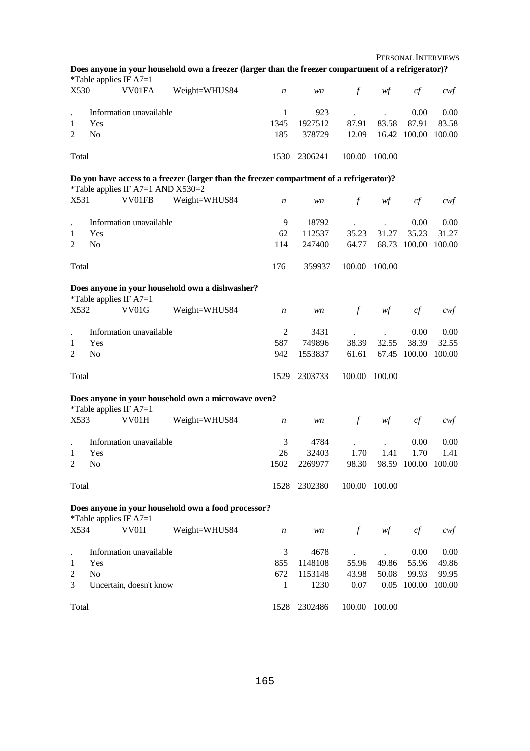PERSONAL INTERVIEWS

|             |                       | *Table applies IF $A7=1$                           | Does anyone in your household own a freezer (larger than the freezer compartment of a refrigerator)? |                                 |                                    |                        |                |                                       |                                  |
|-------------|-----------------------|----------------------------------------------------|------------------------------------------------------------------------------------------------------|---------------------------------|------------------------------------|------------------------|----------------|---------------------------------------|----------------------------------|
| X530        |                       | VV01FA                                             | Weight=WHUS84                                                                                        | $\boldsymbol{n}$                | wn                                 | $\int$                 | wf             | cf                                    | cwf                              |
| 1<br>2      | Yes<br>No             | Information unavailable                            |                                                                                                      | 1<br>1345<br>185                | 923<br>1927512<br>378729           | 87.91<br>12.09         | 83.58          | 0.00<br>87.91<br>16.42 100.00         | 0.00<br>83.58<br>100.00          |
| Total       |                       |                                                    |                                                                                                      | 1530                            | 2306241                            | 100.00                 | 100.00         |                                       |                                  |
|             |                       |                                                    | Do you have access to a freezer (larger than the freezer compartment of a refrigerator)?             |                                 |                                    |                        |                |                                       |                                  |
| X531        |                       | *Table applies IF A7=1 AND X530=2<br>VV01FB        | Weight=WHUS84                                                                                        | $\boldsymbol{n}$                | wn                                 | $\int$                 | wf             | cf                                    | $c$ wf                           |
| 1<br>2      | Yes<br>N <sub>0</sub> | Information unavailable                            |                                                                                                      | 9<br>62<br>114                  | 18792<br>112537<br>247400          | 35.23<br>64.77         | 31.27          | 0.00<br>35.23<br>68.73 100.00         | 0.00<br>31.27<br>100.00          |
| Total       |                       |                                                    |                                                                                                      | 176                             | 359937                             | 100.00                 | 100.00         |                                       |                                  |
|             |                       | *Table applies IF $A7=1$                           | Does anyone in your household own a dishwasher?                                                      |                                 |                                    |                        |                |                                       |                                  |
| X532        |                       | VV01G                                              | Weight=WHUS84                                                                                        | $\boldsymbol{n}$                | wn                                 | $\int$                 | wf             | cf                                    | cwf                              |
| 1<br>2      | Yes<br>N <sub>0</sub> | Information unavailable                            |                                                                                                      | $\mathfrak{2}$<br>587<br>942    | 3431<br>749896<br>1553837          | 38.39<br>61.61         | 32.55          | 0.00<br>38.39<br>67.45 100.00         | 0.00<br>32.55<br>100.00          |
| Total       |                       |                                                    |                                                                                                      | 1529                            | 2303733                            | 100.00                 | 100.00         |                                       |                                  |
|             |                       | *Table applies IF $A7=1$                           | Does anyone in your household own a microwave oven?                                                  |                                 |                                    |                        |                |                                       |                                  |
| X533        |                       | VV01H                                              | Weight=WHUS84                                                                                        | $\boldsymbol{n}$                | wn                                 | $\mathcal{f}$          | wf             | cf                                    | cwt                              |
| 1<br>2      | Yes<br>No             | Information unavailable                            |                                                                                                      | 3<br>26<br>1502                 | 4784<br>32403<br>2269977           | 1.70<br>98.30          | 1.41           | 0.00<br>1.70<br>98.59 100.00 100.00   | 0.00<br>1.41                     |
| Total       |                       |                                                    |                                                                                                      |                                 | 1528 2302380                       |                        | 100.00 100.00  |                                       |                                  |
|             |                       | *Table applies IF $A7=1$                           | Does anyone in your household own a food processor?                                                  |                                 |                                    |                        |                |                                       |                                  |
| X534        |                       | VV01I                                              | Weight=WHUS84                                                                                        | $\boldsymbol{n}$                | wn                                 | $\int$                 | wf             | cf                                    | cwf                              |
| 1<br>2<br>3 | Yes<br>No             | Information unavailable<br>Uncertain, doesn't know |                                                                                                      | 3<br>855<br>672<br>$\mathbf{1}$ | 4678<br>1148108<br>1153148<br>1230 | 55.96<br>43.98<br>0.07 | 49.86<br>50.08 | 0.00<br>55.96<br>99.93<br>0.05 100.00 | 0.00<br>49.86<br>99.95<br>100.00 |
| Total       |                       |                                                    |                                                                                                      | 1528                            | 2302486                            | 100.00                 | 100.00         |                                       |                                  |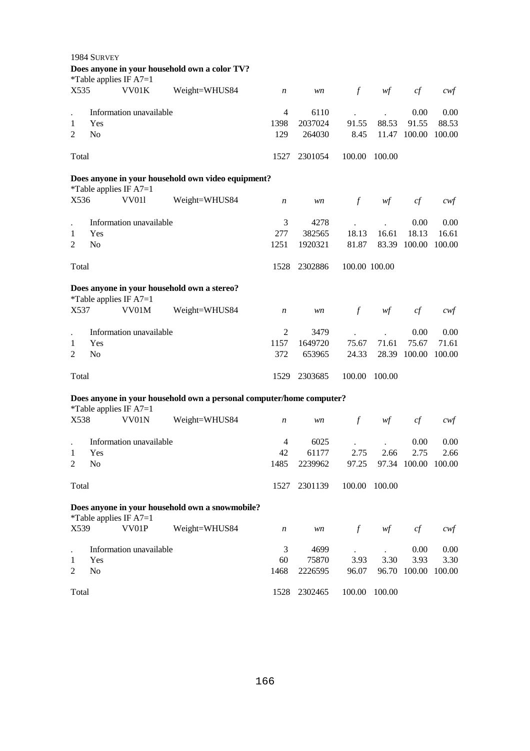|                | 1984 SURVEY    |                          |                                                                      |                  |         |               |               |                     |                   |
|----------------|----------------|--------------------------|----------------------------------------------------------------------|------------------|---------|---------------|---------------|---------------------|-------------------|
|                |                |                          | Does anyone in your household own a color TV?                        |                  |         |               |               |                     |                   |
|                |                | *Table applies IF A7=1   |                                                                      |                  |         |               |               |                     |                   |
| X535           |                | VV01K                    | Weight=WHUS84                                                        | $\boldsymbol{n}$ | wn      | $\int$        | wf            | cf                  | $c$ wf            |
|                |                | Information unavailable  |                                                                      | 4                | 6110    |               |               | 0.00                | 0.00              |
| 1              | Yes            |                          |                                                                      | 1398             | 2037024 | 91.55         | 88.53         | 91.55               | 88.53             |
| 2              | N <sub>o</sub> |                          |                                                                      | 129              | 264030  | 8.45          | 11.47         | 100.00              | 100.00            |
| Total          |                |                          |                                                                      | 1527             | 2301054 | 100.00        | 100.00        |                     |                   |
|                |                |                          | Does anyone in your household own video equipment?                   |                  |         |               |               |                     |                   |
|                |                | *Table applies IF $A7=1$ |                                                                      |                  |         |               |               |                     |                   |
| X536           |                | <b>VV011</b>             | Weight=WHUS84                                                        | $\boldsymbol{n}$ | wn      | $\mathcal{f}$ | wf            | cf                  | cwf               |
|                |                | Information unavailable  |                                                                      | 3                | 4278    |               |               | 0.00                | 0.00              |
| 1              | Yes            |                          |                                                                      | 277              | 382565  | 18.13         | 16.61         | 18.13               | 16.61             |
| 2              | No             |                          |                                                                      | 1251             | 1920321 | 81.87         | 83.39         | 100.00              | 100.00            |
| Total          |                |                          |                                                                      | 1528             | 2302886 |               | 100.00 100.00 |                     |                   |
|                |                | *Table applies IF $A7=1$ | Does anyone in your household own a stereo?                          |                  |         |               |               |                     |                   |
| X537           |                | VV01M                    | Weight=WHUS84                                                        | $\boldsymbol{n}$ | wn      | $\int$        | wf            | cf                  | $c \mathcal{w}$ f |
|                |                | Information unavailable  |                                                                      | 2                | 3479    |               |               | 0.00                | 0.00              |
| 1              | Yes            |                          |                                                                      | 1157             | 1649720 | 75.67         | 71.61         | 75.67               | 71.61             |
| $\overline{2}$ | No             |                          |                                                                      | 372              | 653965  | 24.33         | 28.39         | 100.00              | 100.00            |
| Total          |                |                          |                                                                      | 1529             | 2303685 | 100.00        | 100.00        |                     |                   |
|                |                |                          | Does anyone in your household own a personal computer/home computer? |                  |         |               |               |                     |                   |
|                |                | *Table applies IF $A7=1$ |                                                                      |                  |         |               |               |                     |                   |
| X538           |                | VV01N                    | Weight=WHUS84                                                        | $\boldsymbol{n}$ | wn      | $\int f$      | wf            | cf                  | cwt               |
|                |                | Information unavailable  |                                                                      | 4                | 6025    |               |               | 0.00                | 0.00              |
| 1              | Yes            |                          |                                                                      | 42               | 61177   | 2.75          | 2.66          | 2.75                | 2.66              |
| $\overline{c}$ | No             |                          |                                                                      | 1485             | 2239962 | 97.25         |               | 97.34 100.00 100.00 |                   |
| Total          |                |                          |                                                                      | 1527             | 2301139 | 100.00        | 100.00        |                     |                   |
|                |                | *Table applies IF $A7=1$ | Does anyone in your household own a snowmobile?                      |                  |         |               |               |                     |                   |
| X539           |                | VV01P                    | Weight=WHUS84                                                        | $\boldsymbol{n}$ | wn      | $\int$        | wf            | cf                  | $c$ wf            |
|                |                | Information unavailable  |                                                                      | 3                | 4699    |               |               | 0.00                | 0.00              |
| 1              | Yes            |                          |                                                                      | 60               | 75870   | 3.93          | 3.30          | 3.93                | 3.30              |
| 2              | N <sub>o</sub> |                          |                                                                      | 1468             | 2226595 | 96.07         | 96.70         | 100.00              | 100.00            |
| Total          |                |                          |                                                                      | 1528             | 2302465 | 100.00        | 100.00        |                     |                   |

Total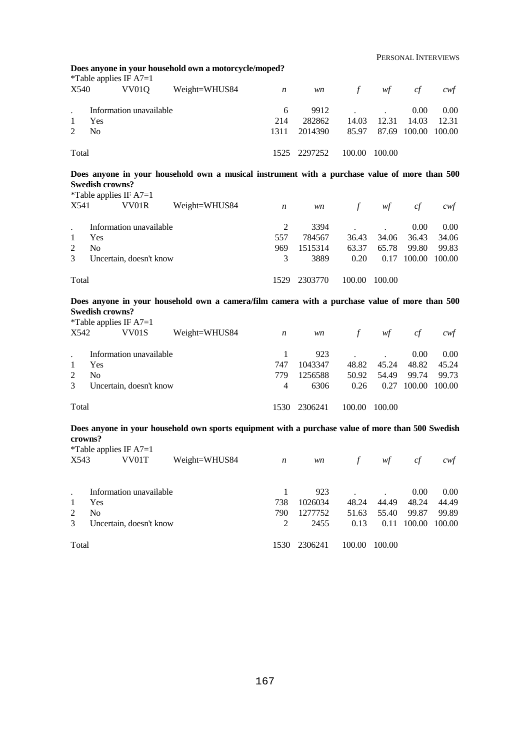PERSONAL INTERVIEWS

|                                | *Table applies IF $A7=1$               | Does anyone in your household own a motorcycle/moped?                                             |                  |                    |               |                |                    |                                       |
|--------------------------------|----------------------------------------|---------------------------------------------------------------------------------------------------|------------------|--------------------|---------------|----------------|--------------------|---------------------------------------|
| X540                           | VV <sub>01</sub> Q                     | Weight=WHUS84                                                                                     | $\boldsymbol{n}$ | wn                 | $\int$        | wf             | cf                 | cwt                                   |
|                                | Information unavailable                |                                                                                                   | 6                | 9912               |               |                | 0.00               | 0.00                                  |
| 1                              | Yes                                    |                                                                                                   | 214              | 282862             | 14.03         | 12.31          | 14.03              | 12.31                                 |
| 2                              | N <sub>o</sub>                         |                                                                                                   | 1311             | 2014390            | 85.97         |                | 87.69 100.00       | 100.00                                |
| Total                          |                                        |                                                                                                   | 1525             | 2297252            | 100.00        | 100.00         |                    |                                       |
|                                | <b>Swedish crowns?</b>                 | Does anyone in your household own a musical instrument with a purchase value of more than 500     |                  |                    |               |                |                    |                                       |
|                                | *Table applies IF $A7=1$               |                                                                                                   |                  |                    |               |                |                    |                                       |
| X541                           | VV01R                                  | Weight=WHUS84                                                                                     | $\boldsymbol{n}$ | wn                 | $\int$        | wf             | cf                 | cwt                                   |
|                                | Information unavailable                |                                                                                                   | 2                | 3394               |               |                | 0.00               | 0.00                                  |
| 1                              | Yes                                    |                                                                                                   | 557              | 784567             | 36.43         | 34.06          | 36.43              | 34.06                                 |
| $\overline{2}$                 | N <sub>o</sub>                         |                                                                                                   | 969              | 1515314            | 63.37         | 65.78          | 99.80              | 99.83                                 |
| 3                              | Uncertain, doesn't know                |                                                                                                   | 3                | 3889               | 0.20          |                | 0.17 100.00        | 100.00                                |
| Total                          |                                        |                                                                                                   | 1529             | 2303770            | 100.00        | 100.00         |                    |                                       |
|                                |                                        |                                                                                                   |                  |                    |               |                |                    |                                       |
|                                |                                        | Does anyone in your household own a camera/film camera with a purchase value of more than 500     |                  |                    |               |                |                    |                                       |
|                                | <b>Swedish crowns?</b>                 |                                                                                                   |                  |                    |               |                |                    |                                       |
|                                | *Table applies IF $A7=1$               |                                                                                                   |                  |                    |               |                |                    |                                       |
| X542                           | VV01S                                  | Weight=WHUS84                                                                                     | $\boldsymbol{n}$ | wn                 | $\int$        | wf             | cf                 | cwf                                   |
|                                | Information unavailable                |                                                                                                   | 1                | 923                |               |                | 0.00               | 0.00                                  |
| 1                              | Yes                                    |                                                                                                   | 747              | 1043347            | 48.82         | 45.24          | 48.82              | 45.24                                 |
| $\overline{2}$                 | N <sub>o</sub>                         |                                                                                                   | 779              | 1256588            | 50.92         | 54.49          | 99.74              | 99.73                                 |
| 3                              | Uncertain, doesn't know                |                                                                                                   | $\overline{4}$   | 6306               | 0.26          |                | 0.27 100.00 100.00 |                                       |
| Total                          |                                        |                                                                                                   | 1530             | 2306241            | 100.00 100.00 |                |                    |                                       |
|                                |                                        | Does anyone in your household own sports equipment with a purchase value of more than 500 Swedish |                  |                    |               |                |                    |                                       |
|                                | crowns?                                |                                                                                                   |                  |                    |               |                |                    |                                       |
|                                | *Table applies IF $A7=1$<br>X543 VV01T | Weight=WHUS84                                                                                     | $\boldsymbol{n}$ | wn                 |               | f $wf$ cf      |                    | $\mathcal{C} \mathcal{W} \mathcal{F}$ |
| $\ddot{\phantom{a}}$           | Information unavailable                |                                                                                                   | $\mathbf{1}$     |                    |               |                |                    |                                       |
|                                |                                        |                                                                                                   |                  | 923                | 48.24         |                | 0.00               | 0.00                                  |
| $\mathbf{1}$<br>$\overline{2}$ | Yes<br>No                              |                                                                                                   | 738<br>790       | 1026034<br>1277752 | 51.63         | 44.49<br>55.40 | 48.24<br>99.87     | 44.49<br>99.89                        |

167

1530 2306241 100.00 100.00

3 Uncertain, doesn't know

Total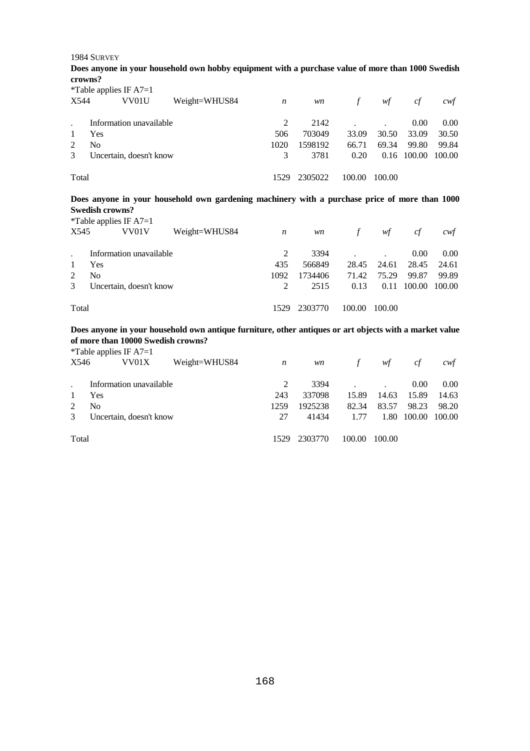**Does anyone in your household own hobby equipment with a purchase value of more than 1000 Swedish crowns?** 

 $*$ Table applies IF  $\Lambda$ 7-1

|       | $\pm$ 1 ave applies in $A/-1$ |               |      |         |               |             |        |                   |
|-------|-------------------------------|---------------|------|---------|---------------|-------------|--------|-------------------|
| X544  | VV01U                         | Weight=WHUS84 | n    | wn      | $\mathcal{L}$ | wf          | сf     | cwt               |
|       | Information unavailable       |               |      | 2142    |               |             | 0.00   | 0.00 <sub>1</sub> |
|       | Yes                           |               | 506  | 703049  | 33.09         | 30.50       | 33.09  | 30.50             |
| 2     | No                            |               | 1020 | 1598192 | 66.71         | 69.34       | 99.80  | 99.84             |
| 3     | Uncertain, doesn't know       |               | 3781 | 0.20    |               | 0.16 100.00 | 100.00 |                   |
| Total |                               |               | 1529 | 2305022 | 100.00        | 100.00      |        |                   |

**Does anyone in your household own gardening machinery with a purchase price of more than 1000 Swedish crowns?** 

| X545          |                         | *Table applies IF $A7=1$<br>VV01V | Weight=WHUS84 |      |         | $\sqrt{f}$ |        | сf     | cwt    |
|---------------|-------------------------|-----------------------------------|---------------|------|---------|------------|--------|--------|--------|
|               |                         |                                   |               | n    | wn      |            | wf     |        |        |
|               |                         | Information unavailable           |               | 2    | 3394    |            |        | 0.00   | 0.00   |
|               | Yes                     |                                   |               | 435  | 566849  | 28.45      | 24.61  | 28.45  | 24.61  |
| 2             | No                      |                                   |               | 1092 | 1734406 | 71.42      | 75.29  | 99.87  | 99.89  |
| $\mathcal{E}$ | Uncertain, doesn't know |                                   |               | 2    | 2515    | 0.13       | 0.11   | 100.00 | 100.00 |
| Total         |                         |                                   |               | 1529 | 2303770 | 100.00     | 100.00 |        |        |

**Does anyone in your household own antique furniture, other antiques or art objects with a market value of more than 10000 Swedish crowns?** 

\*Table applies IF  $A7=1$ 

| X546                        | $1 \text{ and } \text{up}$ applies $\text{II}$ $1 \text{I}$<br>VV01X | Weight=WHUS84 | n    | wn      | $\mathcal{F}$ | wf     | cf     | cwt    |
|-----------------------------|----------------------------------------------------------------------|---------------|------|---------|---------------|--------|--------|--------|
|                             | Information unavailable                                              |               | 2    | 3394    |               |        | 0.00   | 0.00   |
|                             | Yes                                                                  |               | 243  | 337098  | 15.89         | 14.63  | 15.89  | 14.63  |
| $\mathcal{D}_{\mathcal{L}}$ | N <sub>0</sub>                                                       |               | 1259 | 1925238 | 82.34         | 83.57  | 98.23  | 98.20  |
| $\mathcal{E}$               | Uncertain, doesn't know                                              |               | 27   | 41434   | 1.77          | 1.80   | 100.00 | 100.00 |
| Total                       |                                                                      |               | 1529 | 2303770 | 100.00        | 100.00 |        |        |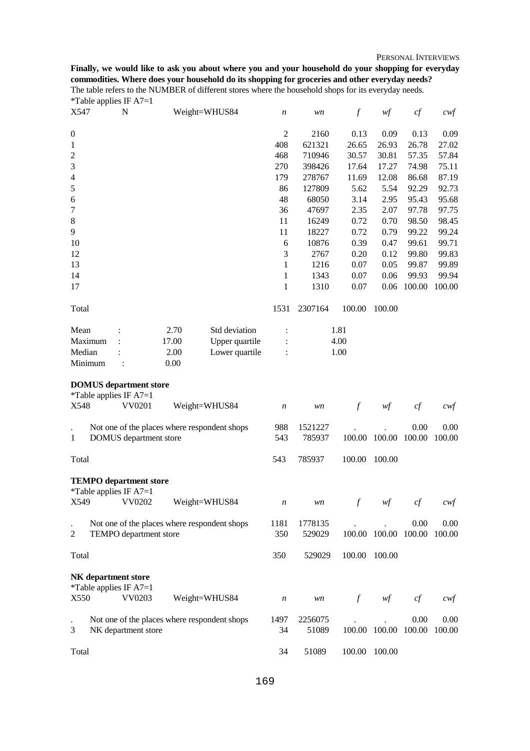PERSONAL INTERVIEWS

**Finally, we would like to ask you about where you and your household do your shopping for everyday commodities. Where does your household do its shopping for groceries and other everyday needs?**  The table refers to the NUMBER of different stores where the household shops for its everyday needs. \*Table applies IF A7=1

| X547             |         | N                                                                   |       | Weight=WHUS84                                | n                | wn                | $\boldsymbol{f}$ | wf                                     | cf     | $c \mathcal{w} f$ |
|------------------|---------|---------------------------------------------------------------------|-------|----------------------------------------------|------------------|-------------------|------------------|----------------------------------------|--------|-------------------|
| $\boldsymbol{0}$ |         |                                                                     |       |                                              | $\mathfrak{2}$   | 2160              | 0.13             | 0.09                                   | 0.13   | 0.09              |
| 1                |         |                                                                     |       |                                              | 408              | 621321            | 26.65            | 26.93                                  | 26.78  | 27.02             |
| $\overline{c}$   |         |                                                                     |       |                                              | 468              | 710946            | 30.57            | 30.81                                  | 57.35  | 57.84             |
| 3                |         |                                                                     |       |                                              | 270              | 398426            | 17.64            | 17.27                                  | 74.98  | 75.11             |
| $\overline{4}$   |         |                                                                     |       |                                              | 179              | 278767            | 11.69            | 12.08                                  | 86.68  | 87.19             |
| $\mathfrak s$    |         |                                                                     |       |                                              | 86               | 127809            | 5.62             | 5.54                                   | 92.29  | 92.73             |
| 6                |         |                                                                     |       |                                              | 48               | 68050             | 3.14             | 2.95                                   | 95.43  | 95.68             |
| 7                |         |                                                                     |       |                                              | 36               | 47697             | 2.35             | 2.07                                   | 97.78  | 97.75             |
| $8\,$            |         |                                                                     |       |                                              | 11               | 16249             | 0.72             | 0.70                                   | 98.50  | 98.45             |
| 9                |         |                                                                     |       |                                              | 11               | 18227             | 0.72             | 0.79                                   | 99.22  | 99.24             |
| 10               |         |                                                                     |       |                                              | 6                | 10876             | 0.39             | 0.47                                   | 99.61  | 99.71             |
| 12               |         |                                                                     |       |                                              | 3                | 2767              | 0.20             | 0.12                                   | 99.80  | 99.83             |
| 13               |         |                                                                     |       |                                              | 1                | 1216              | 0.07             | 0.05                                   | 99.87  | 99.89             |
| 14               |         |                                                                     |       |                                              | 1                | 1343              | 0.07             | 0.06                                   | 99.93  | 99.94             |
| 17               |         |                                                                     |       |                                              | $\mathbf{1}$     | 1310              | 0.07             | 0.06                                   | 100.00 | 100.00            |
|                  |         |                                                                     |       |                                              |                  |                   |                  |                                        |        |                   |
| Total            |         |                                                                     |       |                                              | 1531             | 2307164           | 100.00           | 100.00                                 |        |                   |
| Mean             |         |                                                                     | 2.70  | Std deviation                                |                  |                   | 1.81             |                                        |        |                   |
|                  | Maximum |                                                                     | 17.00 | Upper quartile                               |                  |                   | 4.00             |                                        |        |                   |
| Median           |         |                                                                     | 2.00  | Lower quartile                               |                  |                   | 1.00             |                                        |        |                   |
|                  | Minimum |                                                                     | 0.00  |                                              |                  |                   |                  |                                        |        |                   |
| X548             |         | <b>DOMUS</b> department store<br>*Table applies IF $A7=1$<br>VV0201 |       | Weight=WHUS84                                | $\boldsymbol{n}$ | wn                | $\boldsymbol{f}$ | $\mathcal{W}\hspace{-0.5mm}\textit{f}$ | cf     | $c$ wf            |
|                  |         |                                                                     |       | Not one of the places where respondent shops | 988              | 1521227           |                  |                                        | 0.00   | 0.00              |
| 1                |         | DOMUS department store                                              |       |                                              | 543              | 785937            | 100.00           | 100.00                                 | 100.00 | 100.00            |
| Total            |         |                                                                     |       |                                              | 543              | 785937            | 100.00           | 100.00                                 |        |                   |
|                  |         | <b>TEMPO</b> department store<br>*Table applies IF $A7=1$           |       |                                              |                  |                   |                  |                                        |        |                   |
| X549             |         | VV0202                                                              |       | Weight=WHUS84                                | n                | wn                |                  | wf                                     | cf     | cwt               |
| 2                |         | TEMPO department store                                              |       | Not one of the places where respondent shops | 1181<br>350      | 1778135<br>529029 |                  | 100.00 100.00 100.00                   | 0.00   | 0.00<br>100.00    |
| Total            |         |                                                                     |       |                                              | 350              | 529029            | 100.00           | 100.00                                 |        |                   |
| X550             |         | NK department store<br>*Table applies IF $A7=1$<br>VV0203           |       | Weight=WHUS84                                | n                | wn                | $\int$           | $\mathcal{W}\hspace{-0.5mm}\mathit{f}$ | cf     | cwf               |
|                  |         |                                                                     |       |                                              |                  |                   |                  |                                        |        |                   |
| 3                |         | NK department store                                                 |       | Not one of the places where respondent shops | 1497<br>34       | 2256075<br>51089  |                  | 100.00 100.00 100.00                   | 0.00   | 0.00<br>100.00    |
| Total            |         |                                                                     |       |                                              | 34               | 51089             | 100.00           | 100.00                                 |        |                   |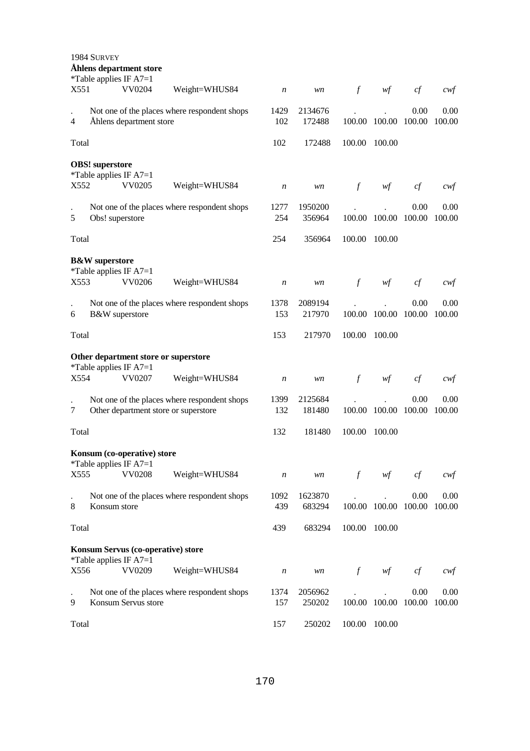| 1984 SURVEY<br>Åhlens department store<br>*Table applies IF $A7=1$                        |                  |                   |               |               |                |                |
|-------------------------------------------------------------------------------------------|------------------|-------------------|---------------|---------------|----------------|----------------|
| X551<br>VV0204<br>Weight=WHUS84                                                           | n                | wn                | $\mathcal{f}$ | wf            | cf             | cwf            |
| Not one of the places where respondent shops<br>Åhlens department store<br>$\overline{4}$ | 1429<br>102      | 2134676<br>172488 | 100.00        | 100.00        | 0.00<br>100.00 | 0.00<br>100.00 |
| Total                                                                                     | 102              | 172488            | 100.00        | 100.00        |                |                |
| <b>OBS!</b> superstore<br>*Table applies IF $A7=1$                                        |                  |                   |               |               |                |                |
| VV0205<br>X552<br>Weight=WHUS84                                                           | $\boldsymbol{n}$ | wn                | $\int$        | wf            | cf             | $c$ wf         |
| Not one of the places where respondent shops<br>5<br>Obs! superstore                      | 1277<br>254      | 1950200<br>356964 | 100.00        | 100.00        | 0.00<br>100.00 | 0.00<br>100.00 |
| Total                                                                                     | 254              | 356964            | 100.00        | 100.00        |                |                |
| <b>B&amp;W</b> superstore<br>*Table applies IF $A7=1$                                     |                  |                   |               |               |                |                |
| VV0206<br>X553<br>Weight=WHUS84                                                           | $\boldsymbol{n}$ | wn                | $\int$        | wf            | cf             | cwt            |
| Not one of the places where respondent shops<br>B&W superstore<br>6                       | 1378<br>153      | 2089194<br>217970 | 100.00        | 100.00        | 0.00<br>100.00 | 0.00<br>100.00 |
| Total                                                                                     | 153              | 217970            | 100.00        | 100.00        |                |                |
| Other department store or superstore                                                      |                  |                   |               |               |                |                |
| *Table applies IF A7=1<br>X554<br>VV0207<br>Weight=WHUS84                                 | $\boldsymbol{n}$ | wn                | $\int$        | wf            | cf             | cwt            |
| Not one of the places where respondent shops<br>7<br>Other department store or superstore | 1399<br>132      | 2125684<br>181480 | 100.00        | 100.00        | 0.00<br>100.00 | 0.00<br>100.00 |
| Total                                                                                     | 132              | 181480            | 100.00        | 100.00        |                |                |
| Konsum (co-operative) store                                                               |                  |                   |               |               |                |                |
| *Table applies IF $A7=1$<br>X555<br><b>VV0208</b><br>Weight=WHUS84                        | $\boldsymbol{n}$ | wn                | $\mathcal{f}$ | wf            | cf             | $c$ wf         |
| Not one of the places where respondent shops<br>8<br>Konsum store                         | 1092<br>439      | 1623870<br>683294 |               | 100.00 100.00 | 0.00<br>100.00 | 0.00<br>100.00 |
| Total                                                                                     | 439              | 683294            | 100.00        | 100.00        |                |                |
| Konsum Servus (co-operative) store                                                        |                  |                   |               |               |                |                |
| *Table applies IF $A7=1$<br>VV0209<br>X556<br>Weight=WHUS84                               | $\boldsymbol{n}$ | wn                | $\int$        | wf            | cf             | $c$ wf         |
| Not one of the places where respondent shops<br>9<br>Konsum Servus store                  | 1374<br>157      | 2056962<br>250202 |               | 100.00 100.00 | 0.00<br>100.00 | 0.00<br>100.00 |
| Total                                                                                     | 157              | 250202            | 100.00        | 100.00        |                |                |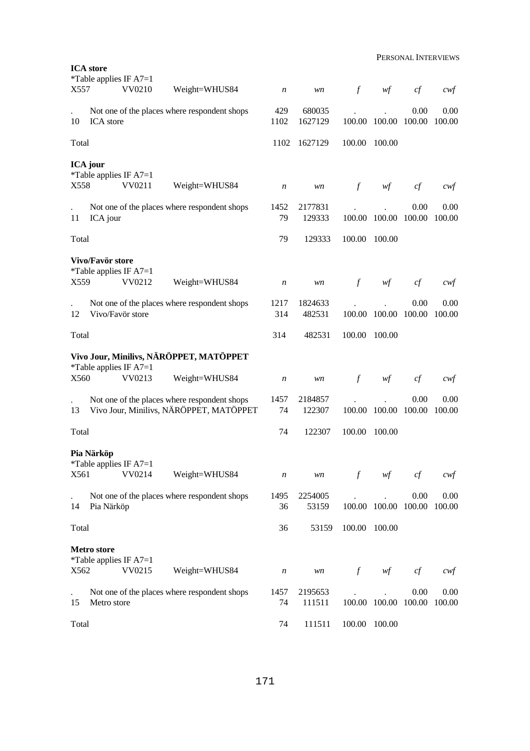|       | <b>ICA</b> store                                                 |                                         |                                |                        |        |                            |            |                                     |
|-------|------------------------------------------------------------------|-----------------------------------------|--------------------------------|------------------------|--------|----------------------------|------------|-------------------------------------|
| X557  | *Table applies IF $A7=1$<br>VV0210                               | Weight=WHUS84                           | n                              | wn                     | $\int$ | wf                         | cf         | $c$ wf                              |
| 10    | Not one of the places where respondent shops<br><b>ICA</b> store |                                         | 429<br>1102                    | 680035<br>1627129      |        | 100.00 100.00 100.00       | 0.00       | 0.00<br>100.00                      |
| Total |                                                                  |                                         | 1102                           | 1627129                | 100.00 | 100.00                     |            |                                     |
| X558  | <b>ICA</b> jour<br>*Table applies IF $A7=1$<br>VV0211            | Weight=WHUS84                           | n                              | wn                     | $\int$ | wf                         | cf         | $c$ wf                              |
| 11    | Not one of the places where respondent shops<br>ICA jour         |                                         | 1452<br>79                     | 2177831<br>129333      |        | 100.00 100.00 100.00       | 0.00       | 0.00<br>100.00                      |
| Total |                                                                  |                                         | 79                             | 129333                 | 100.00 | 100.00                     |            |                                     |
| X559  | Vivo/Favör store<br>*Table applies IF $A7=1$<br>VV0212           | Weight=WHUS84                           | $\boldsymbol{n}$               | wn                     | $\int$ | wf                         | cf         | cwt                                 |
| 12    | Not one of the places where respondent shops<br>Vivo/Favör store |                                         | 1217<br>314                    | 1824633<br>482531      |        | 100.00 100.00 100.00       | 0.00       | 0.00<br>100.00                      |
| Total |                                                                  |                                         | 314                            | 482531                 | 100.00 | 100.00                     |            |                                     |
|       | Vivo Jour, Minilivs, NÄRÖPPET, MATÖPPET                          |                                         |                                |                        |        |                            |            |                                     |
| X560  | *Table applies IF $A7=1$<br>VV0213                               | Weight=WHUS84                           | $\boldsymbol{n}$               | wn                     | $\int$ | wf                         | cf         | cwt                                 |
| 13    | Not one of the places where respondent shops                     | Vivo Jour, Minilivs, NÄRÖPPET, MATÖPPET | 1457<br>74                     | 2184857<br>122307      |        | 100.00 100.00 100.00       | 0.00       | 0.00<br>100.00                      |
| Total |                                                                  |                                         | 74                             | 122307                 | 100.00 | 100.00                     |            |                                     |
| X561  | Pia Närköp<br>*Table applies IF $A7=1$<br>VV0214                 | Weight=WHUS84                           |                                |                        |        |                            |            |                                     |
| 14    | Not one of the places where respondent shops<br>Pia Närköp       |                                         | $\boldsymbol{n}$<br>1495<br>36 | wn<br>2254005<br>53159 | $\int$ | wf<br>100.00 100.00 100.00 | cf<br>0.00 | $c \mathcal{w}$ f<br>0.00<br>100.00 |
| Total |                                                                  |                                         | 36                             | 53159                  | 100.00 | 100.00                     |            |                                     |
|       | Metro store                                                      |                                         |                                |                        |        |                            |            |                                     |
| X562  | *Table applies IF $A7=1$<br>VV0215                               | Weight=WHUS84                           | $\boldsymbol{n}$               | wn                     | $\int$ | wf                         | cf         | $c$ wf                              |
| 15    | Not one of the places where respondent shops<br>Metro store      |                                         | 1457<br>74                     | 2195653<br>111511      |        | 100.00 100.00 100.00       | 0.00       | 0.00<br>100.00                      |
| Total |                                                                  |                                         | 74                             | 111511                 | 100.00 | 100.00                     |            |                                     |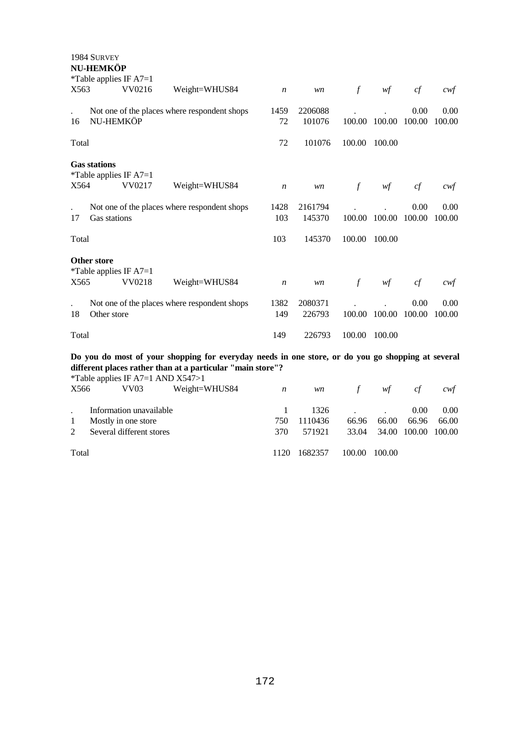| X563  | 1984 SURVEY<br>NU-HEMKÖP<br>*Table applies IF $A7=1$ | VV0216 | Weight=WHUS84                                                                                                                                                   | $\boldsymbol{n}$ | wn                | $\int$        | wf     | cf             | cwt            |
|-------|------------------------------------------------------|--------|-----------------------------------------------------------------------------------------------------------------------------------------------------------------|------------------|-------------------|---------------|--------|----------------|----------------|
| 16    | NU-HEMKÖP                                            |        | Not one of the places where respondent shops                                                                                                                    | 1459<br>72       | 2206088<br>101076 | 100.00        | 100.00 | 0.00<br>100.00 | 0.00<br>100.00 |
| Total |                                                      |        |                                                                                                                                                                 | 72               | 101076            | 100.00        | 100.00 |                |                |
| X564  | <b>Gas stations</b><br>*Table applies IF A7=1        | VV0217 | Weight=WHUS84                                                                                                                                                   | $\boldsymbol{n}$ | wn                | $\mathcal{f}$ | wf     | cf             | cwt            |
| 17    | Gas stations                                         |        | Not one of the places where respondent shops                                                                                                                    | 1428<br>103      | 2161794<br>145370 | 100.00        | 100.00 | 0.00<br>100.00 | 0.00<br>100.00 |
| Total |                                                      |        |                                                                                                                                                                 | 103              | 145370            | 100.00        | 100.00 |                |                |
| X565  | <b>Other store</b><br>*Table applies IF $A7=1$       | VV0218 | Weight=WHUS84                                                                                                                                                   | $\boldsymbol{n}$ | wn                | $\int$        | wf     | cf             | cwt            |
| 18    | Other store                                          |        | Not one of the places where respondent shops                                                                                                                    | 1382<br>149      | 2080371<br>226793 | 100.00        | 100.00 | 0.00<br>100.00 | 0.00<br>100.00 |
| Total |                                                      |        |                                                                                                                                                                 | 149              | 226793            | 100.00        | 100.00 |                |                |
|       |                                                      |        | Do you do most of your shopping for everyday needs in one store, or do you go shopping at several<br>different places rather than at a particular "main store"? |                  |                   |               |        |                |                |

|       |                          |                         | *Table applies IF A7=1 AND $X547>1$ |      |         |               |              |       |        |
|-------|--------------------------|-------------------------|-------------------------------------|------|---------|---------------|--------------|-------|--------|
| X566  |                          | VV <sub>03</sub>        | Weight=WHUS84                       | n    | wn      | $\mathcal{F}$ | wf           | cf    | cwt    |
|       |                          | Information unavailable |                                     |      | 1326    |               |              | 0.00  | 0.00   |
|       |                          | Mostly in one store     |                                     | 750  | 1110436 | 66.96         | 66.00        | 66.96 | 66.00  |
| 2     | Several different stores |                         |                                     | 370  | 571921  | 33.04         | 34.00 100.00 |       | 100.00 |
| Total |                          |                         |                                     | 1120 | 1682357 | 100.00        | 100.00       |       |        |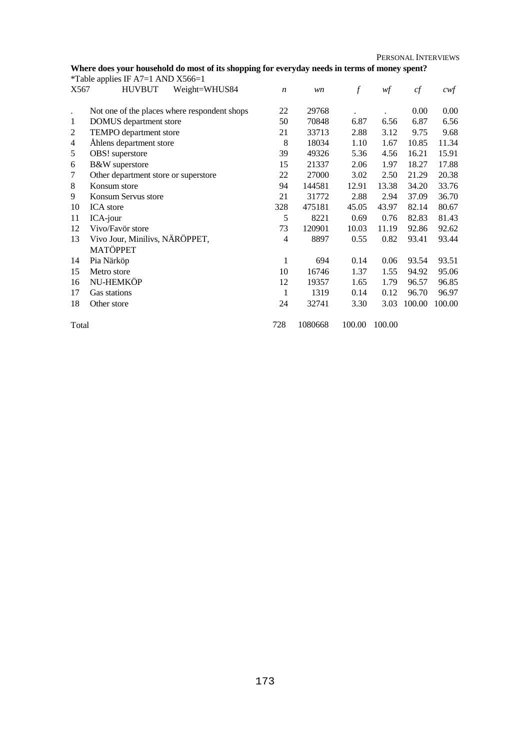PERSONAL INTERVIEWS

## **Where does your household do most of its shopping for everyday needs in terms of money spent?**

|                | *Table applies IF A7=1 AND $X566=1$          |                  |         |                  |        |        |        |
|----------------|----------------------------------------------|------------------|---------|------------------|--------|--------|--------|
| X567           | <b>HUVBUT</b><br>Weight=WHUS84               | $\boldsymbol{n}$ | wn      | $\boldsymbol{f}$ | wf     | cf     | $c$ wf |
|                |                                              |                  |         |                  |        |        |        |
|                | Not one of the places where respondent shops | 22               | 29768   |                  |        | 0.00   | 0.00   |
| 1              | DOMUS department store                       | 50               | 70848   | 6.87             | 6.56   | 6.87   | 6.56   |
| 2              | TEMPO department store                       | 21               | 33713   | 2.88             | 3.12   | 9.75   | 9.68   |
| $\overline{4}$ | Åhlens department store                      | 8                | 18034   | 1.10             | 1.67   | 10.85  | 11.34  |
| 5              | OBS! superstore                              | 39               | 49326   | 5.36             | 4.56   | 16.21  | 15.91  |
| 6              | B&W superstore                               | 15               | 21337   | 2.06             | 1.97   | 18.27  | 17.88  |
| 7              | Other department store or superstore         | 22               | 27000   | 3.02             | 2.50   | 21.29  | 20.38  |
| 8              | Konsum store                                 | 94               | 144581  | 12.91            | 13.38  | 34.20  | 33.76  |
| 9              | Konsum Servus store                          | 21               | 31772   | 2.88             | 2.94   | 37.09  | 36.70  |
| 10             | <b>ICA</b> store                             | 328              | 475181  | 45.05            | 43.97  | 82.14  | 80.67  |
| 11             | ICA-jour                                     | 5                | 8221    | 0.69             | 0.76   | 82.83  | 81.43  |
| 12             | Vivo/Favör store                             | 73               | 120901  | 10.03            | 11.19  | 92.86  | 92.62  |
| 13             | Vivo Jour, Minilivs, NÄRÖPPET,               | 4                | 8897    | 0.55             | 0.82   | 93.41  | 93.44  |
|                | <b>MATÖPPET</b>                              |                  |         |                  |        |        |        |
| 14             | Pia Närköp                                   | 1                | 694     | 0.14             | 0.06   | 93.54  | 93.51  |
| 15             | Metro store                                  | 10               | 16746   | 1.37             | 1.55   | 94.92  | 95.06  |
| 16             | NU-HEMKÖP                                    | 12               | 19357   | 1.65             | 1.79   | 96.57  | 96.85  |
| 17             | Gas stations                                 | 1                | 1319    | 0.14             | 0.12   | 96.70  | 96.97  |
| 18             | Other store                                  | 24               | 32741   | 3.30             | 3.03   | 100.00 | 100.00 |
|                |                                              |                  |         |                  |        |        |        |
| Total          |                                              | 728              | 1080668 | 100.00           | 100.00 |        |        |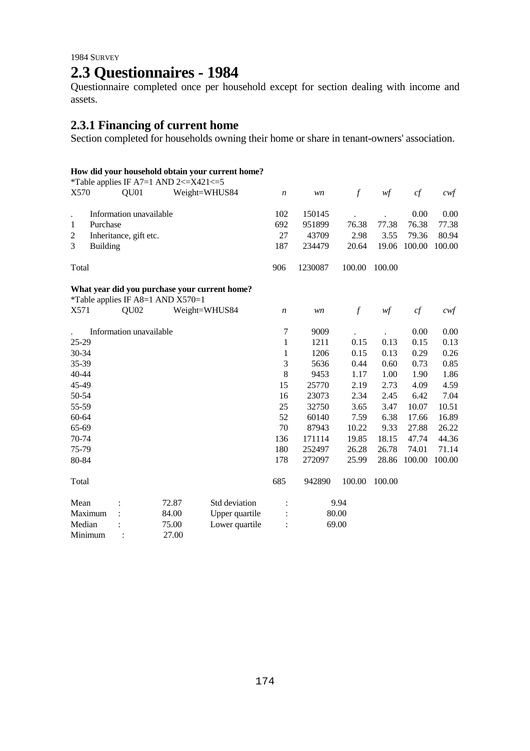# **2.3 Questionnaires - 1984**

Questionnaire completed once per household except for section dealing with income and assets.

## **2.3.1 Financing of current home**

Section completed for households owning their home or share in tenant-owners' association.

## **How did your household obtain your current home?**

|         |                 |                         | *Table applies IF A7=1 AND 2 $\lt$ =X421 $\lt$ =5 |                                               |                  |         |               |        |        |                   |
|---------|-----------------|-------------------------|---------------------------------------------------|-----------------------------------------------|------------------|---------|---------------|--------|--------|-------------------|
| X570    |                 | QU01                    |                                                   | Weight=WHUS84                                 | $\boldsymbol{n}$ | wn      | $\mathcal{f}$ | wf     | cf     | $c \mathsf{w} f$  |
|         |                 | Information unavailable |                                                   |                                               | 102              | 150145  |               |        | 0.00   | 0.00              |
| 1       | Purchase        |                         |                                                   |                                               | 692              | 951899  | 76.38         | 77.38  | 76.38  | 77.38             |
| 2       |                 | Inheritance, gift etc.  |                                                   |                                               | 27               | 43709   | 2.98          | 3.55   | 79.36  | 80.94             |
| 3       | <b>Building</b> |                         |                                                   |                                               | 187              | 234479  | 20.64         | 19.06  | 100.00 | 100.00            |
| Total   |                 |                         |                                                   |                                               | 906              | 1230087 | 100.00        | 100.00 |        |                   |
|         |                 |                         |                                                   | What year did you purchase your current home? |                  |         |               |        |        |                   |
|         |                 |                         | *Table applies IF A8=1 AND X570=1                 |                                               |                  |         |               |        |        |                   |
| X571    |                 | QU <sub>02</sub>        |                                                   | Weight=WHUS84                                 | $\boldsymbol{n}$ | wn      | $\mathcal{f}$ | wf     | cf     | $c \mathcal{w} f$ |
|         |                 | Information unavailable |                                                   |                                               | $\tau$           | 9009    |               |        | 0.00   | 0.00              |
| 25-29   |                 |                         |                                                   |                                               | $\mathbf{1}$     | 1211    | 0.15          | 0.13   | 0.15   | 0.13              |
| 30-34   |                 |                         |                                                   |                                               | 1                | 1206    | 0.15          | 0.13   | 0.29   | 0.26              |
| 35-39   |                 |                         |                                                   |                                               | 3                | 5636    | 0.44          | 0.60   | 0.73   | 0.85              |
| 40-44   |                 |                         |                                                   |                                               | 8                | 9453    | 1.17          | 1.00   | 1.90   | 1.86              |
| 45-49   |                 |                         |                                                   |                                               | 15               | 25770   | 2.19          | 2.73   | 4.09   | 4.59              |
| 50-54   |                 |                         |                                                   |                                               | 16               | 23073   | 2.34          | 2.45   | 6.42   | 7.04              |
| 55-59   |                 |                         |                                                   |                                               | 25               | 32750   | 3.65          | 3.47   | 10.07  | 10.51             |
| 60-64   |                 |                         |                                                   |                                               | 52               | 60140   | 7.59          | 6.38   | 17.66  | 16.89             |
| 65-69   |                 |                         |                                                   |                                               | 70               | 87943   | 10.22         | 9.33   | 27.88  | 26.22             |
| 70-74   |                 |                         |                                                   |                                               | 136              | 171114  | 19.85         | 18.15  | 47.74  | 44.36             |
| 75-79   |                 |                         |                                                   |                                               | 180              | 252497  | 26.28         | 26.78  | 74.01  | 71.14             |
| 80-84   |                 |                         |                                                   |                                               | 178              | 272097  | 25.99         | 28.86  | 100.00 | 100.00            |
| Total   |                 |                         |                                                   |                                               | 685              | 942890  | 100.00        | 100.00 |        |                   |
| Mean    |                 |                         | 72.87                                             | Std deviation                                 |                  |         | 9.94          |        |        |                   |
| Maximum |                 |                         | 84.00                                             | Upper quartile                                |                  |         | 80.00         |        |        |                   |
| Median  |                 |                         | 75.00                                             | Lower quartile                                |                  |         | 69.00         |        |        |                   |
| Minimum |                 |                         | 27.00                                             |                                               |                  |         |               |        |        |                   |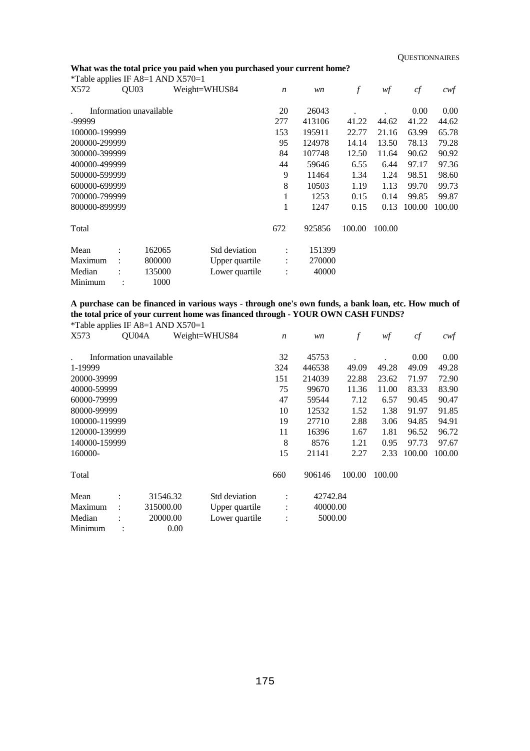## **What was the total price you paid when you purchased your current home?**

| <i>*</i> Table applies IF A8=1 AND $X570=1$ |                      |                         |               |                |                  |        |                  |        |        |        |
|---------------------------------------------|----------------------|-------------------------|---------------|----------------|------------------|--------|------------------|--------|--------|--------|
| X572                                        | QU <sub>03</sub>     |                         | Weight=WHUS84 |                | $\boldsymbol{n}$ | wn     | $\boldsymbol{f}$ | wf     | cf     | cwt    |
|                                             |                      | Information unavailable |               |                | 20               | 26043  |                  |        | 0.00   | 0.00   |
| -99999                                      |                      |                         |               |                | 277              | 413106 | 41.22            | 44.62  | 41.22  | 44.62  |
| 100000-199999                               |                      |                         |               |                | 153              | 195911 | 22.77            | 21.16  | 63.99  | 65.78  |
| 200000-299999                               |                      |                         |               |                | 95               | 124978 | 14.14            | 13.50  | 78.13  | 79.28  |
| 300000-399999                               |                      |                         |               |                | 84               | 107748 | 12.50            | 11.64  | 90.62  | 90.92  |
| 400000-499999                               |                      |                         |               |                | 44               | 59646  | 6.55             | 6.44   | 97.17  | 97.36  |
| 500000-599999                               |                      |                         |               |                | 9                | 11464  | 1.34             | 1.24   | 98.51  | 98.60  |
| 600000-699999                               |                      |                         |               |                | 8                | 10503  | 1.19             | 1.13   | 99.70  | 99.73  |
| 700000-799999                               |                      |                         |               |                | 1                | 1253   | 0.15             | 0.14   | 99.85  | 99.87  |
| 800000-899999                               |                      |                         |               |                | 1                | 1247   | 0.15             | 0.13   | 100.00 | 100.00 |
| Total                                       |                      |                         |               |                | 672              | 925856 | 100.00           | 100.00 |        |        |
| Mean                                        | $\ddot{\cdot}$       | 162065                  |               | Std deviation  | $\ddot{\cdot}$   | 151399 |                  |        |        |        |
| Maximum                                     | $\ddot{\phantom{a}}$ | 800000                  |               | Upper quartile | $\vdots$         | 270000 |                  |        |        |        |
| Median                                      |                      | 135000                  |               | Lower quartile | $\vdots$         | 40000  |                  |        |        |        |
| Minimum                                     |                      | 1000                    |               |                |                  |        |                  |        |        |        |

**A purchase can be financed in various ways** - **through one's own funds, a bank loan, etc. How much of the total price of your current home was financed through** - **YOUR OWN CASH FUNDS?** 

| *Table applies IF A8=1 AND $X570=1$ |       |                         |                |                      |          |                  |        |        |        |
|-------------------------------------|-------|-------------------------|----------------|----------------------|----------|------------------|--------|--------|--------|
| X573                                | QU04A |                         | Weight=WHUS84  | $\boldsymbol{n}$     | wn       | $\boldsymbol{f}$ | wf     | cf     | $c$ wf |
|                                     |       |                         |                |                      |          |                  |        |        |        |
|                                     |       | Information unavailable |                | 32                   | 45753    |                  |        | 0.00   | 0.00   |
| 1-19999                             |       |                         |                | 324                  | 446538   | 49.09            | 49.28  | 49.09  | 49.28  |
| 20000-39999                         |       |                         |                | 151                  | 214039   | 22.88            | 23.62  | 71.97  | 72.90  |
| 40000-59999                         |       |                         |                | 75                   | 99670    | 11.36            | 11.00  | 83.33  | 83.90  |
| 60000-79999                         |       |                         |                | 47                   | 59544    | 7.12             | 6.57   | 90.45  | 90.47  |
| 80000-99999                         |       |                         |                | 10                   | 12532    | 1.52             | 1.38   | 91.97  | 91.85  |
| 100000-119999                       |       |                         |                | 19                   | 27710    | 2.88             | 3.06   | 94.85  | 94.91  |
| 120000-139999                       |       |                         |                | 11                   | 16396    | 1.67             | 1.81   | 96.52  | 96.72  |
| 140000-159999                       |       |                         |                | 8                    | 8576     | 1.21             | 0.95   | 97.73  | 97.67  |
| 160000-                             |       |                         |                | 15                   | 21141    | 2.27             | 2.33   | 100.00 | 100.00 |
| Total                               |       |                         |                | 660                  | 906146   | 100.00           | 100.00 |        |        |
| Mean                                |       | 31546.32                | Std deviation  | $\ddot{\phantom{a}}$ | 42742.84 |                  |        |        |        |
| Maximum                             |       | 315000.00               | Upper quartile | ÷                    | 40000.00 |                  |        |        |        |
| Median                              |       | 20000.00                | Lower quartile |                      | 5000.00  |                  |        |        |        |
| Minimum                             |       | 0.00                    |                |                      |          |                  |        |        |        |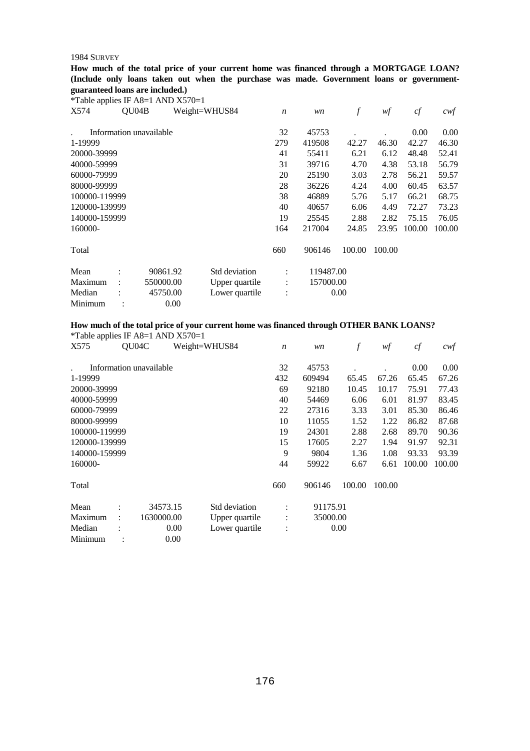**How much of the total price of your current home was financed through a MORTGAGE LOAN? (Include only loans taken out when the purchase was made. Government loans or governmentguaranteed loans are included.)** 

\*Table applies IF A8=1 AND X570=1

| X574          | OU04B                   |           | Weight=WHUS84  | $\boldsymbol{n}$     | wn        | f      | wf     | cf     | $c$ wf |
|---------------|-------------------------|-----------|----------------|----------------------|-----------|--------|--------|--------|--------|
|               | Information unavailable |           |                | 32                   | 45753     |        |        | 0.00   | 0.00   |
| 1-19999       |                         |           |                | 279                  | 419508    | 42.27  | 46.30  | 42.27  | 46.30  |
| 20000-39999   |                         |           |                | 41                   | 55411     | 6.21   | 6.12   | 48.48  | 52.41  |
| 40000-59999   |                         |           |                | 31                   | 39716     | 4.70   | 4.38   | 53.18  | 56.79  |
| 60000-79999   |                         |           |                | 20                   | 25190     | 3.03   | 2.78   | 56.21  | 59.57  |
| 80000-99999   |                         |           |                | 28                   | 36226     | 4.24   | 4.00   | 60.45  | 63.57  |
| 100000-119999 |                         |           |                | 38                   | 46889     | 5.76   | 5.17   | 66.21  | 68.75  |
| 120000-139999 |                         |           |                | 40                   | 40657     | 6.06   | 4.49   | 72.27  | 73.23  |
| 140000-159999 |                         |           |                | 19                   | 25545     | 2.88   | 2.82   | 75.15  | 76.05  |
| 160000-       |                         |           |                | 164                  | 217004    | 24.85  | 23.95  | 100.00 | 100.00 |
| Total         |                         |           |                | 660                  | 906146    | 100.00 | 100.00 |        |        |
| Mean          | $\ddot{\cdot}$          | 90861.92  | Std deviation  | $\ddot{\phantom{a}}$ | 119487.00 |        |        |        |        |
| Maximum       |                         | 550000.00 | Upper quartile | $\ddot{\cdot}$       | 157000.00 |        |        |        |        |
| Median        |                         | 45750.00  | Lower quartile |                      |           | 0.00   |        |        |        |
| Minimum       |                         | 0.00      |                |                      |           |        |        |        |        |

## **How much of the total price of your current home was financed through OTHER BANK LOANS?**

\*Table applies IF A8=1 AND X570=1

| X575          | QU04C |                         | Weight=WHUS84  | $\boldsymbol{n}$     | wn       | f      | wf     | cf     | $c$ wf   |
|---------------|-------|-------------------------|----------------|----------------------|----------|--------|--------|--------|----------|
|               |       | Information unavailable |                | 32                   | 45753    |        |        | 0.00   | $0.00\,$ |
| 1-19999       |       |                         |                | 432                  | 609494   | 65.45  | 67.26  | 65.45  | 67.26    |
| 20000-39999   |       |                         |                | 69                   | 92180    | 10.45  | 10.17  | 75.91  | 77.43    |
| 40000-59999   |       |                         |                | 40                   | 54469    | 6.06   | 6.01   | 81.97  | 83.45    |
| 60000-79999   |       |                         |                | 22                   | 27316    | 3.33   | 3.01   | 85.30  | 86.46    |
| 80000-99999   |       |                         |                | 10                   | 11055    | 1.52   | 1.22   | 86.82  | 87.68    |
| 100000-119999 |       |                         |                | 19                   | 24301    | 2.88   | 2.68   | 89.70  | 90.36    |
| 120000-139999 |       |                         |                | 15                   | 17605    | 2.27   | 1.94   | 91.97  | 92.31    |
| 140000-159999 |       |                         |                | 9                    | 9804     | 1.36   | 1.08   | 93.33  | 93.39    |
| 160000-       |       |                         |                | 44                   | 59922    | 6.67   | 6.61   | 100.00 | 100.00   |
| Total         |       |                         |                | 660                  | 906146   | 100.00 | 100.00 |        |          |
| Mean          |       | 34573.15                | Std deviation  | $\ddot{\phantom{a}}$ | 91175.91 |        |        |        |          |
| Maximum       |       | 1630000.00              | Upper quartile | $\ddot{\cdot}$       | 35000.00 |        |        |        |          |
| Median        |       | 0.00                    | Lower quartile | $\ddot{\cdot}$       |          | 0.00   |        |        |          |
| Minimum       |       | 0.00                    |                |                      |          |        |        |        |          |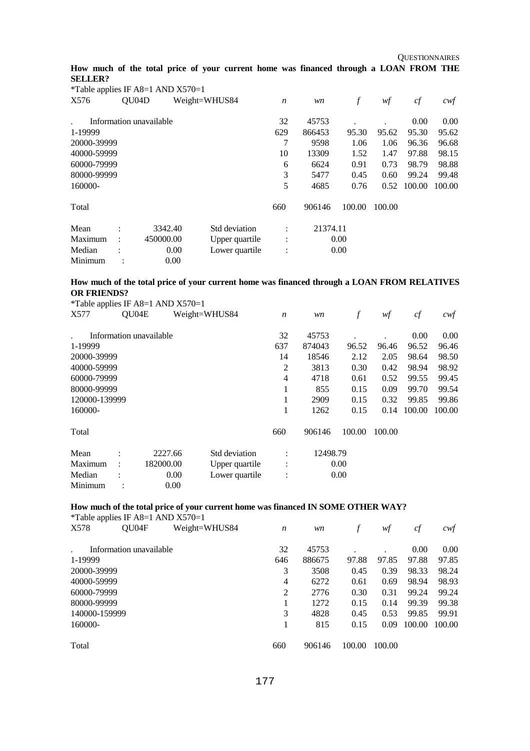**QUESTIONNAIRES** 

#### **How much of the total price of your current home was financed through a LOAN FROM THE SELLER?**

| *Table applies IF A8=1 AND $X570=1$ |                      |                         |               |                |                  |          |        |        |        |        |
|-------------------------------------|----------------------|-------------------------|---------------|----------------|------------------|----------|--------|--------|--------|--------|
| X576                                |                      | QU <sub>04</sub> D      | Weight=WHUS84 |                | $\boldsymbol{n}$ | wn       |        | wf     | cf     | cwf    |
|                                     |                      | Information unavailable |               |                | 32               | 45753    |        |        | 0.00   | 0.00   |
| 1-19999                             |                      |                         |               |                | 629              | 866453   | 95.30  | 95.62  | 95.30  | 95.62  |
| 20000-39999                         |                      |                         |               |                | 7                | 9598     | 1.06   | 1.06   | 96.36  | 96.68  |
| 40000-59999                         |                      |                         |               |                | 10               | 13309    | 1.52   | 1.47   | 97.88  | 98.15  |
| 60000-79999                         |                      |                         |               |                | 6                | 6624     | 0.91   | 0.73   | 98.79  | 98.88  |
| 80000-99999                         |                      |                         |               |                | 3                | 5477     | 0.45   | 0.60   | 99.24  | 99.48  |
| 160000-                             |                      |                         |               |                | 5                | 4685     | 0.76   | 0.52   | 100.00 | 100.00 |
| Total                               |                      |                         |               |                | 660              | 906146   | 100.00 | 100.00 |        |        |
| Mean                                | $\bullet$            | 3342.40                 |               | Std deviation  | $\ddot{\cdot}$   | 21374.11 |        |        |        |        |
| Maximum                             | $\ddot{\phantom{a}}$ | 450000.00               |               | Upper quartile | $\vdots$         |          | 0.00   |        |        |        |
| Median                              |                      |                         | 0.00          | Lower quartile | $\vdots$         |          | 0.00   |        |        |        |
| Minimum                             |                      |                         | 0.00          |                |                  |          |        |        |        |        |

## **How much of the total price of your current home was financed through a LOAN FROM RELATIVES OR FRIENDS?**

|               |                      | <i>*</i> Table applies IF A8=1 AND $X570=1$ |                |                  |          |        |        |        |        |
|---------------|----------------------|---------------------------------------------|----------------|------------------|----------|--------|--------|--------|--------|
| X577          | QU04E                |                                             | Weight=WHUS84  | $\boldsymbol{n}$ | wn       | f      | wf     | cf     | cwf    |
|               |                      | Information unavailable                     |                | 32               | 45753    |        |        | 0.00   | 0.00   |
| 1-19999       |                      |                                             |                | 637              | 874043   | 96.52  | 96.46  | 96.52  | 96.46  |
| 20000-39999   |                      |                                             |                | 14               | 18546    | 2.12   | 2.05   | 98.64  | 98.50  |
| 40000-59999   |                      |                                             |                | 2                | 3813     | 0.30   | 0.42   | 98.94  | 98.92  |
| 60000-79999   |                      |                                             |                | 4                | 4718     | 0.61   | 0.52   | 99.55  | 99.45  |
| 80000-99999   |                      |                                             |                | 1                | 855      | 0.15   | 0.09   | 99.70  | 99.54  |
| 120000-139999 |                      |                                             |                | 1                | 2909     | 0.15   | 0.32   | 99.85  | 99.86  |
| 160000-       |                      |                                             |                | 1                | 1262     | 0.15   | 0.14   | 100.00 | 100.00 |
| Total         |                      |                                             |                | 660              | 906146   | 100.00 | 100.00 |        |        |
| Mean          | $\bullet$            | 2227.66                                     | Std deviation  | ٠                | 12498.79 |        |        |        |        |
| Maximum       | $\ddot{\phantom{a}}$ | 182000.00                                   | Upper quartile | $\bullet$        |          | 0.00   |        |        |        |
| Median        |                      | 0.00                                        | Lower quartile | $\ddot{\cdot}$   |          | 0.00   |        |        |        |
| Minimum       |                      | 0.00                                        |                |                  |          |        |        |        |        |

## **How much of the total price of your current home was financed IN SOME OTHER WAY?**

| <i>*</i> Table applies IF A8=1 AND $X570=1$ |                         |               |                  |        |        |        |        |        |  |
|---------------------------------------------|-------------------------|---------------|------------------|--------|--------|--------|--------|--------|--|
| X578                                        | QU04F                   | Weight=WHUS84 | $\boldsymbol{n}$ | wn     |        | wf     | сf     | cwt    |  |
|                                             | Information unavailable |               | 32               | 45753  |        |        | 0.00   | 0.00   |  |
| 1-19999                                     |                         |               | 646              | 886675 | 97.88  | 97.85  | 97.88  | 97.85  |  |
| 20000-39999                                 |                         |               | 3                | 3508   | 0.45   | 0.39   | 98.33  | 98.24  |  |
| 40000-59999                                 |                         |               | 4                | 6272   | 0.61   | 0.69   | 98.94  | 98.93  |  |
| 60000-79999                                 |                         |               | $\overline{c}$   | 2776   | 0.30   | 0.31   | 99.24  | 99.24  |  |
| 80000-99999                                 |                         |               |                  | 1272   | 0.15   | 0.14   | 99.39  | 99.38  |  |
| 140000-159999                               |                         |               | 3                | 4828   | 0.45   | 0.53   | 99.85  | 99.91  |  |
| 160000-                                     |                         |               |                  | 815    | 0.15   | 0.09   | 100.00 | 100.00 |  |
| Total                                       |                         |               | 660              | 906146 | 100.00 | 100.00 |        |        |  |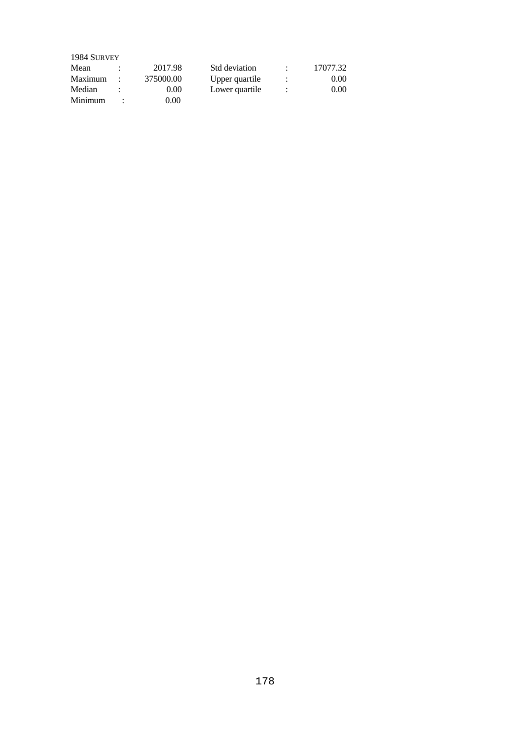| 1984 SURVEY |           |                |                      |          |
|-------------|-----------|----------------|----------------------|----------|
| Mean        | 2017.98   | Std deviation  |                      | 17077.32 |
| Maximum     | 375000.00 | Upper quartile | ٠                    | 0.00     |
| Median      | 0.00      | Lower quartile | $\ddot{\phantom{a}}$ | 0.00     |
| Minimum     | 0.00      |                |                      |          |
|             |           |                |                      |          |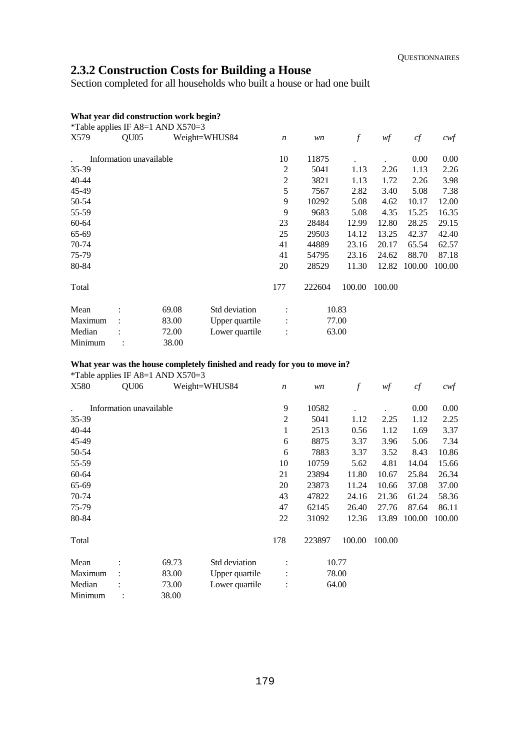# **2.3.2 Construction Costs for Building a House**

Section completed for all households who built a house or had one built

## **What year did construction work begin?**

| *Table applies IF A8=1 AND $X570=3$ |                         |       |                |                  |        |        |        |        |                  |
|-------------------------------------|-------------------------|-------|----------------|------------------|--------|--------|--------|--------|------------------|
| X579                                | OU05                    |       | Weight=WHUS84  | $\boldsymbol{n}$ | wn     | $\int$ | wf     | cf     | $c \mathsf{w} f$ |
|                                     | Information unavailable |       |                | 10               | 11875  |        |        | 0.00   | 0.00             |
| 35-39                               |                         |       |                | $\overline{2}$   | 5041   | 1.13   | 2.26   | 1.13   | 2.26             |
| 40-44                               |                         |       |                | 2                | 3821   | 1.13   | 1.72   | 2.26   | 3.98             |
| 45-49                               |                         |       |                | 5                | 7567   | 2.82   | 3.40   | 5.08   | 7.38             |
| 50-54                               |                         |       |                | 9                | 10292  | 5.08   | 4.62   | 10.17  | 12.00            |
| 55-59                               |                         |       |                | 9                | 9683   | 5.08   | 4.35   | 15.25  | 16.35            |
| 60-64                               |                         |       |                | 23               | 28484  | 12.99  | 12.80  | 28.25  | 29.15            |
| 65-69                               |                         |       |                | 25               | 29503  | 14.12  | 13.25  | 42.37  | 42.40            |
| 70-74                               |                         |       |                | 41               | 44889  | 23.16  | 20.17  | 65.54  | 62.57            |
| 75-79                               |                         |       |                | 41               | 54795  | 23.16  | 24.62  | 88.70  | 87.18            |
| 80-84                               |                         |       |                | 20               | 28529  | 11.30  | 12.82  | 100.00 | 100.00           |
| Total                               |                         |       |                | 177              | 222604 | 100.00 | 100.00 |        |                  |
| Mean                                |                         | 69.08 | Std deviation  |                  |        | 10.83  |        |        |                  |
| Maximum                             |                         | 83.00 | Upper quartile |                  |        | 77.00  |        |        |                  |
| Median                              |                         | 72.00 | Lower quartile |                  |        | 63.00  |        |        |                  |
| Minimum                             |                         | 38.00 |                |                  |        |        |        |        |                  |

#### **What year was the house completely finished and ready for you to move in?**

| *Table applies IF A8=1 AND $X570=3$ |                         |       |                |                  |        |                  |        |        |                   |
|-------------------------------------|-------------------------|-------|----------------|------------------|--------|------------------|--------|--------|-------------------|
| X580                                | QU <sub>06</sub>        |       | Weight=WHUS84  | $\boldsymbol{n}$ | wn     | $\boldsymbol{f}$ | wf     | cf     | $c \mathcal{w}$ f |
|                                     | Information unavailable |       |                | 9                | 10582  |                  |        | 0.00   | 0.00              |
| 35-39                               |                         |       |                | $\overline{2}$   | 5041   | 1.12             | 2.25   | 1.12   | 2.25              |
| $40 - 44$                           |                         |       |                | 1                | 2513   | 0.56             | 1.12   | 1.69   | 3.37              |
| 45-49                               |                         |       |                | 6                | 8875   | 3.37             | 3.96   | 5.06   | 7.34              |
| 50-54                               |                         |       |                | 6                | 7883   | 3.37             | 3.52   | 8.43   | 10.86             |
| 55-59                               |                         |       |                | 10               | 10759  | 5.62             | 4.81   | 14.04  | 15.66             |
| 60-64                               |                         |       |                | 21               | 23894  | 11.80            | 10.67  | 25.84  | 26.34             |
| 65-69                               |                         |       |                | 20               | 23873  | 11.24            | 10.66  | 37.08  | 37.00             |
| 70-74                               |                         |       |                | 43               | 47822  | 24.16            | 21.36  | 61.24  | 58.36             |
| 75-79                               |                         |       |                | 47               | 62145  | 26.40            | 27.76  | 87.64  | 86.11             |
| 80-84                               |                         |       |                | 22               | 31092  | 12.36            | 13.89  | 100.00 | 100.00            |
| Total                               |                         |       |                | 178              | 223897 | 100.00           | 100.00 |        |                   |
| Mean                                |                         | 69.73 | Std deviation  |                  |        | 10.77            |        |        |                   |
| Maximum                             |                         | 83.00 | Upper quartile |                  |        | 78.00            |        |        |                   |
| Median                              |                         | 73.00 | Lower quartile |                  |        | 64.00            |        |        |                   |
| Minimum                             |                         | 38.00 |                |                  |        |                  |        |        |                   |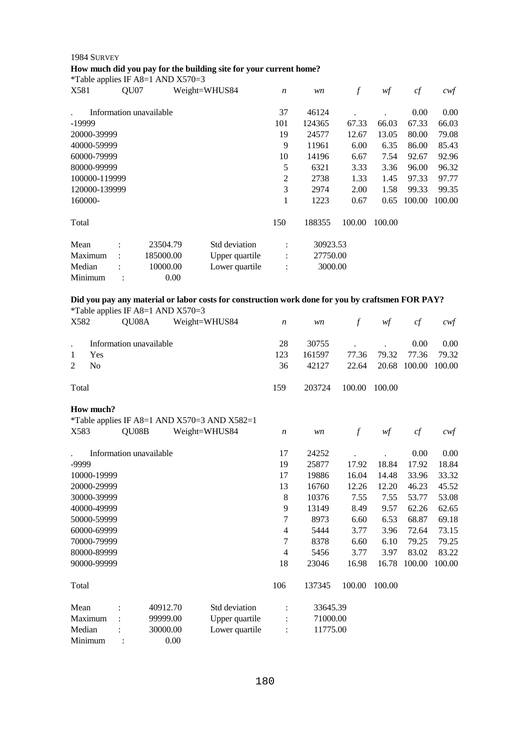## **How much did you pay for the building site for your current home?**

\*Table applies IF A8=1 AND X570=3

| X581           |                | QU07  |                                     | Weight=WHUS84                                                                                    | $\boldsymbol{n}$ | wn       | $\int$ | w f    | cf     | $c \mathsf{w} f$ |
|----------------|----------------|-------|-------------------------------------|--------------------------------------------------------------------------------------------------|------------------|----------|--------|--------|--------|------------------|
|                |                |       | Information unavailable             |                                                                                                  | 37               | 46124    |        |        | 0.00   | 0.00             |
| -19999         |                |       |                                     |                                                                                                  | 101              | 124365   | 67.33  | 66.03  | 67.33  | 66.03            |
|                | 20000-39999    |       |                                     |                                                                                                  | 19               | 24577    | 12.67  | 13.05  | 80.00  | 79.08            |
|                | 40000-59999    |       |                                     |                                                                                                  | 9                | 11961    | 6.00   | 6.35   | 86.00  | 85.43            |
|                | 60000-79999    |       |                                     |                                                                                                  | 10               | 14196    | 6.67   | 7.54   | 92.67  | 92.96            |
|                | 80000-99999    |       |                                     |                                                                                                  | 5                | 6321     | 3.33   | 3.36   | 96.00  | 96.32            |
|                | 100000-119999  |       |                                     |                                                                                                  | $\overline{2}$   | 2738     | 1.33   | 1.45   | 97.33  | 97.77            |
|                | 120000-139999  |       |                                     |                                                                                                  | 3                | 2974     | 2.00   | 1.58   | 99.33  | 99.35            |
| 160000-        |                |       |                                     |                                                                                                  | 1                | 1223     | 0.67   | 0.65   | 100.00 | 100.00           |
| Total          |                |       |                                     |                                                                                                  | 150              | 188355   | 100.00 | 100.00 |        |                  |
| Mean           |                |       | 23504.79                            | Std deviation                                                                                    |                  | 30923.53 |        |        |        |                  |
|                | Maximum        |       | 185000.00                           | Upper quartile                                                                                   |                  | 27750.00 |        |        |        |                  |
| Median         |                |       | 10000.00                            | Lower quartile                                                                                   |                  | 3000.00  |        |        |        |                  |
|                | Minimum        |       | 0.00                                |                                                                                                  |                  |          |        |        |        |                  |
|                |                |       | *Table applies IF A8=1 AND $X570=3$ | Did you pay any material or labor costs for construction work done for you by craftsmen FOR PAY? |                  |          |        |        |        |                  |
| X582           |                | QU08A |                                     | Weight=WHUS84                                                                                    | $\boldsymbol{n}$ | wn       | $\int$ | wf     | cf     | cwf              |
|                |                |       |                                     |                                                                                                  |                  |          |        |        |        |                  |
|                |                |       | Information unavailable             |                                                                                                  | 28               | 30755    |        |        | 0.00   | 0.00             |
| 1              | Yes            |       |                                     |                                                                                                  | 123              | 161597   | 77.36  | 79.32  | 77.36  | 79.32            |
| $\overline{2}$ | N <sub>0</sub> |       |                                     |                                                                                                  | 36               | 42127    | 22.64  | 20.68  | 100.00 | 100.00           |
| Total          |                |       |                                     |                                                                                                  | 159              | 203724   | 100.00 | 100.00 |        |                  |
| X583           | How much?      | QU08B |                                     | *Table applies IF A8=1 AND X570=3 AND X582=1<br>Weight=WHUS84                                    | $\boldsymbol{n}$ | wn       | $\int$ | wf     | cf     | cwt              |

|             |                | Information unavailable |                | 17             | 24252    |        |        | 0.00   | 0.00   |
|-------------|----------------|-------------------------|----------------|----------------|----------|--------|--------|--------|--------|
| -9999       |                |                         |                | 19             | 25877    | 17.92  | 18.84  | 17.92  | 18.84  |
| 10000-19999 |                |                         |                | 17             | 19886    | 16.04  | 14.48  | 33.96  | 33.32  |
| 20000-29999 |                |                         |                | 13             | 16760    | 12.26  | 12.20  | 46.23  | 45.52  |
| 30000-39999 |                |                         |                | 8              | 10376    | 7.55   | 7.55   | 53.77  | 53.08  |
| 40000-49999 |                |                         |                | 9              | 13149    | 8.49   | 9.57   | 62.26  | 62.65  |
| 50000-59999 |                |                         |                | 7              | 8973     | 6.60   | 6.53   | 68.87  | 69.18  |
| 60000-69999 |                |                         |                | 4              | 5444     | 3.77   | 3.96   | 72.64  | 73.15  |
| 70000-79999 |                |                         |                | 7              | 8378     | 6.60   | 6.10   | 79.25  | 79.25  |
| 80000-89999 |                |                         |                | 4              | 5456     | 3.77   | 3.97   | 83.02  | 83.22  |
| 90000-99999 |                |                         |                | 18             | 23046    | 16.98  | 16.78  | 100.00 | 100.00 |
| Total       |                |                         |                | 106            | 137345   | 100.00 | 100.00 |        |        |
| Mean        |                | 40912.70                | Std deviation  | ÷              | 33645.39 |        |        |        |        |
| Maximum     |                | 99999.00                | Upper quartile | $\ddot{\cdot}$ | 71000.00 |        |        |        |        |
| Median      |                | 30000.00                | Lower quartile | $\ddot{\cdot}$ | 11775.00 |        |        |        |        |
| Minimum     | $\ddot{\cdot}$ | 0.00                    |                |                |          |        |        |        |        |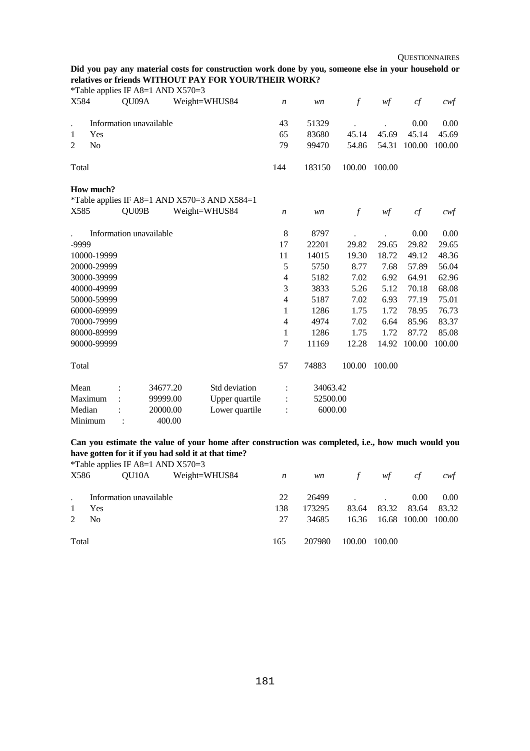## **Did you pay any material costs for construction work done by you, someone else in your household or relatives or friends WITHOUT PAY FOR YOUR/THEIR WORK?**

|                      |                | *Table applies IF A8=1 AND $X570=3$ |          |                                              |                  |          |               |        |        |                   |
|----------------------|----------------|-------------------------------------|----------|----------------------------------------------|------------------|----------|---------------|--------|--------|-------------------|
| X584                 |                | QU09A                               |          | Weight=WHUS84                                | $\boldsymbol{n}$ | wn       | $\int$        | wf     | cf     | $c \mathcal{w} f$ |
| $\ddot{\phantom{0}}$ |                | Information unavailable             |          |                                              | 43               | 51329    |               |        | 0.00   | 0.00              |
| 1                    | Yes            |                                     |          |                                              | 65               | 83680    | 45.14         | 45.69  | 45.14  | 45.69             |
| $\overline{2}$       | N <sub>o</sub> |                                     |          |                                              | 79               | 99470    | 54.86         | 54.31  | 100.00 | 100.00            |
| Total                |                |                                     |          |                                              | 144              | 183150   | 100.00        | 100.00 |        |                   |
|                      | How much?      |                                     |          |                                              |                  |          |               |        |        |                   |
|                      |                |                                     |          | *Table applies IF A8=1 AND X570=3 AND X584=1 |                  |          |               |        |        |                   |
| X585                 |                | QU09B                               |          | Weight=WHUS84                                | $\boldsymbol{n}$ | wn       | $\mathcal{f}$ | w f    | cf     | cwf               |
|                      |                | Information unavailable             |          |                                              | 8                | 8797     |               |        | 0.00   | 0.00              |
| -9999                |                |                                     |          |                                              | 17               | 22201    | 29.82         | 29.65  | 29.82  | 29.65             |
|                      | 10000-19999    |                                     |          |                                              | 11               | 14015    | 19.30         | 18.72  | 49.12  | 48.36             |
|                      | 20000-29999    |                                     |          |                                              | 5                | 5750     | 8.77          | 7.68   | 57.89  | 56.04             |
|                      | 30000-39999    |                                     |          |                                              | 4                | 5182     | 7.02          | 6.92   | 64.91  | 62.96             |
|                      | 40000-49999    |                                     |          |                                              | 3                | 3833     | 5.26          | 5.12   | 70.18  | 68.08             |
|                      | 50000-59999    |                                     |          |                                              | $\overline{4}$   | 5187     | 7.02          | 6.93   | 77.19  | 75.01             |
|                      | 60000-69999    |                                     |          |                                              | 1                | 1286     | 1.75          | 1.72   | 78.95  | 76.73             |
|                      | 70000-79999    |                                     |          |                                              | $\overline{4}$   | 4974     | 7.02          | 6.64   | 85.96  | 83.37             |
|                      | 80000-89999    |                                     |          |                                              | 1                | 1286     | 1.75          | 1.72   | 87.72  | 85.08             |
|                      | 90000-99999    |                                     |          |                                              | 7                | 11169    | 12.28         | 14.92  | 100.00 | 100.00            |
| Total                |                |                                     |          |                                              | 57               | 74883    | 100.00        | 100.00 |        |                   |
| Mean                 |                |                                     | 34677.20 | Std deviation                                | $\ddot{\cdot}$   | 34063.42 |               |        |        |                   |
| Maximum              |                |                                     | 99999.00 | Upper quartile                               |                  | 52500.00 |               |        |        |                   |
| Median               |                |                                     | 20000.00 | Lower quartile                               |                  | 6000.00  |               |        |        |                   |
| Minimum              |                |                                     | 400.00   |                                              |                  |          |               |        |        |                   |

**Can you estimate the value of your home after construction was completed, i.e., how much would you**  have gotten for it if you had sold it at that time?<br>
<sup>\*</sup>Table and is If A<sup>9</sup> 1.4ND Y570.2

|             |                | *Table applies IF A8=1 AND $X570=3$ |               |     |           |             |                           |       |       |
|-------------|----------------|-------------------------------------|---------------|-----|-----------|-------------|---------------------------|-------|-------|
| X586        |                | OU10A                               | Weight=WHUS84 | n   | <i>wn</i> | $f$ and $f$ | wf                        | c f   | cwt   |
|             |                |                                     |               |     |           |             |                           |       |       |
|             |                | Information unavailable             |               | 22  | 26499     |             |                           | 0.00  | 0.00  |
|             | Yes            |                                     |               | 138 | 173295    | 83.64       | 83.32                     | 83.64 | 83.32 |
| $2^{\circ}$ | N <sub>0</sub> |                                     |               | 27  | 34685     |             | 16.36 16.68 100.00 100.00 |       |       |
|             |                |                                     |               |     |           |             |                           |       |       |
| Total       |                |                                     |               | 165 | 207980    | 100.00      | 100.00                    |       |       |
|             |                |                                     |               |     |           |             |                           |       |       |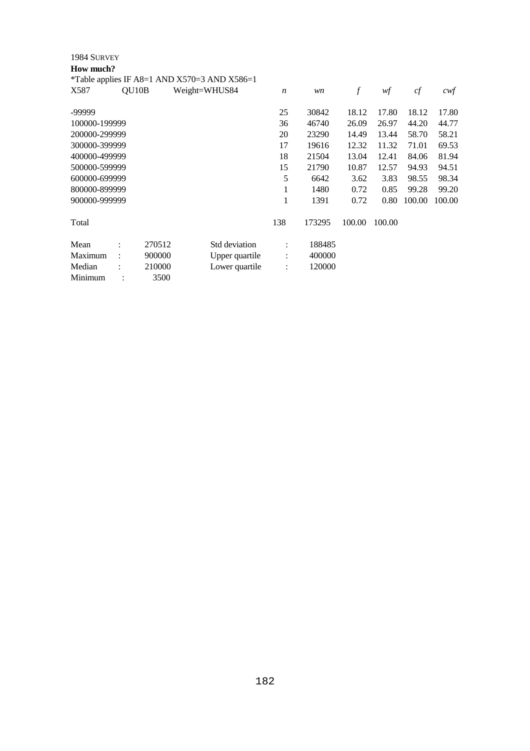| 1984 SURVEY   |                      |        |                                                  |                      |        |                  |        |        |        |
|---------------|----------------------|--------|--------------------------------------------------|----------------------|--------|------------------|--------|--------|--------|
| How much?     |                      |        |                                                  |                      |        |                  |        |        |        |
|               |                      |        | *Table applies IF A8=1 AND $X570=3$ AND $X586=1$ |                      |        |                  |        |        |        |
| X587          | QU10B                |        | Weight=WHUS84                                    | $\boldsymbol{n}$     | wn     | $\boldsymbol{f}$ | wf     | cf     | $c$ wf |
| -99999        |                      |        |                                                  | 25                   | 30842  | 18.12            | 17.80  | 18.12  | 17.80  |
| 100000-199999 |                      |        |                                                  | 36                   | 46740  | 26.09            | 26.97  | 44.20  | 44.77  |
| 200000-299999 |                      |        |                                                  | 20                   | 23290  | 14.49            | 13.44  | 58.70  | 58.21  |
| 300000-399999 |                      |        |                                                  | 17                   | 19616  | 12.32            | 11.32  | 71.01  | 69.53  |
| 400000-499999 |                      |        |                                                  | 18                   | 21504  | 13.04            | 12.41  | 84.06  | 81.94  |
| 500000-599999 |                      |        |                                                  | 15                   | 21790  | 10.87            | 12.57  | 94.93  | 94.51  |
| 600000-699999 |                      |        |                                                  | 5                    | 6642   | 3.62             | 3.83   | 98.55  | 98.34  |
| 800000-899999 |                      |        |                                                  | 1                    | 1480   | 0.72             | 0.85   | 99.28  | 99.20  |
| 900000-999999 |                      |        |                                                  | 1                    | 1391   | 0.72             | 0.80   | 100.00 | 100.00 |
| Total         |                      |        |                                                  | 138                  | 173295 | 100.00           | 100.00 |        |        |
| Mean          |                      | 270512 | Std deviation                                    | $\ddot{\phantom{a}}$ | 188485 |                  |        |        |        |
| Maximum       | $\ddot{\phantom{a}}$ | 900000 | Upper quartile                                   | $\vdots$             | 400000 |                  |        |        |        |
| Median        |                      | 210000 | Lower quartile                                   | $\ddot{\cdot}$       | 120000 |                  |        |        |        |
| Minimum       |                      | 3500   |                                                  |                      |        |                  |        |        |        |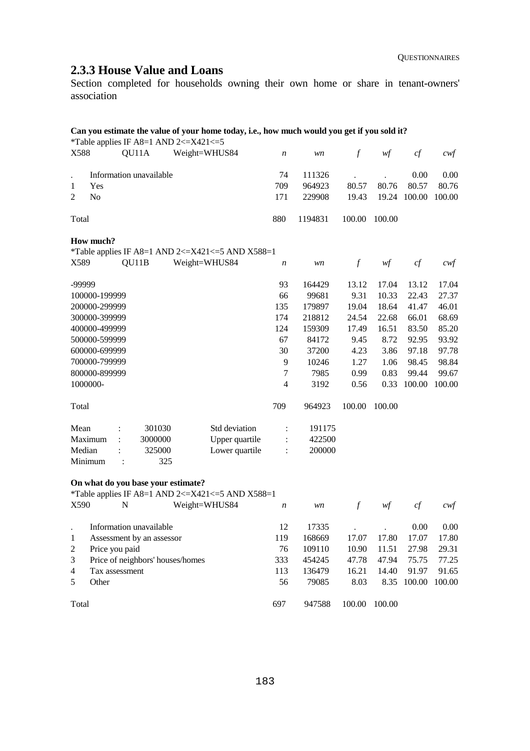# **2.3.3 House Value and Loans**

Section completed for households owning their own home or share in tenant-owners' association

| QU11A<br>Weight=WHUS84<br>X588<br>$\mathcal{f}$<br>w f<br>cf<br>$\boldsymbol{n}$<br>wn<br>Information unavailable<br>74<br>111326<br>0.00<br>80.57<br>80.76<br>80.57<br>709<br>964923<br>Yes<br>1<br>N <sub>o</sub><br>19.24 100.00<br>2<br>171<br>229908<br>19.43<br>880<br>1194831<br>100.00<br>100.00<br>Total<br>How much?<br>*Table applies IF A8=1 AND 2<=X421<=5 AND X588=1<br>QU11B<br>$\boldsymbol{f}$<br>cf<br>X589<br>Weight=WHUS84<br>w f<br>$\boldsymbol{n}$<br>wn |        |
|---------------------------------------------------------------------------------------------------------------------------------------------------------------------------------------------------------------------------------------------------------------------------------------------------------------------------------------------------------------------------------------------------------------------------------------------------------------------------------|--------|
|                                                                                                                                                                                                                                                                                                                                                                                                                                                                                 | cwf    |
|                                                                                                                                                                                                                                                                                                                                                                                                                                                                                 | 0.00   |
|                                                                                                                                                                                                                                                                                                                                                                                                                                                                                 | 80.76  |
|                                                                                                                                                                                                                                                                                                                                                                                                                                                                                 | 100.00 |
|                                                                                                                                                                                                                                                                                                                                                                                                                                                                                 |        |
|                                                                                                                                                                                                                                                                                                                                                                                                                                                                                 |        |
|                                                                                                                                                                                                                                                                                                                                                                                                                                                                                 | $c$ wf |
| -99999<br>93<br>13.12<br>17.04<br>13.12<br>164429                                                                                                                                                                                                                                                                                                                                                                                                                               | 17.04  |
| 100000-199999<br>66<br>99681<br>9.31<br>10.33<br>22.43                                                                                                                                                                                                                                                                                                                                                                                                                          | 27.37  |
| 200000-299999<br>135<br>179897<br>19.04<br>18.64<br>41.47                                                                                                                                                                                                                                                                                                                                                                                                                       | 46.01  |
| 300000-399999<br>174<br>218812<br>22.68<br>66.01<br>24.54                                                                                                                                                                                                                                                                                                                                                                                                                       | 68.69  |
| 400000-499999<br>124<br>159309<br>17.49<br>16.51<br>83.50                                                                                                                                                                                                                                                                                                                                                                                                                       | 85.20  |
| 500000-599999<br>67<br>84172<br>8.72<br>92.95<br>9.45                                                                                                                                                                                                                                                                                                                                                                                                                           | 93.92  |
| 600000-699999<br>30<br>3.86<br>37200<br>4.23<br>97.18                                                                                                                                                                                                                                                                                                                                                                                                                           | 97.78  |
| 700000-799999<br>9<br>1.06<br>98.45<br>10246<br>1.27                                                                                                                                                                                                                                                                                                                                                                                                                            | 98.84  |
| $\overline{7}$<br>800000-899999<br>7985<br>0.99<br>0.83<br>99.44                                                                                                                                                                                                                                                                                                                                                                                                                | 99.67  |
| 1000000-<br>$\overline{4}$<br>3192<br>0.56<br>0.33<br>100.00                                                                                                                                                                                                                                                                                                                                                                                                                    | 100.00 |
| 709<br>964923<br>100.00<br>100.00<br>Total                                                                                                                                                                                                                                                                                                                                                                                                                                      |        |
| 301030<br>Std deviation<br>191175<br>Mean<br>$\ddot{\cdot}$<br>$\ddot{\cdot}$                                                                                                                                                                                                                                                                                                                                                                                                   |        |
| Maximum<br>3000000<br>Upper quartile<br>422500<br>$\ddot{\phantom{a}}$<br>$\ddot{\cdot}$                                                                                                                                                                                                                                                                                                                                                                                        |        |
| Lower quartile<br>200000<br>Median<br>325000<br>Minimum<br>325<br>$\ddot{\cdot}$                                                                                                                                                                                                                                                                                                                                                                                                |        |

**On what do you base your estimate?**

\*Table applies IF A8=1 AND 2<=X421<=5 AND X588=1

| X590           | N                                | Weight=WHUS84 | n   | wn     |        | wt     | сt     | cwt    |
|----------------|----------------------------------|---------------|-----|--------|--------|--------|--------|--------|
|                | Information unavailable          |               | 12  | 17335  |        |        | 0.00   | 0.00   |
| 1              | Assessment by an assessor        |               | 119 | 168669 | 17.07  | 17.80  | 17.07  | 17.80  |
| 2              | Price you paid                   |               | 76  | 109110 | 10.90  | 11.51  | 27.98  | 29.31  |
| 3              | Price of neighbors' houses/homes |               | 333 | 454245 | 47.78  | 47.94  | 75.75  | 77.25  |
| $\overline{4}$ | Tax assessment                   |               | 113 | 136479 | 16.21  | 14.40  | 91.97  | 91.65  |
|                | Other                            |               | 56  | 79085  | 8.03   | 8.35   | 100.00 | 100.00 |
| Total          |                                  |               | 697 | 947588 | 100.00 | 100.00 |        |        |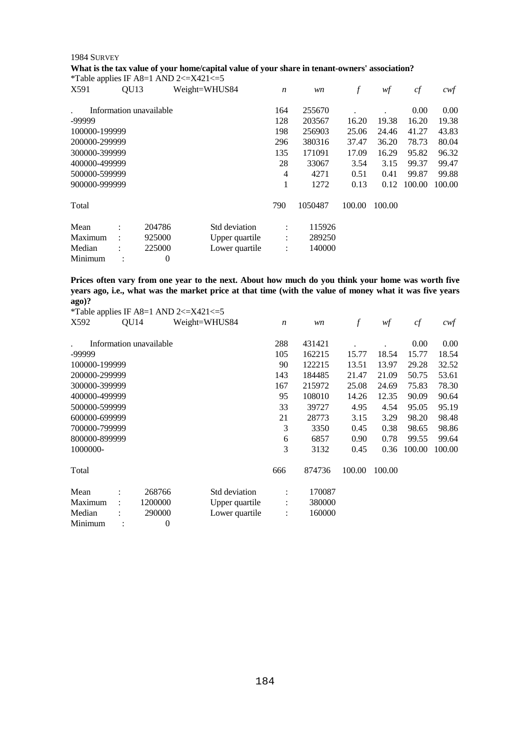#### 1984 SURVEY

#### **What is the tax value of your home/capital value of your share in tenant-owners' association?**

|               |                      |                         | *Table applies IF A8=1 AND 2 $\lt$ =X421 $\lt$ =5 |                  |         |        |        |        |        |
|---------------|----------------------|-------------------------|---------------------------------------------------|------------------|---------|--------|--------|--------|--------|
| X591          | QU <sub>13</sub>     |                         | Weight=WHUS84                                     | $\boldsymbol{n}$ | wn      | $\int$ | wf     | cf     | cwt    |
|               |                      | Information unavailable |                                                   | 164              | 255670  |        |        | 0.00   | 0.00   |
| -99999        |                      |                         |                                                   | 128              | 203567  | 16.20  | 19.38  | 16.20  | 19.38  |
| 100000-199999 |                      |                         |                                                   | 198              | 256903  | 25.06  | 24.46  | 41.27  | 43.83  |
| 200000-299999 |                      |                         |                                                   | 296              | 380316  | 37.47  | 36.20  | 78.73  | 80.04  |
| 300000-399999 |                      |                         |                                                   | 135              | 171091  | 17.09  | 16.29  | 95.82  | 96.32  |
| 400000-499999 |                      |                         |                                                   | 28               | 33067   | 3.54   | 3.15   | 99.37  | 99.47  |
| 500000-599999 |                      |                         |                                                   | 4                | 4271    | 0.51   | 0.41   | 99.87  | 99.88  |
| 900000-999999 |                      |                         |                                                   | 1                | 1272    | 0.13   | 0.12   | 100.00 | 100.00 |
| Total         |                      |                         |                                                   | 790              | 1050487 | 100.00 | 100.00 |        |        |
| Mean          | $\ddot{\cdot}$       | 204786                  | Std deviation                                     | $\ddot{\cdot}$   | 115926  |        |        |        |        |
| Maximum       | $\ddot{\phantom{a}}$ | 925000                  | Upper quartile                                    | $\vdots$         | 289250  |        |        |        |        |
| Median        |                      | 225000                  | Lower quartile                                    | $\ddot{\cdot}$   | 140000  |        |        |        |        |
| Minimum       |                      | 0                       |                                                   |                  |         |        |        |        |        |

**Prices often vary from one year to the next. About how much do you think your home was worth five years ago, i.e., what was the market price at that time (with the value of money what it was five years ago)?** 

|               |      |                         | *Table applies IF A8=1 AND 2 $\le$ X421 $\le$ =5 |                |                  |        |                  |        |        |        |
|---------------|------|-------------------------|--------------------------------------------------|----------------|------------------|--------|------------------|--------|--------|--------|
| X592          | QU14 |                         | Weight=WHUS84                                    |                | $\boldsymbol{n}$ | wn     | $\boldsymbol{f}$ | wf     | cf     | $c$ wf |
|               |      | Information unavailable |                                                  |                | 288              | 431421 |                  |        | 0.00   | 0.00   |
| -99999        |      |                         |                                                  |                | 105              | 162215 | 15.77            | 18.54  | 15.77  | 18.54  |
| 100000-199999 |      |                         |                                                  |                | 90               | 122215 | 13.51            | 13.97  | 29.28  | 32.52  |
| 200000-299999 |      |                         |                                                  |                | 143              | 184485 | 21.47            | 21.09  | 50.75  | 53.61  |
| 300000-399999 |      |                         |                                                  |                | 167              | 215972 | 25.08            | 24.69  | 75.83  | 78.30  |
| 400000-499999 |      |                         |                                                  |                | 95               | 108010 | 14.26            | 12.35  | 90.09  | 90.64  |
| 500000-599999 |      |                         |                                                  |                | 33               | 39727  | 4.95             | 4.54   | 95.05  | 95.19  |
| 600000-699999 |      |                         |                                                  |                | 21               | 28773  | 3.15             | 3.29   | 98.20  | 98.48  |
| 700000-799999 |      |                         |                                                  |                | 3                | 3350   | 0.45             | 0.38   | 98.65  | 98.86  |
| 800000-899999 |      |                         |                                                  |                | 6                | 6857   | 0.90             | 0.78   | 99.55  | 99.64  |
| 1000000-      |      |                         |                                                  |                | 3                | 3132   | 0.45             | 0.36   | 100.00 | 100.00 |
| Total         |      |                         |                                                  |                | 666              | 874736 | 100.00           | 100.00 |        |        |
| Mean          |      | 268766                  |                                                  | Std deviation  |                  | 170087 |                  |        |        |        |
| Maximum       |      | 1200000                 |                                                  | Upper quartile | ÷                | 380000 |                  |        |        |        |
| Median        |      | 290000                  |                                                  | Lower quartile | ÷                | 160000 |                  |        |        |        |
| Minimum       |      | 0                       |                                                  |                |                  |        |                  |        |        |        |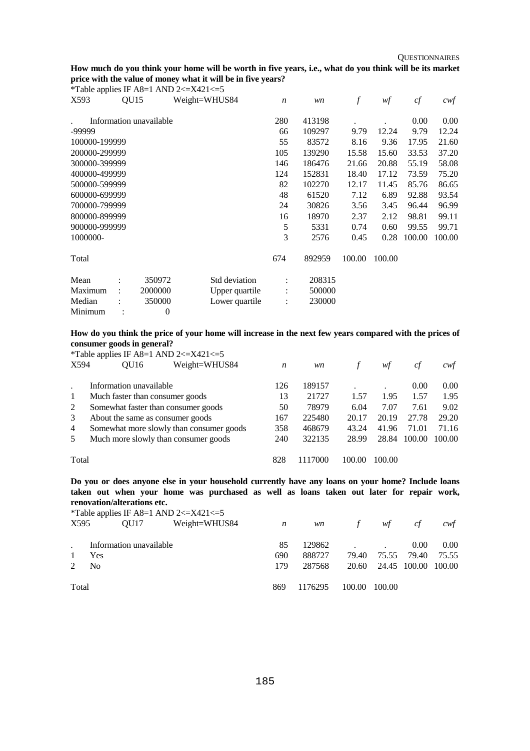### **How much do you think your home will be worth in five years, i.e., what do you think will be its market price with the value of money what it will be in five years?**

| *Table applies IF A8=1 AND 2 $\lt$ =X421 $\lt$ =5 |                      |                         |               |                |                  |        |                  |        |        |        |
|---------------------------------------------------|----------------------|-------------------------|---------------|----------------|------------------|--------|------------------|--------|--------|--------|
| X593                                              | QU <sub>15</sub>     |                         | Weight=WHUS84 |                | $\boldsymbol{n}$ | wn     | $\boldsymbol{f}$ | wf     | cf     | cwf    |
|                                                   |                      | Information unavailable |               |                | 280              | 413198 |                  |        | 0.00   | 0.00   |
| -99999                                            |                      |                         |               |                | 66               | 109297 | 9.79             | 12.24  | 9.79   | 12.24  |
| 100000-199999                                     |                      |                         |               |                | 55               | 83572  | 8.16             | 9.36   | 17.95  | 21.60  |
| 200000-299999                                     |                      |                         |               |                | 105              | 139290 | 15.58            | 15.60  | 33.53  | 37.20  |
| 300000-399999                                     |                      |                         |               |                | 146              | 186476 | 21.66            | 20.88  | 55.19  | 58.08  |
| 400000-499999                                     |                      |                         |               |                | 124              | 152831 | 18.40            | 17.12  | 73.59  | 75.20  |
| 500000-599999                                     |                      |                         |               |                | 82               | 102270 | 12.17            | 11.45  | 85.76  | 86.65  |
| 600000-699999                                     |                      |                         |               |                | 48               | 61520  | 7.12             | 6.89   | 92.88  | 93.54  |
| 700000-799999                                     |                      |                         |               |                | 24               | 30826  | 3.56             | 3.45   | 96.44  | 96.99  |
| 800000-899999                                     |                      |                         |               |                | 16               | 18970  | 2.37             | 2.12   | 98.81  | 99.11  |
| 900000-999999                                     |                      |                         |               |                | 5                | 5331   | 0.74             | 0.60   | 99.55  | 99.71  |
| 1000000-                                          |                      |                         |               |                | 3                | 2576   | 0.45             | 0.28   | 100.00 | 100.00 |
| Total                                             |                      |                         |               |                | 674              | 892959 | 100.00           | 100.00 |        |        |
| Mean                                              |                      | 350972                  |               | Std deviation  | $\ddot{\cdot}$   | 208315 |                  |        |        |        |
| Maximum                                           | $\ddot{\phantom{a}}$ | 2000000                 |               | Upper quartile | $\ddot{\cdot}$   | 500000 |                  |        |        |        |
| Median                                            |                      | 350000                  |               | Lower quartile | $\ddot{\cdot}$   | 230000 |                  |        |        |        |
| Minimum                                           |                      | $\theta$                |               |                |                  |        |                  |        |        |        |

#### **How do you think the price of your home will increase in the next few years compared with the prices of consumer goods in general?**

|       | *Table applies IF A8=1 AND 2 $\le$ X421 $\le$ =5 |     |         |        |        |        |        |
|-------|--------------------------------------------------|-----|---------|--------|--------|--------|--------|
| X594  | Weight=WHUS84<br>OU16                            | n   | wn      |        | wt     | сf     | cwt    |
|       | Information unavailable                          | 126 | 189157  |        |        | 0.00   | 0.00   |
|       | Much faster than consumer goods                  | 13  | 21727   | 1.57   | 1.95   | 1.57   | 1.95   |
| 2     | Somewhat faster than consumer goods              | 50  | 78979   | 6.04   | 7.07   | 7.61   | 9.02   |
| 3     | About the same as consumer goods                 | 167 | 225480  | 20.17  | 20.19  | 27.78  | 29.20  |
| 4     | Somewhat more slowly than consumer goods         | 358 | 468679  | 43.24  | 41.96  | 71.01  | 71.16  |
| 5     | Much more slowly than consumer goods             | 240 | 322135  | 28.99  | 28.84  | 100.00 | 100.00 |
| Total |                                                  | 828 | 1117000 | 100.00 | 100.00 |        |        |

**Do you or does anyone else in your household currently have any loans on your home? Include loans taken out when your home was purchased as well as loans taken out later for repair work, renovation/alterations etc.** 

|       |                         |      | *Table applies IF A8=1 AND 2 $\lt$ =X421 $\lt$ =5 |         |           |               |                           |       |       |
|-------|-------------------------|------|---------------------------------------------------|---------|-----------|---------------|---------------------------|-------|-------|
| X595  |                         | OU17 | Weight=WHUS84                                     | n       | <i>wn</i> | $\mathcal{F}$ | wf                        | cf    | cwt   |
|       |                         |      |                                                   | 85      | 129862    |               |                           | 0.00  |       |
|       | Information unavailable |      |                                                   |         |           |               |                           |       | 0.00  |
|       | Yes                     |      |                                                   | 690     | 888727    | 79.40         | 75.55                     | 79.40 | 75.55 |
|       | N <sub>0</sub>          |      |                                                   | 179     | 287568    |               | 20.60 24.45 100.00 100.00 |       |       |
|       |                         |      |                                                   |         |           |               |                           |       |       |
| Total |                         |      | 869                                               | 1176295 | 100.00    | 100.00        |                           |       |       |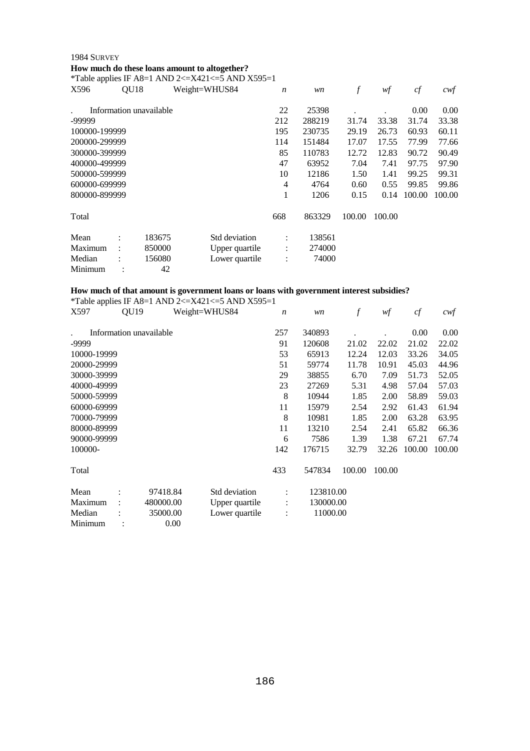## 1984 SURVEY **How much do these loans amount to altogether?**

\*Table applies IF A8=1 AND 2<= $X421 \le 5$  AND  $X595=1$ 

| r ao io applico |                  |                         |                |                  |        |        |        |        |        |
|-----------------|------------------|-------------------------|----------------|------------------|--------|--------|--------|--------|--------|
| X596            | QU <sub>18</sub> |                         | Weight=WHUS84  | $\boldsymbol{n}$ | wn     | f      | wf     | cf     | cwf    |
|                 |                  | Information unavailable |                | 22               | 25398  |        |        | 0.00   | 0.00   |
| -99999          |                  |                         |                | 212              | 288219 | 31.74  | 33.38  | 31.74  | 33.38  |
| 100000-199999   |                  |                         |                | 195              | 230735 | 29.19  | 26.73  | 60.93  | 60.11  |
| 200000-299999   |                  |                         |                | 114              | 151484 | 17.07  | 17.55  | 77.99  | 77.66  |
| 300000-399999   |                  |                         |                | 85               | 110783 | 12.72  | 12.83  | 90.72  | 90.49  |
| 400000-499999   |                  |                         |                | 47               | 63952  | 7.04   | 7.41   | 97.75  | 97.90  |
| 500000-599999   |                  |                         |                | 10               | 12186  | 1.50   | 1.41   | 99.25  | 99.31  |
| 600000-699999   |                  |                         |                | 4                | 4764   | 0.60   | 0.55   | 99.85  | 99.86  |
| 800000-899999   |                  |                         |                | 1                | 1206   | 0.15   | 0.14   | 100.00 | 100.00 |
| Total           |                  |                         |                | 668              | 863329 | 100.00 | 100.00 |        |        |
| Mean            |                  | 183675                  | Std deviation  | ÷                | 138561 |        |        |        |        |
| Maximum         |                  | 850000                  | Upper quartile | $\vdots$         | 274000 |        |        |        |        |
| Median          |                  | 156080                  | Lower quartile | $\ddot{\cdot}$   | 74000  |        |        |        |        |
| Minimum         |                  | 42                      |                |                  |        |        |        |        |        |

#### **How much of that amount is government loans or loans with government interest subsidies?**

|             |                  |                         | Table applies if $T_{10}$ = 1 Table $2\sqrt{-T_{12}}$ = $\sqrt{T_{11}}$ + $\sqrt{T_{22}}$ |                  |           |                  |        |        |        |
|-------------|------------------|-------------------------|-------------------------------------------------------------------------------------------|------------------|-----------|------------------|--------|--------|--------|
| X597        | QU <sub>19</sub> |                         | Weight=WHUS84                                                                             | $\boldsymbol{n}$ | wn        | $\boldsymbol{f}$ | wf     | cf     | $c$ wf |
|             |                  | Information unavailable |                                                                                           | 257              | 340893    |                  |        | 0.00   | 0.00   |
| -9999       |                  |                         |                                                                                           | 91               | 120608    | 21.02            | 22.02  | 21.02  | 22.02  |
| 10000-19999 |                  |                         |                                                                                           | 53               | 65913     | 12.24            | 12.03  | 33.26  | 34.05  |
| 20000-29999 |                  |                         |                                                                                           | 51               | 59774     | 11.78            | 10.91  | 45.03  | 44.96  |
| 30000-39999 |                  |                         |                                                                                           | 29               | 38855     | 6.70             | 7.09   | 51.73  | 52.05  |
| 40000-49999 |                  |                         |                                                                                           | 23               | 27269     | 5.31             | 4.98   | 57.04  | 57.03  |
| 50000-59999 |                  |                         |                                                                                           | 8                | 10944     | 1.85             | 2.00   | 58.89  | 59.03  |
| 60000-69999 |                  |                         |                                                                                           | 11               | 15979     | 2.54             | 2.92   | 61.43  | 61.94  |
| 70000-79999 |                  |                         |                                                                                           | 8                | 10981     | 1.85             | 2.00   | 63.28  | 63.95  |
| 80000-89999 |                  |                         |                                                                                           | 11               | 13210     | 2.54             | 2.41   | 65.82  | 66.36  |
| 90000-99999 |                  |                         |                                                                                           | 6                | 7586      | 1.39             | 1.38   | 67.21  | 67.74  |
| 100000-     |                  |                         |                                                                                           | 142              | 176715    | 32.79            | 32.26  | 100.00 | 100.00 |
| Total       |                  |                         |                                                                                           | 433              | 547834    | 100.00           | 100.00 |        |        |
| Mean        |                  | 97418.84                | Std deviation                                                                             | $\ddot{\cdot}$   | 123810.00 |                  |        |        |        |
| Maximum     |                  | 480000.00               | Upper quartile                                                                            | ÷                | 130000.00 |                  |        |        |        |
| Median      |                  | 35000.00                | Lower quartile                                                                            | $\ddot{\cdot}$   | 11000.00  |                  |        |        |        |
| Minimum     |                  | 0.00                    |                                                                                           |                  |           |                  |        |        |        |

\*Table applies IF A8=1 AND 2 $\lt$ =X421 $\lt$ =5 AND X595=1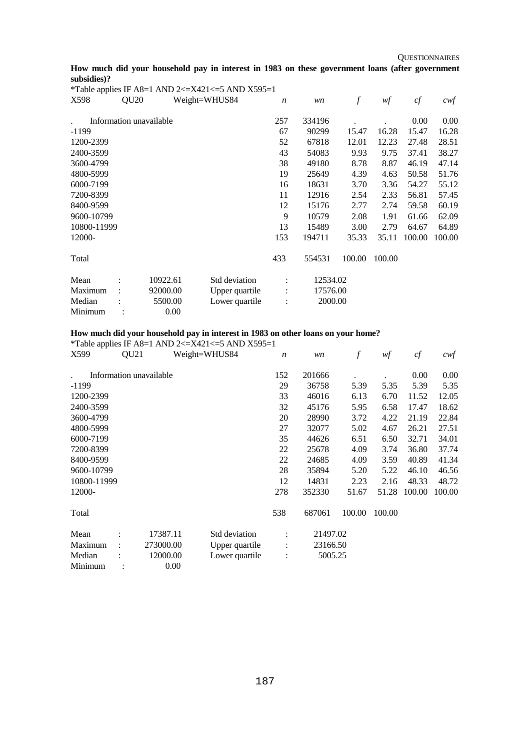**QUESTIONNAIRES** 

## **How much did your household pay in interest in 1983 on these government loans (after government subsidies)?**

|             |                  |                         | *Table applies IF A8=1 AND 2<=X421<=5 AND X595=1 |                      |          |                  |        |        |        |
|-------------|------------------|-------------------------|--------------------------------------------------|----------------------|----------|------------------|--------|--------|--------|
| X598        | QU <sub>20</sub> |                         | Weight=WHUS84                                    | $\boldsymbol{n}$     | wn       | $\boldsymbol{f}$ | wf     | cf     | $c$ wf |
|             |                  | Information unavailable |                                                  | 257                  | 334196   |                  |        | 0.00   | 0.00   |
| $-1199$     |                  |                         |                                                  | 67                   | 90299    | 15.47            | 16.28  | 15.47  | 16.28  |
| 1200-2399   |                  |                         |                                                  | 52                   | 67818    | 12.01            | 12.23  | 27.48  | 28.51  |
| 2400-3599   |                  |                         |                                                  | 43                   | 54083    | 9.93             | 9.75   | 37.41  | 38.27  |
| 3600-4799   |                  |                         |                                                  | 38                   | 49180    | 8.78             | 8.87   | 46.19  | 47.14  |
| 4800-5999   |                  |                         |                                                  | 19                   | 25649    | 4.39             | 4.63   | 50.58  | 51.76  |
| 6000-7199   |                  |                         |                                                  | 16                   | 18631    | 3.70             | 3.36   | 54.27  | 55.12  |
| 7200-8399   |                  |                         |                                                  | 11                   | 12916    | 2.54             | 2.33   | 56.81  | 57.45  |
| 8400-9599   |                  |                         |                                                  | 12                   | 15176    | 2.77             | 2.74   | 59.58  | 60.19  |
| 9600-10799  |                  |                         |                                                  | 9                    | 10579    | 2.08             | 1.91   | 61.66  | 62.09  |
| 10800-11999 |                  |                         |                                                  | 13                   | 15489    | 3.00             | 2.79   | 64.67  | 64.89  |
| 12000-      |                  |                         |                                                  | 153                  | 194711   | 35.33            | 35.11  | 100.00 | 100.00 |
| Total       |                  |                         |                                                  | 433                  | 554531   | 100.00           | 100.00 |        |        |
| Mean        |                  | 10922.61                | Std deviation                                    |                      | 12534.02 |                  |        |        |        |
| Maximum     |                  | 92000.00                | Upper quartile                                   | $\ddot{\phantom{a}}$ | 17576.00 |                  |        |        |        |
| Median      |                  | 5500.00                 | Lower quartile                                   | $\vdots$             | 2000.00  |                  |        |        |        |
| Minimum     |                  | 0.00                    |                                                  |                      |          |                  |        |        |        |

## **How much did your household pay in interest in 1983 on other loans on your home?**

|             |                  |                         | *Table applies IF A8=1 AND 2<=X421<=5 AND X595=1 |                  |          |                  |        |        |        |
|-------------|------------------|-------------------------|--------------------------------------------------|------------------|----------|------------------|--------|--------|--------|
| X599        | QU <sub>21</sub> |                         | Weight=WHUS84                                    | $\boldsymbol{n}$ | wn       | $\boldsymbol{f}$ | w f    | cf     | cwt    |
|             |                  | Information unavailable |                                                  | 152              | 201666   |                  |        | 0.00   | 0.00   |
| $-1199$     |                  |                         |                                                  | 29               | 36758    | 5.39             | 5.35   | 5.39   | 5.35   |
| 1200-2399   |                  |                         |                                                  | 33               | 46016    | 6.13             | 6.70   | 11.52  | 12.05  |
| 2400-3599   |                  |                         |                                                  | 32               | 45176    | 5.95             | 6.58   | 17.47  | 18.62  |
| 3600-4799   |                  |                         |                                                  | 20               | 28990    | 3.72             | 4.22   | 21.19  | 22.84  |
| 4800-5999   |                  |                         |                                                  | 27               | 32077    | 5.02             | 4.67   | 26.21  | 27.51  |
| 6000-7199   |                  |                         |                                                  | 35               | 44626    | 6.51             | 6.50   | 32.71  | 34.01  |
| 7200-8399   |                  |                         |                                                  | 22               | 25678    | 4.09             | 3.74   | 36.80  | 37.74  |
| 8400-9599   |                  |                         |                                                  | 22               | 24685    | 4.09             | 3.59   | 40.89  | 41.34  |
| 9600-10799  |                  |                         |                                                  | 28               | 35894    | 5.20             | 5.22   | 46.10  | 46.56  |
| 10800-11999 |                  |                         |                                                  | 12               | 14831    | 2.23             | 2.16   | 48.33  | 48.72  |
| 12000-      |                  |                         |                                                  | 278              | 352330   | 51.67            | 51.28  | 100.00 | 100.00 |
| Total       |                  |                         |                                                  | 538              | 687061   | 100.00           | 100.00 |        |        |
| Mean        |                  | 17387.11                | Std deviation                                    |                  | 21497.02 |                  |        |        |        |
| Maximum     |                  | 273000.00               | Upper quartile                                   | $\ddot{\cdot}$   | 23166.50 |                  |        |        |        |
| Median      |                  | 12000.00                | Lower quartile                                   | ÷                | 5005.25  |                  |        |        |        |
| Minimum     |                  | 0.00                    |                                                  |                  |          |                  |        |        |        |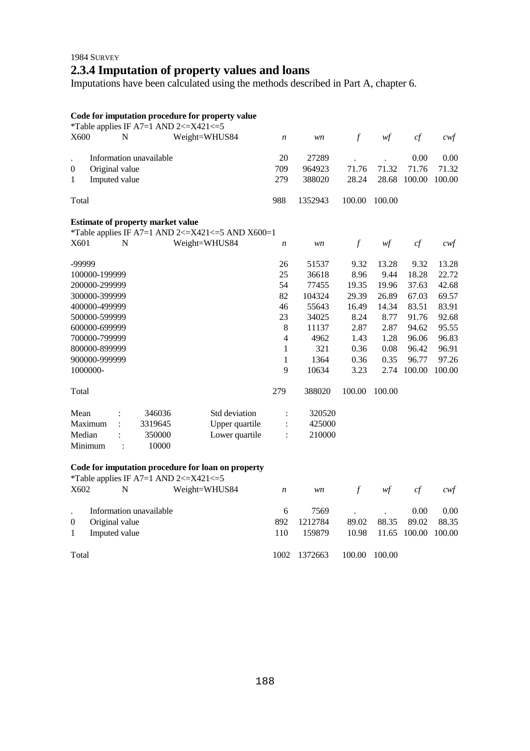# 1984 SURVEY **2.3.4 Imputation of property values and loans**

Imputations have been calculated using the methods described in Part A, chapter 6.

## **Code for imputation procedure for property value**

|                  |                |   |                                          | *Table applies IF A7=1 AND 2 $\lt$ =X421 $\lt$ =5  |                  |                  |               |        |        |                   |
|------------------|----------------|---|------------------------------------------|----------------------------------------------------|------------------|------------------|---------------|--------|--------|-------------------|
| X600             |                | N |                                          | Weight=WHUS84                                      | $\boldsymbol{n}$ | wn               | $\mathcal{f}$ | w f    | cf     | $c \mathcal{w} f$ |
|                  |                |   | Information unavailable                  |                                                    | 20               | 27289            |               |        | 0.00   | 0.00              |
|                  |                |   |                                          |                                                    | 709              |                  | 71.76         | 71.32  | 71.76  | 71.32             |
| $\boldsymbol{0}$ | Original value |   |                                          |                                                    | 279              | 964923<br>388020 | 28.24         | 28.68  | 100.00 | 100.00            |
| 1                | Imputed value  |   |                                          |                                                    |                  |                  |               |        |        |                   |
| Total            |                |   |                                          |                                                    | 988              | 1352943          | 100.00        | 100.00 |        |                   |
|                  |                |   | <b>Estimate of property market value</b> |                                                    |                  |                  |               |        |        |                   |
|                  |                |   |                                          | *Table applies IF A7=1 AND 2<=X421<=5 AND X600=1   |                  |                  |               |        |        |                   |
| X601             |                | N |                                          | Weight=WHUS84                                      | $\boldsymbol{n}$ | wn               | $\mathcal{f}$ | w f    | cf     | $c$ wf            |
| -99999           |                |   |                                          |                                                    | 26               | 51537            | 9.32          | 13.28  | 9.32   | 13.28             |
|                  | 100000-199999  |   |                                          |                                                    | 25               | 36618            | 8.96          | 9.44   | 18.28  | 22.72             |
|                  | 200000-299999  |   |                                          |                                                    | 54               | 77455            | 19.35         | 19.96  | 37.63  | 42.68             |
|                  | 300000-399999  |   |                                          |                                                    | 82               | 104324           | 29.39         | 26.89  | 67.03  | 69.57             |
|                  | 400000-499999  |   |                                          |                                                    | 46               | 55643            | 16.49         | 14.34  | 83.51  | 83.91             |
|                  | 500000-599999  |   |                                          |                                                    | 23               | 34025            | 8.24          | 8.77   | 91.76  | 92.68             |
|                  | 600000-699999  |   |                                          |                                                    | 8                | 11137            | 2.87          | 2.87   | 94.62  | 95.55             |
|                  | 700000-799999  |   |                                          |                                                    | 4                | 4962             | 1.43          | 1.28   | 96.06  | 96.83             |
|                  | 800000-899999  |   |                                          |                                                    | 1                | 321              | 0.36          | 0.08   | 96.42  | 96.91             |
|                  | 900000-999999  |   |                                          |                                                    | 1                | 1364             | 0.36          | 0.35   | 96.77  | 97.26             |
| 1000000-         |                |   |                                          |                                                    | 9                | 10634            | 3.23          | 2.74   | 100.00 | 100.00            |
| Total            |                |   |                                          |                                                    | 279              | 388020           | 100.00        | 100.00 |        |                   |
| Mean             |                |   | 346036                                   | Std deviation                                      | $\ddot{\cdot}$   | 320520           |               |        |        |                   |
|                  | Maximum        |   | 3319645                                  | Upper quartile                                     |                  | 425000           |               |        |        |                   |
| Median           |                |   | 350000                                   | Lower quartile                                     |                  | 210000           |               |        |        |                   |
|                  | Minimum        |   | 10000                                    |                                                    |                  |                  |               |        |        |                   |
|                  |                |   |                                          | Code for imputation procedure for loan on property |                  |                  |               |        |        |                   |

|          | Code for imputation procedure for joan on property<br>*Table applies IF A7=1 AND 2 $\lt$ =X421 $\lt$ =5 |               |             |                   |                 |        |               |                            |
|----------|---------------------------------------------------------------------------------------------------------|---------------|-------------|-------------------|-----------------|--------|---------------|----------------------------|
| X602     | N                                                                                                       | Weight=WHUS84 | n           | wn                | $\tau$          | wf     | cf            | cwt                        |
| $\left($ | Information unavailable<br>Original value                                                               |               | 6<br>892    | 7569<br>1212784   | 89.02           | 88.35  | 0.00<br>89.02 | 0.00 <sub>1</sub><br>88.35 |
| Total    | Imputed value                                                                                           |               | 110<br>1002 | 159879<br>1372663 | 10.98<br>100.00 | 100.00 | 11.65 100.00  | 100.00                     |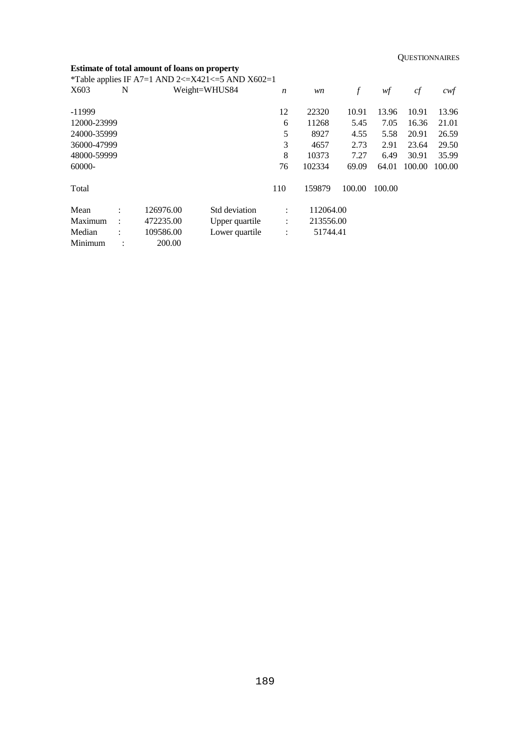**QUESTIONNAIRES** 

## **Estimate of total amount of loans on property**

\*Table applies IF A7=1 AND 2<= $X421$ <=5 AND  $X602=1$ 

| X603        | N                    |           | Weight=WHUS84  | $\boldsymbol{n}$ | wn        | f      | wf     | cf     | cwf    |
|-------------|----------------------|-----------|----------------|------------------|-----------|--------|--------|--------|--------|
| $-11999$    |                      |           |                | 12               | 22320     | 10.91  | 13.96  | 10.91  | 13.96  |
| 12000-23999 |                      |           |                | 6                | 11268     | 5.45   | 7.05   | 16.36  | 21.01  |
| 24000-35999 |                      |           |                | 5                | 8927      | 4.55   | 5.58   | 20.91  | 26.59  |
| 36000-47999 |                      |           |                | 3                | 4657      | 2.73   | 2.91   | 23.64  | 29.50  |
| 48000-59999 |                      |           |                | 8                | 10373     | 7.27   | 6.49   | 30.91  | 35.99  |
| 60000-      |                      |           |                | 76               | 102334    | 69.09  | 64.01  | 100.00 | 100.00 |
| Total       |                      |           |                | 110              | 159879    | 100.00 | 100.00 |        |        |
| Mean        | ٠                    | 126976.00 | Std deviation  | ٠                | 112064.00 |        |        |        |        |
| Maximum     | $\ddot{\phantom{a}}$ | 472235.00 | Upper quartile | $\vdots$         | 213556.00 |        |        |        |        |
| Median      |                      | 109586.00 | Lower quartile | $\vdots$         | 51744.41  |        |        |        |        |
| Minimum     |                      | 200.00    |                |                  |           |        |        |        |        |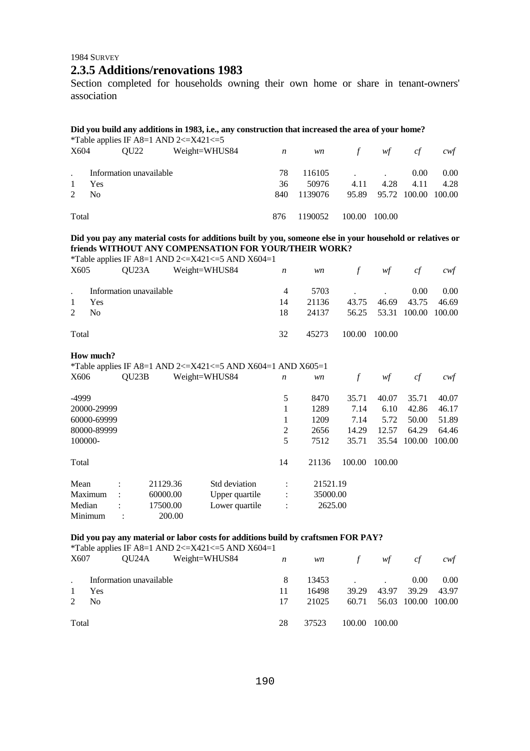## 1984 SURVEY **2.3.5 Additions/renovations 1983**

Section completed for households owning their own home or share in tenant-owners' association

### **Did you build any additions in 1983, i.e., any construction that increased the area of your home?**

|             |                |                         | *Table applies IF A8=1 AND 2 $\lt$ =X421 $\lt$ =5 |     |           |        |                                 |      |          |
|-------------|----------------|-------------------------|---------------------------------------------------|-----|-----------|--------|---------------------------------|------|----------|
| X604        |                | OU22                    | Weight=WHUS84                                     | n   | <i>wn</i> | f      | wf                              | cf   | cwt      |
|             |                | Information unavailable |                                                   | 78  | 116105    |        | the contract of the contract of | 0.00 | $0.00\,$ |
|             | Yes            |                         |                                                   | 36  | 50976     | 4.11   | 4.28                            | 4.11 | 4.28     |
| $2^{\circ}$ | N <sub>0</sub> |                         |                                                   | 840 | 1139076   |        | 95.89 95.72 100.00 100.00       |      |          |
| Total       |                |                         |                                                   | 876 | 1190052   | 100.00 | 100.00                          |      |          |

### **Did you pay any material costs for additions built by you, someone else in your household or relatives or friends WITHOUT ANY COMPENSATION FOR YOUR/THEIR WORK?**

wf cf cwf

|      |       | *Table applies IF A8=1 AND 2<=X421<=5 AND X604=1 |    |  |
|------|-------|--------------------------------------------------|----|--|
| X605 | OU23A | Weight=WHUS84                                    | wn |  |
|      |       |                                                  |    |  |

|       | Information unavailable<br>1 Yes<br>$2 \text{ No}$ | 14<br>18. | 5703<br>21136 43.75 46.69 43.75 46.69<br>24137 56.25 53.31 100.00 100.00 |  | $0.00\  \, \phantom{0}0.00$ |
|-------|----------------------------------------------------|-----------|--------------------------------------------------------------------------|--|-----------------------------|
| Total |                                                    | 32        | 45273 100.00 100.00                                                      |  |                             |

#### **How much?**

\*Table applies IF A8=1 AND 2<=X421<=5 AND X604=1 AND X605=1

| X606        | QU23B          |          | Weight=WHUS84  | $\boldsymbol{n}$ | wn       |        | wf     | cf     | cwf    |
|-------------|----------------|----------|----------------|------------------|----------|--------|--------|--------|--------|
| -4999       |                |          |                | 5                | 8470     | 35.71  | 40.07  | 35.71  | 40.07  |
| 20000-29999 |                |          |                |                  | 1289     | 7.14   | 6.10   | 42.86  | 46.17  |
| 60000-69999 |                |          |                |                  | 1209     | 7.14   | 5.72   | 50.00  | 51.89  |
| 80000-89999 |                |          |                | 2                | 2656     | 14.29  | 12.57  | 64.29  | 64.46  |
| 100000-     |                |          |                | 5                | 7512     | 35.71  | 35.54  | 100.00 | 100.00 |
| Total       |                |          |                | 14               | 21136    | 100.00 | 100.00 |        |        |
| Mean        | ٠              | 21129.36 | Std deviation  | $\ddot{\cdot}$   | 21521.19 |        |        |        |        |
| Maximum     | $\ddot{\cdot}$ | 60000.00 | Upper quartile | $\ddot{\cdot}$   | 35000.00 |        |        |        |        |
| Median      | ٠              | 17500.00 | Lower quartile | $\ddot{\cdot}$   | 2625.00  |        |        |        |        |
| Minimum     |                | 200.00   |                |                  |          |        |        |        |        |

## **Did you pay any material or labor costs for additions build by craftsmen FOR PAY?**

|       |                         | *Table applies IF A8=1 AND 2<=X421<=5 AND X604=1 |    |       |         |                   |                     |          |
|-------|-------------------------|--------------------------------------------------|----|-------|---------|-------------------|---------------------|----------|
| X607  |                         | $QU24A$ Weight=WHUS84 $n$                        |    |       | wn f wf |                   | cf                  | cwt      |
|       | Information unavailable |                                                  | 8  |       | 13453   |                   | 0.00 <sub>1</sub>   | $0.00\,$ |
|       | <b>Yes</b>              |                                                  | 11 | 16498 |         | 39.29 43.97 39.29 |                     | 43.97    |
| 2     | N <sub>0</sub>          |                                                  | 17 | 21025 | 60.71   |                   | 56.03 100.00 100.00 |          |
| Total |                         |                                                  | 28 | 37523 | 100.00  | 100.00            |                     |          |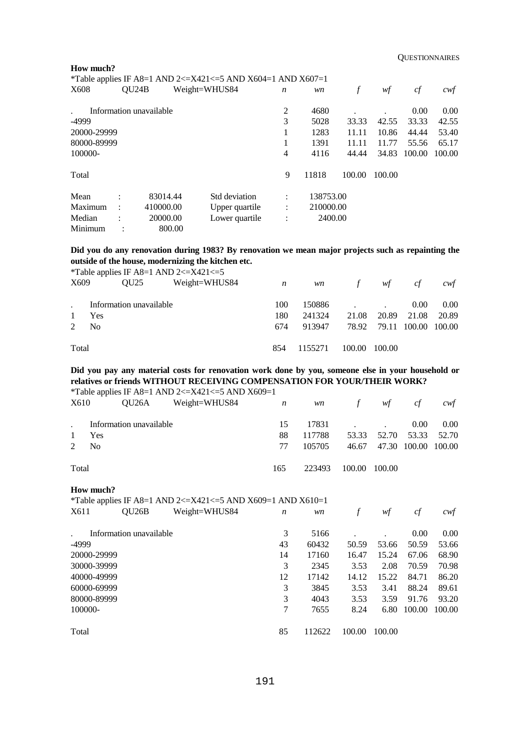|             |                      |                         |        | *Table applies IF A8=1 AND 2<=X421<=5 AND X604=1 AND X607=1 |                  |           |        |        |        |        |
|-------------|----------------------|-------------------------|--------|-------------------------------------------------------------|------------------|-----------|--------|--------|--------|--------|
| X608        |                      | QU24B                   |        | Weight=WHUS84                                               | $\boldsymbol{n}$ | wn        |        | wf     | cf     | cwt    |
|             |                      | Information unavailable |        |                                                             | $\overline{2}$   | 4680      |        |        | 0.00   | 0.00   |
| -4999       |                      |                         |        |                                                             | 3                | 5028      | 33.33  | 42.55  | 33.33  | 42.55  |
| 20000-29999 |                      |                         |        |                                                             |                  | 1283      | 11.11  | 10.86  | 44.44  | 53.40  |
| 80000-89999 |                      |                         |        |                                                             |                  | 1391      | 11.11  | 11.77  | 55.56  | 65.17  |
| 100000-     |                      |                         |        |                                                             | 4                | 4116      | 44.44  | 34.83  | 100.00 | 100.00 |
| Total       |                      |                         |        |                                                             | 9                | 11818     | 100.00 | 100.00 |        |        |
| Mean        | ٠                    | 83014.44                |        | Std deviation                                               | $\ddot{\cdot}$   | 138753.00 |        |        |        |        |
| Maximum     | $\ddot{\phantom{a}}$ | 410000.00               |        | Upper quartile                                              | $\ddot{\cdot}$   | 210000.00 |        |        |        |        |
| Median      | ٠                    | 20000.00                |        | Lower quartile                                              | $\ddot{\cdot}$   | 2400.00   |        |        |        |        |
| Minimum     |                      |                         | 800.00 |                                                             |                  |           |        |        |        |        |

## **Did you do any renovation during 1983? By renovation we mean major projects such as repainting the outside of the house, modernizing the kitchen etc.**

\*Table applies IF A8=1 AND 2<=X421<=5

| X609         | OU25                    | Weight=WHUS84 $n$ |     | <i>wn</i> | f             | wf                                | cf                | cwf   |
|--------------|-------------------------|-------------------|-----|-----------|---------------|-----------------------------------|-------------------|-------|
|              | Information unavailable |                   | 100 | 150886    |               | and the company of the company of | 0.00 <sub>1</sub> | 0.00  |
| $\mathbf{1}$ | Yes                     |                   | 180 | 241324    |               | 21.08 20.89                       | 21.08             | 20.89 |
| 2            | N <sub>0</sub>          |                   | 674 | 913947    |               | 78.92 79.11 100.00 100.00         |                   |       |
| Total        |                         |                   | 854 | 1155271   | 100.00 100.00 |                                   |                   |       |

## **Did you pay any material costs for renovation work done by you, someone else in your household or relatives or friends WITHOUT RECEIVING COMPENSATION FOR YOUR/THEIR WORK?**

\*Table applies IF A8=1 AND 2<=X421<=5 AND X609=1

| X610         |                         | $QU26A$ Weight=WHUS84 $n$ |     | <i>wn</i> |               | f $wf$                    | cf       | cwt  |
|--------------|-------------------------|---------------------------|-----|-----------|---------------|---------------------------|----------|------|
|              | Information unavailable |                           | 15  |           | 17831         |                           | $0.00\,$ | 0.00 |
| $\mathbf{1}$ | Yes                     |                           | 88  | 117788    |               | 53.33 52.70 53.33 52.70   |          |      |
|              | $2 \text{ No}$          |                           | 77  | 105705    |               | 46.67 47.30 100.00 100.00 |          |      |
| Total        |                         |                           | 165 | 223493    | 100.00 100.00 |                           |          |      |

# **How much?**

**How much?** 

|                            | <i>*Table applies IF A8=1 AND 2&lt;=X421&lt;=5 AND X609=1 AND X610=1</i> |    |        |        |        |        |        |
|----------------------------|--------------------------------------------------------------------------|----|--------|--------|--------|--------|--------|
| QU <sub>26</sub> B<br>X611 | Weight=WHUS84                                                            | n  | wn     |        | wf     | cf     | cwt    |
| Information unavailable    |                                                                          | 3  | 5166   |        |        | 0.00   | 0.00   |
| -4999                      |                                                                          | 43 | 60432  | 50.59  | 53.66  | 50.59  | 53.66  |
| 20000-29999                |                                                                          | 14 | 17160  | 16.47  | 15.24  | 67.06  | 68.90  |
| 30000-39999                |                                                                          | 3  | 2345   | 3.53   | 2.08   | 70.59  | 70.98  |
| 40000-49999                |                                                                          | 12 | 17142  | 14.12  | 15.22  | 84.71  | 86.20  |
| 60000-69999                |                                                                          | 3  | 3845   | 3.53   | 3.41   | 88.24  | 89.61  |
| 80000-89999                |                                                                          | 3  | 4043   | 3.53   | 3.59   | 91.76  | 93.20  |
| 100000-                    |                                                                          | 7  | 7655   | 8.24   | 6.80   | 100.00 | 100.00 |
| Total                      |                                                                          | 85 | 112622 | 100.00 | 100.00 |        |        |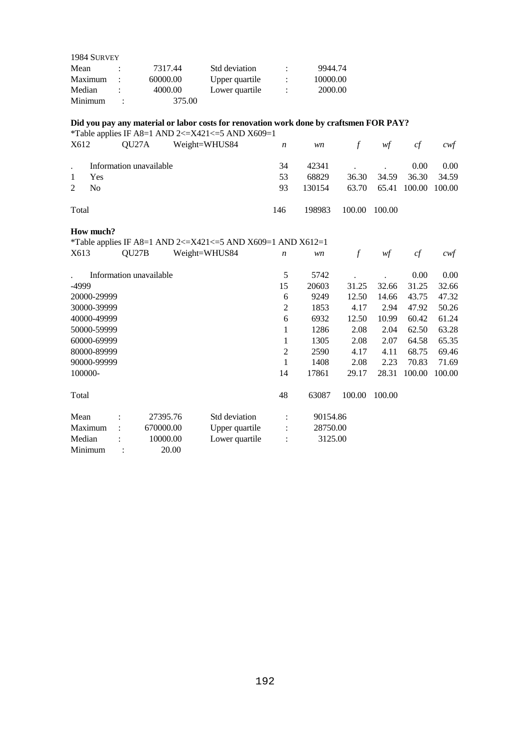| 1984 SURVEY |                      |          |                |          |
|-------------|----------------------|----------|----------------|----------|
| Mean        |                      | 7317.44  | Std deviation  | 9944.74  |
| Maximum     | $\ddot{\phantom{a}}$ | 60000.00 | Upper quartile | 10000.00 |
| Median      |                      | 4000.00  | Lower quartile | 2000.00  |
| Minimum     | $\ddot{\cdot}$       | 375.00   |                |          |

## **Did you pay any material or labor costs for renovation work done by craftsmen FOR PAY?**

\*Table applies IF A8=1 AND 2<= $X421 \le$ =5 AND  $X609=1$ 

| X612  | OU27A                   | Weight=WHUS84 | $\overline{n}$ | <i>wn</i> | f             | wf                        | cf                | cwt      |
|-------|-------------------------|---------------|----------------|-----------|---------------|---------------------------|-------------------|----------|
|       | Information unavailable |               | 34             |           | 42341         |                           | 0.00 <sub>1</sub> | $0.00\,$ |
|       | Yes                     |               | 53             | 68829     |               | 36.30 34.59 36.30         |                   | 34.59    |
| 2     | N <sub>0</sub>          |               | 93             | 130154    |               | 63.70 65.41 100.00 100.00 |                   |          |
| Total |                         |               | 146            | 198983    | 100.00 100.00 |                           |                   |          |

## **How much?**

\*Table applies IF A8=1 AND 2<=X421<=5 AND X609=1 AND X612=1

| X613        | QU27B                   |           | Weight=WHUS84  | $\boldsymbol{n}$ | wn       | f      | wf     | cf     | $c$ wf |
|-------------|-------------------------|-----------|----------------|------------------|----------|--------|--------|--------|--------|
|             | Information unavailable |           |                | 5                | 5742     |        |        | 0.00   | 0.00   |
| -4999       |                         |           |                | 15               | 20603    | 31.25  | 32.66  | 31.25  | 32.66  |
| 20000-29999 |                         |           |                | 6                | 9249     | 12.50  | 14.66  | 43.75  | 47.32  |
| 30000-39999 |                         |           |                | $\overline{2}$   | 1853     | 4.17   | 2.94   | 47.92  | 50.26  |
| 40000-49999 |                         |           |                | 6                | 6932     | 12.50  | 10.99  | 60.42  | 61.24  |
| 50000-59999 |                         |           |                | 1                | 1286     | 2.08   | 2.04   | 62.50  | 63.28  |
| 60000-69999 |                         |           |                | $\mathbf{1}$     | 1305     | 2.08   | 2.07   | 64.58  | 65.35  |
| 80000-89999 |                         |           |                | 2                | 2590     | 4.17   | 4.11   | 68.75  | 69.46  |
| 90000-99999 |                         |           |                | $\mathbf{1}$     | 1408     | 2.08   | 2.23   | 70.83  | 71.69  |
| 100000-     |                         |           |                | 14               | 17861    | 29.17  | 28.31  | 100.00 | 100.00 |
| Total       |                         |           |                | 48               | 63087    | 100.00 | 100.00 |        |        |
| Mean        |                         | 27395.76  | Std deviation  | ÷                | 90154.86 |        |        |        |        |
| Maximum     |                         | 670000.00 | Upper quartile |                  | 28750.00 |        |        |        |        |
| Median      |                         | 10000.00  | Lower quartile |                  | 3125.00  |        |        |        |        |
| Minimum     |                         | 20.00     |                |                  |          |        |        |        |        |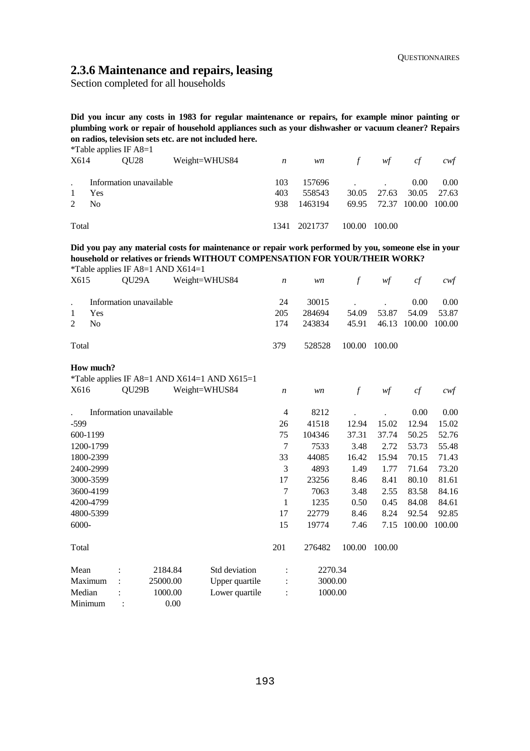# **2.3.6 Maintenance and repairs, leasing**

Section completed for all households

**Did you incur any costs in 1983 for regular maintenance or repairs, for example minor painting or plumbing work or repair of household appliances such as your dishwasher or vacuum cleaner? Repairs on radios, television sets etc. are not included here.** 

|       |                | *Table applies IF $A8=1$ |               |                  |         |        |       |        |        |
|-------|----------------|--------------------------|---------------|------------------|---------|--------|-------|--------|--------|
| X614  |                | OU28                     | Weight=WHUS84 | $\boldsymbol{n}$ | wn      | f      | wf    | cf     | cwt    |
|       |                |                          |               |                  | 157696  |        |       |        |        |
|       |                | Information unavailable  |               | 103              |         |        |       | 0.00   | 0.00   |
|       | Yes            |                          |               | 403              | 558543  | 30.05  | 27.63 | 30.05  | 27.63  |
| 2     | N <sub>0</sub> |                          |               | 938              | 1463194 | 69.95  | 72.37 | 100.00 | 100.00 |
|       |                |                          |               |                  |         |        |       |        |        |
| Total |                |                          | 1341          | 2021737          | 100.00  | 100.00 |       |        |        |

**Did you pay any material costs for maintenance or repair work performed by you, someone else in your household or relatives or friends WITHOUT COMPENSATION FOR YOUR/THEIR WORK?**  \*Table applies IF  $\Delta 8=1$  AND  $\text{X}614=1$ 

| X615                 |                | $14010$ applies $\mu$ $110-1$ $1\mu$ $1\sigma$ $1101$ $-1$<br>QU <sub>29</sub> A |          | Weight=WHUS84                                |                | $\boldsymbol{n}$ | wn      | $\boldsymbol{f}$ | w f            | cf     | $c \mathsf{w} f$ |
|----------------------|----------------|----------------------------------------------------------------------------------|----------|----------------------------------------------|----------------|------------------|---------|------------------|----------------|--------|------------------|
| $\ddot{\phantom{0}}$ |                | Information unavailable                                                          |          |                                              |                | 24               | 30015   |                  |                | 0.00   | 0.00             |
| 1                    | Yes            |                                                                                  |          |                                              |                | 205              | 284694  | 54.09            | 53.87          | 54.09  | 53.87            |
| 2                    | N <sub>o</sub> |                                                                                  |          |                                              |                | 174              | 243834  | 45.91            | 46.13          | 100.00 | 100.00           |
| Total                |                |                                                                                  |          |                                              |                | 379              | 528528  | 100.00           | 100.00         |        |                  |
|                      | How much?      |                                                                                  |          |                                              |                |                  |         |                  |                |        |                  |
|                      |                |                                                                                  |          | *Table applies IF A8=1 AND X614=1 AND X615=1 |                |                  |         |                  |                |        |                  |
| X616                 |                | QU <sub>29</sub> B                                                               |          | Weight=WHUS84                                |                | $\boldsymbol{n}$ | wn      | $\mathcal{f}$    | $\mathcal{W}f$ | cf     | $c$ wf           |
|                      |                | Information unavailable                                                          |          |                                              |                | $\overline{4}$   | 8212    |                  |                | 0.00   | 0.00             |
| $-599$               |                |                                                                                  |          |                                              |                | 26               | 41518   | 12.94            | 15.02          | 12.94  | 15.02            |
| 600-1199             |                |                                                                                  |          |                                              |                | 75               | 104346  | 37.31            | 37.74          | 50.25  | 52.76            |
|                      | 1200-1799      |                                                                                  |          |                                              |                | 7                | 7533    | 3.48             | 2.72           | 53.73  | 55.48            |
|                      | 1800-2399      |                                                                                  |          |                                              |                | 33               | 44085   | 16.42            | 15.94          | 70.15  | 71.43            |
|                      | 2400-2999      |                                                                                  |          |                                              |                | 3                | 4893    | 1.49             | 1.77           | 71.64  | 73.20            |
|                      | 3000-3599      |                                                                                  |          |                                              |                | 17               | 23256   | 8.46             | 8.41           | 80.10  | 81.61            |
|                      | 3600-4199      |                                                                                  |          |                                              |                | 7                | 7063    | 3.48             | 2.55           | 83.58  | 84.16            |
|                      | 4200-4799      |                                                                                  |          |                                              |                | 1                | 1235    | 0.50             | 0.45           | 84.08  | 84.61            |
|                      | 4800-5399      |                                                                                  |          |                                              |                | 17               | 22779   | 8.46             | 8.24           | 92.54  | 92.85            |
| 6000-                |                |                                                                                  |          |                                              |                | 15               | 19774   | 7.46             | 7.15           | 100.00 | 100.00           |
| Total                |                |                                                                                  |          |                                              |                | 201              | 276482  | 100.00           | 100.00         |        |                  |
| Mean                 |                |                                                                                  | 2184.84  |                                              | Std deviation  | $\ddot{\cdot}$   | 2270.34 |                  |                |        |                  |
| Maximum              |                |                                                                                  | 25000.00 |                                              | Upper quartile |                  | 3000.00 |                  |                |        |                  |
| Median               |                |                                                                                  | 1000.00  |                                              | Lower quartile |                  | 1000.00 |                  |                |        |                  |
| Minimum              |                |                                                                                  | 0.00     |                                              |                |                  |         |                  |                |        |                  |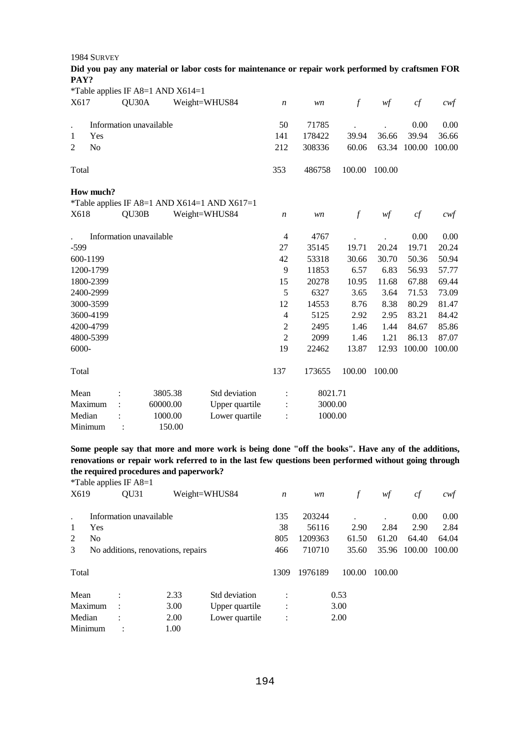1984 SURVEY

| Did you pay any material or labor costs for maintenance or repair work performed by craftsmen FOR |  |
|---------------------------------------------------------------------------------------------------|--|
| PAY?                                                                                              |  |

|                |                |       | *Table applies IF A8=1 AND $X614=1$ |                                              |                  |         |               |        |        |                   |
|----------------|----------------|-------|-------------------------------------|----------------------------------------------|------------------|---------|---------------|--------|--------|-------------------|
| X617           |                | QU30A |                                     | Weight=WHUS84                                | $\boldsymbol{n}$ | wn      | $\mathcal{f}$ | wf     | cf     | $c$ wf            |
| $\cdot$        |                |       | Information unavailable             |                                              | 50               | 71785   |               |        | 0.00   | 0.00              |
| 1              | Yes            |       |                                     |                                              | 141              | 178422  | 39.94         | 36.66  | 39.94  | 36.66             |
| $\overline{2}$ | N <sub>0</sub> |       |                                     |                                              | 212              | 308336  | 60.06         | 63.34  | 100.00 | 100.00            |
| Total          |                |       |                                     |                                              | 353              | 486758  | 100.00        | 100.00 |        |                   |
|                | How much?      |       |                                     |                                              |                  |         |               |        |        |                   |
|                |                |       |                                     | *Table applies IF A8=1 AND X614=1 AND X617=1 |                  |         |               |        |        |                   |
| X618           |                | QU30B |                                     | Weight=WHUS84                                | $\boldsymbol{n}$ | wn      | $\mathcal{f}$ | wf     | cf     | $c \mathcal{w} f$ |
|                |                |       | Information unavailable             |                                              | 4                | 4767    |               |        | 0.00   | 0.00              |
| $-599$         |                |       |                                     |                                              | 27               | 35145   | 19.71         | 20.24  | 19.71  | 20.24             |
|                | 600-1199       |       |                                     |                                              | 42               | 53318   | 30.66         | 30.70  | 50.36  | 50.94             |
|                | 1200-1799      |       |                                     |                                              | 9                | 11853   | 6.57          | 6.83   | 56.93  | 57.77             |
|                | 1800-2399      |       |                                     |                                              | 15               | 20278   | 10.95         | 11.68  | 67.88  | 69.44             |
|                | 2400-2999      |       |                                     |                                              | 5                | 6327    | 3.65          | 3.64   | 71.53  | 73.09             |
|                | 3000-3599      |       |                                     |                                              | 12               | 14553   | 8.76          | 8.38   | 80.29  | 81.47             |
|                | 3600-4199      |       |                                     |                                              | 4                | 5125    | 2.92          | 2.95   | 83.21  | 84.42             |
|                | 4200-4799      |       |                                     |                                              | $\overline{c}$   | 2495    | 1.46          | 1.44   | 84.67  | 85.86             |
|                | 4800-5399      |       |                                     |                                              | $\overline{2}$   | 2099    | 1.46          | 1.21   | 86.13  | 87.07             |
| 6000-          |                |       |                                     |                                              | 19               | 22462   | 13.87         | 12.93  | 100.00 | 100.00            |
| Total          |                |       |                                     |                                              | 137              | 173655  | 100.00        | 100.00 |        |                   |
| Mean           |                |       | 3805.38                             | Std deviation                                | $\ddot{\cdot}$   | 8021.71 |               |        |        |                   |
|                | Maximum        |       | 60000.00                            | Upper quartile                               | $\ddot{\cdot}$   | 3000.00 |               |        |        |                   |
| Median         |                |       | 1000.00                             | Lower quartile                               |                  | 1000.00 |               |        |        |                   |
|                | Minimum        |       | 150.00                              |                                              |                  |         |               |        |        |                   |

**Some people say that more and more work is being done "off the books". Have any of the additions, renovations or repair work referred to in the last few questions been performed without going through the required procedures and paperwork?** 

|                |     | <i>*</i> Table applies IF $A8=1$ |                                    |                |                  |         |        |        |        |        |
|----------------|-----|----------------------------------|------------------------------------|----------------|------------------|---------|--------|--------|--------|--------|
| X619           |     | <b>OU31</b>                      |                                    | Weight=WHUS84  | $\boldsymbol{n}$ | wn      | f      | wf     | cf     | cwf    |
|                |     | Information unavailable          |                                    |                | 135              | 203244  |        | ٠      | 0.00   | 0.00   |
| 1              | Yes |                                  |                                    |                | 38               | 56116   | 2.90   | 2.84   | 2.90   | 2.84   |
| 2              | No  |                                  |                                    |                | 805              | 1209363 | 61.50  | 61.20  | 64.40  | 64.04  |
| 3              |     |                                  | No additions, renovations, repairs |                | 466              | 710710  | 35.60  | 35.96  | 100.00 | 100.00 |
| Total          |     |                                  |                                    |                | 1309             | 1976189 | 100.00 | 100.00 |        |        |
| Mean           |     | $\bullet$                        | 2.33                               | Std deviation  | $\bullet$        |         | 0.53   |        |        |        |
| Maximum        |     | $\ddot{\phantom{a}}$             | 3.00                               | Upper quartile | $\ddot{\cdot}$   |         | 3.00   |        |        |        |
| 2.00<br>Median |     | Lower quartile                   | $\ddot{\cdot}$                     |                | 2.00             |         |        |        |        |        |
| Minimum        |     |                                  | 1.00                               |                |                  |         |        |        |        |        |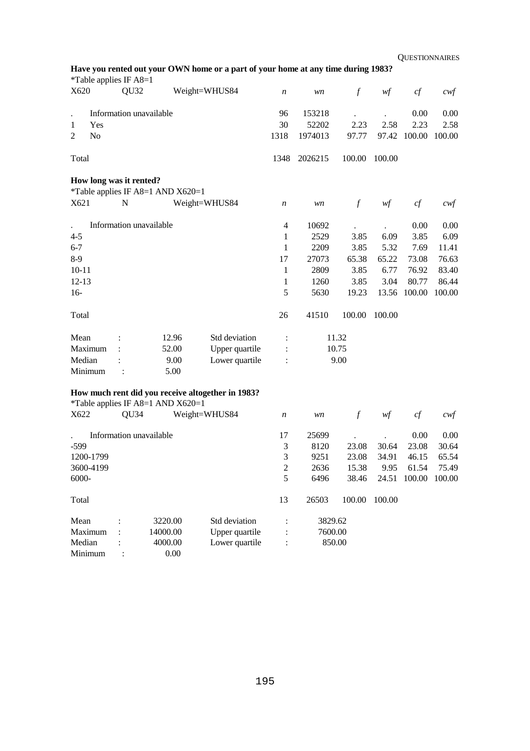| Have you rented out your OWN home or a part of your home at any time during 1983? |  |  |  |  |
|-----------------------------------------------------------------------------------|--|--|--|--|
|-----------------------------------------------------------------------------------|--|--|--|--|

| X620              | *Table applies IF A8=1<br>QU <sub>32</sub> |                                     | Weight=WHUS84                                     | n              | wn      | $\mathcal{f}$    | wf     | cf                  | $c \mathcal{w} f$ |
|-------------------|--------------------------------------------|-------------------------------------|---------------------------------------------------|----------------|---------|------------------|--------|---------------------|-------------------|
|                   |                                            |                                     |                                                   |                |         |                  |        |                     |                   |
|                   | Information unavailable                    |                                     |                                                   | 96             | 153218  |                  |        | 0.00                | 0.00              |
| Yes<br>1          |                                            |                                     |                                                   | 30             | 52202   | 2.23             | 2.58   | 2.23                | 2.58              |
| 2<br>No           |                                            |                                     |                                                   | 1318           | 1974013 | 97.77            | 97.42  | 100.00              | 100.00            |
| Total             |                                            |                                     |                                                   | 1348           | 2026215 | 100.00           | 100.00 |                     |                   |
|                   | How long was it rented?                    | *Table applies IF A8=1 AND X620=1   |                                                   |                |         |                  |        |                     |                   |
|                   | ${\bf N}$                                  |                                     |                                                   |                |         |                  |        |                     |                   |
| X621              |                                            |                                     | Weight=WHUS84                                     | n              | wn      | $\mathcal{f}$    | wf     | cf                  | $c$ wf            |
|                   | Information unavailable                    |                                     |                                                   | $\overline{4}$ | 10692   |                  |        | 0.00                | 0.00              |
| $4 - 5$           |                                            |                                     |                                                   | 1              | 2529    | 3.85             | 6.09   | 3.85                | 6.09              |
| $6 - 7$           |                                            |                                     |                                                   | 1              | 2209    | 3.85             | 5.32   | 7.69                | 11.41             |
| $8-9$             |                                            |                                     |                                                   | 17             | 27073   | 65.38            | 65.22  | 73.08               | 76.63             |
| $10 - 11$         |                                            |                                     |                                                   | 1              | 2809    | 3.85             | 6.77   | 76.92               | 83.40             |
| $12 - 13$         |                                            |                                     |                                                   | 1              | 1260    | 3.85             | 3.04   | 80.77               | 86.44             |
| $16-$             |                                            |                                     |                                                   | 5              | 5630    | 19.23            | 13.56  | 100.00              | 100.00            |
| Total             |                                            |                                     |                                                   | 26             | 41510   | 100.00           | 100.00 |                     |                   |
| Mean              |                                            | 12.96                               | Std deviation                                     | $\ddot{\cdot}$ |         | 11.32            |        |                     |                   |
| Maximum           |                                            | 52.00                               | Upper quartile                                    |                |         | 10.75            |        |                     |                   |
| Median            |                                            | 9.00                                | Lower quartile                                    |                |         | 9.00             |        |                     |                   |
| Minimum           |                                            | 5.00                                |                                                   |                |         |                  |        |                     |                   |
|                   |                                            |                                     | How much rent did you receive altogether in 1983? |                |         |                  |        |                     |                   |
|                   |                                            | *Table applies IF A8=1 AND $X620=1$ |                                                   |                |         |                  |        |                     |                   |
| X622              | QU <sub>34</sub>                           |                                     | Weight=WHUS84                                     | n              | wn      | $\boldsymbol{f}$ | wf     | cf                  | $c$ wf            |
|                   | Information unavailable                    |                                     |                                                   | 17             | 25699   |                  |        | 0.00                | 0.00              |
| $-599$            |                                            |                                     |                                                   | 3              | 8120    | 23.08            | 30.64  | 23.08               | 30.64             |
| 1200-1799         |                                            |                                     |                                                   | 3              | 9251    | 23.08            | 34.91  | 46.15               | 65.54             |
| 3600-4199         |                                            |                                     |                                                   | $\overline{2}$ | 2636    | 15.38            | 9.95   | 61.54               | 75.49             |
| 6000-             |                                            |                                     |                                                   | 5              | 6496    | 38.46            |        | 24.51 100.00 100.00 |                   |
| Total             |                                            |                                     |                                                   | 13             | 26503   | 100.00           | 100.00 |                     |                   |
| Mean              |                                            | 3220.00                             | Std deviation                                     | :              | 3829.62 |                  |        |                     |                   |
| Maximum           |                                            | 14000.00                            | Upper quartile                                    |                | 7600.00 |                  |        |                     |                   |
| Median<br>Minimum |                                            | 4000.00<br>0.00                     | Lower quartile                                    | $\ddot{\cdot}$ | 850.00  |                  |        |                     |                   |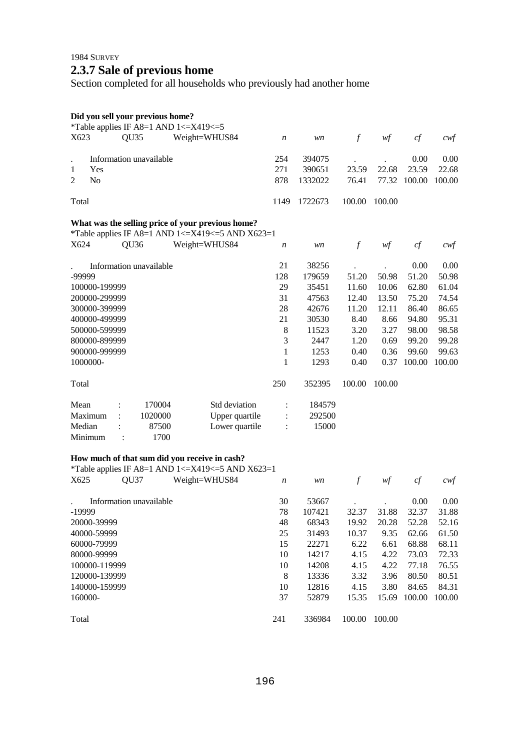1984 SURVEY

## **2.3.7 Sale of previous home**

Section completed for all households who previously had another home

|  |  | Did you sell your previous home? |  |
|--|--|----------------------------------|--|
|  |  |                                  |  |

| X623   |                                                   | QU <sub>35</sub> |                         | *Table applies IF A8=1 AND $1 \le X419 \le 5$<br>Weight=WHUS84                                                                                                                      |      |         |               |        |        |        |
|--------|---------------------------------------------------|------------------|-------------------------|-------------------------------------------------------------------------------------------------------------------------------------------------------------------------------------|------|---------|---------------|--------|--------|--------|
|        |                                                   |                  |                         |                                                                                                                                                                                     | n    | wn      | $\mathcal{f}$ | wf     | cf     | $c$ wf |
|        |                                                   |                  | Information unavailable |                                                                                                                                                                                     | 254  | 394075  |               |        | 0.00   | 0.00   |
| 1      | Yes                                               |                  |                         |                                                                                                                                                                                     | 271  | 390651  | 23.59         | 22.68  | 23.59  | 22.68  |
| 2      | N <sub>o</sub>                                    |                  |                         |                                                                                                                                                                                     | 878  | 1332022 | 76.41         | 77.32  | 100.00 | 100.00 |
| Total  |                                                   |                  |                         |                                                                                                                                                                                     | 1149 | 1722673 | 100.00        | 100.00 |        |        |
|        | What was the selling price of your previous home? |                  |                         |                                                                                                                                                                                     |      |         |               |        |        |        |
|        |                                                   |                  |                         | *Table applies IF A8=1 AND 1 <= $X419$ <= 5 AND $X623=1$                                                                                                                            |      |         |               |        |        |        |
| X624   |                                                   | QU <sub>36</sub> |                         | Weight=WHUS84                                                                                                                                                                       | n    | wn      | $\mathcal{f}$ | w f    | cf     | $c$ wf |
|        |                                                   |                  | Information unavailable |                                                                                                                                                                                     | 21   | 38256   |               |        | 0.00   | 0.00   |
| -99999 |                                                   |                  |                         |                                                                                                                                                                                     | 128  | 179659  | 51.20         | 50.98  | 51.20  | 50.98  |
|        | 100000-199999                                     |                  |                         |                                                                                                                                                                                     | 29   | 35451   | 11.60         | 10.06  | 62.80  | 61.04  |
|        | 200000-299999                                     |                  |                         |                                                                                                                                                                                     | 31   | 47563   | 12.40         | 13.50  | 75.20  | 74.54  |
|        | 300000-399999                                     |                  |                         |                                                                                                                                                                                     | 28   | 42676   | 11.20         | 12.11  | 86.40  | 86.65  |
|        | 400000-499999                                     |                  |                         |                                                                                                                                                                                     | 21   | 30530   | 8.40          | 8.66   | 94.80  | 95.31  |
|        | 500000-599999                                     |                  |                         |                                                                                                                                                                                     | 8    | 11523   | 3.20          | 3.27   | 98.00  | 98.58  |
|        | 800000-899999                                     |                  |                         |                                                                                                                                                                                     | 3    | 2447    | 1.20          | 0.69   | 99.20  | 99.28  |
|        | 900000-999999                                     |                  |                         |                                                                                                                                                                                     | 1    | 1253    | 0.40          | 0.36   | 99.60  | 99.63  |
|        | 1000000-                                          |                  |                         |                                                                                                                                                                                     | 1    | 1293    | 0.40          | 0.37   | 100.00 | 100.00 |
| Total  |                                                   |                  |                         |                                                                                                                                                                                     | 250  | 352395  | 100.00        | 100.00 |        |        |
| Mean   |                                                   |                  | 170004                  | Std deviation                                                                                                                                                                       |      | 184579  |               |        |        |        |
|        | Maximum                                           |                  | 1020000                 | Upper quartile                                                                                                                                                                      |      | 292500  |               |        |        |        |
| Median |                                                   |                  | 87500                   | Lower quartile                                                                                                                                                                      |      | 15000   |               |        |        |        |
|        | Minimum                                           |                  | 1700                    |                                                                                                                                                                                     |      |         |               |        |        |        |
|        |                                                   |                  |                         | How much of that sum did you receive in cash?<br>$\mathbf{F}$ in $\mathbf{F}$ and $\mathbf{F}$ and $\mathbf{F}$ and $\mathbf{F}$ and $\mathbf{F}$ and $\mathbf{F}$ and $\mathbf{F}$ |      |         |               |        |        |        |

|                   |                         | *Table applies IF A8=1 AND $1 \le$ X419 $\le$ 5 AND X623=1 |                  |        |        |        |        |        |
|-------------------|-------------------------|------------------------------------------------------------|------------------|--------|--------|--------|--------|--------|
| X <sub>6</sub> 25 | OU <sub>37</sub>        | Weight=WHUS84                                              | $\boldsymbol{n}$ | wn     |        | wf     | cf     | cwt    |
|                   | Information unavailable |                                                            | 30               | 53667  |        |        | 0.00   | 0.00   |
| -19999            |                         |                                                            | 78               | 107421 | 32.37  | 31.88  | 32.37  | 31.88  |
| 20000-39999       |                         |                                                            | 48               | 68343  | 19.92  | 20.28  | 52.28  | 52.16  |
| 40000-59999       |                         |                                                            | 25               | 31493  | 10.37  | 9.35   | 62.66  | 61.50  |
| 60000-79999       |                         |                                                            | 15               | 22271  | 6.22   | 6.61   | 68.88  | 68.11  |
| 80000-99999       |                         |                                                            | 10               | 14217  | 4.15   | 4.22   | 73.03  | 72.33  |
| 100000-119999     |                         |                                                            | 10               | 14208  | 4.15   | 4.22   | 77.18  | 76.55  |
| 120000-139999     |                         |                                                            | 8                | 13336  | 3.32   | 3.96   | 80.50  | 80.51  |
| 140000-159999     |                         |                                                            | 10               | 12816  | 4.15   | 3.80   | 84.65  | 84.31  |
| 160000-           |                         |                                                            | 37               | 52879  | 15.35  | 15.69  | 100.00 | 100.00 |
| Total             |                         |                                                            | 241              | 336984 | 100.00 | 100.00 |        |        |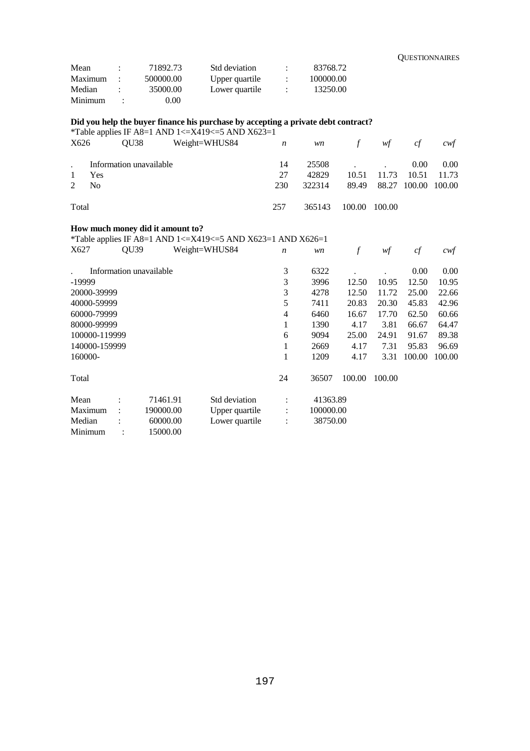| Mean    | $\cdot$ | 71892.73  | Std deviation  |                | 83768.72  |
|---------|---------|-----------|----------------|----------------|-----------|
| Maximum |         | 500000.00 | Upper quartile | $\mathbb{R}^2$ | 100000.00 |
| Median  | ٠.      | 35000.00  | Lower quartile | $\mathcal{L}$  | 13250.00  |
| Minimum |         | 0.00      |                |                |           |

## **Did you help the buyer finance his purchase by accepting a private debt contract?**

\*Table applies IF A8=1 AND 1 <=  $X$ 419 <= 5 AND  $X$ 623=1

| X626         | OU38                    | Weight=WHUS84 $n$ |     |        | $w\mathbf{n}$ f | wf                        | cf                | cwf   |
|--------------|-------------------------|-------------------|-----|--------|-----------------|---------------------------|-------------------|-------|
|              | Information unavailable |                   | 14  |        | 25508           |                           | 0.00 <sub>1</sub> | 0.00  |
| $\mathbf{1}$ | Yes                     |                   | 27  | 42829  |                 | 10.51 11.73               | 10.51             | 11.73 |
| 2            | N <sub>0</sub>          |                   | 230 | 322314 |                 | 89.49 88.27 100.00 100.00 |                   |       |
| Total        |                         |                   | 257 | 365143 | 100.00 100.00   |                           |                   |       |

## **How much money did it amount to?**

\*Table applies IF A8=1 AND 1<=X419<=5 AND X623=1 AND X626=1

| X627          | QU <sub>39</sub>     |                         | Weight=WHUS84  | $\boldsymbol{n}$ | wn        | f      | wf     | cf     | cwf    |
|---------------|----------------------|-------------------------|----------------|------------------|-----------|--------|--------|--------|--------|
|               |                      | Information unavailable |                | 3                | 6322      |        |        | 0.00   | 0.00   |
| -19999        |                      |                         |                | 3                | 3996      | 12.50  | 10.95  | 12.50  | 10.95  |
| 20000-39999   |                      |                         |                | 3                | 4278      | 12.50  | 11.72  | 25.00  | 22.66  |
| 40000-59999   |                      |                         |                | 5                | 7411      | 20.83  | 20.30  | 45.83  | 42.96  |
| 60000-79999   |                      |                         |                | 4                | 6460      | 16.67  | 17.70  | 62.50  | 60.66  |
| 80000-99999   |                      |                         |                | 1                | 1390      | 4.17   | 3.81   | 66.67  | 64.47  |
|               | 100000-119999        |                         |                | 6                | 9094      | 25.00  | 24.91  | 91.67  | 89.38  |
| 140000-159999 |                      |                         |                | 1                | 2669      | 4.17   | 7.31   | 95.83  | 96.69  |
| 160000-       |                      |                         |                | 1                | 1209      | 4.17   | 3.31   | 100.00 | 100.00 |
| Total         |                      |                         |                | 24               | 36507     | 100.00 | 100.00 |        |        |
| Mean          |                      | 71461.91                | Std deviation  | $\ddot{\cdot}$   | 41363.89  |        |        |        |        |
| Maximum       | $\ddot{\phantom{a}}$ | 190000.00               | Upper quartile | $\ddot{\cdot}$   | 100000.00 |        |        |        |        |
| Median        |                      | 60000.00                | Lower quartile | $\ddot{\cdot}$   | 38750.00  |        |        |        |        |
| Minimum       |                      | 15000.00                |                |                  |           |        |        |        |        |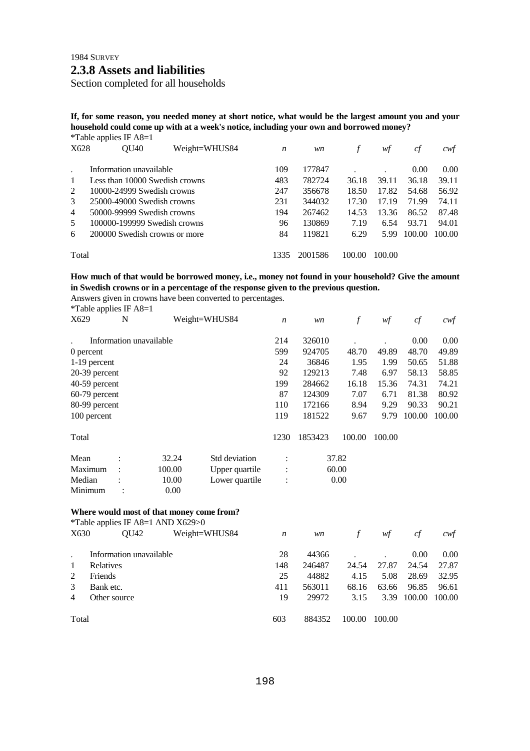1984 SURVEY

## **2.3.8 Assets and liabilities**

Section completed for all households

**If, for some reason, you needed money at short notice, what would be the largest amount you and your household could come up with at a week's notice, including your own and borrowed money?**  \*Table applies  $IF A8-1$ 

|                | $1 \text{ and } \text{approx } \text{if } \text{row} = 1$ |               |                  |         |        |        |        |        |
|----------------|-----------------------------------------------------------|---------------|------------------|---------|--------|--------|--------|--------|
| X628           | <b>OU40</b>                                               | Weight=WHUS84 | $\boldsymbol{n}$ | wn      |        | wt     | сf     | cwt    |
|                | Information unavailable                                   |               | 109              | 177847  |        |        | 0.00   | 0.00   |
| 1              | Less than 10000 Swedish crowns                            |               | 483              | 782724  | 36.18  | 39.11  | 36.18  | 39.11  |
| 2              | 10000-24999 Swedish crowns                                | 247           | 356678           | 18.50   | 17.82  | 54.68  | 56.92  |        |
| 3              | 25000-49000 Swedish crowns                                |               | 231              | 344032  | 17.30  | 17.19  | 71.99  | 74.11  |
| $\overline{4}$ | 50000-99999 Swedish crowns                                |               | 194              | 267462  | 14.53  | 13.36  | 86.52  | 87.48  |
| 5              | 100000-199999 Swedish crowns                              |               | 96               | 130869  | 7.19   | 6.54   | 93.71  | 94.01  |
| 6              | 200000 Swedish crowns or more                             |               | 84               | 119821  | 6.29   | 5.99   | 100.00 | 100.00 |
| Total          |                                                           |               | 1335             | 2001586 | 100.00 | 100.00 |        |        |

### **How much of that would be borrowed money, i.e., money not found in your household? Give the amount in Swedish crowns or in a percentage of the response given to the previous question.**

Answers given in crowns have been converted to percentages.<br> $*$ Teble englise IE A 8–1  $\frac{1}{2}$  is a IF A8=1

| $\degree$ Lable applies IF A8=1 |                 |                         |                |                  |         |        |        |        |        |
|---------------------------------|-----------------|-------------------------|----------------|------------------|---------|--------|--------|--------|--------|
| X629                            | N               |                         | Weight=WHUS84  | $\boldsymbol{n}$ | wn      | f      | wf     | cf     | cwf    |
|                                 |                 | Information unavailable |                | 214              | 326010  |        |        | 0.00   | 0.00   |
| 0 percent                       |                 |                         |                | 599              | 924705  | 48.70  | 49.89  | 48.70  | 49.89  |
| 1-19 percent                    |                 |                         |                | 24               | 36846   | 1.95   | 1.99   | 50.65  | 51.88  |
| $20-39$ percent                 |                 |                         |                | 92               | 129213  | 7.48   | 6.97   | 58.13  | 58.85  |
| 40-59 percent                   |                 |                         |                | 199              | 284662  | 16.18  | 15.36  | 74.31  | 74.21  |
|                                 | $60-79$ percent |                         |                |                  | 124309  | 7.07   | 6.71   | 81.38  | 80.92  |
| 80-99 percent                   |                 |                         |                | 110              | 172166  | 8.94   | 9.29   | 90.33  | 90.21  |
| 100 percent                     |                 |                         |                | 119              | 181522  | 9.67   | 9.79   | 100.00 | 100.00 |
| Total                           |                 |                         |                | 1230             | 1853423 | 100.00 | 100.00 |        |        |
| Mean                            |                 | 32.24                   | Std deviation  | $\bullet$        |         | 37.82  |        |        |        |
| Maximum                         |                 | 100.00                  | Upper quartile | $\ddot{\cdot}$   |         | 60.00  |        |        |        |
| Median                          |                 | 10.00                   | Lower quartile | $\ddot{\cdot}$   |         | 0.00   |        |        |        |
| Minimum                         |                 | 0.00                    |                |                  |         |        |        |        |        |
|                                 |                 |                         |                |                  |         |        |        |        |        |

#### **Where would most of that money come from?**

|                | *Table applies IF A8=1 AND X629>0 |               |     |        |        |        |        |        |
|----------------|-----------------------------------|---------------|-----|--------|--------|--------|--------|--------|
| X630           | OU42                              | Weight=WHUS84 | n   | wn     |        | wf     | сf     | cwt    |
|                | Information unavailable           |               | 28  | 44366  |        |        | 0.00   | 0.00   |
| 1              | <b>Relatives</b>                  |               | 148 | 246487 | 24.54  | 27.87  | 24.54  | 27.87  |
| 2              | Friends                           |               | 25  | 44882  | 4.15   | 5.08   | 28.69  | 32.95  |
| 3              | Bank etc.                         |               | 411 | 563011 | 68.16  | 63.66  | 96.85  | 96.61  |
| $\overline{4}$ | Other source                      |               | 19  | 29972  | 3.15   | 3.39   | 100.00 | 100.00 |
| Total          |                                   |               | 603 | 884352 | 100.00 | 100.00 |        |        |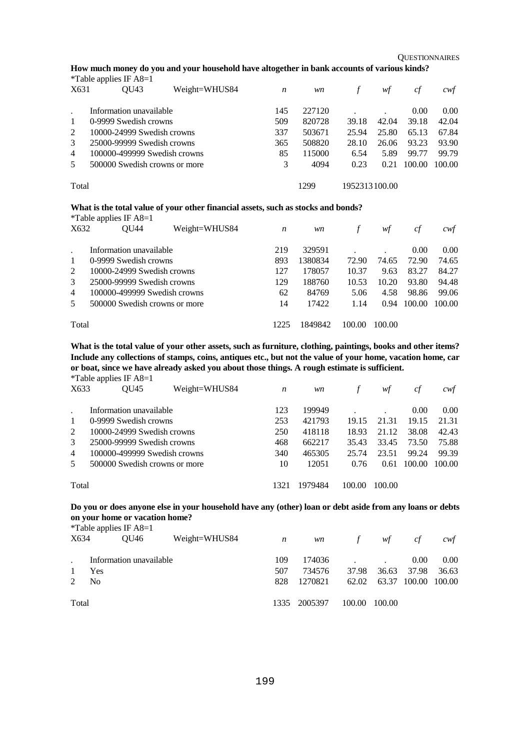**OUESTIONNAIRES** 

**How much money do you and your household have altogether in bank accounts of various kinds?** 

|                | *Table applies IF $A8=1$      |               |     |        |               |       |        |        |
|----------------|-------------------------------|---------------|-----|--------|---------------|-------|--------|--------|
| X631           | OU43                          | Weight=WHUS84 | n   | wn     |               | wf    | cf     | cwt    |
|                | Information unavailable       |               | 145 | 227120 |               |       | 0.00   | 0.00   |
| $\mathbf{1}$   | 0-9999 Swedish crowns         |               | 509 | 820728 | 39.18         | 42.04 | 39.18  | 42.04  |
| 2              | 10000-24999 Swedish crowns    |               | 337 | 503671 | 25.94         | 25.80 | 65.13  | 67.84  |
| 3              | 25000-99999 Swedish crowns    |               | 365 | 508820 | 28.10         | 26.06 | 93.23  | 93.90  |
| $\overline{4}$ | 100000-499999 Swedish crowns  |               | 85  | 115000 | 6.54          | 5.89  | 99.77  | 99.79  |
| 5              | 500000 Swedish crowns or more |               | 3   | 4094   | 0.23          | 0.21  | 100.00 | 100.00 |
| Total          |                               |               |     | 1299   | 1952313100.00 |       |        |        |

#### **What is the total value of your other financial assets, such as stocks and bonds?**

|                | *Table applies IF $A8=1$       |               |      |         |        |        |        |        |
|----------------|--------------------------------|---------------|------|---------|--------|--------|--------|--------|
| X632           | OU44                           | Weight=WHUS84 | n    | wn      |        | wt     | сf     | cwt    |
|                | Information unavailable        |               | 219  | 329591  |        |        | 0.00   | 0.00   |
| -1             | 0-9999 Swedish crowns          |               | 893  | 1380834 | 72.90  | 74.65  | 72.90  | 74.65  |
| 2              | $10000 - 24999$ Swedish crowns |               | 127  | 178057  | 10.37  | 9.63   | 83.27  | 84.27  |
| $\mathcal{E}$  | 25000-99999 Swedish crowns     |               | 129  | 188760  | 10.53  | 10.20  | 93.80  | 94.48  |
| $\overline{4}$ | 100000-499999 Swedish crowns   |               | 62   | 84769   | 5.06   | 4.58   | 98.86  | 99.06  |
| 5              | 500000 Swedish crowns or more  |               | 14   | 17422   | 1.14   | 0.94   | 100.00 | 100.00 |
| Total          |                                |               | 1225 | 1849842 | 100.00 | 100.00 |        |        |

**What is the total value of your other assets, such as furniture, clothing, paintings, books and other items? Include any collections of stamps, coins, antiques etc., but not the value of your home, vacation home, car or boat, since we have already asked you about those things. A rough estimate is sufficient.** 

\*Table applies IF A8=1

| X633           | Weight=WHUS84<br>OU45         |  | n    | wn      |        | wt     | ct     | cwt    |
|----------------|-------------------------------|--|------|---------|--------|--------|--------|--------|
|                | Information unavailable       |  | 123  | 199949  |        |        | 0.00   | 0.00   |
| $\mathbf{1}$   | 0-9999 Swedish crowns         |  | 253  | 421793  | 19.15  | 21.31  | 19.15  | 21.31  |
| 2              | 10000-24999 Swedish crowns    |  | 250  | 418118  | 18.93  | 21.12  | 38.08  | 42.43  |
| 3              | 25000-99999 Swedish crowns    |  | 468  | 662217  | 35.43  | 33.45  | 73.50  | 75.88  |
| $\overline{4}$ | 100000-499999 Swedish crowns  |  | 340  | 465305  | 25.74  | 23.51  | 99.24  | 99.39  |
| 5              | 500000 Swedish crowns or more |  | 10   | 12051   | 0.76   | 0.61   | 100.00 | 100.00 |
| Total          |                               |  | 1321 | 1979484 | 100.00 | 100.00 |        |        |

## **Do you or does anyone else in your household have any (other) loan or debt aside from any loans or debts on your home or vacation home?**<br> $*{\text{Table:}}$  **onling IE**  $*9-1$

| X634           | Weight=WHUS84 |                                                                     |         |                | wf                                  | c f                       | cwt                 |
|----------------|---------------|---------------------------------------------------------------------|---------|----------------|-------------------------------------|---------------------------|---------------------|
|                |               | 109                                                                 | 174036  |                |                                     | 0.00                      | 0.00                |
| Yes            |               | 507                                                                 | 734576  | 37.98          | 36.63                               | 37.98                     | 36.63               |
| N <sub>0</sub> |               | 828                                                                 | 1270821 |                |                                     |                           |                     |
|                |               |                                                                     |         |                |                                     |                           |                     |
|                | Total         | <i>*</i> Table applies IF $A8=1$<br>OU46<br>Information unavailable |         | $\overline{n}$ | <i>wn</i><br>1335 2005397<br>100.00 | $\int$<br>62.02<br>100.00 | 63.37 100.00 100.00 |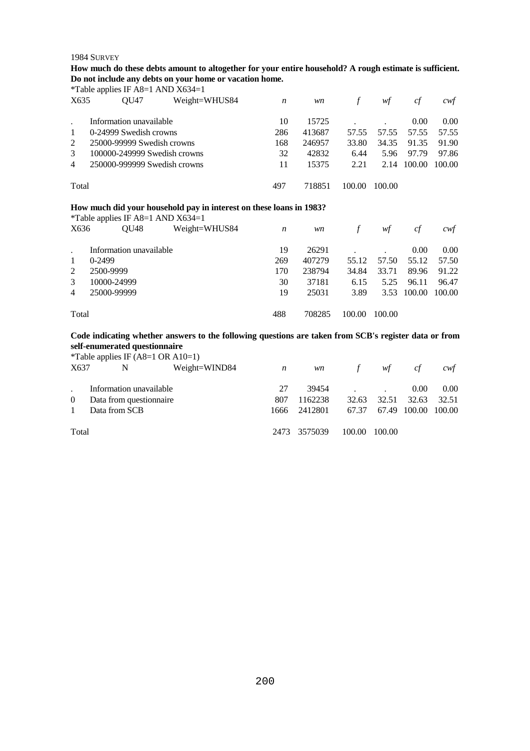#### 1984 SURVEY

**How much do these debts amount to altogether for your entire household? A rough estimate is sufficient. Do not include any debts on your home or vacation home.** 

\*Table applies IF A8=1 AND X634=1 X635 QU47 Weight=WHUS84 *n wn f wf cf cwf* . Information unavailable 1 0-24999 Swedish crowns 2 25000-99999 Swedish crowns 3 100000-249999 Swedish crowns 4 250000-999999 Swedish crowns Total 10 15725 . . 0.00 0.00 286 413687 57.55 57.55 57.55 57.55 168 246957 33.80 34.35 91.35 91.90 32 42832 6.44 5.96 97.79 97.86 11 15375 2.21 2.14 100.00 100.00 497 718851 100.00 100.00 **How much did your household pay in interest on these loans in 1983?**  \*Table applies IF A8=1 AND X634=1

| X636           | $\frac{1}{2}$ and $\frac{1}{2}$ applies in the $\frac{1}{2}$ and $\frac{1}{2}$ and $\frac{1}{2}$ and $\frac{1}{2}$<br>OU48 | Weight=WHUS84 | n   | wn     | f      | wf     | ct          | cwf    |
|----------------|----------------------------------------------------------------------------------------------------------------------------|---------------|-----|--------|--------|--------|-------------|--------|
|                | Information unavailable                                                                                                    |               | 19  | 26291  |        |        | 0.00        | 0.00   |
| $\mathbf{1}$   | $0-2499$                                                                                                                   |               | 269 | 407279 | 55.12  | 57.50  | 55.12       | 57.50  |
| 2              | 2500-9999                                                                                                                  |               | 170 | 238794 | 34.84  | 33.71  | 89.96       | 91.22  |
| 3              | 10000-24999                                                                                                                |               | 30  | 37181  | 6.15   | 5.25   | 96.11       | 96.47  |
| $\overline{4}$ | 25000-99999                                                                                                                |               | 19  | 25031  | 3.89   |        | 3.53 100.00 | 100.00 |
| Total          |                                                                                                                            |               | 488 | 708285 | 100.00 | 100.00 |             |        |

### **Code indicating whether answers to the following questions are taken from SCB's register data or from self-enumerated questionnaire**

|                |                         |   | *Table applies IF $(A8=1 \text{ OR } A10=1)$ |      |         |            |        |              |        |
|----------------|-------------------------|---|----------------------------------------------|------|---------|------------|--------|--------------|--------|
| X637           |                         | N | Weight=WIND84                                | n    | wn      | $\sqrt{f}$ | wf     | cf           | cwt    |
|                | Information unavailable |   |                                              | 27   | 39454   |            |        | 0.00         | 0.00   |
| $\overline{0}$ | Data from question aire |   |                                              | 807  | 1162238 | 32.63      | 32.51  | 32.63        | 32.51  |
|                | Data from SCB           |   |                                              | 1666 | 2412801 | 67.37      |        | 67.49 100.00 | 100.00 |
| Total          |                         |   |                                              | 2473 | 3575039 | 100.00     | 100.00 |              |        |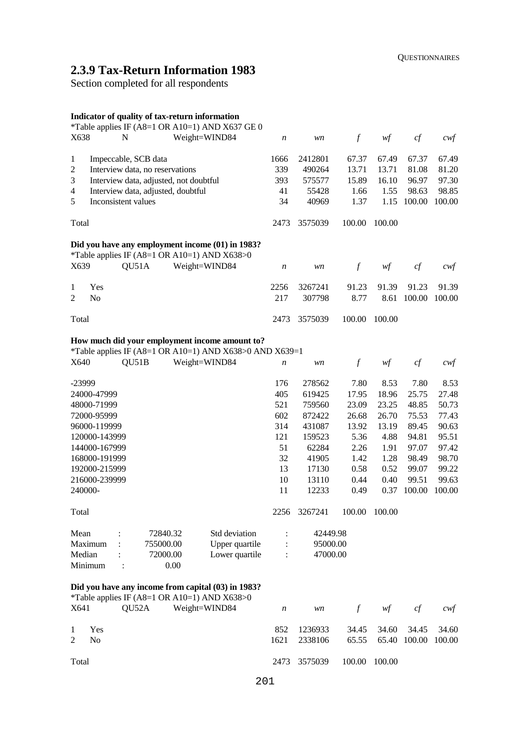# **2.3.9 Tax-Return Information 1983**

Section completed for all respondents

## **Indicator of quality of tax-return information**

| *Table applies IF (A8=1 OR A10=1) AND X637 GE 0<br>X638<br>N<br>Weight=WIND84                      | $\boldsymbol{n}$ | wn       | $\mathcal{f}$ | wf     | cf     | $c \mathsf{w} f$  |
|----------------------------------------------------------------------------------------------------|------------------|----------|---------------|--------|--------|-------------------|
| 1<br>Impeccable, SCB data                                                                          | 1666             | 2412801  | 67.37         | 67.49  | 67.37  | 67.49             |
| Interview data, no reservations<br>$\overline{c}$                                                  | 339              | 490264   | 13.71         | 13.71  | 81.08  | 81.20             |
| 3<br>Interview data, adjusted, not doubtful                                                        | 393              | 575577   | 15.89         | 16.10  | 96.97  | 97.30             |
| $\overline{4}$<br>Interview data, adjusted, doubtful                                               | 41               | 55428    | 1.66          | 1.55   | 98.63  | 98.85             |
| 5<br>Inconsistent values                                                                           | 34               | 40969    | 1.37          | 1.15   | 100.00 | 100.00            |
|                                                                                                    |                  |          |               |        |        |                   |
| Total                                                                                              | 2473             | 3575039  | 100.00        | 100.00 |        |                   |
| Did you have any employment income (01) in 1983?<br>*Table applies IF (A8=1 OR A10=1) AND X638>0   |                  |          |               |        |        |                   |
| QU51A<br>X639<br>Weight=WIND84                                                                     | $\boldsymbol{n}$ | wn       | $\mathcal{f}$ | wf     | cf     | $c \mathsf{w} f$  |
| Yes<br>1                                                                                           | 2256             | 3267241  | 91.23         | 91.39  | 91.23  | 91.39             |
| N <sub>o</sub><br>2                                                                                | 217              | 307798   | 8.77          | 8.61   | 100.00 | 100.00            |
| Total                                                                                              | 2473             | 3575039  | 100.00        | 100.00 |        |                   |
| How much did your employment income amount to?                                                     |                  |          |               |        |        |                   |
| *Table applies IF (A8=1 OR A10=1) AND X638>0 AND X639=1                                            |                  |          |               |        |        |                   |
| QU51B<br>Weight=WIND84<br>X640                                                                     | n                | wn       | $\mathcal{f}$ | wf     | cf     | $c \mathcal{w} f$ |
| -23999                                                                                             | 176              | 278562   | 7.80          | 8.53   | 7.80   | 8.53              |
| 24000-47999                                                                                        | 405              | 619425   | 17.95         | 18.96  | 25.75  | 27.48             |
| 48000-71999                                                                                        | 521              | 759560   | 23.09         | 23.25  | 48.85  | 50.73             |
| 72000-95999                                                                                        | 602              | 872422   | 26.68         | 26.70  | 75.53  | 77.43             |
| 96000-119999                                                                                       | 314              | 431087   | 13.92         | 13.19  | 89.45  | 90.63             |
| 120000-143999                                                                                      | 121              | 159523   | 5.36          | 4.88   | 94.81  | 95.51             |
| 144000-167999                                                                                      | 51               | 62284    | 2.26          | 1.91   | 97.07  | 97.42             |
| 168000-191999                                                                                      | 32               | 41905    | 1.42          | 1.28   | 98.49  | 98.70             |
| 192000-215999                                                                                      | 13               | 17130    | 0.58          | 0.52   | 99.07  | 99.22             |
| 216000-239999                                                                                      | 10               | 13110    | 0.44          | 0.40   | 99.51  | 99.63             |
| 240000-                                                                                            | 11               | 12233    | 0.49          | 0.37   | 100.00 | 100.00            |
| Total                                                                                              | 2256             | 3267241  | 100.00        | 100.00 |        |                   |
|                                                                                                    |                  |          |               |        |        |                   |
| Mean<br>Std deviation<br>72840.32                                                                  |                  | 42449.98 |               |        |        |                   |
| Maximum<br>Upper quartile<br>755000.00                                                             |                  | 95000.00 |               |        |        |                   |
| Lower quartile<br>Median<br>72000.00                                                               |                  | 47000.00 |               |        |        |                   |
| Minimum<br>0.00<br>$\ddot{\cdot}$                                                                  |                  |          |               |        |        |                   |
| Did you have any income from capital (03) in 1983?<br>*Table applies IF (A8=1 OR A10=1) AND X638>0 |                  |          |               |        |        |                   |
| QU52A<br>Weight=WIND84<br>X641                                                                     | $\boldsymbol{n}$ | wn       | $\int$        | wf     | cf     | $c$ wf            |
| Yes<br>1                                                                                           | 852              | 1236933  | 34.45         | 34.60  | 34.45  | 34.60             |
| No<br>2                                                                                            | 1621             | 2338106  | 65.55         | 65.40  | 100.00 | 100.00            |
| Total                                                                                              | 2473             | 3575039  | 100.00        | 100.00 |        |                   |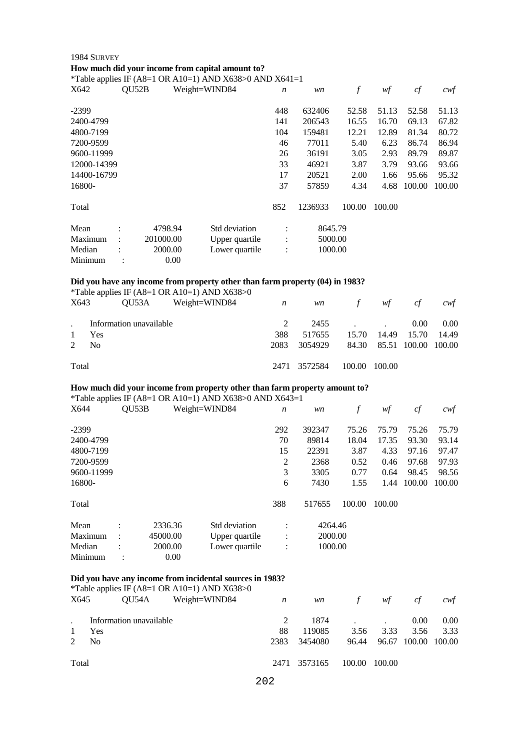## 1984 SURVEY **How much did your income from capital amount to?**

\*Table applies IF (A8=1 OR A10=1) AND X638>0 AND X641=1

| .<br>X642   | QU52B                |           | Weight=WIND84  | $\boldsymbol{n}$ | wn      | f      | wf     | cf     | cwf    |
|-------------|----------------------|-----------|----------------|------------------|---------|--------|--------|--------|--------|
| $-2399$     |                      |           |                | 448              | 632406  | 52.58  | 51.13  | 52.58  | 51.13  |
| 2400-4799   |                      |           |                | 141              | 206543  | 16.55  | 16.70  | 69.13  | 67.82  |
| 4800-7199   |                      |           |                | 104              | 159481  | 12.21  | 12.89  | 81.34  | 80.72  |
| 7200-9599   |                      |           |                | 46               | 77011   | 5.40   | 6.23   | 86.74  | 86.94  |
| 9600-11999  |                      |           |                | 26               | 36191   | 3.05   | 2.93   | 89.79  | 89.87  |
| 12000-14399 |                      |           |                | 33               | 46921   | 3.87   | 3.79   | 93.66  | 93.66  |
| 14400-16799 |                      |           |                | 17               | 20521   | 2.00   | 1.66   | 95.66  | 95.32  |
| 16800-      |                      |           |                | 37               | 57859   | 4.34   | 4.68   | 100.00 | 100.00 |
| Total       |                      |           |                | 852              | 1236933 | 100.00 | 100.00 |        |        |
| Mean        | $\ddot{\phantom{a}}$ | 4798.94   | Std deviation  | $\ddot{\cdot}$   | 8645.79 |        |        |        |        |
| Maximum     |                      | 201000.00 | Upper quartile | $\ddot{\cdot}$   | 5000.00 |        |        |        |        |
| Median      |                      | 2000.00   | Lower quartile | $\ddot{\cdot}$   | 1000.00 |        |        |        |        |
| Minimum     |                      | 0.00      |                |                  |         |        |        |        |        |

## **Did you have any income from property other than farm property (04) in 1983?**

|             |                         | *Table applies IF (A8=1 OR A10=1) AND $X638>0$ |                  |              |        |                           |       |       |
|-------------|-------------------------|------------------------------------------------|------------------|--------------|--------|---------------------------|-------|-------|
| X643        |                         | OU53A Weight=WIND84                            | $\boldsymbol{n}$ | <i>wn</i>    | f      | wf                        | cf    | cwt   |
|             | Information unavailable |                                                |                  |              | 2455   |                           | 0.00  | 0.00  |
|             | <b>Yes</b>              |                                                | 388              | 517655       |        | 15.70 14.49               | 15.70 | 14.49 |
| $2^{\circ}$ | N <sub>0</sub>          |                                                | 2083             | 3054929      |        | 84.30 85.51 100.00 100.00 |       |       |
| Total       |                         |                                                |                  | 2471 3572584 | 100.00 | 100.00                    |       |       |

#### **How much did your income from property other than farm property amount to?**

\*Table applies IF (A8=1 OR A10=1) AND X638>0 AND X643=1

| X644       | QU53B     |          | Weight=WIND84 |                | $\boldsymbol{n}$     | wn      | f      | wf     | cf     | cwf    |
|------------|-----------|----------|---------------|----------------|----------------------|---------|--------|--------|--------|--------|
| $-2399$    |           |          |               |                | 292                  | 392347  | 75.26  | 75.79  | 75.26  | 75.79  |
| 2400-4799  |           |          |               |                | 70                   | 89814   | 18.04  | 17.35  | 93.30  | 93.14  |
| 4800-7199  |           |          |               |                | 15                   | 22391   | 3.87   | 4.33   | 97.16  | 97.47  |
| 7200-9599  |           |          |               |                | 2                    | 2368    | 0.52   | 0.46   | 97.68  | 97.93  |
| 9600-11999 |           |          |               |                | 3                    | 3305    | 0.77   | 0.64   | 98.45  | 98.56  |
| 16800-     |           |          |               |                | 6                    | 7430    | 1.55   | 1.44   | 100.00 | 100.00 |
| Total      |           |          |               |                | 388                  | 517655  | 100.00 | 100.00 |        |        |
| Mean       | $\bullet$ | 2336.36  |               | Std deviation  | $\bullet$            | 4264.46 |        |        |        |        |
| Maximum    | $\bullet$ | 45000.00 |               | Upper quartile | $\bullet$            | 2000.00 |        |        |        |        |
| Median     | $\bullet$ | 2000.00  |               | Lower quartile | $\ddot{\phantom{a}}$ | 1000.00 |        |        |        |        |
| Minimum    | ٠         | 0.00     |               |                |                      |         |        |        |        |        |

#### **Did you have any income from incidental sources in 1983?**

|             |                |                         | *Table applies IF (A8=1 OR A10=1) AND $X638>0$ |                  |              |        |                           |      |      |
|-------------|----------------|-------------------------|------------------------------------------------|------------------|--------------|--------|---------------------------|------|------|
| X645        |                | OU54A                   | Weight=WIND84                                  | $\boldsymbol{n}$ | <i>wn</i>    | f      | wf                        | cf   | cwt  |
|             |                | Information unavailable |                                                |                  | 1874         |        |                           | 0.00 | 0.00 |
|             | <b>Yes</b>     |                         |                                                | 88               | 119085       | 3.56   | 3.33                      | 3.56 | 3.33 |
| $2^{\circ}$ | N <sub>0</sub> |                         |                                                | 2383             | 3454080      |        | 96.44 96.67 100.00 100.00 |      |      |
| Total       |                |                         |                                                |                  | 2471 3573165 | 100.00 | 100.00                    |      |      |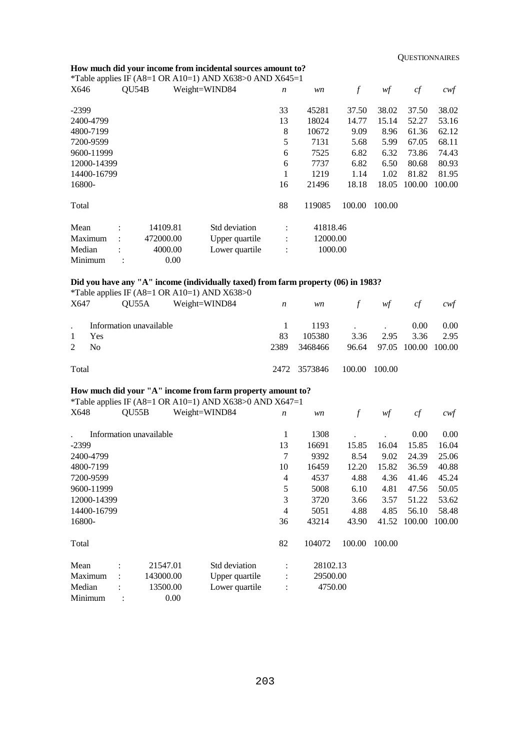#### **How much did your income from incidental sources amount to?**

\*Table applies IF (A8=1 OR A10=1) AND X638>0 AND X645=1

| -- F F<br>X646 | QU54B          |           | Weight=WIND84  | $\boldsymbol{n}$ | wn       | f      | wf     | cf     | cwf    |
|----------------|----------------|-----------|----------------|------------------|----------|--------|--------|--------|--------|
| $-2399$        |                |           |                | 33               | 45281    | 37.50  | 38.02  | 37.50  | 38.02  |
| 2400-4799      |                |           |                | 13               | 18024    | 14.77  | 15.14  | 52.27  | 53.16  |
| 4800-7199      |                |           |                | 8                | 10672    | 9.09   | 8.96   | 61.36  | 62.12  |
| 7200-9599      |                |           |                | 5                | 7131     | 5.68   | 5.99   | 67.05  | 68.11  |
| 9600-11999     |                |           |                | 6                | 7525     | 6.82   | 6.32   | 73.86  | 74.43  |
| 12000-14399    |                |           |                | 6                | 7737     | 6.82   | 6.50   | 80.68  | 80.93  |
| 14400-16799    |                |           |                |                  | 1219     | 1.14   | 1.02   | 81.82  | 81.95  |
| 16800-         |                |           |                | 16               | 21496    | 18.18  | 18.05  | 100.00 | 100.00 |
| Total          |                |           |                | 88               | 119085   | 100.00 | 100.00 |        |        |
| Mean           |                | 14109.81  | Std deviation  | $\ddot{\cdot}$   | 41818.46 |        |        |        |        |
| Maximum        | $\ddot{\cdot}$ | 472000.00 | Upper quartile | $\ddot{\cdot}$   | 12000.00 |        |        |        |        |
| Median         |                | 4000.00   | Lower quartile |                  | 1000.00  |        |        |        |        |
| Minimum        |                | 0.00      |                |                  |          |        |        |        |        |

## **Did you have any "A" income (individually taxed) from farm property (06) in 1983?**

|                               |                         | *Table applies IF (A8=1 OR A10=1) AND $X638>0$ |                  |              |                 |                           |          |      |
|-------------------------------|-------------------------|------------------------------------------------|------------------|--------------|-----------------|---------------------------|----------|------|
| X647                          |                         | OU55A Weight=WIND84                            | $\boldsymbol{n}$ |              | $w\mathbf{n}$ f | wf                        | cf       | cwt  |
|                               | Information unavailable |                                                |                  | $1193$       |                 | 0.00                      | $0.00\,$ |      |
|                               | Yes                     |                                                | 83               | 105380       | 3.36            | 2.95                      | 3.36     | 2.95 |
| N <sub>0</sub><br>$2^{\circ}$ |                         |                                                | 2389             | 3468466      |                 | 96.64 97.05 100.00 100.00 |          |      |
| Total                         |                         |                                                |                  | 2472 3573846 | 100.00          | 100.00                    |          |      |

## **How much did your "A" income from farm property amount to?**

\*Table applies IF (A8=1 OR A10=1) AND X638>0 AND X647=1

| X648        | QU55B                   |           | Weight=WIND84  | $\boldsymbol{n}$ | wn       | f      | wf     | cf     | $c$ wf   |
|-------------|-------------------------|-----------|----------------|------------------|----------|--------|--------|--------|----------|
|             | Information unavailable |           |                | 1                | 1308     |        |        | 0.00   | $0.00\,$ |
| $-2399$     |                         |           |                | 13               | 16691    | 15.85  | 16.04  | 15.85  | 16.04    |
| 2400-4799   |                         |           |                | 7                | 9392     | 8.54   | 9.02   | 24.39  | 25.06    |
| 4800-7199   |                         |           |                | 10               | 16459    | 12.20  | 15.82  | 36.59  | 40.88    |
| 7200-9599   |                         |           |                | 4                | 4537     | 4.88   | 4.36   | 41.46  | 45.24    |
| 9600-11999  |                         |           |                | 5                | 5008     | 6.10   | 4.81   | 47.56  | 50.05    |
| 12000-14399 |                         |           |                | 3                | 3720     | 3.66   | 3.57   | 51.22  | 53.62    |
| 14400-16799 |                         |           |                | 4                | 5051     | 4.88   | 4.85   | 56.10  | 58.48    |
| 16800-      |                         |           |                | 36               | 43214    | 43.90  | 41.52  | 100.00 | 100.00   |
| Total       |                         |           |                | 82               | 104072   | 100.00 | 100.00 |        |          |
| Mean        |                         | 21547.01  | Std deviation  | ٠                | 28102.13 |        |        |        |          |
| Maximum     | $\ddot{\phantom{a}}$    | 143000.00 | Upper quartile | $\ddot{\cdot}$   | 29500.00 |        |        |        |          |
| Median      |                         | 13500.00  | Lower quartile | $\ddot{\cdot}$   | 4750.00  |        |        |        |          |
| Minimum     |                         | 0.00      |                |                  |          |        |        |        |          |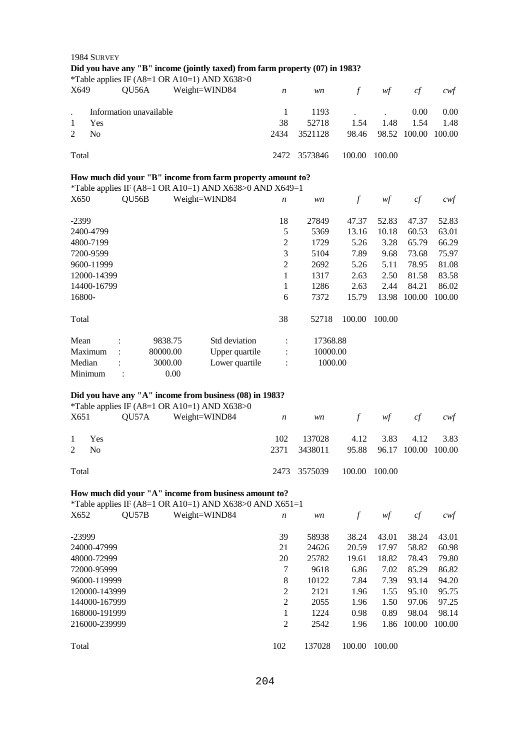|                      | 1984 SURVEY             |                |          |               | Did you have any "B" income (jointly taxed) from farm property (07) in 1983?<br>*Table applies IF (A8=1 OR A10=1) AND X638>0 |                  |          |                  |                           |              |                   |
|----------------------|-------------------------|----------------|----------|---------------|------------------------------------------------------------------------------------------------------------------------------|------------------|----------|------------------|---------------------------|--------------|-------------------|
| X649                 |                         | QU56A          |          | Weight=WIND84 |                                                                                                                              | $\boldsymbol{n}$ | wn       | $\mathcal{f}$    | wf                        | cf           | $c$ wf            |
| $\ddot{\phantom{0}}$ | Information unavailable |                |          |               |                                                                                                                              | 1                | 1193     |                  |                           | 0.00         | 0.00              |
| 1                    | Yes                     |                |          |               |                                                                                                                              | 38               | 52718    | 1.54             | 1.48                      | 1.54         | 1.48              |
| 2                    | N <sub>o</sub>          |                |          |               |                                                                                                                              | 2434             | 3521128  | 98.46            |                           | 98.52 100.00 | 100.00            |
| Total                |                         |                |          |               |                                                                                                                              | 2472             | 3573846  | 100.00           | 100.00                    |              |                   |
|                      |                         |                |          |               | How much did your "B" income from farm property amount to?                                                                   |                  |          |                  |                           |              |                   |
|                      |                         |                |          |               | *Table applies IF (A8=1 OR A10=1) AND X638>0 AND X649=1                                                                      |                  |          |                  |                           |              |                   |
| X650                 |                         | QU56B          |          | Weight=WIND84 |                                                                                                                              | $\boldsymbol{n}$ | wn       | $\mathcal{f}$    | wf                        | cf           | cwf               |
| $-2399$              |                         |                |          |               |                                                                                                                              | 18               | 27849    | 47.37            | 52.83                     | 47.37        | 52.83             |
|                      | 2400-4799               |                |          |               |                                                                                                                              | 5                | 5369     | 13.16            | 10.18                     | 60.53        | 63.01             |
|                      | 4800-7199               |                |          |               |                                                                                                                              | $\mathfrak 2$    | 1729     | 5.26             | 3.28                      | 65.79        | 66.29             |
|                      | 7200-9599               |                |          |               |                                                                                                                              | 3                | 5104     | 7.89             | 9.68                      | 73.68        | 75.97             |
|                      | 9600-11999              |                |          |               |                                                                                                                              | 2                | 2692     | 5.26             | 5.11                      | 78.95        | 81.08             |
|                      |                         |                |          |               |                                                                                                                              |                  |          |                  |                           |              |                   |
|                      | 12000-14399             |                |          |               |                                                                                                                              | 1                | 1317     | 2.63             | 2.50                      | 81.58        | 83.58             |
|                      | 14400-16799             |                |          |               |                                                                                                                              | 1                | 1286     | 2.63             | 2.44                      | 84.21        | 86.02             |
| 16800-               |                         |                |          |               |                                                                                                                              | 6                | 7372     | 15.79            | 13.98                     | 100.00       | 100.00            |
| Total                |                         |                |          |               |                                                                                                                              | 38               | 52718    | 100.00           | 100.00                    |              |                   |
| Mean                 |                         |                | 9838.75  |               | Std deviation                                                                                                                | $\ddot{\cdot}$   | 17368.88 |                  |                           |              |                   |
| Maximum              |                         |                | 80000.00 |               | Upper quartile                                                                                                               | $\ddot{\cdot}$   | 10000.00 |                  |                           |              |                   |
| Median               |                         |                | 3000.00  |               | Lower quartile                                                                                                               | $\ddot{\cdot}$   | 1000.00  |                  |                           |              |                   |
| Minimum              |                         | $\ddot{\cdot}$ |          | 0.00          |                                                                                                                              |                  |          |                  |                           |              |                   |
|                      |                         |                |          |               |                                                                                                                              |                  |          |                  |                           |              |                   |
|                      |                         |                |          |               | Did you have any "A" income from business (08) in 1983?<br>*Table applies IF (A8=1 OR A10=1) AND X638>0                      |                  |          |                  |                           |              |                   |
| X651                 |                         | QU57A          |          | Weight=WIND84 |                                                                                                                              | $\boldsymbol{n}$ | wn       | $\int$           | wf                        | cf           | cwt               |
|                      |                         |                |          |               |                                                                                                                              |                  |          |                  |                           |              |                   |
| 1                    | Yes                     |                |          |               |                                                                                                                              | 102              | 137028   | 4.12             | 3.83                      | 4.12         | 3.83              |
| $\overline{2}$       | No                      |                |          |               |                                                                                                                              | 2371             | 3438011  |                  | 95.88 96.17 100.00 100.00 |              |                   |
| Total                |                         |                |          |               |                                                                                                                              | 2473             | 3575039  | 100.00           | 100.00                    |              |                   |
|                      |                         |                |          |               | How much did your "A" income from business amount to?                                                                        |                  |          |                  |                           |              |                   |
|                      |                         |                |          |               | *Table applies IF (A8=1 OR A10=1) AND X638>0 AND X651=1                                                                      |                  |          |                  |                           |              |                   |
| X652                 |                         | QU57B          |          | Weight=WIND84 |                                                                                                                              | n                | wn       | $\boldsymbol{f}$ | wf                        | cf           | $c \mathcal{w} f$ |
| -23999               |                         |                |          |               |                                                                                                                              | 39               | 58938    | 38.24            | 43.01                     | 38.24        | 43.01             |
|                      | 24000-47999             |                |          |               |                                                                                                                              | 21               | 24626    | 20.59            | 17.97                     | 58.82        | 60.98             |
|                      | 48000-72999             |                |          |               |                                                                                                                              | 20               | 25782    | 19.61            | 18.82                     | 78.43        | 79.80             |
|                      | 72000-95999             |                |          |               |                                                                                                                              | 7                | 9618     | 6.86             | 7.02                      | 85.29        | 86.82             |
|                      |                         |                |          |               |                                                                                                                              |                  |          |                  |                           |              |                   |
|                      | 96000-119999            |                |          |               |                                                                                                                              | 8                | 10122    | 7.84             | 7.39                      | 93.14        | 94.20             |
|                      | 120000-143999           |                |          |               |                                                                                                                              | 2                | 2121     | 1.96             | 1.55                      | 95.10        | 95.75             |
|                      | 144000-167999           |                |          |               |                                                                                                                              | $\overline{2}$   | 2055     | 1.96             | 1.50                      | 97.06        | 97.25             |
|                      | 168000-191999           |                |          |               |                                                                                                                              | 1                | 1224     | 0.98             | 0.89                      | 98.04        | 98.14             |
|                      | 216000-239999           |                |          |               |                                                                                                                              | $\overline{2}$   | 2542     | 1.96             | 1.86                      | 100.00       | 100.00            |
| Total                |                         |                |          |               |                                                                                                                              | 102              | 137028   | 100.00           | 100.00                    |              |                   |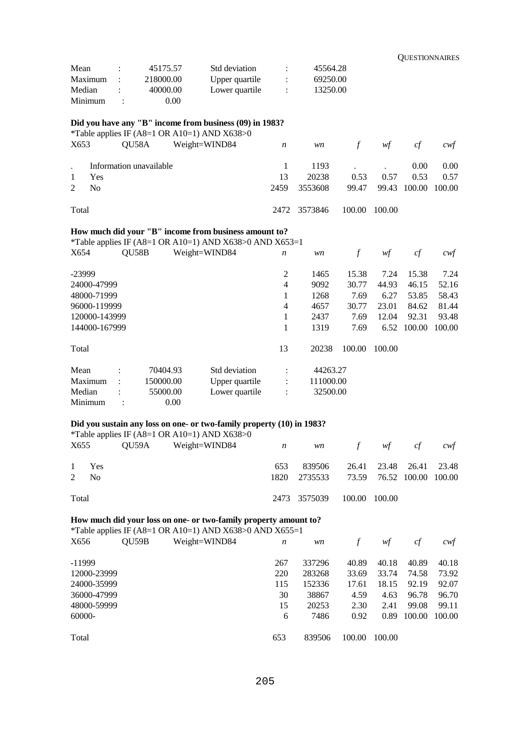|                      |                |                         |                                                                                                                             |                  |           |               |        | <b>QUESTIONNAIRES</b> |                   |
|----------------------|----------------|-------------------------|-----------------------------------------------------------------------------------------------------------------------------|------------------|-----------|---------------|--------|-----------------------|-------------------|
| Mean                 |                | 45175.57                | Std deviation                                                                                                               | :                | 45564.28  |               |        |                       |                   |
| Maximum              |                | 218000.00               | Upper quartile                                                                                                              |                  | 69250.00  |               |        |                       |                   |
| Median               |                | 40000.00                | Lower quartile                                                                                                              |                  | 13250.00  |               |        |                       |                   |
| Minimum              | :              | 0.00                    |                                                                                                                             |                  |           |               |        |                       |                   |
|                      |                |                         |                                                                                                                             |                  |           |               |        |                       |                   |
|                      |                |                         | Did you have any "B" income from business (09) in 1983?<br>*Table applies IF (A8=1 OR A10=1) AND X638>0                     |                  |           |               |        |                       |                   |
| X653                 | QU58A          |                         | Weight=WIND84                                                                                                               | $\boldsymbol{n}$ | wn        | $\int$        | wf     | cf                    | $c$ wf            |
|                      |                | Information unavailable |                                                                                                                             | 1                | 1193      |               |        | 0.00                  | 0.00              |
| 1<br>Yes             |                |                         |                                                                                                                             | 13               | 20238     | 0.53          | 0.57   | 0.53                  | 0.57              |
| 2<br>No              |                |                         |                                                                                                                             | 2459             | 3553608   | 99.47         | 99.43  | 100.00                | 100.00            |
| Total                |                |                         |                                                                                                                             | 2472             | 3573846   | 100.00        | 100.00 |                       |                   |
|                      |                |                         | How much did your "B" income from business amount to?                                                                       |                  |           |               |        |                       |                   |
|                      |                |                         | *Table applies IF (A8=1 OR A10=1) AND X638>0 AND X653=1                                                                     |                  |           |               |        |                       |                   |
| X654                 | QU58B          |                         | Weight=WIND84                                                                                                               | n                | wn        | $\mathcal{f}$ | wf     | cf                    | cwt               |
| -23999               |                |                         |                                                                                                                             | 2                | 1465      | 15.38         | 7.24   | 15.38                 | 7.24              |
| 24000-47999          |                |                         |                                                                                                                             | $\overline{4}$   | 9092      | 30.77         | 44.93  | 46.15                 | 52.16             |
| 48000-71999          |                |                         |                                                                                                                             | 1                | 1268      | 7.69          | 6.27   | 53.85                 | 58.43             |
| 96000-119999         |                |                         |                                                                                                                             | 4                | 4657      | 30.77         | 23.01  | 84.62                 | 81.44             |
| 120000-143999        |                |                         |                                                                                                                             | 1                | 2437      | 7.69          | 12.04  | 92.31                 | 93.48             |
| 144000-167999        |                |                         |                                                                                                                             | 1                | 1319      | 7.69          | 6.52   | 100.00                | 100.00            |
| Total                |                |                         |                                                                                                                             | 13               | 20238     | 100.00        | 100.00 |                       |                   |
| Mean                 |                | 70404.93                | Std deviation                                                                                                               |                  | 44263.27  |               |        |                       |                   |
| Maximum              |                | 150000.00               | Upper quartile                                                                                                              |                  | 111000.00 |               |        |                       |                   |
| Median               |                | 55000.00                | Lower quartile                                                                                                              |                  | 32500.00  |               |        |                       |                   |
| Minimum              | $\ddot{\cdot}$ | 0.00                    |                                                                                                                             |                  |           |               |        |                       |                   |
|                      |                |                         | Did you sustain any loss on one- or two-family property (10) in 1983?                                                       |                  |           |               |        |                       |                   |
|                      |                |                         | *Table applies IF (A8=1 OR A10=1) AND $X638>0$                                                                              |                  |           |               |        |                       |                   |
| X655                 | QU59A          |                         | Weight=WIND84                                                                                                               | $\boldsymbol{n}$ | wn        | $\mathcal{f}$ | wf     | cf                    | cwt               |
| $\mathbf{1}$<br>Yes  |                |                         |                                                                                                                             | 653              | 839506    | 26.41         | 23.48  | 26.41                 | 23.48             |
| No<br>$\overline{2}$ |                |                         |                                                                                                                             | 1820             | 2735533   | 73.59         | 76.52  | 100.00                | 100.00            |
| Total                |                |                         |                                                                                                                             | 2473             | 3575039   | 100.00        | 100.00 |                       |                   |
|                      |                |                         | How much did your loss on one- or two-family property amount to?<br>*Table applies IF (A8=1 OR A10=1) AND X638>0 AND X655=1 |                  |           |               |        |                       |                   |
| X656                 | QU59B          |                         | Weight=WIND84                                                                                                               | $\boldsymbol{n}$ | wn        | $\int$        | wf     | cf                    | $c \mathcal{w} f$ |
| $-11999$             |                |                         |                                                                                                                             | 267              | 337296    | 40.89         | 40.18  | 40.89                 | 40.18             |
| 12000-23999          |                |                         |                                                                                                                             | 220              | 283268    | 33.69         | 33.74  | 74.58                 | 73.92             |
| 24000-35999          |                |                         |                                                                                                                             | 115              | 152336    | 17.61         | 18.15  | 92.19                 | 92.07             |
| 36000-47999          |                |                         |                                                                                                                             | 30               | 38867     | 4.59          | 4.63   | 96.78                 | 96.70             |
| 48000-59999          |                |                         |                                                                                                                             | 15               | 20253     | 2.30          | 2.41   | 99.08                 | 99.11             |
| 60000-               |                |                         |                                                                                                                             | 6                | 7486      | 0.92          | 0.89   | 100.00                | 100.00            |
|                      |                |                         |                                                                                                                             |                  |           |               |        |                       |                   |
| Total                |                |                         |                                                                                                                             | 653              | 839506    | 100.00        | 100.00 |                       |                   |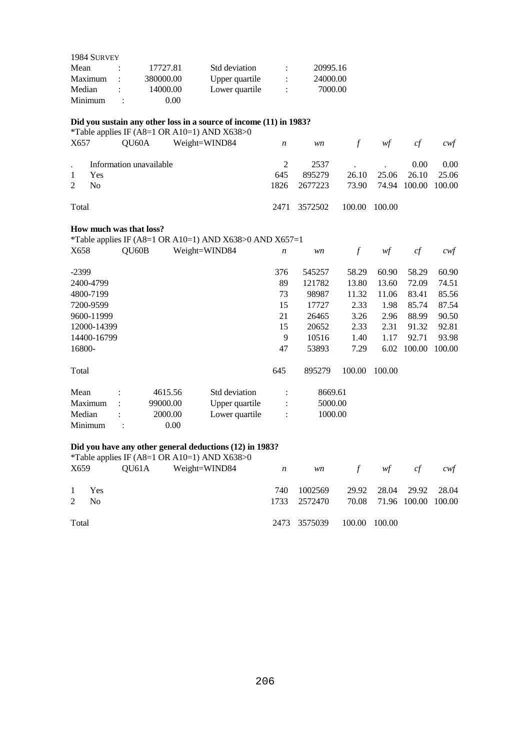| 1984 SURVEY |                      |           |                |   |          |
|-------------|----------------------|-----------|----------------|---|----------|
| Mean        |                      | 17727.81  | Std deviation  | ٠ | 20995.16 |
| Maximum     | $\ddot{\phantom{a}}$ | 380000.00 | Upper quartile | ÷ | 24000.00 |
| Median      |                      | 14000.00  | Lower quartile | ÷ | 7000.00  |
| Minimum     | ٠                    | 0.00      |                |   |          |

## **Did you sustain any other loss in a source of income (11) in 1983?**

\*Table applies IF ( $\overline{AS}$ =1 OR A10=1) AND X638>0<br>X657 OU60A Weight-WIND84

| X657             | $\frac{1}{2}$ and $\frac{1}{2}$ applied in (1.10) is different in the state of $\frac{1}{2}$<br>$QU60A$ Weight=WIND84 $n$ |     |                                        | wn f wf cf |                         |          | cwt  |
|------------------|---------------------------------------------------------------------------------------------------------------------------|-----|----------------------------------------|------------|-------------------------|----------|------|
|                  | Information unavailable                                                                                                   |     |                                        | 2537       |                         | $0.00\,$ | 0.00 |
| $\mathbf{1}$     | Yes                                                                                                                       | 645 | 895279                                 |            | 26.10 25.06 26.10 25.06 |          |      |
| $2 \overline{N}$ |                                                                                                                           |     | 1826 2677223 73.90 74.94 100.00 100.00 |            |                         |          |      |
| Total            |                                                                                                                           |     | 2471 3572502 100.00 100.00             |            |                         |          |      |

## **How much was that loss?**

\*Table applies IF (A8=1 OR A10=1) AND X638>0 AND X657=1

| X658        | QU60B          |          | Weight=WIND84  | $\boldsymbol{n}$ | wn      | f      | wf     | cf     | cwf    |
|-------------|----------------|----------|----------------|------------------|---------|--------|--------|--------|--------|
| $-2399$     |                |          |                | 376              | 545257  | 58.29  | 60.90  | 58.29  | 60.90  |
| 2400-4799   |                |          |                | 89               | 121782  | 13.80  | 13.60  | 72.09  | 74.51  |
| 4800-7199   |                |          |                | 73               | 98987   | 11.32  | 11.06  | 83.41  | 85.56  |
| 7200-9599   |                |          |                | 15               | 17727   | 2.33   | 1.98   | 85.74  | 87.54  |
| 9600-11999  |                |          |                | 21               | 26465   | 3.26   | 2.96   | 88.99  | 90.50  |
| 12000-14399 |                |          |                | 15               | 20652   | 2.33   | 2.31   | 91.32  | 92.81  |
| 14400-16799 |                |          |                | 9                | 10516   | 1.40   | 1.17   | 92.71  | 93.98  |
| 16800-      |                |          |                | 47               | 53893   | 7.29   | 6.02   | 100.00 | 100.00 |
| Total       |                |          |                | 645              | 895279  | 100.00 | 100.00 |        |        |
| Mean        |                | 4615.56  | Std deviation  | $\bullet$        | 8669.61 |        |        |        |        |
| Maximum     | $\ddot{\cdot}$ | 99000.00 | Upper quartile | $\ddot{\cdot}$   | 5000.00 |        |        |        |        |
| Median      |                | 2000.00  | Lower quartile | $\ddot{\cdot}$   | 1000.00 |        |        |        |        |
| Minimum     |                | 0.00     |                |                  |         |        |        |        |        |

## **Did you have any other general deductions (12) in 1983?**

|                |       | *Table applies IF (A8=1 OR A10=1) AND $X638>0$ |     |              |               |                           |     |
|----------------|-------|------------------------------------------------|-----|--------------|---------------|---------------------------|-----|
| X659           |       | $QU61A$ Weight=WIND84 $n$                      |     |              | wn f wf cf    |                           | cwt |
|                |       |                                                |     |              |               |                           |     |
|                | 1 Yes |                                                | 740 | 1002569      |               | 29.92 28.04 29.92 28.04   |     |
| $2 \text{ No}$ |       |                                                |     | 1733 2572470 |               | 70.08 71.96 100.00 100.00 |     |
|                |       |                                                |     |              |               |                           |     |
| Total          |       |                                                |     | 2473 3575039 | 100.00 100.00 |                           |     |
|                |       |                                                |     |              |               |                           |     |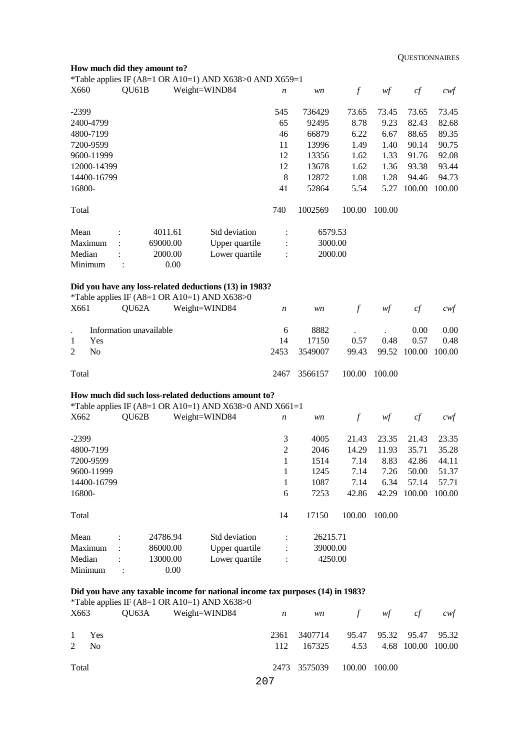|                                             | How much did they amount to?                 |               | *Table applies IF (A8=1 OR A10=1) AND X638>0 AND X659=1                        |                  |          |                  |        |              |                   |
|---------------------------------------------|----------------------------------------------|---------------|--------------------------------------------------------------------------------|------------------|----------|------------------|--------|--------------|-------------------|
| X660                                        | QU61B                                        | Weight=WIND84 |                                                                                | n                | wn       | $\boldsymbol{f}$ | wf     | cf           | $c \mathcal{w}$ f |
| $-2399$                                     |                                              |               |                                                                                | 545              | 736429   | 73.65            | 73.45  | 73.65        | 73.45             |
| 2400-4799                                   |                                              |               |                                                                                | 65               | 92495    | 8.78             | 9.23   | 82.43        | 82.68             |
| 4800-7199                                   |                                              |               |                                                                                | 46               | 66879    | 6.22             | 6.67   | 88.65        | 89.35             |
| 7200-9599                                   |                                              |               |                                                                                | 11               | 13996    | 1.49             | 1.40   | 90.14        | 90.75             |
| 9600-11999                                  |                                              |               |                                                                                | 12               | 13356    | 1.62             | 1.33   | 91.76        | 92.08             |
| 12000-14399                                 |                                              |               |                                                                                | 12               | 13678    | 1.62             | 1.36   | 93.38        | 93.44             |
| 14400-16799                                 |                                              |               |                                                                                | 8                | 12872    | 1.08             | 1.28   | 94.46        | 94.73             |
| 16800-                                      |                                              |               |                                                                                | 41               | 52864    | 5.54             | 5.27   | 100.00       | 100.00            |
| Total                                       |                                              |               |                                                                                | 740              | 1002569  | 100.00           | 100.00 |              |                   |
| Std deviation<br>6579.53<br>Mean<br>4011.61 |                                              |               |                                                                                |                  |          |                  |        |              |                   |
| Maximum                                     | 69000.00                                     |               | Upper quartile                                                                 |                  | 3000.00  |                  |        |              |                   |
| Median<br>Minimum                           | 2000.00<br>:                                 | 0.00          | Lower quartile                                                                 |                  | 2000.00  |                  |        |              |                   |
|                                             |                                              |               | Did you have any loss-related deductions (13) in 1983?                         |                  |          |                  |        |              |                   |
|                                             | *Table applies IF (A8=1 OR A10=1) AND X638>0 |               |                                                                                |                  |          |                  |        |              |                   |
| X661                                        | QU62A                                        | Weight=WIND84 |                                                                                | $\boldsymbol{n}$ | wn       | $\boldsymbol{f}$ | wf     | $c\!f$       | $c \mathcal{w}$ f |
| Information unavailable                     |                                              |               |                                                                                |                  | 8882     |                  |        | 0.00         | 0.00              |
| Yes<br>1                                    |                                              |               |                                                                                | 14               | 17150    | 0.57             | 0.48   | 0.57         | 0.48              |
| $\overline{2}$<br>N <sub>o</sub>            |                                              |               |                                                                                | 2453             | 3549007  | 99.43            | 99.52  | 100.00       | 100.00            |
| Total                                       |                                              |               |                                                                                | 2467             | 3566157  | 100.00           | 100.00 |              |                   |
|                                             |                                              |               | How much did such loss-related deductions amount to?                           |                  |          |                  |        |              |                   |
| X662                                        | QU62B                                        | Weight=WIND84 | *Table applies IF (A8=1 OR A10=1) AND X638>0 AND X661=1                        |                  |          | $\boldsymbol{f}$ | wf     | cf           | $c$ wf            |
|                                             |                                              |               |                                                                                | n                | wn       |                  |        |              |                   |
| $-2399$                                     |                                              |               |                                                                                | 3                | 4005     | 21.43            | 23.35  | 21.43        | 23.35             |
| 4800-7199                                   |                                              |               |                                                                                | $\overline{2}$   | 2046     | 14.29            | 11.93  | 35.71        | 35.28             |
| 7200-9599                                   |                                              |               |                                                                                | 1                | 1514     | 7.14             | 8.83   | 42.86        | 44.11             |
| 9600-11999                                  |                                              |               |                                                                                | 1                | 1245     | 7.14             | 7.26   | 50.00        | 51.37             |
| 14400-16799                                 |                                              |               |                                                                                | 1                | 1087     | 7.14             | 6.34   | 57.14        | 57.71             |
| 16800-                                      |                                              |               |                                                                                | 6                | 7253     | 42.86            |        | 42.29 100.00 | 100.00            |
| Total                                       |                                              |               |                                                                                | 14               | 17150    | 100.00           | 100.00 |              |                   |
| Mean                                        | 24786.94                                     |               | Std deviation                                                                  |                  | 26215.71 |                  |        |              |                   |
| Maximum                                     | 86000.00                                     |               | Upper quartile                                                                 |                  | 39000.00 |                  |        |              |                   |
| Median                                      | 13000.00                                     |               | Lower quartile                                                                 |                  | 4250.00  |                  |        |              |                   |
| Minimum                                     | $\ddot{\cdot}$                               | 0.00          |                                                                                |                  |          |                  |        |              |                   |
|                                             | *Table applies IF (A8=1 OR A10=1) AND X638>0 |               | Did you have any taxable income for national income tax purposes (14) in 1983? |                  |          |                  |        |              |                   |

| X663  |                  | QU63A | $14000$ applies if $(140 - 1)$ on $(110 - 1)$ and $(110000)$<br>Weight=WIND84 $n$ |      |              | $wn$ f $wf$   |                         | cf                 | cwt |
|-------|------------------|-------|-----------------------------------------------------------------------------------|------|--------------|---------------|-------------------------|--------------------|-----|
|       | 1 Yes            |       |                                                                                   | 2361 | 3407714      |               | 95.47 95.32 95.47 95.32 |                    |     |
|       | 2 N <sub>0</sub> |       |                                                                                   | 112  | 167325       | 4.53          |                         | 4.68 100.00 100.00 |     |
| Total |                  |       |                                                                                   |      | 2473 3575039 | 100.00 100.00 |                         |                    |     |
|       |                  |       |                                                                                   | 207  |              |               |                         |                    |     |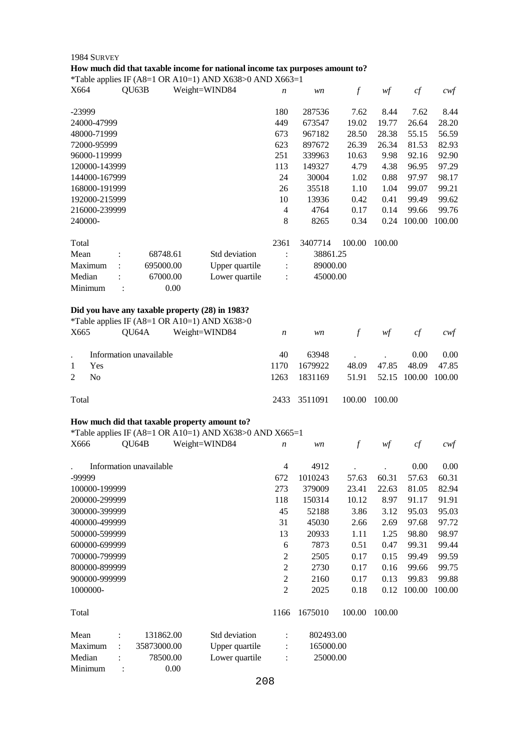| 1984 SURVEY                                                                  |                  |           |               |        |        |                  |
|------------------------------------------------------------------------------|------------------|-----------|---------------|--------|--------|------------------|
| How much did that taxable income for national income tax purposes amount to? |                  |           |               |        |        |                  |
| *Table applies IF (A8=1 OR A10=1) AND X638>0 AND X663=1                      |                  |           |               |        |        |                  |
| X664<br>QU63B<br>Weight=WIND84                                               | $\boldsymbol{n}$ | wn        | $\mathcal{f}$ | wf     | $c\!f$ | cwf              |
|                                                                              |                  |           |               |        |        |                  |
| -23999                                                                       | 180              | 287536    | 7.62          | 8.44   | 7.62   | 8.44             |
| 24000-47999                                                                  | 449              | 673547    | 19.02         | 19.77  | 26.64  | 28.20            |
| 48000-71999                                                                  | 673              | 967182    | 28.50         | 28.38  | 55.15  | 56.59            |
| 72000-95999                                                                  | 623              | 897672    | 26.39         | 26.34  | 81.53  | 82.93            |
| 96000-119999                                                                 | 251              | 339963    | 10.63         | 9.98   | 92.16  | 92.90            |
| 120000-143999                                                                | 113              | 149327    | 4.79          | 4.38   | 96.95  | 97.29            |
| 144000-167999                                                                | 24               | 30004     | 1.02          | 0.88   | 97.97  | 98.17            |
| 168000-191999                                                                | 26               | 35518     | 1.10          | 1.04   | 99.07  | 99.21            |
| 192000-215999                                                                | 10               | 13936     | 0.42          | 0.41   | 99.49  | 99.62            |
|                                                                              |                  |           |               |        |        |                  |
| 216000-239999                                                                | $\overline{4}$   | 4764      | 0.17          | 0.14   | 99.66  | 99.76            |
| 240000-                                                                      | 8                | 8265      | 0.34          | 0.24   | 100.00 | 100.00           |
| Total                                                                        | 2361             | 3407714   | 100.00        | 100.00 |        |                  |
| Mean<br>68748.61<br>Std deviation<br>$\ddot{\cdot}$                          | :                | 38861.25  |               |        |        |                  |
|                                                                              |                  |           |               |        |        |                  |
| Upper quartile<br>Maximum<br>695000.00<br>$\ddot{\cdot}$                     | $\ddot{\cdot}$   | 89000.00  |               |        |        |                  |
| Lower quartile<br>Median<br>67000.00                                         | $\ddot{\cdot}$   | 45000.00  |               |        |        |                  |
| Minimum<br>0.00<br>$\ddot{\cdot}$                                            |                  |           |               |        |        |                  |
|                                                                              |                  |           |               |        |        |                  |
| Did you have any taxable property (28) in 1983?                              |                  |           |               |        |        |                  |
| *Table applies IF (A8=1 OR A10=1) AND X638>0                                 |                  |           |               |        |        |                  |
| X665<br>QU64A<br>Weight=WIND84                                               | $\boldsymbol{n}$ | wn        | $\mathcal{f}$ | wf     | cf     | $c \mathsf{w} f$ |
|                                                                              |                  |           |               |        |        |                  |
| Information unavailable                                                      | 40               | 63948     |               |        | 0.00   | 0.00             |
| Yes<br>1                                                                     | 1170             | 1679922   | 48.09         | 47.85  | 48.09  | 47.85            |
| $\overline{2}$<br>No                                                         | 1263             | 1831169   | 51.91         | 52.15  | 100.00 | 100.00           |
| Total                                                                        | 2433             | 3511091   | 100.00        | 100.00 |        |                  |
|                                                                              |                  |           |               |        |        |                  |
| How much did that taxable property amount to?                                |                  |           |               |        |        |                  |
| *Table applies IF (A8=1 OR A10=1) AND X638>0 AND X665=1                      |                  |           |               |        |        |                  |
| X666<br>QU64B<br>Weight=WIND84                                               | $\boldsymbol{n}$ | wn        | $\int f$      | wf     | cf     | cwt              |
|                                                                              |                  |           |               |        |        |                  |
| Information unavailable                                                      | $\overline{4}$   | 4912      |               |        | 0.00   | 0.00             |
| -99999                                                                       | 672              | 1010243   | 57.63         | 60.31  | 57.63  | 60.31            |
| 100000-199999                                                                | 273              | 379009    | 23.41         | 22.63  | 81.05  | 82.94            |
| 200000-299999                                                                | 118              | 150314    | 10.12         | 8.97   | 91.17  | 91.91            |
| 300000-399999                                                                | 45               | 52188     | 3.86          | 3.12   | 95.03  | 95.03            |
| 400000-499999                                                                | 31               | 45030     | 2.66          | 2.69   | 97.68  | 97.72            |
|                                                                              |                  |           |               |        |        |                  |
| 500000-599999                                                                | 13               | 20933     | 1.11          | 1.25   | 98.80  | 98.97            |
| 600000-699999                                                                | 6                | 7873      | 0.51          | 0.47   | 99.31  | 99.44            |
| 700000-799999                                                                | $\boldsymbol{2}$ | 2505      | 0.17          | 0.15   | 99.49  | 99.59            |
| 800000-899999                                                                | $\sqrt{2}$       | 2730      | 0.17          | 0.16   | 99.66  | 99.75            |
| 900000-999999                                                                | $\overline{2}$   | 2160      | 0.17          | 0.13   | 99.83  | 99.88            |
| 1000000-                                                                     | $\overline{2}$   | 2025      | 0.18          | 0.12   | 100.00 | 100.00           |
|                                                                              |                  |           |               |        |        |                  |
| Total                                                                        | 1166             | 1675010   | 100.00        | 100.00 |        |                  |
| 131862.00<br>Std deviation<br>Mean<br>$\ddot{\cdot}$                         | $\ddot{\cdot}$   | 802493.00 |               |        |        |                  |
| 35873000.00<br>Upper quartile<br>Maximum<br>$\ddot{\cdot}$                   |                  | 165000.00 |               |        |        |                  |
| Median<br>78500.00<br>Lower quartile                                         |                  | 25000.00  |               |        |        |                  |
|                                                                              | $\ddot{\cdot}$   |           |               |        |        |                  |
| Minimum<br>0.00                                                              |                  |           |               |        |        |                  |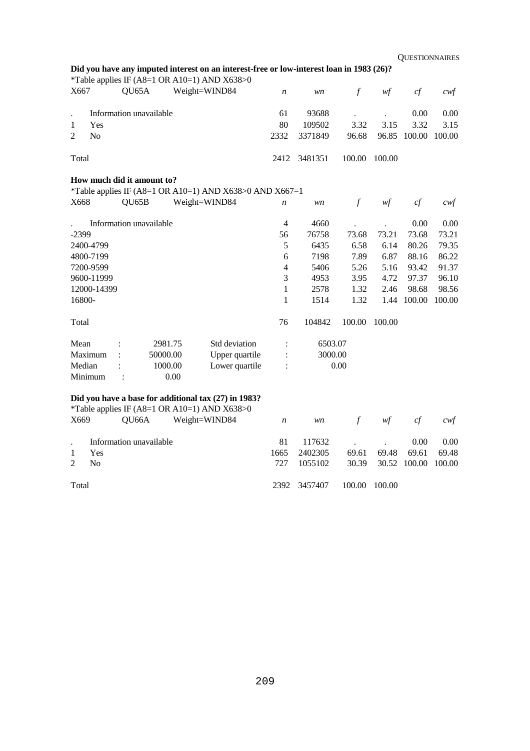| Did you have any imputed interest on an interest-free or low-interest loan in 1983 (26)? |  |
|------------------------------------------------------------------------------------------|--|
| *Table applies IF (A8=1 OR A10=1) AND X638>0                                             |  |

| X667           |                | QU65A                      |          | Weight=WIND84                                           | $\boldsymbol{n}$ | wn      | $\mathcal{f}$ | w f                                    | cf     | $c \mathcal{w} f$ |
|----------------|----------------|----------------------------|----------|---------------------------------------------------------|------------------|---------|---------------|----------------------------------------|--------|-------------------|
| $\cdot$        |                | Information unavailable    |          |                                                         | 61               | 93688   |               |                                        | 0.00   | 0.00              |
| 1              | Yes            |                            |          |                                                         | 80               | 109502  | 3.32          | 3.15                                   | 3.32   | 3.15              |
| $\overline{2}$ | N <sub>o</sub> |                            |          |                                                         | 2332             | 3371849 | 96.68         | 96.85                                  | 100.00 | 100.00            |
| Total          |                |                            |          |                                                         | 2412             | 3481351 | 100.00        | 100.00                                 |        |                   |
|                |                | How much did it amount to? |          |                                                         |                  |         |               |                                        |        |                   |
|                |                |                            |          | *Table applies IF (A8=1 OR A10=1) AND X638>0 AND X667=1 |                  |         |               |                                        |        |                   |
| X668           |                | QU65B                      |          | Weight=WIND84                                           | n                | wn      | $\mathcal{f}$ | wf                                     | cf     | $c \mathsf{w} f$  |
|                |                | Information unavailable    |          |                                                         | $\overline{4}$   | 4660    |               |                                        | 0.00   | 0.00              |
| $-2399$        |                |                            |          |                                                         | 56               | 76758   | 73.68         | 73.21                                  | 73.68  | 73.21             |
|                | 2400-4799      |                            |          |                                                         | 5                | 6435    | 6.58          | 6.14                                   | 80.26  | 79.35             |
|                | 4800-7199      |                            |          |                                                         | 6                | 7198    | 7.89          | 6.87                                   | 88.16  | 86.22             |
|                | 7200-9599      |                            |          |                                                         | 4                | 5406    | 5.26          | 5.16                                   | 93.42  | 91.37             |
|                | 9600-11999     |                            |          |                                                         | 3                | 4953    | 3.95          | 4.72                                   | 97.37  | 96.10             |
|                | 12000-14399    |                            |          |                                                         | 1                | 2578    | 1.32          | 2.46                                   | 98.68  | 98.56             |
| 16800-         |                |                            |          |                                                         | 1                | 1514    | 1.32          | 1.44                                   | 100.00 | 100.00            |
| Total          |                |                            |          |                                                         | 76               | 104842  | 100.00        | 100.00                                 |        |                   |
| Mean           |                |                            | 2981.75  | Std deviation                                           | $\ddot{\cdot}$   | 6503.07 |               |                                        |        |                   |
|                | Maximum        |                            | 50000.00 | Upper quartile                                          | $\vdots$         | 3000.00 |               |                                        |        |                   |
| Median         |                |                            | 1000.00  | Lower quartile                                          | $\ddot{\cdot}$   |         | 0.00          |                                        |        |                   |
|                | Minimum        | $\ddot{\cdot}$             | 0.00     |                                                         |                  |         |               |                                        |        |                   |
|                |                |                            |          | Did you have a base for additional tax (27) in 1983?    |                  |         |               |                                        |        |                   |
|                |                |                            |          | *Table applies IF (A8=1 OR A10=1) AND X638>0            |                  |         |               |                                        |        |                   |
| X669           |                | QU66A                      |          | Weight=WIND84                                           | $\boldsymbol{n}$ | wn      | $\mathcal{f}$ | $\mathcal{W}\hspace{-0.5mm}\textit{f}$ | cf     | $c \mathcal{w} f$ |
|                |                | Information unavailable    |          |                                                         | 81               | 117632  |               |                                        | 0.00   | 0.00              |
| 1              | Yes            |                            |          |                                                         | 1665             | 2402305 | 69.61         | 69.48                                  | 69.61  | 69.48             |
| $\overline{2}$ | N <sub>o</sub> |                            |          |                                                         | 727              | 1055102 | 30.39         | 30.52                                  | 100.00 | 100.00            |
| Total          |                |                            |          |                                                         | 2392             | 3457407 | 100.00        | 100.00                                 |        |                   |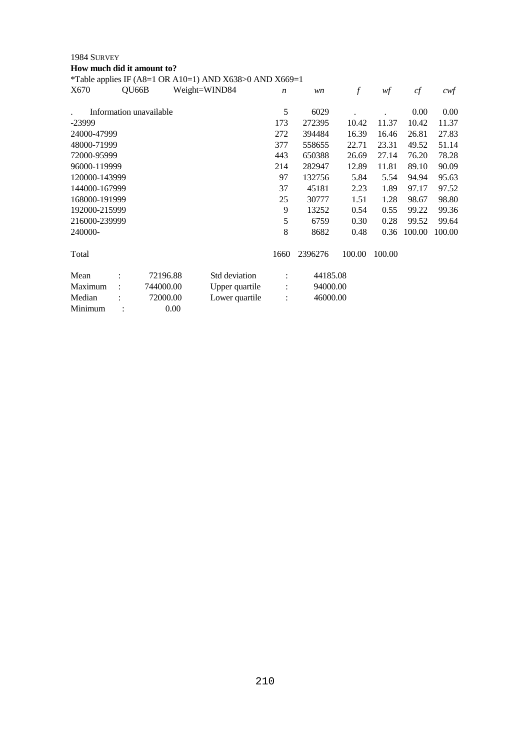| 1984 SURVEY                |                         |           |                                                         |                  |          |                  |        |        |                   |
|----------------------------|-------------------------|-----------|---------------------------------------------------------|------------------|----------|------------------|--------|--------|-------------------|
| How much did it amount to? |                         |           |                                                         |                  |          |                  |        |        |                   |
|                            |                         |           | *Table applies IF (A8=1 OR A10=1) AND X638>0 AND X669=1 |                  |          |                  |        |        |                   |
| X670                       | QU66B                   |           | Weight=WIND84                                           | $\boldsymbol{n}$ | wn       | $\boldsymbol{f}$ | wf     | cf     | $c \mathcal{w} f$ |
|                            | Information unavailable |           |                                                         | 5                | 6029     |                  |        | 0.00   | 0.00              |
| $-23999$                   |                         |           |                                                         | 173              | 272395   | 10.42            | 11.37  | 10.42  | 11.37             |
| 24000-47999                |                         |           |                                                         | 272              | 394484   | 16.39            | 16.46  | 26.81  | 27.83             |
| 48000-71999                |                         |           |                                                         | 377              | 558655   | 22.71            | 23.31  | 49.52  | 51.14             |
| 72000-95999                |                         |           |                                                         | 443              | 650388   | 26.69            | 27.14  | 76.20  | 78.28             |
| 96000-119999               |                         |           |                                                         | 214              | 282947   | 12.89            | 11.81  | 89.10  | 90.09             |
| 120000-143999              |                         |           |                                                         | 97               | 132756   | 5.84             | 5.54   | 94.94  | 95.63             |
| 144000-167999              |                         |           |                                                         | 37               | 45181    | 2.23             | 1.89   | 97.17  | 97.52             |
| 168000-191999              |                         |           |                                                         | 25               | 30777    | 1.51             | 1.28   | 98.67  | 98.80             |
| 192000-215999              |                         |           |                                                         | 9                | 13252    | 0.54             | 0.55   | 99.22  | 99.36             |
| 216000-239999              |                         |           |                                                         | 5                | 6759     | 0.30             | 0.28   | 99.52  | 99.64             |
| 240000-                    |                         |           |                                                         | 8                | 8682     | 0.48             | 0.36   | 100.00 | 100.00            |
| Total                      |                         |           |                                                         | 1660             | 2396276  | 100.00           | 100.00 |        |                   |
| Mean                       |                         | 72196.88  | Std deviation                                           | ÷                | 44185.08 |                  |        |        |                   |
| Maximum                    |                         | 744000.00 | Upper quartile                                          | $\ddot{\cdot}$   | 94000.00 |                  |        |        |                   |
| Median                     |                         | 72000.00  | Lower quartile                                          | $\ddot{\cdot}$   | 46000.00 |                  |        |        |                   |
| Minimum                    |                         | 0.00      |                                                         |                  |          |                  |        |        |                   |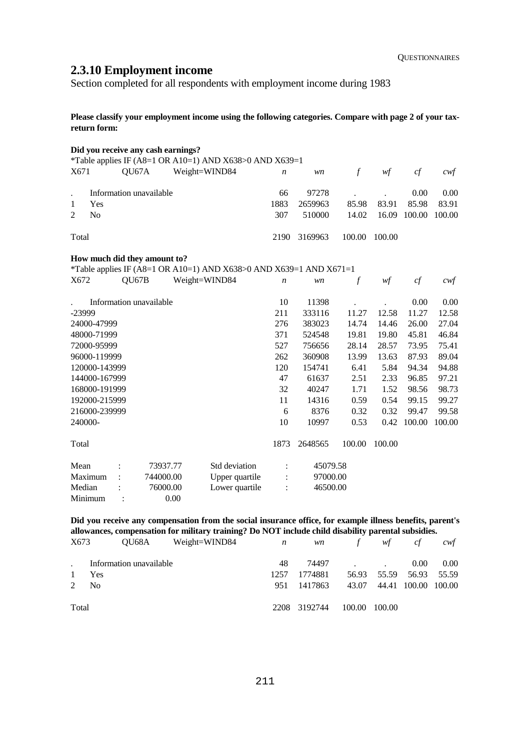# **2.3.10 Employment income**

Section completed for all respondents with employment income during 1983

**Please classify your employment income using the following categories. Compare with page 2 of your taxreturn form:** 

|                |                |       | Did you receive any cash earnings? |               |                                                                    |                  |          |               |        |        |        |
|----------------|----------------|-------|------------------------------------|---------------|--------------------------------------------------------------------|------------------|----------|---------------|--------|--------|--------|
|                |                |       |                                    |               | *Table applies IF (A8=1 OR A10=1) AND X638>0 AND X639=1            |                  |          |               |        |        |        |
| X671           |                | QU67A |                                    | Weight=WIND84 |                                                                    | $\boldsymbol{n}$ | wn       | $\mathcal{f}$ | w f    | cf     | $c$ wf |
|                |                |       |                                    |               |                                                                    |                  |          |               |        |        |        |
|                |                |       | Information unavailable            |               |                                                                    | 66               | 97278    |               |        | 0.00   | 0.00   |
| 1              | Yes            |       |                                    |               |                                                                    | 1883             | 2659963  | 85.98         | 83.91  | 85.98  | 83.91  |
| $\overline{2}$ | N <sub>o</sub> |       |                                    |               |                                                                    | 307              | 510000   | 14.02         | 16.09  | 100.00 | 100.00 |
| Total          |                |       |                                    |               |                                                                    | 2190             | 3169963  | 100.00        | 100.00 |        |        |
|                |                |       | How much did they amount to?       |               |                                                                    |                  |          |               |        |        |        |
|                |                |       |                                    |               | *Table applies IF (A8=1 OR A10=1) AND X638>0 AND X639=1 AND X671=1 |                  |          |               |        |        |        |
| X672           |                | QU67B |                                    | Weight=WIND84 |                                                                    | $\boldsymbol{n}$ | wn       | $\mathcal{f}$ | wf     | cf     | $c$ wf |
|                |                |       | Information unavailable            |               |                                                                    | 10               | 11398    |               |        | 0.00   | 0.00   |
| $-23999$       |                |       |                                    |               |                                                                    | 211              | 333116   | 11.27         | 12.58  | 11.27  | 12.58  |
|                | 24000-47999    |       |                                    |               |                                                                    | 276              | 383023   | 14.74         | 14.46  | 26.00  | 27.04  |
|                | 48000-71999    |       |                                    |               |                                                                    | 371              | 524548   | 19.81         | 19.80  | 45.81  | 46.84  |
|                | 72000-95999    |       |                                    |               |                                                                    | 527              | 756656   | 28.14         | 28.57  | 73.95  | 75.41  |
|                | 96000-119999   |       |                                    |               |                                                                    | 262              | 360908   | 13.99         | 13.63  | 87.93  | 89.04  |
|                | 120000-143999  |       |                                    |               |                                                                    | 120              | 154741   | 6.41          | 5.84   | 94.34  | 94.88  |
|                | 144000-167999  |       |                                    |               |                                                                    | 47               | 61637    | 2.51          | 2.33   | 96.85  | 97.21  |
|                | 168000-191999  |       |                                    |               |                                                                    | 32               | 40247    | 1.71          | 1.52   | 98.56  | 98.73  |
|                | 192000-215999  |       |                                    |               |                                                                    | 11               | 14316    | 0.59          | 0.54   | 99.15  | 99.27  |
|                | 216000-239999  |       |                                    |               |                                                                    | 6                | 8376     | 0.32          | 0.32   | 99.47  | 99.58  |
| 240000-        |                |       |                                    |               |                                                                    | 10               | 10997    | 0.53          | 0.42   | 100.00 | 100.00 |
| Total          |                |       |                                    |               |                                                                    | 1873             | 2648565  | 100.00        | 100.00 |        |        |
| Mean           |                |       | 73937.77                           |               | Std deviation                                                      | $\ddot{\cdot}$   | 45079.58 |               |        |        |        |
|                | Maximum        |       | 744000.00                          |               | Upper quartile                                                     | $\ddot{\cdot}$   | 97000.00 |               |        |        |        |
| Median         |                |       | 76000.00                           |               | Lower quartile                                                     | $\ddot{\cdot}$   | 46500.00 |               |        |        |        |
|                | Minimum        |       |                                    | 0.00          |                                                                    |                  |          |               |        |        |        |
|                |                |       |                                    |               |                                                                    |                  |          |               |        |        |        |

## **Did you receive any compensation from the social insurance office, for example illness benefits, parent's allowances, compensation for military training? Do NOT include child disability parental subsidies.**

| X673         |                         | QU68A Weight=WIND84 | $\boldsymbol{n}$ |              | wn f wf       |                           | cf   | cwt  |
|--------------|-------------------------|---------------------|------------------|--------------|---------------|---------------------------|------|------|
|              | Information unavailable |                     | 48               |              | 74497         |                           | 0.00 | 0.00 |
| $\mathbf{1}$ | Yes                     |                     | 1257             | 1774881      |               | 56.93 55.59 56.93 55.59   |      |      |
| 2            | N <sub>0</sub>          |                     | 951              | 1417863      |               | 43.07 44.41 100.00 100.00 |      |      |
| Total        |                         |                     |                  | 2208 3192744 | 100.00 100.00 |                           |      |      |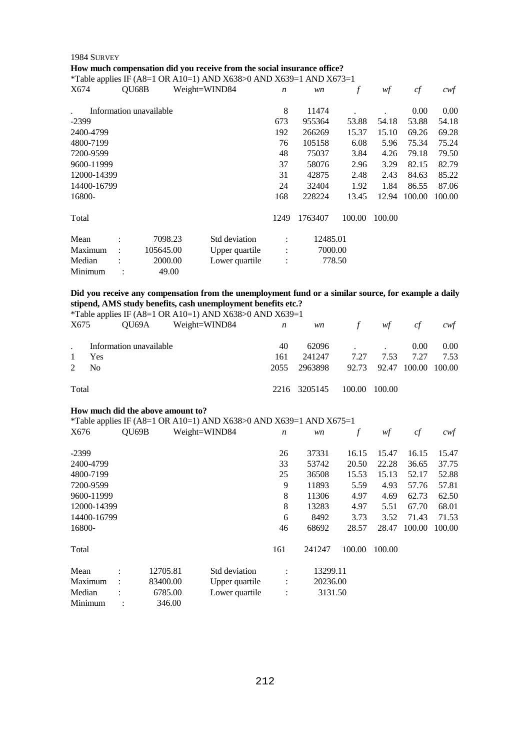#### 1984 SURVEY

## **How much compensation did you receive from the social insurance office?**

\*Table applies IF (A8=1 OR A10=1) AND X638>0 AND X639=1 AND X673=1

| X674        | QU68B                |                         | Weight=WIND84  | $\boldsymbol{n}$ | wn       | f      | wf     | cf     | $c \mathsf{w} f$ |
|-------------|----------------------|-------------------------|----------------|------------------|----------|--------|--------|--------|------------------|
|             |                      | Information unavailable |                | 8                | 11474    |        |        | 0.00   | 0.00             |
| $-2399$     |                      |                         |                | 673              | 955364   | 53.88  | 54.18  | 53.88  | 54.18            |
| 2400-4799   |                      |                         |                | 192              | 266269   | 15.37  | 15.10  | 69.26  | 69.28            |
| 4800-7199   |                      |                         |                | 76               | 105158   | 6.08   | 5.96   | 75.34  | 75.24            |
| 7200-9599   |                      |                         |                | 48               | 75037    | 3.84   | 4.26   | 79.18  | 79.50            |
| 9600-11999  |                      |                         |                | 37               | 58076    | 2.96   | 3.29   | 82.15  | 82.79            |
| 12000-14399 |                      |                         |                | 31               | 42875    | 2.48   | 2.43   | 84.63  | 85.22            |
| 14400-16799 |                      |                         |                | 24               | 32404    | 1.92   | 1.84   | 86.55  | 87.06            |
| 16800-      |                      |                         |                | 168              | 228224   | 13.45  | 12.94  | 100.00 | 100.00           |
| Total       |                      |                         |                | 1249             | 1763407  | 100.00 | 100.00 |        |                  |
| Mean        | ٠                    | 7098.23                 | Std deviation  | $\ddot{\cdot}$   | 12485.01 |        |        |        |                  |
| Maximum     | $\ddot{\phantom{a}}$ | 105645.00               | Upper quartile | $\ddot{\cdot}$   | 7000.00  |        |        |        |                  |
| Median      |                      | 2000.00                 | Lower quartile | $\vdots$         |          | 778.50 |        |        |                  |
| Minimum     |                      | 49.00                   |                |                  |          |        |        |        |                  |

#### **Did you receive any compensation from the unemployment fund or a similar source, for example a daily stipend, AMS study benefits, cash unemployment benefits etc.?**  \*Table applies IF (A8=1 OR A10=1) AND X638>0 AND X639=1

| X675         | $\frac{1}{2}$ and $\frac{1}{2}$ and $\frac{1}{2}$ and $\frac{1}{2}$ and $\frac{1}{2}$ and $\frac{1}{2}$ and $\frac{1}{2}$ and $\frac{1}{2}$ and $\frac{1}{2}$ and $\frac{1}{2}$ and $\frac{1}{2}$ and $\frac{1}{2}$ and $\frac{1}{2}$ and $\frac{1}{2}$ and $\frac{1}{2}$ and $\frac{1}{2}$ a<br>$QU69A$ Weight=WIND84 $n$ |     |                                        | wn f wf | cf       | cwt  |
|--------------|----------------------------------------------------------------------------------------------------------------------------------------------------------------------------------------------------------------------------------------------------------------------------------------------------------------------------|-----|----------------------------------------|---------|----------|------|
|              | Information unavailable                                                                                                                                                                                                                                                                                                    | 40  |                                        | 62096   | $0.00\,$ | 0.00 |
| $\mathbf{1}$ | Yes                                                                                                                                                                                                                                                                                                                        | 161 | 241247 7.27 7.53 7.27 7.53             |         |          |      |
|              | 2 N <sub>0</sub>                                                                                                                                                                                                                                                                                                           |     | 2055 2963898 92.73 92.47 100.00 100.00 |         |          |      |
| Total        |                                                                                                                                                                                                                                                                                                                            |     | 2216 3205145 100.00 100.00             |         |          |      |

#### **How much did the above amount to?**

|             |                      |          | *Table applies IF (A8=1 OR A10=1) AND X638>0 AND X639=1 AND X675=1 |                      |          |        |        |        |        |
|-------------|----------------------|----------|--------------------------------------------------------------------|----------------------|----------|--------|--------|--------|--------|
| X676        |                      | OU69B    | Weight=WIND84                                                      | $\boldsymbol{n}$     | wn       | f      | wf     | cf     | cwf    |
| $-2399$     |                      |          |                                                                    | 26                   | 37331    | 16.15  | 15.47  | 16.15  | 15.47  |
| 2400-4799   |                      |          |                                                                    | 33                   | 53742    | 20.50  | 22.28  | 36.65  | 37.75  |
| 4800-7199   |                      |          |                                                                    | 25                   | 36508    | 15.53  | 15.13  | 52.17  | 52.88  |
| 7200-9599   |                      |          |                                                                    | 9                    | 11893    | 5.59   | 4.93   | 57.76  | 57.81  |
| 9600-11999  |                      |          |                                                                    | 8                    | 11306    | 4.97   | 4.69   | 62.73  | 62.50  |
| 12000-14399 |                      |          |                                                                    | 8                    | 13283    | 4.97   | 5.51   | 67.70  | 68.01  |
| 14400-16799 |                      |          |                                                                    | 6                    | 8492     | 3.73   | 3.52   | 71.43  | 71.53  |
| 16800-      |                      |          |                                                                    | 46                   | 68692    | 28.57  | 28.47  | 100.00 | 100.00 |
| Total       |                      |          |                                                                    | 161                  | 241247   | 100.00 | 100.00 |        |        |
| Mean        | $\ddot{\phantom{a}}$ | 12705.81 | Std deviation                                                      | $\ddot{\phantom{a}}$ | 13299.11 |        |        |        |        |
| Maximum     |                      | 83400.00 | Upper quartile                                                     | $\ddot{\cdot}$       | 20236.00 |        |        |        |        |
| Median      |                      | 6785.00  | Lower quartile                                                     | $\ddot{\cdot}$       | 3131.50  |        |        |        |        |
| Minimum     |                      | 346.00   |                                                                    |                      |          |        |        |        |        |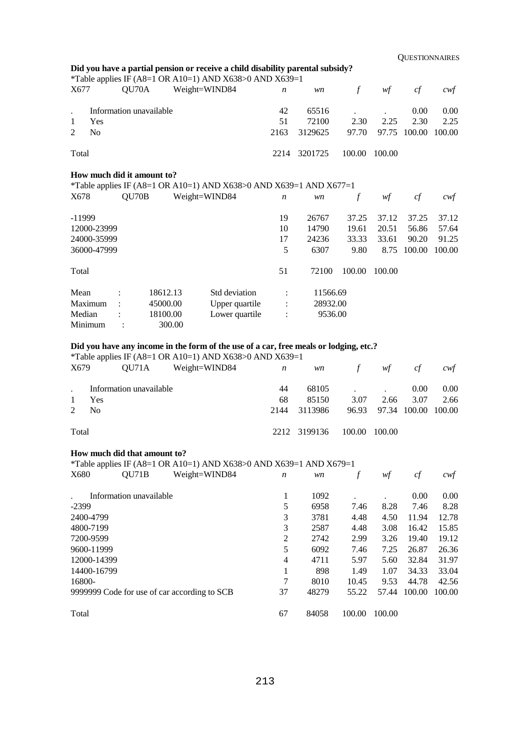|                                                       |                         |                                  | Did you have a partial pension or receive a child disability parental subsidy?<br>*Table applies IF (A8=1 OR A10=1) AND X638>0 AND X639=1 |                     |                                 |                                 |                                 |                                   |                                   |
|-------------------------------------------------------|-------------------------|----------------------------------|-------------------------------------------------------------------------------------------------------------------------------------------|---------------------|---------------------------------|---------------------------------|---------------------------------|-----------------------------------|-----------------------------------|
| X677                                                  | OU70A                   |                                  | Weight=WIND84                                                                                                                             | $\boldsymbol{n}$    | wn                              | $\boldsymbol{f}$                | wf                              | cf                                | cwt                               |
| Yes<br>1<br>2<br>N <sub>0</sub>                       | Information unavailable |                                  |                                                                                                                                           | 42<br>51<br>2163    | 65516<br>72100<br>3129625       | 2.30<br>97.70                   | 2.25<br>97.75                   | 0.00<br>2.30<br>100.00            | 0.00<br>2.25<br>100.00            |
| Total                                                 |                         |                                  |                                                                                                                                           | 2214                | 3201725                         | 100.00                          | 100.00                          |                                   |                                   |
| How much did it amount to?<br>X678                    | QU70B                   |                                  | *Table applies IF (A8=1 OR A10=1) AND X638>0 AND X639=1 AND X677=1<br>Weight=WIND84                                                       | $\boldsymbol{n}$    | wn                              | $\boldsymbol{f}$                | wf                              | cf                                | cwt                               |
| $-11999$<br>12000-23999<br>24000-35999<br>36000-47999 |                         |                                  |                                                                                                                                           | 19<br>10<br>17<br>5 | 26767<br>14790<br>24236<br>6307 | 37.25<br>19.61<br>33.33<br>9.80 | 37.12<br>20.51<br>33.61<br>8.75 | 37.25<br>56.86<br>90.20<br>100.00 | 37.12<br>57.64<br>91.25<br>100.00 |
| Total                                                 |                         |                                  |                                                                                                                                           | 51                  | 72100                           | 100.00                          | 100.00                          |                                   |                                   |
| Mean<br>Maximum<br>Median                             |                         | 18612.13<br>45000.00<br>18100.00 | Std deviation<br>Upper quartile<br>Lower quartile                                                                                         |                     | 11566.69<br>28932.00<br>9536.00 |                                 |                                 |                                   |                                   |

Minimum : 300.00

## **Did you have any income in the form of the use of a car, free meals or lodging, etc.?**

\*Table applies IF (A8=1 OR A10=1) AND X638>0 AND X639=1

| X679  |                         | QU71A Weight=WIND84 | $\boldsymbol{n}$ | <i>wn</i>    | $\int$ | wf                        | cf   | cwt  |
|-------|-------------------------|---------------------|------------------|--------------|--------|---------------------------|------|------|
|       | Information unavailable |                     | 44               |              | 68105  |                           | 0.00 | 0.00 |
|       | Yes                     |                     | 68               | 85150        | 3.07   | 2.66                      | 3.07 | 2.66 |
| 2     | - No                    |                     | 2144             | 3113986      |        | 96.93 97.34 100.00 100.00 |      |      |
| Total |                         |                     |                  | 2212 3199136 |        | 100.00 100.00             |      |      |

## **How much did that amount to?**

\*Table applies IF (A8=1 OR A10=1) AND X638>0 AND X639=1 AND X679=1

| -- F F<br>X680 | OU71B                   | Weight=WIND84                                | $\boldsymbol{n}$ | wn    |        | wţ     | cf     | cwf    |
|----------------|-------------------------|----------------------------------------------|------------------|-------|--------|--------|--------|--------|
|                | Information unavailable |                                              |                  | 1092  |        |        | 0.00   | 0.00   |
| $-2399$        |                         |                                              | 5                | 6958  | 7.46   | 8.28   | 7.46   | 8.28   |
| 2400-4799      |                         |                                              | 3                | 3781  | 4.48   | 4.50   | 11.94  | 12.78  |
| 4800-7199      |                         |                                              | 3                | 2587  | 4.48   | 3.08   | 16.42  | 15.85  |
| 7200-9599      |                         |                                              | 2                | 2742  | 2.99   | 3.26   | 19.40  | 19.12  |
| 9600-11999     |                         |                                              | 5                | 6092  | 7.46   | 7.25   | 26.87  | 26.36  |
| 12000-14399    |                         |                                              | 4                | 4711  | 5.97   | 5.60   | 32.84  | 31.97  |
| 14400-16799    |                         |                                              |                  | 898   | 1.49   | 1.07   | 34.33  | 33.04  |
| 16800-         |                         |                                              | 7                | 8010  | 10.45  | 9.53   | 44.78  | 42.56  |
|                |                         | 9999999 Code for use of car according to SCB | 37               | 48279 | 55.22  | 57.44  | 100.00 | 100.00 |
| Total          |                         |                                              | 67               | 84058 | 100.00 | 100.00 |        |        |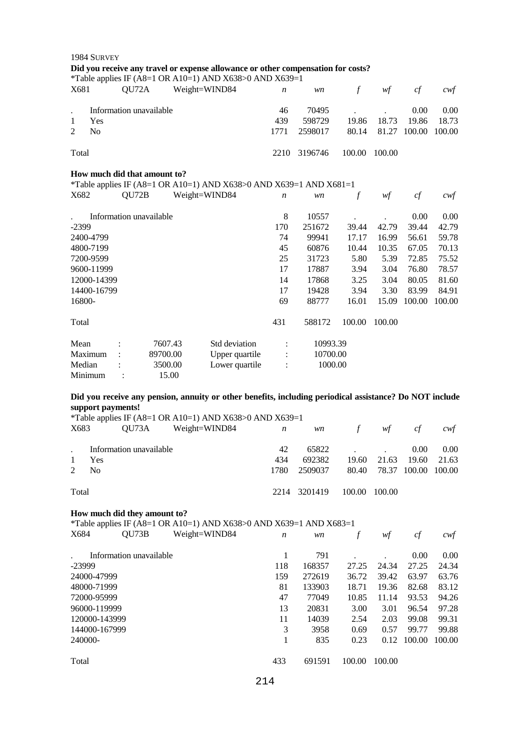|                | 1984 SURVEY    |                   |                              |               |                                                                                                         |                  |          |               |        |        |                   |
|----------------|----------------|-------------------|------------------------------|---------------|---------------------------------------------------------------------------------------------------------|------------------|----------|---------------|--------|--------|-------------------|
|                |                |                   |                              |               | Did you receive any travel or expense allowance or other compensation for costs?                        |                  |          |               |        |        |                   |
| X681           |                | QU72A             |                              |               | *Table applies IF (A8=1 OR A10=1) AND X638>0 AND X639=1                                                 |                  |          |               |        |        |                   |
|                |                |                   |                              | Weight=WIND84 |                                                                                                         | $\boldsymbol{n}$ | wn       | $\mathcal{f}$ | wf     | cf     | $c \mathcal{w} f$ |
|                |                |                   | Information unavailable      |               |                                                                                                         | 46               | 70495    |               |        | 0.00   | 0.00              |
| $\mathbf{1}$   | Yes            |                   |                              |               |                                                                                                         | 439              | 598729   | 19.86         | 18.73  | 19.86  | 18.73             |
| $\overline{2}$ | N <sub>o</sub> |                   |                              |               |                                                                                                         | 1771             | 2598017  | 80.14         | 81.27  | 100.00 | 100.00            |
| Total          |                |                   |                              |               |                                                                                                         | 2210             | 3196746  | 100.00        | 100.00 |        |                   |
|                |                |                   | How much did that amount to? |               |                                                                                                         |                  |          |               |        |        |                   |
|                |                |                   |                              |               | *Table applies IF (A8=1 OR A10=1) AND X638>0 AND X639=1 AND X681=1                                      |                  |          |               |        |        |                   |
| X682           |                | QU72B             |                              | Weight=WIND84 |                                                                                                         | $\boldsymbol{n}$ | wn       | $\mathcal{f}$ | wf     | cf     | cwt               |
|                |                |                   | Information unavailable      |               |                                                                                                         | 8                | 10557    |               |        | 0.00   | 0.00              |
| $-2399$        |                |                   |                              |               |                                                                                                         | 170              | 251672   | 39.44         | 42.79  | 39.44  | 42.79             |
|                | 2400-4799      |                   |                              |               |                                                                                                         | 74               | 99941    | 17.17         | 16.99  | 56.61  | 59.78             |
|                | 4800-7199      |                   |                              |               |                                                                                                         | 45               | 60876    | 10.44         | 10.35  | 67.05  | 70.13             |
|                | 7200-9599      |                   |                              |               |                                                                                                         | 25               | 31723    | 5.80          | 5.39   | 72.85  | 75.52             |
|                | 9600-11999     |                   |                              |               |                                                                                                         | 17               | 17887    | 3.94          | 3.04   | 76.80  | 78.57             |
|                | 12000-14399    |                   |                              |               |                                                                                                         | 14               | 17868    | 3.25          | 3.04   | 80.05  | 81.60             |
|                | 14400-16799    |                   |                              |               |                                                                                                         | 17               | 19428    | 3.94          | 3.30   | 83.99  | 84.91             |
| 16800-         |                |                   |                              |               |                                                                                                         | 69               | 88777    | 16.01         | 15.09  | 100.00 | 100.00            |
| Total          |                |                   |                              |               |                                                                                                         | 431              | 588172   | 100.00        | 100.00 |        |                   |
| Mean           |                | $\vdots$          | 7607.43                      |               | Std deviation                                                                                           | $\ddot{\cdot}$   | 10993.39 |               |        |        |                   |
|                | Maximum        |                   | 89700.00                     |               | Upper quartile                                                                                          | $\vdots$         | 10700.00 |               |        |        |                   |
| Median         | Minimum        | $\ddot{\cdot}$    | 3500.00<br>15.00             |               | Lower quartile                                                                                          | $\ddot{\cdot}$   | 1000.00  |               |        |        |                   |
|                |                |                   |                              |               | Did you receive any pension, annuity or other benefits, including periodical assistance? Do NOT include |                  |          |               |        |        |                   |
|                |                | support payments! |                              |               |                                                                                                         |                  |          |               |        |        |                   |
|                |                |                   |                              |               | *Table applies IF (A8=1 OR A10=1) AND X638>0 AND X639=1                                                 |                  |          |               |        |        |                   |
| X683           |                | QU73A             |                              | Weight=WIND84 |                                                                                                         | $\boldsymbol{n}$ | wn       | $\mathcal{f}$ | wf     | cf     | cwt               |
|                |                |                   | Information unavailable      |               |                                                                                                         | 42               | 65822    |               |        | 0.00   | 0.00              |
| 1              | Yes            |                   |                              |               |                                                                                                         | 434              | 692382   | 19.60         | 21.63  | 19.60  | 21.63             |
| 2              | No             |                   |                              |               |                                                                                                         | 1780             | 2509037  | 80.40         | 78.37  | 100.00 | 100.00            |
| Total          |                |                   |                              |               |                                                                                                         | 2214             | 3201419  | 100.00        | 100.00 |        |                   |

#### **How much did they amount to?**

\*Table applies IF (A8=1 OR A10=1) AND X638>0 AND X639=1 AND X683=1

| X684          | QU73B                   | Weight=WIND84 | $\boldsymbol{n}$ | wn     |        | wf     | cf     | cwt    |
|---------------|-------------------------|---------------|------------------|--------|--------|--------|--------|--------|
|               | Information unavailable |               |                  | 791    |        |        | 0.00   | 0.00   |
| $-23999$      |                         |               | 118              | 168357 | 27.25  | 24.34  | 27.25  | 24.34  |
| 24000-47999   |                         |               | 159              | 272619 | 36.72  | 39.42  | 63.97  | 63.76  |
| 48000-71999   |                         |               | 81               | 133903 | 18.71  | 19.36  | 82.68  | 83.12  |
| 72000-95999   |                         |               | 47               | 77049  | 10.85  | 11.14  | 93.53  | 94.26  |
| 96000-119999  |                         |               | 13               | 20831  | 3.00   | 3.01   | 96.54  | 97.28  |
| 120000-143999 |                         |               | 11               | 14039  | 2.54   | 2.03   | 99.08  | 99.31  |
| 144000-167999 |                         |               | 3                | 3958   | 0.69   | 0.57   | 99.77  | 99.88  |
| 240000-       |                         |               |                  | 835    | 0.23   | 0.12   | 100.00 | 100.00 |
| Total         |                         |               | 433              | 691591 | 100.00 | 100.00 |        |        |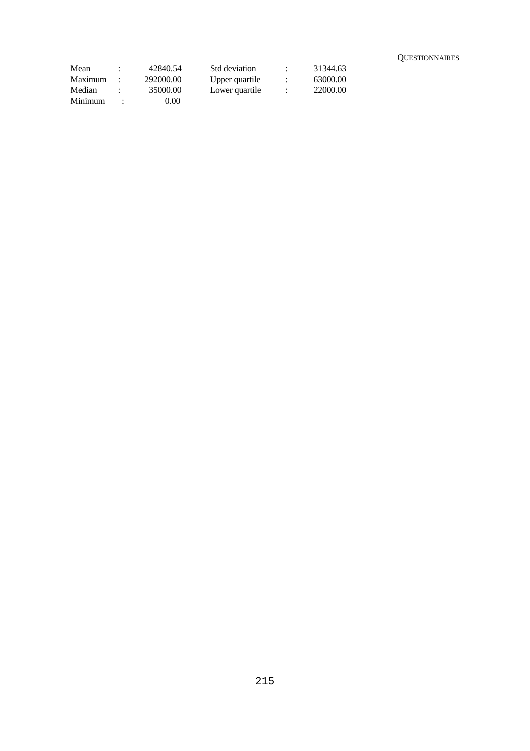| Mean    | $\cdot$ | 42840.54  | Std deviation  | $\mathbb{R}^n$ | 31344.63 |  |
|---------|---------|-----------|----------------|----------------|----------|--|
| Maximum |         | 292000.00 | Upper quartile |                | 63000.00 |  |
| Median  |         | 35000.00  | Lower quartile |                | 22000.00 |  |
| Minimum |         | 0.00      |                |                |          |  |

**QUESTIONNAIRES** 

## 215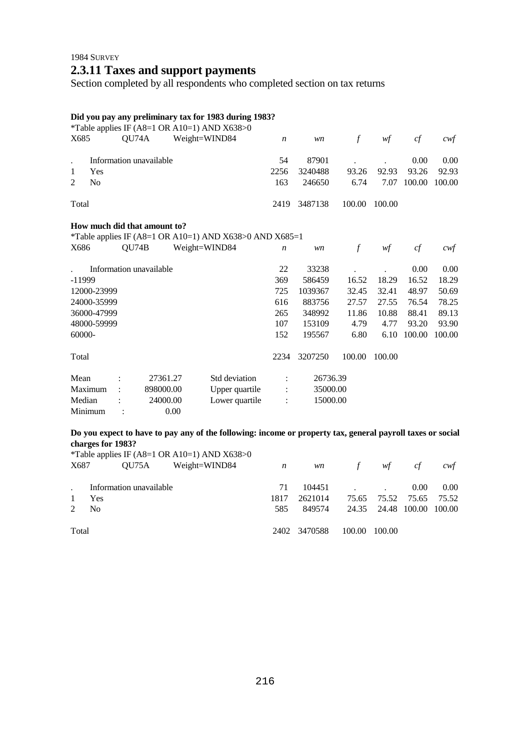## 1984 SURVEY **2.3.11 Taxes and support payments**

Section completed by all respondents who completed section on tax returns

## **Did you pay any preliminary tax for 1983 during 1983?**

|          |                |       |                              |               | *Table applies IF (A8=1 OR A10=1) AND X638>0            |                  |          |               |        |        |        |
|----------|----------------|-------|------------------------------|---------------|---------------------------------------------------------|------------------|----------|---------------|--------|--------|--------|
| X685     |                | QU74A |                              | Weight=WIND84 |                                                         | $\boldsymbol{n}$ | wn       | $\mathcal{f}$ | wf     | cf     | $c$ wf |
|          |                |       |                              |               |                                                         |                  |          |               |        |        |        |
|          |                |       | Information unavailable      |               |                                                         | 54               | 87901    |               |        | 0.00   | 0.00   |
| 1        | Yes            |       |                              |               |                                                         | 2256             | 3240488  | 93.26         | 92.93  | 93.26  | 92.93  |
| 2        | N <sub>0</sub> |       |                              |               |                                                         | 163              | 246650   | 6.74          | 7.07   | 100.00 | 100.00 |
| Total    |                |       |                              |               |                                                         | 2419             | 3487138  | 100.00        | 100.00 |        |        |
|          |                |       | How much did that amount to? |               | *Table applies IF (A8=1 OR A10=1) AND X638>0 AND X685=1 |                  |          |               |        |        |        |
| X686     |                | QU74B |                              | Weight=WIND84 |                                                         | $\boldsymbol{n}$ | wn       | $\mathcal{f}$ | wf     | cf     | cwf    |
|          |                |       |                              |               |                                                         |                  |          |               |        |        |        |
|          |                |       | Information unavailable      |               |                                                         | 22               | 33238    |               |        | 0.00   | 0.00   |
| $-11999$ |                |       |                              |               |                                                         | 369              | 586459   | 16.52         | 18.29  | 16.52  | 18.29  |
|          | 12000-23999    |       |                              |               |                                                         | 725              | 1039367  | 32.45         | 32.41  | 48.97  | 50.69  |
|          | 24000-35999    |       |                              |               |                                                         | 616              | 883756   | 27.57         | 27.55  | 76.54  | 78.25  |
|          | 36000-47999    |       |                              |               |                                                         | 265              | 348992   | 11.86         | 10.88  | 88.41  | 89.13  |
|          | 48000-59999    |       |                              |               |                                                         | 107              | 153109   | 4.79          | 4.77   | 93.20  | 93.90  |
| 60000-   |                |       |                              |               |                                                         | 152              | 195567   | 6.80          | 6.10   | 100.00 | 100.00 |
| Total    |                |       |                              |               |                                                         | 2234             | 3207250  | 100.00        | 100.00 |        |        |
| Mean     |                |       | 27361.27                     |               | Std deviation                                           |                  | 26736.39 |               |        |        |        |
| Maximum  |                |       | 898000.00                    |               | Upper quartile                                          |                  | 35000.00 |               |        |        |        |
| Median   |                |       | 24000.00                     |               | Lower quartile                                          |                  | 15000.00 |               |        |        |        |
| Minimum  |                |       |                              | 0.00          |                                                         |                  |          |               |        |        |        |
|          |                |       |                              |               |                                                         |                  |          |               |        |        |        |

## **Do you expect to have to pay any of the following: income or property tax, general payroll taxes or social charges for 1983?**

|             |                         | *Table applies IF (A8=1 OR A10=1) AND $X638>0$ |                  |              |          |                           |                   |       |
|-------------|-------------------------|------------------------------------------------|------------------|--------------|----------|---------------------------|-------------------|-------|
| X687        | OU75A                   | Weight=WIND84                                  | $\boldsymbol{n}$ | <i>wn</i>    |          | f $wf$                    | cf                | cwt   |
|             | Information unavailable |                                                | 71               |              | $104451$ |                           | 0.00 <sub>1</sub> | 0.00  |
| -1          | Yes                     |                                                | 1817             | 2621014      |          | 75.65 75.52 75.65         |                   | 75.52 |
| $2^{\circ}$ | N <sub>0</sub>          |                                                | 585              | 849574       |          | 24.35 24.48 100.00 100.00 |                   |       |
| Total       |                         |                                                |                  | 2402 3470588 | 100.00   | 100.00                    |                   |       |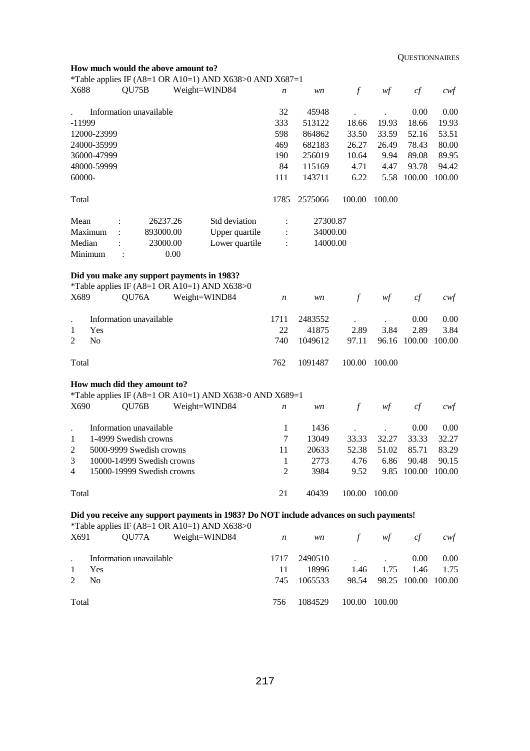**QUESTIONNAIRES** 

|                                                                                |                | How much would the above amount to?        |               | *Table applies IF (A8=1 OR A10=1) AND X638>0 AND X687=1                                 |                  |          |                  |                                        |                    |                   |
|--------------------------------------------------------------------------------|----------------|--------------------------------------------|---------------|-----------------------------------------------------------------------------------------|------------------|----------|------------------|----------------------------------------|--------------------|-------------------|
| X688                                                                           |                | QU75B                                      | Weight=WIND84 |                                                                                         | $\boldsymbol{n}$ | wn       | $\boldsymbol{f}$ | $\mathcal{W}\hspace{-0.5mm}\textit{f}$ | cf                 | $c$ wf            |
|                                                                                |                | Information unavailable                    |               |                                                                                         | 32               | 45948    |                  |                                        | 0.00               | 0.00              |
| $-11999$                                                                       |                |                                            |               |                                                                                         | 333              | 513122   | 18.66            | 19.93                                  | 18.66              | 19.93             |
|                                                                                | 12000-23999    |                                            |               |                                                                                         | 598              | 864862   | 33.50            | 33.59                                  | 52.16              | 53.51             |
|                                                                                | 24000-35999    |                                            |               |                                                                                         | 469              | 682183   | 26.27            | 26.49                                  | 78.43              | 80.00             |
|                                                                                | 36000-47999    |                                            |               |                                                                                         | 190              | 256019   | 10.64            | 9.94                                   | 89.08              | 89.95             |
|                                                                                | 48000-59999    |                                            |               |                                                                                         | 84               | 115169   | 4.71             | 4.47                                   | 93.78              | 94.42             |
| 60000-                                                                         |                |                                            |               |                                                                                         | 111              | 143711   | 6.22             | 5.58                                   | 100.00             | 100.00            |
| Total                                                                          |                |                                            |               |                                                                                         | 1785             | 2575066  | 100.00           | 100.00                                 |                    |                   |
| Mean                                                                           |                |                                            | 26237.26      | Std deviation                                                                           | $\ddot{\cdot}$   | 27300.87 |                  |                                        |                    |                   |
|                                                                                | Maximum        |                                            | 893000.00     | Upper quartile                                                                          | $\ddot{\cdot}$   | 34000.00 |                  |                                        |                    |                   |
| Median                                                                         |                |                                            | 23000.00      | Lower quartile                                                                          | $\ddot{\cdot}$   | 14000.00 |                  |                                        |                    |                   |
|                                                                                | Minimum        | $\ddot{\cdot}$                             | 0.00          |                                                                                         |                  |          |                  |                                        |                    |                   |
|                                                                                |                | Did you make any support payments in 1983? |               | *Table applies IF (A8=1 OR A10=1) AND X638>0                                            |                  |          |                  |                                        |                    |                   |
| X689                                                                           |                | QU76A                                      | Weight=WIND84 |                                                                                         | $\boldsymbol{n}$ | wn       | $\mathcal{f}$    | wf                                     | cf                 | cwf               |
|                                                                                |                | Information unavailable                    |               |                                                                                         | 1711             | 2483552  |                  |                                        | 0.00               | 0.00              |
| 1                                                                              | Yes            |                                            |               |                                                                                         | 22               | 41875    | 2.89             | 3.84                                   | 2.89               | 3.84              |
| $\overline{2}$                                                                 | N <sub>0</sub> |                                            |               |                                                                                         | 740              | 1049612  | 97.11            |                                        | 96.16 100.00       | 100.00            |
| Total                                                                          |                |                                            |               |                                                                                         | 762              | 1091487  | 100.00           | 100.00                                 |                    |                   |
|                                                                                |                | How much did they amount to?               |               |                                                                                         |                  |          |                  |                                        |                    |                   |
|                                                                                |                |                                            |               | *Table applies IF (A8=1 OR A10=1) AND X638>0 AND X689=1                                 |                  |          |                  |                                        |                    |                   |
| X690                                                                           |                | QU76B                                      | Weight=WIND84 |                                                                                         | $\boldsymbol{n}$ | wn       | $\mathcal{f}$    | wf                                     | cf                 | $c \mathcal{w}$ f |
|                                                                                |                | Information unavailable                    |               |                                                                                         | 1                | 1436     |                  |                                        | 0.00               | 0.00              |
| 1                                                                              |                | 1-4999 Swedish crowns                      |               |                                                                                         | 7                | 13049    | 33.33            | 32.27                                  | 33.33              | 32.27             |
| $\overline{c}$                                                                 |                | 5000-9999 Swedish crowns                   |               |                                                                                         | 11               | 20633    | 52.38            | 51.02                                  | 85.71              | 83.29             |
| 3                                                                              |                | 10000-14999 Swedish crowns                 |               |                                                                                         | 1                | 2773     | 4.76             | 6.86                                   | 90.48              | 90.15             |
| 4                                                                              |                | 15000-19999 Swedish crowns                 |               |                                                                                         | $\overline{c}$   | 3984     | 9.52             |                                        | 9.85 100.00 100.00 |                   |
| Total                                                                          |                |                                            |               |                                                                                         | 21               | 40439    | 100.00 100.00    |                                        |                    |                   |
|                                                                                |                |                                            |               | Did you receive any support payments in 1983? Do NOT include advances on such payments! |                  |          |                  |                                        |                    |                   |
| *Table applies IF (A8=1 OR A10=1) AND X638>0<br>QU77A<br>Weight=WIND84<br>X691 |                |                                            |               |                                                                                         |                  | wn       | $\int$           | wf                                     | cf                 | $c$ wf            |
|                                                                                |                | Information unavailable                    |               |                                                                                         | 1717             | 2490510  |                  |                                        | 0.00               | 0.00              |
| 18996<br>Yes<br>11<br>1.46<br>1.75<br>1.46<br>1                                |                |                                            |               |                                                                                         |                  |          |                  | 1.75                                   |                    |                   |
| $\overline{2}$                                                                 | N <sub>o</sub> |                                            |               |                                                                                         | 745              | 1065533  | 98.54            | 98.25                                  | 100.00             | 100.00            |
| Total                                                                          |                |                                            |               |                                                                                         | 756              | 1084529  | 100.00           | 100.00                                 |                    |                   |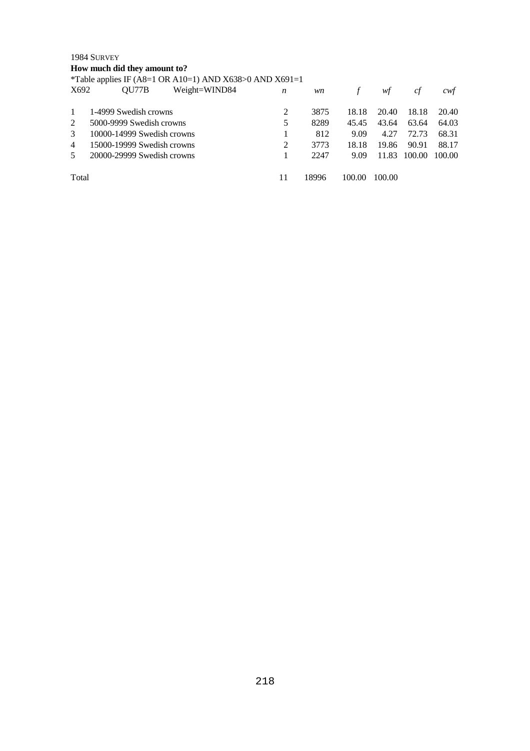### 1984 SURVEY

**How much did they amount to?** 

\*Table applies IF (A8=1 OR A10=1) AND X638>0 AND X691=1

| X692           | Weight=WIND84<br>OU77B     | n | wn    |        | wt     | ct     | cwt    |
|----------------|----------------------------|---|-------|--------|--------|--------|--------|
|                | 1-4999 Swedish crowns      | 2 | 3875  | 18.18  | 20.40  | 18.18  | 20.40  |
| 2              | 5000-9999 Swedish crowns   | 5 | 8289  | 45.45  | 43.64  | 63.64  | 64.03  |
| $\mathcal{E}$  | 10000-14999 Swedish crowns |   | 812   | 9.09   | 4.27   | 72.73  | 68.31  |
| $\overline{4}$ | 15000-19999 Swedish crowns | 2 | 3773  | 18.18  | 19.86  | 90.91  | 88.17  |
| 5              | 20000-29999 Swedish crowns |   | 2247  | 9.09   | 11.83  | 100.00 | 100.00 |
| Total          |                            |   | 18996 | 100.00 | 100.00 |        |        |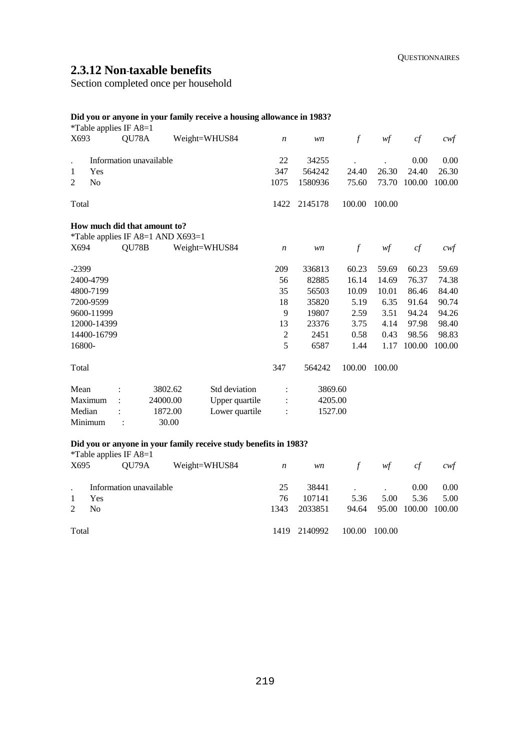## **2.3.12 Non**-**taxable benefits**

Section completed once per household

## **Did you or anyone in your family receive a housing allowance in 1983?**

|                      |                | *Table applies IF $A8=1$                                                                                                                                                                                                                                                                                                                        |                                   |                                                                  |                  |         |               |               |            |          |
|----------------------|----------------|-------------------------------------------------------------------------------------------------------------------------------------------------------------------------------------------------------------------------------------------------------------------------------------------------------------------------------------------------|-----------------------------------|------------------------------------------------------------------|------------------|---------|---------------|---------------|------------|----------|
| X693                 |                | QU78A                                                                                                                                                                                                                                                                                                                                           |                                   | Weight=WHUS84                                                    | n                | wn      | $\int$        | wf            | cf         | cwf      |
| $\ddot{\phantom{0}}$ |                | Information unavailable                                                                                                                                                                                                                                                                                                                         |                                   |                                                                  | 22               | 34255   |               |               | 0.00       | 0.00     |
| 1                    | Yes            |                                                                                                                                                                                                                                                                                                                                                 |                                   |                                                                  | 347              | 564242  | 24.40         | 26.30         | 24.40      | 26.30    |
| 2                    | N <sub>0</sub> |                                                                                                                                                                                                                                                                                                                                                 |                                   |                                                                  | 1075             | 1580936 | 75.60         | 73.70         | 100.00     | 100.00   |
| Total                |                |                                                                                                                                                                                                                                                                                                                                                 |                                   |                                                                  | 1422             | 2145178 | 100.00        | 100.00        |            |          |
|                      |                |                                                                                                                                                                                                                                                                                                                                                 | How much did that amount to?      |                                                                  |                  |         |               |               |            |          |
| X694                 |                | QU78B                                                                                                                                                                                                                                                                                                                                           | *Table applies IF A8=1 AND X693=1 | Weight=WHUS84                                                    | $\boldsymbol{n}$ | wn      | $\mathcal{f}$ | w f           | cf         | cwf      |
| $-2399$              |                |                                                                                                                                                                                                                                                                                                                                                 |                                   |                                                                  | 209              | 336813  | 60.23         | 59.69         | 60.23      | 59.69    |
|                      | 2400-4799      |                                                                                                                                                                                                                                                                                                                                                 |                                   |                                                                  | 56               | 82885   | 16.14         | 14.69         | 76.37      | 74.38    |
|                      | 4800-7199      |                                                                                                                                                                                                                                                                                                                                                 |                                   |                                                                  | 35               | 56503   | 10.09         | 10.01         | 86.46      | 84.40    |
|                      | 7200-9599      |                                                                                                                                                                                                                                                                                                                                                 |                                   |                                                                  | 18               | 35820   | 5.19          | 6.35          | 91.64      | 90.74    |
|                      | 9600-11999     |                                                                                                                                                                                                                                                                                                                                                 |                                   |                                                                  | 9                | 19807   | 2.59          | 3.51          | 94.24      | 94.26    |
|                      | 12000-14399    |                                                                                                                                                                                                                                                                                                                                                 |                                   |                                                                  | 13               | 23376   | 3.75          | 4.14          | 97.98      | 98.40    |
|                      | 14400-16799    |                                                                                                                                                                                                                                                                                                                                                 |                                   |                                                                  | $\sqrt{2}$       | 2451    | 0.58          | 0.43          | 98.56      | 98.83    |
| 16800-               |                |                                                                                                                                                                                                                                                                                                                                                 |                                   |                                                                  | 5                | 6587    | 1.44          | 1.17          | 100.00     | 100.00   |
| Total                |                |                                                                                                                                                                                                                                                                                                                                                 |                                   |                                                                  | 347              | 564242  | 100.00        | 100.00        |            |          |
| Mean                 |                |                                                                                                                                                                                                                                                                                                                                                 | 3802.62                           | Std deviation                                                    | $\ddot{\cdot}$   | 3869.60 |               |               |            |          |
|                      | Maximum        |                                                                                                                                                                                                                                                                                                                                                 | 24000.00                          | Upper quartile                                                   |                  | 4205.00 |               |               |            |          |
| Median               |                |                                                                                                                                                                                                                                                                                                                                                 | 1872.00                           | Lower quartile                                                   |                  | 1527.00 |               |               |            |          |
|                      | Minimum        |                                                                                                                                                                                                                                                                                                                                                 | 30.00                             |                                                                  |                  |         |               |               |            |          |
|                      |                | *Table applies IF A8=1                                                                                                                                                                                                                                                                                                                          |                                   | Did you or anyone in your family receive study benefits in 1983? |                  |         |               |               |            |          |
|                      |                | $Y695$ $\qquad \qquad$ $\qquad \qquad$ $\qquad$ $\qquad$ $\qquad$ $\qquad$ $\qquad$ $\qquad$ $\qquad$ $\qquad$ $\qquad$ $\qquad$ $\qquad$ $\qquad$ $\qquad$ $\qquad$ $\qquad$ $\qquad$ $\qquad$ $\qquad$ $\qquad$ $\qquad$ $\qquad$ $\qquad$ $\qquad$ $\qquad$ $\qquad$ $\qquad$ $\qquad$ $\qquad$ $\qquad$ $\qquad$ $\qquad$ $\qquad$ $\qquad$ |                                   | Weight-WHIIS24                                                   | $\boldsymbol{n}$ | 14.222  | $\mathcal{L}$ | $\mathcal{L}$ | $\alpha f$ | $\alpha$ |

| X695         |                  |                         | $QU79A$ Weight=WHUS84 $n$ |      |              | wn f wf cf    |                           |                | cwf  |
|--------------|------------------|-------------------------|---------------------------|------|--------------|---------------|---------------------------|----------------|------|
|              |                  | Information unavailable |                           | 25   |              |               |                           | $0.00\,$       | 0.00 |
| $\mathbf{1}$ | Yes              |                         |                           | 76   | 107141       | 5.36          |                           | 5.00 5.36 5.00 |      |
|              | 2 N <sub>0</sub> |                         |                           | 1343 | 2033851      |               | 94.64 95.00 100.00 100.00 |                |      |
| Total        |                  |                         |                           |      | 1419 2140992 | 100.00 100.00 |                           |                |      |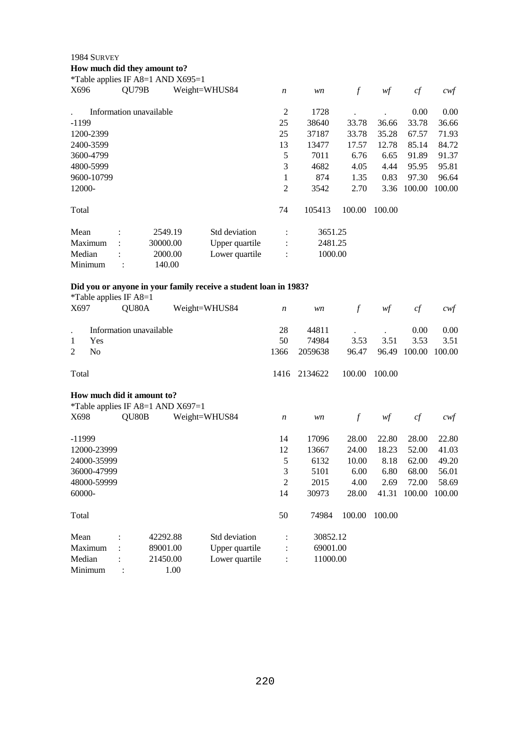#### 1984 SURVEY

**How much did they amount to?** 

| *Table applies IF A8=1 AND $X695=1$ |                |                         |         |                |                  |         |                  |        |        |        |
|-------------------------------------|----------------|-------------------------|---------|----------------|------------------|---------|------------------|--------|--------|--------|
| X696                                |                | QU79B                   |         | Weight=WHUS84  | $\boldsymbol{n}$ | wn      | $\boldsymbol{f}$ | wf     | cf     | cwf    |
|                                     |                | Information unavailable |         |                | 2                | 1728    |                  |        | 0.00   | 0.00   |
| $-1199$                             |                |                         |         |                | 25               | 38640   | 33.78            | 36.66  | 33.78  | 36.66  |
| 1200-2399                           |                |                         |         |                | 25               | 37187   | 33.78            | 35.28  | 67.57  | 71.93  |
| 2400-3599                           |                |                         |         |                | 13               | 13477   | 17.57            | 12.78  | 85.14  | 84.72  |
| 3600-4799                           |                |                         |         |                | 5                | 7011    | 6.76             | 6.65   | 91.89  | 91.37  |
| 4800-5999                           |                |                         |         |                | 3                | 4682    | 4.05             | 4.44   | 95.95  | 95.81  |
| 9600-10799                          |                |                         |         |                | 1                | 874     | 1.35             | 0.83   | 97.30  | 96.64  |
| 12000-                              |                |                         |         |                | 2                | 3542    | 2.70             | 3.36   | 100.00 | 100.00 |
| Total                               |                |                         |         |                | 74               | 105413  | 100.00           | 100.00 |        |        |
| Mean                                | $\bullet$      |                         | 2549.19 | Std deviation  | $\ddot{\cdot}$   | 3651.25 |                  |        |        |        |
| Maximum                             | $\ddot{\cdot}$ | 30000.00                |         | Upper quartile | $\ddot{\cdot}$   | 2481.25 |                  |        |        |        |
| Median                              |                |                         | 2000.00 | Lower quartile | $\ddot{\cdot}$   | 1000.00 |                  |        |        |        |
| Minimum                             |                |                         | 140.00  |                |                  |         |                  |        |        |        |

# **Did you or anyone in your family receive a student loan in 1983?**

|                      | *Table applies IF $A8=1$ |       |                            |                                     |                |                  |          |               |        |        |        |
|----------------------|--------------------------|-------|----------------------------|-------------------------------------|----------------|------------------|----------|---------------|--------|--------|--------|
| X697                 |                          | QU80A |                            |                                     | Weight=WHUS84  | $\boldsymbol{n}$ | wn       | $\int$        | wf     | cf     | cwf    |
| $\ddot{\phantom{a}}$ |                          |       | Information unavailable    |                                     |                | 28               | 44811    |               |        | 0.00   | 0.00   |
| 1                    | Yes                      |       |                            |                                     |                | 50               | 74984    | 3.53          | 3.51   | 3.53   | 3.51   |
| 2                    | N <sub>0</sub>           |       |                            |                                     |                | 1366             | 2059638  | 96.47         | 96.49  | 100.00 | 100.00 |
| Total                |                          |       |                            |                                     |                | 1416             | 2134622  | 100.00        | 100.00 |        |        |
|                      |                          |       | How much did it amount to? |                                     |                |                  |          |               |        |        |        |
|                      |                          |       |                            | *Table applies IF A8=1 AND $X697=1$ |                |                  |          |               |        |        |        |
| X698                 |                          | QU80B |                            |                                     | Weight=WHUS84  | $\boldsymbol{n}$ | wn       | $\mathcal{f}$ | wf     | cf     | cwt    |
| $-11999$             |                          |       |                            |                                     |                | 14               | 17096    | 28.00         | 22.80  | 28.00  | 22.80  |
|                      | 12000-23999              |       |                            |                                     |                | 12               | 13667    | 24.00         | 18.23  | 52.00  | 41.03  |
|                      | 24000-35999              |       |                            |                                     |                | 5                | 6132     | 10.00         | 8.18   | 62.00  | 49.20  |
|                      | 36000-47999              |       |                            |                                     |                | 3                | 5101     | 6.00          | 6.80   | 68.00  | 56.01  |
|                      | 48000-59999              |       |                            |                                     |                | 2                | 2015     | 4.00          | 2.69   | 72.00  | 58.69  |
| 60000-               |                          |       |                            |                                     |                | 14               | 30973    | 28.00         | 41.31  | 100.00 | 100.00 |
| Total                |                          |       |                            |                                     |                | 50               | 74984    | 100.00        | 100.00 |        |        |
| Mean                 |                          |       | 42292.88                   |                                     | Std deviation  |                  | 30852.12 |               |        |        |        |
|                      | Maximum                  |       | 89001.00                   |                                     | Upper quartile |                  | 69001.00 |               |        |        |        |
| Median               |                          |       | 21450.00                   |                                     | Lower quartile |                  | 11000.00 |               |        |        |        |
| Minimum              |                          |       |                            | 1.00                                |                |                  |          |               |        |        |        |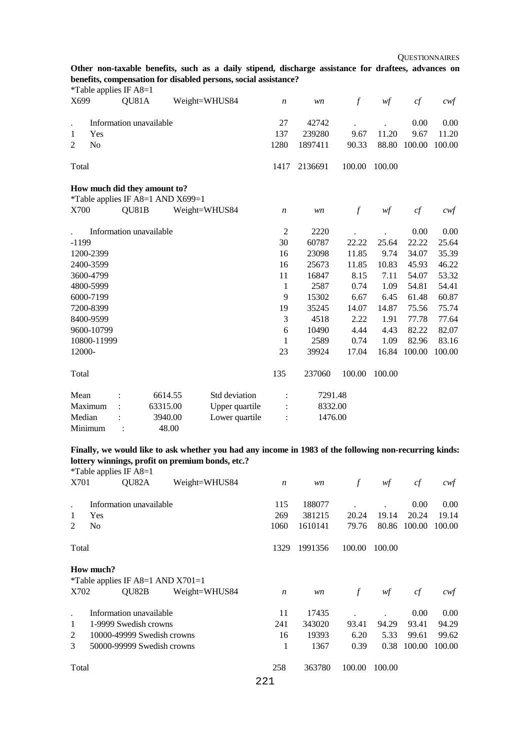**Other non-taxable benefits, such as a daily stipend, discharge assistance for draftees, advances on benefits, compensation for disabled persons, social assistance?** 

|             |                | *Table applies IF A8=1 |                              |                                   |                |                  |         |                |        |        |                   |
|-------------|----------------|------------------------|------------------------------|-----------------------------------|----------------|------------------|---------|----------------|--------|--------|-------------------|
| X699        |                | QU81A                  |                              |                                   | Weight=WHUS84  | $\boldsymbol{n}$ | wn      | $\overline{f}$ | wf     | cf     | $c \mathcal{w} f$ |
|             |                |                        | Information unavailable      |                                   |                | 27               | 42742   |                |        | 0.00   | 0.00              |
| 1           | Yes            |                        |                              |                                   |                | 137              | 239280  | 9.67           | 11.20  | 9.67   | 11.20             |
| 2           | N <sub>o</sub> |                        |                              |                                   |                | 1280             | 1897411 | 90.33          | 88.80  | 100.00 | 100.00            |
| Total       |                |                        |                              |                                   |                | 1417             | 2136691 | 100.00         | 100.00 |        |                   |
|             |                |                        | How much did they amount to? | *Table applies IF A8=1 AND X699=1 |                |                  |         |                |        |        |                   |
| X700        |                | QU81B                  |                              |                                   | Weight=WHUS84  | $\boldsymbol{n}$ | wn      | $\mathcal{f}$  | w f    | cf     | $c$ wf            |
|             |                |                        | Information unavailable      |                                   |                | $\mathfrak{2}$   | 2220    |                |        | 0.00   | 0.00              |
| $-1199$     |                |                        |                              |                                   |                | 30               | 60787   | 22.22          | 25.64  | 22.22  | 25.64             |
| 1200-2399   |                |                        |                              |                                   |                | 16               | 23098   | 11.85          | 9.74   | 34.07  | 35.39             |
| 2400-3599   |                |                        |                              |                                   |                | 16               | 25673   | 11.85          | 10.83  | 45.93  | 46.22             |
| 3600-4799   |                |                        |                              |                                   |                | 11               | 16847   | 8.15           | 7.11   | 54.07  | 53.32             |
| 4800-5999   |                |                        |                              |                                   |                | 1                | 2587    | 0.74           | 1.09   | 54.81  | 54.41             |
| 6000-7199   |                |                        |                              |                                   |                | 9                | 15302   | 6.67           | 6.45   | 61.48  | 60.87             |
| 7200-8399   |                |                        |                              |                                   |                | 19               | 35245   | 14.07          | 14.87  | 75.56  | 75.74             |
| 8400-9599   |                |                        |                              |                                   |                | 3                | 4518    | 2.22           | 1.91   | 77.78  | 77.64             |
| 9600-10799  |                |                        |                              |                                   |                | 6                | 10490   | 4.44           | 4.43   | 82.22  | 82.07             |
| 10800-11999 |                |                        |                              |                                   |                | 1                | 2589    | 0.74           | 1.09   | 82.96  | 83.16             |
| 12000-      |                |                        |                              |                                   |                | 23               | 39924   | 17.04          | 16.84  | 100.00 | 100.00            |
| Total       |                |                        |                              |                                   |                | 135              | 237060  | 100.00         | 100.00 |        |                   |
| Mean        |                |                        | 6614.55                      |                                   | Std deviation  | $\ddot{\cdot}$   | 7291.48 |                |        |        |                   |
| Maximum     |                |                        | 63315.00                     |                                   | Upper quartile |                  | 8332.00 |                |        |        |                   |
| Median      |                |                        | 3940.00                      |                                   | Lower quartile |                  | 1476.00 |                |        |        |                   |
| Minimum     |                |                        |                              | 48.00                             |                |                  |         |                |        |        |                   |

**Finally, we would like to ask whether you had any income in 1983 of the following non-recurring kinds: lottery winnings, profit on premium bonds, etc.?** 

|       | *Table applies IF A8=1 |                                              |               |                  |         |          |        |        |        |
|-------|------------------------|----------------------------------------------|---------------|------------------|---------|----------|--------|--------|--------|
| X701  |                        | QU82A                                        | Weight=WHUS84 | $\boldsymbol{n}$ | wn      | $\int f$ | wf     | cf     | cwf    |
|       |                        | Information unavailable                      |               | 115              | 188077  |          |        | 0.00   | 0.00   |
| 1     | Yes                    |                                              |               | 269              | 381215  | 20.24    | 19.14  | 20.24  | 19.14  |
| 2     | N <sub>0</sub>         |                                              |               | 1060             | 1610141 | 79.76    | 80.86  | 100.00 | 100.00 |
| Total |                        |                                              |               | 1329             | 1991356 | 100.00   | 100.00 |        |        |
| X702  | How much?              | *Table applies IF A8=1 AND $X701=1$<br>QU82B | Weight=WHUS84 | $\boldsymbol{n}$ | wn      | $\int$   | wf     | cf     | cwt    |
|       |                        | Information unavailable                      |               | 11               | 17435   |          |        | 0.00   | 0.00   |
| 1     |                        | 1-9999 Swedish crowns                        |               | 241              | 343020  | 93.41    | 94.29  | 93.41  | 94.29  |
| 2     |                        | 10000-49999 Swedish crowns                   |               | 16               | 19393   | 6.20     | 5.33   | 99.61  | 99.62  |
| 3     |                        | 50000-99999 Swedish crowns                   |               | 1                | 1367    | 0.39     | 0.38   | 100.00 | 100.00 |
| Total |                        |                                              |               | 258              | 363780  | 100.00   | 100.00 |        |        |
|       |                        |                                              |               | 221              |         |          |        |        |        |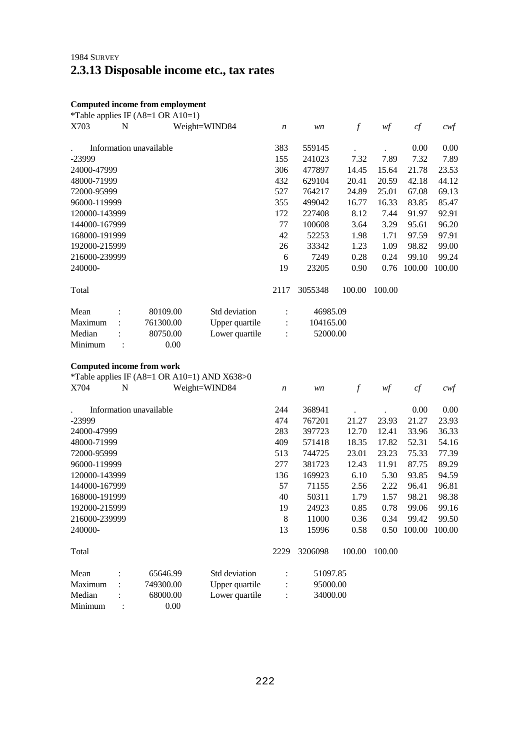## 1984 SURVEY **2.3.13 Disposable income etc., tax rates**

#### **Computed income from employment**

|               |   | *Table applies IF $($ A8=1 OR A10=1 $)$ |                |                      |           |        |        |        |        |
|---------------|---|-----------------------------------------|----------------|----------------------|-----------|--------|--------|--------|--------|
| X703          | N |                                         | Weight=WIND84  | $\boldsymbol{n}$     | wn        | $\int$ | wf     | cf     | cwf    |
|               |   | Information unavailable                 |                | 383                  | 559145    |        |        | 0.00   | 0.00   |
| -23999        |   |                                         |                | 155                  | 241023    | 7.32   | 7.89   | 7.32   | 7.89   |
| 24000-47999   |   |                                         |                | 306                  | 477897    | 14.45  | 15.64  | 21.78  | 23.53  |
| 48000-71999   |   |                                         |                | 432                  | 629104    | 20.41  | 20.59  | 42.18  | 44.12  |
| 72000-95999   |   |                                         |                | 527                  | 764217    | 24.89  | 25.01  | 67.08  | 69.13  |
| 96000-119999  |   |                                         |                | 355                  | 499042    | 16.77  | 16.33  | 83.85  | 85.47  |
| 120000-143999 |   |                                         |                | 172                  | 227408    | 8.12   | 7.44   | 91.97  | 92.91  |
| 144000-167999 |   |                                         |                | 77                   | 100608    | 3.64   | 3.29   | 95.61  | 96.20  |
| 168000-191999 |   |                                         |                | 42                   | 52253     | 1.98   | 1.71   | 97.59  | 97.91  |
| 192000-215999 |   |                                         |                | 26                   | 33342     | 1.23   | 1.09   | 98.82  | 99.00  |
| 216000-239999 |   |                                         |                | 6                    | 7249      | 0.28   | 0.24   | 99.10  | 99.24  |
| 240000-       |   |                                         |                | 19                   | 23205     | 0.90   | 0.76   | 100.00 | 100.00 |
| Total         |   |                                         |                | 2117                 | 3055348   | 100.00 | 100.00 |        |        |
| Mean          |   | 80109.00                                | Std deviation  | $\ddot{\cdot}$       | 46985.09  |        |        |        |        |
| Maximum       |   | 761300.00                               | Upper quartile | $\ddot{\phantom{a}}$ | 104165.00 |        |        |        |        |
| Median        |   | 80750.00                                | Lower quartile |                      | 52000.00  |        |        |        |        |
| Minimum       |   | 0.00                                    |                |                      |           |        |        |        |        |

#### **Computed income from work**

\*Table applies IF (A8=1 OR A10=1) AND X638>0<br>X704 N Weight=WIND84

|               |                | Information unavailable |                | 244            | 368941   |        |        | 0.00   | 0.00   |
|---------------|----------------|-------------------------|----------------|----------------|----------|--------|--------|--------|--------|
| $-23999$      |                |                         |                | 474            | 767201   | 21.27  | 23.93  | 21.27  | 23.93  |
| 24000-47999   |                |                         |                | 283            | 397723   | 12.70  | 12.41  | 33.96  | 36.33  |
| 48000-71999   |                |                         |                | 409            | 571418   | 18.35  | 17.82  | 52.31  | 54.16  |
| 72000-95999   |                |                         |                | 513            | 744725   | 23.01  | 23.23  | 75.33  | 77.39  |
| 96000-119999  |                |                         |                | 277            | 381723   | 12.43  | 11.91  | 87.75  | 89.29  |
| 120000-143999 |                |                         |                | 136            | 169923   | 6.10   | 5.30   | 93.85  | 94.59  |
| 144000-167999 |                |                         |                | 57             | 71155    | 2.56   | 2.22   | 96.41  | 96.81  |
| 168000-191999 |                |                         |                | 40             | 50311    | 1.79   | 1.57   | 98.21  | 98.38  |
| 192000-215999 |                |                         |                | 19             | 24923    | 0.85   | 0.78   | 99.06  | 99.16  |
| 216000-239999 |                |                         |                | 8              | 11000    | 0.36   | 0.34   | 99.42  | 99.50  |
| 240000-       |                |                         |                | 13             | 15996    | 0.58   | 0.50   | 100.00 | 100.00 |
| Total         |                |                         |                | 2229           | 3206098  | 100.00 | 100.00 |        |        |
| Mean          | $\ddot{\cdot}$ | 65646.99                | Std deviation  | $\ddot{\cdot}$ | 51097.85 |        |        |        |        |
| Maximum       | $\ddot{\cdot}$ | 749300.00               | Upper quartile | $\ddot{\cdot}$ | 95000.00 |        |        |        |        |
| Median        |                | 68000.00                | Lower quartile | $\ddot{\cdot}$ | 34000.00 |        |        |        |        |
| Minimum       | ÷              | 0.00                    |                |                |          |        |        |        |        |

*n* wn f wf cf cwf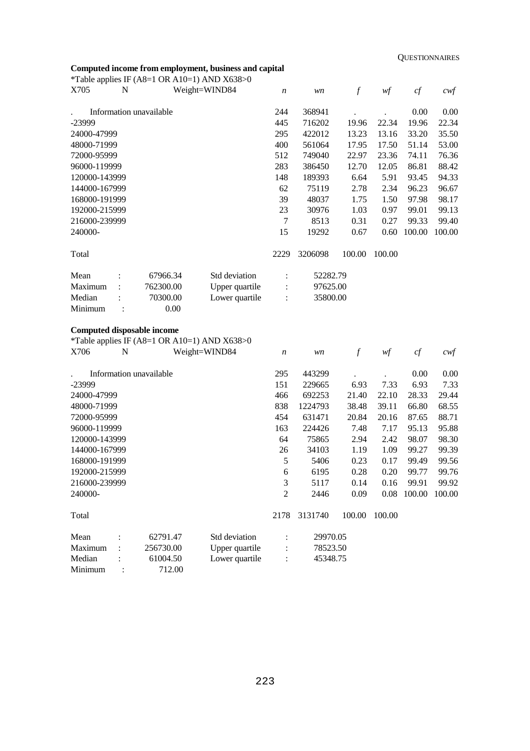### **Computed income from employment, business and capital**

Minimum : 712.00

|               |                | *Table applies IF (A8=1 OR A10=1) AND X638>0 | сотрасса теоте и от етро упене, осотев ала сариа |                  |          |                  |        |        |                   |
|---------------|----------------|----------------------------------------------|--------------------------------------------------|------------------|----------|------------------|--------|--------|-------------------|
| X705          | N              |                                              | Weight=WIND84                                    | $\boldsymbol{n}$ | wn       | $\boldsymbol{f}$ | wf     | cf     | $c \mathcal{w}$ f |
|               |                |                                              |                                                  |                  |          |                  |        |        |                   |
|               |                | Information unavailable                      |                                                  | 244              | 368941   |                  |        | 0.00   | 0.00              |
| -23999        |                |                                              |                                                  | 445              | 716202   | 19.96            | 22.34  | 19.96  | 22.34             |
| 24000-47999   |                |                                              |                                                  | 295              | 422012   | 13.23            | 13.16  | 33.20  | 35.50             |
| 48000-71999   |                |                                              |                                                  | 400              | 561064   | 17.95            | 17.50  | 51.14  | 53.00             |
| 72000-95999   |                |                                              |                                                  | 512              | 749040   | 22.97            | 23.36  | 74.11  | 76.36             |
| 96000-119999  |                |                                              |                                                  | 283              | 386450   | 12.70            | 12.05  | 86.81  | 88.42             |
| 120000-143999 |                |                                              |                                                  | 148              | 189393   | 6.64             | 5.91   | 93.45  | 94.33             |
| 144000-167999 |                |                                              |                                                  | 62               | 75119    | 2.78             | 2.34   | 96.23  | 96.67             |
| 168000-191999 |                |                                              |                                                  | 39               | 48037    | 1.75             | 1.50   | 97.98  | 98.17             |
| 192000-215999 |                |                                              |                                                  | 23               | 30976    | 1.03             | 0.97   | 99.01  | 99.13             |
| 216000-239999 |                |                                              |                                                  | $\tau$           | 8513     | 0.31             | 0.27   | 99.33  | 99.40             |
| 240000-       |                |                                              |                                                  | 15               | 19292    | 0.67             | 0.60   | 100.00 | 100.00            |
| Total         |                |                                              |                                                  | 2229             | 3206098  | 100.00           | 100.00 |        |                   |
| Mean          |                | 67966.34                                     | Std deviation                                    | $\ddot{\cdot}$   | 52282.79 |                  |        |        |                   |
| Maximum       |                | 762300.00                                    | Upper quartile                                   | $\vdots$         | 97625.00 |                  |        |        |                   |
| Median        |                | 70300.00                                     | Lower quartile                                   | $\ddot{\cdot}$   | 35800.00 |                  |        |        |                   |
| Minimum       | $\ddot{\cdot}$ | 0.00                                         |                                                  |                  |          |                  |        |        |                   |
|               |                |                                              |                                                  |                  |          |                  |        |        |                   |
|               |                | <b>Computed disposable income</b>            |                                                  |                  |          |                  |        |        |                   |
|               |                | *Table applies IF (A8=1 OR A10=1) AND X638>0 |                                                  |                  |          |                  |        |        |                   |
| X706          | N              |                                              | Weight=WIND84                                    | $\boldsymbol{n}$ | wn       | $\mathcal{f}$    | wf     | cf     | $c \mathcal{w}$ f |
|               |                |                                              |                                                  |                  |          |                  |        |        |                   |
|               |                | Information unavailable                      |                                                  | 295              | 443299   |                  |        | 0.00   | 0.00              |
| -23999        |                |                                              |                                                  | 151              | 229665   | 6.93             | 7.33   | 6.93   | 7.33              |
| 24000-47999   |                |                                              |                                                  | 466              | 692253   | 21.40            | 22.10  | 28.33  | 29.44             |
| 48000-71999   |                |                                              |                                                  | 838              | 1224793  | 38.48            | 39.11  | 66.80  | 68.55             |
| 72000-95999   |                |                                              |                                                  | 454              | 631471   | 20.84            | 20.16  | 87.65  | 88.71             |
| 96000-119999  |                |                                              |                                                  | 163              | 224426   | 7.48             | 7.17   | 95.13  | 95.88             |
| 120000-143999 |                |                                              |                                                  | 64               | 75865    | 2.94             | 2.42   | 98.07  | 98.30             |
| 144000-167999 |                |                                              |                                                  | 26               | 34103    | 1.19             | 1.09   | 99.27  | 99.39             |
| 168000-191999 |                |                                              |                                                  | 5                | 5406     | 0.23             | 0.17   | 99.49  | 99.56             |
| 192000-215999 |                |                                              |                                                  | 6                | 6195     | 0.28             | 0.20   | 99.77  | 99.76             |
| 216000-239999 |                |                                              |                                                  | 3                | 5117     | 0.14             | 0.16   | 99.91  | 99.92             |
| 240000-       |                |                                              |                                                  | $\overline{c}$   | 2446     | 0.09             | 0.08   | 100.00 | 100.00            |
|               |                |                                              |                                                  |                  |          |                  |        |        |                   |
| Total         |                |                                              |                                                  | 2178             | 3131740  | 100.00           | 100.00 |        |                   |
| Mean          |                | 62791.47                                     | Std deviation                                    |                  | 29970.05 |                  |        |        |                   |
| Maximum       |                | 256730.00                                    | Upper quartile                                   |                  | 78523.50 |                  |        |        |                   |
| Median        |                | 61004.50                                     | Lower quartile                                   |                  | 45348.75 |                  |        |        |                   |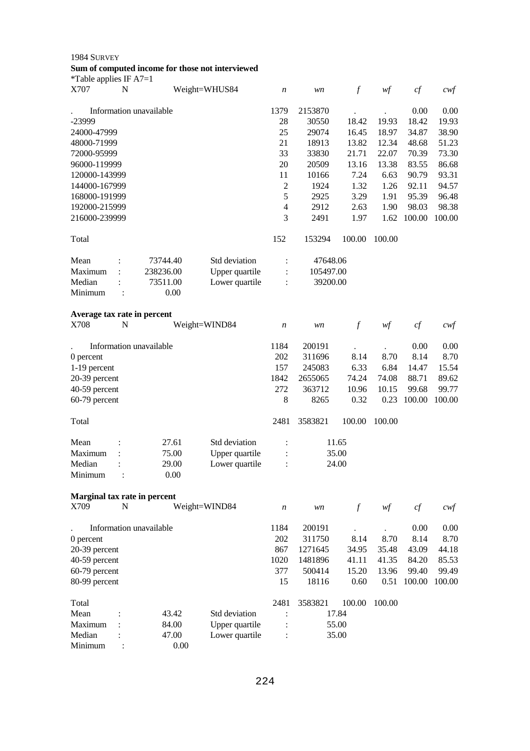| 1984 SURVEY<br>*Table applies IF $A7=1$ |                             |               | Sum of computed income for those not interviewed |                  |           |               |        |        |                   |
|-----------------------------------------|-----------------------------|---------------|--------------------------------------------------|------------------|-----------|---------------|--------|--------|-------------------|
| X707                                    | $\mathbf N$                 | Weight=WHUS84 |                                                  | n                | wn        | $\int$        | wf     | cf     | $c$ wf            |
|                                         | Information unavailable     |               |                                                  | 1379             | 2153870   |               |        | 0.00   | 0.00              |
| -23999                                  |                             |               |                                                  | 28               | 30550     | 18.42         | 19.93  | 18.42  | 19.93             |
| 24000-47999                             |                             |               |                                                  | 25               | 29074     | 16.45         | 18.97  | 34.87  | 38.90             |
| 48000-71999                             |                             |               |                                                  | 21               | 18913     | 13.82         | 12.34  | 48.68  | 51.23             |
| 72000-95999                             |                             |               |                                                  | 33               | 33830     | 21.71         | 22.07  | 70.39  | 73.30             |
| 96000-119999                            |                             |               |                                                  | 20               | 20509     | 13.16         | 13.38  | 83.55  | 86.68             |
| 120000-143999                           |                             |               |                                                  | 11               | 10166     | 7.24          | 6.63   | 90.79  | 93.31             |
| 144000-167999                           |                             |               |                                                  | $\overline{c}$   | 1924      | 1.32          | 1.26   | 92.11  | 94.57             |
| 168000-191999                           |                             |               |                                                  | 5                | 2925      | 3.29          | 1.91   | 95.39  | 96.48             |
| 192000-215999                           |                             |               |                                                  | $\overline{4}$   | 2912      | 2.63          | 1.90   | 98.03  | 98.38             |
| 216000-239999                           |                             |               |                                                  | 3                | 2491      | 1.97          | 1.62   | 100.00 | 100.00            |
| Total                                   |                             |               |                                                  | 152              | 153294    | 100.00        | 100.00 |        |                   |
| Mean                                    | 73744.40                    |               | Std deviation                                    | $\ddot{\cdot}$   | 47648.06  |               |        |        |                   |
| Maximum                                 | 238236.00<br>$\ddot{\cdot}$ |               | Upper quartile                                   | $\ddot{\cdot}$   | 105497.00 |               |        |        |                   |
| Median                                  | 73511.00                    |               | Lower quartile                                   | $\ddot{\cdot}$   | 39200.00  |               |        |        |                   |
| Minimum                                 | :                           | 0.00          |                                                  |                  |           |               |        |        |                   |
| Average tax rate in percent             |                             |               |                                                  |                  |           |               |        |        |                   |
| X708                                    | N                           | Weight=WIND84 |                                                  | n                | wn        | $\mathcal{f}$ | wf     | cf     | $c$ wf            |
|                                         | Information unavailable     |               |                                                  | 1184             | 200191    |               |        | 0.00   | 0.00              |
| 0 percent                               |                             |               |                                                  | 202              | 311696    | 8.14          | 8.70   | 8.14   | 8.70              |
| 1-19 percent                            |                             |               |                                                  | 157              | 245083    | 6.33          | 6.84   | 14.47  | 15.54             |
| 20-39 percent                           |                             |               |                                                  | 1842             | 2655065   | 74.24         | 74.08  | 88.71  | 89.62             |
| 40-59 percent                           |                             |               |                                                  | 272              | 363712    | 10.96         | 10.15  | 99.68  | 99.77             |
| 60-79 percent                           |                             |               |                                                  | 8                | 8265      | 0.32          | 0.23   | 100.00 | 100.00            |
|                                         |                             |               |                                                  |                  |           |               |        |        |                   |
| Total                                   |                             |               |                                                  | 2481             | 3583821   | 100.00        | 100.00 |        |                   |
| Mean                                    | $\ddot{\phantom{a}}$        | 27.61         | Std deviation                                    | $\ddot{\cdot}$   |           | 11.65         |        |        |                   |
| Maximum                                 |                             | 75.00         | Upper quartile                                   |                  |           | 35.00         |        |        |                   |
| Median<br>Minimum                       |                             | 29.00<br>0.00 | Lower quartile                                   |                  |           | 24.00         |        |        |                   |
|                                         |                             |               |                                                  |                  |           |               |        |        |                   |
| Marginal tax rate in percent<br>X709    | N                           | Weight=WIND84 |                                                  | $\boldsymbol{n}$ | wn        | $\int$        | wf     | $c\!f$ | $c \mathcal{w}$ f |
|                                         |                             |               |                                                  |                  |           |               |        |        |                   |
|                                         | Information unavailable     |               |                                                  | 1184             | 200191    |               |        | 0.00   | 0.00              |
| 0 percent                               |                             |               |                                                  | 202              | 311750    | 8.14          | 8.70   | 8.14   | 8.70              |
| 20-39 percent                           |                             |               |                                                  | 867              | 1271645   | 34.95         | 35.48  | 43.09  | 44.18             |
| 40-59 percent                           |                             |               |                                                  | 1020             | 1481896   | 41.11         | 41.35  | 84.20  | 85.53             |
| 60-79 percent                           |                             |               |                                                  | 377              | 500414    | 15.20         | 13.96  | 99.40  | 99.49             |
| 80-99 percent                           |                             |               |                                                  | 15               | 18116     | 0.60          | 0.51   | 100.00 | 100.00            |
| Total                                   |                             |               |                                                  | 2481             | 3583821   | 100.00        | 100.00 |        |                   |
| Mean                                    |                             | 43.42         | Std deviation                                    |                  |           | 17 84         |        |        |                   |

| a vidi  |          |                | $2 + 01$ | JJ0J041 | TUU.UU |
|---------|----------|----------------|----------|---------|--------|
| Mean    | 43.42    | Std deviation  |          | 17.84   |        |
| Maximum | 84.00    | Upper quartile | ٠        | 55.00   |        |
| Median  | 47.00    | Lower quartile |          |         | 35.00  |
| Minimum | $0.00\,$ |                |          |         |        |